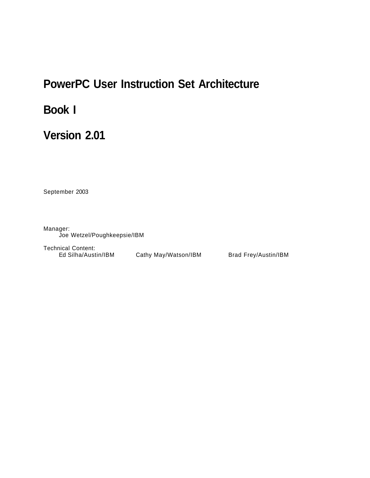# **PowerPC User Instruction Set Architecture**

# **Book I**

# **Version 2.01**

September 2003

Manager: Joe Wetzel/Poughkeepsie/IBM

Technical Content: Ed Silha/Austin/IBM Cathy May/Watson/IBM Brad Frey/Austin/IBM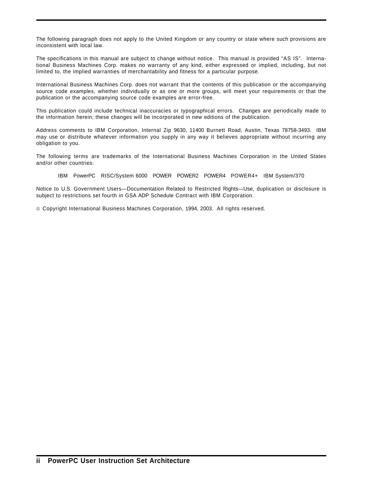The following paragraph does not apply to the United Kingdom or any country or state where such provisions are inconsistent with local law.

The specifications in this manual are subject to change without notice. This manual is provided "AS IS". International Business Machines Corp. makes no warranty of any kind, either expressed or implied, including, but not limited to, the implied warranties of merchantability and fitness for a particular purpose.

International Business Machines Corp. does not warrant that the contents of this publication or the accompanying source code examples, whether individually or as one or more groups, will meet your requirements or that the publication or the accompanying source code examples are error-free.

This publication could include technical inaccuracies or typographical errors. Changes are periodically made to the information herein; these changes will be incorporated in new editions of the publication.

Address comments to IBM Corporation, Internal Zip 9630, 11400 Burnett Road, Austin, Texas 78758-3493. IBM may use or distribute whatever information you supply in any way it believes appropriate without incurring any obligation to you.

The following terms are trademarks of the International Business Machines Corporation in the United States and/or other countries:

IBM PowerPC RISC/System 6000 POWER POWER2 POWER4 POWER4+ IBM System/370

Notice to U.S. Government Users—Documentation Related to Restricted Rights—Use, duplication or disclosure is subject to restrictions set fourth in GSA ADP Schedule Contract with IBM Corporation.

Copyright International Business Machines Corporation, 1994, 2003. All rights reserved.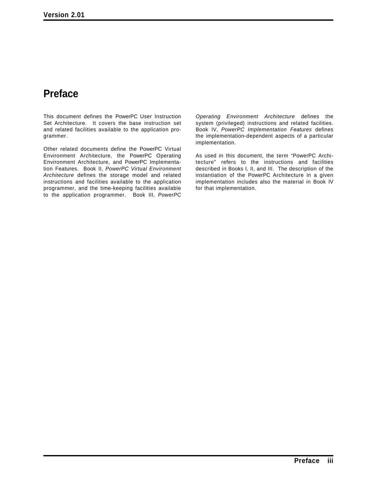## **Preface**

This document defines the PowerPC User Instruction Set Architecture. It covers the base instruction set and related facilities available to the application programmer.

Other related documents define the PowerPC Virtual Environment Architecture, the PowerPC Operating Environment Architecture, and PowerPC Implementation Features. Book II, *PowerPC Virtual Environment Architecture* defines the storage model and related instructions and facilities available to the application programmer, and the time-keeping facilities available to the application programmer. Book III, *PowerPC*

*Operating Environment Architecture* defines the system (privileged) instructions and related facilities. Book IV, *PowerPC Implementation Features* defines the implementation-dependent aspects of a particular implementation.

As used in this document, the term "PowerPC Architecture" refers to the instructions and facilities described in Books I, II, and III. The description of the instantiation of the PowerPC Architecture in a given implementation includes also the material in Book IV for that implementation.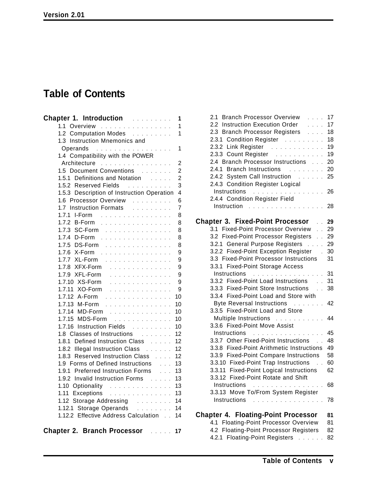# **Table of Contents**

| <b>Chapter 1. Introduction Administration</b>                             | 1                        |
|---------------------------------------------------------------------------|--------------------------|
| 1.1 Overview                                                              | $\overline{\phantom{a}}$ |
| 1.2 Computation Modes                                                     | 1                        |
| 1.3 Instruction Mnemonics and                                             |                          |
| Operands<br>.                                                             | 1                        |
| 1.4 Compatibility with the POWER                                          |                          |
| Architecture                                                              | 2                        |
| 1.5 Document Conventions                                                  | $\overline{c}$           |
| 1.5.1 Definitions and Notation Fig.                                       | $\overline{\mathbf{c}}$  |
| 1.5.2 Reserved Fields<br>and a construction of the second                 | 3                        |
| 1.5.3 Description of Instruction Operation                                | $\overline{4}$           |
| 1.6 Processor Overview<br><u>.</u><br>.                                   | 6                        |
| 1.7 Instruction Formats                                                   | $\overline{7}$           |
| 1.7.1 I-Form                                                              | 8                        |
| 1.7.2 B-Form                                                              | 8                        |
| 1.7.3 SC-Form                                                             | 8                        |
| 1.7.4 D-Form .                                                            | 8                        |
| 1.7.5 DS-Form                                                             | 8                        |
| 1.7.6 X-Form .<br>.                                                       | 9                        |
| 1.7.7 XL-Form .<br>$\sim$<br>$\ddot{\phantom{1}}$<br>$\sim$ $\sim$ $\sim$ | 9                        |
| 1.7.8 XFX-Form<br>.<br>$\sim$ $\sim$                                      | 9                        |
| 1.7.9 XFL-Form                                                            | 9                        |
| 1.7.10 XS-Form<br>and a straight and a straight                           | 9                        |
| 1.7.11 XO-Form                                                            | - 9                      |
| 1.7.12 A-Form                                                             | 10                       |
| 1.7.13 M-Form                                                             | 10                       |
| 1.7.14 MD-Form<br>.                                                       | 10                       |
| 1.7.15 MDS-Form<br>.                                                      | 10                       |
| 1.7.16 Instruction Fields                                                 | 10                       |
| 1.8 Classes of Instructions Fig.<br>1.8.1 Defined Instruction Class       | 12<br>12                 |
| 1.8.2 Illegal Instruction Class                                           | 12                       |
| 1.8.3 Reserved Instruction Class                                          | 12                       |
| 1.9 Forms of Defined Instructions<br>.                                    | 13                       |
| 1.9.1 Preferred Instruction Forms<br><b>College</b>                       | 13                       |
| 1.9.2 Invalid Instruction Forms                                           | 13                       |
|                                                                           | 13                       |
| 1.10 Optionality<br>1.11 Exceptions                                       | 13                       |
| 1.12 Storage Addressing Fig. 2.1.1.1.1.1.1                                | 14                       |
| 1.12.1 Storage Operands<br>a dia ang pag-                                 | 14                       |
| 1.12.2 Effective Address Calculation                                      | 14                       |
|                                                                           |                          |
| <b>Chapter 2. Branch Processor</b>                                        | 17                       |

| 2.1 Branch Processor Overview<br>$\cdots$                                                       | 17 |
|-------------------------------------------------------------------------------------------------|----|
| 2.2 Instruction Execution Order<br>$\cdots$                                                     | 17 |
| 2.3 Branch Processor Registers<br>$\sim 100$ km $^{-1}$                                         | 18 |
| 2.3.1 Condition Register                                                                        | 18 |
| 2.3.2 Link Register                                                                             | 19 |
| 2.3.3 Count Register                                                                            | 19 |
| 2.4 Branch Processor Instructions                                                               | 20 |
| 2.4.1 Branch Instructions                                                                       | 20 |
| 2.4.2 System Call Instruction                                                                   | 25 |
| 2.4.3 Condition Register Logical                                                                |    |
| Instructions<br>$\mathcal{A}$ , and a set of the set of the set of the set of the $\mathcal{A}$ | 26 |
| 2.4.4 Condition Register Field                                                                  |    |
| Instruction                                                                                     | 28 |
| .                                                                                               |    |
| <b>Chapter 3. Fixed-Point Processor</b><br>. . 29                                               |    |
| 3.1 Fixed-Point Processor Overview<br>. 29                                                      |    |
| 3.2 Fixed-Point Processor Registers                                                             | 29 |
| 3.2.1 General Purpose Registers                                                                 | 29 |
| 3.2.2 Fixed-Point Exception Register                                                            | 30 |
| 3.3 Fixed-Point Processor Instructions                                                          | 31 |
| 3.3.1 Fixed-Point Storage Access                                                                |    |
| Instructions                                                                                    | 31 |
| 3.3.2 Fixed-Point Load Instructions                                                             | 31 |
| 3.3.3 Fixed-Point Store Instructions                                                            | 38 |
| 3.3.4 Fixed-Point Load and Store with                                                           |    |
| <b>Byte Reversal Instructions</b><br>and the company of the company                             | 42 |
| 3.3.5 Fixed-Point Load and Store                                                                |    |
| Multiple Instructions                                                                           | 44 |
| 3.3.6 Fixed-Point Move Assist                                                                   |    |
| Instructions                                                                                    | 45 |
| .<br>3.3.7 Other Fixed-Point Instructions                                                       | 48 |
| 3.3.8 Fixed-Point Arithmetic Instructions                                                       | 49 |
|                                                                                                 |    |
| 3.3.9 Fixed-Point Compare Instructions                                                          | 58 |
| 3.3.10 Fixed-Point Trap Instructions<br>$\sim$                                                  | 60 |
| 3.3.11 Fixed-Point Logical Instructions                                                         | 62 |
| 3.3.12 Fixed-Point Rotate and Shift                                                             |    |
| Instructions<br>.                                                                               | 68 |
| 3.3.13 Move To/From System Register                                                             |    |
| Instructions<br>.                                                                               | 78 |
| <b>Chapter 4. Floating-Point Processor</b>                                                      | 81 |
| 4.1 Floating-Point Processor Overview                                                           | 81 |
| 4.2 Floating-Point Processor Registers                                                          | 82 |
|                                                                                                 |    |

4.2.1 Floating-Point Registers ...... 82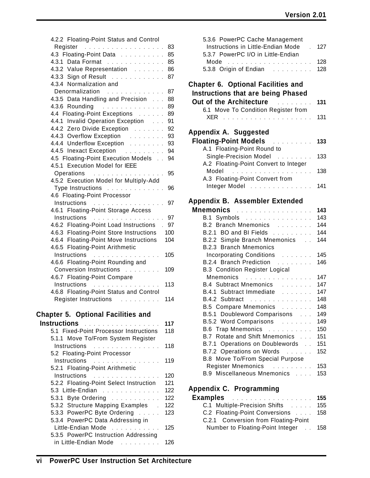| 4.2.2 Floating-Point Status and Control                                                                                                                                                                                                          |     |
|--------------------------------------------------------------------------------------------------------------------------------------------------------------------------------------------------------------------------------------------------|-----|
| Register                                                                                                                                                                                                                                         | 83  |
| 4.3 Floating-Point Data                                                                                                                                                                                                                          | 85  |
| 4.3.1 Data Format                                                                                                                                                                                                                                | 85  |
| 4.3.2 Value Representation                                                                                                                                                                                                                       | 86  |
| 4.3.3 Sign of Result                                                                                                                                                                                                                             | 87  |
| 4.3.4 Normalization and                                                                                                                                                                                                                          |     |
| Denormalization<br><u>.</u>                                                                                                                                                                                                                      | 87  |
| 4.3.5 Data Handling and Precision                                                                                                                                                                                                                | 88  |
| 4.3.6 Rounding                                                                                                                                                                                                                                   | 89  |
| $\sim$ 100 km s $\sim$ 100 km s $\sim$ 100 km s $\sim$<br>4.4 Floating-Point Exceptions                                                                                                                                                          | 89  |
| 4.4.1 Invalid Operation Exception                                                                                                                                                                                                                |     |
|                                                                                                                                                                                                                                                  | 91  |
| 4.4.2 Zero Divide Exception                                                                                                                                                                                                                      | 92  |
| 4.4.3 Overflow Exception                                                                                                                                                                                                                         | 93  |
| 4.4.4 Underflow Exception                                                                                                                                                                                                                        | 93  |
| 4.4.5 Inexact Exception                                                                                                                                                                                                                          | 94  |
| 4.5 Floating-Point Execution Models                                                                                                                                                                                                              | 94  |
| 4.5.1 Execution Model for IEEE                                                                                                                                                                                                                   |     |
| Operations<br>$\mathcal{A}$ . The set of the set of the set of the set of the set of the set of the set of the set of the set of the set of the set of the set of the set of the set of the set of the set of the set of the set of the set of t | 95  |
| 4.5.2 Execution Model for Multiply-Add                                                                                                                                                                                                           |     |
| Type Instructions                                                                                                                                                                                                                                | 96  |
| 4.6 Floating-Point Processor                                                                                                                                                                                                                     |     |
| Instructions<br>.                                                                                                                                                                                                                                | 97  |
| 4.6.1 Floating-Point Storage Access                                                                                                                                                                                                              |     |
| Instructions<br><u>. </u>                                                                                                                                                                                                                        | 97  |
| 4.6.2 Floating-Point Load Instructions                                                                                                                                                                                                           | 97  |
| 4.6.3 Floating-Point Store Instructions                                                                                                                                                                                                          | 100 |
| 4.6.4 Floating-Point Move Instructions                                                                                                                                                                                                           | 104 |
| 4.6.5 Floating-Point Arithmetic                                                                                                                                                                                                                  |     |
| Instructions<br>.                                                                                                                                                                                                                                | 105 |
| 4.6.6 Floating-Point Rounding and                                                                                                                                                                                                                |     |
| Conversion Instructions                                                                                                                                                                                                                          | 109 |
| 4.6.7 Floating-Point Compare                                                                                                                                                                                                                     |     |
| Instructions                                                                                                                                                                                                                                     | 113 |
| 4.6.8 Floating-Point Status and Control                                                                                                                                                                                                          |     |
| Register Instructions                                                                                                                                                                                                                            | 114 |
|                                                                                                                                                                                                                                                  |     |
| <b>Chapter 5. Optional Facilities and</b>                                                                                                                                                                                                        |     |
| <b>Instructions</b>                                                                                                                                                                                                                              | 117 |
| 5.1 Fixed-Point Processor Instructions                                                                                                                                                                                                           | 118 |
| 5.1.1 Move To/From System Register                                                                                                                                                                                                               |     |
| Instructions<br>.                                                                                                                                                                                                                                | 118 |
| 5.2 Floating-Point Processor                                                                                                                                                                                                                     |     |
| Instructions<br><u>.</u>                                                                                                                                                                                                                         | 119 |
| 5.2.1 Floating-Point Arithmetic                                                                                                                                                                                                                  |     |
| Instructions<br><u>.</u>                                                                                                                                                                                                                         | 120 |
| 5.2.2 Floating-Point Select Instruction                                                                                                                                                                                                          | 121 |
| 5.3 Little-Endian                                                                                                                                                                                                                                | 122 |
| 5.3.1 Byte Ordering                                                                                                                                                                                                                              | 122 |
| 5.3.2 Structure Mapping Examples .                                                                                                                                                                                                               | 122 |
| 5.3.3 PowerPC Byte Ordering                                                                                                                                                                                                                      | 123 |
| 5.3.4 PowerPC Data Addressing in                                                                                                                                                                                                                 |     |
| Little-Endian Mode                                                                                                                                                                                                                               | 125 |
| 5.3.5 PowerPC Instruction Addressing                                                                                                                                                                                                             |     |
| in Little-Endian Mode                                                                                                                                                                                                                            | 126 |

| Instructions in Little-Endian Mode                                   | 127<br>$\mathbf{r}$ |
|----------------------------------------------------------------------|---------------------|
| 5.3.7 PowerPC I/O in Little-Endian                                   |                     |
| 5.3.8 Origin of Endian                                               | 128<br>128          |
|                                                                      |                     |
| Chapter 6. Optional Facilities and                                   |                     |
| <b>Instructions that are being Phased</b>                            |                     |
| Out of the Architecture <b>Container and Street and Architecture</b> | 131                 |
| 6.1 Move To Condition Register from                                  |                     |
|                                                                      | 131                 |
| Appendix A. Suggested                                                |                     |
| <b>Floating-Point Models Electional Property</b>                     | 133                 |
| A.1 Floating-Point Round to                                          |                     |
| Single-Precision Model                                               | 133                 |
| A.2 Floating-Point Convert to Integer                                |                     |
|                                                                      | 138                 |
| A.3 Floating-Point Convert from                                      |                     |
| Integer Model                                                        | 141                 |
| Appendix B. Assembler Extended                                       |                     |
|                                                                      |                     |
| <b>Mnemonics</b><br>.                                                | 143                 |
| B.1 Symbols                                                          | 143                 |
| B.2 Branch Mnemonics                                                 | 144                 |
| B.2.1 BO and BI Fields                                               | 144                 |
| B.2.2 Simple Branch Mnemonics                                        | 144                 |
| <b>B.2.3 Branch Mnemonics</b>                                        |                     |
| Incorporating Conditions                                             | 145                 |
| B.2.4 Branch Prediction                                              | 146                 |
| <b>B.3 Condition Register Logical</b>                                |                     |
| Mnemonics<br>and a series of the company of the                      | 147                 |
| B.4 Subtract Mnemonics                                               | 147                 |
| B.4.1 Subtract Immediate                                             | 147                 |
| B.4.2 Subtract<br>and a construction of the construction             | 148                 |
| B.5 Compare Mnemonics                                                | 148                 |
| B.5.1 Doubleword Comparisons                                         | 149                 |
| B.5.2 Word Comparisons                                               | 149                 |
| <b>B.6 Trap Mnemonics</b><br>and a construction                      | 150                 |
| B.7 Rotate and Shift Mnemonics                                       | 151                 |
| B.7.1 Operations on Doublewords                                      | 151                 |
| B.7.2 Operations on Words                                            | 152                 |
| B.8 Move To/From Special Purpose                                     |                     |
| Register Mnemonics                                                   | 153                 |
| B.9 Miscellaneous Mnemonics                                          | 153                 |
| Appendix C. Programming                                              |                     |
| <b>Examples</b>                                                      | 155                 |
|                                                                      |                     |

5.3.6 PowerPC Cache Management

| <b>Examples</b> 155                  |  |
|--------------------------------------|--|
| C.1 Multiple-Precision Shifts 155    |  |
| C.2 Floating-Point Conversions 158   |  |
| C.2.1 Conversion from Floating-Point |  |
| Number to Floating-Point Integer 158 |  |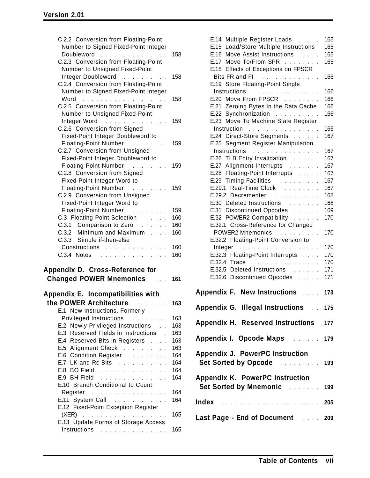| C.2.2 Conversion from Floating-Point<br>Number to Signed Fixed-Point Integer<br>Doubleword<br>$\mathbb{R}^n$<br>.             | 158 |  |  |
|-------------------------------------------------------------------------------------------------------------------------------|-----|--|--|
| C.2.3 Conversion from Floating-Point<br>Number to Unsigned Fixed-Point                                                        |     |  |  |
| Integer Doubleword<br>.<br>C.2.4 Conversion from Floating-Point                                                               | 158 |  |  |
| Number to Signed Fixed-Point Integer<br>Word <u>in the community of the community</u>                                         | 158 |  |  |
| C.2.5 Conversion from Floating-Point<br>Number to Unsigned Fixed-Point                                                        |     |  |  |
| Integer Word<br>والمتحاول والمتحاولة والمتحاوية والمتحدث<br>C.2.6 Conversion from Signed<br>Fixed-Point Integer Doubleword to | 159 |  |  |
| <b>Floating-Point Number</b><br>.                                                                                             | 159 |  |  |
| C.2.7 Conversion from Unsigned<br>Fixed-Point Integer Doubleword to<br><b>Floating-Point Number</b><br>.                      | 159 |  |  |
| C.2.8 Conversion from Signed<br>Fixed-Point Integer Word to                                                                   |     |  |  |
| <b>Floating-Point Number</b><br>.<br>C.2.9 Conversion from Unsigned<br>Fixed-Point Integer Word to                            | 159 |  |  |
| <b>Floating-Point Number</b><br><u>.</u>                                                                                      | 159 |  |  |
| C.3 Floating-Point Selection                                                                                                  | 160 |  |  |
| C.3.1 Comparison to Zero                                                                                                      | 160 |  |  |
| C.3.2 Minimum and Maximum                                                                                                     | 160 |  |  |
| C.3.3 Simple if-then-else                                                                                                     |     |  |  |
| Constructions                                                                                                                 | 160 |  |  |
| C.3.4 Notes                                                                                                                   | 160 |  |  |
| Appendix D. Cross-Reference for                                                                                               |     |  |  |
| <b>Changed POWER Mnemonics</b>                                                                                                | 161 |  |  |
| Appendix E. Incompatibilities with                                                                                            |     |  |  |
| the POWER Architecture<br>the company of the company                                                                          | 163 |  |  |
| E.1 New Instructions, Formerly                                                                                                |     |  |  |
| <b>Privileged Instructions</b><br>.                                                                                           | 163 |  |  |
| Newly Privileged Instructions<br>E.2                                                                                          | 163 |  |  |
| Reserved Fields in Instructions .<br>E.3                                                                                      | 163 |  |  |
| E.4 Reserved Bits in Registers                                                                                                | 163 |  |  |
| E.5 Alignment Check                                                                                                           | 163 |  |  |
| E.6 Condition Register                                                                                                        | 164 |  |  |
| E.7 LK and Rc Bits                                                                                                            | 164 |  |  |
| E.8 BO Field                                                                                                                  | 164 |  |  |
| E.9 BH Field<br>E.10 Branch Conditional to Count                                                                              | 164 |  |  |
| Register<br>$\mathcal{A}$ , and a set of the set of the set of the set of the $\mathcal{A}$                                   | 164 |  |  |
| E.11 System Call                                                                                                              | 164 |  |  |
| E.12 Fixed-Point Exception Register                                                                                           |     |  |  |
|                                                                                                                               |     |  |  |
| (XER)<br>.                                                                                                                    | 165 |  |  |
| E.13 Update Forms of Storage Access<br>Instructions                                                                           | 165 |  |  |

| E.14 Multiple Register Loads<br>Load/Store Multiple Instructions<br>E.15<br>Move Assist Instructions<br>E.16<br>$\sim$ 100 $\sim$ 100 $\sim$<br>E.17 Move To/From SPR<br>E.18 Effects of Exceptions on FPSCR | 165<br>165<br>165<br>165 |  |
|--------------------------------------------------------------------------------------------------------------------------------------------------------------------------------------------------------------|--------------------------|--|
| Bits FR and FI<br>E.19 Store Floating-Point Single                                                                                                                                                           | 166                      |  |
| Instructions                                                                                                                                                                                                 | 166                      |  |
| E.20 Move From FPSCR                                                                                                                                                                                         | 166                      |  |
| E.21 Zeroing Bytes in the Data Cache                                                                                                                                                                         | 166                      |  |
| E.22 Synchronization                                                                                                                                                                                         | 166                      |  |
| E.23 Move To Machine State Register                                                                                                                                                                          |                          |  |
| Instruction                                                                                                                                                                                                  | 166                      |  |
| E.24 Direct-Store Segments                                                                                                                                                                                   | 167                      |  |
| E.25 Segment Register Manipulation                                                                                                                                                                           |                          |  |
| Instructions<br>.                                                                                                                                                                                            | 167                      |  |
| E.26 TLB Entry Invalidation                                                                                                                                                                                  | 167                      |  |
| E.27 Alignment Interrupts                                                                                                                                                                                    | 167                      |  |
| E.28 Floating-Point Interrupts                                                                                                                                                                               | 167                      |  |
| E.29 Timing Facilities                                                                                                                                                                                       | 167                      |  |
| E.29.1 Real-Time Clock                                                                                                                                                                                       | 167                      |  |
| E.29.2 Decrementer                                                                                                                                                                                           | 168                      |  |
| E.30 Deleted Instructions                                                                                                                                                                                    | 168                      |  |
| E.31 Discontinued Opcodes                                                                                                                                                                                    | 169                      |  |
| E.32 POWER2 Compatibility                                                                                                                                                                                    | 170                      |  |
| E.32.1 Cross-Reference for Changed                                                                                                                                                                           |                          |  |
| POWER2 Mnemonics                                                                                                                                                                                             | 170                      |  |
| E.32.2 Floating-Point Conversion to                                                                                                                                                                          |                          |  |
| Integer                                                                                                                                                                                                      | 170                      |  |
| E.32.3 Floating-Point Interrupts                                                                                                                                                                             | 170                      |  |
| E.32.4 Trace                                                                                                                                                                                                 | 170                      |  |
| E.32.5 Deleted Instructions                                                                                                                                                                                  | 171                      |  |
| E.32.6 Discontinued Opcodes                                                                                                                                                                                  | 171                      |  |
| <b>Appendix F. New Instructions</b>                                                                                                                                                                          | 173                      |  |
|                                                                                                                                                                                                              |                          |  |
| Appendix G. Illegal Instructions . 175                                                                                                                                                                       |                          |  |
| Appendix H. Reserved Instructions<br>177                                                                                                                                                                     |                          |  |
| Appendix I. Opcode Maps  179                                                                                                                                                                                 |                          |  |
| <b>Appendix J. PowerPC Instruction</b>                                                                                                                                                                       |                          |  |
| Set Sorted by Opcode <b>Container 198</b>                                                                                                                                                                    |                          |  |
| <b>Appendix K. PowerPC Instruction</b><br>Set Sorted by Mnemonic <b>Set Sorted</b> by Mnemonic                                                                                                               |                          |  |
|                                                                                                                                                                                                              |                          |  |
| Last Page - End of Document  209                                                                                                                                                                             |                          |  |
|                                                                                                                                                                                                              |                          |  |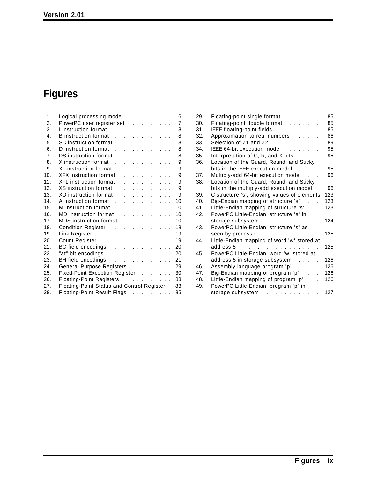# **Figures**

| 1.              | Logical processing model $\ldots$                                                                                                                                                                                              | 6  |
|-----------------|--------------------------------------------------------------------------------------------------------------------------------------------------------------------------------------------------------------------------------|----|
| 2.              | PowerPC user register set                                                                                                                                                                                                      | 7  |
| 3.              | I instruction format                                                                                                                                                                                                           | 8  |
| 4.              | B instruction format                                                                                                                                                                                                           | 8  |
| 5.              | SC instruction format residence in the contract of the set of the set of the set of the set of the set of the s                                                                                                                | 8  |
| 6.              | D instruction format                                                                                                                                                                                                           | 8  |
| 7 <sub>1</sub>  | DS instruction format enter and such a series of the series of the series of the series of the series of the series of the series of the series of the series of the series of the series of the series of the series of the s | 8  |
| 8.              | X instruction format<br>and a series of the contract of                                                                                                                                                                        | 9  |
| 9.              | XL instruction format                                                                                                                                                                                                          | 9  |
| 10.             | XFX instruction format                                                                                                                                                                                                         | 9  |
| 11.             | XFL instruction format Albert Linds and Albert Linds and Albert Linds                                                                                                                                                          | 9  |
| 12.             | XS instruction format                                                                                                                                                                                                          | 9  |
| 13.             | XO instruction format                                                                                                                                                                                                          | 9  |
| 14.             | A instruction format                                                                                                                                                                                                           | 10 |
| 15.             | Minstruction format Alberts Alberts Alberts Alberts Alberts Alberts Alberts Alberts Alberts Alberts Alberts Alberts Alberts Alberts Alberts Alberts Alberts Alberts Alberts Alberts Alberts Alberts Alberts Alberts Alberts Al | 10 |
| 16.             | MD instruction format                                                                                                                                                                                                          | 10 |
| 17 <sub>1</sub> | MDS instruction format                                                                                                                                                                                                         | 10 |
| 18.             | Condition Register                                                                                                                                                                                                             | 18 |
| 19.             | Link Register                                                                                                                                                                                                                  | 19 |
| 20.             | Count Register                                                                                                                                                                                                                 | 19 |
| 21.             | BO field encodings                                                                                                                                                                                                             | 20 |
| 22.             | "at" bit encodings                                                                                                                                                                                                             | 20 |
| 23.             | BH field encodings                                                                                                                                                                                                             | 21 |
| 24.             | General Purpose Registers                                                                                                                                                                                                      | 29 |
| 25.             | Fixed-Point Exception Register                                                                                                                                                                                                 | 30 |
| 26.             | Floating-Point Registers                                                                                                                                                                                                       | 83 |
| 27.             | Floating-Point Status and Control Register                                                                                                                                                                                     | 83 |
| 28.             | Floating-Point Result Flags                                                                                                                                                                                                    | 85 |
|                 |                                                                                                                                                                                                                                |    |

| 29. | Floating-point single format                                             | 85  |
|-----|--------------------------------------------------------------------------|-----|
| 30. | Floating-point double format                                             | 85  |
| 31. | IEEE floating-point fields                                               | 85  |
| 32. | Approximation to real numbers                                            | 86  |
| 33. |                                                                          | 89  |
| 34. | IEEE 64-bit execution model                                              | 95  |
| 35. | Interpretation of G, R, and X bits $\ldots$ .                            | 95  |
| 36. | Location of the Guard, Round, and Sticky                                 |     |
|     | bits in the IEEE execution model                                         | 95  |
| 37. | Multiply-add 64-bit execution model                                      | 96  |
| 38. | Location of the Guard, Round, and Sticky                                 |     |
|     | bits in the multiply-add execution model                                 | 96  |
| 39. | C structure 's', showing values of elements                              | 123 |
| 40. | Big-Endian mapping of structure 's'<br>$\mathcal{L}$                     | 123 |
| 41. | Little-Endian mapping of structure 's'                                   | 123 |
| 42. | PowerPC Little-Endian, structure 's' in                                  |     |
|     | storage subsystem<br>and the common contract of the common               | 124 |
| 43. | PowerPC Little-Endian, structure 's' as                                  |     |
|     | seen by processor<br>and the state of the state of the                   | 125 |
| 44. | Little-Endian mapping of word 'w' stored at                              |     |
|     | address 5<br>.                                                           | 125 |
| 45. | PowerPC Little-Endian, word 'w' stored at                                |     |
|     | address 5 in storage subsystem<br>1.1.1.1                                | 126 |
| 46. | Assembly language program 'p'<br>$\mathcal{L}$ , and $\mathcal{L}$ , and | 126 |
| 47. | Big-Endian mapping of program 'p'                                        | 126 |
| 48. | Little-Endian mapping of program 'p'<br>$\mathcal{L}^{\mathcal{L}}$      | 126 |
| 49. | PowerPC Little-Endian, program 'p' in                                    |     |
|     | storage subsystem<br>والمتواط والمتواط والمتواطئ                         | 127 |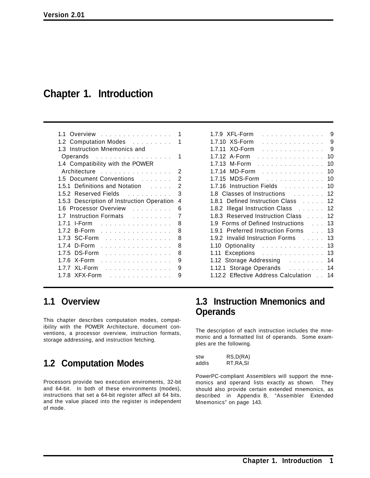## **Chapter 1. Introduction**

| Overview                                    | 1 |
|---------------------------------------------|---|
| 1.2 Computation Modes                       |   |
| 1.3 Instruction Mnemonics and               |   |
| Operands                                    | 1 |
| 1.4 Compatibility with the POWER            |   |
| Architecture                                | 2 |
| 1.5 Document Conventions                    | 2 |
| 1.5.1 Definitions and Notation Fig. 1.1.1.1 | 2 |
| 1.5.2 Reserved Fields                       | 3 |
| 1.5.3 Description of Instruction Operation  | 4 |
| 1.6 Processor Overview                      | 6 |
|                                             |   |
| 1.7 Instruction Formats                     | 7 |
| <b>I-Form</b><br>1.7.1                      | 8 |
| 1.7.2 B-Form                                | 8 |
| 1.7.3 SC-Form                               | 8 |
| 1.7.4 D-Form<br><u>.</u>                    | 8 |
| DS-Form<br>.<br>1.7.5                       | 8 |
| 1.7.6 X-Form<br>.                           | 9 |
| XL-Form<br>1.7.7                            | 9 |

| 1.7.9 XFL-Form<br>9<br>.                             |
|------------------------------------------------------|
| 1.7.10 XS-Form<br>9<br>.                             |
| 9<br>1.7.11 XO-Form<br>.                             |
| 1.7.12 A-Form<br>10<br>.                             |
| 1.7.13 M-Form<br>10                                  |
| 1.7.14 MD-Form<br>10                                 |
| 1.7.15 MDS-Form<br>10                                |
| 1.7.16 Instruction Fields<br>10                      |
| 1.8 Classes of Instructions<br>$12 \overline{ }$     |
| 1.8.1 Defined Instruction Class<br>$12 \overline{ }$ |
| 1.8.2 Illegal Instruction Class<br>12                |
| 1.8.3 Reserved Instruction Class<br>12               |
| 1.9 Forms of Defined Instructions<br>13              |
| 1.9.1 Preferred Instruction Forms<br>13              |
| 1.9.2 Invalid Instruction Forms<br>13                |
| 13<br>1.10 Optionality                               |
| Exceptions<br>13<br>1.11                             |
| 1.12 Storage Addressing<br>14                        |
| 1.12.1 Storage Operands<br>14                        |
| 1.12.2 Effective Address Calculation<br>14           |

## **1.1 Overview**

This chapter describes computation modes, compatibility with the POWER Architecture, document conventions, a processor overview, instruction formats, storage addressing, and instruction fetching.

## **1.2 Computation Modes**

Processors provide two execution enviroments, 32-bit and 64-bit. In both of these environments (modes), instructions that set a 64-bit register affect all 64 bits, and the value placed into the register is independent of mode.

## **1.3 Instruction Mnemonics and Operands**

The description of each instruction includes the mnemonic and a formatted list of operands. Some examples are the following.

| stw   | RS,D(RA)   |
|-------|------------|
| addis | RT, RA, SI |

PowerPC-compliant Assemblers will support the mnemonics and operand lists exactly as shown. They should also provide certain extended mnemonics, as described in Appendix B, "Assembler Extended Mnemonics" on page 143.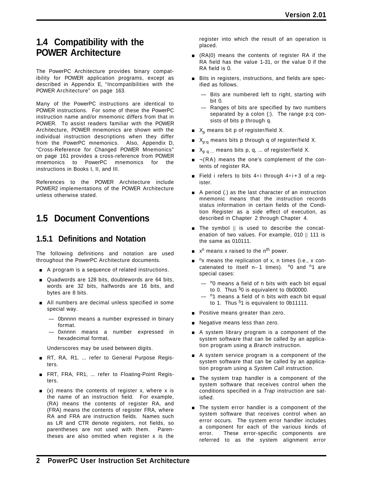## **1.4 Compatibility with the POWER Architecture**

The PowerPC Architecture provides binary compatibility for POWER application programs, except as described in Appendix E, "Incompatibilities with the POWER Architecture" on page 163.

Many of the PowerPC instructions are identical to POWER instructions. For some of these the PowerPC instruction name and/or mnemonic differs from that in POWER. To assist readers familiar with the POWER Architecture, POWER mnemonics are shown with the individual instruction descriptions when they differ from the PowerPC mnemonics. Also, Appendix D, "Cross-Reference for Changed POWER Mnemonics" on page 161 provides a cross-reference from POWER mnemonics to PowerPC mnemonics for the instructions in Books I, II, and III.

References to the POWER Architecture include POWER2 implementations of the POWER Architecture unless otherwise stated.

## **1.5 Document Conventions**

### **1.5.1 Definitions and Notation**

The following definitions and notation are used throughout the PowerPC Architecture documents.

- A program is a sequence of related instructions.
- **Quadwords are 128 bits, doublewords are 64 bits,** words are 32 bits, halfwords are 16 bits, and bytes are 8 bits.
- All numbers are decimal unless specified in some special way.
	- 0bnnnn means a number expressed in binary format.
	- 0xnnnn means a number expressed in hexadecimal format.
	- Underscores may be used between digits.
- RT, RA, R1, ... refer to General Purpose Registers.
- FRT, FRA, FR1, ... refer to Floating-Point Registers.
- $( x )$  means the contents of register x, where x is the name of an instruction field. For example, (RA) means the contents of register RA, and (FRA) means the contents of register FRA, where RA and FRA are instruction fields. Names such as LR and CTR denote registers, not fields, so parentheses are not used with them. Parentheses are also omitted when register x is the

register into which the result of an operation is placed.

- $\blacksquare$  (RA|0) means the contents of register RA if the RA field has the value 1-31, or the value 0 if the RA field is 0.
- **EXECT:** Bits in registers, instructions, and fields are specified as follows.
	- Bits are numbered left to right, starting with bit 0.
	- Ranges of bits are specified by two numbers separated by a colon (:). The range p:q consists of bits p through q.
- $\blacksquare$  X<sub>p</sub> means bit p of register/field X.
- $X_{p;q}$  means bits p through q of register/field X.
- $\blacksquare$   $X_{p,q}$  means bits p, q, ... of register/field X.
- $\blacksquare$   $\neg$ (RA) means the one's complement of the contents of register RA.
- **Field i refers to bits 4×i through 4×i + 3 of a reg**ister.
- **A** period (.) as the last character of an instruction mnemonic means that the instruction records status information in certain fields of the Condition Register as a side effect of execution, as described in Chapter 2 through Chapter 4.
- $\blacksquare$  The symbol  $\parallel$  is used to describe the concatenation of two values. For example, 010 || 111 is the same as 010111.
- $\blacksquare$  x<sup>n</sup> means x raised to the n<sup>th</sup> power.
- $n_x$  means the replication of x, n times (i.e., x concatenated to itself n−1 times). <sup>n</sup>0 and <sup>n</sup>1 are special cases:
	- $-$  <sup>n</sup>0 means a field of n bits with each bit equal to 0. Thus  $50$  is equivalent to 0b00000.
	- $-$  <sup>n</sup>1 means a field of n bits with each bit equal to 1. Thus  $51$  is equivalent to 0b11111.
- **Positive means greater than zero.**
- **Negative means less than zero.**
- **A** system library program is a component of the system software that can be called by an application program using a *Branch* instruction.
- $\blacksquare$  A system service program is a component of the system software that can be called by an application program using a *System Call* instruction.
- **The system trap handler is a component of the** system software that receives control when the conditions specified in a *Trap* instruction are satisfied.
- **The system error handler is a component of the** system software that receives control when an error occurs. The system error handler includes a component for each of the various kinds of error. These error-specific components are referred to as the system alignment error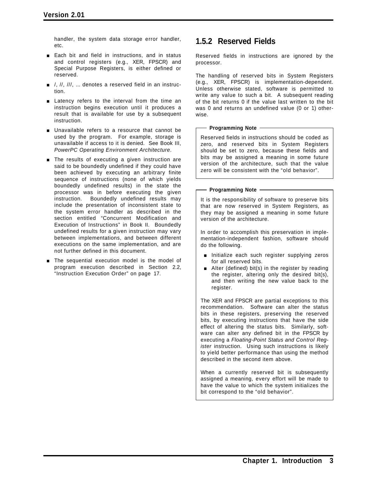handler, the system data storage error handler, etc.

- **Each bit and field in instructions, and in status** and control registers (e.g., XER, FPSCR) and Special Purpose Registers, is either defined or reserved.
- $\blacksquare$  /, //, ///, ... denotes a reserved field in an instruction.
- **Example 1** Latency refers to the interval from the time an instruction begins execution until it produces a result that is available for use by a subsequent instruction.
- **Unavailable refers to a resource that cannot be** used by the program. For example, storage is unavailable if access to it is denied. See Book III, *PowerPC Operating Environment Architecture*.
- **The results of executing a given instruction are** said to be boundedly undefined if they could have been achieved by executing an arbitrary finite sequence of instructions (none of which yields boundedly undefined results) in the state the processor was in before executing the given instruction. Boundedly undefined results may include the presentation of inconsistent state to the system error handler as described in the section entitled "Concurrent Modification and Execution of Instructions" in Book II. Boundedly undefined results for a given instruction may vary between implementations, and between different executions on the same implementation, and are not further defined in this document.
- **The sequential execution model is the model of** program execution described in Section 2.2, "Instruction Execution Order" on page 17.

### **1.5.2 Reserved Fields**

Reserved fields in instructions are ignored by the processor.

The handling of reserved bits in System Registers (e.g., XER, FPSCR) is implementation-dependent. Unless otherwise stated, software is permitted to write any value to such a bit. A subsequent reading of the bit returns 0 if the value last written to the bit was 0 and returns an undefined value (0 or 1) otherwise.

### **Programming Note**

Reserved fields in instructions should be coded as zero, and reserved bits in System Registers should be set to zero, because these fields and bits may be assigned a meaning in some future version of the architecture, such that the value zero will be consistent with the "old behavior".

### **Programming Note**

It is the responsibility of software to preserve bits that are now reserved in System Registers, as they may be assigned a meaning in some future version of the architecture.

In order to accomplish this preservation in implementation-independent fashion, software should do the following.

- **n** Initialize each such register supplying zeros for all reserved bits.
- $\blacksquare$  Alter (defined) bit(s) in the register by reading the register, altering only the desired bit(s), and then writing the new value back to the register.

The XER and FPSCR are partial exceptions to this recommendation. Software can alter the status bits in these registers, preserving the reserved bits, by executing instructions that have the side effect of altering the status bits. Similarly, software can alter any defined bit in the FPSCR by executing a *Floating-Point Status and Control Register* instruction. Using such instructions is likely to yield better performance than using the method described in the second item above.

When a currently reserved bit is subsequently assigned a meaning, every effort will be made to have the value to which the system initializes the bit correspond to the "old behavior".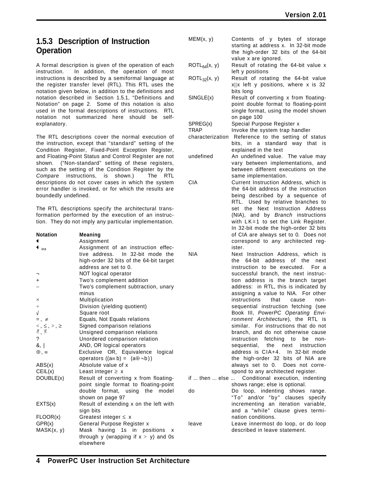### **1.5.3 Description of Instruction Operation**

A formal description is given of the operation of each instruction. In addition, the operation of most instructions is described by a semiformal language at the register transfer level (RTL). This RTL uses the notation given below, in addition to the definitions and notation described in Section 1.5.1, "Definitions and Notation" on page 2. Some of this notation is also used in the formal descriptions of instructions. RTL notation not summarized here should be selfexplanatory.

The RTL descriptions cover the normal execution of the instruction, except that "standard" setting of the Condition Register, Fixed-Point Exception Register, and Floating-Point Status and Control Register are not shown. ("Non-standard" setting of these registers, such as the setting of the Condition Register by the *Compare* instructions, is shown.) The RTL descriptions do not cover cases in which the system error handler is invoked, or for which the results are boundedly undefined.

The RTL descriptions specify the architectural transformation performed by the execution of an instruction. They do not imply any particular implementation.

| <b>Notation</b>                                                                       | <b>Meaning</b>                                                          |                |
|---------------------------------------------------------------------------------------|-------------------------------------------------------------------------|----------------|
| ←                                                                                     | Assignment                                                              |                |
| $\bullet$ iea                                                                         | Assignment of an instruction effec-<br>tive address. In 32-bit mode the | <b>NIA</b>     |
|                                                                                       | high-order 32 bits of the 64-bit target                                 |                |
|                                                                                       | address are set to 0.                                                   |                |
|                                                                                       | NOT logical operator                                                    |                |
| $\ddot{}$                                                                             | Two's complement addition                                               |                |
|                                                                                       | Two's complement subtraction, unary                                     |                |
|                                                                                       | minus                                                                   |                |
| $\times$                                                                              | Multiplication                                                          |                |
| $\div$                                                                                | Division (yielding quotient)                                            |                |
| $\sqrt{ }$                                                                            | Square root                                                             |                |
| $=$ , $\neq$                                                                          | Equals, Not Equals relations                                            |                |
| $\begin{array}{l} <, \leq, >, \geq \\ \downarrow & \downarrow \\ <, \geq \end{array}$ | Signed comparison relations                                             |                |
|                                                                                       | Unsigned comparison relations                                           |                |
| $\overline{\phantom{a}}$                                                              | Unordered comparison relation                                           |                |
| 8,                                                                                    | AND, OR logical operators                                               |                |
| $\oplus$ , $\equiv$                                                                   | Exclusive OR, Equivalence logical                                       |                |
|                                                                                       | operators $((a=b) = (a\oplus\neg b))$                                   |                |
| ABS(x)                                                                                | Absolute value of x                                                     |                |
| CEIL(x)                                                                               | Least integer $\geq x$                                                  |                |
| DOUBLE(x)                                                                             | Result of converting x from floating-                                   | if $\dots$ the |
|                                                                                       | point single format to floating-point                                   |                |
|                                                                                       | double format, using the model                                          | do             |
|                                                                                       | shown on page 97                                                        |                |
| EXTS(x)                                                                               | Result of extending x on the left with                                  |                |
|                                                                                       | sign bits                                                               |                |
| FLOOR(x)                                                                              | Greatest integer $\leq x$                                               |                |
| GPR(x)                                                                                | General Purpose Register x                                              | leave          |
| MASK(x, y)                                                                            | having 1s in positions<br>Mask<br>x                                     |                |
|                                                                                       | through y (wrapping if $x > y$ ) and 0s                                 |                |
|                                                                                       | elsewhere                                                               |                |

| MEM(x, y)         | Contents of y bytes of storage<br>starting at address x. In 32-bit mode<br>the high-order 32 bits of the 64-bit                       |
|-------------------|---------------------------------------------------------------------------------------------------------------------------------------|
| $ROTL_{64}(x, y)$ | value x are ignored.<br>Result of rotating the 64-bit value x<br>left y positions                                                     |
| $ROTL_{32}(x, y)$ | Result of rotating the 64-bit value<br>$x  x$ left y positions, where x is 32<br>bits long                                            |
| SINGLE(x)         | Result of converting x from floating-<br>point double format to floating-point<br>single format, using the model shown<br>on page 100 |
| SPREG(x)          | Special Purpose Register x                                                                                                            |
| <b>TRAP</b>       | Invoke the system trap handler                                                                                                        |
| characterization  | Reference to the setting of status                                                                                                    |
|                   | bits, in a standard way that is<br>explained in the text                                                                              |
| undefined         | An undefined value. The value may                                                                                                     |
|                   | vary between implementations, and                                                                                                     |
|                   | between different executions on the                                                                                                   |
|                   | same implementation.                                                                                                                  |
| <b>CIA</b>        | Current Instruction Address, which is<br>the 64-bit address of the instruction                                                        |
|                   |                                                                                                                                       |
|                   | being described by a sequence of<br>DTI Llead by ralative branches to                                                                 |

RTL. Used by relative branches to set the Next Instruction Address (NIA), and by *Branch* instructions with LK=1 to set the Link Register. In 32-bit mode the high-order 32 bits of CIA are always set to 0. Does not correspond to any architected register.

Next Instruction Address, which is the 64-bit address of the next instruction to be executed. For a successful branch, the next instruction address is the branch target address: in RTL, this is indicated by assigning a value to NIA. For other instructions that cause nonsequential instruction fetching (see Book III, *PowerPC Operating Environment Architecture*), the RTL is similar. For instructions that do not branch, and do not otherwise cause instruction fetching to be nonsequential, the next instruction address is CIA+4. In 32-bit mode the high-order 32 bits of NIA are always set to 0. Does not correspond to any architected register.

en ... else ... Conditional execution, indenting shows range; else is optional.

Do loop, indenting shows range. "To" and/or "by" clauses specify incrementing an iteration variable, and a "while" clause gives termination conditions.

Leave innermost do loop, or do loop described in leave statement.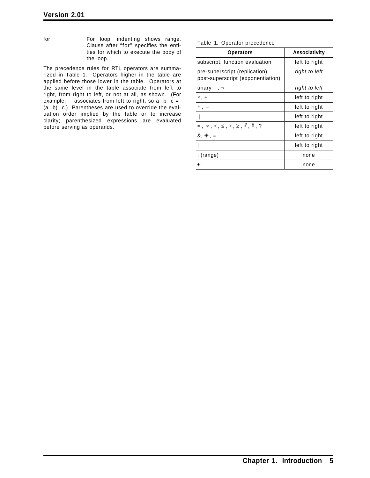for For loop, indenting shows range. Clause after "for" specifies the entities for which to execute the body of the loop.

The precedence rules for RTL operators are summarized in Table 1. Operators higher in the table are applied before those lower in the table. Operators at the same level in the table associate from left to right, from right to left, or not at all, as shown. (For example,  $-$  associates from left to right, so  $a-b-c=$ (a− b)− c.) Parentheses are used to override the evaluation order implied by the table or to increase clarity; parenthesized expressions are evaluated before serving as operands.

| Table 1. Operator precedence                                        |                      |
|---------------------------------------------------------------------|----------------------|
| <b>Operators</b>                                                    | <b>Associativity</b> |
| subscript, function evaluation                                      | left to right        |
| pre-superscript (replication),<br>post-superscript (exponentiation) | right to left        |
| unary $-$ , $\neg$                                                  | right to left        |
| $\times$ , $\div$                                                   | left to right        |
| $+$ , $-$                                                           | left to right        |
|                                                                     | left to right        |
| $= 1, \neq 1, \leq 1, \leq 1, \geq 1, \geq 1, \geq 1, \geq 1$       | left to right        |
| $\delta$ , $\oplus$ , $\equiv$                                      | left to right        |
|                                                                     | left to right        |
| : (range)                                                           | none                 |
|                                                                     | none                 |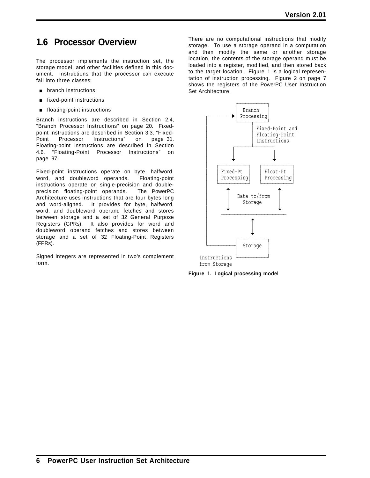## **1.6 Processor Overview**

The processor implements the instruction set, the storage model, and other facilities defined in this document. Instructions that the processor can execute fall into three classes:

- **p** branch instructions
- $\blacksquare$  fixed-point instructions
- **floating-point instructions**

Branch instructions are described in Section 2.4, "Branch Processor Instructions" on page 20. Fixedpoint instructions are described in Section 3.3, "Fixed-Point Processor Instructions" on page 31. Floating-point instructions are described in Section 4.6, "Floating-Point Processor Instructions" on page 97.

Fixed-point instructions operate on byte, halfword, word, and doubleword operands. Floating-point instructions operate on single-precision and doubleprecision floating-point operands. The PowerPC Architecture uses instructions that are four bytes long and word-aligned. It provides for byte, halfword, word, and doubleword operand fetches and stores between storage and a set of 32 General Purpose Registers (GPRs). It also provides for word and doubleword operand fetches and stores between storage and a set of 32 Floating-Point Registers (FPRs).

Signed integers are represented in two's complement form.

There are no computational instructions that modify storage. To use a storage operand in a computation and then modify the same or another storage location, the contents of the storage operand must be loaded into a register, modified, and then stored back to the target location. Figure 1 is a logical representation of instruction processing. Figure 2 on page 7 shows the registers of the PowerPC User Instruction Set Architecture.



**Figure 1. Logical processing model**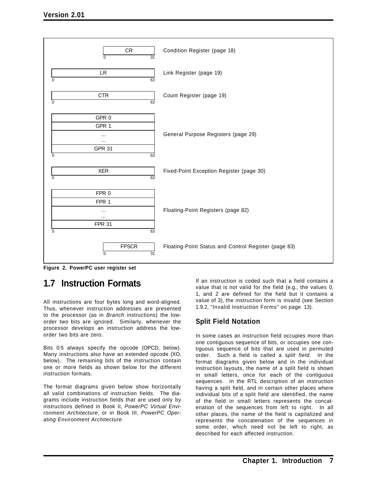

**Figure 2. PowerPC user register set**

## **1.7 Instruction Formats**

All instructions are four bytes long and word-aligned. Thus, whenever instruction addresses are presented to the processor (as in *Branch* instructions) the loworder two bits are ignored. Similarly, whenever the processor develops an instruction address the loworder two bits are zero.

Bits 0:5 always specify the opcode (OPCD, below). Many instructions also have an extended opcode (XO, below). The remaining bits of the instruction contain one or more fields as shown below for the different instruction formats.

The format diagrams given below show horizontally all valid combinations of instruction fields. The diagrams include instruction fields that are used only by instructions defined in Book II, *PowerPC Virtual Environment Architecture*, or in Book III, *PowerPC Operating Environment Architecture*.

If an instruction is coded such that a field contains a value that is not valid for the field (e.g., the values 0, 1, and 2 are defined for the field but it contains a value of 3), the instruction form is invalid (see Section 1.9.2, "Invalid Instruction Forms" on page 13).

### **Split Field Notation**

In some cases an instruction field occupies more than one contiguous sequence of bits, or occupies one contiguous sequence of bits that are used in permuted order. Such a field is called a *split field*. In the format diagrams given below and in the individual instruction layouts, the name of a split field is shown in small letters, once for each of the contiguous sequences. In the RTL description of an instruction having a split field, and in certain other places where individual bits of a split field are identified, the name of the field in small letters represents the concatenation of the sequences from left to right. In all other places, the name of the field is capitalized and represents the concatenation of the sequences in some order, which need not be left to right, as described for each affected instruction.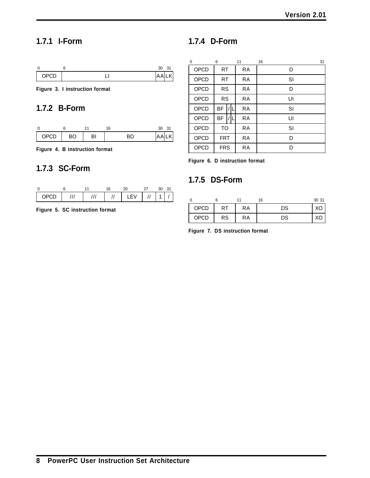## **1.7.1 I-Form**

## **1.7.4 D-Form**

|        | 30          |  |
|--------|-------------|--|
| י זכור | $\cdot$<br> |  |

**Figure 3. I instruction format**

### **1.7.2 B-Form**

| OPCD | ВO | 31 | $\cdot$ |  |
|------|----|----|---------|--|

**Figure 4. B instruction format**

### **1.7.3 SC-Form**



**Figure 5. SC instruction format**

| 0    | 6          |  | 11        | 31<br>16 |
|------|------------|--|-----------|----------|
| OPCD | <b>RT</b>  |  | RA        | D        |
| OPCD | <b>RT</b>  |  | RA        | SI       |
| OPCD | <b>RS</b>  |  | RA        | D        |
| OPCD | <b>RS</b>  |  | RA        | UI       |
| OPCD | <b>BF</b>  |  | RA        | SI       |
| OPCD | BF         |  | <b>RA</b> | UI       |
| OPCD | <b>TO</b>  |  | <b>RA</b> | SI       |
| OPCD | <b>FRT</b> |  | <b>RA</b> | D        |
| OPCD | <b>FRS</b> |  | RA        | D        |

**Figure 6. D instruction format**

### **1.7.5 DS-Form**

|      |    |    | 16 | 30 31 |
|------|----|----|----|-------|
| OPCD | RT | RA | DS | ХC    |
| OPCD | RS | RA | DS | ХC    |

**Figure 7. DS instruction format**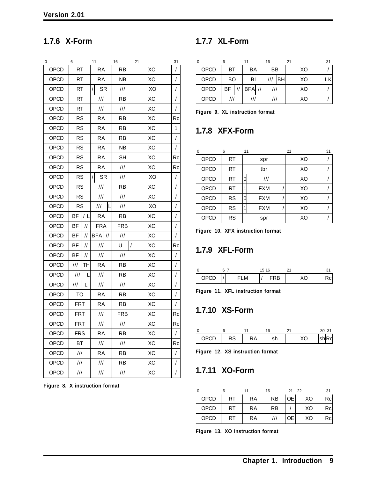## **1.7.6 X-Form**

| 0           | 6                                  |               | 11                                      | 16                                 | 21 | 31         |
|-------------|------------------------------------|---------------|-----------------------------------------|------------------------------------|----|------------|
| OPCD        | <b>RT</b>                          |               | <b>RA</b>                               | RB                                 | XO | /          |
| OPCD        | <b>RT</b>                          |               | RA                                      | <b>NB</b>                          | XO | /          |
| OPCD        | <b>RT</b>                          |               | $\prime$<br>SR                          | ///                                | XO | T          |
| OPCD        | RT                                 |               | $\ensuremath{\mathit{III}}\xspace$      | RB                                 | XO | /          |
| OPCD        | RT                                 |               | $^{\prime\prime\prime}$                 | ///                                | XO | $\sqrt{2}$ |
| <b>OPCD</b> | <b>RS</b>                          |               | RA                                      | RB                                 | XO | Rc         |
| OPCD        | <b>RS</b>                          |               | RA                                      | <b>RB</b>                          | XO | 1          |
| OPCD        | <b>RS</b>                          |               | RA                                      | RB                                 | XO | /          |
| OPCD        | <b>RS</b>                          |               | RA                                      | NB                                 | XO | /          |
| OPCD        | <b>RS</b>                          |               | RA                                      | <b>SH</b>                          | XO | Rc         |
| OPCD        | <b>RS</b>                          |               | RA                                      | $\ensuremath{\mathit{III}}\xspace$ | XO | Rc         |
| OPCD        | <b>RS</b>                          |               | <b>SR</b><br>$\prime$                   | $\mathcal{U}\mathcal{U}$           | XO | /          |
| OPCD        | <b>RS</b>                          |               | $^{\prime\prime\prime}$                 | RB                                 | XO | T          |
| OPCD        | <b>RS</b>                          |               | $^{\prime\prime\prime}$                 | ///                                | XO | /          |
| <b>OPCD</b> | <b>RS</b>                          |               | $\ensuremath{\mathsf{III}}\xspace$<br>L | ///                                | XO | /          |
| OPCD        | ΒF                                 | /L            | <b>RA</b>                               | RB                                 | XO | I          |
| <b>OPCD</b> | BF                                 | $\frac{1}{2}$ | <b>FRA</b>                              | <b>FRB</b>                         | XO | T          |
| OPCD        | ΒF                                 | //            | <b>BFA</b><br>$\frac{1}{2}$             | ///                                | XO | $\sqrt{2}$ |
| OPCD        | ВF                                 | //            | $\ensuremath{\mathit{III}}\xspace$      | U                                  | XO | Rc         |
| <b>OPCD</b> | BF                                 | $\frac{1}{2}$ | $\frac{1}{1}$                           | ///                                | XO | T          |
| OPCD        | ///                                | TН            | RA                                      | RB                                 | XO | /          |
| OPCD        | $\ensuremath{\mathit{III}}\xspace$ | L             | $\ensuremath{\mathit{III}}\xspace$      | RB                                 | XO | /          |
| OPCD        | ///                                | L             | $\ensuremath{\mathnormal{III}}\xspace$  | ///                                | XO | T          |
| <b>OPCD</b> | TO                                 |               | RA                                      | RB                                 | XO | /          |
| OPCD        | <b>FRT</b>                         |               | RA                                      | <b>RB</b>                          | XO | /          |
| OPCD        | <b>FRT</b>                         |               | $\ensuremath{\mathit{III}}\xspace$      | <b>FRB</b>                         | XO | Rc         |
| OPCD        | <b>FRT</b>                         |               | $\ensuremath{\mathit{III}}\xspace$      | $\ensuremath{\mathit{III}}\xspace$ | XO | Rc         |
| OPCD        | FRS                                |               | RA                                      | RB                                 | XO | /          |
| OPCD        | ВT                                 |               | $\ensuremath{\mathsf{III}}\xspace$      | ///                                | XO | Rc         |
| OPCD        | ///                                |               | RA                                      | RB                                 | XO | T          |
| OPCD        | $\frac{1}{1}$                      |               | $\ensuremath{\mathit{III}}\xspace$      | RB                                 | XO | T          |
| OPCD        | $\ensuremath{\mathsf{III}}\xspace$ |               | $\ensuremath{\mathsf{III}}\xspace$      | ///                                | XO | T          |

**Figure 8. X instruction format**

## **1.7.7 XL-Form**

|             |     | 11                               | 16  | 21 | 31 |
|-------------|-----|----------------------------------|-----|----|----|
| <b>OPCD</b> | ВT  | BA                               | BB  | XO |    |
| <b>OPCD</b> | BO  | BI                               | BHI | XO |    |
| <b>OPCD</b> |     | $BF$ $\mid$ // $ BF$ A $\mid$ // |     | XO |    |
| OPCD        | /// |                                  | /// | XO |    |

**Figure 9. XL instruction format**

## **1.7.8 XFX-Form**

| $\Omega$    | 6         | 11 |            | 21 | 31 |
|-------------|-----------|----|------------|----|----|
| OPCD        | <b>RT</b> |    | spr        | XO |    |
| OPCD        | <b>RT</b> |    | tbr        | XO |    |
| <b>OPCD</b> | <b>RT</b> | 0  | III        | XO |    |
| OPCD        | <b>RT</b> |    | <b>FXM</b> | XO |    |
| OPCD        | <b>RS</b> | 0  | <b>FXM</b> | XO |    |
| OPCD        | <b>RS</b> |    | <b>FXM</b> | XO |    |
| OPCD        | <b>RS</b> |    | spr        | XO |    |

**Figure 10. XFX instruction format**

## **1.7.9 XFL-Form**

|             |   | 15. | 16 |     |  |
|-------------|---|-----|----|-----|--|
| <b>OPCL</b> | M |     | RB | . . |  |

**Figure 11. XFL instruction format**

## **1.7.10 XS-Form**

|       |    |    |     |        | ۱ ب            |
|-------|----|----|-----|--------|----------------|
| חרוסר | RS | КA | 311 | $\sim$ | $\sim$<br>וווכ |

**Figure 12. XS instruction format**

## **1.7.11 XO-Form**

| $\Omega$ |           |           | 16 | 21 22     |    | 31  |
|----------|-----------|-----------|----|-----------|----|-----|
| OPCD     | <b>RT</b> | <b>RA</b> | RB | <b>OE</b> | XO | Rcl |
| OPCD     | RT        | RA        | RB |           | XO | Rcl |
| OPCD     | RT        | RA        |    | ОE        | XO | Rcl |

**Figure 13. XO instruction format**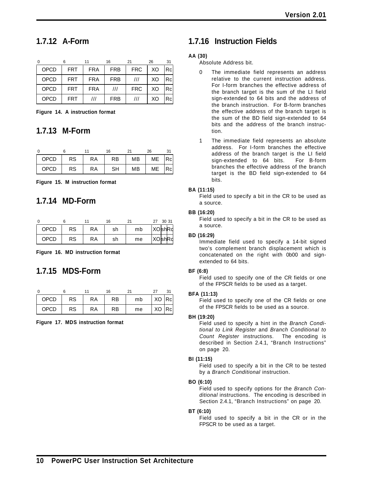### **1.7.12 A-Form**

|             |            |            | 16                      | 21                      | 26 | 31 |
|-------------|------------|------------|-------------------------|-------------------------|----|----|
| OPCD        | <b>FRT</b> | <b>FRA</b> | <b>FRB</b>              | <b>FRC</b>              | XO | Rc |
| <b>OPCD</b> | <b>FRT</b> | <b>FRA</b> | <b>FRB</b>              | III                     | XO | Rc |
| OPCD        | <b>FRT</b> | <b>FRA</b> | $^{\prime\prime\prime}$ | <b>FRC</b>              | XO | Rc |
| OPCD        | <b>FRT</b> | ///        | <b>FRB</b>              | $^{\prime\prime\prime}$ | XO | Rc |

**Figure 14. A instruction format**

### **1.7.13 M-Form**

|             |    |           | 16        |    | 26        |    |
|-------------|----|-----------|-----------|----|-----------|----|
| <b>OPCD</b> | RS | <b>RA</b> | RB        | MВ | ME        | Rc |
| <b>OPCD</b> | RS | <b>RA</b> | <b>SH</b> | MВ | <b>ME</b> | Rc |

**Figure 15. M instruction format**

### **1.7.14 MD-Form**

|             |           |           | 16 |    | 27 | 30 31         |
|-------------|-----------|-----------|----|----|----|---------------|
| <b>OPCD</b> | RS        | <b>RA</b> | sh | mb |    | <b>XOshRd</b> |
| <b>OPCD</b> | <b>RS</b> | RA        | sh | me |    | XOshRd        |

**Figure 16. MD instruction format**

### **1.7.15 MDS-Form**

|             |           |    | 16 |    |       |  |
|-------------|-----------|----|----|----|-------|--|
| <b>OPCD</b> | RS        | RA | RB | mb | XO Rc |  |
| <b>OPCD</b> | <b>RS</b> | RA | RB | me | XO Rc |  |

**Figure 17. MDS instruction format**

### **1.7.16 Instruction Fields**

### **AA (30)**

Absolute Address bit.

- 0 The immediate field represents an address relative to the current instruction address. For I-form branches the effective address of the branch target is the sum of the LI field sign-extended to 64 bits and the address of the branch instruction. For B-form branches the effective address of the branch target is the sum of the BD field sign-extended to 64 bits and the address of the branch instruction.
- 1 The immediate field represents an absolute address. For I-form branches the effective address of the branch target is the LI field sign-extended to 64 bits. For B-form branches the effective address of the branch target is the BD field sign-extended to 64 bits.

### **BA (11:15)**

Field used to specify a bit in the CR to be used as a source.

### **BB (16:20)**

Field used to specify a bit in the CR to be used as a source.

### **BD (16:29)**

Immediate field used to specify a 14-bit signed two's complement branch displacement which is concatenated on the right with 0b00 and signextended to 64 bits.

### **BF (6:8)**

Field used to specify one of the CR fields or one of the FPSCR fields to be used as a target.

### **BFA (11:13)**

Field used to specify one of the CR fields or one of the FPSCR fields to be used as a source.

### **BH (19:20)**

Field used to specify a hint in the *Branch Conditional to Link Register* and *Branch Conditional to Count Register* instructions. The encoding is described in Section 2.4.1, "Branch Instructions" on page 20.

### **BI (11:15)**

Field used to specify a bit in the CR to be tested by a *Branch Conditional* instruction.

### **BO (6:10)**

Field used to specify options for the *Branch Conditional* instructions. The encoding is described in Section 2.4.1, "Branch Instructions" on page 20.

### **BT (6:10)**

Field used to specify a bit in the CR or in the FPSCR to be used as a target.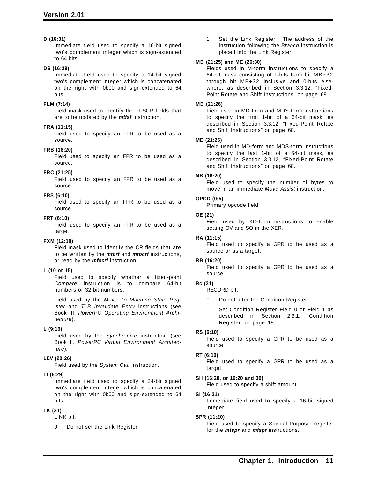### **D (16:31)**

Immediate field used to specify a 16-bit signed two's complement integer which is sign-extended to 64 bits.

### **DS (16:29)**

Immediate field used to specify a 14-bit signed two's complement integer which is concatenated on the right with 0b00 and sign-extended to 64 bits.

### **FLM (7:14)**

Field mask used to identify the FPSCR fields that are to be updated by the *mtfsf* instruction.

### **FRA (11:15)**

Field used to specify an FPR to be used as a source.

### **FRB (16:20)**

Field used to specify an FPR to be used as a source.

### **FRC (21:25)**

Field used to specify an FPR to be used as a source.

### **FRS (6:10)**

Field used to specify an FPR to be used as a source.

### **FRT (6:10)**

Field used to specify an FPR to be used as a target.

#### **FXM (12:19)**

Field mask used to identify the CR fields that are to be written by the *mtcrf* and *mtocrf* instructions, or read by the *mfocrf* instruction.

### **L (10 or 15)**

Field used to specify whether a fixed-point *Compare* instruction is to compare 64-bit numbers or 32-bit numbers.

Field used by the *Move To Machine State Register* and *TLB Invalidate Entry* instructions (see Book III, *PowerPC Operating Environment Architecture*).

### **L (9:10)**

Field used by the *Synchronize* instruction (see Book II, *PowerPC Virtual Environment Architecture*).

#### **LEV (20:26)**

Field used by the *System Call* instruction.

### **LI (6:29)**

Immediate field used to specify a 24-bit signed two's complement integer which is concatenated on the right with 0b00 and sign-extended to 64 bits.

### **LK (31)**

LINK bit.

0 Do not set the Link Register.

1 Set the Link Register. The address of the instruction following the *Branch* instruction is placed into the Link Register.

#### **MB (21:25) and ME (26:30)**

Fields used in M-form instructions to specify a 64-bit mask consisting of 1-bits from bit MB+32 through bit ME+32 inclusive and 0-bits elsewhere, as described in Section 3.3.12, "Fixed-Point Rotate and Shift Instructions" on page 68.

#### **MB (21:26)**

Field used in MD-form and MDS-form instructions to specify the first 1-bit of a 64-bit mask, as described in Section 3.3.12, "Fixed-Point Rotate and Shift Instructions" on page 68.

#### **ME (21:26)**

Field used in MD-form and MDS-form instructions to specify the last 1-bit of a 64-bit mask, as described in Section 3.3.12, "Fixed-Point Rotate and Shift Instructions" on page 68.

#### **NB (16:20)**

Field used to specify the number of bytes to move in an immediate *Move Assist* instruction.

### **OPCD (0:5)**

Primary opcode field.

#### **OE (21)**

Field used by XO-form instructions to enable setting OV and SO in the XER.

#### **RA (11:15)**

Field used to specify a GPR to be used as a source or as a target.

### **RB (16:20)**

Field used to specify a GPR to be used as a source.

#### **Rc (31)**

RECORD bit.

- 0 Do not alter the Condition Register.
- 1 Set Condition Register Field 0 or Field 1 as described in Section 2.3.1, "Condition Register" on page 18.

### **RS (6:10)**

Field used to specify a GPR to be used as a source.

#### **RT (6:10)**

Field used to specify a GPR to be used as a target.

#### **SH (16:20, or 16:20 and 30)**

Field used to specify a shift amount.

#### **SI (16:31)**

Immediate field used to specify a 16-bit signed integer.

#### **SPR (11:20)**

Field used to specify a Special Purpose Register for the *mtspr* and *mfspr* instructions.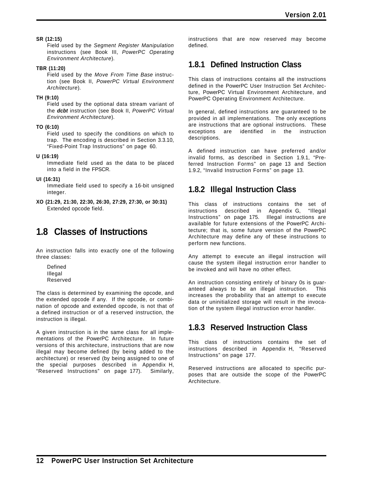### **SR (12:15)**

Field used by the *Segment Register Manipulation* instructions (see Book III, *PowerPC Operating Environment Architecture*).

### **TBR (11:20)**

Field used by the *Move From Time Base* instruction (see Book II, *PowerPC Virtual Environment Architecture*).

### **TH (9:10)**

Field used by the optional data stream variant of the *dcbt* instruction (see Book II, *PowerPC Virtual Environment Architecture*).

### **TO (6:10)**

Field used to specify the conditions on which to trap. The encoding is described in Section 3.3.10, "Fixed-Point Trap Instructions" on page 60.

### **U (16:19)**

Immediate field used as the data to be placed into a field in the FPSCR.

### **UI (16:31)**

Immediate field used to specify a 16-bit unsigned integer.

**XO (21:29, 21:30, 22:30, 26:30, 27:29, 27:30, or 30:31)** Extended opcode field.

## **1.8 Classes of Instructions**

An instruction falls into exactly one of the following three classes:

Defined Illegal Reserved

The class is determined by examining the opcode, and the extended opcode if any. If the opcode, or combination of opcode and extended opcode, is not that of a defined instruction or of a reserved instruction, the instruction is illegal.

A given instruction is in the same class for all implementations of the PowerPC Architecture. In future versions of this architecture, instructions that are now illegal may become defined (by being added to the architecture) or reserved (by being assigned to one of the special purposes described in Appendix H, "Reserved Instructions" on page 177). Similarly,

instructions that are now reserved may become defined.

## **1.8.1 Defined Instruction Class**

This class of instructions contains all the instructions defined in the PowerPC User Instruction Set Architecture, PowerPC Virtual Environment Architecture, and PowerPC Operating Environment Architecture.

In general, defined instructions are guaranteed to be provided in all implementations. The only exceptions are instructions that are optional instructions. These exceptions are identified in the instruction descriptions.

A defined instruction can have preferred and/or invalid forms, as described in Section 1.9.1, "Preferred Instruction Forms" on page 13 and Section 1.9.2, "Invalid Instruction Forms" on page 13.

## **1.8.2 Illegal Instruction Class**

This class of instructions contains the set of instructions described in Appendix G, "Illegal Instructions" on page 175. Illegal instructions are available for future extensions of the PowerPC Architecture; that is, some future version of the PowerPC Architecture may define any of these instructions to perform new functions.

Any attempt to execute an illegal instruction will cause the system illegal instruction error handler to be invoked and will have no other effect.

An instruction consisting entirely of binary 0s is guaranteed always to be an illegal instruction. This increases the probability that an attempt to execute data or uninitialized storage will result in the invocation of the system illegal instruction error handler.

## **1.8.3 Reserved Instruction Class**

This class of instructions contains the set of instructions described in Appendix H, "Reserved Instructions" on page 177.

Reserved instructions are allocated to specific purposes that are outside the scope of the PowerPC Architecture.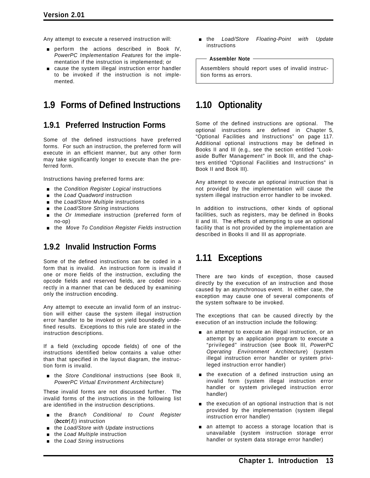Any attempt to execute a reserved instruction will:

- perform the actions described in Book IV, *PowerPC Implementation Features* for the implementation if the instruction is implemented; or
- $\Box$  cause the system illegal instruction error handler to be invoked if the instruction is not implemented.

## **1.9 Forms of Defined Instructions**

### **1.9.1 Preferred Instruction Forms**

Some of the defined instructions have preferred forms. For such an instruction, the preferred form will execute in an efficient manner, but any other form may take significantly longer to execute than the preferred form.

Instructions having preferred forms are:

- the *Condition Register Logical* instructions
- **n** the *Load Quadword* instruction
- the *Load/Store Multiple* instructions
- the *Load/Store String* instructions
- **the Or Immediate instruction (preferred form of** no-op)
- [ the *Move To Condition Register Fields* instruction

### **1.9.2 Invalid Instruction Forms**

Some of the defined instructions can be coded in a form that is invalid. An instruction form is invalid if one or more fields of the instruction, excluding the opcode fields and reserved fields, are coded incorrectly in a manner that can be deduced by examining only the instruction encoding.

Any attempt to execute an invalid form of an instruction will either cause the system illegal instruction error handler to be invoked or yield boundedly undefined results. Exceptions to this rule are stated in the instruction descriptions.

If a field (excluding opcode fields) of one of the instructions identified below contains a value other than that specified in the layout diagram, the instruction form is invalid.

**n** the *Store Conditional* instructions (see Book II, *PowerPC Virtual Environment Architecture*)

These invalid forms are not discussed further. The invalid forms of the instructions in the following list are identified in the instruction descriptions.

- [ the *Branch Conditional to Count Register* (*bcctr*[*l*]) instruction
- [ the *Load/Store with Update* instructions
- [ the *Load Multiple* instruction
- [ the *Load String* instructions

[ the *Load/Store Floating-Point with Update* instructions

#### **Assembler Note**

Assemblers should report uses of invalid instruction forms as errors.

## **1.10 Optionality**

Some of the defined instructions are optional. The optional instructions are defined in Chapter 5, "Optional Facilities and Instructions" on page 117. Additional optional instructions may be defined in Books II and III (e.g., see the section entitled "Lookaside Buffer Management" in Book III, and the chapters entitled "Optional Facilities and Instructions" in Book II and Book III).

Any attempt to execute an optional instruction that is not provided by the implementation will cause the system illegal instruction error handler to be invoked.

In addition to instructions, other kinds of optional facilities, such as registers, may be defined in Books II and III. The effects of attempting to use an optional facility that is not provided by the implementation are described in Books II and III as appropriate.

## **1.11 Exceptions**

There are two kinds of exception, those caused directly by the execution of an instruction and those caused by an asynchronous event. In either case, the exception may cause one of several components of the system software to be invoked.

The exceptions that can be caused directly by the execution of an instruction include the following:

- **n** an attempt to execute an illegal instruction, or an attempt by an application program to execute a "privileged" instruction (see Book III, *PowerPC Operating Environment Architecture*) (system illegal instruction error handler or system privileged instruction error handler)
- $\blacksquare$  the execution of a defined instruction using an invalid form (system illegal instruction error handler or system privileged instruction error handler)
- $\blacksquare$  the execution of an optional instruction that is not provided by the implementation (system illegal instruction error handler)
- **n** an attempt to access a storage location that is unavailable (system instruction storage error handler or system data storage error handler)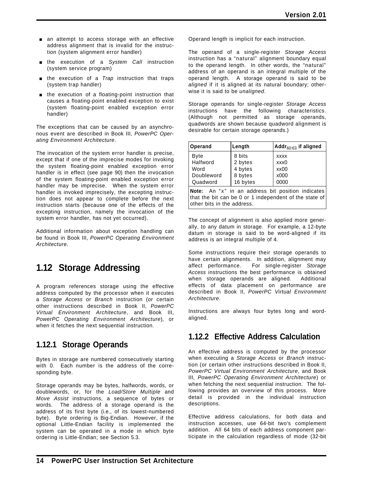- **an attempt to access storage with an effective** address alignment that is invalid for the instruction (system alignment error handler)
- **form** the execution of a *System Call* instruction (system service program)
- **form** the execution of a *Trap* instruction that traps (system trap handler)
- $\blacksquare$  the execution of a floating-point instruction that causes a floating-point enabled exception to exist (system floating-point enabled exception error handler)

The exceptions that can be caused by an asynchronous event are described in Book III, *PowerPC Operating Environment Architecture*.

The invocation of the system error handler is precise, except that if one of the imprecise modes for invoking the system floating-point enabled exception error handler is in effect (see page 90) then the invocation of the system floating-point enabled exception error handler may be imprecise. When the system error handler is invoked imprecisely, the excepting instruction does not appear to complete before the next instruction starts (because one of the effects of the excepting instruction, namely the invocation of the system error handler, has not yet occurred).

Additional information about exception handling can be found in Book III, *PowerPC Operating Environment Architecture*.

## **1.12 Storage Addressing**

A program references storage using the effective address computed by the processor when it executes a *Storage Access* or *Branch* instruction (or certain other instructions described in Book II, *PowerPC Virtual Environment Architecture*, and Book III, *PowerPC Operating Environment Architecture*), or when it fetches the next sequential instruction.

### **1.12.1 Storage Operands**

Bytes in storage are numbered consecutively starting with 0. Each number is the address of the corresponding byte.

Storage operands may be bytes, halfwords, words, or doublewords, or, for the *Load/Store Multiple* and *Move Assist* instructions, a sequence of bytes or words. The address of a storage operand is the address of its first byte (i.e., of its lowest-numbered byte). Byte ordering is Big-Endian. However, if the optional Little-Endian facility is implemented the system can be operated in a mode in which byte ordering is Little-Endian; see Section 5.3.

Operand length is implicit for each instruction.

The operand of a single-register *Storage Access* instruction has a "natural" alignment boundary equal to the operand length. In other words, the "natural" address of an operand is an integral multiple of the operand length. A storage operand is said to be *aligned* if it is aligned at its natural boundary; otherwise it is said to be *unaligned*.

Storage operands for single-register *Storage Access* instructions have the following characteristics. (Although not permitted as storage operands, quadwords are shown because quadword alignment is desirable for certain storage operands.)

| Operand     | Length   | $ $ Addr $_{60:63}$ if aligned |
|-------------|----------|--------------------------------|
| <b>Byte</b> | 8 bits   | <b>XXXX</b>                    |
| Halfword    | 2 bytes  | xxx0                           |
| Word        | 4 bytes  | xx00                           |
| Doubleword  | 8 bytes  | x000                           |
| Quadword    | 16 bytes | 0000                           |

Note: An "x" in an address bit position indicates that the bit can be 0 or 1 independent of the state of other bits in the address.

The concept of alignment is also applied more generally, to any datum in storage. For example, a 12-byte datum in storage is said to be word-aligned if its address is an integral multiple of 4.

Some instructions require their storage operands to have certain alignments. In addition, alignment may affect performance. For single-register *Storage Access* instructions the best performance is obtained when storage operands are aligned. Additional effects of data placement on performance are described in Book II, *PowerPC Virtual Environment Architecture*.

Instructions are always four bytes long and wordaligned.

### **1.12.2 Effective Address Calculation**

An effective address is computed by the processor when executing a *Storage Access* or *Branch* instruction (or certain other instructions described in Book II, *PowerPC Virtual Environment Architecture*, and Book III, *PowerPC Operating Environment Architecture*) or when fetching the next sequential instruction. The following provides an overview of this process. More detail is provided in the individual instruction descriptions.

Effective address calculations, for both data and instruction accesses, use 64-bit two's complement addition. All 64 bits of each address component participate in the calculation regardless of mode (32-bit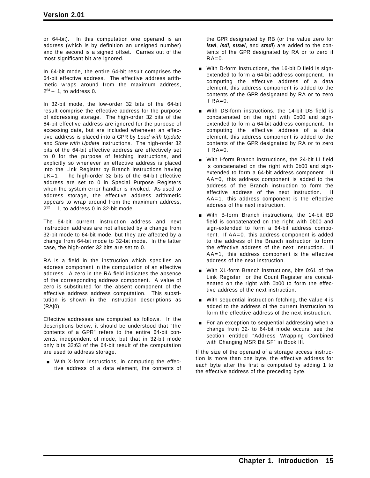or 64-bit). In this computation one operand is an address (which is by definition an unsigned number) and the second is a signed offset. Carries out of the most significant bit are ignored.

In 64-bit mode, the entire 64-bit result comprises the 64-bit effective address. The effective address arithmetic wraps around from the maximum address,  $2^{64} - 1$ , to address 0.

In 32-bit mode, the low-order 32 bits of the 64-bit result comprise the effective address for the purpose of addressing storage. The high-order 32 bits of the 64-bit effective address are ignored for the purpose of accessing data, but are included whenever an effective address is placed into a GPR by *Load with Update* and *Store with Update* instructions. The high-order 32 bits of the 64-bit effective address are effectively set to 0 for the purpose of fetching instructions, and explicitly so whenever an effective address is placed into the Link Register by Branch instructions having LK=1. The high-order 32 bits of the 64-bit effective address are set to 0 in Special Purpose Registers when the system error handler is invoked. As used to address storage, the effective address arithmetic appears to wrap around from the maximum address, 2<sup>32</sup> − 1, to address 0 in 32-bit mode.

The 64-bit current instruction address and next instruction address are not affected by a change from 32-bit mode to 64-bit mode, but they are affected by a change from 64-bit mode to 32-bit mode. In the latter case, the high-order 32 bits are set to 0.

RA is a field in the instruction which specifies an address component in the computation of an effective address. A zero in the RA field indicates the absence of the corresponding address component. A value of zero is substituted for the absent component of the effective address address computation. This substitution is shown in the instruction descriptions as (RA|0).

Effective addresses are computed as follows. In the descriptions below, it should be understood that "the contents of a GPR" refers to the entire 64-bit contents, independent of mode, but that in 32-bit mode only bits 32:63 of the 64-bit result of the computation are used to address storage.

**Nith X-form instructions, in computing the effec**tive address of a data element, the contents of the GPR designated by RB (or the value zero for *lswi*, *lsdi*, *stswi*, and *stsdi*) are added to the contents of the GPR designated by RA or to zero if  $RA=0$ .

- **With D-form instructions, the 16-bit D field is sign**extended to form a 64-bit address component. In computing the effective address of a data element, this address component is added to the contents of the GPR designated by RA or to zero if  $RA=0$ .
- **Number 14-bit DS-form instructions, the 14-bit DS field is** concatenated on the right with 0b00 and signextended to form a 64-bit address component. In computing the effective address of a data element, this address component is added to the contents of the GPR designated by RA or to zero if  $RA=0$ .
- **With I-form Branch instructions, the 24-bit LI field** is concatenated on the right with 0b00 and signextended to form a 64-bit address component. If AA=0, this address component is added to the address of the Branch instruction to form the effective address of the next instruction. If AA=1, this address component is the effective address of the next instruction.
- With B-form Branch instructions, the 14-bit BD field is concatenated on the right with 0b00 and sign-extended to form a 64-bit address component. If AA=0, this address component is added to the address of the Branch instruction to form the effective address of the next instruction. If AA=1, this address component is the effective address of the next instruction.
- **With XL-form Branch instructions, bits 0:61 of the** Link Register or the Count Register are concatenated on the right with 0b00 to form the effective address of the next instruction.
- $\blacksquare$  With sequential instruction fetching, the value 4 is added to the address of the current instruction to form the effective address of the next instruction.
- For an exception to sequential addressing when a change from 32- to 64-bit mode occurs, see the section entitled "Address Wrapping Combined with Changing MSR Bit SF" in Book III.

If the size of the operand of a storage access instruction is more than one byte, the effective address for each byte after the first is computed by adding 1 to the effective address of the preceding byte.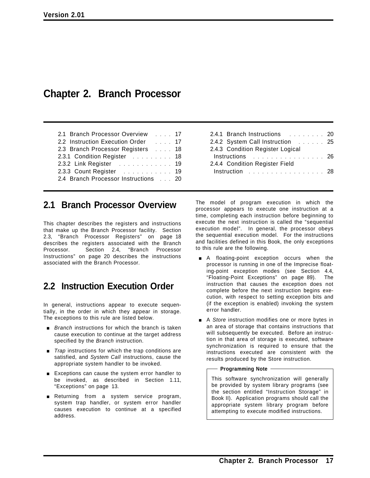## **Chapter 2. Branch Processor**

| 2.1 Branch Processor Overview 17     |  |  |  |
|--------------------------------------|--|--|--|
| 2.2 Instruction Execution Order 17   |  |  |  |
| 2.3 Branch Processor Registers 18    |  |  |  |
| 2.3.1 Condition Register 18          |  |  |  |
| 2.3.2 Link Register 19               |  |  |  |
| 2.3.3 Count Register 19              |  |  |  |
| 2.4 Branch Processor Instructions 20 |  |  |  |

### **2.1 Branch Processor Overview**

This chapter describes the registers and instructions that make up the Branch Processor facility. Section 2.3, "Branch Processor Registers" on page 18 describes the registers associated with the Branch Processor. Section 2.4, "Branch Processor Instructions" on page 20 describes the instructions associated with the Branch Processor.

## **2.2 Instruction Execution Order**

In general, instructions appear to execute sequentially, in the order in which they appear in storage. The exceptions to this rule are listed below.

- **Branch instructions for which the branch is taken** cause execution to continue at the target address specified by the *Branch* instruction.
- **Trap** instructions for which the trap conditions are satisfied, and *System Call* instructions, cause the appropriate system handler to be invoked.
- **Exceptions can cause the system error handler to** be invoked, as described in Section 1.11, "Exceptions" on page 13.
- **Executionary Returning from a system service program,** system trap handler, or system error handler causes execution to continue at a specified address.

| 2.4.1 Branch Instructions 20                     |  |
|--------------------------------------------------|--|
| 2.4.2 System Call Instruction 25                 |  |
| 2.4.3 Condition Register Logical                 |  |
| Instructions 26                                  |  |
| 2.4.4 Condition Register Field                   |  |
| Instruction $\ldots \ldots \ldots \ldots \ldots$ |  |
|                                                  |  |

The model of program execution in which the processor appears to execute one instruction at a time, completing each instruction before beginning to execute the next instruction is called the "sequential execution model". In general, the processor obeys the sequential execution model. For the instructions and facilities defined in this Book, the only exceptions to this rule are the following.

- **A** floating-point exception occurs when the processor is running in one of the Imprecise floating-point exception modes (see Section 4.4, "Floating-Point Exceptions" on page 89). The instruction that causes the exception does not complete before the next instruction begins execution, with respect to setting exception bits and (if the exception is enabled) invoking the system error handler.
- **EX** A *Store* instruction modifies one or more bytes in an area of storage that contains instructions that will subsequently be executed. Before an instruction in that area of storage is executed, software synchronization is required to ensure that the instructions executed are consistent with the results produced by the Store instruction.

### **Programming Note**

This software synchronization will generally be provided by system library programs (see the section entitled "Instruction Storage" in Book II). Application programs should call the appropriate system library program before attempting to execute modified instructions.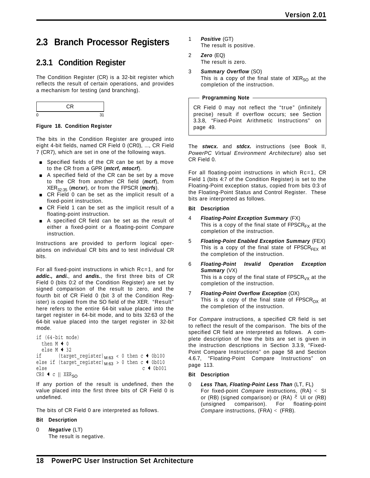## **2.3 Branch Processor Registers**

## **2.3.1 Condition Register**

The Condition Register (CR) is a 32-bit register which reflects the result of certain operations, and provides a mechanism for testing (and branching).



### **Figure 18. Condition Register**

The bits in the Condition Register are grouped into eight 4-bit fields, named CR Field 0 (CR0), ..., CR Field 7 (CR7), which are set in one of the following ways.

- **Burger** Specified fields of the CR can be set by a move to the CR from a GPR (*mtcrf, mtocrf*).
- $\blacksquare$  A specified field of the CR can be set by a move to the CR from another CR field (*mcrf*), from XER32:35 (*mcrxr*), or from the FPSCR (*mcrfs*).
- **CR** Field 0 can be set as the implicit result of a fixed-point instruction.
- **R** CR Field 1 can be set as the implicit result of a floating-point instruction.
- **A** specified CR field can be set as the result of either a fixed-point or a floating-point *Compare* instruction.

Instructions are provided to perform logical operations on individual CR bits and to test individual CR bits.

For all fixed-point instructions in which Rc=1, and for *addic., andi.*, and *andis.*, the first three bits of CR Field 0 (bits 0:2 of the Condition Register) are set by signed comparison of the result to zero, and the fourth bit of CR Field 0 (bit 3 of the Condition Register) is copied from the SO field of the XER. "Result" here refers to the entire 64-bit value placed into the target register in 64-bit mode, and to bits 32:63 of the 64-bit value placed into the target register in 32-bit mode.

```
if (64-bit mode)
  then M + 0else M + 32<br>if (tarque
           (target register)M:63 < 0 then c \triangleleft 0b100
else if (target\_register)_{M:63} > 0 then c \leftarrow 0b010<br>else
                                                        c \leftarrow 0b001CR0 \leftarrow c || XER_{SO}
```
If any portion of the result is undefined, then the value placed into the first three bits of CR Field 0 is undefined.

The bits of CR Field 0 are interpreted as follows.

### **Bit Description**

0 *Negative* (LT) The result is negative.

- 1 *Positive* (GT) The result is positive.
- 2 *Zero* (EQ) The result is zero.
- 3 *Summary Overflow* (SO) This is a copy of the final state of  $XER_{SO}$  at the completion of the instruction.

**Programming Note**

CR Field 0 may not reflect the "true" (infinitely precise) result if overflow occurs; see Section 3.3.8, "Fixed-Point Arithmetic Instructions" on page 49.

The *stwcx.* and *stdcx.* instructions (see Book II, *PowerPC Virtual Environment Architecture*) also set CR Field 0.

For all floating-point instructions in which Rc=1, CR Field 1 (bits 4:7 of the Condition Register) is set to the Floating-Point exception status, copied from bits 0:3 of the Floating-Point Status and Control Register. These bits are interpreted as follows.

### **Bit Description**

- 4 *Floating-Point Exception Summary* (FX) This is a copy of the final state of  $FPSCR_{FX}$  at the completion of the instruction.
- 5 *Floating-Point Enabled Exception Summary* (FEX) This is a copy of the final state of  $FPSCR_{FFX}$  at the completion of the instruction.
- 6 *Floating-Point Invalid Operation Exception Summary* (VX) This is a copy of the final state of  $FPSCR_{VX}$  at the completion of the instruction.
- 7 *Floating-Point Overflow Exception* (OX) This is a copy of the final state of  $FPSCR_{OX}$  at the completion of the instruction.

For *Compare* instructions, a specified CR field is set to reflect the result of the comparison. The bits of the specified CR field are interpreted as follows. A complete description of how the bits are set is given in the instruction descriptions in Section 3.3.9, "Fixed-Point Compare Instructions" on page 58 and Section 4.6.7, "Floating-Point Compare Instructions" on page 113.

### **Bit Description**

0 *Less Than, Floating-Point Less Than* (LT, FL) For fixed-point *Compare* instructions, (RA) < SI or (RB) (signed comparison) or (RA)  $\overset{u}{\leftarrow}$  UI or (RB) (unsigned comparison). For floating-point *Compare* instructions, (FRA) < (FRB).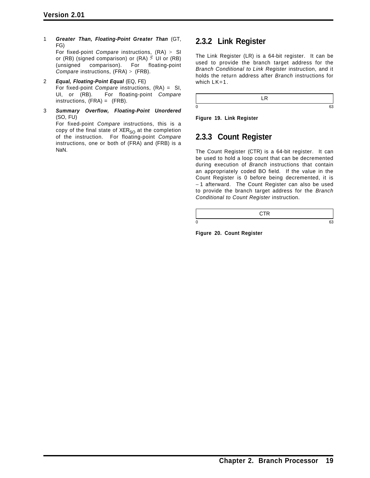1 *Greater Than, Floating-Point Greater Than* (GT, FG) For fixed-point *Compare* instructions, (RA) > SI or (RB) (signed comparison) or (RA)  $\stackrel{u}{>}$  UI or (RB)

(unsigned comparison). For floating-point *Compare* instructions, (FRA) > (FRB).

- 2 *Equal, Floating-Point Equal* (EQ, FE) For fixed-point *Compare* instructions, (RA) = SI, UI, or (RB). For floating-point *Compare* instructions, (FRA) = (FRB).
- 3 *Summary Overflow, Floating-Point Unordered* (SO, FU)

For fixed-point *Compare* instructions, this is a copy of the final state of  $XER_{SO}$  at the completion of the instruction. For floating-point *Compare* instructions, one or both of (FRA) and (FRB) is a NaN.

### **2.3.2 Link Register**

The Link Register (LR) is a 64-bit register. It can be used to provide the branch target address for the *Branch Conditional to Link Register* instruction, and it holds the return address after *Branch* instructions for which LK=1.

LR  $0 \hspace{2.5cm} 63$ 

**Figure 19. Link Register**

## **2.3.3 Count Register**

The Count Register (CTR) is a 64-bit register. It can be used to hold a loop count that can be decremented during execution of *Branch* instructions that contain an appropriately coded BO field. If the value in the Count Register is 0 before being decremented, it is − 1 afterward. The Count Register can also be used to provide the branch target address for the *Branch Conditional to Count Register* instruction.

**CTR**  $0 \hspace{2.5cm} 63$ 

**Figure 20. Count Register**

**Chapter 2. Branch Processor 19**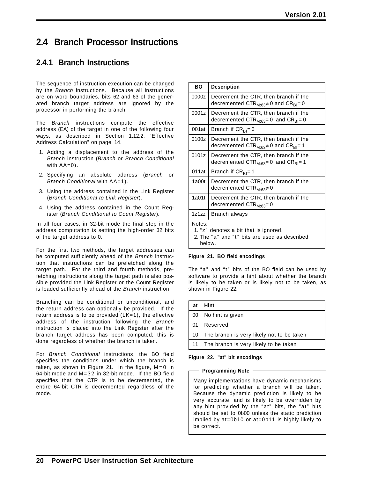## **2.4 Branch Processor Instructions**

### **2.4.1 Branch Instructions**

The sequence of instruction execution can be changed by the *Branch* instructions. Because all instructions are on word boundaries, bits 62 and 63 of the generated branch target address are ignored by the processor in performing the branch.

The *Branch* instructions compute the effective address (EA) of the target in one of the following four ways, as described in Section 1.12.2, "Effective Address Calculation" on page 14.

- 1. Adding a displacement to the address of the *Branch* instruction (*Branch* or *Branch Conditional* with  $AA=0$ ).
- 2. Specifying an absolute address (*Branch* or *Branch Conditional* with AA=1).
- 3. Using the address contained in the Link Register (*Branch Conditional to Link Register*).
- 4. Using the address contained in the Count Register (*Branch Conditional to Count Register*).

In all four cases, in 32-bit mode the final step in the address computation is setting the high-order 32 bits of the target address to 0.

For the first two methods, the target addresses can be computed sufficiently ahead of the *Branch* instruction that instructions can be prefetched along the target path. For the third and fourth methods, prefetching instructions along the target path is also possible provided the Link Register or the Count Register is loaded sufficiently ahead of the *Branch* instruction.

Branching can be conditional or unconditional, and the return address can optionally be provided. If the return address is to be provided  $(LK=1)$ , the effective address of the instruction following the *Branch* instruction is placed into the Link Register after the branch target address has been computed; this is done regardless of whether the branch is taken.

For *Branch Conditional* instructions, the BO field specifies the conditions under which the branch is taken, as shown in Figure 21. In the figure,  $M = 0$  in 64-bit mode and M=32 in 32-bit mode. If the BO field specifies that the CTR is to be decremented, the entire 64-bit CTR is decremented regardless of the mode.

| <b>BO</b>                                                                                                  | <b>Description</b>                                                                                                                   |  |  |  |
|------------------------------------------------------------------------------------------------------------|--------------------------------------------------------------------------------------------------------------------------------------|--|--|--|
| 0000z                                                                                                      | Decrement the CTR, then branch if the<br>decremented CTR <sub>M:63</sub> $\neq$ 0 and CR <sub>BI</sub> = 0                           |  |  |  |
| 0001z                                                                                                      | Decrement the CTR, then branch if the<br>decremented $CTR_{M:63}=0$ and $CR_{B1}=0$                                                  |  |  |  |
| 001at                                                                                                      | Branch if CR <sub>BI</sub> = 0                                                                                                       |  |  |  |
| 0100z                                                                                                      | Decrement the CTR, then branch if the<br>decremented $\mathrm{CTR}_{\mathrm{M} \cdot 63} \neq 0$ and $\mathrm{CR}_{\mathrm{BI}}$ = 1 |  |  |  |
| 0101z                                                                                                      | Decrement the CTR, then branch if the<br>decremented $CTR_{M:63}=0$ and $CR_{B1}=1$                                                  |  |  |  |
| 011at                                                                                                      | Branch if CR <sub>BI</sub> =1                                                                                                        |  |  |  |
| 1a00t                                                                                                      | Decrement the CTR, then branch if the<br>decremented CTR <sub>M·63</sub> ≠0                                                          |  |  |  |
| 1a01t                                                                                                      | Decrement the CTR, then branch if the<br>decremented CTR <sub>M·63</sub> = 0                                                         |  |  |  |
| 1z1zz                                                                                                      | Branch always                                                                                                                        |  |  |  |
| Notes:<br>1. "z" denotes a bit that is ignored.<br>2. The "a" and "t" bits are used as described<br>below. |                                                                                                                                      |  |  |  |

### **Figure 21. BO field encodings**

The "a" and "t" bits of the BO field can be used by software to provide a hint about whether the branch is likely to be taken or is likely not to be taken, as shown in Figure 22.

| . at | Hint                                       |
|------|--------------------------------------------|
| 00   | No hint is given                           |
| l 01 | Reserved                                   |
| l 10 | The branch is very likely not to be taken  |
|      | 11   The branch is very likely to be taken |

### **Figure 22. "at" bit encodings**

### **Programming Note**

Many implementations have dynamic mechanisms for predicting whether a branch will be taken. Because the dynamic prediction is likely to be very accurate, and is likely to be overridden by any hint provided by the "at" bits, the "at" bits should be set to 0b00 unless the static prediction implied by at=0b10 or at=0b11 is highly likely to be correct.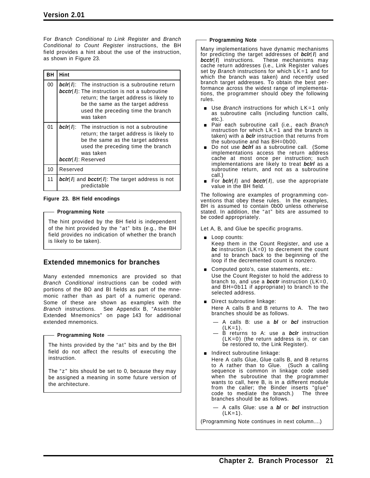For *Branch Conditional to Link Register* and *Branch Conditional to Count Register* instructions, the BH field provides a hint about the use of the instruction, as shown in Figure 23.

| BН | Hint                                                                                                                                                                                                                                                                  |  |  |  |
|----|-----------------------------------------------------------------------------------------------------------------------------------------------------------------------------------------------------------------------------------------------------------------------|--|--|--|
| 00 | <b>bclr</b> [ <i>I</i> ]: The instruction is a subroutine return<br><b>bcctr</b> [ <i>I</i> ]: The instruction is not a subroutine<br>return; the target address is likely to<br>be the same as the target address<br>used the preceding time the branch<br>was taken |  |  |  |
| 01 | <b>bcir</b> $\left  \mathbf{l} \right $ : The instruction is not a subroutine<br>return; the target address is likely to<br>be the same as the target address<br>used the preceding time the branch<br>was taken<br>bcctr[ I]: Reserved                               |  |  |  |
| 10 | Reserved                                                                                                                                                                                                                                                              |  |  |  |
| 11 | <b>bclr</b> [ <i>I</i> ] and <i>bcctr</i> [ <i>I</i> ]: The target address is not<br>predictable                                                                                                                                                                      |  |  |  |

### **Figure 23. BH field encodings**

#### **Programming Note**

The hint provided by the BH field is independent of the hint provided by the "at" bits (e.g., the BH field provides no indication of whether the branch is likely to be taken).

### **Extended mnemonics for branches**

Many extended mnemonics are provided so that *Branch Conditional* instructions can be coded with portions of the BO and BI fields as part of the mnemonic rather than as part of a numeric operand. Some of these are shown as examples with the *Branch* instructions. See Appendix B, "Assembler Extended Mnemonics" on page 143 for additional extended mnemonics.

### - Programming Note -

The hints provided by the "at" bits and by the BH field do not affect the results of executing the instruction.

The " $z$ " bits should be set to 0, because they may be assigned a meaning in some future version of the architecture.

#### **Programming Note**

Many implementations have dynamic mechanisms for predicting the target addresses of **bclr**[*l*] and **bcctr**[*l*] instructions. These mechanisms may These mechanisms may cache return addresses (i.e., Link Register values set by *Branch* instructions for which LK=1 and for which the branch was taken) and recently used branch target addresses. To obtain the best performance across the widest range of implementations, the programmer should obey the following rules.

- Use *Branch* instructions for which LK=1 only as subroutine calls (including function calls, etc.).
- [ Pair each subroutine call (i.e., each *Branch* instruction for which  $LK=1$  and the branch is taken) with a *bclr* instruction that returns from the subroutine and has BH=0b00.
- **Do not use bolied by a subroutine call.** (Some implementations access the return address cache at most once per instruction; such implementations are likely to treat *bclrl* as a subroutine return, and not as a subroutine call.)
- For *bclr*[*l*] and *bcctr*[*l*], use the appropriate value in the BH field.

The following are examples of programming conventions that obey these rules. In the examples, BH is assumed to contain 0b00 unless otherwise stated. In addition, the "at" bits are assumed to be coded appropriately.

Let A, B, and Glue be specific programs.

- **Loop counts:** Keep them in the Count Register, and use a *bc* instruction (LK=0) to decrement the count and to branch back to the beginning of the loop if the decremented count is nonzero.
- Computed goto's, case statements, etc.: Use the Count Register to hold the address to branch to, and use a *bcctr* instruction (LK=0, and BH=0b11 if appropriate) to branch to the selected address.
- **Direct subroutine linkage:** Here A calls B and B returns to A. The two branches should be as follows.
	- A calls B: use a *bl* or *bcl* instruction  $(LK=1)$ .
	- B returns to A: use a *bclr* instruction (LK=0) (the return address is in, or can be restored to, the Link Register).
- $\blacksquare$  Indirect subroutine linkage:
	- Here A calls Glue, Glue calls B, and B returns to A rather than to Glue. (Such a calling sequence is common in linkage code used when the subroutine that the programmer wants to call, here B, is in a different module from the caller; the Binder inserts "glue"<br>code to mediate the branch.) The three code to mediate the branch.) branches should be as follows.
		- A calls Glue: use a *bl* or *bcl* instruction  $(LK=1)$ .

(Programming Note continues in next column....)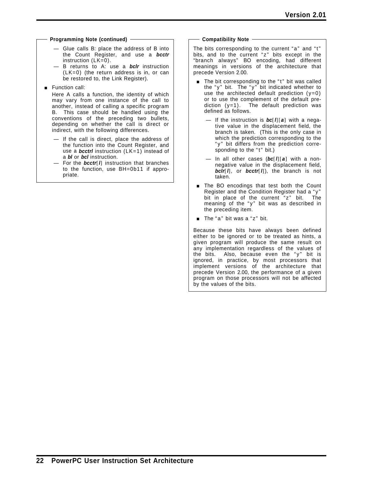#### **Programming Note (continued)**

- Glue calls B: place the address of B into the Count Register, and use a *bcctr* instruction (LK=0).
- B returns to A: use a *bclr* instruction (LK=0) (the return address is in, or can be restored to, the Link Register).
- **Function call:**

Here A calls a function, the identity of which may vary from one instance of the call to another, instead of calling a specific program B. This case should be handled using the conventions of the preceding two bullets, depending on whether the call is direct or indirect, with the following differences.

- If the call is direct, place the address of the function into the Count Register, and use a *bcctrl* instruction (LK=1) instead of a *bl* or *bcl* instruction.
- For the *bcctr*[*l*] instruction that branches to the function, use BH=0b11 if appropriate.

#### **Compatibility Note**

The bits corresponding to the current "a" and "t" bits, and to the current "z" bits except in the "branch always" BO encoding, had different meanings in versions of the architecture that precede Version 2.00.

- $\blacksquare$  The bit corresponding to the "t" bit was called the " $y$ " bit. The " $y$ " bit indicated whether to use the architected default prediction  $(y=0)$ or to use the complement of the default prediction  $(y=1)$ . The default prediction was defined as follows.
	- If the instruction is *bc*[*l*][*a*] with a negative value in the displacement field, the branch is taken. (This is the only case in which the prediction corresponding to the "y" bit differs from the prediction corresponding to the "t" bit.)
	- In all other cases (*bc*[*l*][*a*] with a nonnegative value in the displacement field, *bclr*[*l*], or *bcctr*[*l*]), the branch is not taken.
- The BO encodings that test both the Count Register and the Condition Register had a "y" bit in place of the current "z" bit. The meaning of the "y" bit was as described in the preceding item.
- $\blacksquare$  The "a" bit was a "z" bit.

Because these bits have always been defined either to be ignored or to be treated as hints, a given program will produce the same result on any implementation regardless of the values of the bits. Also, because even the "y" bit is ignored, in practice, by most processors that implement versions of the architecture that precede Version 2.00, the performance of a given program on those processors will not be affected by the values of the bits.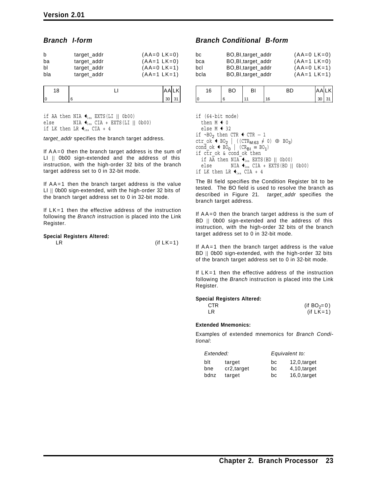### *Branch I-form*

| b   | target_addr | $(AA=0 LK=0)$ |
|-----|-------------|---------------|
| ba  | target_addr | $(AA=1 LK=0)$ |
| bl  | target_addr | $(AA=0 LK=1)$ |
| bla | target_addr | $(AA=1 LK=1)$ |

| 11 | ັ |  |
|----|---|--|

if AA then NIA  $\bigtriangleupleft_{i\text{ea}}$  EXTS(LI || 0b00) else  $NIA \bigtriangleupleft_{iea} CIA + EXTS(LI || 0b00)$ if LK then LR  $\triangleleft$ <sub>iea</sub> CIA + 4

*target\_addr* specifies the branch target address.

If AA=0 then the branch target address is the sum of LI || 0b00 sign-extended and the address of this instruction, with the high-order 32 bits of the branch target address set to 0 in 32-bit mode.

If AA=1 then the branch target address is the value LI || 0b00 sign-extended, with the high-order 32 bits of the branch target address set to 0 in 32-bit mode.

If  $LK=1$  then the effective address of the instruction following the *Branch* instruction is placed into the Link Register.

### **Special Registers Altered:**

 $LR$  (if  $LK=1$ )

### *Branch Conditional B-form*

| bc   | BO, BI, target_addr | $(AA=0 LK=0)$ |
|------|---------------------|---------------|
| bca  | BO, BI, target_addr | $(AA=1 LK=0)$ |
| bcl  | BO, Bl, target_addr | $(AA=0 LK=1)$ |
| bcla | BO, BI, target addr | $(AA=1 LK=1)$ |

| 16 | - -<br><u>ب ر</u> |    | 'A |  |
|----|-------------------|----|----|--|
| ١C |                   | 16 | 30 |  |

if (64-bit mode) then  $M \leftarrow 0$ else  $M$   $\leftarrow$  32 if ¬BO<sub>2</sub> then CTR  $\triangleleft$  CTR − 1 ctr\_ok  $\leftarrow$  BO<sub>2</sub> | ((CTR<sub>M:63</sub>  $\neq$  0)  $\oplus$  BO<sub>3</sub>) cond\_ok  $\triangle$  BO<sub>0</sub> | (CR<sub>BI</sub> = BO<sub>1</sub>) if ctr\_ok & cond\_ok then if  $A\overline{A}$  then  $NIA^-\bullet$ <sub>iea</sub> EXTS(BD || 0b00) else NIA  $\bigtriangleupleft_{iea}$  CIA + EXTS(BD || 0b00) if LK then LR  $\triangleleft$ <sub>iea</sub> CIA + 4

The BI field specifies the Condition Register bit to be tested. The BO field is used to resolve the branch as described in Figure 21. *target\_addr* specifies the branch target address.

If AA=0 then the branch target address is the sum of BD || 0b00 sign-extended and the address of this instruction, with the high-order 32 bits of the branch target address set to 0 in 32-bit mode.

If AA=1 then the branch target address is the value BD || 0b00 sign-extended, with the high-order 32 bits of the branch target address set to 0 in 32-bit mode.

If LK=1 then the effective address of the instruction following the *Branch* instruction is placed into the Link Register.

### **Special Registers Altered:**

| CTR | (if $BO_2 = 0$ ) |
|-----|------------------|
| LR  | (if $LK=1$ )     |

### **Extended Mnemonics:**

Examples of extended mnemonics for *Branch Conditional*:

| Extended: |             | Equivalent to: |                 |  |
|-----------|-------------|----------------|-----------------|--|
| blt       | target      | bc             | $12,0$ , target |  |
| bne       | cr2, target | bc             | 4,10,target     |  |
| bdnz      | target      | bc             | 16,0,target     |  |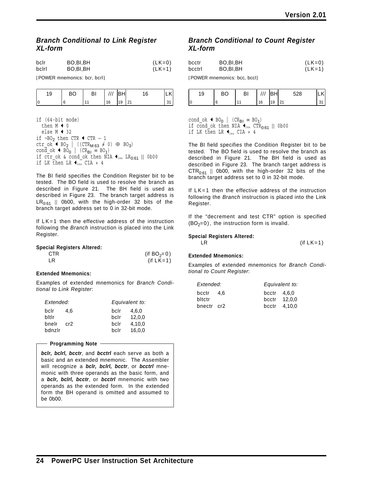### *Branch Conditional to Link Register XL-form*

| bclr  | BO.BI.BH | $(LK=0)$ |
|-------|----------|----------|
| bclrl | BO,BI,BH | $(LK=1)$ |

[POWER mnemonics: bcr, bcrl]

| 19 | BO | ΒI |    | IBHI | 16  | K    |
|----|----|----|----|------|-----|------|
|    |    |    | 16 | 19   | 121 | ັບ ເ |

```
if (64-bit mode)
    then M + 0else M \triangleleft 32
if ¬BO<sub>2</sub> then CTR \triangleleft CTR − 1
ctr_ok \leftrightarrow BO<sub>2</sub> | ((CTR<sub>M:63</sub> \neq 0) \oplus BO<sub>3</sub>)
cond_ok \triangle BO<sub>0</sub> | (CR<sub>BI</sub> \equiv BO<sub>1</sub>)
if \texttt{ctr\_ok} & \texttt{cond\_ok} then NIA \blacklozenge_{\text{lea}} LR_{0:61} || 0b00
if LK then LR \bigoplus_{i \in a} \text{CIA} + 4
```
The BI field specifies the Condition Register bit to be tested. The BO field is used to resolve the branch as described in Figure 21. The BH field is used as described in Figure 23. The branch target address is  $LR_{0:61}$  || 0b00, with the high-order 32 bits of the branch target address set to 0 in 32-bit mode.

If LK=1 then the effective address of the instruction following the *Branch* instruction is placed into the Link Register.

|  | <b>Special Registers Altered:</b> |  |
|--|-----------------------------------|--|
|--|-----------------------------------|--|

| <b>CTR</b> | (if $BO_2 = 0$ ) |
|------------|------------------|
| l R        | (if $LK=1$ )     |

### **Extended Mnemonics:**

Examples of extended mnemonics for *Branch Conditional to Link Register*:

| Extended: |     | Equivalent to: |        |  |
|-----------|-----|----------------|--------|--|
| bclr      | 4.6 | bclr           | 4.6.0  |  |
| bitir     |     | bclr           | 12.0.0 |  |
| bnelr     | cr2 | bclr           | 4.10.0 |  |
| bdnzlr    |     | bclr           | 16.0.0 |  |

### **Programming Note**

*bclr, bclrl, bcctr*, and *bcctrl* each serve as both a basic and an extended mnemonic. The Assembler will recognize a *bclr, bclrl, bcctr*, or *bcctrl* mnemonic with three operands as the basic form, and a *bclr, bclrl, bcctr*, or *bcctrl* mnemonic with two operands as the extended form. In the extended form the BH operand is omitted and assumed to be 0b00.

### *Branch Conditional to Count Register XL-form*

| bcctr   | BO, BI, BH | $(LK=0)$ |
|---------|------------|----------|
| bcctrl  | BO.BI.BH   | $(LK=1)$ |
| ------- |            |          |

[POWER mnemonics: bcc, bccl]

| 19 | ы |    | ۶H۱ | 528 |  |
|----|---|----|-----|-----|--|
| I٥ |   | 16 | 19  | 21  |  |

cond\_ok  $\triangle$  BO<sub>0</sub> | (CR<sub>BI</sub>  $\equiv$  BO<sub>1</sub>) if cond ok then NIA  $\blacktriangleleft_{i_{ea}}$  CTR<sub>0:61</sub> || 0b00 if LK then LR  $\blacklozenge_{\text{lea}}$  CIA + 4

The BI field specifies the Condition Register bit to be tested. The BO field is used to resolve the branch as described in Figure 21. The BH field is used as described in Figure 23. The branch target address is  $CTR<sub>0:61</sub>$  || 0b00, with the high-order 32 bits of the branch target address set to 0 in 32-bit mode.

If LK=1 then the effective address of the instruction following the *Branch* instruction is placed into the Link Register.

If the "decrement and test CTR" option is specified  $(BO<sub>2</sub>=0)$ , the instruction form is invalid.

### **Special Registers Altered:**

### $LR$  (if  $LK=1$ )

### **Extended Mnemonics:**

Examples of extended mnemonics for *Branch Conditional to Count Register*:

| Extended:  |      |               | Equivalent to: |
|------------|------|---------------|----------------|
| bcctr      | -4.6 | bcctr $4.6.0$ |                |
| bltctr     |      |               | bcctr 12.0.0   |
| bnectr cr2 |      |               | bcctr 4.10.0   |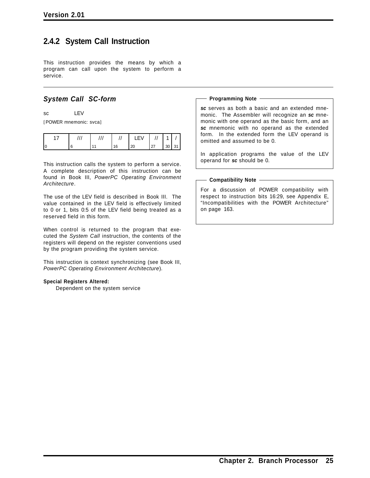### **2.4.2 System Call Instruction**

This instruction provides the means by which a program can call upon the system to perform a service.

### *System Call SC-form*

sc LEV

[POWER mnemonic: svca]

|  |  | 27<br>-- | ٩ſ<br>ັ |  |
|--|--|----------|---------|--|

This instruction calls the system to perform a service. A complete description of this instruction can be found in Book III, *PowerPC Operating Environment Architecture*.

The use of the LEV field is described in Book III. The value contained in the LEV field is effectively limited to 0 or 1, bits 0:5 of the LEV field being treated as a reserved field in this form.

When control is returned to the program that executed the *System Call* instruction, the contents of the registers will depend on the register conventions used by the program providing the system service.

This instruction is context synchronizing (see Book III, *PowerPC Operating Environment Architecture*).

### **Special Registers Altered:**

Dependent on the system service

#### **Programming Note**

*sc* serves as both a basic and an extended mnemonic. The Assembler will recognize an *sc* mnemonic with one operand as the basic form, and an *sc* mnemonic with no operand as the extended form. In the extended form the LEV operand is omitted and assumed to be 0.

In application programs the value of the LEV operand for *sc* should be 0.

#### **Compatibility Note**

For a discussion of POWER compatibility with respect to instruction bits 16:29, see Appendix E, "Incompatibilities with the POWER Architecture" on page 163.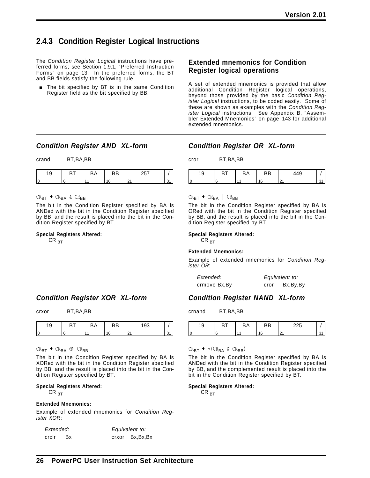### **2.4.3 Condition Register Logical Instructions**

The *Condition Register Logical* instructions have preferred forms; see Section 1.9.1, "Preferred Instruction Forms" on page 13. In the preferred forms, the BT and BB fields satisfy the following rule.

The bit specified by BT is in the same Condition Register field as the bit specified by BB.

### **Extended mnemonics for Condition Register logical operations**

A set of extended mnemonics is provided that allow additional Condition Register logical operations, beyond those provided by the basic *Condition Register Logical* instructions, to be coded easily. Some of these are shown as examples with the *Condition Register Logical* instructions. See Appendix B, "Assembler Extended Mnemonics" on page 143 for additional extended mnemonics.

### *Condition Register AND XL-form*

crand BT,BA,BB

 $CR_{BT}$  +  $CR_{BA}$  &  $CR_{BB}$ 

The bit in the Condition Register specified by BA is ANDed with the bit in the Condition Register specified by BB, and the result is placed into the bit in the Condition Register specified by BT.

### **Special Registers Altered:**

 $CR_{\rm RT}$ 

### *Condition Register XOR XL-form*

crxor BT,BA,BB

|  | . |
|--|---|
|  |   |
|  |   |

|  | - - | - | ~~ |  |
|--|-----|---|----|--|
|  |     |   |    |  |

 $CR_{BT}$  +  $CR_{BA}$  ⊕  $CR_{BB}$ 

The bit in the Condition Register specified by BA is XORed with the bit in the Condition Register specified by BB, and the result is placed into the bit in the Condition Register specified by BT.

### **Special Registers Altered:**

 $CR_{\rm BT}$ 

#### **Extended Mnemonics:**

Example of extended mnemonics for *Condition Register XOR*:

*Extended: Equivalent to:* crclr Bx crxor Bx,Bx,Bx

### *Condition Register OR XL-form*

cror BT,BA,BB

| ч<br>◡ | BА | ВB | $\Lambda$ $\cap$ |  |
|--------|----|----|------------------|--|
|        |    |    | $\sim$           |  |

### $CR_{\mathbf{BT}}$  +  $CR_{\mathbf{BA}}$  |  $CR_{\mathbf{BB}}$

The bit in the Condition Register specified by BA is ORed with the bit in the Condition Register specified by BB, and the result is placed into the bit in the Condition Register specified by BT.

#### **Special Registers Altered:**

 $CR_{\rm BT}$ 

#### **Extended Mnemonics:**

Example of extended mnemonics for *Condition Register OR*:

| Extended:     |      | Equivalent to: |
|---------------|------|----------------|
| crmove Bx, By | cror | Bx, By, By     |

### *Condition Register NAND XL-form*

crnand BT,BA,BB

| ັ      | <b></b> | ້ |  |
|--------|---------|---|--|
| ⌒<br>U |         |   |  |

 $CR_{\text{BT}}$   $\leftarrow$   $\neg$   $(CR_{\text{BA}} \& CR_{\text{BB}})$ 

The bit in the Condition Register specified by BA is ANDed with the bit in the Condition Register specified by BB, and the complemented result is placed into the bit in the Condition Register specified by BT.

#### **Special Registers Altered:**

 $CR_{\overline{BT}}$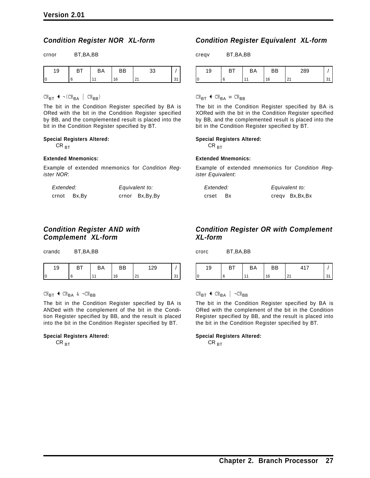### *Condition Register NOR XL-form*

| crnor | BT, BA, BB |
|-------|------------|
|       |            |

| $\sqrt{2}$<br>◡ | - - | BА | ۵B |  |
|-----------------|-----|----|----|--|
|                 |     |    |    |  |

 $CR_{\text{BT}} \leftarrow \neg (CR_{\text{BA}} \mid CR_{\text{BB}})$ 

The bit in the Condition Register specified by BA is ORed with the bit in the Condition Register specified by BB, and the complemented result is placed into the bit in the Condition Register specified by BT.

#### **Special Registers Altered:**

 $CR_{\text{BT}}$ 

#### **Extended Mnemonics:**

Example of extended mnemonics for *Condition Register NOR*:

| Extended: |       | Equivalent to: |                |
|-----------|-------|----------------|----------------|
| crnot     | Bx,By |                | crnor Bx,By,By |

### *Condition Register AND with Complement XL-form*

crandc BT,BA,BB

|  | - 1 | -≍ |  |
|--|-----|----|--|
|  |     | -  |  |

 $CR_{BT}$  +  $CR_{BA}$  &  $\neg CR_{BB}$ 

The bit in the Condition Register specified by BA is ANDed with the complement of the bit in the Condition Register specified by BB, and the result is placed into the bit in the Condition Register specified by BT.

#### **Special Registers Altered:**

 $CR_{\rm BT}$ 

# *Condition Register Equivalent XL-form*

creqv BT,BA,BB

| ◡ | - - | BА | ם<br>-- | $\sim$ $\sim$ $\sim$ |  |
|---|-----|----|---------|----------------------|--|
|   |     |    | F       |                      |  |

 $CR_{\text{BT}}$  +  $CR_{\text{BA}}$  =  $CR_{\text{BB}}$ 

The bit in the Condition Register specified by BA is XORed with the bit in the Condition Register specified by BB, and the complemented result is placed into the bit in the Condition Register specified by BT.

#### **Special Registers Altered:**

 $CR_{\rm BT}$ 

#### **Extended Mnemonics:**

Example of extended mnemonics for *Condition Register Equivalent*:

| Extended: |      | Equivalent to:   |  |  |
|-----------|------|------------------|--|--|
| crset     | - Bx | creqv Bx, Bx, Bx |  |  |

### *Condition Register OR with Complement XL-form*

crorc BT,BA,BB



### $CR_{BT}$   $\leftarrow$   $CR_{BA}$  |  $\neg CR_{BB}$

The bit in the Condition Register specified by BA is ORed with the complement of the bit in the Condition Register specified by BB, and the result is placed into the bit in the Condition Register specified by BT.

#### **Special Registers Altered:**

 $CR_{\rm BT}$ 

| tion Register AND witl |  |
|------------------------|--|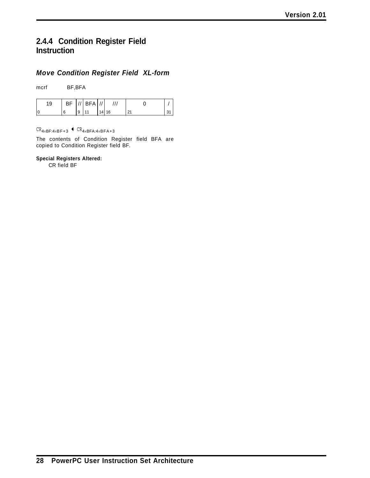# **2.4.4 Condition Register Field Instruction**

### *Move Condition Register Field XL-form*

mcrf BF,BFA

| 19 | ΒF | $\cdot$ | <b>BFA</b> | $\cdot$ $\cdot$ |    |                      |               |
|----|----|---------|------------|-----------------|----|----------------------|---------------|
|    | 6  | 9       |            | 14<br>т,        | 16 | $\mathcal{L}$<br>. I | $\sim$<br>ູບ. |

 $CR_{4\times BF:4\times BF+3}$  +  $CR_{4\times BFA:4\times BFA+3}$ 

The contents of Condition Register field BFA are copied to Condition Register field BF.

### **Special Registers Altered:**

CR field BF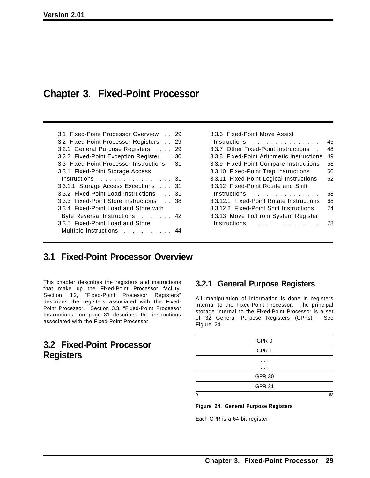# **Chapter 3. Fixed-Point Processor**

| 3.1 Fixed-Point Processor Overview 29  |    |
|----------------------------------------|----|
| 3.2 Fixed-Point Processor Registers    | 29 |
| 3.2.1 General Purpose Registers        | 29 |
| 3.2.2 Fixed-Point Exception Register . | 30 |
| 3.3 Fixed-Point Processor Instructions | 31 |
| 3.3.1 Fixed-Point Storage Access       |    |
| Instructions                           | 31 |
| 3.3.1.1 Storage Access Exceptions 31   |    |
| 3.3.2 Fixed-Point Load Instructions 31 |    |
| 3.3.3 Fixed-Point Store Instructions   | 38 |
| 3.3.4 Fixed-Point Load and Store with  |    |
| Byte Reversal Instructions 42          |    |
| 3.3.5 Fixed-Point Load and Store       |    |
| Multiple Instructions                  |    |

| 3.3.6 Fixed-Point Move Assist             |    |
|-------------------------------------------|----|
| $Instructions$ ,                          | 45 |
| 3.3.7 Other Fixed-Point Instructions      | 48 |
| 3.3.8 Fixed-Point Arithmetic Instructions | 49 |
| 3.3.9 Fixed-Point Compare Instructions    | 58 |
| 3.3.10 Fixed-Point Trap Instructions      | 60 |
| 3.3.11 Fixed-Point Logical Instructions   | 62 |
| 3.3.12 Fixed-Point Rotate and Shift       |    |
| Instructions                              | 68 |
| 3.3.12.1 Fixed-Point Rotate Instructions  | 68 |
| 3.3.12.2 Fixed-Point Shift Instructions   | 74 |
| 3.3.13 Move To/From System Register       |    |
| Instructions                              |    |
|                                           |    |

# **3.1 Fixed-Point Processor Overview**

This chapter describes the registers and instructions that make up the Fixed-Point Processor facility. Section 3.2, "Fixed-Point Processor Registers" describes the registers associated with the Fixed-Point Processor. Section 3.3, "Fixed-Point Processor Instructions" on page 31 describes the instructions associated with the Fixed-Point Processor.

# **3.2 Fixed-Point Processor Registers**

## **3.2.1 General Purpose Registers**

All manipulation of information is done in registers internal to the Fixed-Point Processor. The principal storage internal to the Fixed-Point Processor is a set of 32 General Purpose Registers (GPRs). See Figure 24.

| GPR 0         |    |
|---------------|----|
| GPR 1         |    |
| .             |    |
| ٠<br>. .      |    |
| <b>GPR 30</b> |    |
| <b>GPR 31</b> |    |
| 0             | 63 |

**Figure 24. General Purpose Registers**

Each GPR is a 64-bit register.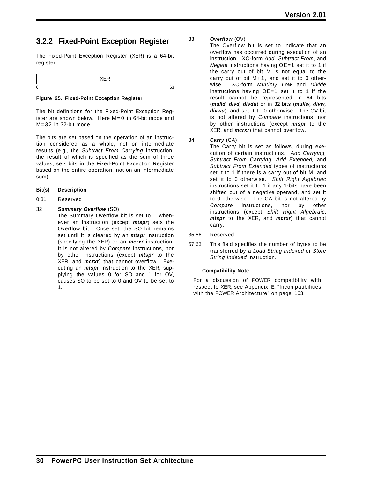# **3.2.2 Fixed-Point Exception Register**

The Fixed-Point Exception Register (XER) is a 64-bit register.

#### **Figure 25. Fixed-Point Exception Register**

The bit definitions for the Fixed-Point Exception Register are shown below. Here  $M = 0$  in 64-bit mode and  $M = 32$  in 32-bit mode.

The bits are set based on the operation of an instruction considered as a whole, not on intermediate results (e.g., the *Subtract From Carrying* instruction, the result of which is specified as the sum of three values, sets bits in the Fixed-Point Exception Register based on the entire operation, not on an intermediate sum).

- **Bit(s) Description**
- 0:31 Reserved

### 32 *Summary Overflow* (SO)

The Summary Overflow bit is set to 1 whenever an instruction (except *mtspr*) sets the Overflow bit. Once set, the SO bit remains set until it is cleared by an *mtspr* instruction (specifying the XER) or an *mcrxr* instruction. It is not altered by *Compare* instructions, nor by other instructions (except *mtspr* to the XER, and *mcrxr*) that cannot overflow. Executing an *mtspr* instruction to the XER, supplying the values 0 for SO and 1 for OV, causes SO to be set to 0 and OV to be set to 1.

#### 33 *Overflow* (OV)

The Overflow bit is set to indicate that an overflow has occurred during execution of an instruction. XO-form *Add, Subtract From*, and *Negate* instructions having OE=1 set it to 1 if the carry out of bit M is not equal to the carry out of bit M+1, and set it to 0 otherwise. XO-form *Multiply Low* and *Divide* instructions having OE=1 set it to 1 if the result cannot be represented in 64 bits (*mulld, divd, divdu*) or in 32 bits (*mullw, divw, divwu*), and set it to 0 otherwise. The OV bit is not altered by *Compare* instructions, nor by other instructions (except *mtspr* to the XER, and *mcrxr*) that cannot overflow.

#### 34 *Carry* (CA)

The Carry bit is set as follows, during execution of certain instructions. *Add Carrying, Subtract From Carrying, Add Extended,* and *Subtract From Extended* types of instructions set it to 1 if there is a carry out of bit M, and set it to 0 otherwise. *Shift Right Algebraic* instructions set it to 1 if any 1-bits have been shifted out of a negative operand, and set it to 0 otherwise. The CA bit is not altered by *Compare* instructions, nor by other instructions (except *Shift Right Algebraic*, *mtspr* to the XER, and *mcrxr*) that cannot carry.

- 35:56 Reserved
- 57:63 This field specifies the number of bytes to be transferred by a *Load String Indexed* or *Store String Indexed* instruction.

**Compatibility Note**

For a discussion of POWER compatibility with respect to XER, see Appendix E, "Incompatibilities with the POWER Architecture" on page 163.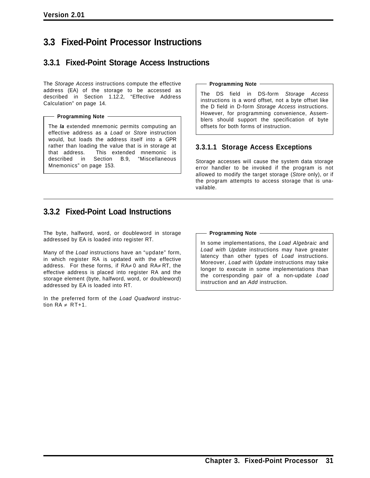# **3.3 Fixed-Point Processor Instructions**

# **3.3.1 Fixed-Point Storage Access Instructions**

The *Storage Access* instructions compute the effective address (EA) of the storage to be accessed as described in Section 1.12.2, "Effective Address Calculation" on page 14.

#### **Programming Note**

The *la* extended mnemonic permits computing an effective address as a *Load* or *Store* instruction would, but loads the address itself into a GPR rather than loading the value that is in storage at that address. This extended mnemonic is described in Section B.9, "Miscellaneous Mnemonics" on page 153.

#### **Programming Note**

The DS field in DS-form *Storage Access* instructions is a word offset, not a byte offset like the D field in D-form *Storage Access* instructions. However, for programming convenience, Assemblers should support the specification of byte offsets for both forms of instruction.

### **3.3.1.1 Storage Access Exceptions**

Storage accesses will cause the system data storage error handler to be invoked if the program is not allowed to modify the target storage (*Store* only), or if the program attempts to access storage that is unavailable.

# **3.3.2 Fixed-Point Load Instructions**

The byte, halfword, word, or doubleword in storage addressed by EA is loaded into register RT.

Many of the *Load* instructions have an "update" form, in which register RA is updated with the effective address. For these forms, if RA≠ 0 and RA≠ RT, the effective address is placed into register RA and the storage element (byte, halfword, word, or doubleword) addressed by EA is loaded into RT.

In the preferred form of the *Load Quadword* instruction  $RA \neq RT+1$ .

#### **Programming Note**

In some implementations, the *Load Algebraic* and *Load with Update* instructions may have greater latency than other types of *Load* instructions. Moreover, *Load with Update* instructions may take longer to execute in some implementations than the corresponding pair of a non-update *Load* instruction and an *Add* instruction.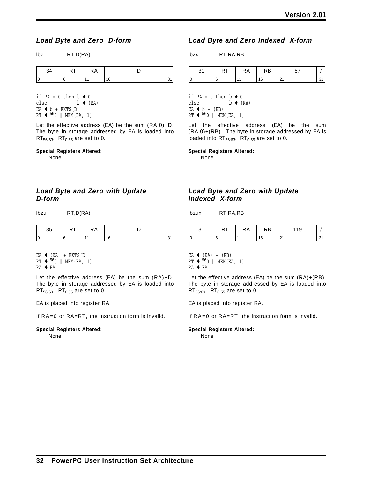### *Load Byte and Zero D-form*

lbz RT,D(RA)

| . | ĸА |    |  |
|---|----|----|--|
|   |    | ۹0 |  |

if RA = 0 then  $b \triangleleft 0$ else  $b \leftarrow (RA)$  $EA + b + EXTS(D)$  $RT$   $\leftarrow$  <sup>56</sup>0 || MEM(EA, 1)

Let the effective address (EA) be the sum (RA|0)+D. The byte in storage addressed by EA is loaded into  $RT_{56:63}$ .  $RT_{0:55}$  are set to 0.

#### **Special Registers Altered:**

None

### *Load Byte and Zero with Update D-form*

lbzu RT,D(RA)

|    | . | ĸА |   |  |
|----|---|----|---|--|
| 11 |   |    | c |  |

EA  $\leftarrow$  (RA) + EXTS(D)  $RT$   $\leftarrow$  <sup>56</sup>0 || MEM(EA, 1)  $RA + EA$ 

Let the effective address (EA) be the sum (RA)+D. The byte in storage addressed by EA is loaded into  $RT_{56:63}$ . RT<sub>0:55</sub> are set to 0.

EA is placed into register RA.

If RA=0 or RA=RT, the instruction form is invalid.

# **Special Registers Altered:**

None

### *Load Byte and Zero Indexed X-form*

lbzx RT,RA,RB

|     | . | ĸА | R<br>טח |     |  |
|-----|---|----|---------|-----|--|
| l ( |   |    |         | 2 I |  |

if RA = 0 then  $b \triangleleft 0$ else  $b \leftarrow (RA)$  $EA + b + (RB)$  $RT$   $\leftarrow$  560 || MEM(EA, 1)

Let the effective address (EA) be the sum (RA|0)+(RB). The byte in storage addressed by EA is loaded into  $RT_{56:63}$ .  $RT_{0:55}$  are set to 0.

**Special Registers Altered:**

None

### *Load Byte and Zero with Update Indexed X-form*

lbzux RT,RA,RB

| $\sim$<br>ا ت | n i | RA             | RB | 119           |  |
|---------------|-----|----------------|----|---------------|--|
|               |     | $\overline{A}$ | 16 | $\Omega$<br>ᅀ |  |

EA  $\leftarrow$  (RA) + (RB)

 $RT$   $\leftarrow$  <sup>56</sup>0 || MEM(EA, 1)

 $RA + EA$ 

Let the effective address (EA) be the sum (RA)+(RB). The byte in storage addressed by EA is loaded into  $RT_{56:63}$ . RT<sub>0:55</sub> are set to 0.

EA is placed into register RA.

If RA=0 or RA=RT, the instruction form is invalid.

**Special Registers Altered:**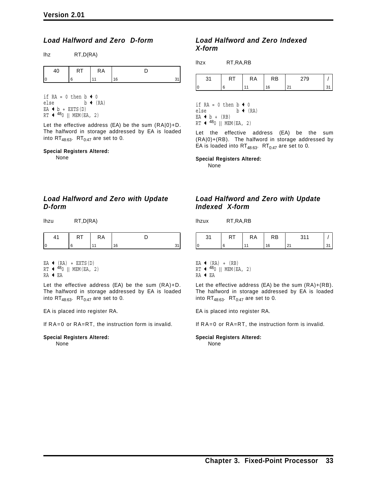### *Load Halfword and Zero D-form*

| lhz | RT, D(RA) |
|-----|-----------|
|     |           |

| . . | КA |  |
|-----|----|--|
|     |    |  |

if RA = 0 then  $b \triangleleft 0$ else  $b \leftarrow (RA)$  $EA + b + EXTS(D)$  $RT$   $\leftarrow$  <sup>48</sup>0 || MEM(EA, 2)

Let the effective address (EA) be the sum (RA|0)+D. The halfword in storage addressed by EA is loaded into  $RT_{48:63}$ .  $RT_{0:47}$  are set to 0.

#### **Special Registers Altered:**

None

### *Load Halfword and Zero with Update D-form*

| lhzu | RT, D(RA) |
|------|-----------|
|      |           |

|  | ĸА |  |
|--|----|--|
|  |    |  |

 $EA$   $\left( RA\right)$  + EXTS(D)  $RT$   $\leftarrow$  <sup>48</sup>0 || MEM(EA, 2)

 $RA$   $\leftarrow$  EA

Let the effective address (EA) be the sum (RA)+D. The halfword in storage addressed by EA is loaded into  $RT_{48:63}$ .  $RT_{0:47}$  are set to 0.

EA is placed into register RA.

If RA=0 or RA=RT, the instruction form is invalid.

#### **Special Registers Altered:**

None

### *Load Halfword and Zero Indexed X-form*

lhzx RT,RA,RB

|  | κA | √.B | ن ا ـَـ |  |
|--|----|-----|---------|--|
|  |    | ۱۵  |         |  |

if RA = 0 then  $b \leftarrow 0$ else  $b \leftarrow (RA)$  $EA + b + (RB)$  $RT$   $\leftarrow$  <sup>48</sup>0 || MEM(EA, 2)

Let the effective address (EA) be the sum (RA|0)+(RB). The halfword in storage addressed by EA is loaded into  $RT_{48:63}$ .  $RT_{0:47}$  are set to 0.

**Special Registers Altered:**

None

### *Load Halfword and Zero with Update Indexed X-form*

lhzux RT,RA,RB

|     | 1 N I | ĸА | √. B | . |  |
|-----|-------|----|------|---|--|
| l C |       |    | 16   | ້ |  |

 $EA$   $\left( RA\right)$  +  $(RB)$ 

RT 
$$
\leftarrow
$$
 <sup>48</sup>0 || MEM (EA, 2)

 $RA \leftarrow EA$ 

Let the effective address (EA) be the sum (RA)+(RB). The halfword in storage addressed by EA is loaded into  $RT_{48:63}$ .  $RT_{0:47}$  are set to 0.

EA is placed into register RA.

If RA=0 or RA=RT, the instruction form is invalid.

## **Special Registers Altered:**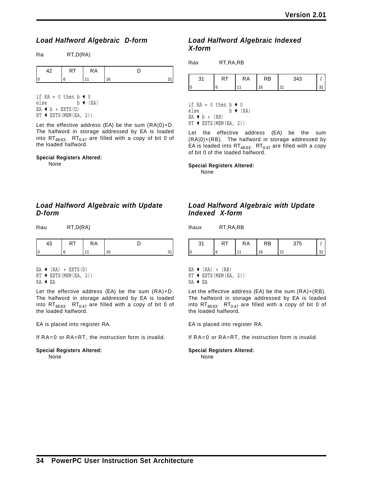### *Load Halfword Algebraic D-form*

lha RT,D(RA)

| ◠ | КA |        |  |
|---|----|--------|--|
|   |    | $\sim$ |  |

if RA = 0 then  $b \triangleleft 0$ else  $b \leftarrow (RA)$  $EA + b + EXTS(D)$  $RT$   $\leftarrow$  EXTS(MEM(EA, 2))

Let the effective address (EA) be the sum (RA|0)+D. The halfword in storage addressed by EA is loaded into  $RT_{48:63}$ .  $RT_{0:47}$  are filled with a copy of bit 0 of the loaded halfword.

#### **Special Registers Altered:**

None

### *Load Halfword Algebraic with Update D-form*

lhau RT,D(RA)

|  | ĸд |  |
|--|----|--|
|  |    |  |

EA  $\triangleleft$  (RA) + EXTS(D)

```
RT \leftarrow EXTS(MEM(EA, 2))
```

```
RA + EA
```
Let the effective address (EA) be the sum (RA)+D. The halfword in storage addressed by EA is loaded into RT<sub>48:63</sub>. RT<sub>0:47</sub> are filled with a copy of bit 0 of the loaded halfword.

EA is placed into register RA.

If RA=0 or RA=RT, the instruction form is invalid.

# **Special Registers Altered:**

None

### *Load Halfword Algebraic Indexed X-form*

| lhax<br>RT, RA, RB |
|--------------------|
|--------------------|

| . . | КA | ⊀B⊹ | $\Lambda$<br>∸∿ |  |
|-----|----|-----|-----------------|--|
|     |    |     |                 |  |

if RA = 0 then  $b \triangleleft 0$ else  $b \leftarrow (RA)$  $EA + b + (RB)$  $RT$   $\leftarrow$  EXTS(MEM(EA, 2))

Let the effective address (EA) be the sum (RA|0)+(RB). The halfword in storage addressed by EA is loaded into  $RT_{48:63}$ .  $RT_{0:47}$  are filled with a copy of bit 0 of the loaded halfword.

#### **Special Registers Altered:**

None

### *Load Halfword Algebraic with Update Indexed X-form*

lhaux RT,RA,RB

|  | КA | КB         | $- -$<br>ັ |  |
|--|----|------------|------------|--|
|  |    | $\epsilon$ |            |  |

 $EA$  (RA) + (RB)

 $RT$   $\leftarrow$  EXTS(MEM(EA, 2))

$$
\mathsf{RA} \triangleleft \mathsf{EA}
$$

Let the effective address (EA) be the sum (RA)+(RB). The halfword in storage addressed by EA is loaded into  $RT_{48:63}$ .  $RT_{0:47}$  are filled with a copy of bit 0 of the loaded halfword.

EA is placed into register RA.

If RA=0 or RA=RT, the instruction form is invalid.

#### **Special Registers Altered:**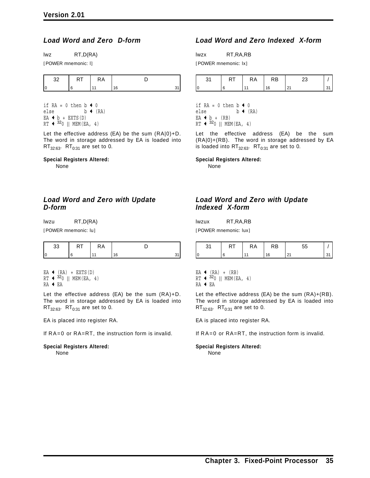### *Load Word and Zero D-form*

lwz RT,D(RA)

[POWER mnemonic: l]

|  | ĸА |  |
|--|----|--|
|  |    |  |

if  $RA = 0$  then  $b \leftarrow 0$ <br>else  $b \leftarrow 0$  $b \leftarrow (RA)$  $EA + b + EXTS(D)$  $RT \leftarrow 320 \mid\mid \text{ MEM (EA, 4)}$ 

Let the effective address (EA) be the sum (RA|0)+D. The word in storage addressed by EA is loaded into  $RT_{32:63}$ .  $RT_{0:31}$  are set to 0.

#### **Special Registers Altered:**

None

### *Load Word and Zero with Update D-form*

lwzu RT,D(RA)

[POWER mnemonic: lu]

| . | . | ĸА |        |  |
|---|---|----|--------|--|
|   |   |    | $\sim$ |  |

 $EA$  (RA) + EXTS(D)  $RT$   $\leftarrow$  320 || MEM(EA, 4) RA ← EA

Let the effective address (EA) be the sum (RA)+D. The word in storage addressed by EA is loaded into  $RT_{32:63}$ .  $RT_{0:31}$  are set to 0.

EA is placed into register RA.

If RA=0 or RA=RT, the instruction form is invalid.

# **Special Registers Altered:**

None

### *Load Word and Zero Indexed X-form*

lwzx RT,RA,RB

[POWER mnemonic: lx]

| . | <b>RA</b> | RΒ |  |
|---|-----------|----|--|
|   |           |    |  |

if RA = 0 then  $b \triangleleft 0$ else  $b \leftarrow (RA)$  $EA + b + (RB)$ RT  $\leftarrow$  320 || MEM(EA, 4)

Let the effective address (EA) be the sum (RA|0)+(RB). The word in storage addressed by EA is loaded into  $RT_{32:63}$ .  $RT_{0:31}$  are set to 0.

**Special Registers Altered:**

None

### *Load Word and Zero with Update Indexed X-form*

lwzux RT,RA,RB

[POWER mnemonic: lux]

| ົາ 1<br>ا ب | 1 V I | RA | RB | --               |  |
|-------------|-------|----|----|------------------|--|
|             |       |    | 16 | n,<br><u> 41</u> |  |

 $EA$   $\left( RA\right)$  +  $(RB)$  $RT$   $\leftarrow$  320 || MEM(EA, 4)

 $RA$   $\leftarrow$  EA

Let the effective address (EA) be the sum (RA)+(RB). The word in storage addressed by EA is loaded into  $RT_{32:63}$ .  $RT_{0:31}$  are set to 0.

EA is placed into register RA.

If RA=0 or RA=RT, the instruction form is invalid.

#### **Special Registers Altered:** None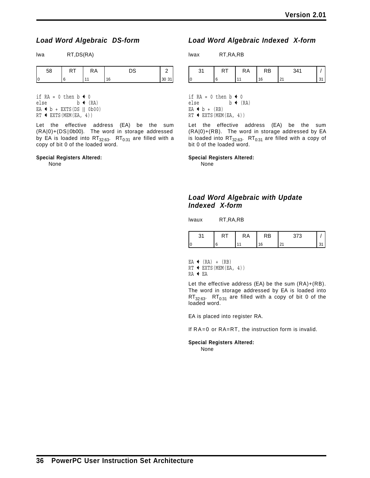### *Load Word Algebraic DS-form*

lwa RT,DS(RA)

| RT,DS(R/ |
|----------|
|----------|

| 58 | $\cdot$ . | ĸА | nn. | _   |
|----|-----------|----|-----|-----|
|    |           |    | 16  | ົບປ |

if  $RA = 0$  then  $b \leftarrow 0$ else  $b \leftarrow (RA)$ EA  $\triangleleft$  b + EXTS(DS || 0b00)  $RT$   $\leftarrow$  EXTS(MEM(EA, 4))

Let the effective address (EA) be the sum (RA|0)+(DS||0b00). The word in storage addressed by EA is loaded into  $RT_{32:63}$ .  $RT_{0:31}$  are filled with a copy of bit 0 of the loaded word.

#### **Special Registers Altered:**

None

### *Load Word Algebraic Indexed X-form*

lwax RT,RA,RB

| . | КA | .⊀B | 0.11 |  |
|---|----|-----|------|--|
|   |    | 16  | 2 I  |  |

if  $RA = 0$  then  $b \leftarrow 0$ else  $b \leftarrow (RA)$  $EA + b + (RB)$  $RT$   $\leftarrow$  EXTS(MEM(EA, 4))

Let the effective address (EA) be the sum (RA|0)+(RB). The word in storage addressed by EA is loaded into  $RT_{32:63}$ .  $RT_{0:31}$  are filled with a copy of bit 0 of the loaded word.

**Special Registers Altered:**

None

### *Load Word Algebraic with Update Indexed X-form*

lwaux RT,RA,RB

|  | ĸА | RB | $\sim$ $\sim$ $\sim$ |  |
|--|----|----|----------------------|--|
|  |    | 16 | .                    |  |

 $EA$  (RA) + (RB)  $RT$   $\leftarrow$  EXTS(MEM(EA, 4))

 $RA + EA$ 

Let the effective address (EA) be the sum (RA)+(RB). The word in storage addressed by EA is loaded into  $RT_{32:63}$ .  $RT_{0:31}$  are filled with a copy of bit 0 of the loaded word.

EA is placed into register RA.

If RA=0 or RA=RT, the instruction form is invalid.

#### **Special Registers Altered:**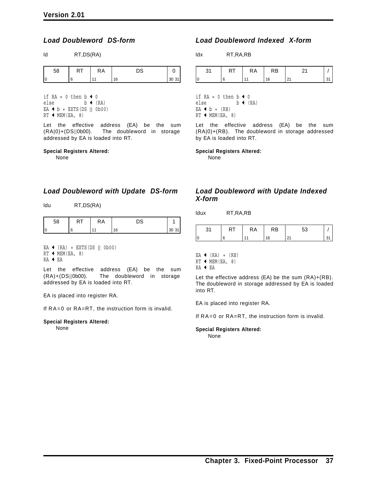### *Load Doubleword DS-form*

ld RT,DS(RA)

| 58 | . | <b>RA</b> | n o |                     |
|----|---|-----------|-----|---------------------|
|    |   |           | 16  | $^{\prime}$ 30<br>ັ |

if  $RA = 0$  then  $b \leftarrow 0$ else  $b \leftarrow (RA)$ EA  $\triangleleft$  b + EXTS(DS || 0b00)  $RT$   $\leftarrow$  MEM(EA, 8)

Let the effective address (EA) be the sum (RA|0)+(DS||0b00). The doubleword in storage addressed by EA is loaded into RT.

#### **Special Registers Altered:**

None

*Load Doubleword with Update DS-form*

ldu RT,DS(RA)

| . | ٢A |   |  |
|---|----|---|--|
|   |    | c |  |

- $EA$  (RA) + EXTS(DS || 0b00)
- $RT$   $\leftarrow$  MEM(EA, 8)
- RA + EA

Let the effective address (EA) be the sum (RA)+(DS||0b00). The doubleword in storage addressed by EA is loaded into RT.

EA is placed into register RA.

If RA=0 or RA=RT, the instruction form is invalid.

**Special Registers Altered:**

#### None

### *Load Doubleword Indexed X-form*

ldx RT,RA,RB

| . . | <b>RA</b> | ١R<br>nυ |     |  |
|-----|-----------|----------|-----|--|
|     |           | 6        | 2 I |  |

if  $RA = 0$  then  $b \triangleleft 0$ else  $b \leftarrow (RA)$  $EA + b + (RB)$  $RT$   $\leftarrow$  MEM(EA, 8)

Let the effective address (EA) be the sum (RA|0)+(RB). The doubleword in storage addressed by EA is loaded into RT.

**Special Registers Altered:**

None

### *Load Doubleword with Update Indexed X-form*

ldux RT,RA,RB

| n,<br>ູບ. | n i | RA | RB | r o |  |
|-----------|-----|----|----|-----|--|
|           |     |    |    |     |  |

 $EA$  (RA) + (RB)

- $RT$   $\leftarrow$  MEM(EA, 8)
- $RA + EA$

Let the effective address (EA) be the sum (RA)+(RB). The doubleword in storage addressed by EA is loaded into RT.

EA is placed into register RA.

If RA=0 or RA=RT, the instruction form is invalid.

**Special Registers Altered:** None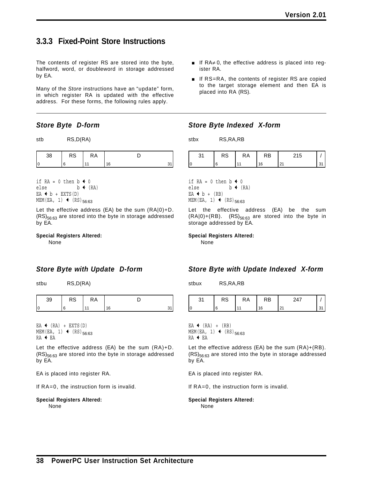# **3.3.3 Fixed-Point Store Instructions**

The contents of register RS are stored into the byte, halfword, word, or doubleword in storage addressed by EA.

Many of the *Store* instructions have an "update" form, in which register RA is updated with the effective address. For these forms, the following rules apply.

### *Store Byte D-form*

| RS,D(RA)<br>stb |
|-----------------|
|                 |

| ာဝ | <b>RS</b> | <b>RA</b> |   |  |
|----|-----------|-----------|---|--|
|    |           |           | ĥ |  |

if RA = 0 then  $b \triangleleft 0$ else  $b \leftarrow (RA)$  $EA + b + EXTS(D)$ MEM(EA, 1)  $\leftarrow$  (RS)<sub>56:63</sub>

Let the effective address (EA) be the sum (RA|0)+D.  $(RS)_{56:63}$  are stored into the byte in storage addressed by EA.

#### **Special Registers Altered:**

None

### *Store Byte with Update D-form*

stbu RS,D(RA)

|  | `` |  |
|--|----|--|
|  |    |  |

EA  $\leftarrow$  (RA) + EXTS(D) MEM(EA, 1)  $\leftarrow$  (RS)<sub>56:63</sub> RA + EA

Let the effective address (EA) be the sum (RA)+D.  $(RS)_{56:63}$  are stored into the byte in storage addressed by EA.

EA is placed into register RA.

If RA=0, the instruction form is invalid.

#### **Special Registers Altered:**

None

- $\blacksquare$  If RA $\neq$  0, the effective address is placed into register RA.
- **If RS=RA, the contents of register RS are copied** to the target storage element and then EA is placed into RA (RS).

### *Store Byte Indexed X-form*

stbx RS,RA,RB

| $\sim$<br>ن ۱ | R٨ | ∢B. | ∪ו |  |
|---------------|----|-----|----|--|
|               |    | 6   |    |  |

if  $RA = 0$  then  $b \leftarrow 0$ else  $b \leftarrow (RA)$  $EA + b + (RB)$ MEM(EA, 1)  $\leftarrow$  (RS)<sub>56:63</sub>

Let the effective address (EA) be the sum  $(RA|0)+(RB)$ .  $(RS)_{56:63}$  are stored into the byte in storage addressed by EA.

#### **Special Registers Altered:**

None

### *Store Byte with Update Indexed X-form*

stbux RS,RA,RB

| $\sim$<br>כ ה | ĸА | D<br>- دا ک | $\overline{\phantom{a}}$ |  |
|---------------|----|-------------|--------------------------|--|
|               |    | ៲ឝ          | $\sim$                   |  |

EA  $\leftarrow$  (RA) + (RB) MEM(EA, 1)  $\leftarrow$  (RS)<sub>56:63</sub> RA + EA

Let the effective address (EA) be the sum (RA)+(RB).  $(RS)_{56:63}$  are stored into the byte in storage addressed by EA.

EA is placed into register RA.

If RA=0, the instruction form is invalid.

#### **Special Registers Altered:**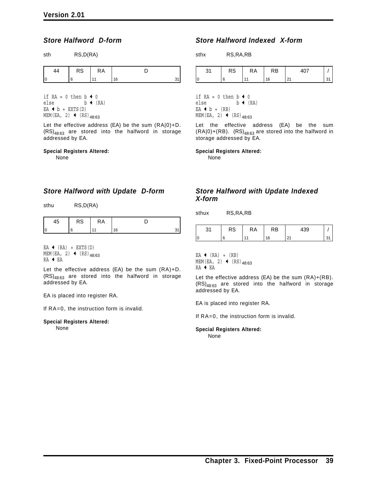sth RS,D(RA)

### *Store Halfword D-form*

| 44 | <b>RS</b> | <b>RA</b> |    |  |
|----|-----------|-----------|----|--|
|    |           |           | 16 |  |

if  $RA = 0$  then  $b \leftarrow 0$ else  $b \leftarrow (RA)$  $EA + b + EXTS(D)$ MEM(EA, 2)  $\leftarrow$  (RS)<sub>48:63</sub>

Let the effective address (EA) be the sum (RA|0)+D.  $(RS)_{48:63}$  are stored into the halfword in storage addressed by EA.

#### **Special Registers Altered:**

None

### *Store Halfword with Update D-form*

sthu RS,D(RA)

|  | .,<br>$\sqrt{2}$ |  |
|--|------------------|--|
|  |                  |  |

EA  $\leftarrow$  (RA) + EXTS(D)  $MEM(EA, 2)$  (RS)<sub>48:63</sub> RA + EA

Let the effective address (EA) be the sum (RA)+D.  $(RS)_{48:63}$  are stored into the halfword in storage addressed by EA.

EA is placed into register RA.

If RA=0, the instruction form is invalid.

**Special Registers Altered:** None

### *Store Halfword Indexed X-form*

sthx RS,RA,RB

|     | כא | КA | RB |  |
|-----|----|----|----|--|
| l O |    |    |    |  |

if  $RA = 0$  then  $b \leftarrow 0$ else  $b \leftarrow (RA)$  $EA + b + (RB)$ MEM(EA, 2)  $\leftarrow$  (RS)<sub>48:63</sub>

Let the effective address (EA) be the sum  $(RA|0)+(RB)$ .  $(RS)_{48:63}$  are stored into the halfword in storage addressed by EA.

**Special Registers Altered:**

None

### *Store Halfword with Update Indexed X-form*

sthux RS,RA,RB

| $\sim$<br>ا ت | RS | RA | RB | 439 |  |
|---------------|----|----|----|-----|--|
| l0            | ค  |    | 16 | 21  |  |

EA  $\leftarrow$  (RA) + (RB) MEM(EA, 2)  $\leftarrow$  (RS)<sub>48:63</sub>  $RA + EA$ 

Let the effective address (EA) be the sum (RA)+(RB).  $(RS)_{48:63}$  are stored into the halfword in storage addressed by EA.

EA is placed into register RA.

If RA=0, the instruction form is invalid.

**Special Registers Altered:** None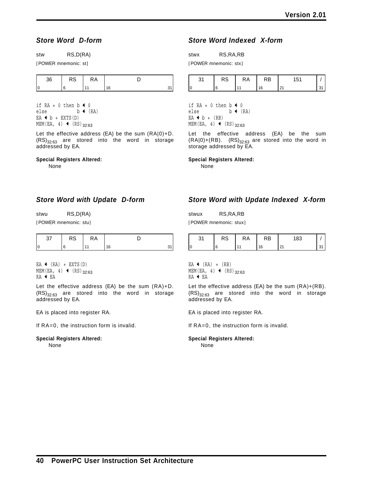### *Store Word D-form*

[POWER mnemonic: st]

| ے د | כא | КA |    |  |
|-----|----|----|----|--|
|     |    |    | 16 |  |

if RA = 0 then  $b \triangleleft 0$ else  $b \leftarrow (RA)$  $EA + b + EXTS(D)$ MEM(EA, 4)  $\leftarrow$  (RS)<sub>32:63</sub>

Let the effective address (EA) be the sum (RA|0)+D.  $(RS)_{32:63}$  are stored into the word in storage addressed by EA.

#### **Special Registers Altered:**

None

### *Store Word with Update D-form*

stwu RS,D(RA)

[POWER mnemonic: stu]

| -<br>ు అ | ĸА |  |
|----------|----|--|
|          |    |  |

EA  $\triangleleft$  (RA) + EXTS(D) MEM(EA, 4)  $\leftarrow$  (RS)<sub>32:63</sub>  $RA + EA$ 

Let the effective address (EA) be the sum (RA)+D.  $(RS)_{32:63}$  are stored into the word in storage addressed by EA.

EA is placed into register RA.

If RA=0, the instruction form is invalid.

### **Special Registers Altered:**

None

### *Store Word Indexed X-form*

stwx RS,RA,RB [POWER mnemonic: stx]

| κə | ĸА | RB | 54 |  |
|----|----|----|----|--|
|    |    |    |    |  |

if RA = 0 then  $b \triangleleft 0$ else  $b \leftarrow (RA)$  $EA + b + (RB)$ MEM(EA, 4)  $\leftarrow$  (RS)<sub>32:63</sub>

Let the effective address (EA) be the sum  $(RA|0)+(RB)$ .  $(RS)_{32:63}$  are stored into the word in storage addressed by EA.

**Special Registers Altered:**

None

### *Store Word with Update Indexed X-form*

stwux RS,RA,RB [POWER mnemonic: stux]

|    | . NO | ĸА | RB | 183 |  |
|----|------|----|----|-----|--|
| ١ſ |      |    |    |     |  |

 $EA$  (RA) + (RB) MEM(EA, 4)  $\leftarrow$  (RS)<sub>32:63</sub>  $RA + EA$ 

Let the effective address (EA) be the sum (RA)+(RB).  $(RS)_{32:63}$  are stored into the word in storage addressed by EA.

EA is placed into register RA.

If RA=0, the instruction form is invalid.

### **Special Registers Altered:**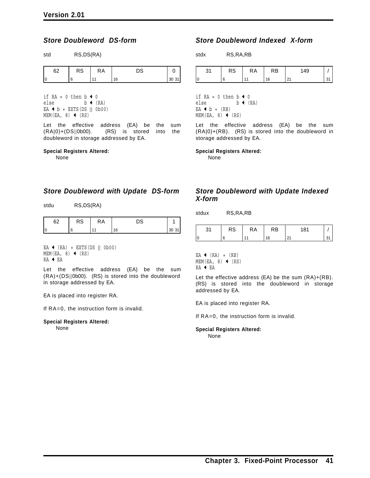### *Store Doubleword DS-form*

std RS,DS(RA)

| c0<br>υz | RS | RA | - כ |                    |
|----------|----|----|-----|--------------------|
|          |    |    | 16  | $^{\prime}30$<br>ັ |

if  $RA = 0$  then  $b \leftarrow 0$ else  $b \leftarrow (RA)$ EA  $\triangleleft$  b + EXTS(DS || 0b00)  $MEM(EA, 8)$  (RS)

Let the effective address (EA) be the sum (RA|0)+(DS||0b00). (RS) is stored into the doubleword in storage addressed by EA.

#### **Special Registers Altered:**

None

### *Store Doubleword with Update DS-form*

stdu RS,DS(RA)

| r | w | ٢A |   |  |
|---|---|----|---|--|
| и |   |    | 6 |  |

 $EA$  (RA) + EXTS(DS  $|| 0b00$ )  $MEM(EA, 8)$  (RS) RA + EA

Let the effective address (EA) be the sum (RA)+(DS||0b00). (RS) is stored into the doubleword in storage addressed by EA.

EA is placed into register RA.

If RA=0, the instruction form is invalid.

**Special Registers Altered:** None

### *Store Doubleword Indexed X-form*

stdx RS,RA,RB

|    | $\overline{\phantom{0}}$<br>v٥ | ĸА | ₹B | $\Lambda$ $\cap$ |  |
|----|--------------------------------|----|----|------------------|--|
| I٢ |                                |    | 16 | <u>_ .</u>       |  |

if  $RA = 0$  then  $b \triangleleft 0$ else  $b \leftarrow (RA)$  $EA + b + (RB)$  $MEM(EA, 8)$  (RS)

Let the effective address (EA) be the sum (RA|0)+(RB). (RS) is stored into the doubleword in storage addressed by EA.

**Special Registers Altered:**

None

### *Store Doubleword with Update Indexed X-form*

stdux RS,RA,RB

| ົ<br>، ت | n o<br>кэ | КA | RB | 404<br>ິ       |  |
|----------|-----------|----|----|----------------|--|
| l C      |           |    | ۱۵ | n,<br><u>.</u> |  |

EA  $\leftarrow$  (RA) + (RB)  $MEM(EA, 8)$  (RS)  $RA + EA$ 

Let the effective address (EA) be the sum (RA)+(RB). (RS) is stored into the doubleword in storage addressed by EA.

EA is placed into register RA.

If RA=0, the instruction form is invalid.

**Special Registers Altered:** None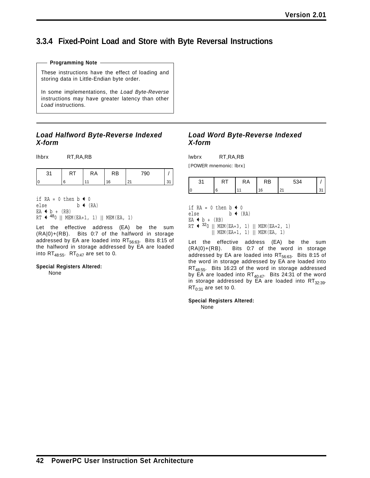# **3.3.4 Fixed-Point Load and Store with Byte Reversal Instructions**

#### **Programming Note**

These instructions have the effect of loading and storing data in Little-Endian byte order.

In some implementations, the *Load Byte-Reverse* instructions may have greater latency than other *Load* instructions.

### *Load Halfword Byte-Reverse Indexed X-form*

lhbrx RT,RA,RB

| ົ | КA | RB | 790                  |  |
|---|----|----|----------------------|--|
|   |    | '6 | $\sim$<br><u>. ເ</u> |  |

if RA = 0 then  $b \triangleleft 0$ else  $b \leftarrow (RA)$  $EA + b + (RB)$  $RT$   $\leftarrow$  480 || MEM(EA+1, 1) || MEM(EA, 1)

Let the effective address (EA) be the sum (RA|0)+(RB). Bits 0:7 of the halfword in storage addressed by EA are loaded into  $RT_{56:63}$ . Bits 8:15 of the halfword in storage addressed by EA are loaded into  $RT_{48:55}$ .  $RT_{0:47}$  are set to 0.

#### **Special Registers Altered:**

None

### *Load Word Byte-Reverse Indexed X-form*

lwbrx RT,RA,RB

[POWER mnemonic: lbrx]

| `` | КA | RB | <b>-04</b> |  |
|----|----|----|------------|--|
|    |    |    | $\Omega$   |  |

if  $RA = 0$  then  $b \triangleleft 0$ else  $b \leftarrow (RA)$  $EA + b + (RB)$  $RT$   $\leftarrow$  320 || MEM(EA+3, 1) || MEM(EA+2, 1) || MEM(EA+1, 1) || MEM(EA, 1)

Let the effective address (EA) be the sum (RA|0)+(RB). Bits 0:7 of the word in storage addressed by EA are loaded into  $RT_{56:63}$ . Bits 8:15 of the word in storage addressed by EA are loaded into RT<sub>48:55</sub>. Bits 16:23 of the word in storage addressed by EA are loaded into  $RT_{40:47}$ . Bits 24:31 of the word in storage addressed by EA are loaded into  $RT_{32:39}$ .  $RT_{0:31}$  are set to 0.

**Special Registers Altered:**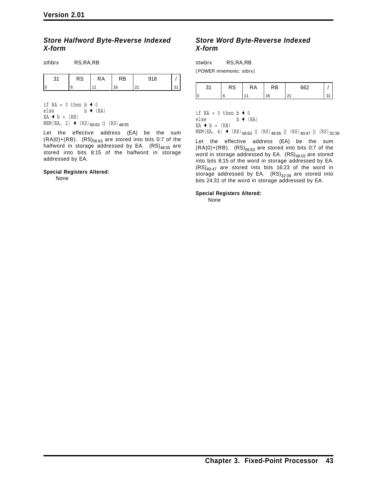sthbrx RS,RA,RB

### *Store Halfword Byte-Reverse Indexed X-form*

| 24<br>ا ت | <b>RS</b> | RA | RB | 918    |           |
|-----------|-----------|----|----|--------|-----------|
|           | 6         |    | 16 | $\sim$ | 21<br>، ب |

if  $RA = 0$  then  $b \triangleleft 0$ else  $b \leftarrow (RA)$  $EA + b + (RB)$ MEM(EA, 2)  $\leftarrow$  (RS)<sub>56:63</sub> || (RS)<sub>48:55</sub>

Let the effective address (EA) be the sum  $(RA|0)+(RB)$ .  $(RS)_{56:63}$  are stored into bits 0:7 of the halfword in storage addressed by EA.  $(RS)_{48:55}$  are stored into bits 8:15 of the halfword in storage addressed by EA.

#### **Special Registers Altered:**

None

### *Store Word Byte-Reverse Indexed X-form*

stwbrx RS,RA,RB

[POWER mnemonic: stbrx]

| ົ  | $\sim$ $\sim$<br>$\sim$ | КA | κB | cco                |         |
|----|-------------------------|----|----|--------------------|---------|
| ır |                         |    | 16 | $\sim$<br>$\sim$ 1 | $\cdot$ |

if RA = 0 then  $b \triangleleft 0$ else  $b \leftarrow (RA)$  $EA + b + (RB)$ MEM(EA, 4)  $\leftarrow$  (RS)<sub>56:63</sub> || (RS)<sub>48:55</sub> || (RS)<sub>40:47</sub> || (RS)<sub>32:39</sub>

Let the effective address (EA) be the sum  $(RA|0)+(RB)$ .  $(RS)_{56:63}$  are stored into bits 0:7 of the word in storage addressed by EA.  $(RS)_{48:55}$  are stored into bits 8:15 of the word in storage addressed by EA.  $(RS)_{40:47}$  are stored into bits 16:23 of the word in storage addressed by EA.  $(RS)_{32:39}$  are stored into bits 24:31 of the word in storage addressed by EA.

**Special Registers Altered:**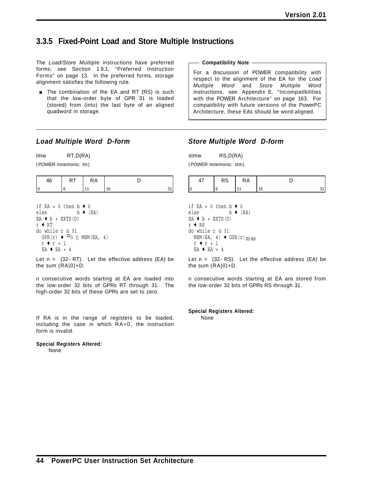# **3.3.5 Fixed-Point Load and Store Multiple Instructions**

The *Load/Store Multiple* instructions have preferred forms; see Section 1.9.1, "Preferred Instruction Forms" on page 13. In the preferred forms, storage alignment satisfies the following rule.

**The combination of the EA and RT (RS) is such** that the low-order byte of GPR 31 is loaded (stored) from (into) the last byte of an aligned quadword in storage.

#### **Compatibility Note**

For a discussion of POWER compatibility with respect to the alignment of the EA for the *Load Multiple Word* and *Store Multiple Word* instructions, see Appendix E, "Incompatibilities with the POWER Architecture" on page 163. For compatibility with future versions of the PowerPC Architecture, these EAs should be word-aligned.

### *Load Multiple Word D-form*

lmw RT,D(RA)

[POWER mnemonic: lm]

|  | <u>u</u> |  |
|--|----------|--|
|  |          |  |

if RA = 0 then  $b \triangleleft 0$ else  $b \leftarrow (RA)$  $EA + b + EXTS(D)$  $r$  + RT do while  $r \leq 31$  $GPR(r)$   $\leftarrow$  320 || MEM(EA, 4)  $r + r + 1$  $EA$   $\leftarrow$   $EA$   $+$  4

Let n = (32− RT). Let the effective address (EA) be the sum (RA|0)+D.

n consecutive words starting at EA are loaded into the low-order 32 bits of GPRs RT through 31. The high-order 32 bits of these GPRs are set to zero.

If RA is in the range of registers to be loaded, including the case in which RA=0, the instruction form is invalid.

# **Special Registers Altered:**

None

### *Store Multiple Word D-form*

stmw RS,D(RA) [POWER mnemonic: stm]

| D C<br>ΛU | ĸА |  |
|-----------|----|--|
|           |    |  |

if  $RA = 0$  then  $b \triangleleft 0$ else  $b \leftarrow (RA)$  $EA + b + EXTS(D)$  $r$  + RS do while r ≤ 31  $MEM(EA, 4)$  + GPR(r)<sub>32:63</sub>  $r + r + 1$  $EA$   $\leftarrow$   $EA$   $+$  4

Let n = (32− RS). Let the effective address (EA) be the sum (RA|0)+D.

n consecutive words starting at EA are stored from the low-order 32 bits of GPRs RS through 31.

**Special Registers Altered:** None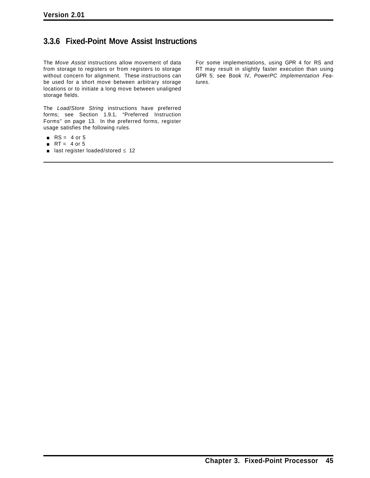# **3.3.6 Fixed-Point Move Assist Instructions**

The *Move Assist* instructions allow movement of data from storage to registers or from registers to storage without concern for alignment. These instructions can be used for a short move between arbitrary storage locations or to initiate a long move between unaligned storage fields.

The *Load/Store String* instructions have preferred forms; see Section 1.9.1, "Preferred Instruction Forms" on page 13. In the preferred forms, register usage satisfies the following rules.

- $RS = 4$  or 5
- $\blacksquare$  RT = 4 or 5
- last register loaded/stored  $≤ 12$

For some implementations, using GPR 4 for RS and RT may result in slightly faster execution than using GPR 5; see Book IV, *PowerPC Implementation Features*.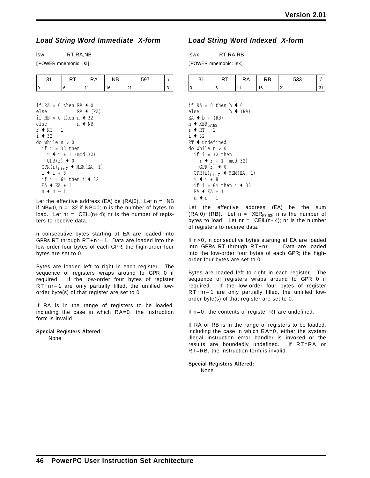### *Load String Word Immediate X-form*

lswi RT,RA,NB

[POWER mnemonic: lsi]

|  | ĸА | NΒ | $\sim$ |  |
|--|----|----|--------|--|
|  |    | 16 |        |  |

```
if RA = 0 then EA + 0else EA (RA)if NB = 0 then n \triangleleft  32else n \triangleleft NBr ← RT -1i + 32do while n > 0if i = 32 then
    r + r + 1 \pmod{32}GPR(r) \leftarrow 0
  GPR(r)_{i:i+7} + MEM(EA, 1)
  i + i + 8if i = 64 then i \triangleq 32
  EA + EA + 1
  n + n - 1
```
Let the effective address (EA) be  $(RA|0)$ . Let  $n = NB$ if NB≠ 0,  $n = 32$  if NB=0; n is the number of bytes to load. Let  $nr = \text{CEIL}(n \div 4)$ ; nr is the number of registers to receive data.

n consecutive bytes starting at EA are loaded into GPRs RT through RT+nr− 1. Data are loaded into the low-order four bytes of each GPR; the high-order four bytes are set to 0.

Bytes are loaded left to right in each register. The sequence of registers wraps around to GPR 0 if required. If the low-order four bytes of register RT+nr− 1 are only partially filled, the unfilled loworder byte(s) of that register are set to 0.

If RA is in the range of registers to be loaded, including the case in which RA=0, the instruction form is invalid.

### **Special Registers Altered:**

None

### *Load String Word Indexed X-form*

lswx RT,RA,RB [POWER mnemonic: lsx]

| . | ĸА | ND. | -00 |  |
|---|----|-----|-----|--|
|   |    |     |     |  |

```
if RA = 0 then b \triangleleft  0else b \leftarrow (RA)EA + b + (RB)n \leftarrow XER<sub>57:63</sub>
r + RT -1i + 32RT + undefined
do while n > 0if i = 32 then
     r + r + 1 \pmod{32}GPR(r) \triangleleft 0
  GPR(r)_{i:i+7} + MEM(EA, 1)
  i + i + 8if i = 64 then i \triangle 32
  EA \leftarrow EA + 1
  n + n - 1
```
Let the effective address (EA) be the sum  $(RA|0)+(RB)$ . Let  $n = XER<sub>57:63</sub>$ ; n is the number of bytes to load. Let  $nr = \text{CEIL}(n \div 4)$ ; nr is the number of registers to receive data.

If n>0, n consecutive bytes starting at EA are loaded into GPRs RT through RT+nr− 1. Data are loaded into the low-order four bytes of each GPR; the highorder four bytes are set to 0.

Bytes are loaded left to right in each register. The sequence of registers wraps around to GPR 0 if required. If the low-order four bytes of register RT+nr− 1 are only partially filled, the unfilled loworder byte(s) of that register are set to 0.

If n=0, the contents of register RT are undefined.

If RA or RB is in the range of registers to be loaded, including the case in which RA=0, either the system illegal instruction error handler is invoked or the results are boundedly undefined. If RT=RA or RT=RB, the instruction form is invalid.

**Special Registers Altered:** None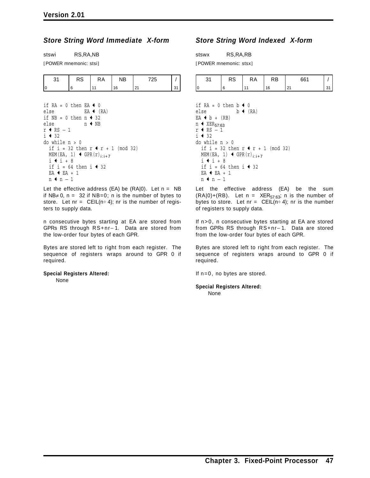### *Store String Word Immediate X-form*

stswi RS,RA,NB

[POWER mnemonic: stsi]

| nu | ĸА | √B، |          |  |
|----|----|-----|----------|--|
|    |    | ĥ   | $\sim$ 1 |  |

if  $RA = 0$  then  $EA + 0$ else  $EA \left( RA \right)$ if  $NB = 0$  then  $n \div 32$ else  $n \triangleleft NB$  $r$  ← RS  $-1$  $i + 32$ do while  $n > 0$ if i = 32 then  $r + r + 1$  (mod 32) MEM(EA, 1)  $\leftarrow$  GPR(r)<sub>i:i+7</sub>  $i + i + 8$ if i = 64 then i  $\triangleq$  32  $EA$   $\leftarrow$   $EA$   $+$  1 n **+** n − 1

Let the effective address (EA) be  $(RA|0)$ . Let  $n = NB$ if NB≠ 0,  $n = 32$  if NB=0; n is the number of bytes to store. Let  $nr = \text{CEIL}(n \div 4)$ ; nr is the number of registers to supply data.

n consecutive bytes starting at EA are stored from GPRs RS through RS+nr− 1. Data are stored from the low-order four bytes of each GPR.

Bytes are stored left to right from each register. The sequence of registers wraps around to GPR 0 if required.

#### **Special Registers Altered:** None

### *Store String Word Indexed X-form*

stswx RS,RA,RB [POWER mnemonic: stsx]

| <sub>D</sub> o<br>د ∖ | ĸА | RΒ | 201    |  |
|-----------------------|----|----|--------|--|
|                       |    | ۱۴ | $\sim$ |  |

if RA = 0 then  $b \triangleleft 0$ else  $b \leftarrow (RA)$ EA  $\triangleleft b + (RB)$  $n$   $\leftarrow$  XER<sub>57:63</sub>  $r$  + RS  $-1$  $i + 32$ do while  $n > 0$ if i = 32 then  $r$   $\uparrow$   $r$  + 1 (mod 32) MEM(EA, 1)  $\leftarrow$  GPR(r)<sub>i:i+7</sub>  $i + i + 8$ if i = 64 then i  $\div$  32  $EA$   $\leftarrow$   $EA$   $+$  1 n ← n - 1

Let the effective address (EA) be the sum  $(RA|0)+(RB)$ . Let n = XER<sub>57:63</sub>; n is the number of bytes to store. Let  $nr = \text{CEIL}(n \div 4)$ ; nr is the number of registers to supply data.

If n>0, n consecutive bytes starting at EA are stored from GPRs RS through RS+nr− 1. Data are stored from the low-order four bytes of each GPR.

Bytes are stored left to right from each register. The sequence of registers wraps around to GPR 0 if required.

If n=0, no bytes are stored.

#### **Special Registers Altered:** None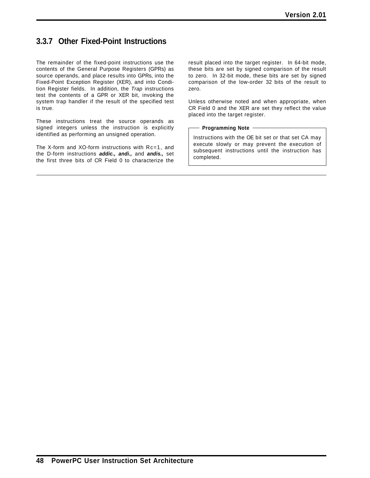# **3.3.7 Other Fixed-Point Instructions**

The remainder of the fixed-point instructions use the contents of the General Purpose Registers (GPRs) as source operands, and place results into GPRs, into the Fixed-Point Exception Register (XER), and into Condition Register fields. In addition, the *Trap* instructions test the contents of a GPR or XER bit, invoking the system trap handler if the result of the specified test is true.

These instructions treat the source operands as signed integers unless the instruction is explicitly identified as performing an unsigned operation.

The X-form and XO-form instructions with Rc=1, and the D-form instructions *addic., andi.,* and *andis.,* set the first three bits of CR Field 0 to characterize the result placed into the target register. In 64-bit mode, these bits are set by signed comparison of the result to zero. In 32-bit mode, these bits are set by signed comparison of the low-order 32 bits of the result to zero.

Unless otherwise noted and when appropriate, when CR Field 0 and the XER are set they reflect the value placed into the target register.

#### - Programming Note -

Instructions with the OE bit set or that set CA may execute slowly or may prevent the execution of subsequent instructions until the instruction has completed.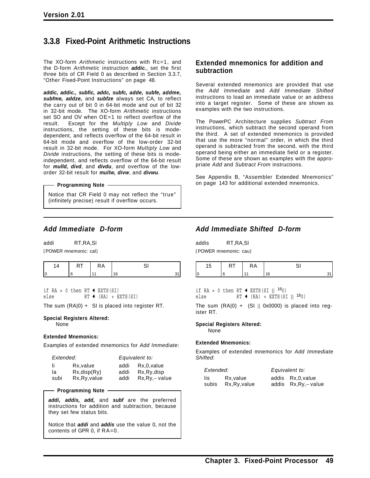# **3.3.8 Fixed-Point Arithmetic Instructions**

The XO-form *Arithmetic* instructions with Rc=1, and the D-form *Arithmetic* instruction *addic.*, set the first three bits of CR Field 0 as described in Section 3.3.7, "Other Fixed-Point Instructions" on page 48.

*addic, addic., subfic, addc, subfc, adde, subfe, addme, subfme, addze,* and *subfze* always set CA, to reflect the carry out of bit 0 in 64-bit mode and out of bit 32 in 32-bit mode. The XO-form *Arithmetic* instructions set SO and OV when OE=1 to reflect overflow of the result. Except for the *Multiply Low* and *Divide* instructions, the setting of these bits is modedependent, and reflects overflow of the 64-bit result in 64-bit mode and overflow of the low-order 32-bit result in 32-bit mode. For XO-form *Multiply Low* and *Divide* instructions, the setting of these bits is modeindependent, and reflects overflow of the 64-bit result for *mulld, divd*, and *divdu*, and overflow of the loworder 32-bit result for *mullw, divw*, and *divwu*.

#### **Programming Note**

Notice that CR Field 0 may not reflect the "true" (infinitely precise) result if overflow occurs.

### *Add Immediate D-form*

addi RT,RA,SI [POWER mnemonic: cal]

if  $RA = 0$  then  $RT \triangleleft EXTS(SI)$  $else \qquad \qquad RT \text{ } \leftarrow (RA) \text{ } + \text{ EXTS(SI)}$ 

The sum  $(RA|0) + SI$  is placed into register RT.

### **Special Registers Altered:**

None

#### **Extended Mnemonics:**

Examples of extended mnemonics for *Add Immediate*:

| Extended: |                    | Equivalent to: |                 |
|-----------|--------------------|----------------|-----------------|
| -li       | Rx.value           | addi           | Rx,0, value     |
| la        | $Rx$ , disp $(Ry)$ | addi           | $Rx.Ry$ , disp  |
| subi      | Rx, Ry, value      | addi           | $Rx,Ry, -value$ |

#### **Programming Note**

*addi, addis, add,* and *subf* are the preferred instructions for addition and subtraction, because they set few status bits.

Notice that *addi* and *addis* use the value 0, not the contents of GPR 0, if RA=0.

### **Extended mnemonics for addition and subtraction**

Several extended mnemonics are provided that use the *Add Immediate* and *Add Immediate Shifted* instructions to load an immediate value or an address into a target register. Some of these are shown as examples with the two instructions.

The PowerPC Architecture supplies *Subtract From* instructions, which subtract the second operand from the third. A set of extended mnemonics is provided that use the more "normal" order, in which the third operand is subtracted from the second, with the third operand being either an immediate field or a register. Some of these are shown as examples with the appropriate *Add* and *Subtract From* instructions.

See Appendix B, "Assembler Extended Mnemonics" on page 143 for additional extended mnemonics.

### *Add Immediate Shifted D-form*

addis RT,RA,SI [POWER mnemonic: cau]

| 1 V I | $\cdot$<br>היו |   |  |
|-------|----------------|---|--|
|       |                | c |  |

if RA = 0 then RT  $\triangleleft$  EXTS(SI || <sup>16</sup>0) else RT  $(RA) + EXTS(SI || 160)$ 

The sum  $(RA|0) + (SI || 0x0000)$  is placed into register RT.

### **Special Registers Altered:**

None

#### **Extended Mnemonics:**

Examples of extended mnemonics for *Add Immediate Shifted*:

| Extended: |               | Equivalent to: |                       |  |
|-----------|---------------|----------------|-----------------------|--|
| lis       | Rx.value      |                | addis Rx, 0, value    |  |
| subis     | Rx, Ry, value |                | addis Rx, Ry, - value |  |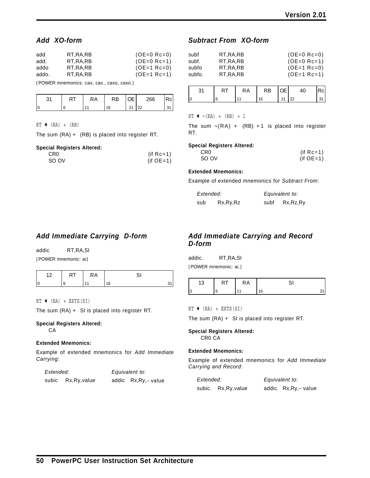### *Add XO-form*

| add   | RT.RA.RB   | $(OE=0$ Rc=0) |
|-------|------------|---------------|
| add.  | RT.RA.RB   | $(OE=0$ Rc=1) |
| addo  | RT.RA.RB   | $(OE=1$ Rc=0) |
| addo. | RT, RA, RB | $(OE=1$ Rc=1) |

[POWER mnemonics: cax, cax., caxo, caxo.]

|  | КA | RB |   | 266             |  |
|--|----|----|---|-----------------|--|
|  |    | ៲ឝ | C | nn<br><u>__</u> |  |

 $RT$  (RA) + (RB)

The sum (RA) + (RB) is placed into register RT.

#### **Special Registers Altered:**

| CR <sub>0</sub> | (if $Rc=1$ ) |
|-----------------|--------------|
| SO OV           | (if $OE=1$ ) |

### *Subtract From XO-form*

| subf   | RT.RA.RB   | $(OE=0$ Rc=0) |
|--------|------------|---------------|
| subf.  | RT.RA.RB   | $(OE=0$ Rc=1) |
| subfo  | RT.RA.RB   | $(OE=1$ Rc=0) |
| subfo. | RT, RA, RB | $(OE=1$ Rc=1) |

|  | ₹A | ⊀B |  |  |
|--|----|----|--|--|
|  |    |    |  |  |

 $RT$   $\leftarrow \neg (RA)$  +  $(RB)$  + 1

The sum  $\neg$ (RA) + (RB) +1 is placed into register RT.

### **Special Registers Altered:**

| CR0   | (if $Rc=1$ ) |
|-------|--------------|
| SO OV | (if $OE=1$ ) |

#### **Extended Mnemonics:**

Example of extended mnemonics for *Subtract From*:

| Extended: |            |      | Equivalent to: |
|-----------|------------|------|----------------|
| sub       | Rx, Ry, Rz | subf | Rx, Rz, Ry     |

### *Add Immediate Carrying D-form*

addic RT,RA,SI [POWER mnemonic: ai]

|  | ٢А |   |  |
|--|----|---|--|
|  |    | r |  |

 $RT$  (RA) + EXTS(SI)

The sum (RA) + SI is placed into register RT.

#### **Special Registers Altered:** CA

### **Extended Mnemonics:**

Example of extended mnemonics for *Add Immediate Carrying*:

| Extended: |               | Equivalent to: |                       |  |
|-----------|---------------|----------------|-----------------------|--|
| subic     | Rx, Ry, value |                | addic Rx, Ry, - value |  |

### *Add Immediate Carrying and Record D-form*

addic. RT,RA,SI [POWER mnemonic: ai.]

|  | $\cdots$ |  |
|--|----------|--|
|  |          |  |

 $RT$   $(RA)$  + EXTS(SI)

The sum  $(RA) + SI$  is placed into register RT.

#### **Special Registers Altered:** CR0 CA

### **Extended Mnemonics:**

Example of extended mnemonics for *Add Immediate Carrying and Record*:

| Extended: |                      | Equivalent to:         |
|-----------|----------------------|------------------------|
|           | subic. Rx, Ry, value | addic. Rx, Ry, - value |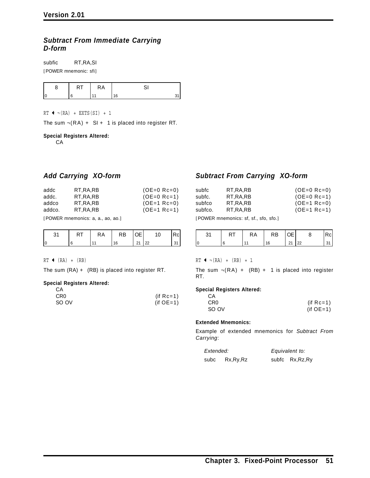### *Subtract From Immediate Carrying D-form*

subfic RT,RA,SI

[POWER mnemonic: sfi]

| . . | КA |            |
|-----|----|------------|
|     |    | $\epsilon$ |

 $RT$   $\leftarrow \neg (RA)$  + EXTS(SI) + 1

The sum  $\neg$ (RA) + SI + 1 is placed into register RT.

#### **Special Registers Altered:**

CA

### *Add Carrying XO-form*

| addc<br>addc.<br>addco<br>addco. | RT.RA.RB<br>RT.RA.RB<br>RT.RA.RB<br>RT.RA.RB | $(OE=0$ Rc=0)<br>$(OE=0$ Rc=1)<br>$(OE=1$ Rc=0)<br>$(OE=1$ Rc=1) |
|----------------------------------|----------------------------------------------|------------------------------------------------------------------|
|                                  |                                              |                                                                  |
|                                  |                                              |                                                                  |

[POWER mnemonics: a, a., ao, ao.]

|    | КA | ⊀B | u  |  |
|----|----|----|----|--|
| 16 |    | 16 | __ |  |

 $RT$  (RA) + (RB)

The sum (RA) + (RB) is placed into register RT.

#### **Special Registers Altered:**

| CА    |              |
|-------|--------------|
| CR0   | (if $Rc=1$ ) |
| SO OV | $(if OE=1)$  |

### *Subtract From Carrying XO-form*

| subfc   | RT.RA.RB   | $(OE=0$ Rc=0) |
|---------|------------|---------------|
| subfc.  | RT.RA.RB   | $(OE=0$ Rc=1) |
| subfco  | RT.RA.RB   | $(OE=1$ Rc=0) |
| subfco. | RT, RA, RB | $(OE=1$ Rc=1) |
|         |            |               |

[POWER mnemonics: sf, sf., sfo, sfo.]

|  | RA | RB | ЭE |    |  |
|--|----|----|----|----|--|
|  |    | 16 | 21 | 22 |  |

 $RT$   $\leftarrow \neg (RA)$  +  $(RB)$  + 1

The sum  $\neg$ (RA) + (RB) + 1 is placed into register RT.

#### **Special Registers Altered:**

| CA              |              |
|-----------------|--------------|
| CR <sub>0</sub> | (if $Rc=1$ ) |
| SO OV           | $(if OE=1)$  |

#### **Extended Mnemonics:**

Example of extended mnemonics for *Subtract From Carrying*:

| Extended: |            | Equivalent to:   |
|-----------|------------|------------------|
| subc      | Rx, Ry, Rz | subfc Rx, Rz, Ry |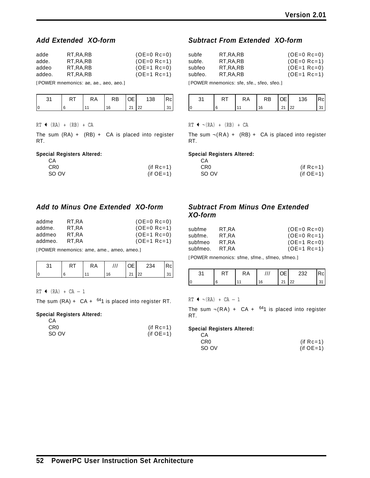### *Add Extended XO-form*

| adde   | RT.RA.RB | $(OE=0$ Rc=0) |
|--------|----------|---------------|
| adde.  | RT.RA.RB | $(OE=0$ Rc=1) |
| addeo  | RT.RA.RB | $(OE=1$ Rc=0) |
| addeo. | RT.RA.RB | $(OE=1$ Rc=1) |

[POWER mnemonics: ae, ae., aeo, aeo.]

| ັ | КA | RB | ⊢ | 138 | ا آن ۱ |
|---|----|----|---|-----|--------|
|   |    | 16 |   | 22  | ັ      |

#### $RT$   $\leftarrow$   $(RA)$   $+$   $(RB)$   $+$  CA

The sum  $(RA) + (RB) + CA$  is placed into register RT.

#### **Special Registers Altered:**

| CA    |              |
|-------|--------------|
| CR0   | (if $Rc=1$ ) |
| SO OV | (if $OE=1$ ) |

### *Add to Minus One Extended XO-form*

| addme   | RT,RA | $(OE=0$ Rc=0) |
|---------|-------|---------------|
| addme.  | RT.RA | $(OE=0$ Rc=1) |
| addmeo  | RT.RA | $(OE=1$ Rc=0) |
| addmeo. | RT.RA | $(OE=1$ Rc=1) |

[POWER mnemonics: ame, ame., ameo, ameo.]

|    | RT | КA | (1) | 234 | Rcl |
|----|----|----|-----|-----|-----|
| ١c |    |    | 21  | 22  |     |

 $RT$   $(RA)$  +  $CA - 1$ 

The sum  $(RA) + CA + <sup>641</sup>$  is placed into register RT.

#### **Special Registers Altered:**

| CA              |              |
|-----------------|--------------|
| CR <sub>0</sub> | (if $Rc=1$ ) |
| SO OV           | $(if OE=1)$  |

### *Subtract From Extended XO-form*

| subfe   | RT.RA.RB | $(OE=0$ Rc=0) |
|---------|----------|---------------|
| subfe.  | RT.RA.RB | $(OE=0$ Rc=1) |
| subfeo  | RT.RA.RB | $(OE=1$ Rc=0) |
| subfeo. | RT.RA.RB | $(OE=1$ Rc=1) |

[POWER mnemonics: sfe, sfe., sfeo, sfeo.]

| וא | КA | RB | า∟ | 136 |  |
|----|----|----|----|-----|--|
|    |    |    |    |     |  |

 $RT$   $\leftarrow \neg (RA)$  +  $(RB)$  + CA

The sum  $\neg (RA) + (RB) + CA$  is placed into register RT.

#### **Special Registers Altered:**

| - CA  |              |
|-------|--------------|
| CR0   | (if $Rc=1$ ) |
| SO OV | $(if OE=1)$  |

### *Subtract From Minus One Extended XO-form*

| subfme   | RT,RA | $(OE=0$ Rc=0) |
|----------|-------|---------------|
| subfme.  | RT.RA | $(OE=0$ Rc=1) |
| subfmeo  | RT.RA | $(OE=1$ Rc=0) |
| subfmeo. | RT.RA | $(OE=1$ Rc=1) |

[POWER mnemonics: sfme, sfme., sfmeo, sfmeo.]

|   | КA | 77 | ℩∟ | つつつ      |  |
|---|----|----|----|----------|--|
| 0 |    | 16 |    | nn<br>__ |  |

 $RT$   $\leftarrow \neg (RA) + CA - 1$ 

The sum  $\neg$ (RA) + CA +  $^{64}$ 1 is placed into register RT.

#### **Special Registers Altered:**

| CA    |              |
|-------|--------------|
| CR0   | (if $Rc=1$ ) |
| SO OV | $(if OE=1)$  |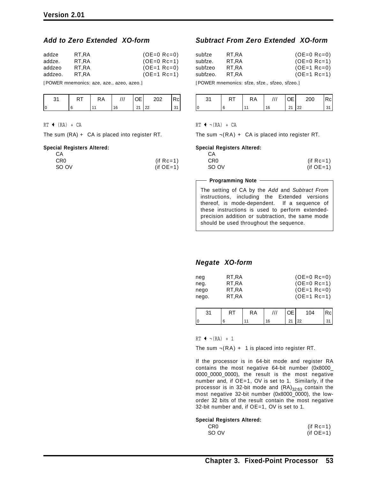### *Add to Zero Extended XO-form*

| addze   | RT.RA | $(OE=0$ Rc=0) |
|---------|-------|---------------|
| addze.  | RT.RA | $(OE=0$ Rc=1) |
| addzeo  | RT.RA | $(OE=1$ Rc=0) |
| addzeo. | RT.RA | $(OE=1$ Rc=1) |

[POWER mnemonics: aze, aze., azeo, azeo.]

|  | КA | า⊏<br>'- | つへつ     |  |
|--|----|----------|---------|--|
|  |    | 21       | 22<br>ے |  |

#### $RT$  (RA) + CA

The sum (RA) + CA is placed into register RT.

#### **Special Registers Altered:**

| СA              |              |
|-----------------|--------------|
| CR <sub>0</sub> | (if $Rc=1$ ) |
| SO OV           | $(if OE=1)$  |

### *Subtract From Zero Extended XO-form*

| subfze   | RT.RA | $(OE=0$ Rc=0) |
|----------|-------|---------------|
| subfze.  | RT.RA | $(OE=0$ Rc=1) |
| subfzeo  | RT.RA | $(OE=1$ Rc=0) |
| subfzeo. | RT.RA | $(OE=1$ Rc=1) |

[POWER mnemonics: sfze, sfze., sfzeo, sfzeo.]

| n.<br>ບ | ≺A |          | 200         |  |
|---------|----|----------|-------------|--|
|         |    | 21<br>۷. | $\sim$<br>ᅩ |  |

#### $RT$  +  $\neg$ (RA) + CA

The sum  $\neg (RA) + CA$  is placed into register RT.

#### **Special Registers Altered:**

| CA              |              |
|-----------------|--------------|
| CR <sub>0</sub> | (if $Rc=1$ ) |
| SO OV           | (if $OE=1$ ) |

#### **Programming Note**

The setting of CA by the *Add* and *Subtract From* instructions, including the Extended versions thereof, is mode-dependent. If a sequence of these instructions is used to perform extendedprecision addition or subtraction, the same mode should be used throughout the sequence.

### *Negate XO-form*

|    | RT | <b>RA</b> | l OE I       | 104 | Rcl |
|----|----|-----------|--------------|-----|-----|
| I٥ |    |           | $21 \mid 22$ |     |     |

 $RT$   $\leftarrow \neg (RA) + 1$ 

The sum  $\neg(RA) + 1$  is placed into register RT.

If the processor is in 64-bit mode and register RA contains the most negative 64-bit number (0x8000\_ 0000\_0000\_0000), the result is the most negative number and, if OE=1, OV is set to 1. Similarly, if the processor is in 32-bit mode and  $(RA)_{32:63}$  contain the most negative 32-bit number (0x8000\_0000), the loworder 32 bits of the result contain the most negative 32-bit number and, if OE=1, OV is set to 1.

#### **Special Registers Altered:**

| CR0   | $(if Rc=1)$ |
|-------|-------------|
| SO OV | $(if OE=1)$ |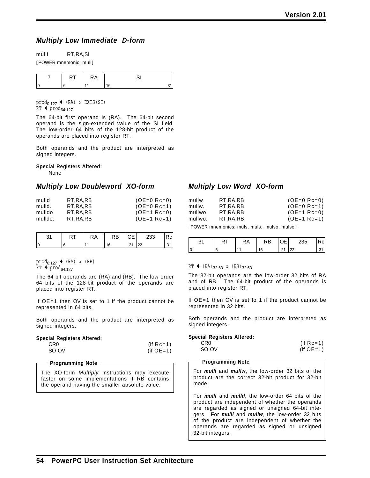### *Multiply Low Immediate D-form*

mulli RT,RA,SI

[POWER mnemonic: muli]

 $\text{prod}_{0:127}$  + (RA) × EXTS(SI)  $RT$  + prod<sub>64:127</sub>

The 64-bit first operand is (RA). The 64-bit second operand is the sign-extended value of the SI field. The low-order 64 bits of the 128-bit product of the operands are placed into register RT.

Both operands and the product are interpreted as signed integers.

**Special Registers Altered:**

None

### *Multiply Low Doubleword XO-form*

| mulld   | RT.RA.RB | $(OE=0$ Rc=0) |
|---------|----------|---------------|
| mulld.  | RT.RA.RB | $(OE=0$ Rc=1) |
| mulldo  | RT.RA.RB | $(OE=1$ Rc=0) |
| mulldo. | RT.RA.RB | $(OE=1$ Rc=1) |

|  | RΑ | RB | ⊢ | 233      | łс |
|--|----|----|---|----------|----|
|  |    |    |   | $\Omega$ |    |

 $\text{prod}_{0:127}$  (RA) × (RB)  $RT$  + prod<sub>64:127</sub>

The 64-bit operands are (RA) and (RB). The low-order 64 bits of the 128-bit product of the operands are placed into register RT.

If OE=1 then OV is set to 1 if the product cannot be represented in 64 bits.

Both operands and the product are interpreted as signed integers.

#### **Special Registers Altered:**

| CR <sub>0</sub> | $(if Rc=1)$ |
|-----------------|-------------|
| SO OV           | $(if OE=1)$ |

#### **Programming Note**

The XO-form *Multiply* instructions may execute faster on some implementations if RB contains the operand having the smaller absolute value.

### *Multiply Low Word XO-form*

| mullw   | RT.RA.RB | $(OE=0$ Rc=0) |
|---------|----------|---------------|
| mullw.  | RT.RA.RB | $(OE=0$ Rc=1) |
| mullwo  | RT.RA.RB | $(OE=1$ Rc=0) |
| mullwo. | RT.RA.RB | $(OE=1$ Rc=1) |

[POWER mnemonics: muls, muls., mulso, mulso.]

|    | RA | <b>RB</b> | IOE. | 235 | Rcl |
|----|----|-----------|------|-----|-----|
| ١c |    |           | 21   | 22  |     |

 $RT$  (RA)<sub>32:63</sub> × (RB)<sub>32:63</sub>

The 32-bit operands are the low-order 32 bits of RA and of RB. The 64-bit product of the operands is placed into register RT.

If OE=1 then OV is set to 1 if the product cannot be represented in 32 bits.

Both operands and the product are interpreted as signed integers.

#### **Special Registers Altered:**

| CR0   | (if $Rc=1$ ) |
|-------|--------------|
| SO OV | $(if OE=1)$  |

#### **Programming Note**

For *mulli* and *mullw*, the low-order 32 bits of the product are the correct 32-bit product for 32-bit mode.

For *mulli* and *mulld*, the low-order 64 bits of the product are independent of whether the operands are regarded as signed or unsigned 64-bit integers. For *mulli* and *mullw*, the low-order 32 bits of the product are independent of whether the operands are regarded as signed or unsigned 32-bit integers.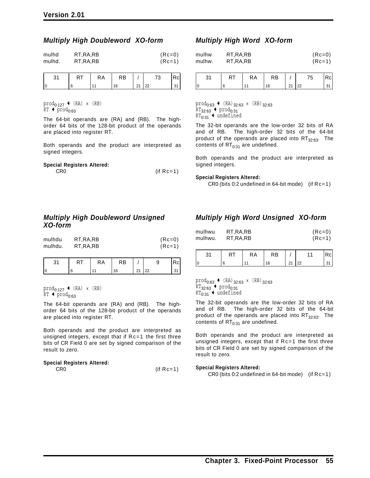### *Multiply High Doubleword XO-form*

| mulhd  | RT, RA, RB | $(Re=0)$ |
|--------|------------|----------|
| mulhd. | RT, RA, RB | $(Re=1)$ |
|        |            |          |

|  | <b>RT</b> | <b>RA</b> | <b>RB</b> |              | 73 | Rc |
|--|-----------|-----------|-----------|--------------|----|----|
|  |           |           | 16        | $21 \mid 22$ |    | 31 |

 $\text{prod}_{0:127}$  (RA) × (RB)  $RT$  + prod<sub>0:63</sub>

The 64-bit operands are (RA) and (RB). The highorder 64 bits of the 128-bit product of the operands are placed into register RT.

Both operands and the product are interpreted as signed integers.

| <b>Special Registers Altered:</b> |              |
|-----------------------------------|--------------|
| CR <sub>0</sub>                   | (if $Rc=1$ ) |

### *Multiply High Doubleword Unsigned XO-form*

| mulhdu  | RT, RA, RB | $(Rc=0)$ |
|---------|------------|----------|
| mulhdu. | RT.RA.RB   | $(Re=1)$ |

|    | КA | .⊀B ∶ |                |        |  |
|----|----|-------|----------------|--------|--|
| Ιſ |    |       | 2 <sub>1</sub> | ഹ<br>ᅭ |  |

 $\texttt{prod}_{0:127} \leftarrow (\texttt{RA}) \times (\texttt{RB})$  $RT$  + prod<sub>0:63</sub>

The 64-bit operands are (RA) and (RB). The highorder 64 bits of the 128-bit product of the operands are placed into register RT.

Both operands and the product are interpreted as unsigned integers, except that if Rc=1 the first three bits of CR Field 0 are set by signed comparison of the result to zero.

#### **Special Registers Altered:**

 $CR0$  (if  $Rc=1$ )

### *Multiply High Word XO-form*

| mulhw  | RT, RA, RB | $(Re=0)$ |
|--------|------------|----------|
| mulhw. | RT, RA, RB | $(Re=1)$ |

| 31 | RA | <b>RB</b> |    | 75 | Rc |
|----|----|-----------|----|----|----|
|    | 44 | 16        | 21 | 22 | 31 |

 $\text{prod}_{0:63}$  + (RA)<sub>32:63</sub> × (RB)<sub>32:63</sub>  $RT_{32:63}$  + prod<sub>0:31</sub>  $RT_{0:31}$  + undefined

The 32-bit operands are the low-order 32 bits of RA and of RB. The high-order 32 bits of the 64-bit product of the operands are placed into  $RT_{32:63}$ . The contents of  $RT<sub>0:31</sub>$  are undefined.

Both operands and the product are interpreted as signed integers.

#### **Special Registers Altered:**

CR0 (bits 0:2 undefined in 64-bit mode) (if Rc=1)

### *Multiply High Word Unsigned XO-form*

| mulhwu  | RT, RA, RB | $(Re=0)$ |
|---------|------------|----------|
| mulhwu. | RT, RA, RB | $(Re=1)$ |

| $\Omega$<br>ັັ | <b>A</b> 1 | ĸА | RB |              | $\overline{\phantom{a}}$ |  |
|----------------|------------|----|----|--------------|--------------------------|--|
| 0              | ι.         |    | 16 | $\mathbf{A}$ | ററ<br>∠∠                 |  |

 $\text{prod}_{0:63}$   $\leftarrow$  (RA)<sub>32:63</sub> × (RB)<sub>32:63</sub>  $RT_{32:63}$  + prod<sub>0:31</sub>  $RT_{0:31}$  + undefined

The 32-bit operands are the low-order 32 bits of RA and of RB. The high-order 32 bits of the 64-bit product of the operands are placed into  $RT_{32:63}$ . The contents of  $RT_{0:31}$  are undefined.

Both operands and the product are interpreted as unsigned integers, except that if Rc=1 the first three bits of CR Field 0 are set by signed comparison of the result to zero.

#### **Special Registers Altered:**

CR0 (bits 0:2 undefined in 64-bit mode) (if Rc=1)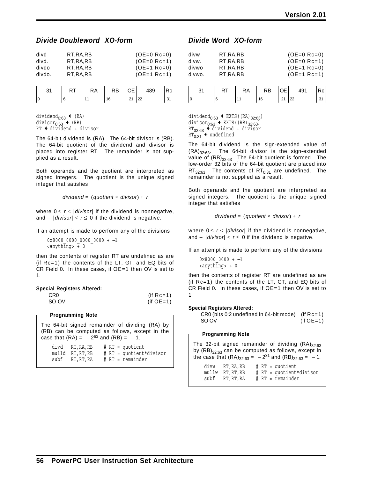### *Divide Doubleword XO-form*

| divd   | RT.RA.RB | $(OE=0$ Rc=0) |
|--------|----------|---------------|
| divd.  | RT.RA.RB | $(OE=0$ Rc=1) |
| divdo  | RT.RA.RB | $(OE=1$ Rc=0) |
| divdo. | RT.RA.RB | $(OE=1$ Rc=1) |

|  | RA | RB | OE | 489 | IRcl |
|--|----|----|----|-----|------|
|  |    |    | 21 | 122 |      |

dividend<sub>0:63</sub>  $\leftarrow$  (RA) divisor $_{0:63}$   $\leftarrow$  (RB)  $RT + dividend + divisor$ 

The 64-bit dividend is (RA). The 64-bit divisor is (RB). The 64-bit quotient of the dividend and divisor is placed into register RT. The remainder is not supplied as a result.

Both operands and the quotient are interpreted as signed integers. The quotient is the unique signed integer that satisfies

*dividend* = (*quotient* × *divisor*) + *r*

where  $0 \le r < |divisor|$  if the dividend is nonnegative, and − |*divisor*| < *r* ≤ 0 if the dividend is negative.

If an attempt is made to perform any of the divisions

 $0x8000$  0000 0000 0000 ÷ -1  $\langle$ anything>  $\div$  0

then the contents of register RT are undefined as are (if Rc=1) the contents of the LT, GT, and EQ bits of CR Field 0. In these cases, if OE=1 then OV is set to 1.

| <b>Special Registers Altered:</b> |              |
|-----------------------------------|--------------|
| CR <sub>0</sub>                   | (if $Rc=1$ ) |

#### **Programming Note**

The 64-bit signed remainder of dividing (RA) by (RB) can be computed as follows, except in the case that  $(RA) = -2^{63}$  and  $(RB) = -1$ .

SO OV (if OE=1)

|      | divd RT,RA,RB  |  | $# RT = quotient$       |
|------|----------------|--|-------------------------|
|      | mulld RT,RT,RB |  | # RT = quotient*divisor |
| subf | RT, RT, RA     |  | # RT = remainder        |

### *Divide Word XO-form*

| divw<br>divw.<br>divwo<br>divwo. | RT.RA.RB<br>RT.RA.RB<br>RT.RA.RB<br>RT, RA, RB | $(OE=0$ Rc=0)<br>$(OE=0$ Rc=1)<br>$(OE=1$ Rc=0)<br>$(OE=1$ Rc=1) |
|----------------------------------|------------------------------------------------|------------------------------------------------------------------|
|                                  |                                                |                                                                  |
|                                  |                                                |                                                                  |

| 31 | RA | <b>RB</b> | Œ  | 491     | κcι |
|----|----|-----------|----|---------|-----|
|    |    | 16        | 24 | 22<br>" |     |

dividend $_{0.63}$   $\leftrightarrow$  EXTS((RA)<sub>32:63</sub>) divisor<sub>0:63</sub>  $\leftarrow$  EXTS((RB)<sub>32:63</sub>)  $RT_{32:63}$  + dividend ÷ divisor  $RT_{0:31}$  + undefined

The 64-bit dividend is the sign-extended value of  $(RA)_{32:63}$ . The 64-bit divisor is the sign-extended value of  $(RB)_{32:63}$ . The 64-bit quotient is formed. The low-order 32 bits of the 64-bit quotient are placed into  $RT_{32:63}$ . The contents of  $RT_{0:31}$  are undefined. The remainder is not supplied as a result.

Both operands and the quotient are interpreted as signed integers. The quotient is the unique signed integer that satisfies

$$
dividend = (quotient \times divisor) + r
$$

where  $0 \le r < |divisor|$  if the dividend is nonnegative, and − |*divisor*| < *r* ≤ 0 if the dividend is negative.

If an attempt is made to perform any of the divisions

```
0x8000_0000 ÷ −1
<anything> ÷ 0
```
then the contents of register RT are undefined as are (if Rc=1) the contents of the LT, GT, and EQ bits of CR Field 0. In these cases, if OE=1 then OV is set to 1.

#### **Special Registers Altered:**

| $CR0$ (bits 0:2 undefined in 64-bit mode) (if $Rc=1$ ) |             |
|--------------------------------------------------------|-------------|
| SO OV                                                  | $(if OE=1)$ |

**Programming Note** The 32-bit signed remainder of dividing  $(RA)_{32:63}$ by  $(RB)_{32:63}$  can be computed as follows, except in the case that  $(RA)_{32:63} = -2^{31}$  and  $(RB)_{32:63} = -1$ . divw RT,RA,RB # RT = quotient mullw RT, RT, RB # RT = quotient\*divisor<br>subf RT, RT, RA # RT = remainder # RT = remainder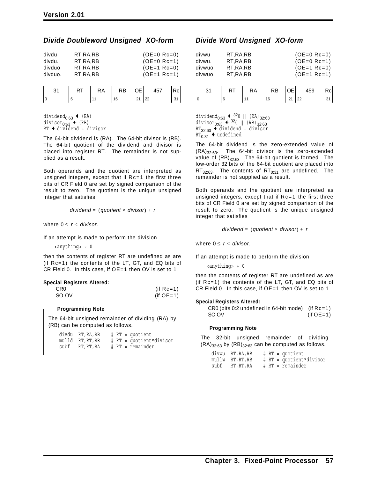### *Divide Doubleword Unsigned XO-form*

| divdu<br>divdu. | RT.RA.RB<br>RT.RA.RB | $(OE=0$ Rc=0)<br>$(OE=0$ Rc=1) |
|-----------------|----------------------|--------------------------------|
| divduo          | RT.RA.RB             | $(OE=1$ Rc=0)                  |
| divduo.         | RT.RA.RB             | $(OE=1$ Rc=1)                  |

| RT | RA | <b>RB</b> | OE.          | 457 | Rcl |
|----|----|-----------|--------------|-----|-----|
|    |    |           | $21 \mid 22$ |     |     |

dividend<sub>0:63</sub>  $\leftarrow$  (RA) divisor $_{0:63}$   $\leftarrow$  (RB)  $RT$  + dividend ÷ divisor

The 64-bit dividend is (RA). The 64-bit divisor is (RB). The 64-bit quotient of the dividend and divisor is placed into register RT. The remainder is not supplied as a result.

Both operands and the quotient are interpreted as unsigned integers, except that if Rc=1 the first three bits of CR Field 0 are set by signed comparison of the result to zero. The quotient is the unique unsigned integer that satisfies

```
dividend = (quotient × divisor) + r
```
where  $0 \le r <$  *divisor.* 

If an attempt is made to perform the division

<anything> ÷ 0

then the contents of register RT are undefined as are (if Rc=1) the contents of the LT, GT, and EQ bits of CR Field 0. In this case, if OE=1 then OV is set to 1.

#### **Special Registers Altered:**

| CR <sub>0</sub> | $(if Rc=1)$ |
|-----------------|-------------|
| SO OV           | $(if OE=1)$ |

#### **Programming Note**

The 64-bit unsigned remainder of dividing (RA) by (RB) can be computed as follows.

|      | divdu RT, RA, RB |  | $# RT = quotient$       |
|------|------------------|--|-------------------------|
|      | mulld RT,RT,RB   |  | # RT = quotient*divisor |
| subf | RT, RT, RA       |  | $# RT = remainder$      |

### *Divide Word Unsigned XO-form*

| divwu   | RT, RA, RB | $(OE=0$ Rc=0) |
|---------|------------|---------------|
| divwu.  | RT.RA.RB   | $(OE=0$ Rc=1) |
| divwuo  | RT, RA, RB | $(OE=1$ Rc=0) |
| divwuo. | RT, RA, RB | $(OE=1$ Rc=1) |

|  | RA | RB | I OE I | 459 | 'cl |
|--|----|----|--------|-----|-----|
|  |    |    | 21     | 22  |     |

dividend<sub>0:63</sub>  $\leftarrow$  <sup>32</sup>0 || (RA)<sub>32:63</sub> divisor<sub>0:63</sub>  $+$  32<sub>0</sub> || (RB)<sub>32:63</sub>  $RT_{32:63}$  + dividend ÷ divisor  $RT_{0:31}$  + undefined

The 64-bit dividend is the zero-extended value of  $(RA)_{32:63}$ . The 64-bit divisor is the zero-extended value of  $(RB)_{32:63}$ . The 64-bit quotient is formed. The low-order 32 bits of the 64-bit quotient are placed into  $RT_{32:63}$ . The contents of  $RT_{0:31}$  are undefined. The remainder is not supplied as a result.

Both operands and the quotient are interpreted as unsigned integers, except that if Rc=1 the first three bits of CR Field 0 are set by signed comparison of the result to zero. The quotient is the unique unsigned integer that satisfies

*dividend* = (*quotient* × *divisor*) + *r*

where  $0 \le r <$  *divisor.* 

If an attempt is made to perform the division

<anything> ÷ 0

then the contents of register RT are undefined as are (if Rc=1) the contents of the LT, GT, and EQ bits of CR Field 0. In this case, if OE=1 then OV is set to 1.

#### **Special Registers Altered:**

CR0 (bits 0:2 undefined in 64-bit mode) (if Rc=1) SO OV (if OE=1)

#### **Programming Note**

|  | The 32-bit unsigned remainder of dividing<br>$(RA)_{32:63}$ by $(RB)_{32:63}$ can be computed as follows. |  |                   |                         |  |
|--|-----------------------------------------------------------------------------------------------------------|--|-------------------|-------------------------|--|
|  | divwu RT.RA.RB<br>mullw RT.RT.RB                                                                          |  | $# RT = quotient$ | # RT = quotient*divisor |  |

subf RT,RT,RA # RT = remainder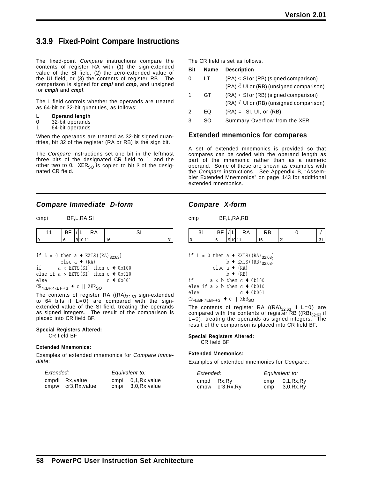# **3.3.9 Fixed-Point Compare Instructions**

The fixed-point *Compare* instructions compare the contents of register RA with (1) the sign-extended value of the SI field, (2) the zero-extended value of the UI field, or (3) the contents of register RB. The comparison is signed for *cmpi* and *cmp*, and unsigned for *cmpli* and *cmpl*.

The L field controls whether the operands are treated as 64-bit or 32-bit quantities, as follows:

- **L Operand length**
- 0 32-bit operands
- 1 64-bit operands

When the operands are treated as 32-bit signed quantities, bit 32 of the register (RA or RB) is the sign bit.

The *Compare* instructions set one bit in the leftmost three bits of the designated CR field to 1, and the other two to 0.  $XER_{SO}$  is copied to bit 3 of the designated CR field.

### *Compare Immediate D-form*

| cmpi | BF,L,RA,SI |
|------|------------|
|      |            |

|   | ΡI |  | ĸА |  |
|---|----|--|----|--|
| C |    |  |    |  |

|                                                         |  |  |  |  | else a $\triangleleft$ (RA) |  |  | if L = 0 then a $\triangleleft$ EXTS ((RA) 32.63) |  |                                                     |  |
|---------------------------------------------------------|--|--|--|--|-----------------------------|--|--|---------------------------------------------------|--|-----------------------------------------------------|--|
|                                                         |  |  |  |  |                             |  |  |                                                   |  |                                                     |  |
| if                                                      |  |  |  |  |                             |  |  |                                                   |  | $a \lt EXTS(SI)$ then $c \triangleleft 0b100$       |  |
|                                                         |  |  |  |  |                             |  |  |                                                   |  | else if $a > EXTS(SI)$ then $c \triangleleft 0b010$ |  |
| else                                                    |  |  |  |  |                             |  |  |                                                   |  | $c \leftarrow 00001$                                |  |
| $CR_{4\times BF:4\times BF+3}$ + c    XER <sub>SO</sub> |  |  |  |  |                             |  |  |                                                   |  |                                                     |  |

The contents of register RA  $((RA)_{32:63}$  sign-extended to 64 bits if L=0) are compared with the signextended value of the SI field, treating the operands as signed integers. The result of the comparison is placed into CR field BF.

#### **Special Registers Altered:** CR field BF

#### **Extended Mnemonics:**

Examples of extended mnemonics for *Compare Immediate*:

| Extended: |                      | Equivalent to: |              |  |
|-----------|----------------------|----------------|--------------|--|
|           | cmpdi Rx.value       | cmpi           | 0.1.Rx.value |  |
|           | cmpwi cr3, Rx, value | cmpi           | 3,0,Rx,value |  |

The CR field is set as follows.

| Bit | Name | <b>Description</b>                                          |
|-----|------|-------------------------------------------------------------|
| 0   | LT.  | $(RA) <$ SI or $(RB)$ (signed comparison)                   |
|     |      | $(RA)$ $\overset{U}{\sim}$ UI or (RB) (unsigned comparison) |
| 1   | GT   | $(RA)$ > SI or $(RB)$ (signed comparison)                   |
|     |      | $(RA)$ UI or (RB) (unsigned comparison)                     |
| 2   | FQ.  | $(RA) = SI$ , UI, or $(RB)$                                 |
| 3   | SO   | Summary Overflow from the XER                               |
|     |      |                                                             |

### **Extended mnemonics for compares**

A set of extended mnemonics is provided so that compares can be coded with the operand length as part of the mnemonic rather than as a numeric operand. Some of these are shown as examples with the *Compare* instructions. See Appendix B, "Assembler Extended Mnemonics" on page 143 for additional extended mnemonics.

### *Compare X-form*

cmp BF,L,RA,RB

| - | $\cdot$<br>ᇅ | ۰D |  |
|---|--------------|----|--|
|   |              |    |  |

| if L = 0 then a $\triangleleft$ EXTS ((RA) 32.63) |
|---------------------------------------------------|
| b $\leftarrow$ EXTS ((RB) 32.63)                  |
| else a $\triangleleft$ (RA)                       |
| $b \leftarrow (RB)$                               |
| i f<br>$a < b$ then $c \leftarrow 0b100$          |
| else if $a > b$ then $c \triangleleft 0$ b010     |
| $c \leftarrow 0b001$<br>else                      |
| CD. __ . _ _ . ▲ c    YFD._                       |

 $CK_{4\times BF:4\times BF+3}$   $\bullet$  C || XERSO

The contents of register RA  $((RA)_{32:63}$  if L=0) are compared with the contents of register RB ((RB) $_{32:63}$  if L=0), treating the operands as signed integers. The  $L=0$ ), treating the operands as signed integers. result of the comparison is placed into CR field BF.

#### **Special Registers Altered:**

CR field BF

#### **Extended Mnemonics:**

Examples of extended mnemonics for *Compare*:

| Extended: |             | Equivalent to: |            |  |
|-----------|-------------|----------------|------------|--|
| cmpd      | Rx.Rv       | cmp            | 0,1,Rx,Ry  |  |
| cmpw      | cr3, Rx, Ry | cmp            | 3,0,Rx, Ry |  |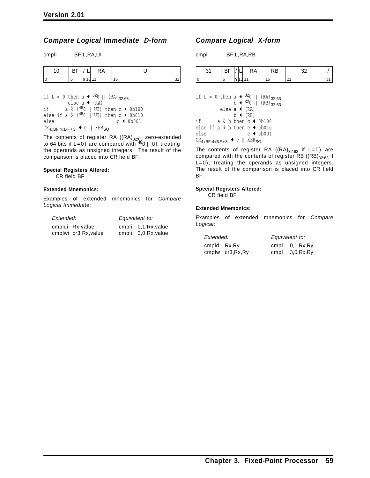### *Compare Logical Immediate D-form*

| cmpli | BF,L,RA,UI |
|-------|------------|

| ັ | - 1<br>- - |         | КA |   |  |
|---|------------|---------|----|---|--|
|   |            | ۵I<br>◡ |    | ĥ |  |

if L = 0 then a  $\arrow$  <sup>32</sup>0 || (RA)<sub>32:63</sub> else a  $\triangleleft$  (RA) if  $a \stackrel{u}{\leftarrow} (480 \parallel \text{UI})$  then  $c \leftarrow 0b100$ else if a  $\frac{1}{5}$  (480 || UI) then c  $\leftarrow$  0b010<br>else c  $\leftarrow$  0b001  $c \leftarrow 0b001$  $CR_{4\times BF:4\times BF+3}$  + c || XER<sub>SO</sub>

The contents of register RA ((RA) $_{\rm 32:63}$  zero-extended to 64 bits if L=0) are compared with  $^{48}$ 0 || UI, treating the operands as unsigned integers. The result of the comparison is placed into CR field BF.

#### **Special Registers Altered:** CR field BF

#### **Extended Mnemonics:**

Examples of extended mnemonics for *Compare Logical Immediate*:

| Extended: |                       | Equivalent to:       |  |  |
|-----------|-----------------------|----------------------|--|--|
|           | cmpldi Rx, value      | cmpli 0,1, Rx, value |  |  |
|           | cmplwi cr3, Rx, value | cmpli 3,0, Rx, value |  |  |

### *Compare Logical X-form*

cmpl BF,L,RA,RB

| - -    |   | <b>RA</b> | κB |    |
|--------|---|-----------|----|----|
| $\sim$ | ◡ |           | 6  | ι. |

| if L = 0 then a $\arrow$ 320    (RA) 32:63                          |
|---------------------------------------------------------------------|
| b $\leftarrow$ 320    (RB) 32:63                                    |
| else a $\triangleleft$ (RA)                                         |
| $b \leftarrow (RB)$                                                 |
| if<br>$a \times b$ then $c \leftarrow 0b100$                        |
| else if $a \overset{u}{\rightarrow} b$ then $c \triangleleft 0b010$ |
| $c + 0b001$<br>else                                                 |
| $CR_{4\times BF:4\times BF+3}$ + c    XER <sub>SO</sub>             |

The contents of register RA  $((RA)_{32:63}$  if L=0) are compared with the contents of register RB ((RB) $_{32:63}$  if L=0), treating the operands as unsigned integers. The result of the comparison is placed into CR field BF.

#### **Special Registers Altered:**

CR field BF

#### **Extended Mnemonics:**

Examples of extended mnemonics for *Compare Logical*:

| Extended:    |                   | Equivalent to: |                    |  |
|--------------|-------------------|----------------|--------------------|--|
| cmpld Rx, Ry |                   |                | cmpl $0,1, Rx, Ry$ |  |
|              | cmplw cr3, Rx, Ry |                | cmpl $3,0,Rx,Ry$   |  |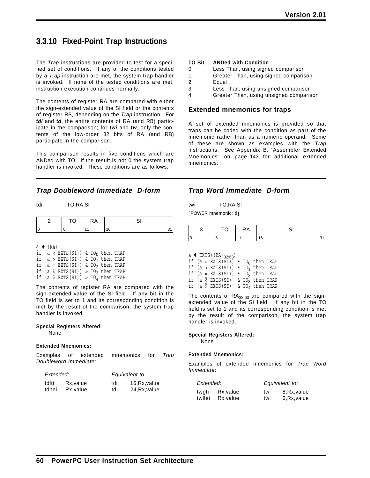# **3.3.10 Fixed-Point Trap Instructions**

The *Trap* instructions are provided to test for a specified set of conditions. If any of the conditions tested by a *Trap* instruction are met, the system trap handler is invoked. If none of the tested conditions are met, instruction execution continues normally.

The contents of register RA are compared with either the sign-extended value of the SI field or the contents of register RB, depending on the *Trap* instruction. For *tdi* and *td*, the entire contents of RA (and RB) participate in the comparison; for *twi* and *tw*, only the contents of the low-order 32 bits of RA (and RB) participate in the comparison.

This comparison results in five conditions which are ANDed with TO. If the result is not 0 the system trap handler is invoked. These conditions are as follows.

### *Trap Doubleword Immediate D-form*

tdi TO,RA,SI

|  | $\cdot$<br><u>u i</u> |  |
|--|-----------------------|--|
|  |                       |  |

a  $\triangleleft$  (RA)

|  | if $(a < EXTS(SI))$ & TO <sub>0</sub> then TRAP           |  |  |
|--|-----------------------------------------------------------|--|--|
|  | if $(a > EXTS(SI))$ & TO <sub>1</sub> then TRAP           |  |  |
|  | if $(a = EXTS(SI))$ & TO <sub>2</sub> then TRAP           |  |  |
|  | if (a $\&$ EXTS(SI)) & TO <sub>3</sub> then TRAP          |  |  |
|  | if (a $\frac{1}{2}$ EXTS(SI)) & TO <sub>4</sub> then TRAP |  |  |
|  |                                                           |  |  |

The contents of register RA are compared with the sign-extended value of the SI field. If any bit in the TO field is set to 1 and its corresponding condition is met by the result of the comparison, the system trap handler is invoked.

#### **Special Registers Altered:**

None

#### **Extended Mnemonics:**

Examples of extended mnemonics for *Trap Doubleword Immediate*:

| Extended: |          |     | Equivalent to: |
|-----------|----------|-----|----------------|
| tdlti     | Rx.value | tdi | 16, Rx, value  |
| tdnei     | Rx.value | tdi | 24, Rx, value  |

#### **TO Bit ANDed with Condition**

- 0 Less Than, using signed comparison
- 1 Greater Than, using signed comparison
- 2 Equal
- 3 Less Than, using unsigned comparison
- 4 Greater Than, using unsigned comparison

### **Extended mnemonics for traps**

A set of extended mnemonics is provided so that traps can be coded with the condition as part of the mnemonic rather than as a numeric operand. Some of these are shown as examples with the *Trap* instructions. See Appendix B, "Assembler Extended Mnemonics" on page 143 for additional extended mnemonics.

### *Trap Word Immediate D-form*

twi TO,RA,SI

[POWER mnemonic: ti]

|    | $\sim$<br>Ô | RA |    |  |
|----|-------------|----|----|--|
| ١o |             |    | 16 |  |

 $a \leftarrow EXTS((RA)_{32:63})$ 

|  | if $(a < EXTS(SI))$ & TO <sub>0</sub> then TRAP                                                        |  |  |
|--|--------------------------------------------------------------------------------------------------------|--|--|
|  | if $(a > EXTS(SI))$ & TO <sub>1</sub> then TRAP                                                        |  |  |
|  | if $(a = EXTS(SI))$ & TO <sub>2</sub> then TRAP                                                        |  |  |
|  | if (a $\&$ EXTS(SI)) & TO <sub>3</sub> then TRAP                                                       |  |  |
|  | if $(a \overset{\phantom{\prime}}{\phantom{\phantom{\prime}}} - EXTS(SI))$ & TO <sub>4</sub> then TRAP |  |  |
|  |                                                                                                        |  |  |

The contents of  $RA_{32:63}$  are compared with the signextended value of the SI field. If any bit in the TO field is set to 1 and its corresponding condition is met by the result of the comparison, the system trap handler is invoked.

#### **Special Registers Altered:**

None

#### **Extended Mnemonics:**

Examples of extended mnemonics for *Trap Word Immediate*:

| Extended: |          |     | Equivalent to: |
|-----------|----------|-----|----------------|
| twgti     | Rx.value | twi | 8, Rx, value   |
| twllei    | Rx.value | twi | 6, Rx, value   |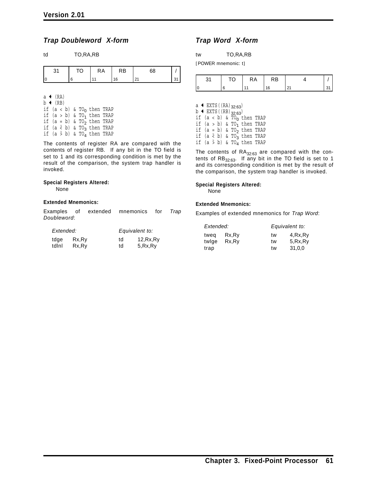### *Trap Doubleword X-form*

| td | TO, RA, RB |
|----|------------|

| RA<br>ΤО<br>RB |  |
|----------------|--|
|                |  |
| $\sim$         |  |

| $a \triangleleft (RA)$ |                     |  |  |                                                                 |  |
|------------------------|---------------------|--|--|-----------------------------------------------------------------|--|
|                        | $b \leftarrow (RB)$ |  |  |                                                                 |  |
|                        |                     |  |  | if $(a < b)$ & TO <sub>0</sub> then TRAP                        |  |
|                        |                     |  |  | if $(a > b)$ & TO <sub>1</sub> then TRAP                        |  |
|                        |                     |  |  | if $(a = b)$ & TO <sub>2</sub> then TRAP                        |  |
|                        |                     |  |  | if $(a \stackrel{u}{\leftarrow} b)$ & TO <sub>3</sub> then TRAP |  |
|                        |                     |  |  | if $(a \gt b)$ & TO <sub>4</sub> then TRAP                      |  |

The contents of register RA are compared with the contents of register RB. If any bit in the TO field is set to 1 and its corresponding condition is met by the result of the comparison, the system trap handler is invoked.

#### **Special Registers Altered:**

None

#### **Extended Mnemonics:**

|             | Examples of extended | mnemonics for Trap |  |
|-------------|----------------------|--------------------|--|
| Doubleword: |                      |                    |  |

| Extended: |        |    | Equivalent to: |
|-----------|--------|----|----------------|
| tdge      | Rx, Ry | td | 12, Rx, Ry     |
| tdlnl     | Rx, Ry | td | 5, Rx, Ry      |

### *Trap Word X-form*

| tw | TO, RA, RB |
|----|------------|
|----|------------|

[POWER mnemonic: t]

|  | ◡ | КA | ۱D. |          |  |
|--|---|----|-----|----------|--|
|  |   |    |     | <u>.</u> |  |

a  $\leftarrow$  EXTS ((RA)<sub>32:63</sub>)  $b \leftarrow$  EXTS((RB)<sub>32:63</sub>) if (a < b) & TO<sub>0</sub> then TRAP if (a > b) & TO<sub>1</sub> then TRAP if (a = b) & TO<sub>2</sub> then TRAP if  $(a \stackrel{u}{\leq} b)$  & TO<sub>3</sub> then TRAP if  $(a \stackrel{u}{\rightarrow} b)$  & TO<sub>4</sub> then TRAP

The contents of  $RA_{32:63}$  are compared with the contents of  $RB_{32:63}$ . If any bit in the TO field is set to 1 and its corresponding condition is met by the result of the comparison, the system trap handler is invoked.

#### **Special Registers Altered:**

None

#### **Extended Mnemonics:**

Examples of extended mnemonics for *Trap Word*:

| Extended: |       | Equivalent to: |         |  |
|-----------|-------|----------------|---------|--|
| tweg      | Rx.Ry | tw             | 4,Rx,Ry |  |
| twlge     | Rx.Ry | tw             | 5.Rx.Ry |  |
| trap      |       | tw             | 31.0.0  |  |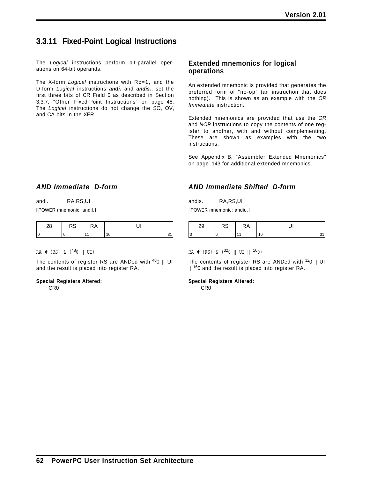# **3.3.11 Fixed-Point Logical Instructions**

The *Logical* instructions perform bit-parallel operations on 64-bit operands.

The X-form *Logical* instructions with Rc=1, and the D-form *Logical* instructions *andi.* and *andis.*, set the first three bits of CR Field 0 as described in Section 3.3.7, "Other Fixed-Point Instructions" on page 48. The *Logical* instructions do not change the SO, OV, and CA bits in the XER.

### **Extended mnemonics for logical operations**

An extended mnemonic is provided that generates the preferred form of "no-op" (an instruction that does nothing). This is shown as an example with the *OR Immediate* instruction.

Extended mnemonics are provided that use the *OR* and *NOR* instructions to copy the contents of one register to another, with and without complementing. These are shown as examples with the two instructions.

See Appendix B, "Assembler Extended Mnemonics" on page 143 for additional extended mnemonics.

### *AND Immediate D-form*

[POWER mnemonic: andil.]

| ື່ | $\mathbf{r}$<br>١n |  |
|----|--------------------|--|
|    |                    |  |

 $RA \leftarrow (RS) \& (480 || UI)$ 

The contents of register RS are ANDed with  $480$  || UI and the result is placed into register RA.

#### **Special Registers Altered:**

CR0

### *AND Immediate Shifted D-form*

andis. RA,RS,UI [POWER mnemonic: andiu.]

| 29 | RS | КA |  |
|----|----|----|--|
| 0  |    |    |  |

#### $RA \leftarrow (RS)$  &  $(320 || UI || 160)$

The contents of register RS are ANDed with  $320$  || UI  $||$  <sup>16</sup>0 and the result is placed into register RA.

**Special Registers Altered:**

CR0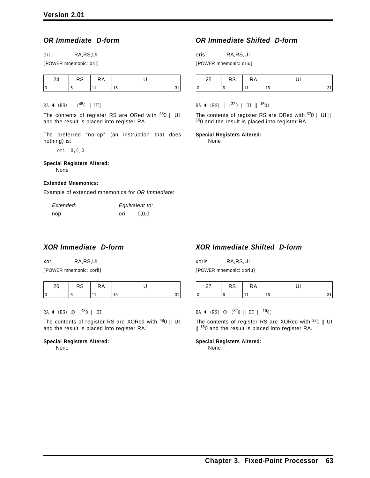## *OR Immediate D-form*

ori RA,RS,UI

[POWER mnemonic: oril]

| $\sim$ | ĸА |    |  |
|--------|----|----|--|
|        |    | 16 |  |

#### $RA \leftarrow (RS) | (480 || UI)$

The contents of register RS are ORed with  $480$  || UI and the result is placed into register RA.

The preferred "no-op" (an instruction that does nothing) is:

ori 0,0,0

# **Special Registers Altered:**

None

#### **Extended Mnemonics:**

Example of extended mnemonics for *OR Immediate*:

| Extended: |     | Equivalent to: |
|-----------|-----|----------------|
| nop       | ori | 0.0.0          |

# *XOR Immediate D-form*

xori RA,RS,UI [POWER mnemonic: xoril]

| -<br>$\sim$ | √.A |    |  |
|-------------|-----|----|--|
|             |     | 16 |  |

#### RA  $\leftarrow$  (RS)  $\oplus$  (<sup>48</sup>0 || UI)

The contents of register RS are XORed with  $480$  || UI and the result is placed into register RA.

#### **Special Registers Altered:**

None

# *OR Immediate Shifted D-form*

oris RA,RS,UI

[POWER mnemonic: oriu]

| $\sim$<br>د∠ | כא. | ĸА |    |
|--------------|-----|----|----|
|              |     |    | ۱ᠷ |

 $RA \leftarrow (RS) | (320 || UI || 160)$ 

The contents of register RS are ORed with  $320$  || UI || 160 and the result is placed into register RA.

**Special Registers Altered:**

None

# *XOR Immediate Shifted D-form*

| xoris | RA, RS, UI              |
|-------|-------------------------|
|       | [POWER mnemonic: xoriu] |

| <u>.</u> | טח | ĸА |  |
|----------|----|----|--|
| 0        |    |    |  |

 $RA$  ← (RS) ⊕ (<sup>32</sup>0 || UI || <sup>16</sup>0)

The contents of register RS are XORed with  $320$  || UI  $||$  <sup>16</sup>0 and the result is placed into register RA.

**Special Registers Altered:**

None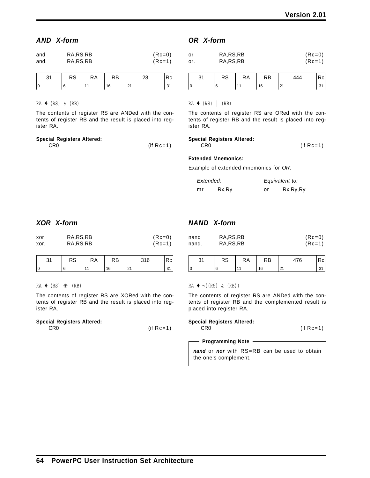## *AND X-form*

| and  | RA, RS, RB | $(Re=0)$ |
|------|------------|----------|
| and. | RA, RS, RB | $(RC=1)$ |

| <b>RS</b> | RA | RB | ററ |  |
|-----------|----|----|----|--|
|           |    | 16 |    |  |

 $RA \leftarrow (RS) \& (RB)$ 

The contents of register RS are ANDed with the contents of register RB and the result is placed into register RA.

| <b>Special Registers Altered:</b> |              |
|-----------------------------------|--------------|
| CR <sub>0</sub>                   | (if $Rc=1$ ) |

### *OR X-form*

| or  | RA, RS, RB | $(Re=0)$ |
|-----|------------|----------|
| or. | RA, RS, RB | $(Rc=1)$ |

|         | ◝◠ | ٢D |     | $\ddot{\phantom{0}}$ |
|---------|----|----|-----|----------------------|
| r<br>ι. |    |    | - 1 |                      |

#### $RA \leftarrow (RS) | (RB)$

The contents of register RS are ORed with the contents of register RB and the result is placed into register RA.

### **Special Registers Altered:**

CR0 (if Rc=1)

### **Extended Mnemonics:**

Example of extended mnemonics for *OR*:

| Extended: |       |    | Equivalent to: |            |
|-----------|-------|----|----------------|------------|
| mr        | Rx.Ry | or |                | Rx, Ry, Ry |

# *XOR X-form*

| xor  | RA, RS, RB | $(Re=0)$ |
|------|------------|----------|
| xor. | RA, RS, RB | (Rc=1)   |

| ົ<br>ູບ . | RS | КA | RB | 316    |  |
|-----------|----|----|----|--------|--|
|           |    |    | G  | $\sim$ |  |

#### $RA$  ← (RS) ⊕ (RB)

The contents of register RS are XORed with the contents of register RB and the result is placed into register RA.

#### **Special Registers Altered:**

CR0 (if Rc=1)

# *NAND X-form*

| nand  | RA, RS, RB | $(Re=0)$ |
|-------|------------|----------|
| nand. | RA, RS, RB | $(RC=1)$ |

| ົາ 4 | <b>RS</b> | RA | RB |    | Rci |
|------|-----------|----|----|----|-----|
| 0    |           |    | ់ភ | n, |     |

 $RA \leftarrow \neg ((RS) \& (RB))$ 

The contents of register RS are ANDed with the contents of register RB and the complemented result is placed into register RA.

#### **Special Registers Altered:**

CR0 (if Rc=1)

#### **Programming Note**

*nand* or *nor* with RS=RB can be used to obtain the one's complement.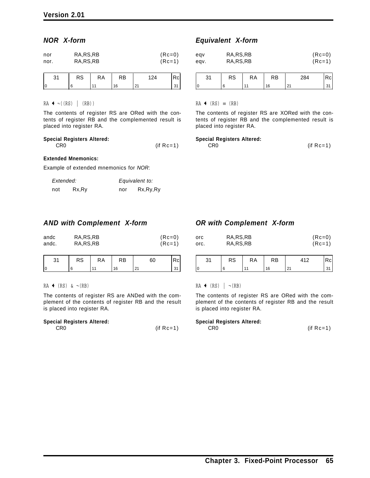### *NOR X-form*

| nor  | RA, RS, RB | $(Re=0)$ |
|------|------------|----------|
| nor. | RA, RS, RB | $(Re=1)$ |

| $\mathcal{D}$<br>ĸə | КA | RB |              | kC' |
|---------------------|----|----|--------------|-----|
|                     |    |    | . <u>.</u> . |     |

 $RA \leftarrow \neg ((RS) | (RB))$ 

The contents of register RS are ORed with the contents of register RB and the complemented result is placed into register RA.

#### **Special Registers Altered:** CR0 (if Rc=1)

#### **Extended Mnemonics:**

Example of extended mnemonics for *NOR*:

| Extended: |       |     | Equivalent to: |
|-----------|-------|-----|----------------|
| not       | Rx,Ry | nor | Rx, Ry, Ry     |

### *AND with Complement X-form*

| andc  | RA, RS, RB | $(Re=0)$ |
|-------|------------|----------|
| andc. | RA, RS, RB | $(Re=1)$ |

| n,<br>ີ | RS | ≺Α | RB  |   |
|---------|----|----|-----|---|
| ١c      |    |    | ' ፎ | ັ |

#### $RA \leftarrow (RS) \& \neg (RB)$

The contents of register RS are ANDed with the complement of the contents of register RB and the result is placed into register RA.

#### **Special Registers Altered:**

| CR0 | $(if Rc=1)$ |
|-----|-------------|
|     |             |

# *Equivalent X-form*

| eav  | RA, RS, RB | $(Re=0)$ |
|------|------------|----------|
| eqv. | RA, RS, RB | $(RC=1)$ |
|      |            |          |

| $\sim$ | <b>RS</b> | RA | RB | 284           | Rcl |
|--------|-----------|----|----|---------------|-----|
|        |           |    | 16 | $\sim$<br>ـ ء |     |

 $RA \leftarrow (RS) \equiv (RB)$ 

The contents of register RS are XORed with the contents of register RB and the complemented result is placed into register RA.

#### **Special Registers Altered:**

CR0 (if Rc=1)

|  | <b>OR with Complement X-form</b> |  |
|--|----------------------------------|--|
|  |                                  |  |

| orc  | RA, RS, RB | $(Rc=0)$ |
|------|------------|----------|
| orc. | RA, RS, RB | $(RC=1)$ |

| $\Omega$<br>ູບ. | RS | RA | RB | 112                  | C. |
|-----------------|----|----|----|----------------------|----|
|                 |    |    | 16 | $\mathcal{D}$<br>۰∠۰ |    |

### $RA \leftarrow (RS) | \neg (RB)$

The contents of register RS are ORed with the complement of the contents of register RB and the result is placed into register RA.

#### **Special Registers Altered:**

CR0 (if Rc=1)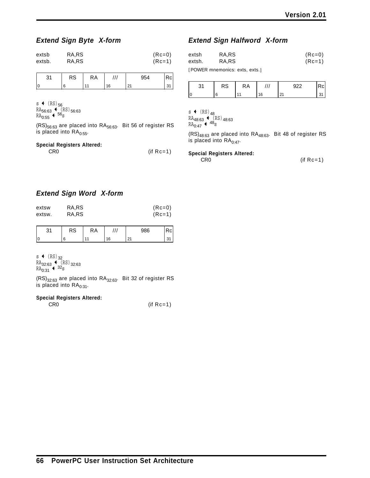# *Extend Sign Byte X-form*

| extsb  | RA,RS | $(Re=0)$ |
|--------|-------|----------|
| extsb. | RA,RS | (Rc=1)   |

| $\sim$ | <b>RA</b> | , , , | 05.1                   |  |
|--------|-----------|-------|------------------------|--|
|        |           | ۱۴    | $\sim$<br>. <u>.</u> . |  |

s  $\leftarrow$  (RS)  $_{56}$  $RA_{56:63}$   $\leftarrow$  (RS)<sub>56:63</sub>  $RA_{0:55}$  +  $^{56}$ s

 $(RS)_{56:63}$  are placed into  $RA_{56:63}$ . Bit 56 of register RS is placed into  $\text{RA}_{0:55}$ .

#### **Special Registers Altered:**

CR0 (if Rc=1)

# *Extend Sign Halfword X-form*

| extsh  | RA,RS | $(Re=0)$ |
|--------|-------|----------|
| extsh. | RA.RS | $(Re=1)$ |

[POWER mnemonics: exts, exts.]

|        | ∽<br>κə | ĸΑ |   | $\sim$ $\sim$ |  |
|--------|---------|----|---|---------------|--|
| r<br>U |         |    | ี | ۰.<br>. .     |  |

s  $\leftarrow$  (RS)  $_{48}$  $RA_{48:63}$  (RS)  $_{48:63}$ 

 $RA_{0:47}$  +  $^{48}$ s

 $(RS)_{48:63}$  are placed into  $RA_{48:63}$ . Bit 48 of register RS is placed into  $RA<sub>0:47</sub>$ .

#### **Special Registers Altered:**

CR0 (if Rc=1)

# *Extend Sign Word X-form*

| extsw  | RA,RS | $(Re=0)$ |
|--------|-------|----------|
| extsw. | RA,RS | $(RC=1)$ |
|        |       |          |

|    | no<br><b>s</b> | RA | 28G | <sub>C</sub> |
|----|----------------|----|-----|--------------|
| ١O |                |    |     |              |

s  $\leftarrow$  (RS)  $_{32}$  $RA_{32:63}$   $\leftarrow$  (RS)<sub>32:63</sub>  $RA_{0:31} + 32s$ 

 $(RS)_{32:63}$  are placed into  $RA_{32:63}$ . Bit 32 of register RS is placed into  $RA<sub>0:31</sub>$ .

#### **Special Registers Altered:**

CR0 (if Rc=1)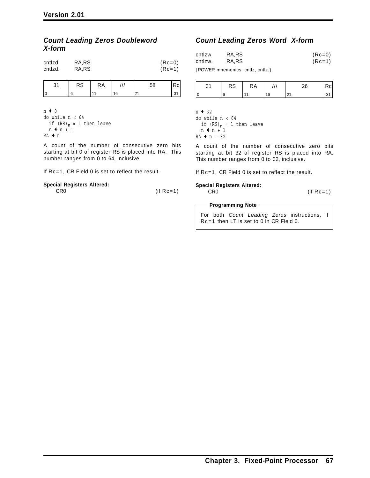## *Count Leading Zeros Doubleword X-form*

| cntlzd  | RA,RS | $(Re=0)$ |
|---------|-------|----------|
| cntlzd. | RA,RS | $(Re=1)$ |

| RS | RA             |    | 58 |  |
|----|----------------|----|----|--|
|    | $\overline{A}$ | 16 | ິ  |  |

 $n + 0$ do while n < 64 if (RS)<sub>n</sub> = 1 then leave  $n + n + 1$ RA ← n

A count of the number of consecutive zero bits starting at bit 0 of register RS is placed into RA. This number ranges from 0 to 64, inclusive.

If Rc=1, CR Field 0 is set to reflect the result.

#### **Special Registers Altered:**  $CR0$  (if  $Rc=1$ )

## *Count Leading Zeros Word X-form*

| cntlzw  | RA.RS | $(Re=0)$ |
|---------|-------|----------|
| cntlzw. | RA.RS | $(Rc=1)$ |

[POWER mnemonics: cntlz, cntlz.]

| າ 1 | <b>RS</b> | RA |    | ጎድ          |  |
|-----|-----------|----|----|-------------|--|
|     |           |    | 16 | $\sim$<br>້ |  |

 $n + 32$ do while n < 64 if  $(RS)_n = 1$  then leave  $n + n + 1$  $RA$  ←  $n - 32$ 

A count of the number of consecutive zero bits starting at bit 32 of register RS is placed into RA. This number ranges from 0 to 32, inclusive.

If Rc=1, CR Field 0 is set to reflect the result.

#### **Special Registers Altered:**

CR0 (if Rc=1)

#### - Programming Note -

For both *Count Leading Zeros* instructions, if Rc=1 then LT is set to 0 in CR Field 0.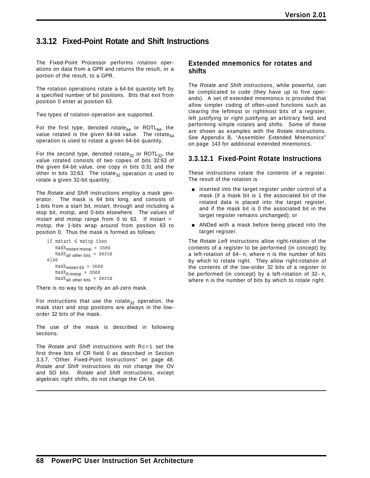# **3.3.12 Fixed-Point Rotate and Shift Instructions**

The Fixed-Point Processor performs rotation operations on data from a GPR and returns the result, or a portion of the result, to a GPR.

The rotation operations rotate a 64-bit quantity left by a specified number of bit positions. Bits that exit from position 0 enter at position 63.

Two types of rotation operation are supported.

For the first type, denoted rotate $_{64}$  or ROTL $_{64}$ , the value rotated is the given 64-bit value. The rotate $64$ operation is used to rotate a given 64-bit quantity.

For the second type, denoted rotate<sub>32</sub> or ROTL<sub>32</sub>, the value rotated consists of two copies of bits 32:63 of the given 64-bit value, one copy in bits 0:31 and the other in bits 32:63. The rotate<sub>32</sub> operation is used to rotate a given 32-bit quantity.

The *Rotate and Shift* instructions employ a mask generator. The mask is 64 bits long, and consists of 1-bits from a start bit, *mstart*, through and including a stop bit, *mstop*, and 0-bits elsewhere. The values of *mstart* and *mstop* range from 0 to 63. If *mstart* > *mstop*, the 1-bits wrap around from position 63 to position 0. Thus the mask is formed as follows:

```
if mstart ≤ mstop then
    mask_{\text{mstart:mstop}} = ones
    mask_{all} other bits = zeros
else
    mask_{\text{mstart}:63} = onesmask_{0:mstop} = onesmask_{all} other bits = zeros
```
There is no way to specify an all-zero mask.

For instructions that use the rotate<sub>32</sub> operation, the mask start and stop positions are always in the loworder 32 bits of the mask.

The use of the mask is described in following sections.

The *Rotate and Shift* instructions with Rc=1 set the first three bits of CR field 0 as described in Section 3.3.7, "Other Fixed-Point Instructions" on page 48. *Rotate and Shift* instructions do not change the OV and SO bits. *Rotate and Shift* instructions, except algebraic right shifts, do not change the CA bit.

### **Extended mnemonics for rotates and shifts**

The *Rotate and Shift* instructions, while powerful, can be complicated to code (they have up to five operands). A set of extended mnemonics is provided that allow simpler coding of often-used functions such as clearing the leftmost or rightmost bits of a register, left justifying or right justifying an arbitrary field, and performing simple rotates and shifts. Some of these are shown as examples with the *Rotate* instructions. See Appendix B, "Assembler Extended Mnemonics" on page 143 for additional extended mnemonics.

# **3.3.12.1 Fixed-Point Rotate Instructions**

These instructions rotate the contents of a register. The result of the rotation is

- $\blacksquare$  inserted into the target register under control of a mask (if a mask bit is 1 the associated bit of the rotated data is placed into the target register, and if the mask bit is 0 the associated bit in the target register remains unchanged); or
- **ANDed with a mask before being placed into the** target register.

The *Rotate Left* instructions allow right-rotation of the contents of a register to be performed (in concept) by a left-rotation of 64− n, where n is the number of bits by which to rotate right. They allow right-rotation of the contents of the low-order 32 bits of a register to be performed (in concept) by a left-rotation of 32− n, where n is the number of bits by which to rotate right.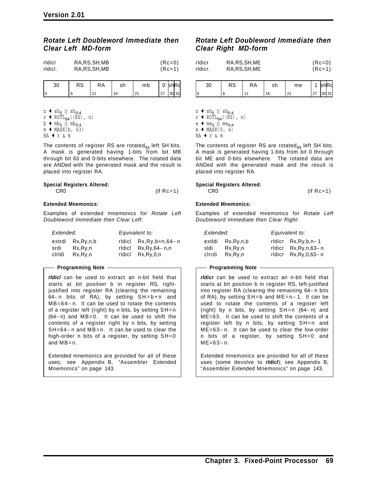### *Rotate Left Doubleword Immediate then Clear Left MD-form*

| ridici  | RA, RS, SH, MB | $(Re=0)$ |
|---------|----------------|----------|
| ridici. | RA, RS, SH, MB | $(RC=1)$ |

| ບບ | w | ĸА | r r<br>יוס | mb | ⌒<br>v       | ∩י |
|----|---|----|------------|----|--------------|----|
|    |   |    |            |    | $\mathbf{z}$ | 24 |

n  $\leftrightarrow$  sh<sub>5</sub> || sh<sub>0:4</sub>  $r \triangleleft ROTL_{64}((RS), n)$ 

- $b \text{ thm}$ <sub>5</sub> || mb<sub>0:4</sub>
- $m \leftarrow \text{MASK}(b, 63)$
- RA  $\text{tr}$  & m

The contents of register RS are rotated $_{64}$  left SH bits. A mask is generated having 1-bits from bit MB through bit 63 and 0-bits elsewhere. The rotated data are ANDed with the generated mask and the result is placed into register RA.

#### **Special Registers Altered:** CR0 (if Rc=1)

#### **Extended Mnemonics:**

Examples of extended mnemonics for *Rotate Left Doubleword Immediate then Clear Left*:

| Extended: |           | Equivalent to:          |  |  |
|-----------|-----------|-------------------------|--|--|
| extrdi    | Rx,Ry,n,b | rldicl $Rx,Ry,b+n,64-n$ |  |  |
| srdi      | Rx.Rv.n   | ridici $Rx.Rv,64 - n,n$ |  |  |
| ciridi    | Rx.Rv.n   | ridici Rx, Ry, 0, n     |  |  |

#### **Programming Note**

*rldicl* can be used to extract an n-bit field that starts at bit position b in register RS, rightjustified into register RA (clearing the remaining 64-n bits of RA), by setting SH=b+n and MB=64− n. It can be used to rotate the contents of a register left (right) by n bits, by setting SH=n (64− n) and MB=0. It can be used to shift the contents of a register right by n bits, by setting SH=64− n and MB=n. It can be used to clear the high-order n bits of a register, by setting SH=0 and MB=n.

Extended mnemonics are provided for all of these uses; see Appendix B, "Assembler Extended Mnemonics" on page 143.

# *Rotate Left Doubleword Immediate then Clear Right MD-form*

| rldicr  | RA, RS, SH, ME | $(Re=0)$ |
|---------|----------------|----------|
| rldicr. | RA, RS, SH, ME | $(Re=1)$ |
|         |                |          |

| 30 | RS | КA | sh | me                 |    |      |
|----|----|----|----|--------------------|----|------|
| ١c |    |    | ۱ĥ | $\mathcal{D}$<br>້ | 27 | ا 31 |

n  $\leftrightarrow$  sh<sub>5</sub> || sh<sub>0:4</sub>  $r$  + ROTL<sub>64</sub>((RS), n)

 $e \leftarrow me_5$  || me<sub>0:4</sub>

 $m + \text{MASK}(0, e)$ 

RA + r & m

The contents of register RS are rotated $_{64}$  left SH bits. A mask is generated having 1-bits from bit 0 through bit ME and 0-bits elsewhere. The rotated data are ANDed with the generated mask and the result is placed into register RA.

#### **Special Registers Altered:**

 $CRO$  (if  $Rc=1$ )

#### **Extended Mnemonics:**

Examples of extended mnemonics for *Rotate Left Doubleword Immediate then Clear Right*:

| Extended: |           | Equivalent to: |                            |  |
|-----------|-----------|----------------|----------------------------|--|
| extldi    | Rx,Ry,n,b |                | ridicr $Rx,Rv,b,n-1$       |  |
| sldi      | Rx.Rv.n   |                | rldicr Rx, Ry, n, 63-n     |  |
| cirrdi    | Rx.Rv.n   |                | rldicr $Rx, Ry, 0, 63 - n$ |  |

#### **Programming Note**

*rldicr* can be used to extract an n-bit field that starts at bit position b in register RS, left-justified into register RA (clearing the remaining 64− n bits of RA), by setting SH=b and ME=n− 1. It can be used to rotate the contents of a register left (right) by n bits, by setting SH=n (64− n) and ME=63. It can be used to shift the contents of a register left by n bits, by setting SH=n and ME=63− n. It can be used to clear the low-order n bits of a register, by setting SH=0 and ME=63− n.

Extended mnemonics are provided for all of these uses (some devolve to *rldicl*); see Appendix B, "Assembler Extended Mnemonics" on page 143.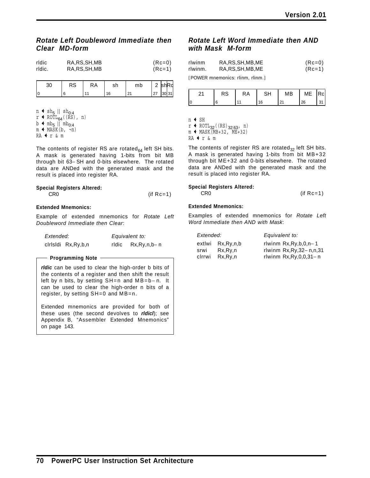### *Rotate Left Doubleword Immediate then Clear MD-form*

| ridic  | RA, RS, SH, MB | $(Re=0)$ |
|--------|----------------|----------|
| rldic. | RA, RS, SH, MB | (Rc=1)   |

| $\sim$<br>ບບ | nc<br>κə | .⊀A | ິ<br>، رت | mb      | $\sqrt{2}$              |    |
|--------------|----------|-----|-----------|---------|-------------------------|----|
|              |          |     | I<br>v    | n,<br>_ | $\sim$<br>$\mathcal{L}$ | 24 |

 $n \triangleleft sh_5 || sh_{0:4}$  $r \triangleleft ROTL_{64}((RS), n)$  $b \leftarrow mb_5 || mb_{0.4}$  $m + MASK(b, \neg n)$  $RA + r & m$ 

The contents of register RS are rotated $_{64}$  left SH bits. A mask is generated having 1-bits from bit MB through bit 63− SH and 0-bits elsewhere. The rotated data are ANDed with the generated mask and the result is placed into register RA.

#### **Special Registers Altered:**

| CR <sub>0</sub> | $(if Rc=1)$ |
|-----------------|-------------|
|                 |             |

#### **Extended Mnemonics:**

Example of extended mnemonics for *Rotate Left Doubleword Immediate then Clear*:

| Extended: |                    |       | Equivalent to:     |
|-----------|--------------------|-------|--------------------|
|           | cirisidi Rx,Ry,b,n | ridic | $Rx, Ry, n, b - n$ |

#### **Programming Note**

*rldic* can be used to clear the high-order b bits of the contents of a register and then shift the result left by n bits, by setting SH=n and MB=b-n. It can be used to clear the high-order n bits of a register, by setting SH=0 and MB=n.

Extended mnemonics are provided for both of these uses (the second devolves to *rldicl*); see Appendix B, "Assembler Extended Mnemonics" on page 143.

### *Rotate Left Word Immediate then AND with Mask M-form*

| rlwinm  | RA, RS, SH, MB, ME | $(Re=0)$ |
|---------|--------------------|----------|
| rlwinm. | RA, RS, SH, MB, ME | $(Re=1)$ |
|         | $F_{\mathbf{A}}$   |          |

[POWER mnemonics: rlinm, rlinm.]

| ິ | RS | RA | SН | MВ               | ME | Rc |
|---|----|----|----|------------------|----|----|
|   |    |    | 16 | $\sim$<br>$\sim$ | 26 |    |

n + SH

 $r$  + ROTL<sub>32</sub>((RS)<sub>32:63</sub>, n)

 $m \leftarrow \text{MASK}(MB+32, ME+32)$ 

RA  $\text{tr}$  & m

The contents of register RS are rotated<sub>32</sub> left SH bits. A mask is generated having 1-bits from bit MB+32 through bit ME+32 and 0-bits elsewhere. The rotated data are ANDed with the generated mask and the result is placed into register RA.

#### **Special Registers Altered:**

CR0 (if Rc=1)

#### **Extended Mnemonics:**

Examples of extended mnemonics for *Rotate Left Word Immediate then AND with Mask*:

| Extended: |           | Equivalent to:                 |
|-----------|-----------|--------------------------------|
| extlwi    | Rx.Ry.n.b | rlwinm $Rx,Ry,b,0,n-1$         |
| srwi      | Rx.Rv.n   | rlwinm $Rx, Ry, 32 - n, n, 31$ |
| clrrwi    | Rx,Rv,n   | rlwinm $Rx, Ry, 0, 0, 31 - n$  |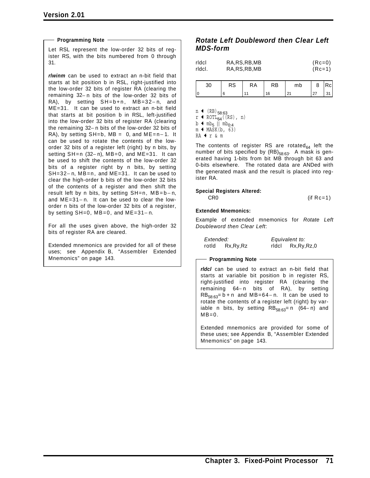#### **Programming Note**

Let RSL represent the low-order 32 bits of register RS, with the bits numbered from 0 through 31.

*rlwinm* can be used to extract an n-bit field that starts at bit position b in RSL, right-justified into the low-order 32 bits of register RA (clearing the remaining 32− n bits of the low-order 32 bits of RA), by setting SH=b+n, MB=32− n, and ME=31. It can be used to extract an n-bit field that starts at bit position b in RSL, left-justified into the low-order 32 bits of register RA (clearing the remaining 32− n bits of the low-order 32 bits of RA), by setting SH=b, MB = 0, and ME=n− 1. It can be used to rotate the contents of the loworder 32 bits of a register left (right) by n bits, by setting SH=n (32-n), MB=0, and ME=31. It can be used to shift the contents of the low-order 32 bits of a register right by n bits, by setting SH=32− n, MB=n, and ME=31. It can be used to clear the high-order b bits of the low-order 32 bits of the contents of a register and then shift the result left by n bits, by setting  $SH=n$ ,  $MB=b-n$ , and ME=31− n. It can be used to clear the loworder n bits of the low-order 32 bits of a register, by setting SH=0, MB=0, and ME=31− n.

For all the uses given above, the high-order 32 bits of register RA are cleared.

Extended mnemonics are provided for all of these uses; see Appendix B, "Assembler Extended Mnemonics" on page 143.

### *Rotate Left Doubleword then Clear Left MDS-form*

| rldcl  | RA, RS, RB, MB | $(Re=0)$ |
|--------|----------------|----------|
| rldcl. | RA, RS, RB, MB | $(Re=1)$ |

| ບບ | 10 | RA | RB | mb | o   |  |
|----|----|----|----|----|-----|--|
|    |    |    |    | n. | ، ے |  |

 $n$  ← (RB)<sub>58:63</sub>  $r$  + ROTL<sub>64</sub>((RS), n)  $b \triangleleft m b_5 || m b_{0.4}$ 

 $m + MASK(b, 63)$ 

RA + r & m

The contents of register RS are rotated $_{64}$  left the number of bits specified by  $(RB)_{58:63}$ . A mask is generated having 1-bits from bit MB through bit 63 and 0-bits elsewhere. The rotated data are ANDed with the generated mask and the result is placed into register RA.

#### **Special Registers Altered:**

 $CR0$  (if  $Rc=1$ )

#### **Extended Mnemonics:**

Example of extended mnemonics for *Rotate Left Doubleword then Clear Left*:

| Extended: |            |       | Equivalent to: |
|-----------|------------|-------|----------------|
| rotld     | Rx, Ry, Rz | ridci | Rx,Ry,Rz,0     |

#### **Programming Note**

*rldcl* can be used to extract an n-bit field that starts at variable bit position b in register RS, right-justified into register RA (clearing the remaining 64− n bits of RA), by setting  $RB_{58:63}=b+n$  and MB=64-n. It can be used to rotate the contents of a register left (right) by variable n bits, by setting  $RB_{58:63}=n$  (64-n) and  $MB=0.$ 

Extended mnemonics are provided for some of these uses; see Appendix B, "Assembler Extended Mnemonics" on page 143.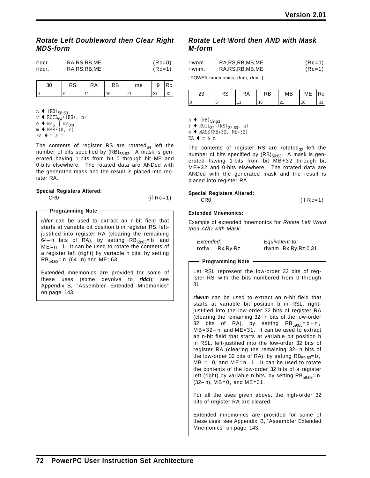### *Rotate Left Doubleword then Clear Right MDS-form*

| rldcr  | RA, RS, RB, ME | $(Re=0)$ |
|--------|----------------|----------|
| rldcr. | RA, RS, RB, ME | (Rc=1)   |

| ບບ | 93 | RA | RΒ | me | u<br>÷     | c. |
|----|----|----|----|----|------------|----|
|    |    |    |    |    | 27<br>ا ہے |    |

 $n$  ← (RB)<sub>58:63</sub>  $r$  + ROTL<sub>64</sub>((RS), n)  $e \cdot \text{me}_{5}$  || me<sub>0:4</sub>  $m + MASK(0, e)$ RA  $\text{tr}$  & m

The contents of register RS are rotated $_{64}$  left the number of bits specified by  $(RB)_{58:63}$ . A mask is generated having 1-bits from bit 0 through bit ME and 0-bits elsewhere. The rotated data are ANDed with the generated mask and the result is placed into register RA.

## **Special Registers Altered:**

CR0 (if Rc=1)

#### **Programming Note**

*rldcr* can be used to extract an n-bit field that starts at variable bit position b in register RS, leftjustified into register RA (clearing the remaining 64− n bits of RA), by setting RB $_{58:63}=$  b and ME=n− 1. It can be used to rotate the contents of a register left (right) by variable n bits, by setting  $RB_{58:63}=n(64-n)$  and ME=63.

Extended mnemonics are provided for some of these uses (some devolve to *rldcl*); see Appendix B, "Assembler Extended Mnemonics" on page 143.

## *Rotate Left Word then AND with Mask M-form*

| rlwnm  | RA, RS, RB, MB, ME                          | $(Re=0)$ |
|--------|---------------------------------------------|----------|
| rlwnm. | RA, RS, RB, MB, ME                          | $(Re=1)$ |
|        | $FDMMFD$ as a second solution of the second |          |

[POWER mnemonics: rlnm, rlnm.]

| ົ<br>دے | nn<br>כא | ΚA | RB | МB                     | ME | IRCI. |
|---------|----------|----|----|------------------------|----|-------|
|         |          |    | 16 | $\mathbf{C}$<br>$\sim$ | 26 |       |

 $n \leftarrow (RB)_{59:63}$ 

 $r$  + ROTL<sub>32</sub>((RS)<sub>32:63</sub>, n)

 $m \leftarrow \text{MASK}(MB+32, ME+32)$ 

RA  $\text{tr}$  & m

The contents of register RS are rotated<sub>32</sub> left the number of bits specified by  $(RB)_{59:63}$ . A mask is generated having 1-bits from bit MB+32 through bit ME+32 and 0-bits elsewhere. The rotated data are ANDed with the generated mask and the result is placed into register RA.

#### **Special Registers Altered:**

 $CR0$  (if  $Rc=1$ )

#### **Extended Mnemonics:**

Example of extended mnemonics for *Rotate Left Word then AND with Mask*:

| Extended: |            | Equivalent to:          |  |  |
|-----------|------------|-------------------------|--|--|
| rotlw     | Rx, Ry, Rz | rlwnm Rx, Ry, Rz, 0, 31 |  |  |

#### **Programming Note**

Let RSL represent the low-order 32 bits of register RS, with the bits numbered from 0 through 31.

*rlwnm* can be used to extract an n-bit field that starts at variable bit position b in RSL, rightjustified into the low-order 32 bits of register RA (clearing the remaining 32− n bits of the low-order 32 bits of RA), by setting  $RB_{59:63}=b+n$ , MB=32− n, and ME=31. It can be used to extract an n-bit field that starts at variable bit position b in RSL, left-justified into the low-order 32 bits of register RA (clearing the remaining 32− n bits of the low-order 32 bits of RA), by setting  $RB_{59:63}=b$ , MB = 0, and ME=n− 1. It can be used to rotate the contents of the low-order 32 bits of a register left (right) by variable n bits, by setting  $RB_{59:63}=n$ (32− n), MB=0, and ME=31.

For all the uses given above, the high-order 32 bits of register RA are cleared.

Extended mnemonics are provided for some of these uses; see Appendix B, "Assembler Extended Mnemonics" on page 143.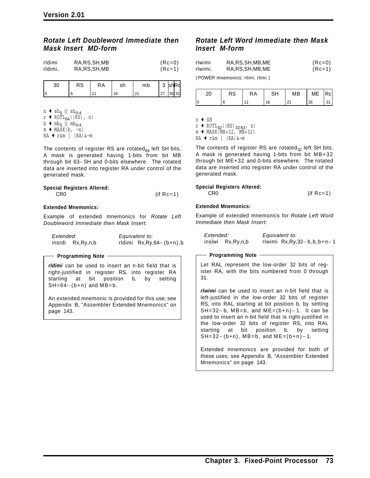### *Rotate Left Doubleword Immediate then Mask Insert MD-form*

| rldimi  | RA, RS, SH, MB | $(Re=0)$ |
|---------|----------------|----------|
| rldimi. | RA, RS, SH, MB | $(Re=1)$ |

| RS | .kA | r r<br>5H | mb | $\sim$<br>ັ  | <b>IshRd</b> |      |
|----|-----|-----------|----|--------------|--------------|------|
|    |     |           |    | $\mathbf{z}$ |              | 1311 |

 $n \triangleleft sh_5 || sh_{0:4}$ 

- $r \triangleleft ROTL_{64}((RS), n)$
- $b \triangleleft m b_5 || m b_{0.4}$
- $m \leftarrow \text{MASK}(b, \neg n)$
- RA ← r&m | (RA)&¬m

The contents of register RS are rotated $_{64}$  left SH bits. A mask is generated having 1-bits from bit MB through bit 63− SH and 0-bits elsewhere. The rotated data are inserted into register RA under control of the generated mask.

#### **Special Registers Altered:**

CR0 (if Rc=1)

#### **Extended Mnemonics:**

Example of extended mnemonics for *Rotate Left Doubleword Immediate then Mask Insert*:

| Extended: |                     | Equivalent to:               |  |  |
|-----------|---------------------|------------------------------|--|--|
|           | insrdi Rx, Ry, n, b | rldimi $Rx, Ry, 64-(b+n), b$ |  |  |

#### **Programming Note**

*rldimi* can be used to insert an n-bit field that is right-justified in register RS, into register RA starting at bit position b, by setting  $SH=64-(b+n)$  and  $MB=b$ .

An extended mnemonic is provided for this use; see Appendix B, "Assembler Extended Mnemonics" on page 143.

### *Rotate Left Word Immediate then Mask Insert M-form*

| rlwimi  | RA, RS, SH, MB, ME | $(Re=0)$ |
|---------|--------------------|----------|
| rlwimi. | RA, RS, SH, MB, ME | $(Re=1)$ |
|         |                    |          |

[POWER mnemonics: rlimi, rlimi.]

|    | n o<br>ĸə | КA | ⊂⊔ | МB | ME | Rcl |
|----|-----------|----|----|----|----|-----|
| I٥ |           |    |    | Ζ. | 26 |     |

n + SH

 $r$   $\leftarrow$  ROTL<sub>32</sub>((RS)<sub>32:63</sub>, n)

 $m \leftarrow \text{MASK}(MB+32, ME+32)$ 

 $RA + r$ &m |  $(RA)$ &¬m

The contents of register RS are rotated<sub>32</sub> left SH bits. A mask is generated having 1-bits from bit MB+32 through bit ME+32 and 0-bits elsewhere. The rotated data are inserted into register RA under control of the generated mask.

#### **Special Registers Altered:**

CR0 (if Rc=1)

#### **Extended Mnemonics:**

Example of extended mnemonics for *Rotate Left Word Immediate then Mask Insert*:

| Extended: |                  | Equivalent to:                    |
|-----------|------------------|-----------------------------------|
|           | inslwi Rx,Ry,n,b | rlwimi $Rx, Ry, 32 - b, b, b+n-1$ |

**Programming Note**

Let RAL represent the low-order 32 bits of register RA, with the bits numbered from 0 through 31.

*rlwimi* can be used to insert an n-bit field that is left-justified in the low-order 32 bits of register RS, into RAL starting at bit position b, by setting SH=32−b, MB=b, and ME= $(b+n)-1$ . It can be used to insert an n-bit field that is right-justified in the low-order 32 bits of register RS, into RAL starting at bit position b, by setting  $SH=32-(b+n)$ , MB=b, and ME= $(b+n)-1$ .

Extended mnemonics are provided for both of these uses; see Appendix B, "Assembler Extended Mnemonics" on page 143.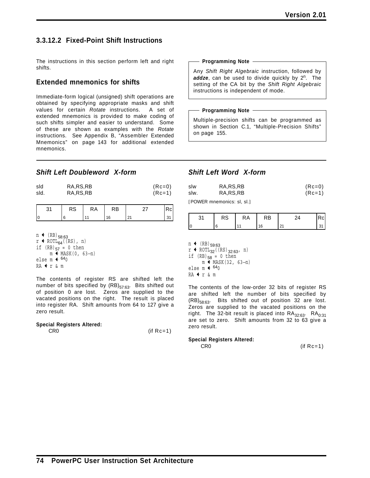# **3.3.12.2 Fixed-Point Shift Instructions**

The instructions in this section perform left and right shifts.

## **Extended mnemonics for shifts**

Immediate-form logical (unsigned) shift operations are obtained by specifying appropriate masks and shift values for certain *Rotate* instructions. A set of extended mnemonics is provided to make coding of such shifts simpler and easier to understand. Some of these are shown as examples with the *Rotate* instructions. See Appendix B, "Assembler Extended Mnemonics" on page 143 for additional extended mnemonics.

### **Programming Note**

Any *Shift Right Algebraic* instruction, followed by addze, can be used to divide quickly by 2<sup>n</sup>. The setting of the CA bit by the *Shift Right Algebraic* instructions is independent of mode.

#### **Programming Note**

Multiple-precision shifts can be programmed as shown in Section C.1, "Multiple-Precision Shifts" on page 155.

## *Shift Left Doubleword X-form*

| sld  | RA, RS, RB | $(Re=0)$ |
|------|------------|----------|
| sld. | RA, RS, RB | $(Re=1)$ |

| ⌒<br>۸Ű | $\mathcal{A}$ | RB |  |
|---------|---------------|----|--|
|         |               |    |  |

 $n \leftarrow (RB)_{58:63}$ 

r  $\leftrightarrow$  ROTL<sub>64</sub>((RS), n) if  $(RB)_{57} = 0$  then m  $\leftrightarrow$  MASK(0, 63-n) else m  $\leftarrow$   $640$ RA  $\texttt{f r}$  & m

The contents of register RS are shifted left the number of bits specified by  $(RB)_{57:63}$ . Bits shifted out of position 0 are lost. Zeros are supplied to the vacated positions on the right. The result is placed into register RA. Shift amounts from 64 to 127 give a zero result.

#### **Special Registers Altered:**

CR0 (if Rc=1)

## *Shift Left Word X-form*

| slw  | RA, RS, RB | $(Re=0)$ |
|------|------------|----------|
| slw. | RA, RS, RB | $(Re=1)$ |

[POWER mnemonics: sl, sl.]

|    | RS | ĸА | RВ |  |
|----|----|----|----|--|
| ١c |    |    | 6  |  |

 $n \leftarrow (RB)_{59:63}$  $r$  + ROTL<sub>32</sub>((RS)<sub>32:63</sub>, n) if  $(RB)_{58} = 0$  then m <sup> $\leftarrow$ </sup> MASK(32, 63-n) else m $\blacklozenge$  640  $RA + r & m$ 

The contents of the low-order 32 bits of register RS are shifted left the number of bits specified by  $(RB)_{58:63}$ . Bits shifted out of position 32 are lost. Zeros are supplied to the vacated positions on the right. The 32-bit result is placed into  $RA_{32:63}$ .  $RA_{0:31}$ are set to zero. Shift amounts from 32 to 63 give a zero result.

#### **Special Registers Altered:**

CR0 (if Rc=1)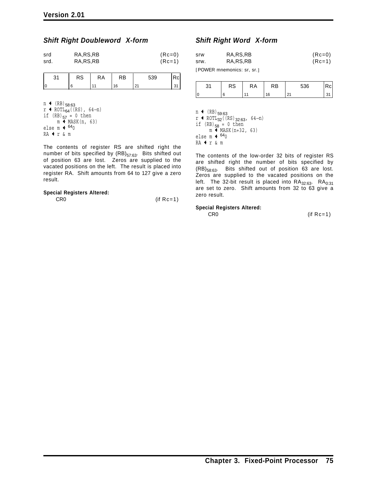### *Shift Right Doubleword X-form*

| srd  | RA, RS, RB | $(Re=0)$ |
|------|------------|----------|
| srd. | RA, RS, RB | $(Re=1)$ |

| RS | КA | RB | 539 |  |
|----|----|----|-----|--|
|    |    |    |     |  |

 $n \leftarrow (RB)_{58:63}$  $r$  ← ROTL<sub>64</sub>((RS), 64-n) if  $(RB)_{57} = 0$  then  $m \leftarrow \text{MASK}(n, 63)$ else m  $\leftarrow$   $640$  $RA + r$  & m

The contents of register RS are shifted right the number of bits specified by  $(RB)_{57:63}$ . Bits shifted out of position 63 are lost. Zeros are supplied to the vacated positions on the left. The result is placed into register RA. Shift amounts from 64 to 127 give a zero result.

#### **Special Registers Altered:**

| CR <sub>0</sub> | $(if Rc=1)$ |  |
|-----------------|-------------|--|
|                 |             |  |

## *Shift Right Word X-form*

| srw  | RA, RS, RB | $(Re=0)$ |
|------|------------|----------|
| srw. | RA, RS, RB | $(Re=1)$ |

[POWER mnemonics: sr, sr.]

| ົ | n o<br>кэ | КA | RB | 536                  |  |
|---|-----------|----|----|----------------------|--|
|   |           |    | 16 | $\sim$<br><u> 41</u> |  |

n  $\leftarrow$  (RB)<sub>59:63</sub>  $r$  ← ROTL<sub>32</sub>((RS)<sub>32:63</sub>, 64-n) if  $(RB)_{58} = 0$  then m + MASK(n+32, 63) else m $\blacklozenge$  640  $RA$   $r$  & m

The contents of the low-order 32 bits of register RS are shifted right the number of bits specified by (RB)58:63. Bits shifted out of position 63 are lost. Zeros are supplied to the vacated positions on the left. The 32-bit result is placed into  $\mathsf{RA}_{32:63}$ .  $\mathsf{RA}_{0:31}$ are set to zero. Shift amounts from 32 to 63 give a zero result.

#### **Special Registers Altered:**

CR0 (if Rc=1)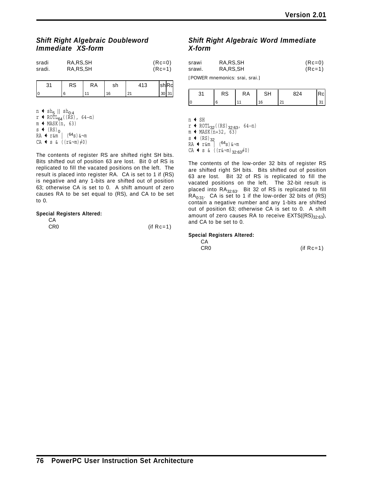## *Shift Right Algebraic Doubleword Immediate XS-form*

| sradi  | RA, RS, SH | $(Re=0)$ |
|--------|------------|----------|
| sradi. | RA, RS, SH | $(Re=1)$ |

| ົ<br>ັບເ | RS | КA | sh |        | $\sim$ $\sim$<br>וווט | ᅟᅵᆷᆺ   |
|----------|----|----|----|--------|-----------------------|--------|
|          |    |    | 16 | $\sim$ | 30 <sup>1</sup>       | $\sim$ |

n  $\leftrightarrow$  sh<sub>5</sub> || sh<sub>0:4</sub> r ← ROTL<sub>64</sub>((RS), 64−n)  $m$   $\blacktriangleleft$  MASK(n, 63) s  $\leftarrow$  (RS)<sub>0</sub> RA Q r&m | (64s)&¬m  $CA \leftarrow s \& ((r\&\neg\mathfrak{m})\neq 0)$ 

The contents of register RS are shifted right SH bits. Bits shifted out of position 63 are lost. Bit 0 of RS is replicated to fill the vacated positions on the left. The result is placed into register RA. CA is set to 1 if (RS) is negative and any 1-bits are shifted out of position 63; otherwise CA is set to 0. A shift amount of zero causes RA to be set equal to (RS), and CA to be set to 0.

#### **Special Registers Altered:**

| CA              |             |
|-----------------|-------------|
| CR <sub>0</sub> | $(if Rc=1)$ |

## *Shift Right Algebraic Word Immediate X-form*

| srawi  | RA, RS, SH | $(Re=0)$ |
|--------|------------|----------|
| srawi. | RA.RS.SH   | $(Re=1)$ |
|        |            |          |

[POWER mnemonics: srai, srai.]

| $\sim$<br>כא | КA |   | ົ່       |  |
|--------------|----|---|----------|--|
|              |    | 6 | $\sim$ 1 |  |

n + SH

 $r$  ← ROTL<sub>32</sub>((RS)<sub>32:63</sub>, 64-n)  $m$  + MASK(n+32, 63)  $s$  (RS)<sub>32</sub>  $RA + r$ &m |  $(64s)$  & $\neg$ m  $CA \Leftrightarrow s \& ((r\&\neg\mathfrak{m})_{32:63}\neq 0)$ 

The contents of the low-order 32 bits of register RS are shifted right SH bits. Bits shifted out of position 63 are lost. Bit 32 of RS is replicated to fill the vacated positions on the left. The 32-bit result is placed into  $RA_{32:63}$ . Bit 32 of RS is replicated to fill  $RA<sub>0:31</sub>$ . CA is set to 1 if the low-order 32 bits of (RS) contain a negative number and any 1-bits are shifted out of position 63; otherwise CA is set to 0. A shift amount of zero causes RA to receive  $EXTS((RS)_{32:63})$ , and CA to be set to 0.

#### **Special Registers Altered:**

| CA              |             |
|-----------------|-------------|
| CR <sub>0</sub> | $(if Rc=1)$ |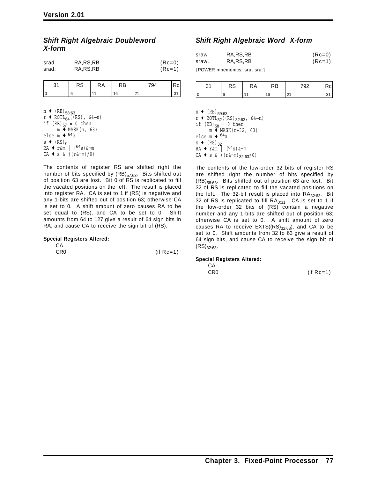## *Shift Right Algebraic Doubleword X-form*

| srad  | RA, RS, RB | $(Re=0)$ |
|-------|------------|----------|
| srad. | RA, RS, RB | $(Re=1)$ |

| ັ<br>. . | RS | RA | RB | 794    | $\sqrt{C}$ |
|----------|----|----|----|--------|------------|
|          |    | ٠  | 16 | $\sim$ |            |

 $n$  ← (RB)<sub>58:63</sub>  $r$  ← ROTL<sub>64</sub>((RS), 64-n) if  $(RB)_{57} = 0$  then  $m \leftarrow \text{MASK}(n, 63)$ else m  $\div$  <sup>64</sup>0  $s$  (RS)<sub>0</sub>  $RA + r$ &m |  $(64s)$ & $\neg$ m CA  $\leftrightarrow$  s & ((r&¬m) $\neq$ 0)

The contents of register RS are shifted right the number of bits specified by  $(RB)_{57:63}$ . Bits shifted out of position 63 are lost. Bit 0 of RS is replicated to fill the vacated positions on the left. The result is placed into register RA. CA is set to 1 if (RS) is negative and any 1-bits are shifted out of position 63; otherwise CA is set to 0. A shift amount of zero causes RA to be set equal to (RS), and CA to be set to 0. Shift amounts from 64 to 127 give a result of 64 sign bits in RA, and cause CA to receive the sign bit of (RS).

#### **Special Registers Altered:**

| CA  |             |
|-----|-------------|
| CR0 | $(if Rc=1)$ |

# *Shift Right Algebraic Word X-form*

| sraw  | RA, RS, RB       | $(Re=0)$ |
|-------|------------------|----------|
| sraw. | RA.RS.RB         | $(Re=1)$ |
|       | $F_{\mathbf{A}}$ |          |

[POWER mnemonics: sra, sra.]

| n.<br>ັ | Ò<br>nυ | КA | ĸB     | 700 |  |
|---------|---------|----|--------|-----|--|
|         |         |    | $\sim$ | ۰.  |  |

 $n \leftarrow (RB)_{59:63}$  $r$  ← ROTL<sub>32</sub>((RS)<sub>32:63</sub>, 64-n) if  $(RB)_{58} = 0$  then  $m \leftarrow \text{MASK}(n+32, 63)$ else m  $\leftarrow$   $^{64}0$  $s$  (RS)<sub>32</sub>  $RA + r$ &m |  $(64s)$ & $\neg$ m  $CA \leftarrow s$  & ( $(r&\neg m)_{32:63}\neq 0$ )

The contents of the low-order 32 bits of register RS are shifted right the number of bits specified by  $(RB)_{58:63}$ . Bits shifted out of position 63 are lost. Bit 32 of RS is replicated to fill the vacated positions on the left. The 32-bit result is placed into  $RA_{32:63}$ . Bit 32 of RS is replicated to fill  $RA_{0:31}$ . CA is set to 1 if the low-order 32 bits of (RS) contain a negative number and any 1-bits are shifted out of position 63; otherwise CA is set to 0. A shift amount of zero causes RA to receive  $EXTS((RS)_{32:63})$ , and CA to be set to 0. Shift amounts from 32 to 63 give a result of 64 sign bits, and cause CA to receive the sign bit of  $(RS)_{32.63}$ .

#### **Special Registers Altered:**

CA

CR0 (if Rc=1)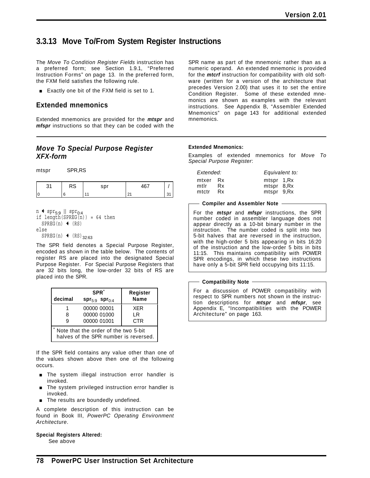# **3.3.13 Move To/From System Register Instructions**

The *Move To Condition Register Fields* instruction has a preferred form; see Section 1.9.1, "Preferred Instruction Forms" on page 13. In the preferred form, the FXM field satisfies the following rule.

**Exactly one bit of the FXM field is set to 1.** 

## **Extended mnemonics**

Extended mnemonics are provided for the *mtspr* and *mfspr* instructions so that they can be coded with the

## *Move To Special Purpose Register XFX-form*

mtspr SPR,RS

|     | טר | $\sim$ $\sim$ $\sim$ | $\sim$ $\sim$ |  |
|-----|----|----------------------|---------------|--|
| l ( |    |                      |               |  |

| n $\triangleleft$ spr <sub>5:9</sub>    spr <sub>0:4</sub><br>if length $(SPREG(n)) = 64$ then |  |  |
|------------------------------------------------------------------------------------------------|--|--|
| $SPREG(n)$ (RS)                                                                                |  |  |
| else                                                                                           |  |  |
| SPREG(n) $\leftarrow$ (RS) 32:63                                                               |  |  |

The SPR field denotes a Special Purpose Register, encoded as shown in the table below. The contents of register RS are placed into the designated Special Purpose Register. For Special Purpose Registers that are 32 bits long, the low-order 32 bits of RS are placed into the SPR.

| decimal                                                                       | SPR <sup>*</sup><br>$spr_{5.9}$ spr $_{0.4}$ | Register<br><b>Name</b> |  |  |
|-------------------------------------------------------------------------------|----------------------------------------------|-------------------------|--|--|
|                                                                               | 00000 00001                                  | <b>XFR</b>              |  |  |
| 8                                                                             | 00000 01000                                  | LR                      |  |  |
| g                                                                             | 00000 01001                                  | <b>CTR</b>              |  |  |
| Note that the order of the two 5-bit<br>halves of the SPR number is reversed. |                                              |                         |  |  |

If the SPR field contains any value other than one of the values shown above then one of the following occurs.

- **The system illegal instruction error handler is** invoked.
- **The system privileged instruction error handler is** invoked.
- **The results are boundedly undefined.**

A complete description of this instruction can be found in Book III, *PowerPC Operating Environment Architecture*.

**Special Registers Altered:**

See above

SPR name as part of the mnemonic rather than as a numeric operand. An extended mnemonic is provided for the *mtcrf* instruction for compatibility with old software (written for a version of the architecture that precedes Version 2.00) that uses it to set the entire Condition Register. Some of these extended mnemonics are shown as examples with the relevant instructions. See Appendix B, "Assembler Extended Mnemonics" on page 143 for additional extended mnemonics.

#### **Extended Mnemonics:**

Examples of extended mnemonics for *Move To Special Purpose Register*:

| Extended: |      | Equivalent to: |  |
|-----------|------|----------------|--|
| mtxer     | - Rx | mtspr 1, Rx    |  |
| mtlr      | Rx   | mtspr 8, Rx    |  |
| mtctr     | Rx   | mtspr 9, Rx    |  |

#### **Compiler and Assembler Note**

For the *mtspr* and *mfspr* instructions, the SPR number coded in assembler language does not appear directly as a 10-bit binary number in the instruction. The number coded is split into two 5-bit halves that are reversed in the instruction, with the high-order 5 bits appearing in bits 16:20 of the instruction and the low-order 5 bits in bits 11:15. This maintains compatibility with POWER SPR encodings, in which these two instructions have only a 5-bit SPR field occupying bits 11:15.

**Compatibility Note**

For a discussion of POWER compatibility with respect to SPR numbers not shown in the instruction descriptions for *mtspr* and *mfspr*, see Appendix E, "Incompatibilities with the POWER Architecture" on page 163.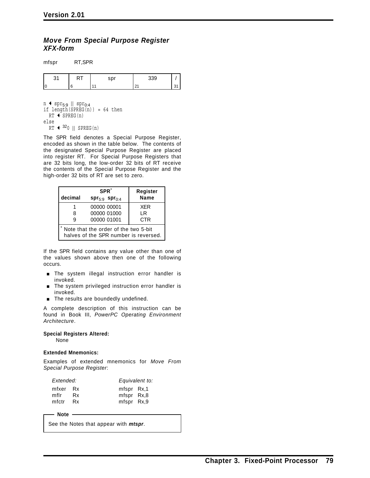## *Move From Special Purpose Register XFX-form*

mfspr RT,SPR

|  | <b></b> | $\sim$ $\sim$ |  |
|--|---------|---------------|--|
|  |         |               |  |

n  $\leftrightarrow$  spr<sub>5:9</sub> || spr<sub>0:4</sub> if length( $SPREG(n)$ ) = 64 then  $RT$  + SPREG(n) else  $RT$   $\leftarrow$  <sup>32</sup>0 || SPREG(n)

The SPR field denotes a Special Purpose Register, encoded as shown in the table below. The contents of the designated Special Purpose Register are placed into register RT. For Special Purpose Registers that are 32 bits long, the low-order 32 bits of RT receive the contents of the Special Purpose Register and the high-order 32 bits of RT are set to zero.

| decimal                                                                       | SPR <sup>*</sup>         | Register<br><b>Name</b> |  |  |
|-------------------------------------------------------------------------------|--------------------------|-------------------------|--|--|
|                                                                               | $spr_{5:9}$ spr $_{0:4}$ |                         |  |  |
|                                                                               | 00000 00001              | <b>XFR</b>              |  |  |
| 8                                                                             | 00000 01000              | l R                     |  |  |
| я                                                                             | 00000 01001              | <b>CTR</b>              |  |  |
| Note that the order of the two 5-bit<br>halves of the SPR number is reversed. |                          |                         |  |  |

If the SPR field contains any value other than one of the values shown above then one of the following occurs.

- **The system illegal instruction error handler is** invoked.
- **The system privileged instruction error handler is** invoked.
- The results are boundedly undefined.

A complete description of this instruction can be found in Book III, *PowerPC Operating Environment Architecture*.

#### **Special Registers Altered:**

None

#### **Extended Mnemonics:**

Examples of extended mnemonics for *Move From Special Purpose Register*:

| Extended:                 |          |                                                    | Equivalent to: |
|---------------------------|----------|----------------------------------------------------|----------------|
| mfxer Rx<br>mflr<br>mfctr | Rx<br>Rx | mfspr Rx,1<br>mfspr Rx <sub>,8</sub><br>mfspr Rx,9 |                |

- Note -

See the Notes that appear with *mtspr*.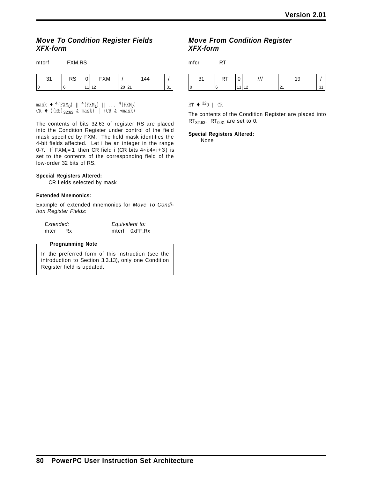## *Move To Condition Register Fields XFX-form*

| $\Omega$ | RS | υ | <b>FXM</b> |           | 144 |           |
|----------|----|---|------------|-----------|-----|-----------|
|          | 6  |   | $11$ 12    | $20$   21 |     | n,<br>ູບ. |

 $\text{mask} \triangleleft {}^{4}(\text{FXM}_{0})$  ||  ${}^{4}(\text{FXM}_{1})$  || ...  ${}^{4}(\text{FXM}_{7})$  $CR$  ((RS)<sub>32:63</sub> & mask) | (CR & ¬mask)

The contents of bits 32:63 of register RS are placed into the Condition Register under control of the field mask specified by FXM. The field mask identifies the 4-bit fields affected. Let i be an integer in the range 0-7. If  $\mathsf{FXM}_\mathsf{i=1}$  then CR field i (CR bits 4 $\times$ i:4 $\times$ i+3) is set to the contents of the corresponding field of the low-order 32 bits of RS.

#### **Special Registers Altered:**

CR fields selected by mask

#### **Extended Mnemonics:**

mtcrf FXM,RS

Example of extended mnemonics for *Move To Condition Register Fields*:

*Extended: Equivalent to:* mtcr Rx mtcrf 0xFF,Rx

#### **Programming Note**

In the preferred form of this instruction (see the introduction to Section 3.3.13), only one Condition Register field is updated.

### *Move From Condition Register XFX-form*

mfcr RT



### $RT + 320$  || CR

The contents of the Condition Register are placed into  $RT_{32:63}$ .  $RT_{0:31}$  are set to 0.

#### **Special Registers Altered:**

None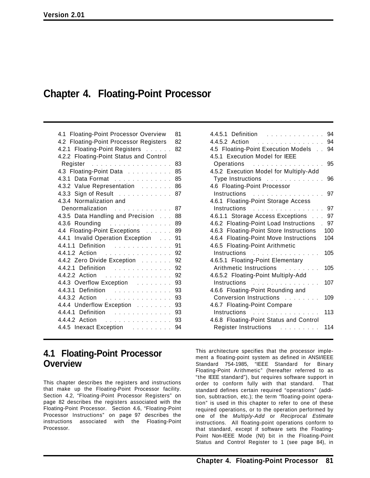# **Chapter 4. Floating-Point Processor**

### 4.4.5.2 Action ............... 94 4.5 Floating-Point Execution Models . . 94 4.5.1 Execution Model for IEEE Operations ................ 95 4.5.2 Execution Model for Multiply-Add Type Instructions . . . . . . . . . . . . 96 4.6 Floating-Point Processor Instructions ................ 97 4.6.1 Floating-Point Storage Access Instructions ................ 97 4.6.1.1 Storage Access Exceptions ... 97 4.6.2 Floating-Point Load Instructions . 97 4.6.3 Floating-Point Store Instructions 100 4.6.4 Floating-Point Move Instructions 104 4.6.5 Floating-Point Arithmetic Instructions ............... 105 4.6.5.1 Floating-Point Elementary Arithmetic Instructions ......... 105 4.6.5.2 Floating-Point Multiply-Add Instructions ............... 107 4.6.6 Floating-Point Rounding and Conversion Instructions ........ 109 4.6.7 Floating-Point Compare Instructions . . . . . . . . . . . . . . . 113 4.6.8 Floating-Point Status and Control Register Instructions ............. 114

4.4.5.1 Definition ............. 94

# **4.1 Floating-Point Processor Overview**

This chapter describes the registers and instructions that make up the Floating-Point Processor facility. Section 4.2, "Floating-Point Processor Registers" on page 82 describes the registers associated with the Floating-Point Processor. Section 4.6, "Floating-Point Processor Instructions" on page 97 describes the instructions associated with the Floating-Point Processor.

This architecture specifies that the processor implement a floating-point system as defined in ANSI/IEEE Standard 754-1985, "IEEE Standard for Binary Floating-Point Arithmetic" (hereafter referred to as "the IEEE standard"), but requires software support in order to conform fully with that standard. That standard defines certain required "operations" (addition, subtraction, etc.); the term "floating-point operation" is used in this chapter to refer to one of these required operations, or to the operation performed by one of the *Multiply-Add* or *Reciprocal Estimate* instructions. All floating-point operations conform to that standard, except if software sets the Floating-Point Non-IEEE Mode (NI) bit in the Floating-Point Status and Control Register to 1 (see page 84), in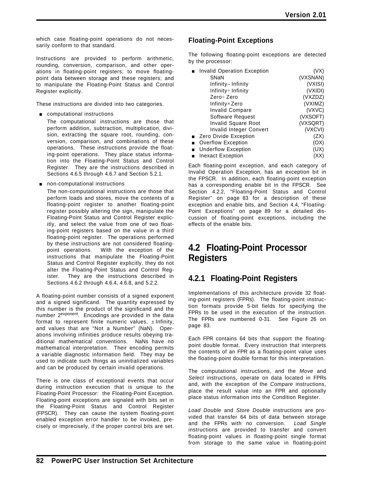which case floating-point operations do not necessarily conform to that standard.

Instructions are provided to perform arithmetic, rounding, conversion, comparison, and other operations in floating-point registers; to move floatingpoint data between storage and these registers; and to manipulate the Floating-Point Status and Control Register explicitly.

These instructions are divided into two categories.

**EXECOMPUTATIONAL INSTRUCTIONS** 

The computational instructions are those that perform addition, subtraction, multiplication, division, extracting the square root, rounding, conversion, comparison, and combinations of these operations. These instructions provide the floating-point operations. They place status information into the Floating-Point Status and Control Register. They are the instructions described in Sections 4.6.5 through 4.6.7 and Section 5.2.1.

 $\blacksquare$  non-computational instructions

The non-computational instructions are those that perform loads and stores, move the contents of a floating-point register to another floating-point register possibly altering the sign, manipulate the Floating-Point Status and Control Register explicitly, and select the value from one of two floating-point registers based on the value in a third floating-point register. The operations performed by these instructions are not considered floatingpoint operations. With the exception of the instructions that manipulate the Floating-Point Status and Control Register explicitly, they do not alter the Floating-Point Status and Control Register. They are the instructions described in Sections 4.6.2 through 4.6.4, 4.6.8, and 5.2.2.

A floating-point number consists of a signed exponent and a signed significand. The quantity expressed by this number is the product of the significand and the number 2exponent. Encodings are provided in the data format to represent finite numeric values,  $\pm$  Infinity, and values that are "Not a Number" (NaN). Operations involving infinities produce results obeying traditional mathematical conventions. NaNs have no mathematical interpretation. Their encoding permits a variable diagnostic information field. They may be used to indicate such things as uninitialized variables and can be produced by certain invalid operations.

There is one class of exceptional events that occur during instruction execution that is unique to the Floating-Point Processor: the Floating-Point Exception. Floating-point exceptions are signaled with bits set in the Floating-Point Status and Control Register (FPSCR). They can cause the system floating-point enabled exception error handler to be invoked, precisely or imprecisely, if the proper control bits are set.

# **Floating-Point Exceptions**

The following floating-point exceptions are detected by the processor:

| <b>Invalid Operation Exception</b> | (VX)     |
|------------------------------------|----------|
| SNaN                               | (VXSNAN) |
| Infinity-Infinity                  | (VXISI)  |
| Infinity÷ Infinity                 | (VXIDI)  |
| Zero÷ Zero                         | (VXZDZ)  |
| Infinity×Zero                      | (VXIMZ)  |
| <b>Invalid Compare</b>             | (VXVC)   |
| Software Request                   | (VXSOFT) |
| <b>Invalid Square Root</b>         | (VXSQRT) |
| Invalid Integer Convert            | (VXCVI)  |
| <b>Zero Divide Exception</b>       | (ZX)     |
| <b>Overflow Exception</b>          | (OX)     |
| <b>Underflow Exception</b>         | (UX)     |
| <b>Inexact Exception</b>           |          |
|                                    |          |

Each floating-point exception, and each category of Invalid Operation Exception, has an exception bit in the FPSCR. In addition, each floating-point exception has a corresponding enable bit in the FPSCR. See Section 4.2.2, "Floating-Point Status and Control Register" on page 83 for a description of these exception and enable bits, and Section 4.4, "Floating-Point Exceptions" on page 89 for a detailed discussion of floating-point exceptions, including the effects of the enable bits.

# **4.2 Floating-Point Processor Registers**

# **4.2.1 Floating-Point Registers**

Implementations of this architecture provide 32 floating-point registers (FPRs). The floating-point instruction formats provide 5-bit fields for specifying the FPRs to be used in the execution of the instruction. The FPRs are numbered 0-31. See Figure 26 on page 83.

Each FPR contains 64 bits that support the floatingpoint double format. Every instruction that interprets the contents of an FPR as a floating-point value uses the floating-point double format for this interpretation.

The computational instructions, and the *Move* and *Select* instructions, operate on data located in FPRs and, with the exception of the *Compare* instructions, place the result value into an FPR and optionally place status information into the Condition Register.

*Load Double* and *Store Double* instructions are provided that transfer 64 bits of data between storage and the FPRs with no conversion. *Load Single* instructions are provided to transfer and convert floating-point values in floating-point single format from storage to the same value in floating-point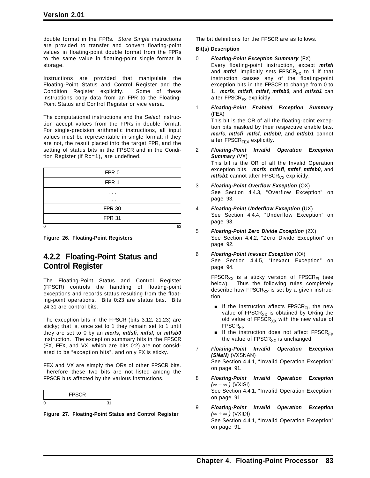double format in the FPRs. *Store Single* instructions are provided to transfer and convert floating-point values in floating-point double format from the FPRs to the same value in floating-point single format in storage.

Instructions are provided that manipulate the Floating-Point Status and Control Register and the Condition Register explicitly. Some of these instructions copy data from an FPR to the Floating-Point Status and Control Register or vice versa.

The computational instructions and the *Select* instruction accept values from the FPRs in double format. For single-precision arithmetic instructions, all input values must be representable in single format; if they are not, the result placed into the target FPR, and the setting of status bits in the FPSCR and in the Condition Register (if Rc=1), are undefined.

| FPR <sub>0</sub> |    |
|------------------|----|
| FPR <sub>1</sub> |    |
| .                |    |
| .                |    |
| <b>FPR 30</b>    |    |
| <b>FPR 31</b>    |    |
|                  | 63 |

**Figure 26. Floating-Point Registers**

# **4.2.2 Floating-Point Status and Control Register**

The Floating-Point Status and Control Register (FPSCR) controls the handling of floating-point exceptions and records status resulting from the floating-point operations. Bits 0:23 are status bits. Bits 24:31 are control bits.

The exception bits in the FPSCR (bits 3:12, 21:23) are sticky; that is, once set to 1 they remain set to 1 until they are set to 0 by an *mcrfs, mtfsfi, mtfsf,* or *mtfsb0* instruction. The exception summary bits in the FPSCR (FX, FEX, and VX, which are bits 0:2) are not considered to be "exception bits", and only FX is sticky.

FEX and VX are simply the ORs of other FPSCR bits. Therefore these two bits are not listed among the FPSCR bits affected by the various instructions.



**Figure 27. Floating-Point Status and Control Register**

The bit definitions for the FPSCR are as follows.

### **Bit(s) Description**

- 0 *Floating-Point Exception Summary* (FX) Every floating-point instruction, except *mtfsfi* and *mtfsf*, implicitly sets  $FPSCR_{FX}$  to 1 if that instruction causes any of the floating-point exception bits in the FPSCR to change from 0 to 1. *mcrfs*, *mtfsfi*, *mtfsf*, *mtfsb0,* and *mtfsb1* can alter  $FPSCR_{FX}$  explicitly.
- 1 *Floating-Point Enabled Exception Summary* (FEX) This bit is the OR of all the floating-point exception bits masked by their respective enable bits. *mcrfs*, *mtfsfi*, *mtfsf*, *mtfsb0*, and *mtfsb1* cannot alter  $FPSCR_{FFX}$  explicitly.
- 2 *Floating-Point Invalid Operation Exception Summary* (VX) This bit is the OR of all the Invalid Operation exception bits. *mcrfs*, *mtfsfi*, *mtfsf*, *mtfsb0*, and  $m$ *tfsb1* cannot alter  $FPSCR<sub>VX</sub>$  explicitly.
- 3 *Floating-Point Overflow Exception* (OX) See Section 4.4.3, "Overflow Exception" on page 93.
- 4 *Floating-Point Underflow Exception* (UX) See Section 4.4.4, "Underflow Exception" on page 93.
- 5 *Floating-Point Zero Divide Exception* (ZX) See Section 4.4.2, "Zero Divide Exception" on page 92.
- 6 *Floating-Point Inexact Exception* (XX) See Section 4.4.5, "Inexact Exception" on page 94.

FPSCR<sub>XX</sub> is a sticky version of FPSCR<sub>FI</sub> (see below). Thus the following rules completely describe how FPSCR $_{XX}$  is set by a given instruction.

- If the instruction affects FPSCR<sub>FI</sub>, the new value of  $\text{FPSCR}_{XX}$  is obtained by ORing the old value of  $FPSCR_{XX}$  with the new value of  $FPSCR_{FI}$ .
- If the instruction does not affect FPSCR $F_1$ , the value of  $FPSCR_{XX}$  is unchanged.
- 7 *Floating-Point Invalid Operation Exception (SNaN)* (VXSNAN) See Section 4.4.1, "Invalid Operation Exception" on page 91.
- 8 *Floating-Point Invalid Operation Exception (*∞−∞ *)* (VXISI) See Section 4.4.1, "Invalid Operation Exception" on page 91.
- 9 *Floating-Point Invalid Operation Exception (*∞ ÷ ∞ *)* (VXIDI) See Section 4.4.1, "Invalid Operation Exception" on page 91.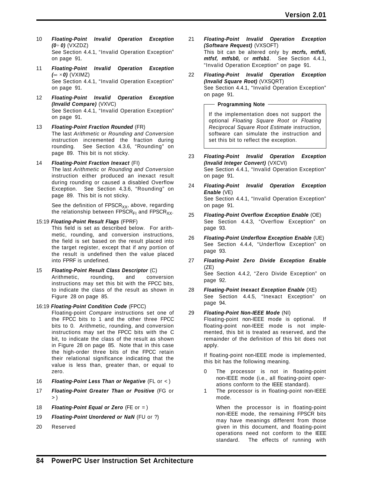- 10 *Floating-Point Invalid Operation Exception (0*÷ *0)* (VXZDZ) See Section 4.4.1, "Invalid Operation Exception" on page 91.
- 11 *Floating-Point Invalid Operation Exception (*∞ ×*0)* (VXIMZ) See Section 4.4.1, "Invalid Operation Exception" on page 91.
- 12 *Floating-Point Invalid Operation Exception (Invalid Compare)* (VXVC) See Section 4.4.1, "Invalid Operation Exception" on page 91.
- 13 *Floating-Point Fraction Rounded* (FR) The last *Arithmetic* or *Rounding and Conversion* instruction incremented the fraction during rounding. See Section 4.3.6, "Rounding" on page 89. This bit is not sticky.
- 14 *Floating-Point Fraction Inexact* (FI) The last *Arithmetic* or *Rounding and Conversion* instruction either produced an inexact result during rounding or caused a disabled Overflow Exception. See Section 4.3.6, "Rounding" on page 89. This bit is not sticky.

See the definition of  $FPSCR_{XX}$ , above, regarding the relationship between FPSCR $_{FI}$  and FPSCR $_{XX}$ .

15:19 *Floating-Point Result Flags* (FPRF)

This field is set as described below. For arithmetic, rounding, and conversion instructions, the field is set based on the result placed into the target register, except that if any portion of the result is undefined then the value placed into FPRF is undefined.

- 15 *Floating-Point Result Class Descriptor* (C) Arithmetic, rounding, and conversion instructions may set this bit with the FPCC bits, to indicate the class of the result as shown in Figure 28 on page 85.
- 16:19 *Floating-Point Condition Code* (FPCC)

Floating-point *Compare* instructions set one of the FPCC bits to 1 and the other three FPCC bits to 0. Arithmetic, rounding, and conversion instructions may set the FPCC bits with the C bit, to indicate the class of the result as shown in Figure 28 on page 85. Note that in this case the high-order three bits of the FPCC retain their relational significance indicating that the value is less than, greater than, or equal to zero.

- 16 *Floating-Point Less Than or Negative* (FL or < )
- 17 *Floating-Point Greater Than or Positive* (FG or  $>$ )
- 18 *Floating-Point Equal or Zero* (FE or = )
- 19 *Floating-Point Unordered or NaN* (FU or ?)
- 20 Reserved
- 21 *Floating-Point Invalid Operation Exception (Software Request)* (VXSOFT) This bit can be altered only by *mcrfs, mtfsfi, mtfsf, mtfsb0,* or *mtfsb1*. See Section 4.4.1, "Invalid Operation Exception" on page 91.
- 22 *Floating-Point Invalid Operation Exception (Invalid Square Root)* (VXSQRT) See Section 4.4.1, "Invalid Operation Exception" on page 91.

**Programming Note**

If the implementation does not support the optional *Floating Square Root* or *Floating Reciprocal Square Root Estimate* instruction, software can simulate the instruction and set this bit to reflect the exception.

- 23 *Floating-Point Invalid Operation Exception (Invalid Integer Convert)* (VXCVI) See Section 4.4.1, "Invalid Operation Exception" on page 91.
- 24 *Floating-Point Invalid Operation Exception Enable* (VE) See Section 4.4.1, "Invalid Operation Exception" on page 91.
- 25 *Floating-Point Overflow Exception Enable* (OE) See Section 4.4.3, "Overflow Exception" on page 93.
- 26 *Floating-Point Underflow Exception Enable* (UE) See Section 4.4.4, "Underflow Exception" on page 93.
- 27 *Floating-Point Zero Divide Exception Enable* (ZE) See Section 4.4.2, "Zero Divide Exception" on page 92.
- 28 *Floating-Point Inexact Exception Enable* (XE) See Section 4.4.5, "Inexact Exception" on page 94.
- 29 *Floating-Point Non-IEEE Mode* (NI) Floating-point non-IEEE mode is optional. If floating-point non-IEEE mode is not implemented, this bit is treated as reserved, and the remainder of the definition of this bit does not apply.

If floating-point non-IEEE mode is implemented, this bit has the following meaning.

- 0 The processor is not in floating-point non-IEEE mode (i.e., all floating-point operations conform to the IEEE standard).
- 1 The processor is in floating-point non-IEEE mode.

When the processor is in floating-point non-IEEE mode, the remaining FPSCR bits may have meanings different from those given in this document, and floating-point operations need not conform to the IEEE standard. The effects of running with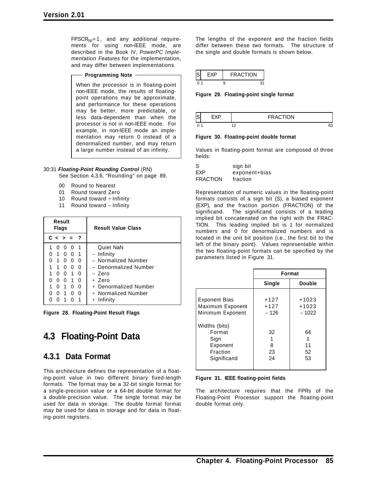$FPSCR_{NI}=1$ , and any additional requirements for using non-IEEE mode, are described in the Book IV, *PowerPC Implementation Features* for the implementation, and may differ between implementations.

#### **Programming Note**

When the processor is in floating-point non-IEEE mode, the results of floatingpoint operations may be approximate, and performance for these operations may be better, more predictable, or less data-dependent than when the processor is not in non-IEEE mode. For example, in non-IEEE mode an implementation may return 0 instead of a denormalized number, and may return a large number instead of an infinity.

#### 30:31 *Floating-Point Rounding Control* (RN)

See Section 4.3.6, "Rounding" on page 89.

- 00 Round to Nearest
- 01 Round toward Zero
- 10 Round toward  $+$  Infinity
- 11 Round toward − Infinity

| Result<br><b>Flags</b> |              |              | <b>Result Value Class</b> |              |                       |
|------------------------|--------------|--------------|---------------------------|--------------|-----------------------|
|                        | $c \sim$     |              | $> = ?$                   |              |                       |
|                        | O            |              | U                         | -1           | Quiet NaN             |
|                        | 1            | U            | <sup>0</sup>              | -1           | – Infinity            |
|                        | 1            | <sup>0</sup> | 0                         | 0            | - Normalized Number   |
|                        | 1            | 0            | O                         | U            | - Denormalized Number |
|                        | <sup>0</sup> | $\Omega$     | 1                         | - 0          | – Zero                |
|                        |              | O            | 1                         | <sup>0</sup> | + Zero                |
|                        | O            | 1            | O                         | 0            | + Denormalized Number |
|                        | O            |              | U                         | O            | $+$ Normalized Number |
|                        |              |              |                           |              | Infinity<br>$^{+}$    |

**Figure 28. Floating-Point Result Flags**

# **4.3 Floating-Point Data**

# **4.3.1 Data Format**

This architecture defines the representation of a floating-point value in two different binary fixed-length formats. The format may be a 32-bit single format for a single-precision value or a 64-bit double format for a double-precision value. The single format may be used for data in storage. The double format format may be used for data in storage and for data in floating-point registers.

The lengths of the exponent and the fraction fields differ between these two formats. The structure of the single and double formats is shown below.

|  | <b>FRACTION</b> |  |
|--|-----------------|--|
|  |                 |  |

**Figure 29. Floating-point single format**

|     | <b>RACTION</b> |
|-----|----------------|
| . . | 63             |

#### **Figure 30. Floating-point double format**

Values in floating-point format are composed of three fields:

| S        | sign bit      |
|----------|---------------|
| FXP      | exponent+bias |
| FRACTION | fraction      |

Representation of numeric values in the floating-point formats consists of a sign bit (S), a biased exponent (EXP), and the fraction portion (FRACTION) of the significand. The significand consists of a leading implied bit concatenated on the right with the FRAC-TION. This leading implied bit is 1 for normalized numbers and 0 for denormalized numbers and is located in the unit bit position (i.e., the first bit to the left of the binary point). Values representable within the two floating-point formats can be specified by the parameters listed in Figure 31.

|                                                                        |                            | Format                        |
|------------------------------------------------------------------------|----------------------------|-------------------------------|
|                                                                        | Single                     | <b>Double</b>                 |
| <b>Exponent Bias</b><br>Maximum Exponent<br>Minimum Exponent           | $+127$<br>$+127$<br>$-126$ | $+1023$<br>$+1023$<br>$-1022$ |
| Widths (bits)<br>Format<br>Sign<br>Exponent<br>Fraction<br>Significand | 32<br>8<br>23<br>24        | 64<br>11<br>52<br>53          |

#### **Figure 31. IEEE floating-point fields**

The architecture requires that the FPRs of the Floating-Point Processor support the floating-point double format only.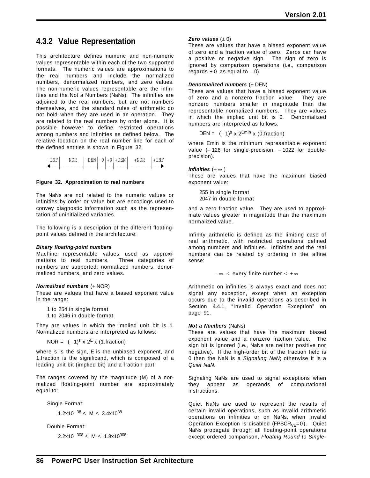# **4.3.2 Value Representation**

This architecture defines numeric and non-numeric values representable within each of the two supported formats. The numeric values are approximations to the real numbers and include the normalized numbers, denormalized numbers, and zero values. The non-numeric values representable are the infinities and the Not a Numbers (NaNs). The infinities are adjoined to the real numbers, but are not numbers themselves, and the standard rules of arithmetic do not hold when they are used in an operation. They are related to the real numbers by order alone. It is possible however to define restricted operations among numbers and infinities as defined below. The relative location on the real number line for each of the defined entities is shown in Figure 32.

| - TNF |  |  | $-NOR$ $ -DEN -0 +0 +DEN $ $+NOR$ i |  |
|-------|--|--|-------------------------------------|--|
|       |  |  |                                     |  |
|       |  |  |                                     |  |

#### **Figure 32. Approximation to real numbers**

The NaNs are not related to the numeric values or infinities by order or value but are encodings used to convey diagnostic information such as the representation of uninitialized variables.

The following is a description of the different floatingpoint values defined in the architecture:

#### *Binary floating-point numbers*

Machine representable values used as approximations to real numbers. Three categories of numbers are supported: normalized numbers, denormalized numbers, and zero values.

#### *Normalized numbers* (± NOR)

These are values that have a biased exponent value in the range:

1 to 254 in single format

1 to 2046 in double format

They are values in which the implied unit bit is 1. Normalized numbers are interpreted as follows:

NOR =  $(-1)^s$  x  $2^E$  x (1.fraction)

where s is the sign, E is the unbiased exponent, and 1.fraction is the significand, which is composed of a leading unit bit (implied bit) and a fraction part.

The ranges covered by the magnitude (M) of a normalized floating-point number are approximately equal to:

Single Format:

1.2x10<sup>-38</sup> ≤ M ≤ 3.4x10<sup>38</sup>

Double Format:

 $2.2x10^{-308} \le M \le 1.8x10^{308}$ 

#### *Zero values*  $(\pm 0)$

These are values that have a biased exponent value of zero and a fraction value of zero. Zeros can have a positive or negative sign. The sign of zero is ignored by comparison operations (i.e., comparison regards + 0 as equal to  $-$  0).

#### *Denormalized numbers* (± DEN)

These are values that have a biased exponent value of zero and a nonzero fraction value. They are nonzero numbers smaller in magnitude than the representable normalized numbers. They are values in which the implied unit bit is 0. Denormalized numbers are interpreted as follows:

DEN =  $(-1)^s$  x  $2^{E min}$  x (0.fraction)

where Emin is the minimum representable exponent value (-126 for single-precision, -1022 for doubleprecision).

*Infinities*  $(\pm \infty)$ 

These are values that have the maximum biased exponent value:

255 in single format 2047 in double format

and a zero fraction value. They are used to approximate values greater in magnitude than the maximum normalized value.

Infinity arithmetic is defined as the limiting case of real arithmetic, with restricted operations defined among numbers and infinities. Infinities and the real numbers can be related by ordering in the affine sense:

 $-\infty <$  every finite number  $< +\infty$ 

Arithmetic on infinities is always exact and does not signal any exception, except when an exception occurs due to the invalid operations as described in Section 4.4.1, "Invalid Operation Exception" on page 91.

#### *Not a Numbers* (NaNs)

These are values that have the maximum biased exponent value and a nonzero fraction value. The sign bit is ignored (i.e., NaNs are neither positive nor negative). If the high-order bit of the fraction field is 0 then the NaN is a *Signaling NaN*; otherwise it is a *Quiet NaN*.

Signaling NaNs are used to signal exceptions when they appear as operands of computational instructions.

Quiet NaNs are used to represent the results of certain invalid operations, such as invalid arithmetic operations on infinities or on NaNs, when Invalid Operation Exception is disabled (FPSCR<sub>VE</sub>=0). Quiet NaNs propagate through all floating-point operations except ordered comparison, *Floating Round to Single-*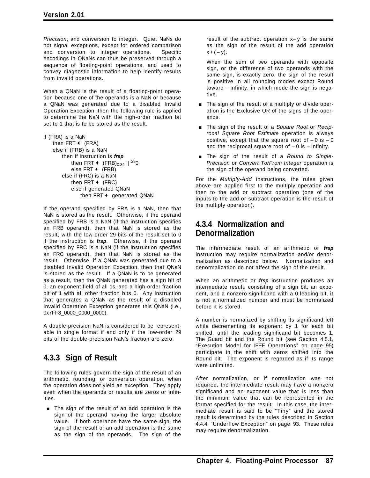*Precision*, and conversion to integer. Quiet NaNs do not signal exceptions, except for ordered comparison and conversion to integer operations. Specific encodings in QNaNs can thus be preserved through a sequence of floating-point operations, and used to convey diagnostic information to help identify results from invalid operations.

When a QNaN is the result of a floating-point operation because one of the operands is a NaN or because a QNaN was generated due to a disabled Invalid Operation Exception, then the following rule is applied to determine the NaN with the high-order fraction bit set to 1 that is to be stored as the result.

```
if (FRA) is a NaN
    then FRT \leftarrow (FRA)
    else if (FRB) is a NaN
         then if instruction is frsp
              then FRT \leftarrow (FRB)<sub>0:34</sub> || <sup>29</sup>0
              else FRT \leftarrow (FRB)
         else if (FRC) is a NaN
              then FRT \leftarrow (FRC)
              else if generated QNaN
                   then FRT \triangleleft generated QNaN
```
If the operand specified by FRA is a NaN, then that NaN is stored as the result. Otherwise, if the operand specified by FRB is a NaN (if the instruction specifies an FRB operand), then that NaN is stored as the result, with the low-order 29 bits of the result set to 0 if the instruction is *frsp*. Otherwise, if the operand specified by FRC is a NaN (if the instruction specifies an FRC operand), then that NaN is stored as the result. Otherwise, if a QNaN was generated due to a disabled Invalid Operation Exception, then that QNaN is stored as the result. If a QNaN is to be generated as a result, then the QNaN generated has a sign bit of 0, an exponent field of all 1s, and a high-order fraction bit of 1 with all other fraction bits 0. Any instruction that generates a QNaN as the result of a disabled Invalid Operation Exception generates this QNaN (i.e., 0x7FF8\_0000\_0000\_0000).

A double-precision NaN is considered to be representable in single format if and only if the low-order 29 bits of the double-precision NaN's fraction are zero.

# **4.3.3 Sign of Result**

The following rules govern the sign of the result of an arithmetic, rounding, or conversion operation, when the operation does not yield an exception. They apply even when the operands or results are zeros or infinities.

**The sign of the result of an add operation is the** sign of the operand having the larger absolute value. If both operands have the same sign, the sign of the result of an add operation is the same as the sign of the operands. The sign of the

result of the subtract operation x− y is the same as the sign of the result of the add operation  $x + (-y)$ .

When the sum of two operands with opposite sign, or the difference of two operands with the same sign, is exactly zero, the sign of the result is positive in all rounding modes except Round toward − Infinity, in which mode the sign is negative.

- **The sign of the result of a multiply or divide oper**ation is the Exclusive OR of the signs of the operands.
- The sign of the result of a *Square Root* or *Reciprocal Square Root Estimate* operation is always positive, except that the square root of  $-0$  is  $-0$ and the reciprocal square root of  $-0$  is  $-$  Infinity.
- **The sign of the result of a Round to Single-***Precision* or *Convert To/From Integer* operation is the sign of the operand being converted.

For the *Multiply-Add* instructions, the rules given above are applied first to the multiply operation and then to the add or subtract operation (one of the inputs to the add or subtract operation is the result of the multiply operation).

# **4.3.4 Normalization and Denormalization**

The intermediate result of an arithmetic or *frsp* instruction may require normalization and/or denormalization as described below. Normalization and denormalization do not affect the sign of the result.

When an arithmetic or *frsp* instruction produces an intermediate result, consisting of a sign bit, an exponent, and a nonzero significand with a 0 leading bit, it is not a normalized number and must be normalized before it is stored.

A number is normalized by shifting its significand left while decrementing its exponent by 1 for each bit shifted, until the leading significand bit becomes 1. The Guard bit and the Round bit (see Section 4.5.1, "Execution Model for IEEE Operations" on page 95) participate in the shift with zeros shifted into the Round bit. The exponent is regarded as if its range were unlimited.

After normalization, or if normalization was not required, the intermediate result may have a nonzero significand and an exponent value that is less than the minimum value that can be represented in the format specified for the result. In this case, the intermediate result is said to be "Tiny" and the stored result is determined by the rules described in Section 4.4.4, "Underflow Exception" on page 93. These rules may require denormalization.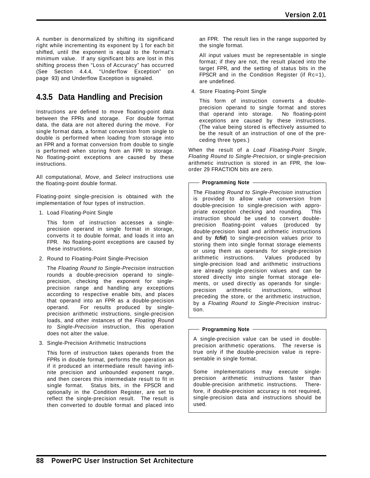A number is denormalized by shifting its significand right while incrementing its exponent by 1 for each bit shifted, until the exponent is equal to the format's minimum value. If any significant bits are lost in this shifting process then "Loss of Accuracy" has occurred (See Section 4.4.4, "Underflow Exception" on page 93) and Underflow Exception is signaled.

# **4.3.5 Data Handling and Precision**

Instructions are defined to move floating-point data between the FPRs and storage. For double format data, the data are not altered during the move. For single format data, a format conversion from single to double is performed when loading from storage into an FPR and a format conversion from double to single is performed when storing from an FPR to storage. No floating-point exceptions are caused by these instructions.

All computational, *Move*, and *Select* instructions use the floating-point double format.

Floating-point single-precision is obtained with the implementation of four types of instruction.

1. Load Floating-Point Single

This form of instruction accesses a singleprecision operand in single format in storage, converts it to double format, and loads it into an FPR. No floating-point exceptions are caused by these instructions.

2. Round to Floating-Point Single-Precision

The *Floating Round to Single-Precision* instruction rounds a double-precision operand to singleprecision, checking the exponent for singleprecision range and handling any exceptions according to respective enable bits, and places that operand into an FPR as a double-precision operand. For results produced by singleprecision arithmetic instructions, single-precision loads, and other instances of the *Floating Round to Single-Precision* instruction, this operation does not alter the value.

3. Single-Precision Arithmetic Instructions

This form of instruction takes operands from the FPRs in double format, performs the operation as if it produced an intermediate result having infinite precision and unbounded exponent range, and then coerces this intermediate result to fit in single format. Status bits, in the FPSCR and optionally in the Condition Register, are set to reflect the single-precision result. The result is then converted to double format and placed into

an FPR. The result lies in the range supported by the single format.

All input values must be representable in single format; if they are not, the result placed into the target FPR, and the setting of status bits in the FPSCR and in the Condition Register (if Rc=1), are undefined.

4. Store Floating-Point Single

This form of instruction converts a doubleprecision operand to single format and stores that operand into storage. No floating-point exceptions are caused by these instructions. (The value being stored is effectively assumed to be the result of an instruction of one of the preceding three types.)

When the result of a *Load Floating-Point Single*, *Floating Round to Single-Precision*, or single-precision arithmetic instruction is stored in an FPR, the loworder 29 FRACTION bits are zero.

#### **Programming Note**

The *Floating Round to Single-Precision* instruction is provided to allow value conversion from double-precision to single-precision with appropriate exception checking and rounding. This instruction should be used to convert doubleprecision floating-point values (produced by double-precision load and arithmetic instructions and by *fcfid*) to single-precision values prior to storing them into single format storage elements or using them as operands for single-precision arithmetic instructions. Values produced by single-precision load and arithmetic instructions are already single-precision values and can be stored directly into single format storage elements, or used directly as operands for singleprecision arithmetic instructions, without preceding the store, or the arithmetic instruction, by a *Floating Round to Single-Precision* instruction.

#### **Programming Note**

A single-precision value can be used in doubleprecision arithmetic operations. The reverse is true only if the double-precision value is representable in single format.

Some implementations may execute singleprecision arithmetic instructions faster than double-precision arithmetic instructions. Therefore, if double-precision accuracy is not required, single-precision data and instructions should be used.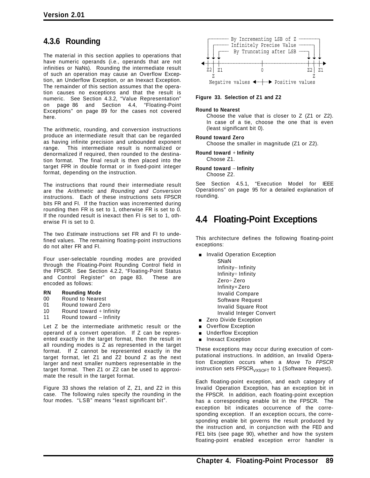# **4.3.6 Rounding**

The material in this section applies to operations that have numeric operands (i.e., operands that are not infinities or NaNs). Rounding the intermediate result of such an operation may cause an Overflow Exception, an Underflow Exception, or an Inexact Exception. The remainder of this section assumes that the operation causes no exceptions and that the result is numeric. See Section 4.3.2, "Value Representation" on page 86 and Section 4.4, "Floating-Point Exceptions" on page 89 for the cases not covered here.

The arithmetic, rounding, and conversion instructions produce an intermediate result that can be regarded as having infinite precision and unbounded exponent range. This intermediate result is normalized or denormalized if required, then rounded to the destination format. The final result is then placed into the target FPR in double format or in fixed-point integer format, depending on the instruction.

The instructions that round their intermediate result are the *Arithmetic* and *Rounding and Conversion* instructions. Each of these instructions sets FPSCR bits FR and FI. If the fraction was incremented during rounding then FR is set to 1, otherwise FR is set to 0. If the rounded result is inexact then FI is set to 1, otherwise FI is set to 0.

The two *Estimate* instructions set FR and FI to undefined values. The remaining floating-point instructions do not alter FR and FI.

Four user-selectable rounding modes are provided through the Floating-Point Rounding Control field in the FPSCR. See Section 4.2.2, "Floating-Point Status and Control Register" on page 83. These are encoded as follows:

#### **RN Rounding Mode**

- 00 Round to Nearest
- 01 Round toward Zero
- 10 Round toward  $+$  Infinity
- 11 Round toward − Infinity

Let Z be the intermediate arithmetic result or the operand of a convert operation. If Z can be represented exactly in the target format, then the result in all rounding modes is Z as represented in the target format. If Z cannot be represented exactly in the target format, let Z1 and Z2 bound Z as the next larger and next smaller numbers representable in the target format. Then Z1 or Z2 can be used to approximate the result in the target format.

Figure 33 shows the relation of Z, Z1, and Z2 in this case. The following rules specify the rounding in the four modes. "LSB" means "least significant bit".



**Figure 33. Selection of Z1 and Z2**

#### **Round to Nearest**

Choose the value that is closer to Z (Z1 or Z2). In case of a tie, choose the one that is even (least significant bit 0).

#### **Round toward Zero**

Choose the smaller in magnitude (Z1 or Z2).

#### **Round toward** + **Infinity**

Choose Z1.

#### **Round toward** − **Infinity** Choose Z2.

See Section 4.5.1, "Execution Model for IEEE Operations" on page 95 for a detailed explanation of rounding.

# **4.4 Floating-Point Exceptions**

This architecture defines the following floating-point exceptions:

- **n** Invalid Operation Exception SNaN Infinity− Infinity Infinity÷ Infinity Zero÷ Zero Infinity×Zero Invalid Compare Software Request Invalid Square Root Invalid Integer Convert
- Zero Divide Exception
- **Overflow Exception** Underflow Exception
- **n** Inexact Exception

These exceptions may occur during execution of computational instructions. In addition, an Invalid Operation Exception occurs when a *Move To FPSCR* instruction sets FPSCR<sub>VXSOFT</sub> to 1 (Software Request).

Each floating-point exception, and each category of Invalid Operation Exception, has an exception bit in the FPSCR. In addition, each floating-point exception has a corresponding enable bit in the FPSCR. The exception bit indicates occurrence of the corresponding exception. If an exception occurs, the corresponding enable bit governs the result produced by the instruction and, in conjunction with the FE0 and FE1 bits (see page 90), whether and how the system floating-point enabled exception error handler is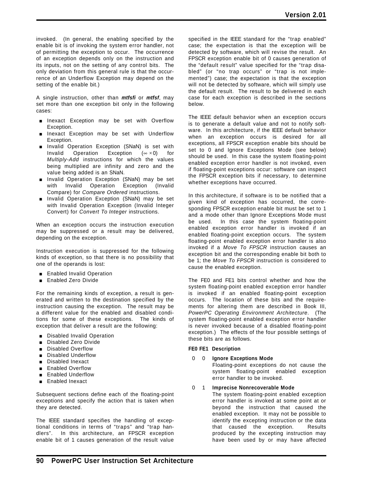invoked. (In general, the enabling specified by the enable bit is of invoking the system error handler, not of permitting the exception to occur. The occurrence of an exception depends only on the instruction and its inputs, not on the setting of any control bits. The only deviation from this general rule is that the occurrence of an Underflow Exception may depend on the setting of the enable bit.)

A single instruction, other than *mtfsfi* or *mtfsf*, may set more than one exception bit only in the following cases:

- **n** Inexact Exception may be set with Overflow Exception.
- Inexact Exception may be set with Underflow Exception.
- **Invalid Operation Exception (SNaN) is set with** Invalid Operation Exception ( $\infty \times 0$ ) for *Multiply-Add* instructions for which the values being multiplied are infinity and zero and the value being added is an SNaN.
- **Invalid Operation Exception (SNaN) may be set** with Invalid Operation Exception (Invalid Compare) for *Compare Ordered* instructions.
- **Invalid Operation Exception (SNaN) may be set** with Invalid Operation Exception (Invalid Integer Convert) for *Convert To Integer* instructions.

When an exception occurs the instruction execution may be suppressed or a result may be delivered, depending on the exception.

Instruction execution is suppressed for the following kinds of exception, so that there is no possibility that one of the operands is lost:

- **Enabled Invalid Operation**
- **Enabled Zero Divide**

For the remaining kinds of exception, a result is generated and written to the destination specified by the instruction causing the exception. The result may be a different value for the enabled and disabled conditions for some of these exceptions. The kinds of exception that deliver a result are the following:

- Disabled Invalid Operation
- **Disabled Zero Divide**
- **Disabled Overflow**
- **Disabled Underflow**
- **Disabled Inexact**
- **Enabled Overflow**
- **Enabled Underflow**
- **Enabled Inexact**

Subsequent sections define each of the floating-point exceptions and specify the action that is taken when they are detected.

The IEEE standard specifies the handling of exceptional conditions in terms of "traps" and "trap handlers". In this architecture, an FPSCR exception enable bit of 1 causes generation of the result value

specified in the IEEE standard for the "trap enabled" case; the expectation is that the exception will be detected by software, which will revise the result. An FPSCR exception enable bit of 0 causes generation of the "default result" value specified for the "trap disabled" (or "no trap occurs" or "trap is not implemented") case; the expectation is that the exception will not be detected by software, which will simply use the default result. The result to be delivered in each case for each exception is described in the sections below.

The IEEE default behavior when an exception occurs is to generate a default value and not to notify software. In this architecture, if the IEEE default behavior when an exception occurs is desired for all exceptions, all FPSCR exception enable bits should be set to 0 and Ignore Exceptions Mode (see below) should be used. In this case the system floating-point enabled exception error handler is not invoked, even if floating-point exceptions occur: software can inspect the FPSCR exception bits if necessary, to determine whether exceptions have occurred.

In this architecture, if software is to be notified that a given kind of exception has occurred, the corresponding FPSCR exception enable bit must be set to 1 and a mode other than Ignore Exceptions Mode must be used. In this case the system floating-point enabled exception error handler is invoked if an enabled floating-point exception occurs. The system floating-point enabled exception error handler is also invoked if a *Move To FPSCR* instruction causes an exception bit and the corresponding enable bit both to be 1; the *Move To FPSCR* instruction is considered to cause the enabled exception.

The FE0 and FE1 bits control whether and how the system floating-point enabled exception error handler is invoked if an enabled floating-point exception occurs. The location of these bits and the requirements for altering them are described in Book III, *PowerPC Operating Environment Architecture*. (The system floating-point enabled exception error handler is never invoked because of a disabled floating-point exception.) The effects of the four possible settings of these bits are as follows.

#### **FE0 FE1 Description**

#### 0 0 **Ignore Exceptions Mode**

Floating-point exceptions do not cause the system floating-point enabled exception error handler to be invoked.

#### 0 1 **Imprecise Nonrecoverable Mode**

The system floating-point enabled exception error handler is invoked at some point at or beyond the instruction that caused the enabled exception. It may not be possible to identify the excepting instruction or the data that caused the exception. Results produced by the excepting instruction may have been used by or may have affected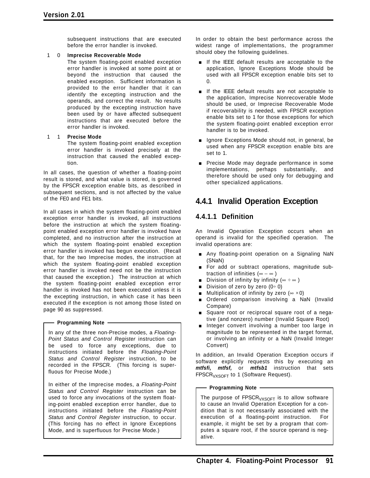subsequent instructions that are executed before the error handler is invoked.

#### 1 0 **Imprecise Recoverable Mode**

The system floating-point enabled exception error handler is invoked at some point at or beyond the instruction that caused the enabled exception. Sufficient information is provided to the error handler that it can identify the excepting instruction and the operands, and correct the result. No results produced by the excepting instruction have been used by or have affected subsequent instructions that are executed before the error handler is invoked.

#### 1 1 **Precise Mode**

The system floating-point enabled exception error handler is invoked precisely at the instruction that caused the enabled exception.

In all cases, the question of whether a floating-point result is stored, and what value is stored, is governed by the FPSCR exception enable bits, as described in subsequent sections, and is not affected by the value of the FE0 and FE1 bits.

In all cases in which the system floating-point enabled exception error handler is invoked, all instructions before the instruction at which the system floatingpoint enabled exception error handler is invoked have completed, and no instruction after the instruction at which the system floating-point enabled exception error handler is invoked has begun execution. (Recall that, for the two Imprecise modes, the instruction at which the system floating-point enabled exception error handler is invoked need not be the instruction that caused the exception.) The instruction at which the system floating-point enabled exception error handler is invoked has not been executed unless it is the excepting instruction, in which case it has been executed if the exception is not among those listed on page 90 as suppressed.

#### **Programming Note**

In any of the three non-Precise modes, a *Floating-Point Status and Control Register* instruction can be used to force any exceptions, due to instructions initiated before the *Floating-Point Status and Control Register* instruction, to be recorded in the FPSCR. (This forcing is superfluous for Precise Mode.)

In either of the Imprecise modes, a *Floating-Point Status and Control Register* instruction can be used to force any invocations of the system floating-point enabled exception error handler, due to instructions initiated before the *Floating-Point Status and Control Register* instruction, to occur. (This forcing has no effect in Ignore Exceptions Mode, and is superfluous for Precise Mode.)

In order to obtain the best performance across the widest range of implementations, the programmer should obey the following guidelines.

- If the IEEE default results are acceptable to the application, Ignore Exceptions Mode should be used with all FPSCR exception enable bits set to  $\Omega$ .
- If the IEEE default results are not acceptable to the application, Imprecise Nonrecoverable Mode should be used, or Imprecise Recoverable Mode if recoverability is needed, with FPSCR exception enable bits set to 1 for those exceptions for which the system floating-point enabled exception error handler is to be invoked.
- $\blacksquare$  Ignore Exceptions Mode should not, in general, be used when any FPSCR exception enable bits are set to 1.
- **Precise Mode may degrade performance in some** implementations, perhaps substantially, and therefore should be used only for debugging and other specialized applications.

# **4.4.1 Invalid Operation Exception**

# **4.4.1.1 Definition**

An Invalid Operation Exception occurs when an operand is invalid for the specified operation. The invalid operations are:

- **Any floating-point operation on a Signaling NaN** (SNaN)
- For add or subtract operations, magnitude subtraction of infinities (∞−∞ )
- Division of infinity by infinity ( $\infty \div \infty$ )
- Division of zero by zero  $(0 \div 0)$
- **I** Multiplication of infinity by zero ( $\infty \times 0$ )
- Ordered comparison involving a NaN (Invalid Compare)
- **Square root or reciprocal square root of a nega**tive (and nonzero) number (Invalid Square Root)
- **Integer convert involving a number too large in** magnitude to be represented in the target format, or involving an infinity or a NaN (Invalid Integer Convert)

In addition, an Invalid Operation Exception occurs if software explicitly requests this by executing an *mtfsfi, mtfsf,* or *mtfsb1* instruction that sets  $FPSCR<sub>VXSOFF</sub>$  to 1 (Software Request).

#### - Programming Note -

The purpose of FPSCR<sub>VXSOFT</sub> is to allow software to cause an Invalid Operation Exception for a condition that is not necessarily associated with the execution of a floating-point instruction. For example, it might be set by a program that computes a square root, if the source operand is negative.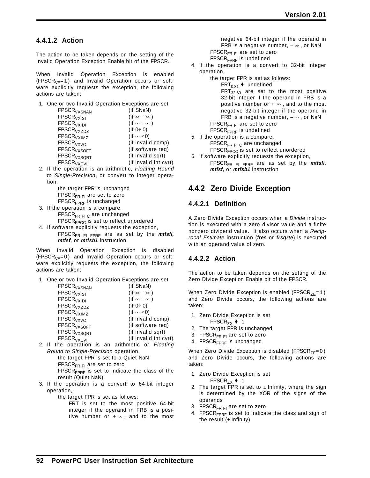### **4.4.1.2 Action**

The action to be taken depends on the setting of the Invalid Operation Exception Enable bit of the FPSCR.

When Invalid Operation Exception is enabled  $(FPSCR<sub>VE</sub>=1)$  and Invalid Operation occurs or software explicitly requests the exception, the following actions are taken:

1. One or two Invalid Operation Exceptions are set

| FPSCR <sub>VXSNAN</sub>       | (if SNaN)                  |
|-------------------------------|----------------------------|
| <b>FPSCR<sub>VXISI</sub></b>  | (if $\infty - \infty$ )    |
| <b>FPSCR<sub>VXIDI</sub></b>  | (if $\infty \div \infty$ ) |
| <b>FPSCR<sub>VXZDZ</sub></b>  | (if $0 \div 0$ )           |
| FPSCR <sub>VXIMZ</sub>        | (if $\infty \times 0$ )    |
| <b>FPSCR<sub>VXVC</sub></b>   | (if invalid comp)          |
| <b>FPSCR<sub>VXSOFT</sub></b> | (if software req)          |
| FPSCR <sub>VXSQRT</sub>       | (if invalid sqrt)          |
| <b>FPSCR<sub>VXCVI</sub></b>  | (if invalid int cvrt)      |
|                               |                            |

2. If the operation is an arithmetic, *Floating Round to Single-Precision*, or convert to integer operation,

> the target FPR is unchanged FPSCR $F_R F_I$  are set to zero FPSCR<sub>FPRF</sub> is unchanged

3. If the operation is a compare,  $FPSCR_{FR FI C}$  are unchanged

FPSCR<sub>FPCC</sub> is set to reflect unordered

4. If software explicitly requests the exception, FPSCR<sub>FR FI FPRF</sub> are as set by the *mtfsfi*, *mtfsf,* or *mtfsb1* instruction

When Invalid Operation Exception is disabled  $(FPSCR<sub>VE</sub>=0)$  and Invalid Operation occurs or software explicitly requests the exception, the following actions are taken:

1. One or two Invalid Operation Exceptions are set

| FPSCR <sub>VXSNAN</sub>            | (if SNaN)                  |
|------------------------------------|----------------------------|
| <b>FPSCR<sub>VXISI</sub></b>       | (if $\infty - \infty$ )    |
| <b>FPSCR<sub>VXIDI</sub></b>       | (if $\infty \div \infty$ ) |
| <b>FPSCR<sub>VXZDZ</sub></b>       | (if $0 \div 0$ )           |
| <b>FPSCR<sub>VXIMZ</sub></b>       | (if $\infty \times 0$ )    |
| <b>FPSCR<sub>VXVC</sub></b>        | (if invalid comp)          |
| $\mathsf{FPSCR}_{\mathsf{VXSOFT}}$ | (if software req)          |
| $\mathsf{FPSCR}_{\mathsf{VXSQRT}}$ | (if invalid sqrt)          |
| <b>FPSCR<sub>VXCVI</sub></b>       | (if invalid int cvrt)      |
|                                    |                            |

2. If the operation is an arithmetic or *Floating Round to Single-Precision* operation, the target FPR is set to a Quiet NaN

FPSCR $_{FRF}$  are set to zero

 $FPSCR<sub>FPRF</sub>$  is set to indicate the class of the result (Quiet NaN)

3. If the operation is a convert to 64-bit integer operation,

the target FPR is set as follows:

FRT is set to the most positive 64-bit integer if the operand in FRB is a positive number or  $+ \infty$ , and to the most

negative 64-bit integer if the operand in FRB is a negative number,  $-\infty$ , or NaN  $FPSCR_{FRFI}$  are set to zero  $FPSCR<sub>FPRF</sub>$  is undefined

- 4. If the operation is a convert to 32-bit integer operation,
	- the target FPR is set as follows:  $FRT_{0:31}$  + undefined  $FRT_{32:63}$  are set to the most positive 32-bit integer if the operand in FRB is a positive number or  $+ \infty$ , and to the most negative 32-bit integer if the operand in FRB is a negative number,  $-\infty$ , or NaN FPSCR $_{FRF}$ <sub>FI</sub> are set to zero  $FPSCR<sub>FPRF</sub>$  is undefined
- 5. If the operation is a compare,  $FPSCR_{FR FI C}$  are unchanged FPSCR<sub>FPCC</sub> is set to reflect unordered
- 6. If software explicitly requests the exception, FPSCR<sub>FR FI FPRF</sub> are as set by the *mtfsfi*, *mtfsf,* or *mtfsb1* instruction

# **4.4.2 Zero Divide Exception**

# **4.4.2.1 Definition**

A Zero Divide Exception occurs when a *Divide* instruction is executed with a zero divisor value and a finite nonzero dividend value. It also occurs when a *Reciprocal Estimate* instruction (*fres* or *frsqrte*) is executed with an operand value of zero.

# **4.4.2.2 Action**

The action to be taken depends on the setting of the Zero Divide Exception Enable bit of the FPSCR.

When Zero Divide Exception is enabled (FPSCR<sub>7F</sub>=1) and Zero Divide occurs, the following actions are taken:

- 1. Zero Divide Exception is set
- $FPSCR_{ZX}$  + 1
- 2. The target FPR is unchanged
- 3. FPSCR $F_R F_I$  are set to zero
- 4. FPSCR<sub>FPRF</sub> is unchanged

When Zero Divide Exception is disabled (FPSCR $_{7F}$ =0) and Zero Divide occurs, the following actions are taken:

- 1. Zero Divide Exception is set FPSCR<sub>7X</sub>  $\leftarrow$  1
- 2. The target FPR is set to  $\pm$  Infinity, where the sign is determined by the XOR of the signs of the operands
- 3. FPSCR $F_R F_I$  are set to zero
- 4. FPSCR<sub>FPRF</sub> is set to indicate the class and sign of the result  $(\pm \text{Infinity})$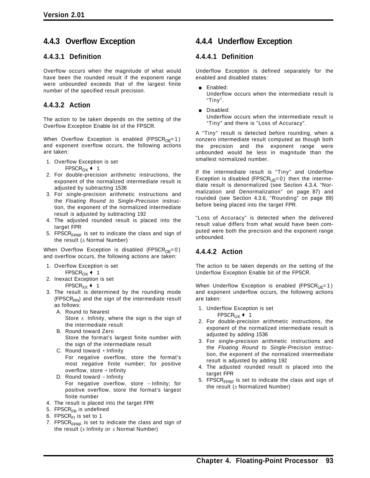# **4.4.3 Overflow Exception**

### **4.4.3.1 Definition**

Overflow occurs when the magnitude of what would have been the rounded result if the exponent range were unbounded exceeds that of the largest finite number of the specified result precision.

## **4.4.3.2 Action**

The action to be taken depends on the setting of the Overflow Exception Enable bit of the FPSCR.

When Overflow Exception is enabled (FPSCR<sub>OE</sub>=1) and exponent overflow occurs, the following actions are taken:

- 1. Overflow Exception is set
	- FPSCR<sub>OX</sub>  $\leftarrow$  1
- 2. For double-precision arithmetic instructions, the exponent of the normalized intermediate result is adjusted by subtracting 1536
- 3. For single-precision arithmetic instructions and the *Floating Round to Single-Precision* instruction, the exponent of the normalized intermediate result is adjusted by subtracting 192
- 4. The adjusted rounded result is placed into the target FPR
- 5. FPSCR<sub>FPRF</sub> is set to indicate the class and sign of the result  $(\pm$  Normal Number)

When Overflow Exception is disabled (FPSCR<sub>OE</sub>=0) and overflow occurs, the following actions are taken:

- 1. Overflow Exception is set FPSCR<sub>OX</sub> $+1$
- 2. Inexact Exception is set FPSCR<sub>XX</sub>  $\leftarrow$  1
- 3. The result is determined by the rounding mode  $(FPSCR<sub>RN</sub>)$  and the sign of the intermediate result as follows:
	- A. Round to Nearest Store  $\pm$  Infinity, where the sign is the sign of the intermediate result
	- B. Round toward Zero Store the format's largest finite number with the sign of the intermediate result
	- C. Round toward  $+$  Infinity For negative overflow, store the format's most negative finite number; for positive overflow, store  $+$  Infinity
	- D. Round toward Infinity For negative overflow, store − Infinity; for positive overflow, store the format's largest finite number
- 4. The result is placed into the target FPR
- 5. FPSCR<sub>FR</sub> is undefined
- 6. FPSCR $F<sub>F1</sub>$  is set to 1
- 7. FPSCR $F_{\text{PRF}}$  is set to indicate the class and sign of the result  $(\pm 1)$ nfinity or  $\pm 1$ Normal Number)

# **4.4.4 Underflow Exception**

## **4.4.4.1 Definition**

Underflow Exception is defined separately for the enabled and disabled states:

- **Enabled:** Underflow occurs when the intermediate result is "Tiny".
- Disabled: Underflow occurs when the intermediate result is "Tiny" and there is "Loss of Accuracy".

A "Tiny" result is detected before rounding, when a nonzero intermediate result computed as though both the precision and the exponent range were unbounded would be less in magnitude than the smallest normalized number.

If the intermediate result is "Tiny" and Underflow Exception is disabled (FPSCR $_{UE} = 0$ ) then the intermediate result is denormalized (see Section 4.3.4, "Normalization and Denormalization" on page 87) and rounded (see Section 4.3.6, "Rounding" on page 89) before being placed into the target FPR.

"Loss of Accuracy" is detected when the delivered result value differs from what would have been computed were both the precision and the exponent range unbounded.

# **4.4.4.2 Action**

The action to be taken depends on the setting of the Underflow Exception Enable bit of the FPSCR.

When Underflow Exception is enabled (FPSCR<sub>UE</sub>=1) and exponent underflow occurs, the following actions are taken:

- 1. Underflow Exception is set FPSCR<sub>UX</sub>  $\leftarrow$  1
- 2. For double-precision arithmetic instructions, the exponent of the normalized intermediate result is adjusted by adding 1536
- 3. For single-precision arithmetic instructions and the *Floating Round to Single-Precision* instruction, the exponent of the normalized intermediate result is adjusted by adding 192
- 4. The adjusted rounded result is placed into the target FPR
- 5. FPSCR<sub>FPRF</sub> is set to indicate the class and sign of the result  $(\pm$  Normalized Number)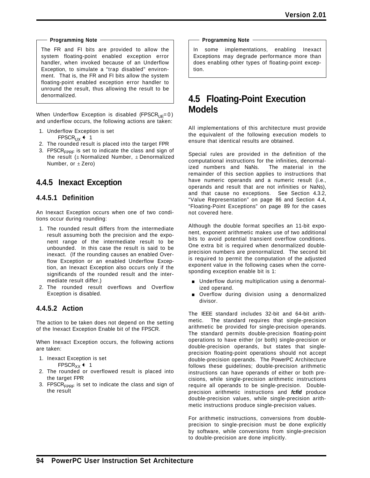#### **Programming Note**

The FR and FI bits are provided to allow the system floating-point enabled exception error handler, when invoked because of an Underflow Exception, to simulate a "trap disabled" environment. That is, the FR and FI bits allow the system floating-point enabled exception error handler to unround the result, thus allowing the result to be denormalized.

When Underflow Exception is disabled (FPSCR $_{\text{UE}}=0$ ) and underflow occurs, the following actions are taken:

- 1. Underflow Exception is set FPSCR<sub>UX</sub>  $\leftarrow$  1
- 2. The rounded result is placed into the target FPR
- 3. FPSCR $F_{FPRF}$  is set to indicate the class and sign of the result  $(\pm$  Normalized Number,  $\pm$  Denormalized Number, or  $\pm$  Zero)

# **4.4.5 Inexact Exception**

### **4.4.5.1 Definition**

An Inexact Exception occurs when one of two conditions occur during rounding:

- 1. The rounded result differs from the intermediate result assuming both the precision and the exponent range of the intermediate result to be unbounded. In this case the result is said to be inexact. (If the rounding causes an enabled Overflow Exception or an enabled Underflow Exception, an Inexact Exception also occurs only if the significands of the rounded result and the intermediate result differ.)
- 2. The rounded result overflows and Overflow Exception is disabled.

## **4.4.5.2 Action**

The action to be taken does not depend on the setting of the Inexact Exception Enable bit of the FPSCR.

When Inexact Exception occurs, the following actions are taken:

- 1. Inexact Exception is set FPSCR<sub>XX</sub> $\leftarrow$  1
- 2. The rounded or overflowed result is placed into the target FPR
- 3. FPSCR $F_{FPRF}$  is set to indicate the class and sign of the result

**Programming Note**

In some implementations, enabling Inexact Exceptions may degrade performance more than does enabling other types of floating-point exception.

# **4.5 Floating-Point Execution Models**

All implementations of this architecture must provide the equivalent of the following execution models to ensure that identical results are obtained.

Special rules are provided in the definition of the computational instructions for the infinities, denormalized numbers and NaNs. The material in the remainder of this section applies to instructions that have numeric operands and a numeric result (i.e., operands and result that are not infinities or NaNs), and that cause no exceptions. See Section 4.3.2, "Value Representation" on page 86 and Section 4.4, "Floating-Point Exceptions" on page 89 for the cases not covered here.

Although the double format specifies an 11-bit exponent, exponent arithmetic makes use of two additional bits to avoid potential transient overflow conditions. One extra bit is required when denormalized doubleprecision numbers are prenormalized. The second bit is required to permit the computation of the adjusted exponent value in the following cases when the corresponding exception enable bit is 1:

- **Dimograph** Underflow during multiplication using a denormalized operand.
- Overflow during division using a denormalized divisor.

The IEEE standard includes 32-bit and 64-bit arithmetic. The standard requires that single-precision arithmetic be provided for single-precision operands. The standard permits double-precision floating-point operations to have either (or both) single-precision or double-precision operands, but states that singleprecision floating-point operations should not accept double-precision operands. The PowerPC Architecture follows these guidelines; double-precision arithmetic instructions can have operands of either or both precisions, while single-precision arithmetic instructions require all operands to be single-precision. Doubleprecision arithmetic instructions and *fcfid* produce double-precision values, while single-precision arithmetic instructions produce single-precision values.

For arithmetic instructions, conversions from doubleprecision to single-precision must be done explicitly by software, while conversions from single-precision to double-precision are done implicitly.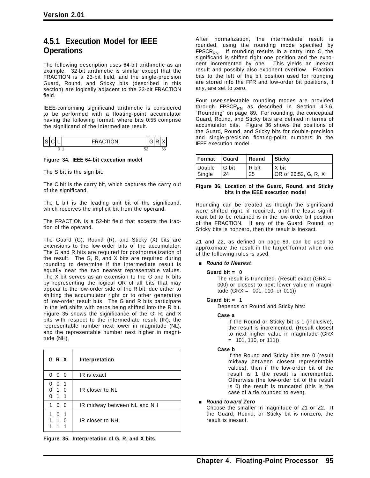# **4.5.1 Execution Model for IEEE Operations**

The following description uses 64-bit arithmetic as an example. 32-bit arithmetic is similar except that the FRACTION is a 23-bit field, and the single-precision Guard, Round, and Sticky bits (described in this section) are logically adjacent to the 23-bit FRACTION field.

IEEE-conforming significand arithmetic is considered to be performed with a floating-point accumulator having the following format, where bits 0:55 comprise the significand of the intermediate result.

| lslo | <b>FRACTION</b> |    |
|------|-----------------|----|
|      | ٠               | 55 |

#### **Figure 34. IEEE 64-bit execution model**

The S bit is the sign bit.

The C bit is the carry bit, which captures the carry out of the significand.

The L bit is the leading unit bit of the significand, which receives the implicit bit from the operand.

The FRACTION is a 52-bit field that accepts the fraction of the operand.

The Guard (G), Round (R), and Sticky (X) bits are extensions to the low-order bits of the accumulator. The G and R bits are required for postnormalization of the result. The G, R, and X bits are required during rounding to determine if the intermediate result is equally near the two nearest representable values. The X bit serves as an extension to the G and R bits by representing the logical OR of all bits that may appear to the low-order side of the R bit, due either to shifting the accumulator right or to other generation of low-order result bits. The G and R bits participate in the left shifts with zeros being shifted into the R bit. Figure 35 shows the significance of the G, R, and X bits with respect to the intermediate result (IR), the representable number next lower in magnitude (NL), and the representable number next higher in magnitude (NH).

| GRX                             | Interpretation              |  |
|---------------------------------|-----------------------------|--|
| O<br>0<br>$\mathbf{0}$          | IR is exact                 |  |
| -1<br>$\Omega$<br>1 0<br>1<br>1 | IR closer to NL             |  |
| 0<br>$\mathbf{0}$               | IR midway between NL and NH |  |
| 0<br>$\mathbf{1}$<br>$\Omega$   | IR closer to NH             |  |



After normalization, the intermediate result is rounded, using the rounding mode specified by FPSCR<sub>RN</sub>. If rounding results in a carry into C, the significand is shifted right one position and the exponent incremented by one. This yields an inexact result and possibly also exponent overflow. Fraction bits to the left of the bit position used for rounding are stored into the FPR and low-order bit positions, if any, are set to zero.

Four user-selectable rounding modes are provided through FPSCR<sub>RN</sub> as described in Section 4.3.6, "Rounding" on page 89. For rounding, the conceptual Guard, Round, and Sticky bits are defined in terms of accumulator bits. Figure 36 shows the positions of the Guard, Round, and Sticky bits for double-precision and single-precision floating-point numbers in the IEEE execution model.

| Format | <b>Guard</b> | Round   | <b>Sticky</b>        |
|--------|--------------|---------|----------------------|
| Double | IG bit       | l R bit | l X bit              |
| Single | 24           | 25      | OR of 26:52, G, R, X |

#### **Figure 36. Location of the Guard, Round, and Sticky bits in the IEEE execution model**

Rounding can be treated as though the significand were shifted right, if required, until the least significant bit to be retained is in the low-order bit position of the FRACTION. If any of the Guard, Round, or Sticky bits is nonzero, then the result is inexact.

Z1 and Z2, as defined on page 89, can be used to approximate the result in the target format when one of the following rules is used.

#### [ *Round to Nearest*

#### **Guard bit = 0**

The result is truncated. (Result exact (GRX = 000) or closest to next lower value in magnitude (GRX = 001, 010, or 011))

#### **Guard bit = 1**

Depends on Round and Sticky bits:

#### **Case a**

If the Round or Sticky bit is 1 (inclusive), the result is incremented. (Result closest to next higher value in magnitude (GRX  $= 101, 110, or 111)$ 

#### **Case b**

If the Round and Sticky bits are 0 (result midway between closest representable values), then if the low-order bit of the result is 1 the result is incremented. Otherwise (the low-order bit of the result is 0) the result is truncated (this is the case of a tie rounded to even).

[ *Round toward Zero*

Choose the smaller in magnitude of Z1 or Z2. If the Guard, Round, or Sticky bit is nonzero, the result is inexact.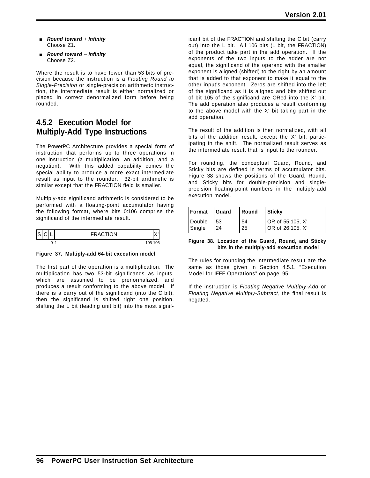- [ *Round toward* + *Infinity* Choose Z1.
- [ *Round toward* − *Infinity* Choose Z2.

Where the result is to have fewer than 53 bits of precision because the instruction is a *Floating Round to Single-Precision* or single-precision arithmetic instruction, the intermediate result is either normalized or placed in correct denormalized form before being rounded.

# **4.5.2 Execution Model for Multiply-Add Type Instructions**

The PowerPC Architecture provides a special form of instruction that performs up to three operations in one instruction (a multiplication, an addition, and a negation). With this added capability comes the special ability to produce a more exact intermediate result as input to the rounder. 32-bit arithmetic is similar except that the FRACTION field is smaller.

Multiply-add significand arithmetic is considered to be performed with a floating-point accumulator having the following format, where bits 0:106 comprise the significand of the intermediate result.

|  | <b>RACTION</b> |    |
|--|----------------|----|
|  | 105            | 06 |

**Figure 37. Multiply-add 64-bit execution model**

The first part of the operation is a multiplication. The multiplication has two 53-bit significands as inputs, which are assumed to be prenormalized, and produces a result conforming to the above model. If there is a carry out of the significand (into the C bit), then the significand is shifted right one position, shifting the L bit (leading unit bit) into the most significant bit of the FRACTION and shifting the C bit (carry out) into the L bit. All 106 bits (L bit, the FRACTION) of the product take part in the add operation. If the exponents of the two inputs to the adder are not equal, the significand of the operand with the smaller exponent is aligned (shifted) to the right by an amount that is added to that exponent to make it equal to the other input's exponent. Zeros are shifted into the left of the significand as it is aligned and bits shifted out of bit 105 of the significand are ORed into the X' bit. The add operation also produces a result conforming to the above model with the X' bit taking part in the add operation.

The result of the addition is then normalized, with all bits of the addition result, except the X' bit, participating in the shift. The normalized result serves as the intermediate result that is input to the rounder.

For rounding, the conceptual Guard, Round, and Sticky bits are defined in terms of accumulator bits. Figure 38 shows the positions of the Guard, Round, and Sticky bits for double-precision and singleprecision floating-point numbers in the multiply-add execution model.

| <b> Format</b> | I Guard | l Round | Sticky           |
|----------------|---------|---------|------------------|
| Double         | 153     | 54      | OR of 55:105, X' |
| Single         | 24      | 25      | OR of 26:105, X' |

#### **Figure 38. Location of the Guard, Round, and Sticky bits in the multiply-add execution model**

The rules for rounding the intermediate result are the same as those given in Section 4.5.1, "Execution Model for IEEE Operations" on page 95.

If the instruction is *Floating Negative Multiply-Add* or *Floating Negative Multiply-Subtract*, the final result is negated.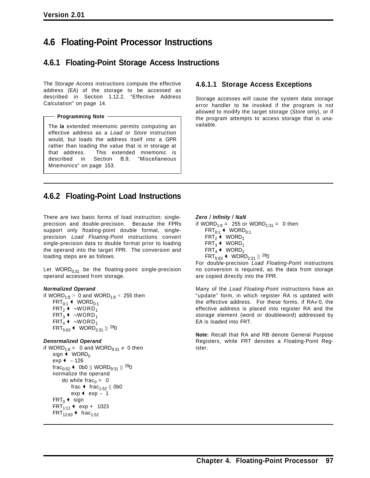# **4.6 Floating-Point Processor Instructions**

# **4.6.1 Floating-Point Storage Access Instructions**

The *Storage Access* instructions compute the effective address (EA) of the storage to be accessed as described in Section 1.12.2, "Effective Address Calculation" on page 14.

**Programming Note**

The *la* extended mnemonic permits computing an effective address as a *Load* or *Store* instruction would, but loads the address itself into a GPR rather than loading the value that is in storage at that address. This extended mnemonic is described in Section B.9, Mnemonics" on page 153.

# **4.6.1.1 Storage Access Exceptions**

Storage accesses will cause the system data storage error handler to be invoked if the program is not allowed to modify the target storage (*Store* only), or if the program attempts to access storage that is unavailable.

# **4.6.2 Floating-Point Load Instructions**

There are two basic forms of load instruction: singleprecision and double-precision. Because the FPRs support only floating-point double format, singleprecision *Load Floating-Point* instructions convert single-precision data to double format prior to loading the operand into the target FPR. The conversion and loading steps are as follows.

Let WORD $_{0:31}$  be the floating-point single-precision operand accessed from storage.

#### *Normalized Operand*

if WORD<sub>1:8</sub> > 0 and WORD<sub>1:8</sub> < 255 then  $FRT_{0:1}$  WORD<sub>0:1</sub>  $FRT_2$   $\leftrightarrow$  ¬WORD<sub>1</sub>  $FRT_3$  +  $\neg WORD_1$  $FRT_4$   $\leftrightarrow$  ¬WORD<sub>1</sub>  $FRT_{5:63}$  + WORD<sub>2:31</sub> || <sup>29</sup>0

#### *Denormalized Operand*

```
if WORD<sub>1:8</sub> = 0 and WORD<sub>9:31</sub> \neq 0 then
      sign \triangleleft WORD<sub>0</sub>
      exp \leftarrow -126
     frac<sub>0:52</sub> \leftarrow 0b0 || WORD<sub>9:31</sub> || <sup>29</sup>0
     normalize the operand
           do while frac<sub>0</sub> = 0
                 frac \leftarrow frac<sub>1:52</sub> || 0b0
                 exp + exp - 1
      FRT_0 + sign
      FRT_{1:11} + exp + 1023
      FRT_{12:63} + frac<sub>1:52</sub>
```
*Zero / Infinity / NaN* if WORD<sub>1:8</sub> = 255 or WORD<sub>1:31</sub> = 0 then  $FRT_{0:1}$  + WORD<sub>0:1</sub>  $FRT_2$   $\leftarrow$  WORD<sub>1</sub>  $FRT_3$  + WORD<sub>1</sub> FRT<sub>4</sub>  $\leftrightarrow$  WORD<sub>1</sub>  $FRT_{5:63}$  + WORD<sub>2:31</sub> || <sup>29</sup>0

For double-precision *Load Floating-Point* instructions no conversion is required, as the data from storage are copied directly into the FPR.

Many of the *Load Floating-Point* instructions have an "update" form, in which register RA is updated with the effective address. For these forms, if  $RA \neq 0$ , the effective address is placed into register RA and the storage element (word or doubleword) addressed by EA is loaded into FRT.

**Note:** Recall that RA and RB denote General Purpose Registers, while FRT denotes a Floating-Point Register.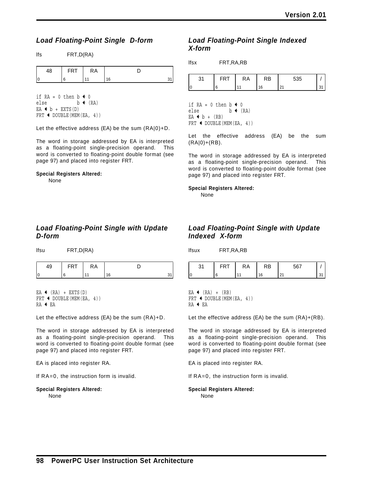# *Load Floating-Point Single D-form*

| <b>FRT</b> | КA |    |  |
|------------|----|----|--|
|            |    | ١c |  |

if  $RA = 0$  then  $b \leftarrow 0$ else  $b \leftarrow (RA)$  $EA + b + EXTS(D)$ FRT  $\leftarrow$  DOUBLE (MEM(EA, 4))

lfs FRT,D(RA)

Let the effective address (EA) be the sum (RA|0)+D.

The word in storage addressed by EA is interpreted as a floating-point single-precision operand. This word is converted to floating-point double format (see page 97) and placed into register FRT.

#### **Special Registers Altered:**

None

### *Load Floating-Point Single with Update D-form*

lfsu FRT,D(RA)

| <b>CDT</b><br>. . | КA |     |  |
|-------------------|----|-----|--|
|                   |    | ' ፎ |  |

EA  $\leftarrow$  (RA) + EXTS(D) FRT  $\leftarrow$  DOUBLE(MEM(EA, 4))  $RA$   $+$  EA

Let the effective address (EA) be the sum (RA)+D.

The word in storage addressed by EA is interpreted as a floating-point single-precision operand. This word is converted to floating-point double format (see page 97) and placed into register FRT.

EA is placed into register RA.

If RA=0, the instruction form is invalid.

**Special Registers Altered:** None

## *Load Floating-Point Single Indexed X-form*

| lfsx | FRT, RA, RB |
|------|-------------|
|      |             |

| n,<br>ີ | КA | ₹B | 535 |  |
|---------|----|----|-----|--|
|         |    |    | n.  |  |

if RA = 0 then  $b \triangleleft 0$ else  $b \leftarrow (RA)$  $EA + b + (RB)$ FRT  $\leftarrow$  DOUBLE (MEM(EA, 4))

Let the effective address (EA) be the sum  $(RA|0)+(RB)$ .

The word in storage addressed by EA is interpreted as a floating-point single-precision operand. This word is converted to floating-point double format (see page 97) and placed into register FRT.

**Special Registers Altered:**

None

## *Load Floating-Point Single with Update Indexed X-form*

| --------  |            |    |    |     |    |
|-----------|------------|----|----|-----|----|
| 31        | <b>FRT</b> | RA | RB | 567 |    |
| $\vert$ 0 |            |    | 16 | 21  | 31 |

EA  $\leftarrow$  (RA) + (RB) FRT  $\leftarrow$  DOUBLE (MEM(EA, 4))  $RA$   $+$  EA

lfsux FRT,RA,RB

Let the effective address (EA) be the sum (RA)+(RB).

The word in storage addressed by EA is interpreted as a floating-point single-precision operand. This word is converted to floating-point double format (see page 97) and placed into register FRT.

EA is placed into register RA.

If RA=0, the instruction form is invalid.

**Special Registers Altered:** None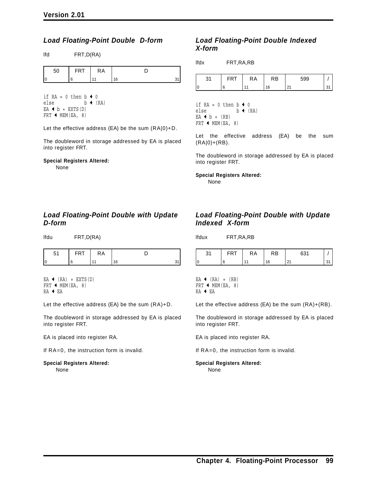### *Load Floating-Point Double D-form*

lfd FRT,D(RA)

| ►<br>. | КA |    |  |
|--------|----|----|--|
|        |    | 16 |  |

if  $RA = 0$  then  $b \triangleleft 0$ else  $b \leftarrow (RA)$  $EA + b + EXTS(D)$ FRT  $\leftarrow$  MEM(EA, 8)

Let the effective address (EA) be the sum (RA|0)+D.

The doubleword in storage addressed by EA is placed into register FRT.

## **Special Registers Altered:**

None

### $EA + b + (RB)$ FRT  $\leftarrow$  MEM(EA, 8)

*X-form*

lfdx FRT,RA,RB

if  $RA = 0$  then  $b \leftarrow 0$ else  $b \leftarrow (RA)$ 

Let the effective address (EA) be the sum (RA|0)+(RB).

31 | FRT | RA | RB | 599 | / 0 6 11 16 21 31

*Load Floating-Point Double Indexed*

The doubleword in storage addressed by EA is placed into register FRT.

**Special Registers Altered:** None

*Load Floating-Point Double with Update D-form*

lfdu FRT,D(RA)

| ħ | - | κA. |  |
|---|---|-----|--|
|   |   |     |  |

EA  $\leftarrow$  (RA) + EXTS(D) FRT  $\leftarrow$  MEM(EA, 8) RA + EA

Let the effective address (EA) be the sum (RA)+D.

The doubleword in storage addressed by EA is placed into register FRT.

EA is placed into register RA.

If RA=0, the instruction form is invalid.

#### **Special Registers Altered:** None

### *Load Floating-Point Double with Update Indexed X-form*

lfdux FRT,RA,RB

|   | ٢A | ξD | $\sim$ |  |
|---|----|----|--------|--|
| C |    |    | - 1    |  |

EA  $\leftarrow$  (RA) + (RB) FRT  $\leftarrow$  MEM(EA, 8) RA + EA

Let the effective address (EA) be the sum (RA)+(RB).

The doubleword in storage addressed by EA is placed into register FRT.

EA is placed into register RA.

If RA=0, the instruction form is invalid.

#### **Special Registers Altered:** None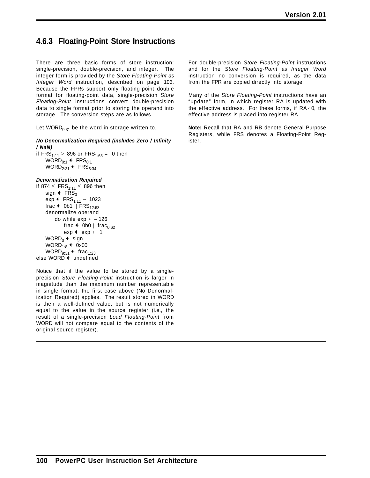# **4.6.3 Floating-Point Store Instructions**

There are three basic forms of store instruction: single-precision, double-precision, and integer. The integer form is provided by the *Store Floating-Point as Integer Word* instruction, described on page 103. Because the FPRs support only floating-point double format for floating-point data, single-precision *Store Floating-Point* instructions convert double-precision data to single format prior to storing the operand into storage. The conversion steps are as follows.

Let WORD $_{0:31}$  be the word in storage written to.

*No Denormalization Required (includes Zero / Infinity / NaN)*

```
if FRS_{1:11} > 896 or FRS_{1:63} = 0 then
    WORD_{0:1} + FRS_{0:1}WORD_{2:31} + FRS<sub>5:34</sub>
```
#### *Denormalization Required*

if 874 ≤  $FRS<sub>1:11</sub>$  ≤ 896 then sign  $\leftarrow$  FRS<sub>0</sub> exp  $\leftarrow$  FRS<sub>1:11</sub> - 1023 frac  $\leftarrow$  0b1 || FRS<sub>12:63</sub> denormalize operand do while  $exp < -126$ frac  $\leftarrow$  0b0 || frac<sub>0:62</sub>  $exp$  +  $exp$  + 1 WORD<sub>0</sub>  $\leftarrow$  sign WORD<sub>1:8</sub>  $\leftarrow$  0x00 WORD $_{9:31}$  + frac<sub>1:23</sub> else WORD  $\leftarrow$  undefined

Notice that if the value to be stored by a singleprecision *Store Floating-Point* instruction is larger in magnitude than the maximum number representable in single format, the first case above (No Denormalization Required) applies. The result stored in WORD is then a well-defined value, but is not numerically equal to the value in the source register (i.e., the result of a single-precision *Load Floating-Point* from WORD will not compare equal to the contents of the original source register).

For double-precision *Store Floating-Point* instructions and for the *Store Floating-Point as Integer Word* instruction no conversion is required, as the data from the FPR are copied directly into storage.

Many of the *Store Floating-Point* instructions have an "update" form, in which register RA is updated with the effective address. For these forms, if  $RA \neq 0$ , the effective address is placed into register RA.

**Note:** Recall that RA and RB denote General Purpose Registers, while FRS denotes a Floating-Point Register.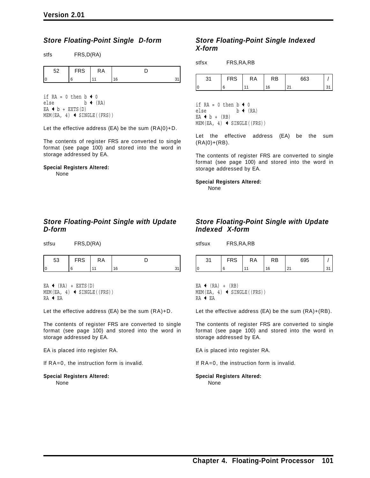### *Store Floating-Point Single D-form*

stfs FRS,D(RA)

| r o | <b>FRS</b> | КA |   |  |
|-----|------------|----|---|--|
|     |            |    | Q |  |

if  $RA = 0$  then  $b \leftarrow 0$ else  $b \leftarrow (RA)$  $EA + b + EXTS(D)$  $MEM(EA, 4)$  + SINGLE((FRS))

Let the effective address (EA) be the sum (RA|0)+D.

The contents of register FRS are converted to single format (see page 100) and stored into the word in storage addressed by EA.

#### **Special Registers Altered:** None

### *Store Floating-Point Single with Update D-form*

stfsu FRS,D(RA)

| r o | $\ddotsc$ | .A. |   |  |
|-----|-----------|-----|---|--|
|     |           |     | I |  |

 $EA$  (RA) + EXTS(D)  $MEM(EA, 4)$  + SINGLE((FRS)) RA ← EA

Let the effective address (EA) be the sum (RA)+D.

The contents of register FRS are converted to single format (see page 100) and stored into the word in storage addressed by EA.

EA is placed into register RA.

If RA=0, the instruction form is invalid.

#### **Special Registers Altered:** None

### *Store Floating-Point Single Indexed X-form*

stfsx FRS,RA,RB

| n, | --^<br>טו | RA | RB | 663 |  |
|----|-----------|----|----|-----|--|
|    |           |    |    | Ő.  |  |

if RA = 0 then  $b \leftarrow 0$ else  $b \leftarrow (RA)$  $EA + b + (RB)$  $MEM(EA, 4)$  + SINGLE((FRS))

Let the effective address (EA) be the sum  $(RA|0)+(RB)$ .

The contents of register FRS are converted to single format (see page 100) and stored into the word in storage addressed by EA.

**Special Registers Altered:** None

### *Store Floating-Point Single with Update Indexed X-form*

stfsux FRS,RA,RB

| ົ<br>C | FRS | RA | RΒ | 695       |  |
|--------|-----|----|----|-----------|--|
| ١c     |     |    | 16 | n,<br>2 I |  |

EA  $\leftarrow$  (RA) + (RB)  $MEM(EA, 4)$  + SINGLE((FRS)) RA + EA

Let the effective address (EA) be the sum (RA)+(RB).

The contents of register FRS are converted to single format (see page 100) and stored into the word in storage addressed by EA.

EA is placed into register RA.

If RA=0, the instruction form is invalid.

#### **Special Registers Altered:** None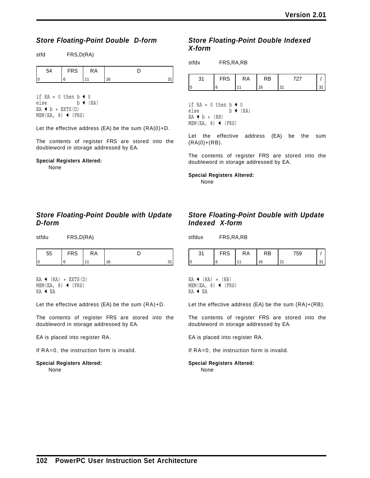### *Store Floating-Point Double D-form*

stfd FRS,D(RA)

| $\neg$<br>nυ | ĸА |    |  |
|--------------|----|----|--|
|              |    | 16 |  |

if  $RA = 0$  then  $b \leftarrow 0$ else  $b \leftarrow (RA)$  $EA + b + EXTS(D)$  $MEM(EA, 8)$  (FRS)

Let the effective address (EA) be the sum (RA|0)+D.

The contents of register FRS are stored into the doubleword in storage addressed by EA.

#### **Special Registers Altered:**

None

### *Store Floating-Point Double with Update D-form*

stfdu FRS,D(RA)

| 55       | <b>FRS</b> | ĸА |      |  |
|----------|------------|----|------|--|
| ∩<br>. . |            |    | 1 หิ |  |

EA  $\leftarrow$  (RA) + EXTS(D)  $MEM(EA, 8)$  (FRS) RA + EA

Let the effective address (EA) be the sum (RA)+D.

The contents of register FRS are stored into the doubleword in storage addressed by EA.

EA is placed into register RA.

If RA=0, the instruction form is invalid.

#### **Special Registers Altered:** None

### *Store Floating-Point Double Indexed X-form*

|   | nυ | KΑ | RΒ |  |
|---|----|----|----|--|
| ı |    |    |    |  |

if RA = 0 then  $b \triangleleft 0$ else  $b \leftarrow (RA)$  $EA + b + (RB)$  $MEM(EA, 8)$  (FRS)

Let the effective address (EA) be the sum (RA|0)+(RB).

The contents of register FRS are stored into the doubleword in storage addressed by EA.

#### **Special Registers Altered:**

None

### *Store Floating-Point Double with Update Indexed X-form*

stfdux FRS,RA,RB

| v | ĸΑ | - - |  |
|---|----|-----|--|
|   |    |     |  |

EA  $\leftarrow$  (RA) + (RB)  $MEM(EA, 8)$  (FRS) RA + EA

Let the effective address (EA) be the sum (RA)+(RB).

The contents of register FRS are stored into the doubleword in storage addressed by EA.

EA is placed into register RA.

If RA=0, the instruction form is invalid.

#### **Special Registers Altered:** None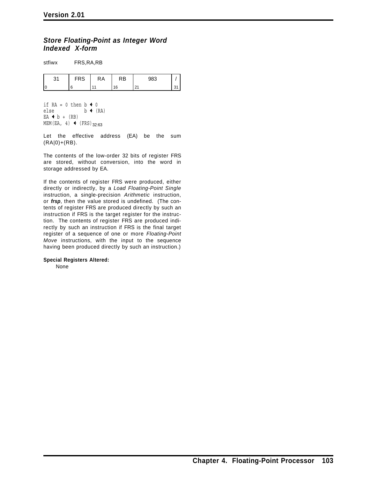### *Store Floating-Point as Integer Word Indexed X-form*

stfiwx FRS,RA,RB

| n, | $\sim$ | ĸА | AD. | 983                  |  |
|----|--------|----|-----|----------------------|--|
|    |        |    | 16  | $\sim$<br><u>_ i</u> |  |

if  $RA = 0$  then  $b \triangleleft 0$ else  $b \leftarrow (RA)$  $EA + b + (RB)$ MEM(EA, 4)  $\leftarrow$  (FRS)<sub>32:63</sub>

Let the effective address (EA) be the sum (RA|0)+(RB).

The contents of the low-order 32 bits of register FRS are stored, without conversion, into the word in storage addressed by EA.

If the contents of register FRS were produced, either directly or indirectly, by a *Load Floating-Point Single* instruction, a single-precision *Arithmetic* instruction, or *frsp*, then the value stored is undefined. (The contents of register FRS are produced directly by such an instruction if FRS is the target register for the instruction. The contents of register FRS are produced indirectly by such an instruction if FRS is the final target register of a sequence of one or more *Floating-Point Move* instructions, with the input to the sequence having been produced directly by such an instruction.)

**Special Registers Altered:**

None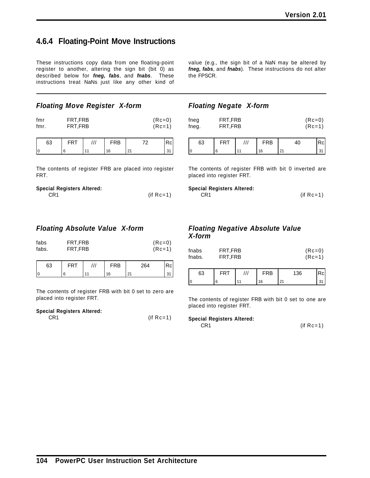# **4.6.4 Floating-Point Move Instructions**

These instructions copy data from one floating-point register to another, altering the sign bit (bit 0) as described below for *fneg, fabs*, and *fnabs*. These instructions treat NaNs just like any other kind of

*Floating Move Register X-form*

| fmr  | FRT.FRB | $(Re=0)$ |
|------|---------|----------|
| fmr. | FRT.FRB | $(Re=1)$ |

| r. |  | RB | — |  |
|----|--|----|---|--|
|    |  |    |   |  |

The contents of register FRB are placed into register FRT.

| <b>Special Registers Altered:</b> |              |
|-----------------------------------|--------------|
| CR1                               | (if $Rc=1$ ) |

### *Floating Absolute Value X-form*

| fabs<br>FRT, FRB<br>fabs.<br>FRT, FRB |     |  |            |    | $(Rc=0)$<br>$(Rc=1)$ |     |  |
|---------------------------------------|-----|--|------------|----|----------------------|-----|--|
| 63                                    | FRT |  | <b>FRB</b> |    | 264                  | Rcl |  |
|                                       | 6   |  | 16         | 21 |                      | 31  |  |

The contents of register FRB with bit 0 set to zero are placed into register FRT.

### **Special Registers Altered:**

CR1 (if Rc=1)

value (e.g., the sign bit of a NaN may be altered by *fneg, fabs*, and *fnabs*). These instructions do not alter the FPSCR.

### *Floating Negate X-form*

| fneg  | FRT.FRB | $(Re=0)$ |
|-------|---------|----------|
| fneg. | FRT.FRB | $(Re=1)$ |

| 63     |  | RΒ |  |
|--------|--|----|--|
| ⌒<br>υ |  | ี  |  |

The contents of register FRB with bit 0 inverted are placed into register FRT.

#### **Special Registers Altered:**

| CR1 | $(if Rc=1)$ |
|-----|-------------|
|-----|-------------|

### *Floating Negative Absolute Value X-form*

| fnabs  | FRT.FRB | $(Re=0)$ |
|--------|---------|----------|
| fnabs. | FRT.FRB | $(Re=1)$ |

| 63 |  | <b>RB</b> |                  |  |
|----|--|-----------|------------------|--|
| C  |  | 16        | n.<br><u>. ເ</u> |  |

The contents of register FRB with bit 0 set to one are placed into register FRT.

#### **Special Registers Altered:**

CR1 (if Rc=1)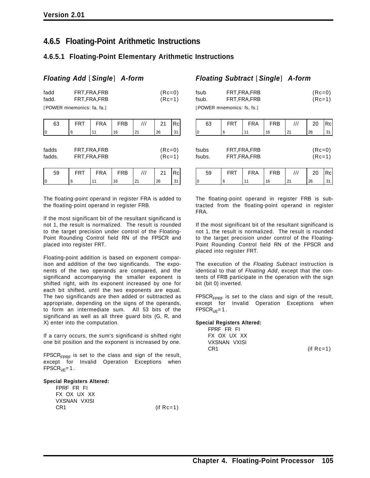# **4.6.5 Floating-Point Arithmetic Instructions**

# **4.6.5.1 Floating-Point Elementary Arithmetic Instructions**

 $(Rc=0)$  $(Rc=1)$ 

# *Floating Add* [*Single*] *A-form*

| fadd  | FRT, FRA, FRB              |
|-------|----------------------------|
| fadd. | FRT, FRA, FRB              |
|       | [POWER mnemonics: fa, fa.] |

| 63              | <b>FRT</b> | <b>FRA</b>                     | <b>FRB</b> | /// | 21                   | Rc  |
|-----------------|------------|--------------------------------|------------|-----|----------------------|-----|
| l0              | 6          | 11                             | 16         | 21  | 26                   | 31  |
| fadds<br>fadds. |            | FRT, FRA, FRB<br>FRT, FRA, FRB |            |     | $(Rc=0)$<br>$(Rc=1)$ |     |
| 59              | <b>FRT</b> | <b>FRA</b>                     | <b>FRB</b> | /// | 21                   | Rcl |
| 10              | 6          |                                | 16         | 21  | 26                   | 31  |

The floating-point operand in register FRA is added to the floating-point operand in register FRB.

If the most significant bit of the resultant significand is not 1, the result is normalized. The result is rounded to the target precision under control of the Floating-Point Rounding Control field RN of the FPSCR and placed into register FRT.

Floating-point addition is based on exponent comparison and addition of the two significands. The exponents of the two operands are compared, and the significand accompanying the smaller exponent is shifted right, with its exponent increased by one for each bit shifted, until the two exponents are equal. The two significands are then added or subtracted as appropriate, depending on the signs of the operands, to form an intermediate sum. All 53 bits of the significand as well as all three guard bits (G, R, and X) enter into the computation.

If a carry occurs, the sum's significand is shifted right one bit position and the exponent is increased by one.

 $FPSCR<sub>FPRF</sub>$  is set to the class and sign of the result, except for Invalid Operation Exceptions when  $FPSCR<sub>VE</sub>=1$ .

#### **Special Registers Altered:**

FPRF FR FI FX OX UX XX VXSNAN VXISI  $CR1$  (if  $Rc=1$ )

# *Floating Subtract* [*Single*] *A-form*

| fsub  | FRT, FRA, FRB              | $(Re=0)$ |
|-------|----------------------------|----------|
| fsub. | FRT.FRA.FRB                | $(Rc=1)$ |
|       | [POWER mnemonics: fs, fs.] |          |

| 63              | <b>FRT</b> | <b>FRA</b>                     | <b>FRB</b> | $^{\prime\prime\prime}$ | 20                   | Rcl |
|-----------------|------------|--------------------------------|------------|-------------------------|----------------------|-----|
| 0               | 6          | 11                             | 16         | 21                      | 26                   | 31  |
| fsubs<br>fsubs. |            | FRT, FRA, FRB<br>FRT, FRA, FRB |            |                         | $(Rc=0)$<br>$(Rc=1)$ |     |
| 59              | <b>FRT</b> | <b>FRA</b>                     | <b>FRB</b> | $^{\prime\prime\prime}$ | 20                   | Rcl |
| $\vert$ 0       | 6          |                                | 16         | 21                      | 26                   | 31  |

The floating-point operand in register FRB is subtracted from the floating-point operand in register FRA.

If the most significant bit of the resultant significand is not 1, the result is normalized. The result is rounded to the target precision under control of the Floating-Point Rounding Control field RN of the FPSCR and placed into register FRT.

The execution of the *Floating Subtract* instruction is identical to that of *Floating Add*, except that the contents of FRB participate in the operation with the sign bit (bit 0) inverted.

FPSCR<sub>FPRF</sub> is set to the class and sign of the result, except for Invalid Operation Exceptions when  $FPSCR<sub>VE</sub>=1$ .

#### **Special Registers Altered:**

FPRF FR FI FX OX UX XX VXSNAN VXISI CR1 (if Rc=1)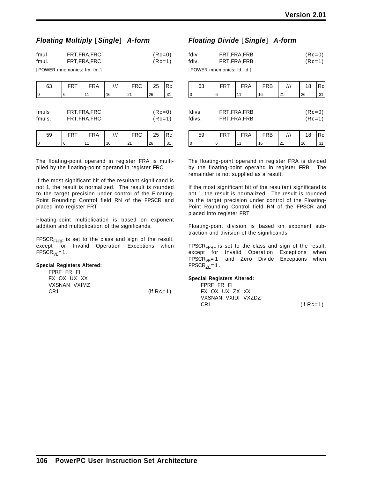### *Floating Multiply* [*Single*] *A-form*

| fmul  | FRT, FRA, FRC | $(Re=0)$ |
|-------|---------------|----------|
| fmul. | FRT,FRA,FRC   | $(Re=1)$ |

[POWER mnemonics: fm, fm.]

| 63              | <b>FRT</b> | <b>FRA</b>                     | /// | <b>FRC</b> | 25                   | Rc |
|-----------------|------------|--------------------------------|-----|------------|----------------------|----|
|                 | 6          |                                | 16  | 21         | 26                   | 31 |
| fmuls<br>fmuls. |            | FRT, FRA, FRC<br>FRT, FRA, FRC |     |            | $(Rc=0)$<br>$(Rc=1)$ |    |
| 59              | FRT        | <b>FRA</b>                     |     | <b>FRC</b> | 25                   |    |

0 6 11 16 21 26 31

The floating-point operand in register FRA is multiplied by the floating-point operand in register FRC.

If the most significant bit of the resultant significand is not 1, the result is normalized. The result is rounded to the target precision under control of the Floating-Point Rounding Control field RN of the FPSCR and placed into register FRT.

Floating-point multiplication is based on exponent addition and multiplication of the significands.

 $FPSCR<sub>FPRF</sub>$  is set to the class and sign of the result, except for Invalid Operation Exceptions when  $FPSCR<sub>VF</sub>=1$ .

#### **Special Registers Altered:**

| FPRF FR FL   |              |
|--------------|--------------|
| FX OX UX XX  |              |
| VXSNAN VXIMZ |              |
| CR1          | (if $Rc=1$ ) |

### *Floating Divide* [*Single*] *A-form*

| fdiv  | FRT, FRA, FRB              | $(Re=0)$ |
|-------|----------------------------|----------|
| fdiv. | FRT, FRA, FRB              | $(Rc=1)$ |
|       | [POWER mnemonics: fd, fd.] |          |

| 63              | <b>FRT</b> | <b>FRA</b>                     | <b>FRB</b> | /// | 18                   | Rcl |
|-----------------|------------|--------------------------------|------------|-----|----------------------|-----|
| 0               | 6          | 11                             | 16         | 21  | 26                   | 31  |
| fdivs<br>fdivs. |            | FRT, FRA, FRB<br>FRT, FRA, FRB |            |     | $(Rc=0)$<br>$(Rc=1)$ |     |
| -^              | ---        | -- ^                           | ---        | 111 | $\overline{ }$       |     |

59 | FRT | FRA | FRB | *|||* | 18 |Rc 0 6 11 16 21 26 31

The floating-point operand in register FRA is divided by the floating-point operand in register FRB. The remainder is not supplied as a result.

If the most significant bit of the resultant significand is not 1, the result is normalized. The result is rounded to the target precision under control of the Floating-Point Rounding Control field RN of the FPSCR and placed into register FRT.

Floating-point division is based on exponent subtraction and division of the significands.

FPSCR<sub>FPRF</sub> is set to the class and sign of the result, except for Invalid Operation Exceptions when<br> $\text{FPSCR}_{\text{VF}} = 1$  and Zero Divide Exceptions when and Zero Divide Exceptions when  $FPSCR_{ZE}=1$ .

#### **Special Registers Altered:**

FPRF FR FI FX OX UX ZX XX VXSNAN VXIDI VXZDZ  $CR1$  (if  $Rc=1$ )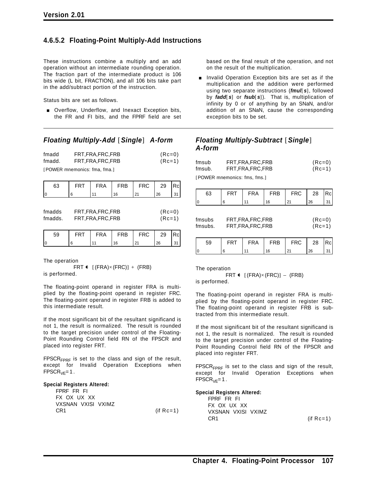### **4.6.5.2 Floating-Point Multiply-Add Instructions**

These instructions combine a multiply and an add operation without an intermediate rounding operation. The fraction part of the intermediate product is 106 bits wide (L bit, FRACTION), and all 106 bits take part in the add/subtract portion of the instruction.

Status bits are set as follows.

**Diam-** Overflow, Underflow, and Inexact Exception bits, the FR and FI bits, and the FPRF field are set

#### *Floating Multiply-Add* [*Single*] *A-form*

| fmadd  | FRT, FRA, FRC, FRB | $(Re=0)$ |
|--------|--------------------|----------|
| fmadd. | FRT, FRA, FRC, FRB | $(Re=1)$ |

[POWER mnemonics: fma, fma.]

| 63                | <b>FRT</b>                               | <b>FRA</b> | <b>FRB</b> | <b>FRC</b> | 29                   | Rcl |
|-------------------|------------------------------------------|------------|------------|------------|----------------------|-----|
|                   | 6                                        | 11         | 16         | 21         | 26                   | 31  |
| fmadds<br>fmadds. | FRT, FRA, FRC, FRB<br>FRT, FRA, FRC, FRB |            |            |            | $(Rc=0)$<br>$(Rc=1)$ |     |
| 59                | FRT                                      | FRA        | <b>FRB</b> | <b>FRC</b> | 29                   |     |

0 6 11 16 21 26 31

The operation

FRT  $\leftarrow$  [(FRA) $\times$ (FRC)] + (FRB) is performed.

The floating-point operand in register FRA is multiplied by the floating-point operand in register FRC. The floating-point operand in register FRB is added to this intermediate result.

If the most significant bit of the resultant significand is not 1, the result is normalized. The result is rounded to the target precision under control of the Floating-Point Rounding Control field RN of the FPSCR and placed into register FRT.

 $FPSCR<sub>FPRF</sub>$  is set to the class and sign of the result, except for Invalid Operation Exceptions when  $FPSCR<sub>VE</sub>=1$ .

#### **Special Registers Altered:**

| FPRF FR FL         |              |
|--------------------|--------------|
| FX OX UX XX        |              |
| VXSNAN VXISI VXIMZ |              |
| CR1                | (if $Rc=1$ ) |

based on the final result of the operation, and not on the result of the multiplication.

Invalid Operation Exception bits are set as if the multiplication and the addition were performed using two separate instructions (*fmul*[ *s*], followed by *fadd*[ *s*] or *fsub*[ *s*]). That is, multiplication of infinity by 0 or of anything by an SNaN, and/or addition of an SNaN, cause the corresponding exception bits to be set.

### *Floating Multiply-Subtract* [*Single*] *A-form*

| fmsub  | FRT, FRA, FRC, FRB | $(Re=0)$ |
|--------|--------------------|----------|
| fmsub. | FRT, FRA, FRC, FRB | $(Re=1)$ |

[POWER mnemonics: fms, fms.]

| 63                | <b>FRT</b>                               | <b>FRA</b> | <b>FRB</b> | <b>FRC</b> | 28                   | Rcl |
|-------------------|------------------------------------------|------------|------------|------------|----------------------|-----|
| 10                | 6                                        | 11         | 16         | 21         | 26                   | 31  |
| fmsubs<br>fmsubs. | FRT, FRA, FRC, FRB<br>FRT, FRA, FRC, FRB |            |            |            | $(Rc=0)$<br>$(Rc=1)$ |     |
| 59                | <b>FRT</b>                               | <b>FRA</b> | <b>FRB</b> | <b>FRC</b> | 28                   | Rcl |
|                   | 6                                        |            | 16         | 21         | 26                   | 31  |

The operation

FRT  $\leftarrow$  [(FRA)×(FRC)] – (FRB) is performed.

The floating-point operand in register FRA is multiplied by the floating-point operand in register FRC. The floating-point operand in register FRB is subtracted from this intermediate result.

If the most significant bit of the resultant significand is not 1, the result is normalized. The result is rounded to the target precision under control of the Floating-Point Rounding Control field RN of the FPSCR and placed into register FRT.

FPSCR<sub>FPRF</sub> is set to the class and sign of the result, except for Invalid Operation Exceptions when  $FPSCR<sub>VE</sub>=1$ .

#### **Special Registers Altered:**

FPRF FR FI FX OX UX XX VXSNAN VXISI VXIMZ CR1 (if Rc=1)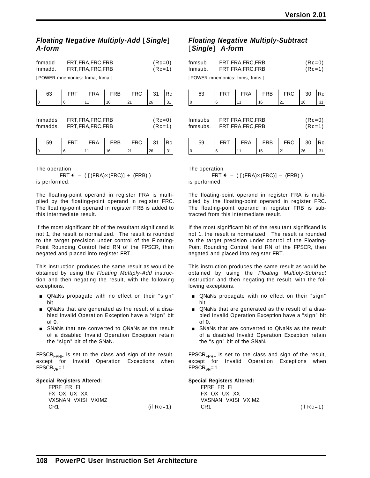### *Floating Negative Multiply-Add* [*Single*] *A-form*

| fnmadd  | FRT, FRA, FRC, FRB | $(Re=0)$ |
|---------|--------------------|----------|
| fnmadd. | FRT, FRA, FRC, FRB | $(Re=1)$ |

[POWER mnemonics: fnma, fnma.]

| 63                  | FRT | <b>FRA</b>                               | <b>FRB</b> | <b>FRC</b> | 31                   | Rcl |
|---------------------|-----|------------------------------------------|------------|------------|----------------------|-----|
|                     | 6   | 11                                       | 16         | 21         | 26                   | 31  |
| fnmadds<br>fnmadds. |     | FRT, FRA, FRC, FRB<br>FRT, FRA, FRC, FRB |            |            | $(Rc=0)$<br>$(Rc=1)$ |     |

| 59  | <b>ERT</b> | <b>FRA</b> | FRB | FRC | -31 | Rcl |
|-----|------------|------------|-----|-----|-----|-----|
| I ( |            |            |     |     | 26  |     |

The operation

FRT  $\leftarrow$  ( [(FRA)×(FRC)] + (FRB) ) is performed.

The floating-point operand in register FRA is multiplied by the floating-point operand in register FRC. The floating-point operand in register FRB is added to this intermediate result.

If the most significant bit of the resultant significand is not 1, the result is normalized. The result is rounded to the target precision under control of the Floating-Point Rounding Control field RN of the FPSCR, then negated and placed into register FRT.

This instruction produces the same result as would be obtained by using the *Floating Multiply-Add* instruction and then negating the result, with the following exceptions.

- **QNaNs propagate with no effect on their "sign"** bit.
- QNaNs that are generated as the result of a disabled Invalid Operation Exception have a "sign" bit of 0.
- **BURGING SNANS that are converted to QNaNs as the result** of a disabled Invalid Operation Exception retain the "sign" bit of the SNaN.

FPSCR<sub>FPRF</sub> is set to the class and sign of the result, except for Invalid Operation Exceptions when  $FPSCR<sub>VE</sub>=1$ .

#### **Special Registers Altered:**

| FPRF FR FL         |              |
|--------------------|--------------|
| FX OX UX XX        |              |
| VXSNAN VXISI VXIMZ |              |
| CR1                | (if $Rc=1$ ) |

### *Floating Negative Multiply-Subtract* [*Single*] *A-form*

| fnmsub  | FRT, FRA, FRC, FRB | $(Rc=0)$ |
|---------|--------------------|----------|
| fnmsub. | FRT, FRA, FRC, FRB | $(Rc=1)$ |
|         |                    |          |

[POWER mnemonics: fnms, fnms.]

| 63                  | FRT                                      | <b>FRA</b> | <b>FRB</b> | <b>FRC</b> | 30                   | Rcl |
|---------------------|------------------------------------------|------------|------------|------------|----------------------|-----|
| $\overline{0}$      | 6                                        | 11         | 16         | 21         | 26                   | 31  |
| fnmsubs<br>fnmsubs. | FRT, FRA, FRC, FRB<br>FRT, FRA, FRC, FRB |            |            |            | $(Rc=0)$<br>$(Rc=1)$ |     |
| 59                  | <b>FRT</b>                               | FRA        | <b>FRB</b> | <b>FRC</b> | 30                   |     |

0 6 11 16 21 26 31

The operation

FRT  $\leftarrow$  ( [(FRA)×(FRC)] – (FRB) ) is performed.

The floating-point operand in register FRA is multiplied by the floating-point operand in register FRC. The floating-point operand in register FRB is subtracted from this intermediate result.

If the most significant bit of the resultant significand is not 1, the result is normalized. The result is rounded to the target precision under control of the Floating-Point Rounding Control field RN of the FPSCR, then negated and placed into register FRT.

This instruction produces the same result as would be obtained by using the *Floating Multiply-Subtract* instruction and then negating the result, with the following exceptions.

- **QNaNs propagate with no effect on their "sign"** bit.
- QNaNs that are generated as the result of a disabled Invalid Operation Exception have a "sign" bit of 0.
- **BURGING SNANS that are converted to QNaNs as the result** of a disabled Invalid Operation Exception retain the "sign" bit of the SNaN.

FPSCR<sub>FPRF</sub> is set to the class and sign of the result, except for Invalid Operation Exceptions when  $FPSCR<sub>VE</sub>=1.$ 

#### **Special Registers Altered:**

FPRF FR FI FX OX UX XX VXSNAN VXISI VXIMZ CR1 (if Rc=1)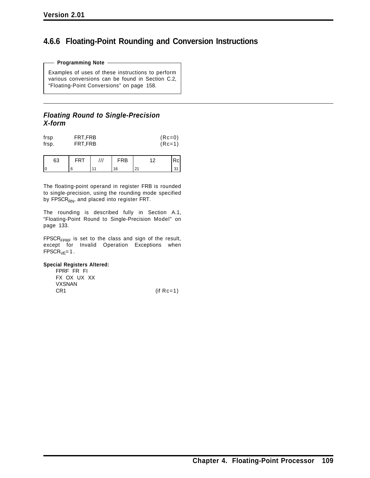# **4.6.6 Floating-Point Rounding and Conversion Instructions**

#### **Programming Note**

Examples of uses of these instructions to perform various conversions can be found in Section C.2, "Floating-Point Conversions" on page 158.

### *Floating Round to Single-Precision X-form*

| frsp  | FRT, FRB | $(Rc=0)$ |
|-------|----------|----------|
| frsp. | FRT, FRB | $(Rc=1)$ |

| 63 |  | RВ |  |
|----|--|----|--|
| ١r |  |    |  |

The floating-point operand in register FRB is rounded to single-precision, using the rounding mode specified by FPSCR<sub>RN</sub>, and placed into register FRT.

The rounding is described fully in Section A.1, "Floating-Point Round to Single-Precision Model" on page 133.

FPSCR<sub>FPRF</sub> is set to the class and sign of the result, except for Invalid Operation Exceptions when  $FPSCR<sub>VE</sub>=1$ .

#### **Special Registers Altered:**

FPRF FR FI FX OX UX XX VXSNAN CR1 (if Rc=1)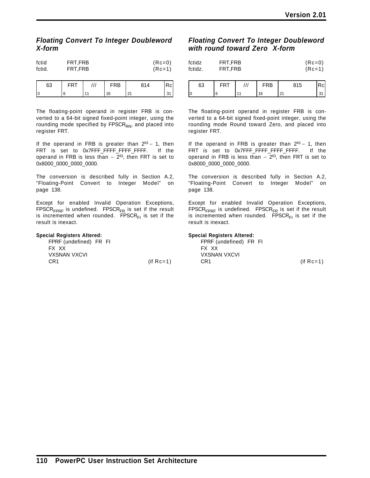### *Floating Convert To Integer Doubleword X-form*

| fctid  | FRT.FRB | $(Re=0)$ |
|--------|---------|----------|
| fctid. | FRT.FRB | $(RC=1)$ |

| 63 |                | ∓RB | 814      | SС |
|----|----------------|-----|----------|----|
|    | $\overline{A}$ | 16  | $\Omega$ |    |

The floating-point operand in register FRB is converted to a 64-bit signed fixed-point integer, using the rounding mode specified by FPSCR<sub>RN</sub>, and placed into register FRT.

If the operand in FRB is greater than  $2^{63} - 1$ , then FRT is set to 0x7FFF\_FFFF\_FFFF\_FFFF. If the operand in FRB is less than  $-2^{63}$ , then FRT is set to 0x8000\_0000\_0000\_0000.

The conversion is described fully in Section A.2, "Floating-Point Convert to Integer Model" on page 138.

Except for enabled Invalid Operation Exceptions,  $FPSCR<sub>FPRF</sub>$  is undefined.  $FPSCR<sub>FR</sub>$  is set if the result is incremented when rounded. FPSCR $F_1$  is set if the result is inexact.

#### **Special Registers Altered:**

| FPRF (undefined) FR FI |  |              |
|------------------------|--|--------------|
| FX XX                  |  |              |
| <b>VXSNAN VXCVI</b>    |  |              |
| CR1                    |  | (if $Rc=1$ ) |

## *Floating Convert To Integer Doubleword with round toward Zero X-form*

| fctidz  | FRT.FRB | $(Re=0)$ |
|---------|---------|----------|
| fctidz. | FRT.FRB | $(Re=1)$ |
|         |         |          |

| 63     |  | ₹B | 815 |  |
|--------|--|----|-----|--|
| ∩<br>u |  | Ι۵ | ົ   |  |

The floating-point operand in register FRB is converted to a 64-bit signed fixed-point integer, using the rounding mode Round toward Zero, and placed into register FRT.

If the operand in FRB is greater than  $2^{63} - 1$ , then FRT is set to 0x7FFF\_FFFF\_FFFF\_FFFF. If the operand in FRB is less than  $-2^{63}$ , then FRT is set to 0x8000\_0000\_0000\_0000.

The conversion is described fully in Section A.2, "Floating-Point Convert to Integer Model" on page 138.

Except for enabled Invalid Operation Exceptions,  $FPSCR<sub>FPRF</sub>$  is undefined.  $FPSCR<sub>FR</sub>$  is set if the result is incremented when rounded. FPSCR $F_1$  is set if the result is inexact.

#### **Special Registers Altered:**

FPRF (undefined) FR FI FX XX VXSNAN VXCVI CR1 (if Rc=1)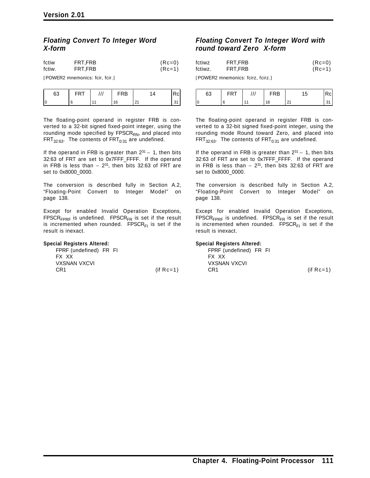### *Floating Convert To Integer Word X-form*

| fctiw  | FRT.FRB | $(Re=0)$ |
|--------|---------|----------|
| fctiw. | FRT.FRB | (Rc=1)   |

[POWER2 mnemonics: fcir, fcir.]

| 63 | - | <b>FRB</b> | ,         |  |
|----|---|------------|-----------|--|
|    |   |            | n.<br>. I |  |

The floating-point operand in register FRB is converted to a 32-bit signed fixed-point integer, using the rounding mode specified by  $FPSCR<sub>RN</sub>$ , and placed into  $FRT_{32:63}$ . The contents of  $FRT_{0:31}$  are undefined.

If the operand in FRB is greater than  $2^{31} - 1$ , then bits 32:63 of FRT are set to 0x7FFF\_FFFF. If the operand in FRB is less than  $-2^{31}$ , then bits 32:63 of FRT are set to 0x8000\_0000.

The conversion is described fully in Section A.2, "Floating-Point Convert to Integer Model" on page 138.

Except for enabled Invalid Operation Exceptions,  $FPSCR<sub>FPRF</sub>$  is undefined.  $FPSCR<sub>FR</sub>$  is set if the result is incremented when rounded. FPSCR $F_1$  is set if the result is inexact.

#### **Special Registers Altered:**

FPRF (undefined) FR FI FX XX VXSNAN VXCVI  $CR1$  (if  $Rc=1$ )

### *Floating Convert To Integer Word with round toward Zero X-form*

| fctiwz  | FRT.FRB | $(Re=0)$ |
|---------|---------|----------|
| fctiwz. | FRT.FRB | $(Re=1)$ |

[POWER2 mnemonics: fcirz, fcirz.]

| 63 | . | $^{\prime}$ | RB |  |
|----|---|-------------|----|--|
|    |   |             | 16 |  |

The floating-point operand in register FRB is converted to a 32-bit signed fixed-point integer, using the rounding mode Round toward Zero, and placed into  $FRT_{32:63}$ . The contents of  $FRT_{0:31}$  are undefined.

If the operand in FRB is greater than  $2^{31} - 1$ , then bits 32:63 of FRT are set to 0x7FFF\_FFFF. If the operand in FRB is less than  $-2^{31}$ , then bits 32:63 of FRT are set to 0x8000\_0000.

The conversion is described fully in Section A.2, "Floating-Point Convert to Integer Model" on page 138.

Except for enabled Invalid Operation Exceptions,  $FPSCR<sub>FPRF</sub>$  is undefined.  $FPSCR<sub>FR</sub>$  is set if the result is incremented when rounded. FPSCR $F_1$  is set if the result is inexact.

#### **Special Registers Altered:**

FPRF (undefined) FR FI FX XX VXSNAN VXCVI  $CR1$  (if  $Rc=1$ )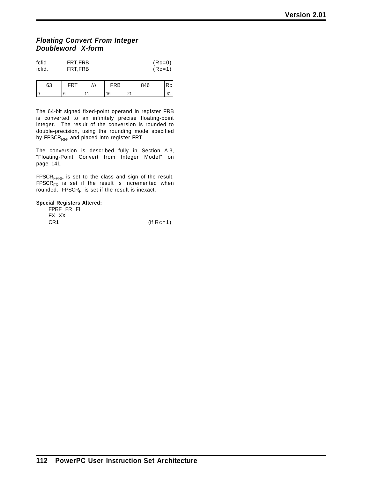### *Floating Convert From Integer Doubleword X-form*

| fcfid  | FRT.FRB | $(Rc=0)$ |
|--------|---------|----------|
| fcfid. | FRT.FRB | $(Rc=1)$ |

| 63 |  | FRB | 846 | u |
|----|--|-----|-----|---|
|    |  | 16  | 21  | ູ |

The 64-bit signed fixed-point operand in register FRB is converted to an infinitely precise floating-point integer. The result of the conversion is rounded to double-precision, using the rounding mode specified by FPSCR<sub>RN</sub>, and placed into register FRT.

The conversion is described fully in Section A.3, "Floating-Point Convert from Integer Model" on page 141.

 $FPSCR<sub>FPRF</sub>$  is set to the class and sign of the result.  $FPSCR_{FR}$  is set if the result is incremented when rounded. FPSCR $F_1$  is set if the result is inexact.

#### **Special Registers Altered:**

| FPRF FR FI      |              |
|-----------------|--------------|
| FX XX           |              |
| CR <sub>1</sub> | (if $Rc=1$ ) |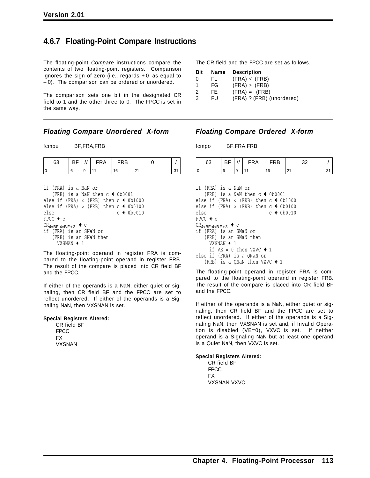# **4.6.7 Floating-Point Compare Instructions**

The floating-point *Compare* instructions compare the contents of two floating-point registers. Comparison ignores the sign of zero (i.e., regards + 0 as equal to − 0). The comparison can be ordered or unordered.

The comparison sets one bit in the designated CR field to 1 and the other three to 0. The FPCC is set in the same way.

### *Floating Compare Unordered X-form*

fcmpu BF,FRA,FRB

| 63                                                    | ΒF |   | FRA                   | <b>FRB</b>                                |    |    |
|-------------------------------------------------------|----|---|-----------------------|-------------------------------------------|----|----|
|                                                       | 6  | 9 | 11                    | 16                                        | 21 | 31 |
|                                                       |    |   |                       |                                           |    |    |
| if (FRA) is a NaN or                                  |    |   |                       |                                           |    |    |
|                                                       |    |   |                       | (FRB) is a NaN then $c \leftarrow 0b0001$ |    |    |
| else if $(FRA) < (FRB)$ then $c \leftarrow 0b1000$    |    |   |                       |                                           |    |    |
| else if $(FRA) > (FRB)$ then $c \triangleleft 0b0100$ |    |   |                       |                                           |    |    |
| else                                                  |    |   |                       | $c + 0b0010$                              |    |    |
| $FPCC + c$                                            |    |   |                       |                                           |    |    |
| $CR_{4\times BF:4\times BF+3}$ + C                    |    |   |                       |                                           |    |    |
| if (FRA) is an SNaN or                                |    |   |                       |                                           |    |    |
|                                                       |    |   | (FRB) is an SNaN then |                                           |    |    |

The floating-point operand in register FRA is compared to the floating-point operand in register FRB. The result of the compare is placed into CR field BF and the FPCC.

If either of the operands is a NaN, either quiet or signaling, then CR field BF and the FPCC are set to reflect unordered. If either of the operands is a Signaling NaN, then VXSNAN is set.

#### **Special Registers Altered:**

|             | CR field BF |  |
|-------------|-------------|--|
| <b>FPCC</b> |             |  |
| FX          |             |  |
|             | VXSNAN      |  |

VXSNAN  $\leftarrow$  1

The CR field and the FPCC are set as follows.

| <b>Bit</b>    | Name | <b>Description</b>        |
|---------------|------|---------------------------|
| $\Omega$      | FL.  | (FRA) < (FRB)             |
| -1            | FG   | (FRA) > (FRB)             |
| $\mathcal{P}$ | FE   | $(FRA) = (FRB)$           |
| 3             | FIJ  | (FRA) ? (FRB) (unordered) |

#### *Floating Compare Ordered X-form*

fcmpo BF,FRA,FRB

| 63 | BF. |   | <b>FRA</b> | RB<br>⊢ |          |  |
|----|-----|---|------------|---------|----------|--|
| 11 |     | 9 |            |         | <u>.</u> |  |

if (FRA) is a NaN or (FRB) is a NaN then  $c \leftarrow 0b0001$ else if  $(FRA) < (FRB)$  then  $c \leftarrow 0b1000$ else if (FRA) > (FRB) then  $c \triangleleft 0b0100$ else c + 0b0010  $FPCC$   $\leftarrow$  c  $CR_{4\times BF:4\times BF+3}$  + c if (FRA) is an SNaN or (FRB) is an SNaN then VXSNAN  $\leftarrow$  1 if  $VE = 0$  then VXVC  $\triangleleft 1$ else if (FRA) is a QNaN or (FRB) is a QNaN then VXVC  $\leftarrow$  1

The floating-point operand in register FRA is compared to the floating-point operand in register FRB. The result of the compare is placed into CR field BF and the FPCC.

If either of the operands is a NaN, either quiet or signaling, then CR field BF and the FPCC are set to reflect unordered. If either of the operands is a Signaling NaN, then VXSNAN is set and, if Invalid Operation is disabled (VE=0), VXVC is set. If neither operand is a Signaling NaN but at least one operand is a Quiet NaN, then VXVC is set.

#### **Special Registers Altered:**

CR field BF **FPCC** FX VXSNAN VXVC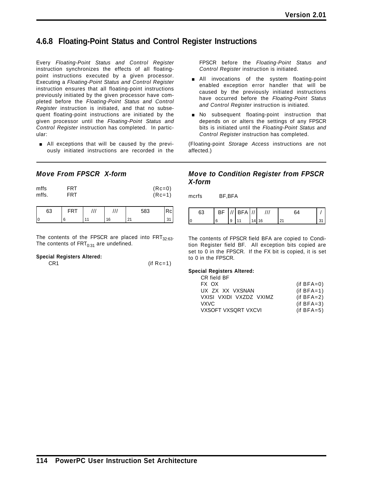# **4.6.8 Floating-Point Status and Control Register Instructions**

Every *Floating-Point Status and Control Register* instruction synchronizes the effects of all floatingpoint instructions executed by a given processor. Executing a *Floating-Point Status and Control Register* instruction ensures that all floating-point instructions previously initiated by the given processor have completed before the *Floating-Point Status and Control Register* instruction is initiated, and that no subsequent floating-point instructions are initiated by the given processor until the *Floating-Point Status and Control Register* instruction has completed. In particular:

**E** All exceptions that will be caused by the previously initiated instructions are recorded in the

### *Move From FPSCR X-form*

| mffs  | <b>FRT</b> | $(Re=0)$ |
|-------|------------|----------|
| mffs. | <b>FRT</b> | $(Rc=1)$ |

| r<br>υJ |  |   | 583    |  |
|---------|--|---|--------|--|
|         |  | ĥ | $\sim$ |  |

The contents of the FPSCR are placed into  $FRT_{32:63}$ . The contents of  $FRT_{0:31}$  are undefined.

#### **Special Registers Altered:**

| CR <sub>1</sub> | $(if Rc=1)$ |  |
|-----------------|-------------|--|

FPSCR before the *Floating-Point Status and Control Register* instruction is initiated.

- **All invocations of the system floating-point** enabled exception error handler that will be caused by the previously initiated instructions have occurred before the *Floating-Point Status and Control Register* instruction is initiated.
- **No** subsequent floating-point instruction that depends on or alters the settings of any FPSCR bits is initiated until the *Floating-Point Status and Control Register* instruction has completed.

(Floating-point *Storage Access* instructions are not affected.)

### *Move to Condition Register from FPSCR X-form*

mcrfs BF,BFA

| 63 | ВF |   | $^{\prime}$ BFA $^{\prime\prime}$ // |   |    |        |  |
|----|----|---|--------------------------------------|---|----|--------|--|
|    |    | 9 |                                      | . | 16 | $\sim$ |  |

The contents of FPSCR field BFA are copied to Condition Register field BF. All exception bits copied are set to 0 in the FPSCR. If the FX bit is copied, it is set to 0 in the FPSCR.

#### **Special Registers Altered:**

| CR field BF             |              |
|-------------------------|--------------|
| FX OX                   | $(if BFA=0)$ |
| UX ZX XX VXSNAN         | $(if BFA=1)$ |
| VXISI VXIDI VXZDZ VXIMZ | $(if BFA=2)$ |
| VXVC                    | $(if BFA=3)$ |
| VXSOFT VXSORT VXCVI     | $(if BFA=5)$ |
|                         |              |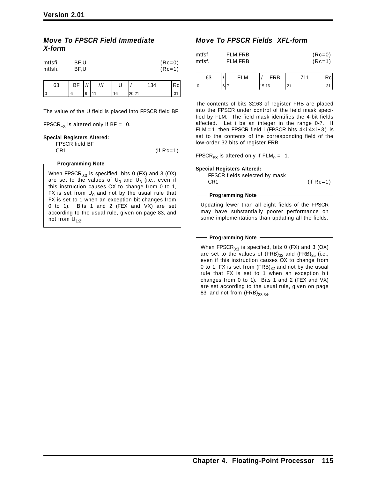### *Move To FPSCR Field Immediate X-form*

| mtfsfi  | BF.U | $(Re=0)$ |
|---------|------|----------|
| mtfsfi. | BF.U | $(Rc=1)$ |
|         |      |          |

| 63 | ВF |   | $^{\prime}$    | U  | 134            | Rcl |
|----|----|---|----------------|----|----------------|-----|
|    |    | 9 | $\overline{A}$ | 16 | <b>l</b> 2d 21 | ັ   |

The value of the U field is placed into FPSCR field BF.

FPSCR<sub>FX</sub> is altered only if BF = 0.

#### **Special Registers Altered:**

FPSCR field BF

CR1 (if Rc=1)

#### **Programming Note**

When FPSCR $_{0:3}$  is specified, bits 0 (FX) and 3 (OX) are set to the values of  $U_0$  and  $U_3$  (i.e., even if this instruction causes OX to change from 0 to 1, FX is set from  $U_0$  and not by the usual rule that FX is set to 1 when an exception bit changes from 0 to 1). Bits 1 and 2 (FEX and VX) are set according to the usual rule, given on page 83, and not from  $U_{1:2}$ .

### *Move To FPSCR Fields XFL-form*

| mtfsf<br>mtfsf. | FLM,FRB<br>FLM.FRB |  |            |     | $(Rc=0)$<br>$(Rc=1)$ |  |
|-----------------|--------------------|--|------------|-----|----------------------|--|
| 63              | FLM                |  | <b>FRB</b> | 711 | Rcl                  |  |

| 63 | —— | ΆB |  |  |
|----|----|----|--|--|
| ТC |    |    |  |  |

The contents of bits 32:63 of register FRB are placed into the FPSCR under control of the field mask specified by FLM. The field mask identifies the 4-bit fields affected. Let i be an integer in the range 0-7. If FLM $_{\sf i}$ = 1 then FPSCR field i (FPSCR bits 4 $\times$ i:4 $\times$ i+3) is set to the contents of the corresponding field of the low-order 32 bits of register FRB.

FPSCR<sub>FX</sub> is altered only if  $FLM_0 = 1$ .

#### **Special Registers Altered:**

FPSCR fields selected by mask CR1 (if Rc=1)

#### **Programming Note**

Updating fewer than all eight fields of the FPSCR may have substantially poorer performance on some implementations than updating all the fields.

#### - Programming Note -

When FPSCR $_{0:3}$  is specified, bits 0 (FX) and 3 (OX) are set to the values of  $(FRB)_{32}$  and  $(FRB)_{35}$  (i.e., even if this instruction causes OX to change from 0 to 1, FX is set from  $(FRB)_{32}$  and not by the usual rule that FX is set to 1 when an exception bit changes from 0 to 1). Bits 1 and 2 (FEX and VX) are set according to the usual rule, given on page 83, and not from  $(FRB)_{33:34}$ .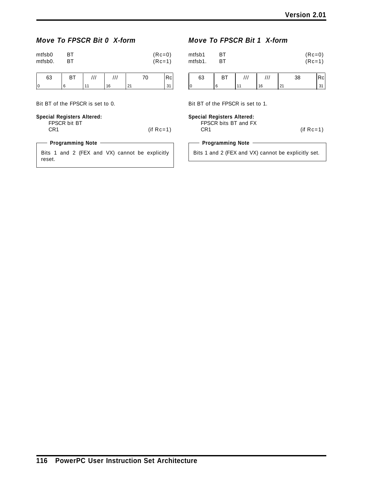# *Move To FPSCR Bit 0 X-form*

| mtfsb0<br><b>BT</b><br>mtfsb0.<br>вT | $(Re=0)$<br>$(Re=1)$ |
|--------------------------------------|----------------------|
|--------------------------------------|----------------------|

| 63 | ві | ,,, | $\cdot$ 1 1 | ⊾             | w |
|----|----|-----|-------------|---------------|---|
| ١r |    |     | 16          | $\sim$<br>2 I | ັ |

Bit BT of the FPSCR is set to 0.

#### **Special Registers Altered:**

| FPSCR bit BT    |              |
|-----------------|--------------|
| CR <sub>1</sub> | (if $Rc=1$ ) |
|                 |              |

### **Programming Note**

Bits 1 and 2 (FEX and VX) cannot be explicitly reset.

### *Move To FPSCR Bit 1 X-form*

| mtfsb1<br>mtfsb1. | ΒТ<br>BТ |     |     |    | $(Rc=0)$<br>$(Rc=1)$ |    |
|-------------------|----------|-----|-----|----|----------------------|----|
| 63                | ВT       | /// | /// |    | 38                   | Rc |
| 0                 | 6        | 11  | 16  | 21 |                      | 31 |
|                   |          |     |     |    |                      |    |

Bit BT of the FPSCR is set to 1.

| Special Registers Altered:<br>FPSCR bits BT and FX<br>CR <sub>1</sub> | (if $Rc=1$ ) |
|-----------------------------------------------------------------------|--------------|
| <b>Programming Note</b>                                               |              |

Bits 1 and 2 (FEX and VX) cannot be explicitly set.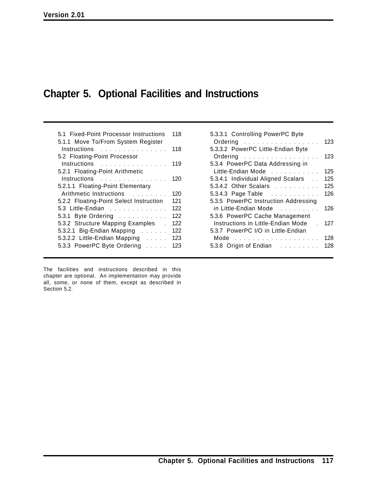# **Chapter 5. Optional Facilities and Instructions**

| 5.1 Fixed-Point Processor Instructions<br>5.1.1 Move To/From System Register                                                                                                                                                   | 118 |
|--------------------------------------------------------------------------------------------------------------------------------------------------------------------------------------------------------------------------------|-----|
| Instructions research and the set of the set of the set of the set of the set of the set of the set of the set of the set of the set of the set of the set of the set of the set of the set of the set of the set of the set o | 118 |
| 5.2 Floating-Point Processor                                                                                                                                                                                                   |     |
| Instructions                                                                                                                                                                                                                   | 119 |
| 5.2.1 Floating-Point Arithmetic                                                                                                                                                                                                |     |
| Instructions                                                                                                                                                                                                                   | 120 |
| 5.2.1.1 Floating-Point Elementary                                                                                                                                                                                              |     |
| Arithmetic Instructions                                                                                                                                                                                                        | 120 |
| 5.2.2 Floating-Point Select Instruction                                                                                                                                                                                        | 121 |
| 5.3 Little-Endian                                                                                                                                                                                                              | 122 |
| 5.3.1 Byte Ordering                                                                                                                                                                                                            | 122 |
| 5.3.2 Structure Mapping Examples                                                                                                                                                                                               | 122 |
| 5.3.2.1 Big-Endian Mapping                                                                                                                                                                                                     | 122 |
| 5.3.2.2 Little-Endian Mapping                                                                                                                                                                                                  | 123 |
| 5.3.3 PowerPC Byte Ordering                                                                                                                                                                                                    | 123 |

The facilities and instructions described in this chapter are optional. An implementation may provide all, some, or none of them, except as described in Section 5.2.

| 5.3.3.1 Controlling PowerPC Byte     |     |
|--------------------------------------|-----|
| Ordering                             | 123 |
| 5.3.3.2 PowerPC Little-Endian Byte   |     |
| Ordering                             | 123 |
| 5.3.4 PowerPC Data Addressing in     |     |
| Little-Endian Mode                   | 125 |
| 5.3.4.1 Individual Aligned Scalars   | 125 |
| 5.3.4.2 Other Scalars                | 125 |
| 5.3.4.3 Page Table                   | 126 |
| 5.3.5 PowerPC Instruction Addressing |     |
| in Little-Endian Mode                | 126 |
| 5.3.6 PowerPC Cache Management       |     |
| Instructions in Little-Endian Mode   | 127 |
| 5.3.7 PowerPC I/O in Little-Endian   |     |
|                                      | 128 |
| 5.3.8 Origin of Endian               | 128 |
|                                      |     |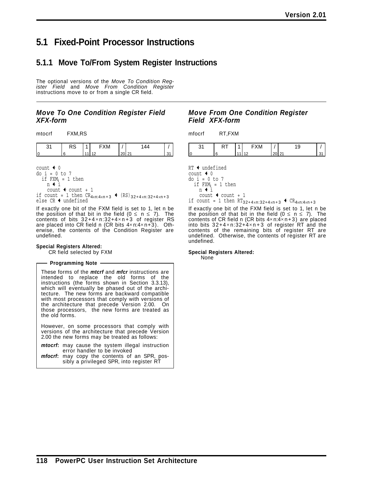# **5.1 Fixed-Point Processor Instructions**

# **5.1.1 Move To/From System Register Instructions**

The optional versions of the *Move To Condition Register Field* and *Move From Condition Register* instructions move to or from a single CR field.

### *Move To One Condition Register Field XFX-form*

| mtocrf | FXM,RS |
|--------|--------|
|        |        |

| ັ | nu | <b>1171</b> |  |  |
|---|----|-------------|--|--|
|   |    |             |  |  |

count  $\triangleleft$  0 do i = 0 to 7

if  $FXM_i = 1$  then  $n + i$ count  $\triangleleft$  count + 1 if count = 1 then  $CR_{4\times n:4\times n+3}$   $\leftarrow$   $(RS)_{32+4\times n:32+4\times n+3}$  else CR  $\leftarrow$  undefined

If exactly one bit of the FXM field is set to 1, let n be the position of that bit in the field  $(0 \le n \le 7)$ . The contents of bits  $32+4\times n:32+4\times n+3$  of register RS are placed into CR field n (CR bits 4×n:4×n+3). Otherwise, the contents of the Condition Register are undefined.

#### **Special Registers Altered:**

CR field selected by FXM

#### - Programming Note -

These forms of the *mtcrf* and *mfcr* instructions are intended to replace the old forms of the instructions (the forms shown in Section 3.3.13), which will eventually be phased out of the architecture. The new forms are backward compatible with most processors that comply with versions of the architecture that precede Version 2.00. On those processors, the new forms are treated as the old forms.

However, on some processors that comply with versions of the architecture that precede Version 2.00 the new forms may be treated as follows:

*mtocrf***:** may cause the system illegal instruction error handler to be invoked

*mfocrf***:** may copy the contents of an SPR, possibly a privileged SPR, into register RT

### *Move From One Condition Register Field XFX-form*

mfocrf RT,FXM



 $RT$  + undefined count  $\triangleleft$  0 do i = 0 to 7 if FXM<sub>i</sub> = 1 then<br>n ← i count  $\triangleleft$  count + 1

if count = 1 then  $RT_{32+4\times n:32+4\times n+3}$   $\leftarrow$   $CR_{4\times n:4\times n+3}$ 

If exactly one bit of the FXM field is set to 1, let n be the position of that bit in the field  $(0 \le n \le 7)$ . The contents of CR field n (CR bits  $4 \times n:4 \times n+3$ ) are placed into bits  $32+4\times n:32+4\times n+3$  of register RT and the contents of the remaining bits of register RT are undefined. Otherwise, the contents of register RT are undefined.

#### **Special Registers Altered:**

None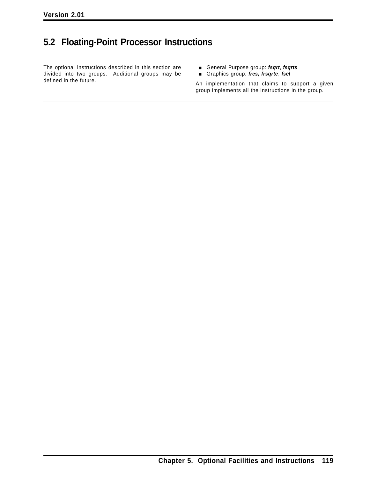# **5.2 Floating-Point Processor Instructions**

The optional instructions described in this section are divided into two groups. Additional groups may be defined in the future.

- [ General Purpose group: *fsqrt*, *fsqrts*
- [ Graphics group: *fres, frsqrte*, *fsel*

An implementation that claims to support a given group implements all the instructions in the group.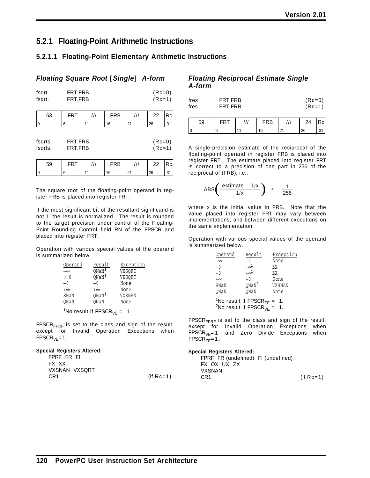# **5.2.1 Floating-Point Arithmetic Instructions**

### **5.2.1.1 Floating-Point Elementary Arithmetic Instructions**

### *Floating Square Root* [*Single*] *A-form*

| fsqrt<br>fsqrt.   | FRT,FRB<br>FRT, FRB |     |            |                         | $(Rc=0)$<br>$(Rc=1)$ |    |  |
|-------------------|---------------------|-----|------------|-------------------------|----------------------|----|--|
| 63                | <b>FRT</b>          | /// | <b>FRB</b> | $^{\prime\prime\prime}$ | 22                   | Rc |  |
| <b>0</b>          | 6                   | 11  | 16         | 21                      | 26                   | 31 |  |
| fsqrts<br>fsqrts. | FRT,FRB<br>FRT,FRB  |     |            |                         | $(Rc=0)$<br>$(Rc=1)$ |    |  |
| 59                | FRT                 |     | <b>FRB</b> | ///                     | 22                   |    |  |

The square root of the floating-point operand in register FRB is placed into register FRT.

0 6 11 16 21 26 31

If the most significant bit of the resultant significand is not 1, the result is normalized. The result is rounded to the target precision under control of the Floating-Point Rounding Control field RN of the FPSCR and placed into register FRT.

Operation with various special values of the operand is summarized below.

| Operand         | Result            | Exception |
|-----------------|-------------------|-----------|
|                 | $Q$ Na $N1$       | VXSORT    |
| $\langle \ \  $ | ONaN <sup>1</sup> | VXSORT    |
| —0              | -0                | None      |
| $+\infty$       | $+\infty$         | None      |
| SNaN            | QNaN <sup>1</sup> | VXSNAN    |
| ONaN            | ONaN              | None      |
|                 |                   |           |

<sup>1</sup>No result if FPSCR<sub>VE</sub> = 1.

 $FPSCR<sub>FPRF</sub>$  is set to the class and sign of the result, except for Invalid Operation Exceptions when  $FPSCR<sub>VF</sub>=1.$ 

#### **Special Registers Altered:**

| FPRF FR FI    |             |
|---------------|-------------|
| FX XX         |             |
| VXSNAN VXSQRT |             |
| CR1           | $(if Rc=1)$ |

#### *Floating Reciprocal Estimate Single A-form*

| fres  | FRT.FRB | $(Re=0)$ |
|-------|---------|----------|
| fres. | FRT.FRB | $(Re=1)$ |

| 59 |  | FRB |    | 24 | Rcl           |
|----|--|-----|----|----|---------------|
| 0  |  | 16  | 21 | 26 | $\sim$<br>. ب |

A single-precision estimate of the reciprocal of the floating-point operand in register FRB is placed into register FRT. The estimate placed into register FRT is correct to a precision of one part in 256 of the reciprocal of (FRB), i.e.,

$$
ABS\left(\frac{\text{estimate} - 1/x}{1/x}\right) \leq \frac{1}{256}
$$

where x is the initial value in FRB. Note that the value placed into register FRT may vary between implementations, and between different executions on the same implementation.

Operation with various special values of the operand is summarized below.

| Operand   | Result                                                                                                | Exception |
|-----------|-------------------------------------------------------------------------------------------------------|-----------|
| $\infty$  | $-0$                                                                                                  | None      |
| -0        | 1؞                                                                                                    | ZХ        |
| $+0$      | ∔∞∤                                                                                                   | ZХ        |
| $+\infty$ | $+0$                                                                                                  | None      |
| SNaN      | $Q$ Na $N^2$                                                                                          | VXSNAN    |
| ONaN      | ONaN                                                                                                  | None      |
|           | <sup>1</sup> No result if FPSCR <sub>ZE</sub> =<br><sup>2</sup> No result if FPSCR <sub>VF</sub> = 1. | 1.        |

 $FPSCR<sub>FPRF</sub>$  is set to the class and sign of the result, except for Invalid Operation Exceptions when  $FPSCR<sub>VE</sub>=1$  and Zero Divide Exceptions when  $FPSCR_{ZF}=1$ .

#### **Special Registers Altered:**

| FPRF FR (undefined) FI (undefined) |              |
|------------------------------------|--------------|
| FX OX UX ZX                        |              |
| <b>VXSNAN</b>                      |              |
| CR <sub>1</sub>                    | (if $Rc=1$ ) |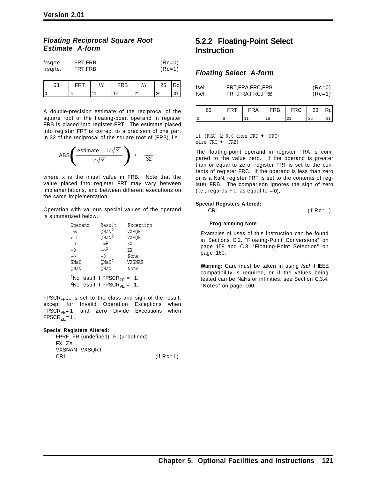### *Floating Reciprocal Square Root Estimate A-form*

| FRT.FRB | $(Rc=0)$ |
|---------|----------|
| FRT.FRB | $(Rc=1)$ |
|         |          |

| 63 |  |  | FRB | 26 | Rcl |
|----|--|--|-----|----|-----|
|    |  |  |     | 26 |     |

A double-precision estimate of the reciprocal of the square root of the floating-point operand in register FRB is placed into register FRT. The estimate placed into register FRT is correct to a precision of one part in 32 of the reciprocal of the square root of (FRB), i.e.,



where x is the initial value in FRB. Note that the value placed into register FRT may vary between implementations, and between different executions on the same implementation.

Operation with various special values of the operand is summarized below.

| Result       | Exception                                      |
|--------------|------------------------------------------------|
|              | VXSORT                                         |
|              | VXSORT                                         |
| $\sim^1$     | 7.X                                            |
| +∞ി          | 7.X                                            |
| $+0$         | None                                           |
| $Q$ Na $N^2$ | VXSNAN                                         |
| ONaN         | None                                           |
|              | $Q$ NaN $\overline{2}$<br>$Q$ NaN <sup>2</sup> |

<sup>1</sup>No result if  $\text{FPSCR}_{\text{ZE}} = 1$ . <sup>2</sup>No result if FPSCR<sub>VE</sub> = 1.

 $FPSCR<sub>FPRF</sub>$  is set to the class and sign of the result, except for Invalid Operation Exceptions when  $FPSCR<sub>VE</sub>=1$  and Zero Divide Exceptions when  $FPSCR_{ZE}=1$ .

#### **Special Registers Altered:**

FPRF FR (undefined) FI (undefined) FX ZX VXSNAN VXSQRT  $CR1$  (if  $Rc=1$ )

# **5.2.2 Floating-Point Select Instruction**

#### *Floating Select A-form*

| fsel  | FRT, FRA, FRC, FRB | $(Re=0)$ |
|-------|--------------------|----------|
| fsel. | FRT, FRA, FRC, FRB | $(RC=1)$ |

| 63<br>FRT |  | <b>FRA</b> | FRB | <b>FRC</b> | 23 | <b>IRcl</b> |
|-----------|--|------------|-----|------------|----|-------------|
|           |  |            | 16  |            | 26 |             |

if (FRA)  $\geq$  0.0 then FRT  $\triangleleft$  (FRC) else FRT  $\triangleleft$  (FRB)

The floating-point operand in register FRA is compared to the value zero. If the operand is greater than or equal to zero, register FRT is set to the contents of register FRC. If the operand is less than zero or is a NaN, register FRT is set to the contents of register FRB. The comparison ignores the sign of zero (i.e., regards + 0 as equal to  $-0$ ).

#### **Special Registers Altered:**

 $CR1$  (if  $Rc=1$ )

#### **Programming Note**

Examples of uses of this instruction can be found in Sections C.2, "Floating-Point Conversions" on page 158 and C.3, "Floating-Point Selection" on page 160.

**Warning:** Care must be taken in using *fsel* if IEEE compatibility is required, or if the values being tested can be NaNs or infinities; see Section C.3.4, "Notes" on page 160.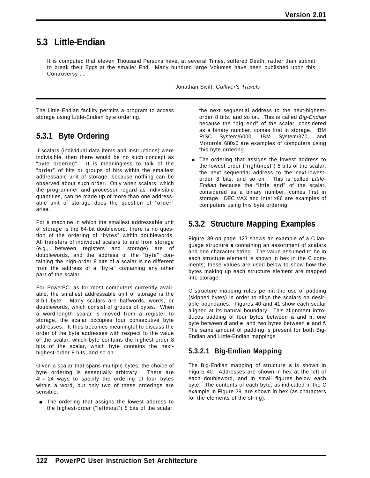# **5.3 Little-Endian**

It is computed that eleven Thousand Persons have, at several Times, suffered Death, rather than submit to break their Eggs at the smaller End. Many hundred large Volumes have been published upon this Controversy ....

Jonathan Swift, *Gulliver's Travels*

The Little-Endian facility permits a program to access storage using Little-Endian byte ordering.

# **5.3.1 Byte Ordering**

If scalars (individual data items and instructions) were indivisible, then there would be no such concept as "byte ordering". It is meaningless to talk of the "order" of bits or groups of bits within the smallest addressable unit of storage, because nothing can be observed about such order. Only when scalars, which the programmer and processor regard as indivisible quantities, can be made up of more than one addressable unit of storage does the question of "order" arise.

For a machine in which the smallest addressable unit of storage is the 64-bit doubleword, there is no question of the ordering of "bytes" within doublewords. All transfers of individual scalars to and from storage (e.g., between registers and storage) are of doublewords, and the address of the "byte" containing the high-order 8 bits of a scalar is no different from the address of a "byte" containing any other part of the scalar.

For PowerPC, as for most computers currently available, the smallest addressable unit of storage is the 8-bit byte. Many scalars are halfwords, words, or doublewords, which consist of groups of bytes. When a word-length scalar is moved from a register to storage, the scalar occupies four consecutive byte addresses. It thus becomes meaningful to discuss the order of the byte addresses with respect to the value of the scalar: which byte contains the highest-order 8 bits of the scalar, which byte contains the nexthighest-order 8 bits, and so on.

Given a scalar that spans multiple bytes, the choice of byte ordering is essentially arbitrary. There are  $4! = 24$  ways to specify the ordering of four bytes within a word, but only two of these orderings are sensible:

**The ordering that assigns the lowest address to** the highest-order ("leftmost") 8 bits of the scalar, the next sequential address to the next-highestorder 8 bits, and so on. This is called *Big-Endian* because the "big end" of the scalar, considered as a binary number, comes first in storage. IBM RISC System/6000, IBM System/370, and Motorola 680x0 are examples of computers using this byte ordering.

**The ordering that assigns the lowest address to** the lowest-order ("rightmost") 8 bits of the scalar, the next sequential address to the next-lowestorder 8 bits, and so on. This is called *Little-Endian* because the "little end" of the scalar, considered as a binary number, comes first in storage. DEC VAX and Intel x86 are examples of computers using this byte ordering.

# **5.3.2 Structure Mapping Examples**

Figure 39 on page 123 shows an example of a C language structure **s** containing an assortment of scalars and one character string. The value assumed to be in each structure element is shown in hex in the C comments; these values are used below to show how the bytes making up each structure element are mapped into storage.

C structure mapping rules permit the use of padding (skipped bytes) in order to align the scalars on desirable boundaries. Figures 40 and 41 show each scalar aligned at its natural boundary. This alignment introduces padding of four bytes between **a** and **b**, one byte between **d** and **e**, and two bytes between **e** and **f**. The same amount of padding is present for both Big-Endian and Little-Endian mappings.

## **5.3.2.1 Big-Endian Mapping**

The Big-Endian mapping of structure **s** is shown in Figure 40. Addresses are shown in hex at the left of each doubleword, and in small figures below each byte. The contents of each byte, as indicated in the C example in Figure 39, are shown in hex (as characters for the elements of the string).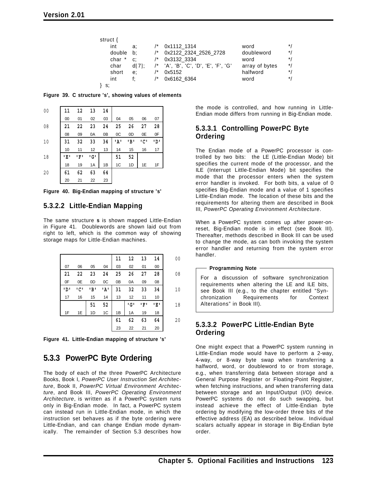| struct { |       |                                   |                |              |
|----------|-------|-----------------------------------|----------------|--------------|
| int      | a:    | 0x1112 1314                       | word           | $*$          |
| double   | b:    | 0x2122 2324 2526 2728             | doubleword     | $*$          |
| char *   | c:    | 0x3132 3334                       | word           | $^{\star}$ / |
| char     | df71: | 'A', 'B', 'C', 'D', 'E', 'F', 'G' | array of bytes | $^*/$        |
| short    | e:    | 0x5152                            | halfword       | $*$          |
| int      | f٠    | 0x6162 6364                       | word           | $*1$         |
| s:       |       |                                   |                |              |

**Figure 39. C structure 's', showing values of elements**

| 00 | 11  | 12   | 13  | 14 |      |      |     |      |
|----|-----|------|-----|----|------|------|-----|------|
|    | 00  | 01   | 02  | 03 | 04   | 05   | 06  | 07   |
| 08 | 21  | 22   | 23  | 24 | 25   | 26   | 27  | 28   |
|    | 08  | 09   | 0A  | 0B | 0C   | 0D   | 0E  | 0F   |
| 10 | 31  | 32   | 33  | 34 | י גי | י פי | יטי | י מי |
|    | 10  | 11   | 12  | 13 | 14   | 15   | 16  | 17   |
| 18 | 'E' | up t | י G |    | 51   | 52   |     |      |
|    | 18  | 19   | 1A  | 1B | 1C   | 1D   | 1E  | 1F   |
| 20 | 61  | 62   | 63  | 64 |      |      |     |      |
|    | 20  | 21   | 22  | 23 |      |      |     |      |

**Figure 40. Big-Endian mapping of structure 's'**

### **5.3.2.2 Little-Endian Mapping**

The same structure **s** is shown mapped Little-Endian in Figure 41. Doublewords are shown laid out from right to left, which is the common way of showing storage maps for Little-Endian machines.

|      |     |      |      | 11 | 12  | 13  | 14  | 00 |
|------|-----|------|------|----|-----|-----|-----|----|
| 07   | 06  | 05   | 04   | 03 | 02  | 01  | 00  |    |
| 21   | 22  | 23   | 24   | 25 | 26  | 27  | 28  | 08 |
| 0F   | 0E  | 0D   | 0C   | 0B | 0A  | 09  | 08  |    |
| י מי | יטי | י פי | י גי | 31 | 32  | 33  | 34  | 10 |
| 17   | 16  | 15   | 14   | 13 | 12  | 11  | 10  |    |
|      |     | 51   | 52   |    | י G | יקי | יצי | 18 |
| 1F   | 1E  | 1D   | 1C   | 1B | 1A  | 19  | 18  |    |
|      |     |      |      | 61 | 62  | 63  | 64  | 20 |
|      |     |      |      | 23 | 22  | 21  | 20  |    |

**Figure 41. Little-Endian mapping of structure 's'**

# **5.3.3 PowerPC Byte Ordering**

The body of each of the three PowerPC Architecture Books, Book I, *PowerPC User Instruction Set Architecture*, Book II, *PowerPC Virtual Environment Architecture*, and Book III, *PowerPC Operating Environment Architecture*, is written as if a PowerPC system runs only in Big-Endian mode. In fact, a PowerPC system can instead run in Little-Endian mode, in which the instruction set behaves as if the byte ordering were Little-Endian, and can change Endian mode dynamically. The remainder of Section 5.3 describes how

the mode is controlled, and how running in Little-Endian mode differs from running in Big-Endian mode.

## **5.3.3.1 Controlling PowerPC Byte Ordering**

The Endian mode of a PowerPC processor is controlled by two bits: the LE (Little-Endian Mode) bit specifies the current mode of the processor, and the ILE (Interrupt Little-Endian Mode) bit specifies the mode that the processor enters when the system error handler is invoked. For both bits, a value of 0 specifies Big-Endian mode and a value of 1 specifies Little-Endian mode. The location of these bits and the requirements for altering them are described in Book III, *PowerPC Operating Environment Architecture*.

When a PowerPC system comes up after power-onreset, Big-Endian mode is in effect (see Book III). Thereafter, methods described in Book III can be used to change the mode, as can both invoking the system error handler and returning from the system error handler.

**Programming Note** For a discussion of software synchronization requirements when altering the LE and ILE bits, see Book III (e.g., to the chapter entitled "Synchronization Requirements for Context Alterations" in Book III).

### **5.3.3.2 PowerPC Little-Endian Byte Ordering**

One might expect that a PowerPC system running in Little-Endian mode would have to perform a 2-way, 4-way, or 8-way byte swap when transferring a halfword, word, or doubleword to or from storage, e.g., when transferring data between storage and a General Purpose Register or Floating-Point Register, when fetching instructions, and when transferring data between storage and an Input/Output (I/O) device. PowerPC systems do not do such swapping, but instead achieve the effect of Little-Endian byte ordering by modifying the low-order three bits of the effective address (EA) as described below. Individual scalars actually appear in storage in Big-Endian byte order.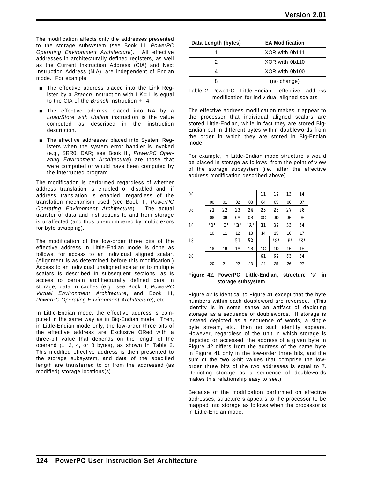The modification affects only the addresses presented to the storage subsystem (see Book III, *PowerPC Operating Environment Architecture*). All effective addresses in architecturally defined registers, as well as the Current Instruction Address (CIA) and Next Instruction Address (NIA), are independent of Endian mode. For example:

- **The effective address placed into the Link Reg**ister by a *Branch* instruction with LK=1 is equal to the CIA of the *Branch* instruction + 4.
- **The effective address placed into RA by a** *Load/Store with Update* instruction is the value computed as described in the instruction description.
- **The effective addresses placed into System Reg**isters when the system error handler is invoked (e.g., SRR0, DAR; see Book III, *PowerPC Operating Environment Architecture*) are those that were computed or would have been computed by the interrupted program.

The modification is performed regardless of whether address translation is enabled or disabled and, if address translation is enabled, regardless of the translation mechanism used (see Book III, *PowerPC Operating Environment Architecture*). The actual transfer of data and instructions to and from storage is unaffected (and thus unencumbered by multiplexors for byte swapping).

The modification of the low-order three bits of the effective address in Little-Endian mode is done as follows, for access to an individual aligned scalar. (Alignment is as determined before this modification.) Access to an individual unaligned scalar or to multiple scalars is described in subsequent sections, as is access to certain architecturally defined data in storage, data in caches (e.g., see Book II, *PowerPC Virtual Environment Architecture*, and Book III, *PowerPC Operating Environment Architecture*), etc.

In Little-Endian mode, the effective address is computed in the same way as in Big-Endian mode. Then, in Little-Endian mode only, the low-order three bits of the effective address are Exclusive ORed with a three-bit value that depends on the length of the operand (1, 2, 4, or 8 bytes), as shown in Table 2. This modified effective address is then presented to the storage subsystem, and data of the specified length are transferred to or from the addressed (as modified) storage locations(s).

| Data Length (bytes) | <b>EA Modification</b> |
|---------------------|------------------------|
|                     | XOR with 0b111         |
|                     | XOR with 0b110         |
|                     | XOR with 0b100         |
|                     | (no change)            |
|                     |                        |

|  |                                             |  | Table 2. PowerPC Little-Endian, effective address |
|--|---------------------------------------------|--|---------------------------------------------------|
|  | modification for individual aligned scalars |  |                                                   |

The effective address modification makes it appear to the processor that individual aligned scalars are stored Little-Endian, while in fact they are stored Big-Endian but in different bytes within doublewords from the order in which they are stored in Big-Endian mode.

For example, in Little-Endian mode structure **s** would be placed in storage as follows, from the point of view of the storage subsystem (i.e., after the effective address modification described above).

| 00 |      |     |     |      | 11 | 12    | 13  | 14  |
|----|------|-----|-----|------|----|-------|-----|-----|
|    | 00   | 01  | 02  | 03   | 04 | 05    | 06  | 07  |
| 08 | 21   | 22  | 23  | 24   | 25 | 26    | 27  | 28  |
|    | 08   | 09  | 0A  | 0B   | 0C | 0D    | 0E  | 0F  |
| 10 | י מי | יטי | יפי | י גי | 31 | 32    | 33  | 34  |
|    | 10   | 11  | 12  | 13   | 14 | 15    | 16  | 17  |
| 18 |      |     | 51  | 52   |    | י G י | יקי | יצי |
|    | 18   | 19  | 1A  | 1B   | 1C | 1D    | 1E  | 1F  |
| 20 |      |     |     |      | 61 | 62    | 63  | 64  |
|    | 20   | 21  | 22  | 23   | 24 | 25    | 26  | 27  |

#### **Figure 42. PowerPC Little-Endian, structure 's' in storage subsystem**

Figure 42 is identical to Figure 41 except that the byte numbers within each doubleword are reversed. (This identity is in some sense an artifact of depicting storage as a sequence of doublewords. If storage is instead depicted as a sequence of words, a single byte stream, etc., then no such identity appears. However, regardless of the unit in which storage is depicted or accessed, the address of a given byte in Figure 42 differs from the address of the same byte in Figure 41 only in the low-order three bits, and the sum of the two 3-bit values that comprise the loworder three bits of the two addresses is equal to 7. Depicting storage as a sequence of doublewords makes this relationship easy to see.)

Because of the modification performed on effective addresses, structure **s** appears to the processor to be mapped into storage as follows when the processor is in Little-Endian mode.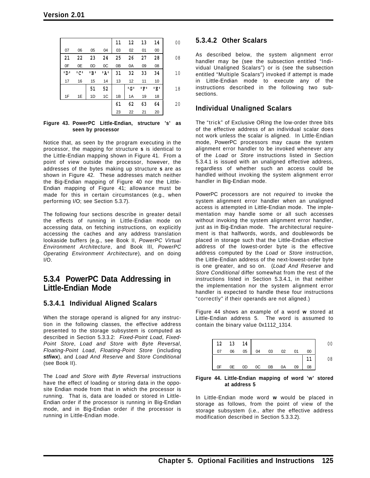|      |     |      |      | 11 | 12  | 13  | 14  | 0 <sub>0</sub> |
|------|-----|------|------|----|-----|-----|-----|----------------|
| 07   | 06  | 05   | 04   | 03 | 02  | 01  | 00  |                |
| 21   | 22  | 23   | 24   | 25 | 26  | 27  | 28  | 08             |
| 0F   | 0E  | 0D   | 0C   | 0B | 0A  | 09  | 08  |                |
| י מי | יטי | י פי | י גי | 31 | 32  | 33  | 34  | 10             |
| 17   | 16  | 15   | 14   | 13 | 12  | 11  | 10  |                |
|      |     | 51   | 52   |    | י G | יקי | יצי | 18             |
| 1F   | 1E  | 1D   | 1C   | 1B | 1A  | 19  | 18  |                |
|      |     |      |      | 61 | 62  | 63  | 64  | 20             |
|      |     |      |      | 23 | 22  | 21  | 20  |                |
|      |     |      |      |    |     |     |     |                |

#### **Figure 43. PowerPC Little-Endian, structure 's' as seen by processor**

Notice that, as seen by the program executing in the processor, the mapping for structure **s** is identical to the Little-Endian mapping shown in Figure 41. From a point of view outside the processor, however, the addresses of the bytes making up structure **s** are as shown in Figure 42. These addresses match neither the Big-Endian mapping of Figure 40 nor the Little-Endian mapping of Figure 41; allowance must be made for this in certain circumstances (e.g., when performing I/O; see Section 5.3.7).

The following four sections describe in greater detail the effects of running in Little-Endian mode on accessing data, on fetching instructions, on explicitly accessing the caches and any address translation lookaside buffers (e.g., see Book II, *PowerPC Virtual Environment Architecture*, and Book III, *PowerPC Operating Environment Architecture*), and on doing I/O.

## **5.3.4 PowerPC Data Addressing in Little-Endian Mode**

### **5.3.4.1 Individual Aligned Scalars**

When the storage operand is aligned for any instruction in the following classes, the effective address presented to the storage subsystem is computed as described in Section 5.3.3.2: *Fixed-Point Load*, *Fixed-Point Store*, *Load and Store with Byte Reversal*, *Floating-Point Load*, *Floating-Point Store* (including *stfiwx*), and *Load And Reserve* and *Store Conditional* (see Book II).

The *Load and Store with Byte Reversal* instructions have the effect of loading or storing data in the opposite Endian mode from that in which the processor is running. That is, data are loaded or stored in Little-Endian order if the processor is running in Big-Endian mode, and in Big-Endian order if the processor is running in Little-Endian mode.

## **5.3.4.2 Other Scalars**

As described below, the system alignment error handler may be (see the subsection entitled "Individual Unaligned Scalars") or is (see the subsection entitled "Multiple Scalars") invoked if attempt is made in Little-Endian mode to execute any of the instructions described in the following two subsections.

### **Individual Unaligned Scalars**

The "trick" of Exclusive ORing the low-order three bits of the effective address of an individual scalar does not work unless the scalar is aligned. In Little-Endian mode, PowerPC processors may cause the system alignment error handler to be invoked whenever any of the *Load* or *Store* instructions listed in Section 5.3.4.1 is issued with an unaligned effective address, regardless of whether such an access could be handled without invoking the system alignment error handler in Big-Endian mode.

PowerPC processors are not *required* to invoke the system alignment error handler when an unaligned access is attempted in Little-Endian mode. The implementation may handle some or all such accesses without invoking the system alignment error handler, just as in Big-Endian mode. The architectural requirement is that halfwords, words, and doublewords be placed in storage such that the Little-Endian effective address of the lowest-order byte is the effective address computed by the *Load* or *Store* instruction, the Little-Endian address of the next-lowest-order byte is one greater, and so on. (*Load And Reserve* and *Store Conditional* differ somewhat from the rest of the instructions listed in Section 5.3.4.1, in that neither the implementation nor the system alignment error handler is expected to handle these four instructions "correctly" if their operands are not aligned.)

Figure 44 shows an example of a word **w** stored at Little-Endian address 5. The word is assumed to contain the binary value 0x1112\_1314.



#### **Figure 44. Little-Endian mapping of word 'w' stored at address 5**

In Little-Endian mode word **w** would be placed in storage as follows, from the point of view of the storage subsystem (i.e., after the effective address modification described in Section 5.3.3.2).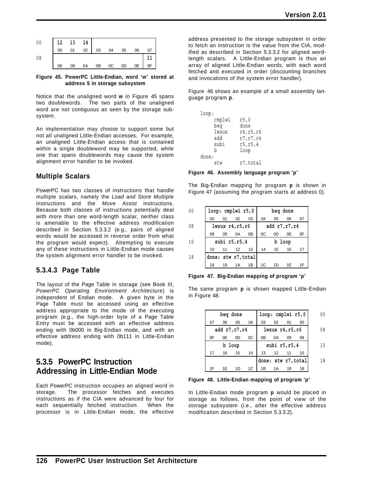

**Figure 45. PowerPC Little-Endian, word 'w' stored at address 5 in storage subsystem**

Notice that the unaligned word **w** in Figure 45 spans two doublewords. The two parts of the unaligned word are not contiguous as seen by the storage subsystem.

An implementation may choose to support some but not all unaligned Little-Endian accesses. For example, an unaligned Little-Endian access that is contained within a single doubleword may be supported, while one that spans doublewords may cause the system alignment error handler to be invoked.

### **Multiple Scalars**

PowerPC has two classes of instructions that handle multiple scalars, namely the *Load and Store Multiple* instructions and the *Move Assist* instructions. Because both classes of instructions potentially deal with more than one word-length scalar, neither class is amenable to the effective address modification described in Section 5.3.3.2 (e.g., pairs of aligned words would be accessed in reverse order from what the program would expect). Attempting to execute any of these instructions in Little-Endian mode causes the system alignment error handler to be invoked.

### **5.3.4.3 Page Table**

The layout of the Page Table in storage (see Book III, *PowerPC Operating Environment Architecture*) is independent of Endian mode. A given byte in the Page Table must be accessed using an effective address appropriate to the mode of the executing program (e.g., the high-order byte of a Page Table Entry must be accessed with an effective address ending with 0b000 in Big-Endian mode, and with an effective address ending with 0b111 in Little-Endian mode).

# **5.3.5 PowerPC Instruction Addressing in Little-Endian Mode**

Each PowerPC instruction occupies an aligned word in storage. The processor fetches and executes instructions as if the CIA were advanced by four for each sequentially fetched instruction. When the processor is in Little-Endian mode, the effective

address presented to the storage subsystem in order to fetch an instruction is the value from the CIA, modified as described in Section 5.3.3.2 for aligned wordlength scalars. A Little-Endian program is thus an array of aligned Little-Endian words, with each word fetched and executed in order (discounting branches and invocations of the system error handler).

Figure 46 shows an example of a small assembly language program **p**.

| loop:  |            |
|--------|------------|
| cmplwi | r5,0       |
| beq    | done       |
| lwzux  | r4, r5, r6 |
| hha    | r7, r7, r4 |
| subi   | r5, r5, 4  |
| b      | loop       |
| done:  |            |
| stw    | r7,total   |

**Figure 46. Assembly language program 'p'**

The Big-Endian mapping for program **p** is shown in Figure 47 (assuming the program starts at address 0).

| 00 | loop: cmplwi r5,0   |            |                       |    |                  | beg done |    |    |
|----|---------------------|------------|-----------------------|----|------------------|----------|----|----|
|    | 00                  | $^{\circ}$ | 02                    | 03 | 04               | 05       | 06 | 07 |
| 08 |                     |            | $1$ wzux $r4, r5, r6$ |    | add $r7, r7, r4$ |          |    |    |
|    | 08                  | 09         | 0A                    | 0B | 0C               | 0D       | 0E | 0F |
| 10 | subi $r5, r5, 4$    |            |                       |    | b loop           |          |    |    |
|    | 10                  | 11         | 12                    | 13 | 14               | 15       | 16 | 17 |
| 18 | done: stw r7, total |            |                       |    |                  |          |    |    |
|    | 18                  | 19         | 1A                    | 1B | 1C               | 1D       | 1Ε | 1F |

**Figure 47. Big-Endian mapping of program 'p'**

The same program **p** is shown mapped Little-Endian in Figure 48.

| 00  | loop: cmplwi r5,0   |    |                       |    | beg done |                  |    |    |
|-----|---------------------|----|-----------------------|----|----------|------------------|----|----|
|     | 00                  | 01 | 02                    | 03 | 04       | 0 <sub>5</sub>   | 06 | 07 |
| 08  |                     |    | $1$ wzux $r4, r5, r6$ |    |          | add $r7, r7, r4$ |    |    |
|     | 08                  | 09 | 0A                    | 0B | 0C       | 0D               | 0E | 0F |
| 1 N |                     |    | subi $r5, r5, 4$      |    |          | b loop           |    |    |
|     | 10                  | 11 | 12                    | 13 | 14       | 15               | 16 | 17 |
| 18  | done: stw r7, total |    |                       |    |          |                  |    |    |
|     | 18                  | 19 | 1Α                    | 1B | 1C       | 1D               |    |    |

**Figure 48. Little-Endian mapping of program 'p'**

In Little-Endian mode program **p** would be placed in storage as follows, from the point of view of the storage subsystem (i.e., after the effective address modification described in Section 5.3.3.2).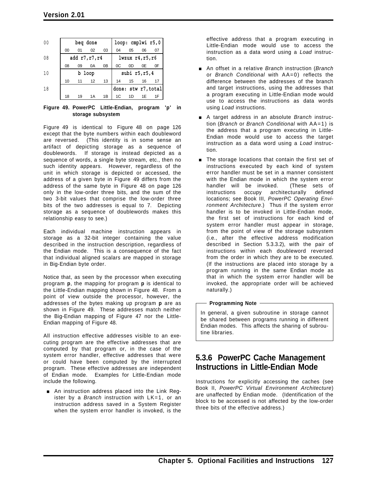| 00 |    | beg done         |      |                |                       |                | loop: cmplwi r5,0 |                     |
|----|----|------------------|------|----------------|-----------------------|----------------|-------------------|---------------------|
|    | 00 | 01               | 02   | 03             | 04                    | 05             | 06                | 07                  |
| 08 |    | add $r7, r7, r4$ |      |                | $lwayux$ $r4, r5, r6$ |                |                   |                     |
|    | 08 | 09               | 0A   | 0 <sub>B</sub> | 0C                    | 0D             | 0E                | 0F                  |
| 10 |    | b                | loop |                | subi $r5, r5, 4$      |                |                   |                     |
|    | 10 | 11               | 12   | 13             | 14                    | 15             | 16                | 17                  |
| 18 |    |                  |      |                |                       |                |                   | done: stw r7, total |
|    | 18 | 19               | 1 A  | 1B             | 1C                    | 1 <sub>D</sub> | 1E                | 1F                  |

**Figure 49. PowerPC Little-Endian, program 'p' in storage subsystem**

Figure 49 is identical to Figure 48 on page 126 except that the byte numbers within each doubleword are reversed. (This identity is in some sense an artifact of depicting storage as a sequence of doublewords. If storage is instead depicted as a sequence of words, a single byte stream, etc., then no such identity appears. However, regardless of the unit in which storage is depicted or accessed, the address of a given byte in Figure 49 differs from the address of the same byte in Figure 48 on page 126 only in the low-order three bits, and the sum of the two 3-bit values that comprise the low-order three bits of the two addresses is equal to 7. Depicting storage as a sequence of doublewords makes this relationship easy to see.)

Each individual machine instruction appears in storage as a 32-bit integer containing the value described in the instruction description, regardless of the Endian mode. This is a consequence of the fact that individual aligned scalars are mapped in storage in Big-Endian byte order.

Notice that, as seen by the processor when executing program **p**, the mapping for program **p** is identical to the Little-Endian mapping shown in Figure 48. From a point of view outside the processor, however, the addresses of the bytes making up program **p** are as shown in Figure 49. These addresses match neither the Big-Endian mapping of Figure 47 nor the Little-Endian mapping of Figure 48.

All instruction effective addresses visible to an executing program are the effective addresses that are computed by that program or, in the case of the system error handler, effective addresses that were or could have been computed by the interrupted program. These effective addresses are independent of Endian mode. Examples for Little-Endian mode include the following.

An instruction address placed into the Link Register by a *Branch* instruction with LK=1, or an instruction address saved in a System Register when the system error handler is invoked, is the

effective address that a program executing in Little-Endian mode would use to access the instruction as a data word using a *Load* instruction.

- [ An offset in a relative *Branch* instruction (*Branch* or *Branch Conditional* with AA=0) reflects the difference between the addresses of the branch and target instructions, using the addresses that a program executing in Little-Endian mode would use to access the instructions as data words using *Load* instructions.
- [ A target address in an absolute *Branch* instruction (*Branch* or *Branch Conditional* with AA=1) is the address that a program executing in Little-Endian mode would use to access the target instruction as a data word using a *Load* instruction.
- **The storage locations that contain the first set of** instructions executed by each kind of system error handler must be set in a manner consistent with the Endian mode in which the system error handler will be invoked. (These sets of instructions occupy architecturally defined locations; see Book III, *PowerPC Operating Environment Architecture*.) Thus if the system error handler is to be invoked in Little-Endian mode, the first set of instructions for each kind of system error handler must appear in storage, from the point of view of the storage subsystem (i.e., after the effective address modification described in Section 5.3.3.2), with the pair of instructions within each doubleword reversed from the order in which they are to be executed. (If the instructions are placed into storage by a program running in the same Endian mode as that in which the system error handler will be invoked, the appropriate order will be achieved naturally.)

#### **Programming Note**

In general, a given subroutine in storage cannot be shared between programs running in different Endian modes. This affects the sharing of subroutine libraries.

# **5.3.6 PowerPC Cache Management Instructions in Little-Endian Mode**

Instructions for explicitly accessing the caches (see Book II, *PowerPC Virtual Environment Architecture*) are unaffected by Endian mode. (Identification of the block to be accessed is not affected by the low-order three bits of the effective address.)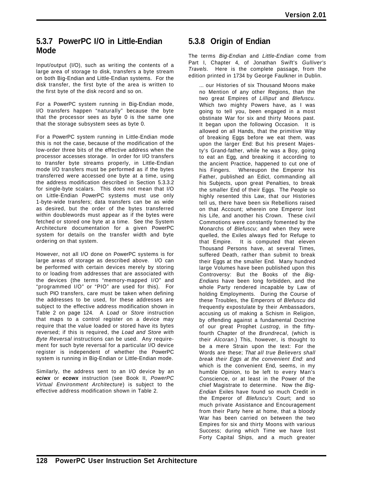## **5.3.7 PowerPC I/O in Little-Endian Mode**

Input/output (I/O), such as writing the contents of a large area of storage to disk, transfers a byte stream on both Big-Endian and Little-Endian systems. For the disk transfer, the first byte of the area is written to the first byte of the disk record and so on.

For a PowerPC system running in Big-Endian mode, I/O transfers happen "naturally" because the byte that the processor sees as byte 0 is the same one that the storage subsystem sees as byte 0.

For a PowerPC system running in Little-Endian mode this is not the case, because of the modification of the low-order three bits of the effective address when the processor accesses storage. In order for I/O transfers to transfer byte streams properly, in Little-Endian mode I/O transfers must be performed as if the bytes transferred were accessed one byte at a time, using the address modification described in Section 5.3.3.2 for single-byte scalars. This does not mean that I/O on Little-Endian PowerPC systems must use only 1-byte-wide transfers; data transfers can be as wide as desired, but the order of the bytes transferred within doublewords must appear as if the bytes were fetched or stored one byte at a time. See the System Architecture documentation for a given PowerPC system for details on the transfer width and byte ordering on that system.

However, not all I/O done on PowerPC systems is for large areas of storage as described above. I/O can be performed with certain devices merely by storing to or loading from addresses that are associated with the devices (the terms "memory-mapped I/O" and "programmed I/O" or "PIO" are used for this). For such PIO transfers, care must be taken when defining the addresses to be used, for these addresses are subject to the effective address modification shown in Table 2 on page 124. A *Load* or *Store* instruction that maps to a control register on a device may require that the value loaded or stored have its bytes reversed; if this is required, the *Load and Store with Byte Reversal* instructions can be used. Any requirement for such byte reversal for a particular I/O device register is independent of whether the PowerPC system is running in Big-Endian or Little-Endian mode.

Similarly, the address sent to an I/O device by an *eciwx* or *ecowx* instruction (see Book II, *PowerPC Virtual Environment Architecture*) is subject to the effective address modification shown in Table 2.

# **5.3.8 Origin of Endian**

The terms *Big-Endian* and *Little-Endian* come from Part I, Chapter 4, of Jonathan Swift's *Gulliver's Travels*. Here is the complete passage, from the edition printed in 1734 by George Faulkner in Dublin.

... our Histories of six Thousand Moons make no Mention of any other Regions, than the two great Empires of *Lilliput* and *Blefuscu.* Which two mighty Powers have, as I was going to tell you, been engaged in a most obstinate War for six and thirty Moons past. It began upon the following Occasion. It is allowed on all Hands, that the primitive Way of breaking Eggs before we eat them, was upon the larger End: But his present Majesty's Grand-father, while he was a Boy, going to eat an Egg, and breaking it according to the ancient Practice, happened to cut one of his Fingers. Whereupon the Emperor his Father, published an Edict, commanding all his Subjects, upon great Penalties, to break the smaller End of their Eggs. The People so highly resented this Law, that our Histories tell us, there have been six Rebellions raised on that Account; wherein one Emperor lost his Life, and another his Crown. These civil Commotions were constantly fomented by the Monarchs of *Blefuscu*; and when they were quelled, the Exiles always fled for Refuge to that Empire. It is computed that eleven Thousand Persons have, at several Times, suffered Death, rather than submit to break their Eggs at the smaller End. Many hundred large Volumes have been published upon this Controversy: But the Books of the *Big-Endians* have been long forbidden, and the whole Party rendered incapable by Law of holding Employments. During the Course of these Troubles, the Emperors of *Blefuscu* did frequently expostulate by their Ambassadors, accusing us of making a Schism in Religion, by offending against a fundamental Doctrine of our great Prophet *Lustrog*, in the fiftyfourth Chapter of the *Brundrecal*, (which is their *Alcoran*.) This, however, is thought to be a mere Strain upon the text: For the Words are these; *That all true Believers shall break their Eggs at the convenient End*: and which is the convenient End, seems, in my humble Opinion, to be left to every Man's Conscience, or at least in the Power of the chief Magistrate to determine. Now the *Big-Endian* Exiles have found so much Credit in the Emperor of *Blefuscu's* Court; and so much private Assistance and Encouragement from their Party here at home, that a bloody War has been carried on between the two Empires for six and thirty Moons with various Success; during which Time we have lost Forty Capital Ships, and a much greater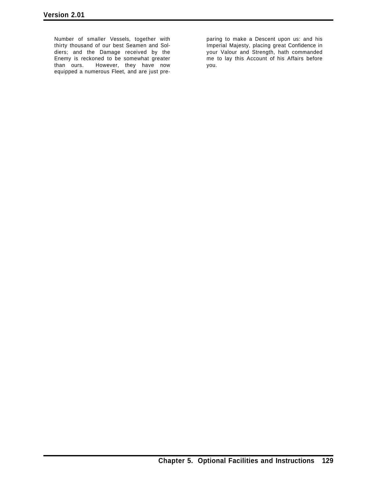Number of smaller Vessels, together with thirty thousand of our best Seamen and Soldiers; and the Damage received by the Enemy is reckoned to be somewhat greater than ours. However, they have now equipped a numerous Fleet, and are just pre-

paring to make a Descent upon us: and his Imperial Majesty, placing great Confidence in your Valour and Strength, hath commanded me to lay this Account of his Affairs before you.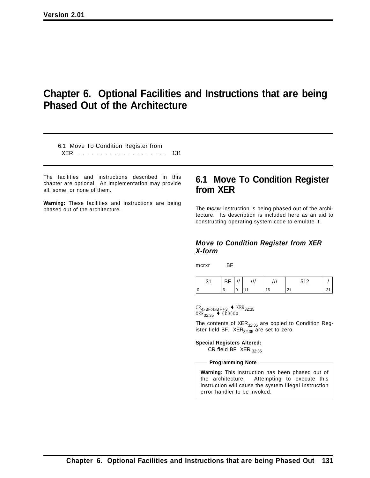# **Chapter 6. Optional Facilities and Instructions that are being Phased Out of the Architecture**

6.1 Move To Condition Register from XER .................... 131

The facilities and instructions described in this chapter are optional. An implementation may provide all, some, or none of them.

**Warning:** These facilities and instructions are being phased out of the architecture.

# **6.1 Move To Condition Register from XER**

The *mcrxr* instruction is being phased out of the architecture. Its description is included here as an aid to constructing operating system code to emulate it.

### *Move to Condition Register from XER X-form*

mcrxr BF

| - - |   |  |  |
|-----|---|--|--|
|     | 9 |  |  |

 $CR_{4\times BF:4\times BF+3}$  +  $XER_{32:35}$  $XER_{32:35}$  + 0b0000

The contents of  $XER_{32:35}$  are copied to Condition Register field BF.  $XER_{32:35}$  are set to zero.

**Special Registers Altered:**

CR field BF  $XER_{32:35}$ 

**Programming Note**

**Warning:** This instruction has been phased out of the architecture. Attempting to execute this instruction will cause the system illegal instruction error handler to be invoked.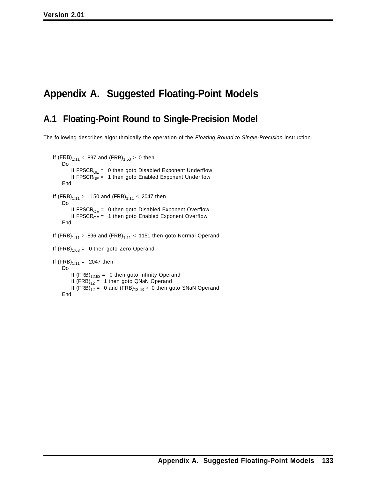# **Appendix A. Suggested Floating-Point Models**

# **A.1 Floating-Point Round to Single-Precision Model**

The following describes algorithmically the operation of the *Floating Round to Single-Precision* instruction.

```
If (FRB)_{1:11} < 897 and (FRB)_{1:63} > 0 then
    Do
       If FPSCR<sub>UE</sub> = 0 then goto Disabled Exponent Underflow
       If FPSCR_{UE} = 1 then goto Enabled Exponent Underflow
    End
If (FRB)_{1:11} > 1150 and (FRB)_{1:11} < 2047 then
    Do
       If FPSCR<sub>OE</sub> = 0 then goto Disabled Exponent Overflow
       If FPSCR<sub>OF</sub> = 1 then goto Enabled Exponent Overflow
    End
If (FRB)_{1:11} > 896 and (FRB)_{1:11} < 1151 then goto Normal Operand
If (FRB)_{1:63} = 0 then goto Zero Operand
If (FRB)_{1:11} = 2047 then
   Do
       If (FRB)_{12:63} = 0 then goto Infinity Operand
       If (FRB)_{12} = 1 then goto QNaN Operand
       If (FRB)_{12} = 0 and (FRB)_{13:63} > 0 then goto SNaN Operand
   End
```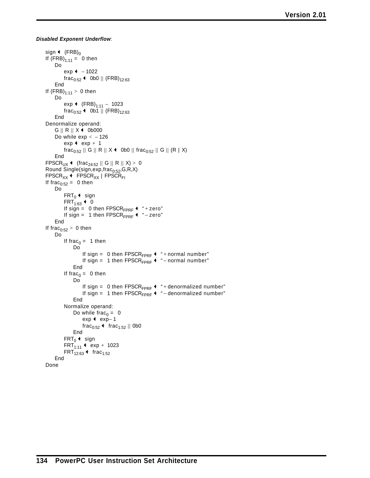*Disabled Exponent Underflow*:

```
sign \leftarrow (FRB)<sub>0</sub>
If (FRB)_{1:11} = 0 then
    Do
         exp + - 1022frac<sub>0:52</sub> \leftarrow 0b0 || (FRB)<sub>12:63</sub>
     End
If (FRB)_{1:11} > 0 then
    Do
         exp \leftarrow (FRB)<sub>1:11</sub> - 1023
         frac_{0:52} + 0b1 || (FRB)<sub>12:63</sub>
    End
Denormalize operand:
     G \parallel R \parallel X + 0b000Do while exp < -126exp + exp + 1
         \text{frac}_{0:52} || G || R || X + 0b0 || frac_{0:52} || G || (R | X)
     End
FPSCR<sub>UX</sub> \leftarrow (frac<sub>24:52</sub> || G || R || X) > 0
Round Single(sign,exp,frac_{0:52},G,R,X)
FPSCR_{XX} + FPSCR_{XX} | FPSCR_{FI}If frac_{0:52} = 0 then
    Do
          FRT<sub>0</sub> \leftarrow sign
          FRT<sub>1:63</sub> \leftarrow 0
          If sign = 0 then FPSCR<sub>FPRF</sub> \leftarrow "+zero"
          If sign = 1 then FPSCR_{FPRF} + " - zero"
     End
If frac_{0:52} > 0 then
    Do
         If frac<sub>0</sub> = 1 then
               Do
                    If sign = 0 then FPSCR<sub>FPRF</sub> \leftrightarrow "+ normal number"
                    If sign = 1 then FPSCR_{FPRF}^+ + " – normal number"
               End
          If frac<sub>0</sub> = 0 then
               Do
                    If sign = 0 then FPSCR<sub>FPRF</sub> \leftrightarrow "+ denormalized number"
                    If sign = 1 then FPSCR<sub>FPRF</sub> \leftarrow " – denormalized number"
               End
         Normalize operand:
               Do while frac<sub>0</sub> = 0
                    exp + exp- 1
                    frac<sub>0:52</sub> + frac<sub>1:52</sub> || 0b0
              End
          FRT_0 + sign
          FRT<sub>1:11</sub> + exp + 1023
          FRT_{12:63} + frac<sub>1:52</sub>
     End
Done
```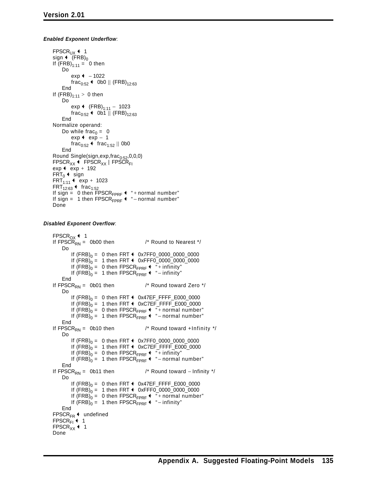#### *Enabled Exponent Underflow*:

```
FPSCR_{UX} + 1
sign \leftarrow (FRB)<sub>0</sub>
If (FRB)_{1:11} = 0 then
     Do
          exp ← - 1022frac<sub>0:52</sub> \leftarrow 0b0 || (FRB)<sub>12:63</sub>
     End
If (FRB)_{1:11} > 0 then
     Do
          exp \leftarrow (FRB)<sub>1:11</sub> - 1023
          frac_{0:52} + 0b1 || (FRB)<sub>12:63</sub>
     End
Normalize operand:
     Do while frac<sub>0</sub> = 0
          exp + exp - 1
          frac<sub>0:52</sub> + frac<sub>1:52</sub> || 0b0
     End
Round Single(sign,exp, frac_{0:52}, 0, 0, 0)
FPSCR_{XX} + FPSCR<sub>XX</sub> | FPSCR<sub>FI</sub>
exp \leftarrow exp + 192
FRT_0 + sign
FRT<sub>1:11</sub> + exp + 1023
FRT_{12:63} \leftarrow frac_{1:52}If sign = 0 then \text{FPSCR}_{\text{FPRF}} \leftarrow " + normal number"
If sign = 1 then FPSCR_{FPRF} + " – normal number"
Done
```
#### *Disabled Exponent Overflow*:

```
\text{FPSCR}_{OX} + 1
If \text{FPSC}\hat{R}_{RN} = 0 b00 then \frac{1}{r} Round to Nearest \frac{1}{r}Do
        If (FRB)_0 = 0 then FRT \leftarrow 0x7FF0_0000_0000_0000If (FRB)_0 = 1 then FRT \triangleleft 0xFFF0_0000_0000_0000
        If (FRB)_0 = 0 then FPSCR_{FPRF} + "+ infinity"
        If (FRB)_0 = 1 then FPSCR_{FPRF} + " – infinity"
    End
If \text{FPSCR}_{\text{RN}} = 0b01 then \frac{1}{2} Round toward Zero \frac{*}{2}Do
        If (FRB)_0 = 0 then FRT \leftrightarrow 0x47EF_FFFF_E000_0000
        If (FRB)_0 = 1 then FRT \leftarrow 0xC7EF_FFFF_E000_0000
        If (FRB)_0 = 0 then FPSCR_{FPRF} + "+ normal number"
        If (FRB)_0 = 1 then FPSCR_{FPRF} + " – normal number"
    End
If \text{FPSCR}_{\text{RN}} = 0b10 then \frac{1}{2} Round toward +Infinity \frac{1}{2}Do
        If (FRB)_0 = 0 then FRT \triangleleft 0x7FF0_0000_0000_0000
        If (FRB)_0 = 1 then FRT \triangleleft 0xC7EF_FFFF_E000_0000
        If (FRB)_0 = 0 then FPSCR_{FPRF} + "+ infinity"
        If (FRB)_0 = 1 then FPSCR_{FPRF} + " – normal number"
    End
If \text{FPSCR}_{\text{RN}} = 0b11 then /* Round toward − Infinity */
    Do
        If (FRB)_0 = 0 then FRT \leftrightarrow 0x47EF_FFFF_E000_0000
        If (FRB)_0 = 1 then FRT \triangleleft 0xFFF0_0000_0000_0000
        If (FRB)_0 = 0 then FPSCR_{FPRF} \leftarrow " + normal number"
        If (FRB)_0 = 1 then FPSCR_{FPRF} + " – infinity"
    End
\text{FPSCR}_{\text{FR}} \leftarrow undefined
FPSCR<sub>FI</sub> \leftarrow 1
FPSCR<sub>XX</sub> \leftarrow 1
Done
```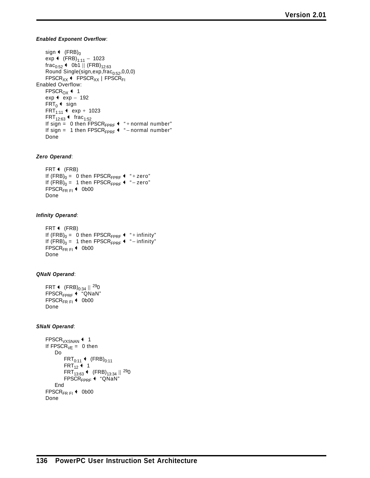#### *Enabled Exponent Overflow*:

sign  $\leftarrow$  (FRB)<sub>0</sub> exp ←  $(FRB)_{1:11}$  – 1023  $frac_{0:52}$  + 0b1 || (FRB)<sub>12:63</sub> Round Single(sign,exp,frac $_{0:52}$ ,0,0,0)  $FPSCR_{XX}$  +  $FPSCR_{XX}$  |  $FPSCR_{FI}$ Enabled Overflow: FPSCR<sub>OX</sub> $+1$ exp  $\leftarrow$  exp  $-$  192  $FRT_0$  + sign  $FRT_{1:11}$  + exp + 1023  $FRT_{12:63}$  + frac<sub>1:52</sub> If sign = 0 then  $FPSCR_{FPRF}$  + " + normal number" If sign = 1 then FPSCR<sub>FPRF</sub>  $\leftarrow$  " – normal number" Done

#### *Zero Operand*:

```
FRT + (FRB)If (FRB)_0 = 0 then FPSCR_{FPRF} + "+zero"
If (FRB)_0 = 1 then FPSCR_{FPRF} + " − zero"
FPSCR<sub>FR FI</sub> \leftarrow 0b00
Done
```
#### *Infinity Operand*:

```
FRT + (FRB)If (FRB)_0 = 0 then FPSCR_{FPRF} + "+ infinity"
If (FRB)_0 = 1 then FPSCR<sub>FPRF</sub> \leftarrow " – infinity"
FPSCR<sub>FR FI</sub> \leftarrow 0b00
Done
```
*QNaN Operand*:

```
FRT \leftarrow (FRB)<sub>0:34</sub> || <sup>29</sup>0
FPSCR<sub>FPRF</sub> + "QNaN"
\text{FPSCR}_{\text{FR} \text{ FI}} + 0b00
Done
```
#### *SNaN Operand*:

```
\text{FPSCR}_{VXSNAN} + 1
If FPSCR_{VE} = 0 then
    Do
         FRT_{0:11} + (FRB)<sub>0:11</sub>
         FRT_{12} + 1
         FRT_{13:63} + (FRB)_{13:34} ||^{29}0FPSCR<sub>FPRF</sub> + "QNaN"
    End
FPSCR<sub>FR FI</sub> \leftarrow 0b00
Done
```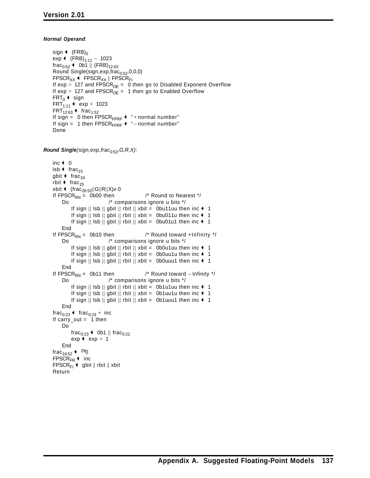#### *Normal Operand*:

```
sign \leftarrow (FRB)<sub>0</sub>
exp ← (FRB)_{1:11} – 1023
frac_{0:52} + 0b1 || (FRB)<sub>12:63</sub>
Round Single(sign,exp,frac_{0:52},0,0,0)
FPSCR_{XX} + FPSCR_{XX} | FPSCR_{FI}If exp > 127 and FPSCR<sub>OE</sub> = 0 then go to Disabled Exponent Overflow
If exp > 127 and FPSCR<sub>OE</sub> = 1 then go to Enabled Overflow
FRT_0 + sign
FRT_{1:11} + exp + 1023
FRT_{12:63} + frac<sub>1:52</sub>
If sign = 0 then \text{FPSCR}_{\text{FPRF}} + " + normal number"
If sign = 1 then FPSCR<sub>FPRF</sub> \triangleq " – normal number"
Done
```
*Round Single(sign,exp,frac*0:52*,G,R,X)*:

```
inc \leftarrow 0
\mathsf{lsb} + frac<sub>23</sub>
gbit \triangleleft frac<sub>24</sub>
rbit \triangleleft frac<sub>25</sub>
xbit ← (frac<sub>26:52</sub>||G||R||X)≠ 0
If \text{FPSCR}_{\text{RN}} = 0000 then \frac{1}{2} Round to Nearest \frac{*}{2}<br>Do \frac{1}{2} comparisons ignore u bits \frac{*}{2}/* comparisons ignore u bits */If sign || lsb || gbit || rbit || xbit = 0bu11uu then inc \leftarrow 1
           If sign || lsb || gbit || rbit || xbit = 0bu011u then inc \leftarrow 1
           If sign || lsb || gbit || rbit || xbit = 0bu01u1 then inc \triangleleft 1
     End
If \text{FPSCR}_{\text{RN}} = 0b10 then \frac{1}{2} Round toward +Infinity \frac{1}{2}<br>Do \frac{1}{2} comparisons ignore u bits \frac{1}{2}/* comparisons ignore u bits */If sign || lsb || gbit || rbit || xbit = 0b0u1uu then inc \leftarrow 1
           If sign || lsb || gbit || rbit || xbit = 0b0uu1u then inc \triangleleft 1
           If sign || lsb || gbit || rbit || xbit = 0b0uuu1 then inc \triangleleft 1
     End
If FPSCR<sub>RN</sub> = 0b11 then /* Round toward − Infinity */<br>Do /* comparisons ignore u bits */
                                 /* comparisons ignore u bits */If sign || lsb || gbit || rbit || xbit = 0b1u1uu then inc \triangleleft 1
           If sign || lsb || gbit || rbit || xbit = 0b1uu1u then inc \triangleleft 1
           If sign || lsb || gbit || rbit || xbit = 0b1uuu1 then inc \leftarrow 1
     End
frac<sub>0:23</sub> \leftarrow frac<sub>0:23</sub> + inc
If carry_out = 1 then
     Do
          frac<sub>0:23</sub> \leftarrow 0b1 || frac<sub>0:22</sub>
           exp + exp + 1
     End
frac_{24:52} + 290FPSCR<sub>FR</sub> \leftarrow inc
FPSCR_{F1} + gbit | rbit | xbit
Return
```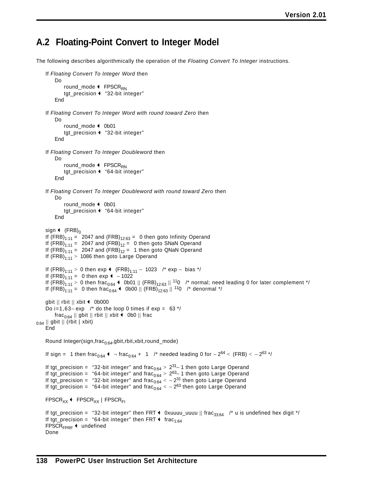### **A.2 Floating-Point Convert to Integer Model**

The following describes algorithmically the operation of the *Floating Convert To Integer* instructions.

```
If Floating Convert To Integer Word then
         Do
             round_mode \leftarrow FPSCR<sub>RN</sub>
             tgt_precision \leftarrow "32-bit integer"
         End
    If Floating Convert To Integer Word with round toward Zero then
         Do
             round_mode \leftarrow 0b01
             tgt_precision + "32-bit integer"
         End
    If Floating Convert To Integer Doubleword then
         Do
             round_mode \leftarrow FPSCR<sub>RN</sub>
             tgt_precision + "64-bit integer"
         End
    If Floating Convert To Integer Doubleword with round toward Zero then
         Do
             round_mode \leftarrow 0b01
             tgt_precision + "64-bit integer"
         End
    sign \leftarrow (FRB)<sub>0</sub>
    If (FRB)_{1:11} = 2047 and (FRB)_{12:63} = 0 then goto Infinity Operand
    If (FRB)_{1:11} = 2047 and (FRB)_{12} = 0 then goto SNaN Operand
    If (FRB)_{1:11} = 2047 and (FRB)_{12} = 1 then goto QNaN Operand
    If (FRB)_{1:11} > 1086 then goto Large Operand
    If (FRB)<sub>1:11</sub> > 0 then exp \leftarrow (FRB)<sub>1:11</sub> − 1023 /* exp − bias */
    If (FRB)<sub>1:11</sub> = 0 then exp \triangleleft − 1022
    If (FRB)<sub>1:11</sub> > 0 then frac<sub>0:64</sub> \leftrightarrow 0b01 || (FRB)<sub>12:63</sub> || <sup>11</sup>0 /* normal; need leading 0 for later complement */
    If (FRB)<sub>1:11</sub> = 0 then frac<sub>0:64</sub> \leftarrow 0b00 || (FRB)<sub>12:63</sub> || <sup>11</sup>0 /* denormal */
    gbit || \text{ rbit} || \text{ xbit } + 0b000Do i=1,63– exp /* do the loop 0 times if exp = 63 */
        frac_{0.64} || gbit || rbit || xbit \triangleq 0b0 || frac
0:64 || gbit || (rbit | xbit)
    End
    Round Integer(sign,frac<sub>0:64</sub>,gbit,rbit,xbit,round_mode)
    If sign = 1 then frac<sub>0:64</sub> \leftrightarrow ¬ frac<sub>0:64</sub> + 1 /* needed leading 0 for -2^{64} < (FRB) < -2^{63} */
    If tgt_precision = "32-bit integer" and frac_{0:64} > 2^{31} - 1 then goto Large Operand
    If tgt_precision = "64-bit integer" and frac_{0.64} > 2^{63} 1 then goto Large Operand
     If tgt_precision = "32-bit integer" and frac_{0.64} < - 2^{31}_{0.2} then goto Large Operand
     If tgt_precision = "64-bit integer" and frac_{0:64} < -2^{63} then goto Large Operand
    FPSCR_{XX} + FPSCR_{XX} | FPSCR_{FI}If tgt_precision = "32-bit integer" then FRT \triangleq 0xuuuu_uuuu || frac<sub>33:64</sub> /* u is undefined hex digit */
    If tgt_precision = "64-bit integer" then FRT \leftarrow frac<sub>1:64</sub>
    FPSCR<sub>FPRF</sub> + undefined
    Done
```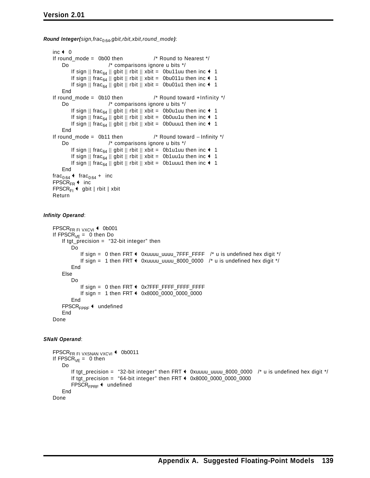*Round Integer(sign,frac*0:64*,gbit,rbit,xbit,round\_mode)*:

```
inc \leftarrow 0
If round_mode = 0b00 then /* Round to Nearest */
    Do /* comparisons ignore u bits */
         If sign || frac<sub>64</sub> || gbit || rbit || xbit = 0bu11uu then inc \triangleleft 1
         If sign || frac<sub>64</sub> || gbit || rbit || xbit = 0bu011u then inc \leftarrow 1
         If sign || frac<sub>64</sub> || gbit || rbit || xbit = 0bu01u1 then inc \leftarrow 1
    End
If round_mode = 0b10 then \frac{1}{2} Round toward +Infinity \frac{1}{2}Do /* comparisons ignore u bits */
         If sign || frac<sub>64</sub> || gbit || rbit || xbit = 0b0u1uu then inc \leftarrow 1
         If sign || frac<sub>64</sub> || gbit || rbit || xbit = 0b0uu1u then inc \leftrightarrow 1
         If sign || frac<sub>64</sub> || gbit || rbit || xbit = 0b0uuu1 then inc \leftarrow 1
    End
If round_mode = 0b11 then /* Round toward − Infinity */
    Do /* comparisons ignore u bits */
         If sign || frac<sub>64</sub> || gbit || rbit || xbit = 0b1u1uu then inc \leftarrow 1
         If sign || frac<sub>64</sub> || gbit || rbit || xbit = 0b1uu1u then inc \leftarrow 1
         If sign || frac<sub>64</sub> || gbit || rbit || xbit = 0b1uuu1 then inc \leftarrow 1
    End
frac_{0:64} + frac<sub>0:64</sub> + inc
FPSCR<sub>FR</sub> \leftarrow inc
FPSCR_{FI} + gbit | rbit | xbit
Return
```
#### *Infinity Operand*:

```
FPSCR<sub>FR FI VXCVI</sub> \triangleleft 0b001
If \text{FPSCR}_{VE} = 0 then Do
    If tgt_precision = "32-bit integer" then
        Do
            If sign = 0 then FRT \triangleq 0xuuuu_uuuu_7FFF_FFFF /* u is undefined hex digit */
            If sign = 1 then FRT \triangleq 0xuuuu_uuuu_8000_0000 /* u is undefined hex digit */
        End
    Else
        Do
            If sign = 0 then FRT \leftrightarrow 0x7FFF_FFFF_FFFF_FFFF
            If sign = 1 then FRT \leftarrow 0x8000_0000_0000_0000
        End
    FPSCR<sub>FPRF</sub> + undefined
    End
Done
```
#### *SNaN Operand*:

```
FPSCR<sub>FR FI</sub> VXSNAN VXCVI \triangleq 0b0011
If \text{FPSCR}_{VE} = 0 then
    Do
        If tgt_precision = "32-bit integer" then FRT \leftarrow 0xuuuu_uuuu_8000_0000 /* u is undefined hex digit */
        If tgt\_precision = "64-bit integer" then FRT \leftarrow 0x8000_0000_0000_0000
        FPSCR<sub>FPRF</sub> + undefined
    End
Done
```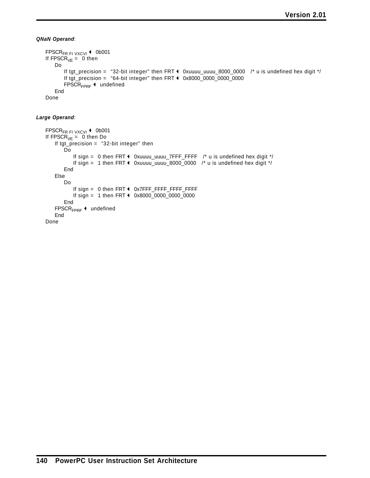*QNaN Operand*:

```
FPSCR<sub>FR FI VXCVI</sub> \leftarrow 0b001
If FPSCR_{VE} = 0 then
   Do
       If tgt_precision = "32-bit integer" then FRT \triangleleft 0xuuuu_uuuu_8000_0000 /* u is undefined hex digit */
        If tgt\_precision = "64-bit integer" then FFT + 0x8000_0000_0000_0000FPSCR<sub>FPRF</sub> + undefined
   End
Done
```
#### *Large Operand*:

```
FPSCRFR FI VXCVI Q 0b001
If \mathsf{FPSCR}_{\mathsf{VE}} = 0 then Do
   If tgt_precision = "32-bit integer" then
        Do
            If sign = 0 then FRT \triangleleft 0xuuuu_uuuu_7FFF_FFFF /* u is undefined hex digit */
            If sign = 1 then FRT \triangleleft 0xuuuu_uuuu_8000_0000 /* u is undefined hex digit */
        End
   Else
       Do
            If sign = 0 then FRT \leftarrow 0x7FFF_FFFF_FFFF_FFFF
            If sign = 1 then FRT \leftrightarrow 0x8000_0000_0000_0000
        End
    FPSCR<sub>FPRF</sub> + undefined
   End
Done
```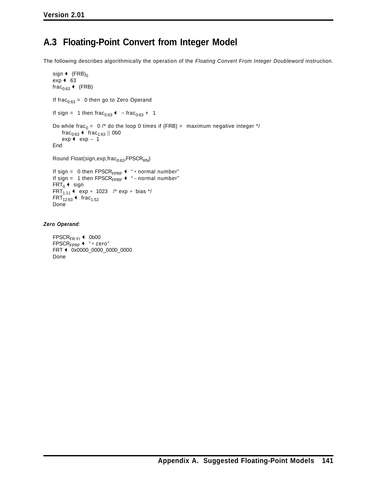### **A.3 Floating-Point Convert from Integer Model**

The following describes algorithmically the operation of the *Floating Convert From Integer Doubleword* instruction.

```
sign \leftarrow (FRB)<sub>0</sub>
exp + 63
frac_{0:63} + (FRB)
If frac_{0.63} = 0 then go to Zero Operand
If sign = 1 then frac<sub>0:63</sub> \leftrightarrow \neg frac<sub>0:63</sub> + 1
Do while frac<sub>0</sub> = 0 \text{/*} do the loop 0 times if (FRB) = maximum negative integer \text{/*}frac<sub>0:63</sub> + frac<sub>1:63</sub> || 0b0
     exp + exp - 1
End
Round Float(sign,exp,frac_{0:63},FPSCR<sub>RN</sub>)
If sign = 0 then \text{FPSCR}_{\text{FPRF}} + " + normal number"
If sign = 1 then \text{FPSCR}_{\text{FPRF}} + " – normal number"
FRT_0 + sign
FRT<sub>1:11</sub> \leftrightarrow exp + 1023 /* exp + bias */
```

```
FRT_{12:63} + frac<sub>1:52</sub>
Done
```
*Zero Operand*:

```
FPSCR<sub>FR FI</sub> \leftarrow 0b00
\text{FPSCR}_{\text{FPRF}} + "+ zero"
FRT + 0x0000_0000_0000_0000
Done
```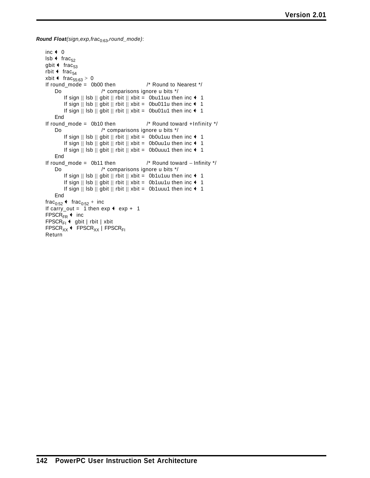*Round Float(sign,exp,frac*0:63*,round\_mode)*:

```
inc \div 0
lsb \leftarrow frac<sub>52</sub>
gbit \triangleleft frac<sub>53</sub>
rbit \leftarrow frac<sub>54</sub>
xbit \triangleleft frac<sub>55:63</sub> > 0
If round_mode = 0b00 then /* Round to Nearest */
    Do /* comparisons ignore u bits */
        If sign || lsb || gbit || rbit || xbit = 0bu11uu then inc \leftarrow 1
        If sign || lsb || gbit || rbit || xbit = 0bu011u then inc \leftarrow 1
        If sign || lsb || gbit || rbit || xbit = 0bu01u1 then inc \triangleleft 1
    End
If round_mode = 0b10 then \frac{1}{2} Round toward +Infinity \frac{1}{2}Do /* comparisons ignore u bits */
         If sign || lsb || gbit || rbit || xbit = 0b0u1uu then inc \triangleleft 1
         If sign || lsb || gbit || rbit || xbit = 0b0uu1u then inc \triangleleft 1
         If sign || lsb || gbit || rbit || xbit = 0b0uuu1 then inc \leftarrow 1
    End
If round_mode = 0b11 then /* Round toward − Infinity */
    Do /* comparisons ignore u bits */
         If sign || Isb || gbit || rbit || xbit = 0b1u1uu then inc \leftarrow 1
         If sign || lsb || gbit || rbit || xbit = 0b1uu1u then inc \leftarrow 1
         If sign || lsb || gbit || rbit || xbit = 0b1uuu1 then inc \leftarrow 1
    End
frac_{0:52} + frac<sub>0:52</sub> + inc
If carry_out = 1 then exp + exp + 1FPSCR<sub>FR</sub> \leftarrow inc
FPSCR_{F1} + gbit | rbit | xbit
\text{FPSCR}_{XX} + \text{FPSCR}_{XX} | \text{FPSCR}_{FI}Return
```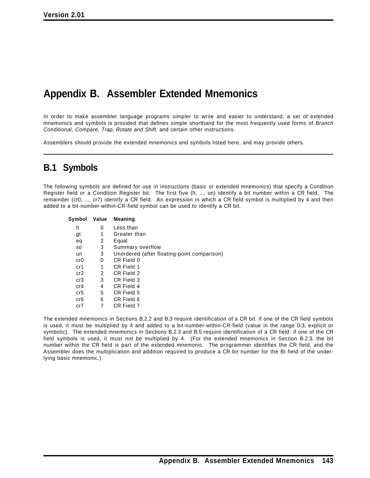# **Appendix B. Assembler Extended Mnemonics**

In order to make assembler language programs simpler to write and easier to understand, a set of extended mnemonics and symbols is provided that defines simple shorthand for the most frequently used forms of *Branch Conditional, Compare, Trap, Rotate and Shift,* and certain other instructions.

Assemblers should provide the extended mnemonics and symbols listed here, and may provide others.

### **B.1 Symbols**

The following symbols are defined for use in instructions (basic or extended mnemonics) that specify a Condition Register field or a Condition Register bit. The first five (lt, ..., un) identify a bit number within a CR field. The remainder (cr0, ..., cr7) identify a CR field. An expression in which a CR field symbol is multiplied by 4 and then added to a bit-number-within-CR-field symbol can be used to identify a CR bit.

| Symbol | Value | <b>Meaning</b>                              |
|--------|-------|---------------------------------------------|
| It     | 0     | Less than                                   |
| gt     | 1     | Greater than                                |
| eq     | 2     | Equal                                       |
| SO.    | 3     | Summary overflow                            |
| un     | 3     | Unordered (after floating-point comparison) |
| cr0    | 0     | CR Field 0                                  |
| cr1    | 1     | CR Field 1                                  |
| cr2    | 2     | CR Field 2                                  |
| cr3    | 3     | CR Field 3                                  |
| cr4    | 4     | CR Field 4                                  |
| cr5    | 5     | CR Field 5                                  |
| cr6    | 6     | CR Field 6                                  |
| cr7    | 7     | CR Field 7                                  |

The extended mnemonics in Sections B.2.2 and B.3 require identification of a CR bit: if one of the CR field symbols is used, it must be multiplied by 4 and added to a bit-number-within-CR-field (value in the range 0-3, explicit or symbolic). The extended mnemonics in Sections B.2.3 and B.5 require identification of a CR field: if one of the CR field symbols is used, it must *not* be multiplied by 4. (For the extended mnemonics in Section B.2.3, the bit number within the CR field is part of the extended mnemonic. The programmer identifies the CR field, and the Assembler does the multiplication and addition required to produce a CR bit number for the BI field of the underlying basic mnemonic.)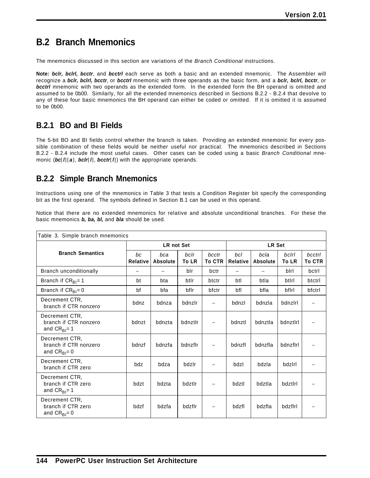# **B.2 Branch Mnemonics**

The mnemonics discussed in this section are variations of the *Branch Conditional* instructions.

**Note:** *bclr, bclrl, bcctr*, and *bcctrl* each serve as both a basic and an extended mnemonic. The Assembler will recognize a *bclr, bclrl, bcctr*, or *bcctrl* mnemonic with three operands as the basic form, and a *bclr, bclrl, bcctr*, or *bcctrl* mnemonic with two operands as the extended form. In the extended form the BH operand is omitted and assumed to be 0b00. Similarly, for all the extended mnemonics described in Sections B.2.2 - B.2.4 that devolve to any of these four basic mnemonics the BH operand can either be coded or omitted. If it is omitted it is assumed to be 0b00.

### **B.2.1 BO and BI Fields**

The 5-bit BO and BI fields control whether the branch is taken. Providing an extended mnemonic for every possible combination of these fields would be neither useful nor practical. The mnemonics described in Sections B.2.2 - B.2.4 include the most useful cases. Other cases can be coded using a basic *Branch Conditional* mnemonic (*bc*[*l*][*a*], *bclr*[*l*], *bcctr*[*l*]) with the appropriate operands.

### **B.2.2 Simple Branch Mnemonics**

Instructions using one of the mnemonics in Table 3 that tests a Condition Register bit specify the corresponding bit as the first operand. The symbols defined in Section B.1 can be used in this operand.

Notice that there are no extended mnemonics for relative and absolute unconditional branches. For these the basic mnemonics *b, ba, bl,* and *bla* should be used.

| Table 3. Simple branch mnemonics                             |                       |                          |               |                          |                          |                         |                       |                         |
|--------------------------------------------------------------|-----------------------|--------------------------|---------------|--------------------------|--------------------------|-------------------------|-----------------------|-------------------------|
|                                                              |                       | <b>LR not Set</b>        |               |                          | LR Set                   |                         |                       |                         |
| <b>Branch Semantics</b>                                      | bc<br><b>Relative</b> | bca<br><b>Absolute</b>   | bclr<br>To LR | bcctr<br><b>To CTR</b>   | bcl<br><b>Relative</b>   | bcla<br><b>Absolute</b> | bclrl<br><b>To LR</b> | bcctrl<br><b>To CTR</b> |
| Branch unconditionally                                       |                       | $\overline{\phantom{0}}$ | blr           | bctr                     | $\overline{\phantom{0}}$ |                         | blrl                  | bctrl                   |
| Branch if $CR_{BI} = 1$                                      | bt                    | bta                      | btlr          | btctr                    | btl                      | btla                    | btlrl                 | btctrl                  |
| Branch if $CR_{B1} = 0$                                      | bf                    | bfa                      | bflr          | bfctr                    | bfl                      | bfla                    | bflrl                 | bfctrl                  |
| Decrement CTR.<br>branch if CTR nonzero                      | bdnz                  | bdnza                    | bdnzlr        |                          | bdnzl                    | bdnzla                  | bdnzlrl               |                         |
| Decrement CTR,<br>branch if CTR nonzero<br>and $CR_{BI} = 1$ | bdnzt                 | bdnzta                   | bdnztlr       |                          | bdnztl                   | bdnztla                 | bdnztlrl              |                         |
| Decrement CTR,<br>branch if CTR nonzero<br>and $CR_{BI} = 0$ | bdnzf                 | bdnzfa                   | bdnzflr       | $\overline{\phantom{0}}$ | bdnzfl                   | bdnzfla                 | bdnzflrl              |                         |
| Decrement CTR.<br>branch if CTR zero                         | bdz                   | bdza                     | bdzlr         |                          | bdzl                     | bdzla                   | bdzlrl                |                         |
| Decrement CTR.<br>branch if CTR zero<br>and $CR_{BI} = 1$    | bdzt                  | bdzta                    | bdztlr        |                          | bdztl                    | bdztla                  | bdztlrl               |                         |
| Decrement CTR.<br>branch if CTR zero<br>and $CR_{BI} = 0$    | bdzf                  | bdzfa                    | bdzflr        |                          | bdzfl                    | bdzfla                  | bdzflrl               |                         |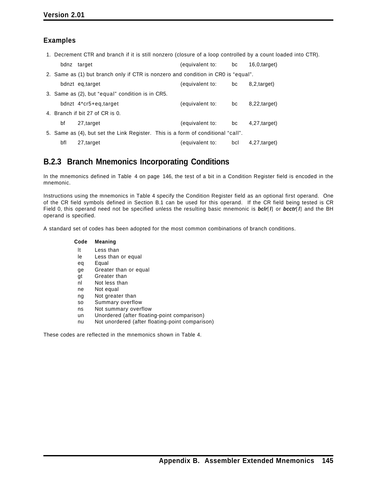### **Examples**

1. Decrement CTR and branch if it is still nonzero (closure of a loop controlled by a count loaded into CTR).

|     | bdnz target                                                                       | (equivalent to: bc |     | $16.0$ , target) |
|-----|-----------------------------------------------------------------------------------|--------------------|-----|------------------|
|     | 2. Same as (1) but branch only if CTR is nonzero and condition in CR0 is "equal". |                    |     |                  |
|     | bdnzt eq, target                                                                  | (equivalent to:    | bc  | 8.2, target)     |
|     | 3. Same as (2), but "equal" condition is in CR5.                                  |                    |     |                  |
|     | bdnzt 4*cr5+eq, target                                                            | (equivalent to:    | bc  | $8,22,$ target)  |
|     | 4. Branch if bit 27 of CR is 0.                                                   |                    |     |                  |
| bf  | 27, target                                                                        | (equivalent to:    | bc  | $4,27$ , target) |
|     | 5. Same as (4), but set the Link Register. This is a form of conditional "call".  |                    |     |                  |
| bfl | 27, target                                                                        | (equivalent to:    | bcl | $4,27$ , target) |

### **B.2.3 Branch Mnemonics Incorporating Conditions**

In the mnemonics defined in Table 4 on page 146, the test of a bit in a Condition Register field is encoded in the mnemonic.

Instructions using the mnemonics in Table 4 specify the Condition Register field as an optional first operand. One of the CR field symbols defined in Section B.1 can be used for this operand. If the CR field being tested is CR Field 0, this operand need not be specified unless the resulting basic mnemonic is *bclr*[*l*] or *bcctr*[*l*] and the BH operand is specified.

A standard set of codes has been adopted for the most common combinations of branch conditions.

#### **Code Meaning**

- lt Less than
- le Less than or equal
- eq Equal
- ge Greater than or equal
- gt Greater than
- nl Not less than
- ne Not equal
- ng Not greater than
- so Summary overflow
- ns Not summary overflow
- un Unordered (after floating-point comparison)
- nu Not unordered (after floating-point comparison)

These codes are reflected in the mnemonics shown in Table 4.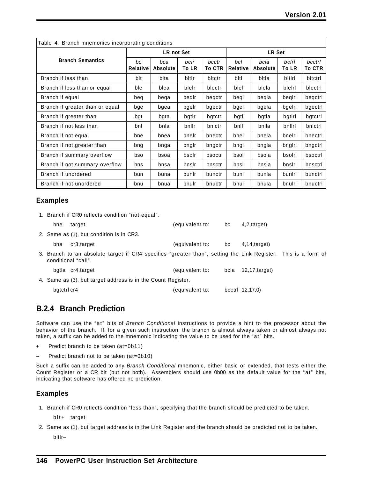| Table 4. Branch mnemonics incorporating conditions |                       |                        |                      |                        |                        |                         |                |                         |  |
|----------------------------------------------------|-----------------------|------------------------|----------------------|------------------------|------------------------|-------------------------|----------------|-------------------------|--|
|                                                    |                       | <b>LR not Set</b>      |                      |                        |                        | <b>LR Set</b>           |                |                         |  |
| <b>Branch Semantics</b>                            | bc<br><b>Relative</b> | bca<br><b>Absolute</b> | bclr<br><b>To LR</b> | bcctr<br><b>To CTR</b> | bcl<br><b>Relative</b> | bcla<br><b>Absolute</b> | bclrl<br>To LR | bcctrl<br><b>To CTR</b> |  |
| Branch if less than                                | blt                   | blta                   | bitir                | bltctr                 | bltl                   | bltla                   | bitiri         | bltctrl                 |  |
| Branch if less than or equal                       | ble                   | blea                   | blelr                | blectr                 | blel                   | blela                   | bleiri         | blectrl                 |  |
| Branch if equal                                    | beq                   | bega                   | begir                | begctr                 | begl                   | beqla                   | begiri         | beqctrl                 |  |
| Branch if greater than or equal                    | bge                   | bgea                   | bgelr                | bgectr                 | bgel                   | bgela                   | bgelrl         | bgectrl                 |  |
| Branch if greater than                             | bgt                   | bgta                   | bgtlr                | bgtctr                 | bgtl                   | bgtla                   | bgtlrl         | bgtctrl                 |  |
| Branch if not less than                            | bnl                   | bnla                   | bnllr                | bnictr                 | bnll                   | bnlla                   | bnllrl         | bnictri                 |  |
| Branch if not equal                                | bne                   | bnea                   | bnelr                | bnectr                 | bnel                   | bnela                   | bnelrl         | bnectrl                 |  |
| Branch if not greater than                         | bng                   | bnga                   | bnglr                | bngctr                 | bngl                   | bngla                   | bnglrl         | bngctrl                 |  |
| Branch if summary overflow                         | bso                   | bsoa                   | bsolr                | bsoctr                 | bsol                   | bsola                   | bsolrl         | bsoctrl                 |  |
| Branch if not summary overflow                     | bns                   | bnsa                   | bnslr                | bnsctr                 | bnsl                   | bnsla                   | bnslrl         | bnsctrl                 |  |
| Branch if unordered                                | bun                   | buna                   | bunlr                | bunctr                 | bunl                   | bunla                   | buniri         | bunctrl                 |  |
| Branch if not unordered                            | bnu                   | bnua                   | bnulr                | bnuctr                 | bnul                   | bnula                   | bnulrl         | bnuctrl                 |  |

#### **Examples**

|             | 1. Branch if CRO reflects condition "not equal".                                                                                     |                 |      |                   |  |
|-------------|--------------------------------------------------------------------------------------------------------------------------------------|-----------------|------|-------------------|--|
| bne         | target                                                                                                                               | (equivalent to: | bc   | 4,2, target)      |  |
|             | 2. Same as (1), but condition is in CR3.                                                                                             |                 |      |                   |  |
| bne         | cr3, target                                                                                                                          | (equivalent to: | bc   | $4,14,4$ arget)   |  |
|             | 3. Branch to an absolute target if CR4 specifies "greater than", setting the Link Register. This is a form of<br>conditional "call". |                 |      |                   |  |
|             | bgtla cr4, target                                                                                                                    | (equivalent to: | bcla | $12,17$ , target) |  |
|             | 4. Same as (3), but target address is in the Count Register.                                                                         |                 |      |                   |  |
| bgtctrl cr4 |                                                                                                                                      | (equivalent to: |      | bcctrl 12,17,0)   |  |

### **B.2.4 Branch Prediction**

Software can use the "at" bits of *Branch Conditional* instructions to provide a hint to the processor about the behavior of the branch. If, for a given such instruction, the branch is almost always taken or almost always not taken, a suffix can be added to the mnemonic indicating the value to be used for the "at" bits.

- **+** Predict branch to be taken (at=0b11)
- Predict branch not to be taken (at=0b10)

Such a suffix can be added to any *Branch Conditional* mnemonic, either basic or extended, that tests either the Count Register or a CR bit (but not both). Assemblers should use 0b00 as the default value for the "at" bits, indicating that software has offered no prediction.

#### **Examples**

1. Branch if CR0 reflects condition "less than", specifying that the branch should be predicted to be taken.

blt+ target

2. Same as (1), but target address is in the Link Register and the branch should be predicted not to be taken. bltlr−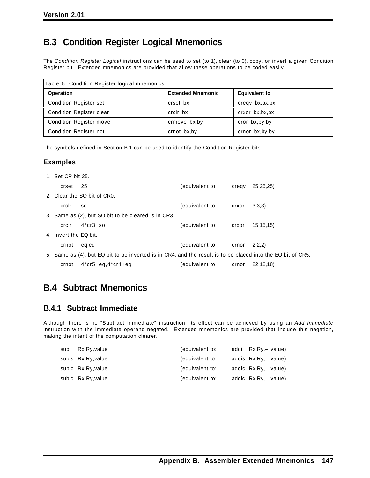# **B.3 Condition Register Logical Mnemonics**

The *Condition Register Logical* instructions can be used to set (to 1), clear (to 0), copy, or invert a given Condition Register bit. Extended mnemonics are provided that allow these operations to be coded easily.

| Table 5. Condition Register logical mnemonics |                          |                      |  |  |  |
|-----------------------------------------------|--------------------------|----------------------|--|--|--|
| <b>Operation</b>                              | <b>Extended Mnemonic</b> | <b>Equivalent to</b> |  |  |  |
| <b>Condition Register set</b>                 | crset bx                 | cregy bx, bx, bx     |  |  |  |
| <b>Condition Register clear</b>               | crclr bx                 | crxor bx,bx,bx       |  |  |  |
| <b>Condition Register move</b>                | crmove bx, by            | cror bx, by, by      |  |  |  |
| <b>Condition Register not</b>                 | crnot bx, by             | crnor bx, by, by     |  |  |  |

The symbols defined in Section B.1 can be used to identify the Condition Register bits.

### **Examples**

| 1. Set CR bit 25.     |                                                                                                             |                       |       |             |
|-----------------------|-------------------------------------------------------------------------------------------------------------|-----------------------|-------|-------------|
| crset 25              |                                                                                                             | (equivalent to:       | cregv | 25, 25, 25) |
|                       | 2. Clear the SO bit of CRO.                                                                                 |                       |       |             |
| crclr                 | so                                                                                                          | (equivalent to:       | crxor | 3,3,3)      |
|                       | 3. Same as (2), but SO bit to be cleared is in CR3.                                                         |                       |       |             |
| crclr                 | $4*cr3+so$                                                                                                  | (equivalent to:       | crxor | 15, 15, 15) |
| 4. Invert the EQ bit. |                                                                                                             |                       |       |             |
| crnot                 | eg.eg                                                                                                       | (equivalent to: crnor |       | 2,2,2)      |
|                       | 5. Same as (4), but EQ bit to be inverted is in CR4, and the result is to be placed into the EQ bit of CR5. |                       |       |             |
| crnot                 | $4*cr5+eq, 4*cr4+eq$                                                                                        | (equivalent to:       | crnor | 22,18,18)   |

# **B.4 Subtract Mnemonics**

### **B.4.1 Subtract Immediate**

Although there is no "Subtract Immediate" instruction, its effect can be achieved by using an *Add Immediate* instruction with the immediate operand negated. Extended mnemonics are provided that include this negation, making the intent of the computation clearer.

| subi Rx, Ry, value   | (equivalent to: | addi Rx, Ry, – value)   |
|----------------------|-----------------|-------------------------|
| subis Rx, Ry, value  | (equivalent to: | addis Rx, Ry, - value)  |
| subic Rx, Ry, value  | (equivalent to: | addic Rx, Ry, - value)  |
| subic. Rx, Ry, value | (equivalent to: | addic. Rx, Ry, - value) |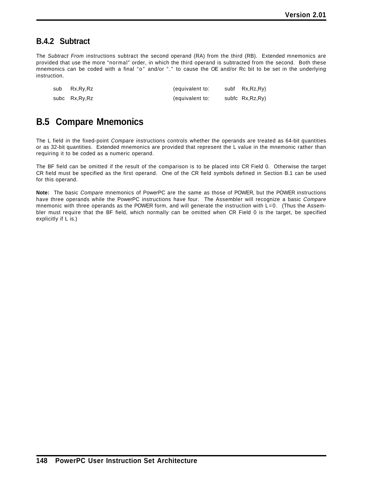### **B.4.2 Subtract**

The *Subtract From* instructions subtract the second operand (RA) from the third (RB). Extended mnemonics are provided that use the more "normal" order, in which the third operand is subtracted from the second. Both these mnemonics can be coded with a final "o" and/or "." to cause the OE and/or Rc bit to be set in the underlying instruction.

| sub | Rx,Ry,Rz      | (equivalent to: | subf Rx, Rz, Ry)  |
|-----|---------------|-----------------|-------------------|
|     | subc Rx,Ry,Rz | (equivalent to: | subfc Rx, Rz, Ry) |

# **B.5 Compare Mnemonics**

The L field in the fixed-point *Compare* instructions controls whether the operands are treated as 64-bit quantities or as 32-bit quantities. Extended mnemonics are provided that represent the L value in the mnemonic rather than requiring it to be coded as a numeric operand.

The BF field can be omitted if the result of the comparison is to be placed into CR Field 0. Otherwise the target CR field must be specified as the first operand. One of the CR field symbols defined in Section B.1 can be used for this operand.

**Note:** The basic *Compare* mnemonics of PowerPC are the same as those of POWER, but the POWER instructions have three operands while the PowerPC instructions have four. The Assembler will recognize a basic *Compare* mnemonic with three operands as the POWER form, and will generate the instruction with  $L=0$ . (Thus the Assembler must require that the BF field, which normally can be omitted when CR Field 0 is the target, be specified explicitly if L is.)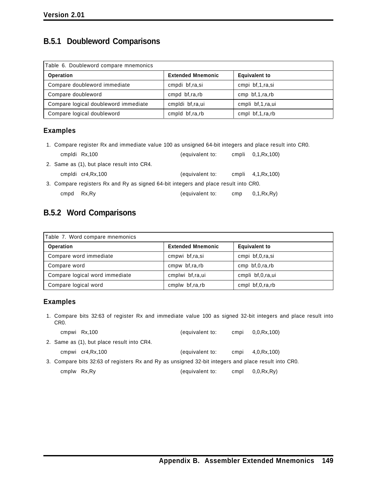# **B.5.1 Doubleword Comparisons**

| Table 6. Doubleword compare mnemonics |                          |                      |  |  |  |
|---------------------------------------|--------------------------|----------------------|--|--|--|
| <b>Operation</b>                      | <b>Extended Mnemonic</b> | <b>Equivalent to</b> |  |  |  |
| Compare doubleword immediate          | cmpdi bf,ra,si           | cmpi bf,1,ra,si      |  |  |  |
| Compare doubleword                    | cmpd bf,ra,rb            | cmp $bf, 1, ra, rb$  |  |  |  |
| Compare logical doubleword immediate  | cmpldi bf,ra,ui          | cmpli bf,1,ra,ui     |  |  |  |
| Compare logical doubleword            | cmpld bf,ra,rb           | cmpl $bf, 1, ra, rb$ |  |  |  |

### **Examples**

1. Compare register Rx and immediate value 100 as unsigned 64-bit integers and place result into CR0. cmpldi Rx,100 (equivalent to: cmpli 0,1,Rx,100)

|      | UIIIVIUI IVALIUU                                                                    | <i>i</i> cyulvalchi tu. |     | UUUU U, LINA, IUU   |  |
|------|-------------------------------------------------------------------------------------|-------------------------|-----|---------------------|--|
|      | 2. Same as (1), but place result into CR4.                                          |                         |     |                     |  |
|      | cmpldi cr4, Rx, 100                                                                 | (equivalent to:         |     | cmpli 4,1, Rx, 100) |  |
|      | 3. Compare registers Rx and Ry as signed 64-bit integers and place result into CR0. |                         |     |                     |  |
| cmpd | Rx,Ry                                                                               | (equivalent to:         | cmp | 0,1,Rx,Ry)          |  |

### **B.5.2 Word Comparisons**

| Table 7. Word compare mnemonics |                          |                      |  |  |
|---------------------------------|--------------------------|----------------------|--|--|
| <b>Operation</b>                | <b>Extended Mnemonic</b> | <b>Equivalent to</b> |  |  |
| Compare word immediate          | cmpwi bf,ra,si           | cmpi bf,0,ra,si      |  |  |
| Compare word                    | cmpw bf,ra,rb            | cmp $bf,0,ra,rb$     |  |  |
| Compare logical word immediate  | cmplwi bf,ra,ui          | cmpli bf,0,ra,ui     |  |  |
| Compare logical word            | cmplw bf,ra,rb           | cmpl $bf,0,ra,rb$    |  |  |

### **Examples**

1. Compare bits 32:63 of register Rx and immediate value 100 as signed 32-bit integers and place result into CR0.

|              | cmpwi Rx,100                                                                                        | (equivalent to: | cmpi | 0.0.Rx.100) |
|--------------|-----------------------------------------------------------------------------------------------------|-----------------|------|-------------|
|              | 2. Same as (1), but place result into CR4.                                                          |                 |      |             |
|              | cmpwi cr4, Rx, 100                                                                                  | (equivalent to: | cmpi | 4,0,Rx,100) |
|              | 3. Compare bits 32:63 of registers Rx and Ry as unsigned 32-bit integers and place result into CR0. |                 |      |             |
| cmplw Rx, Ry |                                                                                                     | (equivalent to: | cmpl | 0,0,Rx,Ry)  |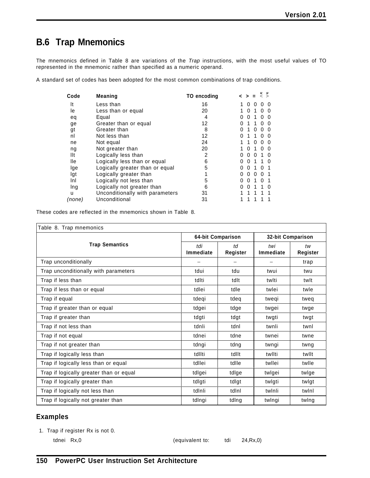# **B.6 Trap Mnemonics**

The mnemonics defined in Table 8 are variations of the *Trap* instructions, with the most useful values of TO represented in the mnemonic rather than specified as a numeric operand.

A standard set of codes has been adopted for the most common combinations of trap conditions.

| Code   | <b>Meaning</b>                  | TO encoding | u<br>$\hat{z}$                 |
|--------|---------------------------------|-------------|--------------------------------|
| It     | Less than                       | 16          | 0                              |
| le     | Less than or equal              | 20          | 0                              |
| eq     | Equal                           | 4           | <sup>0</sup><br>0              |
| ge     | Greater than or equal           | 12          | $\mathbf{I}$                   |
| gt     | Greater than                    | 8           | 0<br>0<br>$\mathbf{0}$         |
| nl     | Not less than                   | 12          | 0                              |
| ne     | Not equal                       | 24          | 0<br>O<br>O                    |
| ng     | Not greater than                | 20          | <sup>0</sup><br>O              |
| llt    | Logically less than             | 2           | 0<br>O<br>$\mathbf{0}$         |
| lle    | Logically less than or equal    | 6           | 0<br>0                         |
| lge    | Logically greater than or equal | 5           | 0<br>0                         |
| lgt    | Logically greater than          | 1           | 0<br>0<br>$^{(1)}$<br>$\Omega$ |
| Inl    | Logically not less than         | 5           | 0<br>0<br>U                    |
| Ing    | Logically not greater than      | 6           | <sup>0</sup><br>0<br>O         |
| u      | Unconditionally with parameters | 31          |                                |
| (none) | Unconditional                   | 31          |                                |

These codes are reflected in the mnemonics shown in Table 8.

| Table 8. Trap mnemonics                 |                   |                |                   |                |
|-----------------------------------------|-------------------|----------------|-------------------|----------------|
|                                         | 64-bit Comparison |                | 32-bit Comparison |                |
| <b>Trap Semantics</b>                   | tdi<br>Immediate  | td<br>Register | twi<br>Immediate  | tw<br>Register |
| Trap unconditionally                    |                   |                |                   | trap           |
| Trap unconditionally with parameters    | tdui              | tdu            | twui              | twu            |
| Trap if less than                       | tdlti             | tdlt           | twlti             | twlt           |
| Trap if less than or equal              | tdlei             | tdle           | twlei             | twle           |
| Trap if equal                           | tdeqi             | tdeg           | twegi             | tweg           |
| Trap if greater than or equal           | tdgei             | tdge           | twgei             | twge           |
| Trap if greater than                    | tdgti             | tdgt           | twgti             | twgt           |
| Trap if not less than                   | tdnli             | tdnl           | twnli             | twnl           |
| Trap if not equal                       | tdnei             | tdne           | twnei             | twne           |
| Trap if not greater than                | tdngi             | tdng           | twngi             | twng           |
| Trap if logically less than             | tdllti            | tdllt          | twllti            | twllt          |
| Trap if logically less than or equal    | tdllei            | tdlle          | twllei            | twlle          |
| Trap if logically greater than or equal | tdlgei            | tdlge          | twlgei            | twlge          |
| Trap if logically greater than          | tdlgti            | tdlgt          | twlgti            | twigt          |
| Trap if logically not less than         | tdlnli            | tdlnl          | twinli            | twinl          |
| Trap if logically not greater than      | tdlngi            | tdlng          | twlngi            | twing          |

### **Examples**

1. Trap if register Rx is not 0.

tdnei Rx,0 (equivalent to: tdi 24,Rx,0)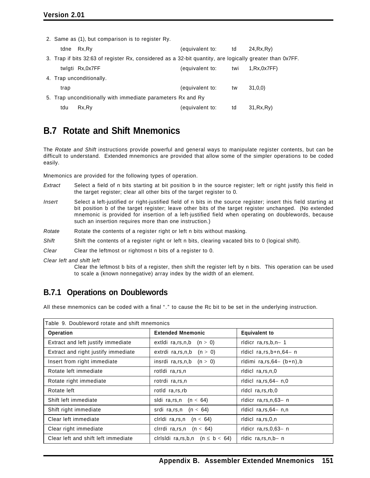2. Same as (1), but comparison is to register Ry.

| tdne | Rx,Ry                                                                                                    | (equivalent to:<br>td. |     | 24, Rx, Ry) |
|------|----------------------------------------------------------------------------------------------------------|------------------------|-----|-------------|
|      | 3. Trap if bits 32:63 of register Rx, considered as a 32-bit quantity, are logically greater than 0x7FF. |                        |     |             |
|      | twlgti Rx,0x7FF                                                                                          | (equivalent to:        | twi | 1.Rx.0x7FF  |
|      | 4. Trap unconditionally.                                                                                 |                        |     |             |
| trap |                                                                                                          | (equivalent to:        | tw  | 31,0,0)     |
|      | 5. Trap unconditionally with immediate parameters Rx and Ry                                              |                        |     |             |
| tdu  | Rx, Ry                                                                                                   | (equivalent to:        | td  | 31, Rx, Ry) |

### **B.7 Rotate and Shift Mnemonics**

The *Rotate and Shift* instructions provide powerful and general ways to manipulate register contents, but can be difficult to understand. Extended mnemonics are provided that allow some of the simpler operations to be coded easily.

Mnemonics are provided for the following types of operation.

- *Extract* Select a field of n bits starting at bit position b in the source register; left or right justify this field in the target register; clear all other bits of the target register to 0.
- *Insert* Select a left-justified or right-justified field of n bits in the source register; insert this field starting at bit position b of the target register; leave other bits of the target register unchanged. (No extended mnemonic is provided for insertion of a left-justified field when operating on doublewords, because such an insertion requires more than one instruction.)
- *Rotate* Rotate the contents of a register right or left n bits without masking.
- *Shift* Shift the contents of a register right or left n bits, clearing vacated bits to 0 (logical shift).
- *Clear* Clear the leftmost or rightmost n bits of a register to 0.

*Clear left and shift left*

Clear the leftmost b bits of a register, then shift the register left by n bits. This operation can be used to scale a (known nonnegative) array index by the width of an element.

### **B.7.1 Operations on Doublewords**

All these mnemonics can be coded with a final "." to cause the Rc bit to be set in the underlying instruction.

| Table 9. Doubleword rotate and shift mnemonics |                                         |                                |  |
|------------------------------------------------|-----------------------------------------|--------------------------------|--|
| <b>Operation</b>                               | <b>Extended Mnemonic</b>                | <b>Equivalent to</b>           |  |
| Extract and left justify immediate             | extidi ra, rs, n, b $(n > 0)$           | ridicr $ra, rs, b, n-1$        |  |
| Extract and right justify immediate            | extrdi ra, rs, n, b $(n > 0)$           | rldicl $ra, rs, b+n, 64- n$    |  |
| Insert from right immediate                    | insrdi ra, rs, n, b $(n > 0)$           | rldimi $ra, rs, 64 - (b+n), b$ |  |
| Rotate left immediate                          | rotidi ra, rs, n                        | ridici ra, rs, n, 0            |  |
| Rotate right immediate                         | rotrdi ra,rs,n                          | rldicl $ra, rs, 64 - n, 0$     |  |
| Rotate left                                    | rotld ra.rs.rb                          | ridci ra.rs.rb.0               |  |
| Shift left immediate                           | sidi ra, rs, n $(n < 64)$               | rldicr ra, rs, n, 63- n        |  |
| Shift right immediate                          | srdi ra, rs, n $(n < 64)$               | ridici $ra, rs, 64 - n, n$     |  |
| Clear left immediate                           | ciridi ra, rs, n $(n < 64)$             | ridici ra, rs, 0, n            |  |
| Clear right immediate                          | clrrdi ra, rs, n $(n < 64)$             | rldicr $ra, rs, 0, 63 - n$     |  |
| Clear left and shift left immediate            | cirisidi ra, rs, b, n $(n \leq b < 64)$ | rldic $ra, rs, n, b - n$       |  |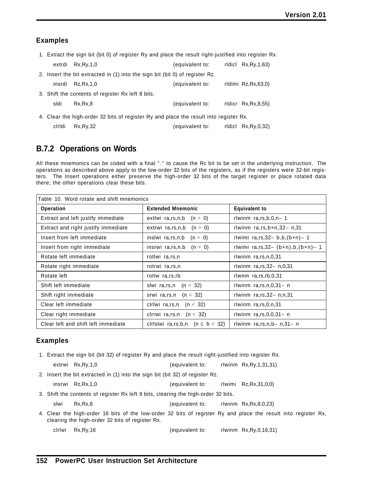#### **Examples**

1. Extract the sign bit (bit 0) of register Ry and place the result right-justified into register Rx.

|        | extrdi Rx, Ry, 1, 0                                                                   | (equivalent to: | ridici $Rx,Ry,1,63$   |
|--------|---------------------------------------------------------------------------------------|-----------------|-----------------------|
|        | 2. Insert the bit extracted in (1) into the sign bit (bit 0) of register Rz.          |                 |                       |
| insrdi | Rz.Rx.1.0                                                                             | (equivalent to: | rldimi Rz, Rx, 63, 0) |
|        | 3. Shift the contents of register Rx left 8 bits.                                     |                 |                       |
| sldi   | Rx.Rx.8                                                                               | (equivalent to: | ridicr $Rx,Rx,8,55$   |
|        | 4. Clear the high-order 32 bits of register Ry and place the result into register Rx. |                 |                       |
| ciridi | Rx, Ry, 32                                                                            | (equivalent to: | ridici Rx, Ry, 0, 32) |

### **B.7.2 Operations on Words**

All these mnemonics can be coded with a final "." to cause the Rc bit to be set in the underlying instruction. The operations as described above apply to the low-order 32 bits of the registers, as if the registers were 32-bit registers. The Insert operations either preserve the high-order 32 bits of the target register or place rotated data there; the other operations clear these bits.

| Table 10. Word rotate and shift mnemonics |                                         |                                           |  |
|-------------------------------------------|-----------------------------------------|-------------------------------------------|--|
| <b>Operation</b>                          | <b>Extended Mnemonic</b>                | <b>Equivalent to</b>                      |  |
| Extract and left justify immediate        | extlwi ra, rs, n, b $(n > 0)$           | rlwinm $ra, rs, b, 0, n-1$                |  |
| Extract and right justify immediate       | extrwi ra, rs, n, b $(n > 0)$           | rlwinm $ra, rs, b+n, 32 - n, 31$          |  |
| Insert from left immediate                | inslwi ra, rs, n, b $(n > 0)$           | rlwimi $ra, rs, 32 - b, b, (b+n) - 1$     |  |
| Insert from right immediate               | insrwi ra, rs, n, b $(n > 0)$           | rlwimi $ra, rs, 32 - (b+n), b, (b+n) - 1$ |  |
| Rotate left immediate                     | rotlwi ra,rs,n                          | rlwinm $ra, rs, n, 0, 31$                 |  |
| Rotate right immediate                    | rotrwi ra, rs, n                        | rlwinm $ra, rs, 32 - n, 0, 31$            |  |
| Rotate left                               | rotlw ra, rs, rb                        | rlwnm $ra, rs, rb, 0, 31$                 |  |
| Shift left immediate                      | slwi ra, rs, n $(n < 32)$               | rlwinm $ra, rs, n, 0, 31 - n$             |  |
| Shift right immediate                     | (n < 32)<br>srwi ra,rs,n                | rlwinm $ra, rs, 32 - n, n, 31$            |  |
| Clear left immediate                      | ciriwi ra, rs, n $(n < 32)$             | rlwinm $ra, rs, 0, n, 31$                 |  |
| Clear right immediate                     | clrrwi ra, rs, n $(n < 32)$             | rlwinm $ra, rs, 0, 0, 31 - n$             |  |
| Clear left and shift left immediate       | cirisiwi ra, rs, b, n $(n \leq b < 32)$ | rlwinm $ra, rs, n, b- n, 31- n$           |  |

#### **Examples**

1. Extract the sign bit (bit 32) of register Ry and place the result right-justified into register Rx.

extrwi Rx,Ry,1,0 (equivalent to: rlwinm Rx,Ry,1,31,31)

2. Insert the bit extracted in (1) into the sign bit (bit 32) of register Rz.

insrwi Rz,Rx,1,0 (equivalent to: rlwimi Rz,Rx,31,0,0)

3. Shift the contents of register Rx left 8 bits, clearing the high-order 32 bits.

slwi Rx,Rx,8 (equivalent to: rlwinm Rx,Rx,8,0,23)

4. Clear the high-order 16 bits of the low-order 32 bits of register Ry and place the result into register Rx, clearing the high-order 32 bits of register Rx.

clrlwi Rx,Ry,16 (equivalent to: rlwinm Rx,Ry,0,16,31)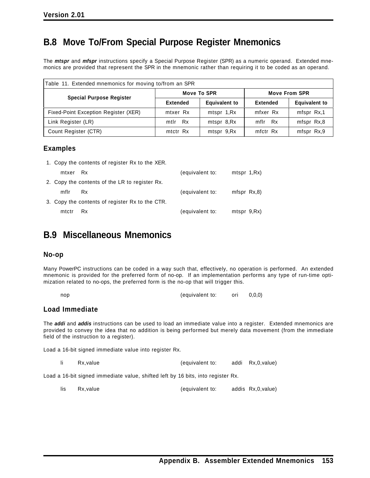# **B.8 Move To/From Special Purpose Register Mnemonics**

The *mtspr* and *mfspr* instructions specify a Special Purpose Register (SPR) as a numeric operand. Extended mnemonics are provided that represent the SPR in the mnemonic rather than requiring it to be coded as an operand.

| Table 11. Extended mnemonics for moving to/from an SPR |                 |                      |                      |                      |
|--------------------------------------------------------|-----------------|----------------------|----------------------|----------------------|
|                                                        | Move To SPR     |                      | <b>Move From SPR</b> |                      |
| <b>Special Purpose Register</b>                        | <b>Extended</b> | <b>Equivalent to</b> | <b>Extended</b>      | <b>Equivalent to</b> |
| Fixed-Point Exception Register (XER)                   | mtxer Rx        | mtspr 1, Rx          | mfxer Rx             | mfspr Rx,1           |
| Link Register (LR)                                     | mtlr Rx         | mtspr 8,Rx           | mflr Rx              | mfspr Rx,8           |
| Count Register (CTR)                                   | mtctr Rx        | mtspr 9,Rx           | mfctr Rx             | mfspr Rx,9           |

#### **Examples**

1. Copy the contents of register Rx to the XER.

| mtxer Rx |                                                 | (equivalent to: | mtspr 1, Rx)  |
|----------|-------------------------------------------------|-----------------|---------------|
|          | 2. Copy the contents of the LR to register Rx.  |                 |               |
| mflr     | Rx                                              | (equivalent to: | mfspr $Rx, 8$ |
|          | 3. Copy the contents of register Rx to the CTR. |                 |               |
| mtctr    | <b>Rx</b>                                       | (equivalent to: | mtspr 9, Rx)  |

# **B.9 Miscellaneous Mnemonics**

#### **No-op**

Many PowerPC instructions can be coded in a way such that, effectively, no operation is performed. An extended mnemonic is provided for the preferred form of no-op. If an implementation performs any type of run-time optimization related to no-ops, the preferred form is the no-op that will trigger this.

| nop | (equivalent to: | ori | 0, 0, 0) |
|-----|-----------------|-----|----------|
|-----|-----------------|-----|----------|

#### **Load Immediate**

The *addi* and *addis* instructions can be used to load an immediate value into a register. Extended mnemonics are provided to convey the idea that no addition is being performed but merely data movement (from the immediate field of the instruction to a register).

Load a 16-bit signed immediate value into register Rx.

li Rx,value (equivalent to: addi Rx,0,value)

Load a 16-bit signed immediate value, shifted left by 16 bits, into register Rx.

lis Rx,value (equivalent to: addis Rx,0,value)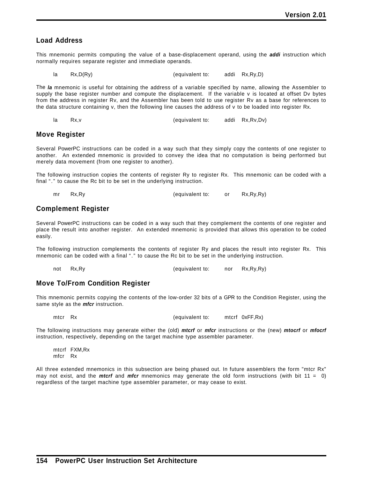#### **Load Address**

This mnemonic permits computing the value of a base-displacement operand, using the *addi* instruction which normally requires separate register and immediate operands.

```
la Rx,D(Ry) (equivalent to: addi Rx,Ry,D)
```
The *la* mnemonic is useful for obtaining the address of a variable specified by name, allowing the Assembler to supply the base register number and compute the displacement. If the variable v is located at offset Dv bytes from the address in register Rv, and the Assembler has been told to use register Rv as a base for references to the data structure containing v, then the following line causes the address of v to be loaded into register Rx.

la Rx,v (equivalent to: addi Rx,Rv,Dv)

#### **Move Register**

Several PowerPC instructions can be coded in a way such that they simply copy the contents of one register to another. An extended mnemonic is provided to convey the idea that no computation is being performed but merely data movement (from one register to another).

The following instruction copies the contents of register Ry to register Rx. This mnemonic can be coded with a final "." to cause the Rc bit to be set in the underlying instruction.

mr Rx,Ry (equivalent to: or Rx,Ry,Ry)

#### **Complement Register**

Several PowerPC instructions can be coded in a way such that they complement the contents of one register and place the result into another register. An extended mnemonic is provided that allows this operation to be coded easily.

The following instruction complements the contents of register Ry and places the result into register Rx. This mnemonic can be coded with a final "." to cause the Rc bit to be set in the underlying instruction.

```
not Rx,Ry (equivalent to: nor Rx,Ry,Ry)
```
#### **Move To/From Condition Register**

This mnemonic permits copying the contents of the low-order 32 bits of a GPR to the Condition Register, using the same style as the *mfcr* instruction.

mtcr Rx (equivalent to: mtcrf 0xFF,Rx)

The following instructions may generate either the (old) *mtcrf* or *mfcr* instructions or the (new) *mtocrf* or *mfocrf* instruction, respectively, depending on the target machine type assembler parameter.

mtcrf FXM,Rx mfcr Rx

All three extended mnemonics in this subsection are being phased out. In future assemblers the form "mtcr Rx" may not exist, and the *mtcrf* and *mfcr* mnemonics may generate the old form instructions (with bit 11 = 0) regardless of the target machine type assembler parameter, or may cease to exist.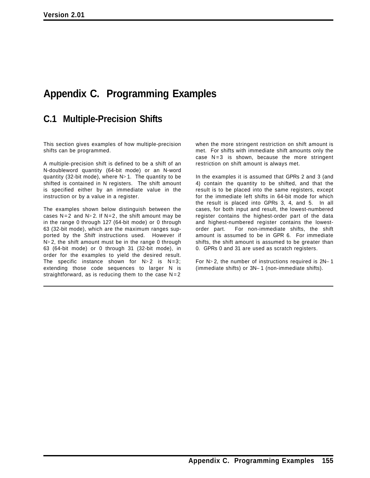# **Appendix C. Programming Examples**

### **C.1 Multiple-Precision Shifts**

This section gives examples of how multiple-precision shifts can be programmed.

A multiple-precision shift is defined to be a shift of an N-doubleword quantity (64-bit mode) or an N-word quantity (32-bit mode), where  $N>1$ . The quantity to be shifted is contained in N registers. The shift amount is specified either by an immediate value in the instruction or by a value in a register.

The examples shown below distinguish between the cases  $N=2$  and  $N>2$ . If  $N=2$ , the shift amount may be in the range 0 through 127 (64-bit mode) or 0 through 63 (32-bit mode), which are the maximum ranges supported by the *Shift* instructions used. However if  $N> 2$ , the shift amount must be in the range 0 through 63 (64-bit mode) or 0 through 31 (32-bit mode), in order for the examples to yield the desired result. The specific instance shown for  $N>2$  is  $N=3$ ; extending those code sequences to larger N is straightforward, as is reducing them to the case  $N=2$  when the more stringent restriction on shift amount is met. For shifts with immediate shift amounts only the case  $N=3$  is shown, because the more stringent restriction on shift amount is always met.

In the examples it is assumed that GPRs 2 and 3 (and 4) contain the quantity to be shifted, and that the result is to be placed into the same registers, except for the immediate left shifts in 64-bit mode for which the result is placed into GPRs 3, 4, and 5. In all cases, for both input and result, the lowest-numbered register contains the highest-order part of the data and highest-numbered register contains the lowestorder part. For non-immediate shifts, the shift amount is assumed to be in GPR 6. For immediate shifts, the shift amount is assumed to be greater than 0. GPRs 0 and 31 are used as scratch registers.

For N> 2, the number of instructions required is 2N− 1 (immediate shifts) or 3N− 1 (non-immediate shifts).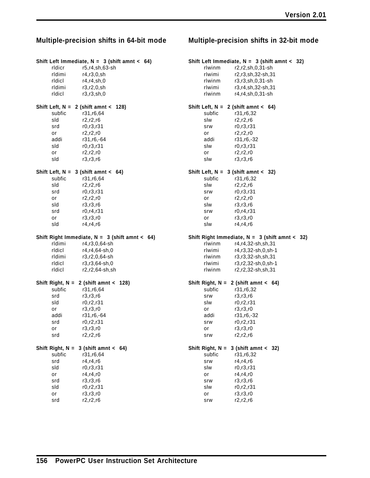#### **Shift Left Immediate, N = 3 (shift amnt < 64)** rldicr r5,r4,sh,63-sh

|        | Shift Left, $N = 2$ (shift amnt < 128) |  |
|--------|----------------------------------------|--|
| ridici | r3.r3.sh.0                             |  |
| rldimi | r3.r2.0.sh                             |  |
| ridici | r4.r4.sh.0                             |  |
| rldimi | r4.r3.0.sh                             |  |

subfic r31,r6,64 sld r2,r2,r6 srd r0,r3,r31 or r2,r2,r0 addi r31,r6,-64 sld r0,r3,r31 or r2,r2,r0 sld r3,r3,r6

#### **Shift Left, N = 3 (shift amnt < 64)** subfic r31,r6,64

sld r2,r2,r6 srd r0,r3,r31 or r2,r2,r0 sld r3,r3,r6 srd r0,r4,r31 or r3,r3,r0 sld r4,r4,r6

#### **Shift Right Immediate, N = 3 (shift amnt < 64)**

| rldimi | r4,r3,0,64-sh  |
|--------|----------------|
| ridici | r4,r4,64-sh,0  |
| rldimi | r3.r2.0.64-sh  |
| ridici | r3.r3.64-sh.0  |
| ridici | r2,r2,64-sh,sh |
|        |                |

#### **Shift Right, N = 2 (shift amnt < 128)** subfic r31,r6,64 srd r3,r3,r6 sld r0,r2,r31 or r3,r3,r0

addi r31,r6,-64 srd r0,r2,r31 or r3,r3,r0 srd r2,r2,r6

#### **Shift Right, N = 3 (shift amnt < 64)** subfic r31,r6,64<br>srd r4,r4,r6 srd r4,r4,r6

| sld | r0.r3.r31 |
|-----|-----------|
| or  | r4.r4.r0  |
| srd | r3.r3.r6  |
| sld | r0.r2.r31 |
| or  | r3.r3.r0  |
| srd | r2,r2,r6  |

#### **Multiple-precision shifts in 64-bit mode Multiple-precision shifts in 32-bit mode**

#### **Shift Left Immediate, N = 3 (shift amnt < 32)**

| rlwinm | r2.r2.sh.0.31-sh  |
|--------|-------------------|
| rlwimi | r2.r3.sh.32-sh.31 |
| rlwinm | r3.r3.sh.0.31-sh  |
| rlwimi | r3,r4,sh,32-sh,31 |
| rlwinm | r4,r4,sh,0,31-sh  |

#### **Shift Left, N = 2 (shift amnt < 64)**

| subfic | r31.r6.32    |
|--------|--------------|
| slw    | r2,r2,r6     |
| srw    | r0.r3.r31    |
| or     | r2.r2.r0     |
| addi   | r31, r6, -32 |
| slw    | r0.r3.r31    |
| or     | r2.r2.r0     |
| slw    | r3,r3,r6     |

#### **Shift Left, N = 3 (shift amnt < 32)**

subfic r31,r6,32 slw r2,r2,r6 srw r0,r3,r31 or r2,r2,r0 slw r3,r3,r6 srw r0,r4,r31 or r3,r3,r0 slw r4,r4,r6

#### **Shift Right Immediate, N = 3 (shift amnt < 32)**

| rlwinm | r4.r4.32-sh.sh.31  |
|--------|--------------------|
| rlwimi | r4.r3.32-sh.0.sh-1 |
| rlwinm | r3,r3,32-sh,sh,31  |
| rlwimi | r3,r2,32-sh,0,sh-1 |
| rlwinm | r2,r2,32-sh,sh,31  |
|        |                    |

#### **Shift Right, N = 2 (shift amnt < 64)**

| subfic | r31.r6.32  |
|--------|------------|
| srw    | r3,r3,r6   |
| slw    | r0.r2.r31  |
| or     | r3.r3.r0   |
| addi   | r31,r6,-32 |
| srw    | r0.r2.r31  |
| or     | r3.r3.r0   |
| srw    | r2.r2.r6   |
|        |            |

#### **Shift Right, N = 3 (shift amnt < 32)**

| subfic | r31.r6.32 |
|--------|-----------|
| srw    | r4.r4.r6  |
| slw    | r0.r3.r31 |
| or     | r4.r4.r0  |
| srw    | r3,r3,r6  |
| slw    | r0.r2.r31 |
| or     | r3.r3.r0  |
| srw    | r2.r2.r6  |
|        |           |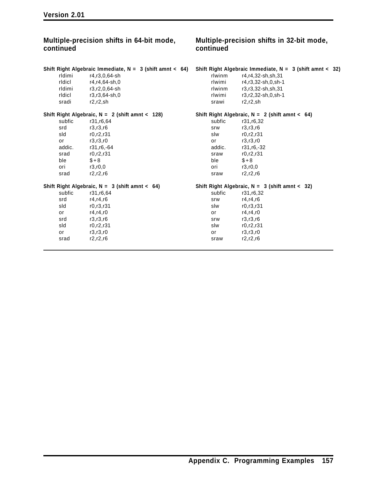| Multiple-precision shifts in 64-bit mode,<br>continued |                                                            | Multiple-precision shifts in 32-bit mode,<br>continued |                                                            |
|--------------------------------------------------------|------------------------------------------------------------|--------------------------------------------------------|------------------------------------------------------------|
|                                                        | Shift Right Algebraic Immediate, $N = 3$ (shift amnt < 64) |                                                        | Shift Right Algebraic Immediate, $N = 3$ (shift amnt < 32) |
| rldimi                                                 | r4,r3,0,64-sh                                              | rlwinm                                                 | r4, r4, 32-sh, sh, 31                                      |
| ridici                                                 | r4,r4,64-sh,0                                              | rlwimi                                                 | r4,r3,32-sh,0,sh-1                                         |
| rldimi                                                 | r3,r2,0,64-sh                                              | rlwinm                                                 | r3,r3,32-sh,sh,31                                          |
| ridici                                                 | r3,r3,64-sh,0                                              | rlwimi                                                 | r3,r2,32-sh,0,sh-1                                         |
| sradi                                                  | r2.r2.sh                                                   | srawi                                                  | r2.r2.sh                                                   |
|                                                        | Shift Right Algebraic, $N = 2$ (shift amnt < 128)          |                                                        | Shift Right Algebraic, $N = 2$ (shift amnt < 64)           |
| subfic                                                 | r31, r6, 64                                                | subfic                                                 | r31, r6, 32                                                |
| srd                                                    | r3,r3,r6                                                   | srw                                                    | r3,r3,r6                                                   |
| sld                                                    | r0, r2, r31                                                | slw                                                    | r0, r2, r31                                                |
| or                                                     | r3, r3, r0                                                 | or                                                     | r3, r3, r0                                                 |
| addic.                                                 | r31, r6, -64                                               | addic.                                                 | r31,r6,-32                                                 |
| srad                                                   | r0, r2, r31                                                | sraw                                                   | r0, r2, r31                                                |
| ble                                                    | $$+8$                                                      | ble                                                    | $$+8$                                                      |
| ori                                                    | r3.r0.0                                                    | ori                                                    | r3.r0.0                                                    |
| srad                                                   | r2, r2, r6                                                 | sraw                                                   | r2, r2, r6                                                 |
|                                                        | Shift Right Algebraic, $N = 3$ (shift amnt < 64)           |                                                        | Shift Right Algebraic, $N = 3$ (shift amnt < 32)           |
| subfic                                                 | r31, r6, 64                                                | subfic                                                 | r31, r6, 32                                                |
| srd                                                    | r4, r4, r6                                                 | srw                                                    | r4, r4, r6                                                 |
| sld                                                    | r0, r3, r31                                                | slw                                                    | r0, r3, r31                                                |
| or                                                     | r4, r4, r0                                                 | or                                                     | r4, r4, r0                                                 |
| srd                                                    | r3,r3,r6                                                   | srw                                                    | r3,r3,r6                                                   |
| sld                                                    | r0, r2, r31                                                | slw                                                    | r0, r2, r31                                                |
| or                                                     | r3, r3, r0                                                 | or                                                     | r3,r3,r0                                                   |
| srad                                                   | r2, r2, r6                                                 | sraw                                                   | r2, r2, r6                                                 |
|                                                        |                                                            |                                                        |                                                            |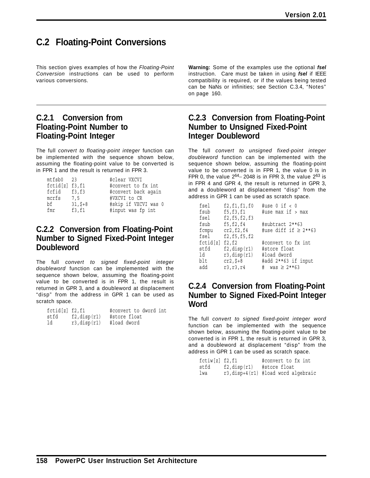# **C.2 Floating-Point Conversions**

This section gives examples of how the *Floating-Point Conversion* instructions can be used to perform various conversions.

### **C.2.1 Conversion from Floating-Point Number to Floating-Point Integer**

The full *convert to floating-point integer* function can be implemented with the sequence shown below, assuming the floating-point value to be converted is in FPR 1 and the result is returned in FPR 3.

| mtfsb0 23       |           | #clear VXCVI         |
|-----------------|-----------|----------------------|
| fctid[z] f3, f1 |           | #convert to fx int   |
| fcfid f3.f3     |           | #convert back again  |
| mcrfs           | 7.5       | #VXCVI to CR         |
| bf              | $31, 5+8$ | #skip if VXCVI was 0 |
| fmr             | f3,f1     | #input was fp int    |

### **C.2.2 Conversion from Floating-Point Number to Signed Fixed-Point Integer Doubleword**

The full *convert to signed fixed-point integer doubleword* function can be implemented with the sequence shown below, assuming the floating-point value to be converted is in FPR 1, the result is returned in GPR 3, and a doubleword at displacement "disp" from the address in GPR 1 can be used as scratch space.

| fctid[z] f2, f1 |                    | #convert to dword int |
|-----------------|--------------------|-----------------------|
| stfd            | $f2$ , disp $(r1)$ | #store float          |
| ld              | $r3$ , disp $(r1)$ | #load dword           |

**Warning:** Some of the examples use the optional *fsel* instruction. Care must be taken in using *fsel* if IEEE compatibility is required, or if the values being tested can be NaNs or infinities; see Section C.3.4, "Notes" on page 160.

### **C.2.3 Conversion from Floating-Point Number to Unsigned Fixed-Point Integer Doubleword**

The full *convert to unsigned fixed-point integer doubleword* function can be implemented with the sequence shown below, assuming the floating-point value to be converted is in FPR 1, the value 0 is in FPR 0, the value  $2^{64}$  – 2048 is in FPR 3, the value  $2^{63}$  is in FPR 4 and GPR 4, the result is returned in GPR 3, and a doubleword at displacement "disp" from the address in GPR 1 can be used as scratch space.

| fsel     | f2, f1, f1, f0     | #use $0$ if $< 0$         |
|----------|--------------------|---------------------------|
| fsub     | f5,f3,f1           | #use max if > max         |
| fsel     | f2, f5, f2, f3     |                           |
| fsub     | f5,f2,f4           | #subtract 2**63           |
| fcmpu    | cr2,f2,f4          | #use diff if $\geq 2**63$ |
| fsel     | f2, f5, f5, f2     |                           |
| fctid[z] | f2,f2              | #convert to fx int        |
| stfd     | $f2$ , disp $(r1)$ | #store float              |
| ld       | $r3$ , disp $(r1)$ | #load dword               |
| blt      | $cr2, $+8$         | #add 2**63 if input       |
| add      | r3, r3, r4         | # was $\geq 2**63$        |

### **C.2.4 Conversion from Floating-Point Number to Signed Fixed-Point Integer Word**

The full *convert to signed fixed-point integer word* function can be implemented with the sequence shown below, assuming the floating-point value to be converted is in FPR 1, the result is returned in GPR 3, and a doubleword at displacement "disp" from the address in GPR 1 can be used as scratch space.

| fctiw[z] f2, f1 |                | #convert to fx int                  |
|-----------------|----------------|-------------------------------------|
| stfd            | f2, $disp(r1)$ | #store float                        |
| lwa             |                | r3, disp+4(r1) #load word algebraic |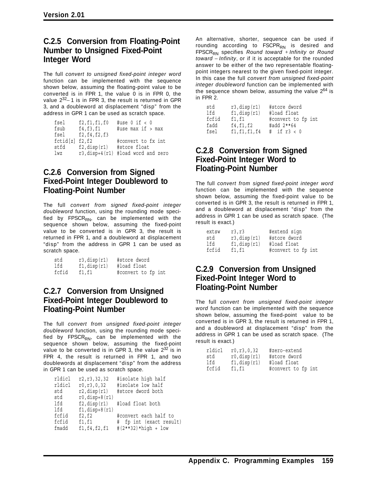### **C.2.5 Conversion from Floating-Point Number to Unsigned Fixed-Point Integer Word**

The full *convert to unsigned fixed-point integer word* function can be implemented with the sequence shown below, assuming the floating-point value to be converted is in FPR 1, the value 0 is in FPR 0, the value  $2^{32}$ −1 is in FPR 3, the result is returned in GPR 3, and a doubleword at displacement "disp" from the address in GPR 1 can be used as scratch space.

| fsel           | f2, f1, f1, f0     | #use $0$ if $< 0$                  |
|----------------|--------------------|------------------------------------|
| fsub           | f4,f3,f1           | #use max if > max                  |
| fsel           | f2, f4, f2, f3     |                                    |
| fctid[z] f2,f2 |                    | #convert to fx int                 |
| stfd           | $f2$ , disp $(r1)$ | #store float                       |
| lwz            |                    | r3, disp+4(r1) #load word and zero |

### **C.2.6 Conversion from Signed Fixed-Point Integer Doubleword to Floating-Point Number**

The full *convert from signed fixed-point integer doubleword* function, using the rounding mode specified by  $FPSCR_{RN}$ , can be implemented with the sequence shown below, assuming the fixed-point value to be converted is in GPR 3, the result is returned in FPR 1, and a doubleword at displacement "disp" from the address in GPR 1 can be used as scratch space.

| std   | $r3$ , disp $(r1)$ | #store dword       |
|-------|--------------------|--------------------|
| lfd   | f1, disp(r1)       | #load float        |
| fcfid | f1,f1              | #convert to fp int |

### **C.2.7 Conversion from Unsigned Fixed-Point Integer Doubleword to Floating-Point Number**

The full *convert from unsigned fixed-point integer doubleword* function, using the rounding mode specified by  $FPSCR_{RN}$ , can be implemented with the sequence shown below, assuming the fixed-point value to be converted is in GPR 3, the value  $2^{32}$  is in FPR 4, the result is returned in FPR 1, and two doublewords at displacement "disp" from the address in GPR 1 can be used as scratch space.

| r2, r3, 32, 32      | #isolate high half<br>#isolate low half                           |
|---------------------|-------------------------------------------------------------------|
|                     | #store dword both                                                 |
| $r0,$ disp+8 $(r1)$ |                                                                   |
| $f2$ , disp $(r1)$  | #load float both                                                  |
|                     |                                                                   |
|                     | #convert each half to                                             |
| f1, f1              | # fp int (exact result)                                           |
| f1, f4, f2, f1      | # $(2**32)*high + low$                                            |
|                     | r0, r3, 0, 32<br>$r2$ , disp $(r1)$<br>$f1, disp+8(r1)$<br>f2, f2 |

An alternative, shorter, sequence can be used if rounding according to  $FSCPR<sub>RN</sub>$  is desired and FPSCR<sub>RN</sub> specifies *Round toward* + *Infinity* or *Round toward* − *Infinity*, or if it is acceptable for the rounded answer to be either of the two representable floatingpoint integers nearest to the given fixed-point integer. In this case the full *convert from unsigned fixed-point integer doubleword* function can be implemented with the sequence shown below, assuming the value  $2^{64}$  is in FPR 2.

| std   | $r3$ , disp $(r1)$ | #store dword       |
|-------|--------------------|--------------------|
| lfd   | f1, disp(r1)       | #load float        |
| fcfid | f1,f1              | #convert to fp int |
| fadd  | f4, f1, f2         | #add 2**64         |
| fsel  | f1, f1, f1, f4     | $\#$ if r3 < 0     |

### **C.2.8 Conversion from Signed Fixed-Point Integer Word to Floating-Point Number**

The full *convert from signed fixed-point integer word* function can be implemented with the sequence shown below, assuming the fixed-point value to be converted is in GPR 3, the result is returned in FPR 1, and a doubleword at displacement "disp" from the address in GPR 1 can be used as scratch space. (The result is exact.)

| extsw | r3, r3             | #extend sign       |
|-------|--------------------|--------------------|
| std   | $r3$ , disp $(r1)$ | #store dword       |
| lfd   | f1, disp(r1)       | #load float        |
| fcfid | f1,f1              | #convert to fp int |

### **C.2.9 Conversion from Unsigned Fixed-Point Integer Word to Floating-Point Number**

The full *convert from unsigned fixed-point integer word* function can be implemented with the sequence shown below, assuming the fixed-point value to be converted is in GPR 3, the result is returned in FPR 1, and a doubleword at displacement "disp" from the address in GPR 1 can be used as scratch space. (The result is exact.)

| rldicl | r0, r3, 0, 32         | #zero-extend       |
|--------|-----------------------|--------------------|
| std    | $r0, \text{disp}(r1)$ | #store dword       |
| lfd    | f1, disp(r1)          | #load float        |
| fcfid  | f1,f1                 | #convert to fp int |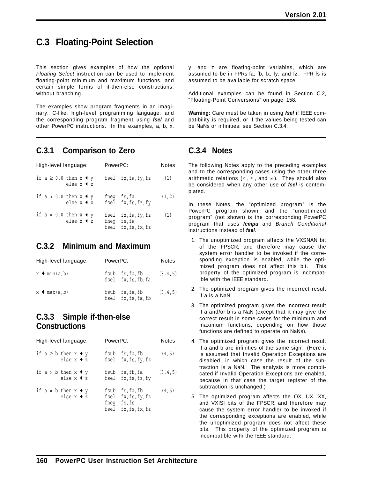### **C.3 Floating-Point Selection**

This section gives examples of how the optional *Floating Select* instruction can be used to implement floating-point minimum and maximum functions, and certain simple forms of if-then-else constructions, without branching.

The examples show program fragments in an imaginary, C-like, high-level programming language, and the corresponding program fragment using *fsel* and other PowerPC instructions. In the examples, a, b, x,

### **C.3.1 Comparison to Zero**

| High-level language:                                     | PowerPC:                                                  | Notes  |
|----------------------------------------------------------|-----------------------------------------------------------|--------|
| if $a \geq 0.0$ then $x \triangleleft y$<br>else $x + z$ | fsel fx, fa, fy, fz                                       | (1)    |
| if $a > 0.0$ then $x + y$<br>else $x + z$                | fneg fs,fa<br>fsel fx, fs, fz, fy                         | (1, 2) |
| if $a = 0.0$ then $x \triangleleft y$<br>else $x + z$    | fsel fx, fa, fy, fz<br>fneg fs, fa<br>fsel fx, fs, fx, fz | (1)    |

### **C.3.2 Minimum and Maximum**

| High-level language:        | PowerPC: |                                      | <b>Notes</b> |
|-----------------------------|----------|--------------------------------------|--------------|
| $x \triangleleft min(a, b)$ |          | fsub fs,fa,fb<br>fsel fx, fs, fb, fa | (3, 4, 5)    |
| $x \triangleleft max(a, b)$ |          | fsub fs,fa,fb<br>fsel fx, fs, fa, fb | (3, 4, 5)    |

### **C.3.3 Simple if-then-else Constructions**

| High-level language:                                   | PowerPC:                                                                     | <b>Notes</b> |
|--------------------------------------------------------|------------------------------------------------------------------------------|--------------|
| if $a \geq b$ then $x \triangleleft y$<br>else $x + z$ | fsub fs, fa, fb<br>fsel fx, fs, fy, fz                                       | (4, 5)       |
| if $a > b$ then $x \triangleleft y$<br>else $x + z$    | fsub fs,fb,fa<br>fsel fx, fs, fz, fy                                         | (3, 4, 5)    |
| if $a = b$ then $x \triangleleft y$<br>else $x + z$    | fsub fs, fa, fb<br>fsel fx, fs, fy, fz<br>fneg fs, fs<br>fsel fx, fs, fx, fz | (4, 5)       |

y, and z are floating-point variables, which are assumed to be in FPRs fa, fb, fx, fy, and fz. FPR fs is assumed to be available for scratch space.

Additional examples can be found in Section C.2, "Floating-Point Conversions" on page 158.

**Warning:** Care must be taken in using *fsel* if IEEE compatibility is required, or if the values being tested can be NaNs or infinities; see Section C.3.4.

### **C.3.4 Notes**

The following Notes apply to the preceding examples and to the corresponding cases using the other three arithmetic relations  $(<, \le,$  and  $\neq$ ). They should also be considered when any other use of *fsel* is contemplated.

In these Notes, the "optimized program" is the PowerPC program shown, and the "unoptimized program" (not shown) is the corresponding PowerPC program that uses *fcmpu* and *Branch Conditional* instructions instead of *fsel*.

- 1. The unoptimized program affects the VXSNAN bit of the FPSCR, and therefore may cause the system error handler to be invoked if the corresponding exception is enabled, while the optimized program does not affect this bit. This property of the optimized program is incompatible with the IEEE standard.
- 2. The optimized program gives the incorrect result if a is a NaN.
- 3. The optimized program gives the incorrect result if a and/or b is a NaN (except that it may give the correct result in some cases for the minimum and maximum functions, depending on how those functions are defined to operate on NaNs).
- 4. The optimized program gives the incorrect result if a and b are infinities of the same sign. (Here it is assumed that Invalid Operation Exceptions are disabled, in which case the result of the subtraction is a NaN. The analysis is more complicated if Invalid Operation Exceptions are enabled, because in that case the target register of the subtraction is unchanged.)
- 5. The optimized program affects the OX, UX, XX, and VXISI bits of the FPSCR, and therefore may cause the system error handler to be invoked if the corresponding exceptions are enabled, while the unoptimized program does not affect these bits. This property of the optimized program is incompatible with the IEEE standard.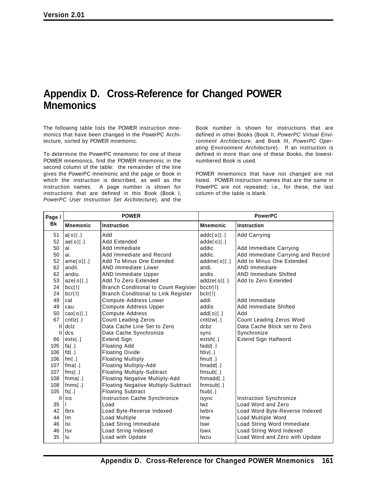# **Appendix D. Cross-Reference for Changed POWER Mnemonics**

The following table lists the POWER instruction mnemonics that have been changed in the PowerPC Architecture, sorted by POWER mnemonic.

To determine the PowerPC mnemonic for one of these POWER mnemonics, find the POWER mnemonic in the second column of the table: the remainder of the line gives the PowerPC mnemonic and the page or Book in which the instruction is described, as well as the instruction names. A page number is shown for instructions that are defined in this Book (Book I, *PowerPC User Instruction Set Architecture*), and the

Book number is shown for instructions that are defined in other Books (Book II, *PowerPC Virtual Environment Architecture*, and Book III, *PowerPC Operating Environment Architecture*). If an instruction is defined in more than one of these Books, the lowestnumbered Book is used.

POWER mnemonics that have not changed are not listed. POWER instruction names that are the same in PowerPC are not repeated; i.e., for these, the last column of the table is blank.

| Page /    | <b>POWER</b>         |                                             | <b>PowerPC</b>  |                                   |
|-----------|----------------------|---------------------------------------------|-----------------|-----------------------------------|
| <b>Bk</b> | <b>Mnemonic</b>      | <b>Instruction</b>                          | <b>Mnemonic</b> | <b>Instruction</b>                |
| 51        | a[0][.]              | Add                                         | addc[0][.]      | Add Carrying                      |
| 52        | ae[0][.]             | Add Extended                                | $adde[0]$ [.]   |                                   |
| 50        | ai                   | Add Immediate                               | addic           | Add Immediate Carrying            |
| 50        | ai.                  | Add Immediate and Record                    | addic.          | Add Immediate Carrying and Record |
| 52        | ame[0][.]            | Add To Minus One Extended                   | addme[0][.]     | Add to Minus One Extended         |
| 62        | andil.               | <b>AND Immediate Lower</b>                  | andi.           | <b>AND Immediate</b>              |
| 62        | andiu.               | AND Immediate Upper                         | andis.          | <b>AND Immediate Shifted</b>      |
| 53        | aze[0][.]            | Add To Zero Extended                        | addze[0][.]     | Add to Zero Extended              |
| 24        | bcc[1]               | <b>Branch Conditional to Count Register</b> | bcctr[l]        |                                   |
| 24        | bcr[1]               | <b>Branch Conditional to Link Register</b>  | bclr[l]         |                                   |
| 49        | cal                  | <b>Compute Address Lower</b>                | addi            | Add Immediate                     |
| 49        | cau                  | Compute Address Upper                       | addis           | Add Immediate Shifted             |
| 50        | $\textsf{cax[o][}.]$ | <b>Compute Address</b>                      | add[0][.]       | Add                               |
| 67        | cntz[.]              | <b>Count Leading Zeros</b>                  | cntzw[.]        | Count Leading Zeros Word          |
| Ш         | dclz                 | Data Cache Line Set to Zero                 | dcbz            | Data Cache Block set to Zero      |
| Ш         | dcs                  | Data Cache Synchronize                      | sync            | Synchronize                       |
| 66        | exts[.]              | <b>Extend Sign</b>                          | extsh[.]        | <b>Extend Sign Halfword</b>       |
| 105       | fa $\lceil . \rceil$ | <b>Floating Add</b>                         | fadd[.]         |                                   |
| 106       | fd[.]                | <b>Floating Divide</b>                      | fdiv[.]         |                                   |
| 106       | fm[.]                | <b>Floating Multiply</b>                    | fmul[.]         |                                   |
| 107       | fma[.]               | Floating Multiply-Add                       | fmad[.]         |                                   |
| 107       | fms[.]               | <b>Floating Multiply-Subtract</b>           | fmsub[.]        |                                   |
| 108       | [1.1]                | Floating Negative Multiply-Add              | fnmadd[.]       |                                   |
| 108       | fnms[.]              | Floating Negative Multiply-Subtract         | fnmsub[.]       |                                   |
| 105       | fs[.]                | <b>Floating Subtract</b>                    | fsub[.]         |                                   |
|           | ics                  | Instruction Cache Synchronize               | isync           | Instruction Synchronize           |
| 35        |                      | Load                                        | lwz             | Load Word and Zero                |
| 42        | <b>lbrx</b>          | Load Byte-Reverse Indexed                   | <b>lwbrx</b>    | Load Word Byte-Reverse Indexed    |
| 44        | Im                   | Load Multiple                               | Imw             | Load Multiple Word                |
| 46        | Isi                  | Load String Immediate                       | Iswi            | Load String Word Immediate        |
| 46        | <b>Isx</b>           | Load String Indexed                         | <b>Iswx</b>     | Load String Word Indexed          |
| 35        | lu                   | Load with Update                            | lwzu            | Load Word and Zero with Update    |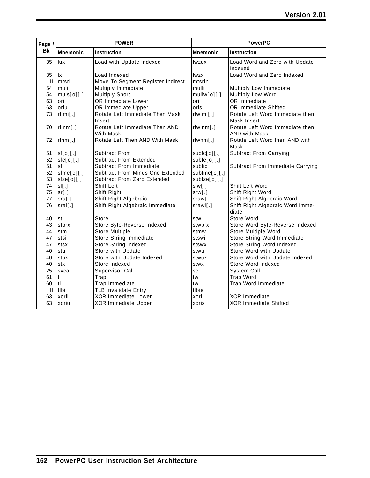| Page /    | <b>POWER</b>          |                                             | <b>PowerPC</b>  |                                                         |
|-----------|-----------------------|---------------------------------------------|-----------------|---------------------------------------------------------|
| <b>Bk</b> | <b>Mnemonic</b>       | Instruction                                 | <b>Mnemonic</b> | <b>Instruction</b>                                      |
| 35        | lux                   | Load with Update Indexed                    | lwzux           | Load Word and Zero with Update<br>Indexed               |
| 35        | lx                    | Load Indexed                                | <b>Iwzx</b>     | Load Word and Zero Indexed                              |
|           | III   mtsri           | Move To Segment Register Indirect           | mtsrin          |                                                         |
| 54        | muli                  | Multiply Immediate                          | mulli           | Multiply Low Immediate                                  |
| 54        | muls[0][.]            | <b>Multiply Short</b>                       | mullw[0][.]     | Multiply Low Word                                       |
| 63        | oril                  | OR Immediate Lower                          | ori             | OR Immediate                                            |
| 63        | oriu                  | OR Immediate Upper                          | oris            | OR Immediate Shifted                                    |
| 73        | rlimi[.]              | Rotate Left Immediate Then Mask<br>Insert   | $rlwimi$ .]     | Rotate Left Word Immediate then<br>Mask Insert          |
| 70        | rlimm[.]              | Rotate Left Immediate Then AND<br>With Mask | rlwinm[.]       | Rotate Left Word Immediate then<br><b>AND with Mask</b> |
| 72        | rlnm[.]               | Rotate Left Then AND With Mask              | rlwm[.]         | Rotate Left Word then AND with<br>Mask                  |
| 51        | sf[0][.]              | Subtract From                               | subfc[0][.]     | <b>Subtract From Carrying</b>                           |
| 52        | sfe[0][.]             | <b>Subtract From Extended</b>               | subfe[o][.]     |                                                         |
| 51        | sfi                   | <b>Subtract From Immediate</b>              | subfic          | Subtract From Immediate Carrying                        |
| 52        | $s$ fme $[0]$ [.]     | Subtract From Minus One Extended            | subfme[0][.]    |                                                         |
| 53        | $\mathsf{size}[0][.]$ | <b>Subtract From Zero Extended</b>          | subfze[o][.]    |                                                         |
| 74        | sl[.]                 | Shift Left                                  | slw[.]          | Shift Left Word                                         |
| 75        | sr[.]                 | Shift Right                                 | srw[.]          | Shift Right Word                                        |
| 77        | sra[.]                | Shift Right Algebraic                       | sraw[.]         | Shift Right Algebraic Word                              |
| 76        | srai[.]               | Shift Right Algebraic Immediate             | srawi[.]        | Shift Right Algebraic Word Imme-<br>diate               |
| 40        | st                    | Store                                       | stw             | Store Word                                              |
| 43        | stbrx                 | Store Byte-Reverse Indexed                  | stwbrx          | Store Word Byte-Reverse Indexed                         |
| 44        | stm                   | <b>Store Multiple</b>                       | stmw            | Store Multiple Word                                     |
| 47        | stsi                  | Store String Immediate                      | stswi           | Store String Word Immediate                             |
| 47        | stsx                  | Store String Indexed                        | stswx           | Store String Word Indexed                               |
| 40        | stu                   | Store with Update                           | stwu            | Store Word with Update                                  |
| 40        | stux                  | Store with Update Indexed                   | stwux           | Store Word with Update Indexed                          |
| 40        | stx                   | Store Indexed                               | stwx            | Store Word Indexed                                      |
| 25        | svca                  | <b>Supervisor Call</b>                      | SC              | System Call                                             |
| 61        | t                     | Trap                                        | tw              | Trap Word                                               |
| 60        | ti                    | Trap Immediate                              | twi             | Trap Word Immediate                                     |
|           | III tibi              | <b>TLB Invalidate Entry</b>                 | tlbie           |                                                         |
| 63        | xoril                 | <b>XOR Immediate Lower</b>                  | xori            | <b>XOR Immediate</b>                                    |
| 63        | xoriu                 | <b>XOR Immediate Upper</b>                  | xoris           | <b>XOR Immediate Shifted</b>                            |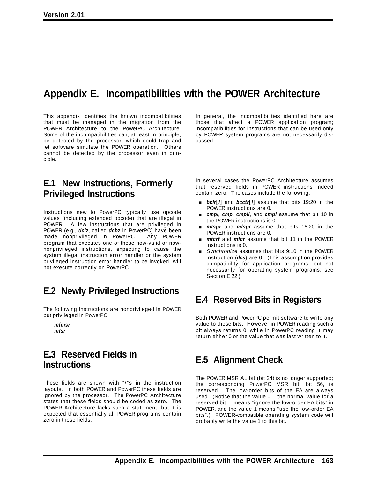# **Appendix E. Incompatibilities with the POWER Architecture**

This appendix identifies the known incompatibilities that must be managed in the migration from the POWER Architecture to the PowerPC Architecture. Some of the incompatibilities can, at least in principle, be detected by the processor, which could trap and let software simulate the POWER operation. Others cannot be detected by the processor even in principle.

**E.1 New Instructions, Formerly Privileged Instructions**

Instructions new to PowerPC typically use opcode values (including extended opcode) that are illegal in POWER. A few instructions that are privileged in POWER (e.g., *dclz*, called *dcbz* in PowerPC) have been made nonprivileged in PowerPC. Any POWER program that executes one of these now-valid or nownonprivileged instructions, expecting to cause the system illegal instruction error handler or the system privileged instruction error handler to be invoked, will not execute correctly on PowerPC.

### **E.2 Newly Privileged Instructions**

The following instructions are nonprivileged in POWER but privileged in PowerPC.

*mfmsr mfsr*

### **E.3 Reserved Fields in Instructions**

These fields are shown with "/"s in the instruction layouts. In both POWER and PowerPC these fields are ignored by the processor. The PowerPC Architecture states that these fields should be coded as zero. The POWER Architecture lacks such a statement, but it is expected that essentially all POWER programs contain zero in these fields.

In general, the incompatibilities identified here are those that affect a POWER application program; incompatibilities for instructions that can be used only by POWER system programs are not necessarily discussed.

In several cases the PowerPC Architecture assumes that reserved fields in POWER instructions indeed contain zero. The cases include the following.

- [ *bclr*[*l*] and *bcctr*[*l*] assume that bits 19:20 in the POWER instructions are 0.
- **Examplem** *cmpi, cmpli*, and **cmpl** assume that bit 10 in the POWER instructions is 0.
- **mitspr** and **mfspr** assume that bits 16:20 in the POWER instructions are 0.
- *mtcrf* and *mfcr* assume that bit 11 in the POWER instructions is 0.
- [ *Synchronize* assumes that bits 9:10 in the POWER instruction (*dcs*) are 0. (This assumption provides compatibility for application programs, but not necessarily for operating system programs; see Section E.22.)

# **E.4 Reserved Bits in Registers**

Both POWER and PowerPC permit software to write any value to these bits. However in POWER reading such a bit always returns 0, while in PowerPC reading it may return either 0 or the value that was last written to it.

# **E.5 Alignment Check**

The POWER MSR AL bit (bit 24) is no longer supported; the corresponding PowerPC MSR bit, bit 56, is reserved. The low-order bits of the EA are always used. (Notice that the value 0 —the normal value for a reserved bit —means "ignore the low-order EA bits" in POWER, and the value 1 means "use the low-order EA bits".) POWER-compatible operating system code will probably write the value 1 to this bit.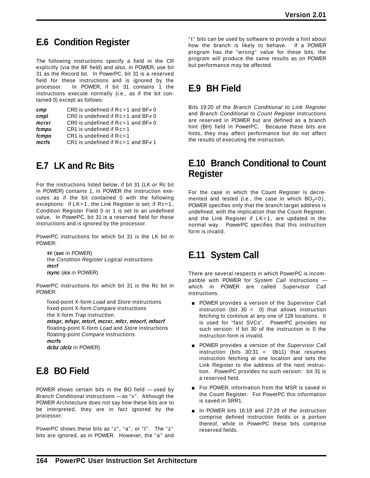# **E.6 Condition Register**

The following instructions specify a field in the CR explicitly (via the BF field) and also, in POWER, use bit 31 as the Record bit. In PowerPC, bit 31 is a reserved field for these instructions and is ignored by the processor. In POWER, if bit 31 contains 1 the instructions execute normally (i.e., as if the bit contained 0) except as follows:

| cmp   | CR0 is undefined if $Rc=1$ and $BF \neq 0$ |
|-------|--------------------------------------------|
| cmpl  | CR0 is undefined if $Rc=1$ and $BF\neq 0$  |
| mcrxr | CR0 is undefined if $Rc=1$ and $BF\neq 0$  |
| fcmpu | CR1 is undefined if $Rc=1$                 |
| fcmpo | CR1 is undefined if $Rc=1$                 |
| mcrfs | CR1 is undefined if $Rc=1$ and BF $\neq$ 1 |
|       |                                            |

# **E.7 LK and Rc Bits**

For the instructions listed below, if bit 31 (LK or Rc bit in POWER) contains 1, in POWER the instruction executes as if the bit contained 0 with the following exceptions: if LK=1, the Link Register is set; if Rc=1, Condition Register Field 0 or 1 is set to an undefined value. In PowerPC, bit 31 is a reserved field for these instructions and is ignored by the processor.

PowerPC instructions for which bit 31 is the LK bit in POWER:

*sc* (*svc* in POWER) the *Condition Register Logical* instructions *mcrf isync* (*ics* in POWER)

PowerPC instructions for which bit 31 is the Rc bit in POWER:

fixed-point X-form *Load* and *Store* instructions fixed-point X-form *Compare* instructions the X-form *Trap* instruction *mtspr, mfspr, mtcrf, mcrxr, mfcr, mtocrf, mfocrf* floating-point X-form *Load* and *Store* instructions floating-point *Compare* instructions *mcrfs dcbz* (*dclz* in POWER)

# **E.8 BO Field**

POWER shows certain bits in the BO field — used by *Branch Conditional* instructions —as "x". Although the POWER Architecture does not say how these bits are to be interpreted, they are in fact ignored by the processor.

PowerPC shows these bits as "z", "a", or "t". The "z" bits are ignored, as in POWER. However, the "a" and "t" bits can be used by software to provide a hint about how the branch is likely to behave. If a POWER program has the "wrong" value for these bits, the program will produce the same results as on POWER but performance may be affected.

# **E.9 BH Field**

Bits 19:20 of the *Branch Conditional to Link Register* and *Branch Conditional to Count Register* instructions are reserved in POWER but are defined as a branch hint (BH) field in PowerPC. Because these bits are hints, they may affect performance but do not affect the results of executing the instruction.

### **E.10 Branch Conditional to Count Register**

For the case in which the Count Register is decremented and tested (i.e., the case in which  $BO<sub>2</sub>=0$ ), POWER specifies only that the branch target address is undefined, with the implication that the Count Register, and the Link Register if LK=1, are updated in the normal way. PowerPC specifies that this instruction form is invalid.

# **E.11 System Call**

There are several respects in which PowerPC is incompatible with POWER for *System Call* instructions which in POWER are called *Supervisor Call* instructions.

- **POWER provides a version of the Supervisor Call** instruction (bit  $30 = 0$ ) that allows instruction fetching to continue at any one of 128 locations. It is used for "fast SVCs". PowerPC provides no such version: if bit 30 of the instruction is 0 the instruction form is invalid.
- **POWER provides a version of the Supervisor Call** instruction (bits  $30:31 = 0b11$ ) that resumes instruction fetching at one location and sets the Link Register to the address of the next instruction. PowerPC provides no such version: bit 31 is a reserved field.
- **For POWER, information from the MSR is saved in** the Count Register. For PowerPC this information is saved in SRR1.
- In POWER bits 16:19 and 27:29 of the instruction comprise defined instruction fields or a portion thereof, while in PowerPC these bits comprise reserved fields.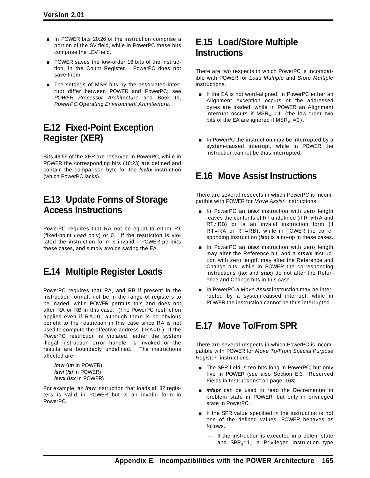- **n** In POWER bits 20:26 of the instruction comprise a portion of the SV field, while in PowerPC these bits comprise the LEV field.
- **POWER saves the low-order 16 bits of the instruc**tion, in the Count Register. PowerPC does not save them.
- $\blacksquare$  The settings of MSR bits by the associated interrupt differ between POWER and PowerPC; see *POWER Processor Architecture* and Book III, *PowerPC Operating Environment Architecture*.

# **E.12 Fixed-Point Exception Register (XER)**

Bits 48:55 of the XER are reserved in PowerPC, while in POWER the corresponding bits (16:23) are defined and contain the comparison byte for the *lscbx* instruction (which PowerPC lacks).

### **E.13 Update Forms of Storage Access Instructions**

PowerPC requires that RA not be equal to either RT (fixed-point *Load* only) or 0. If the restriction is violated the instruction form is invalid. POWER permits these cases, and simply avoids saving the EA.

# **E.14 Multiple Register Loads**

PowerPC requires that RA, and RB if present in the instruction format, not be in the range of registers to be loaded, while POWER permits this and does not alter RA or RB in this case. (The PowerPC restriction applies even if RA=0, although there is no obvious benefit to the restriction in this case since RA is not used to compute the effective address if RA=0.) If the PowerPC restriction is violated, either the system illegal instruction error handler is invoked or the results are boundedly undefined. The instructions affected are:

*lmw* (*lm* in POWER) *lswi* (*lsi* in POWER) *lswx* (*lsx* in POWER)

For example, an *lmw* instruction that loads all 32 registers is valid in POWER but is an invalid form in PowerPC.

### **E.15 Load/Store Multiple Instructions**

There are two respects in which PowerPC is incompatible with POWER for *Load Multiple* and *Store Multiple* instructions.

- If the EA is not word-aligned, in PowerPC either an Alignment exception occurs or the addressed bytes are loaded, while in POWER an Alignment interrupt occurs if  $MSR_{Al}=1$  (the low-order two bits of the EA are ignored if  $MSR_{\Delta 1}=0$ ).
- In PowerPC the instruction may be interrupted by a system-caused interrupt, while in POWER the instruction cannot be thus interrupted.

# **E.16 Move Assist Instructions**

There are several respects in which PowerPC is incompatible with POWER for *Move Assist* instructions.

- **In PowerPC an** *Iswx* instruction with zero length leaves the contents of RT undefined (if RT≠ RA and RT≠ RB) or is an invalid instruction form (if RT=RA or RT=RB), while in POWER the corresponding instruction (*lsx*) is a no-op in these cases.
- In PowerPC an *Iswx* instruction with zero length may alter the Reference bit, and a *stswx* instruction with zero length may alter the Reference and Change bits, while in POWER the corresponding instructions (*lsx* and *stsx*) do not alter the Reference and Change bits in this case.
- $\blacksquare$  In PowerPC a *Move Assist* instruction may be interrupted by a system-caused interrupt, while in POWER the instruction cannot be thus interrupted.

# **E.17 Move To/From SPR**

There are several respects in which PowerPC is incompatible with POWER for *Move To/From Special Purpose Register* instructions.

- **The SPR field is ten bits long in PowerPC, but only** five in POWER (see also Section E.3, "Reserved Fields in Instructions" on page 163).
- **mispr** can be used to read the Decrementer in problem state in POWER, but only in privileged state in PowerPC.
- $\blacksquare$  If the SPR value specified in the instruction is not one of the defined values, POWER behaves as follows.
	- If the instruction is executed in problem state and  $SPR_0=1$ , a Privileged Instruction type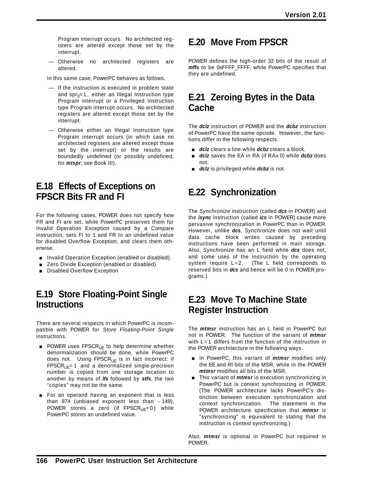Program interrupt occurs. No architected registers are altered except those set by the interrupt.

— Otherwise no architected registers are altered.

In this same case, PowerPC behaves as follows.

- If the instruction is executed in problem state and spr $<sub>0</sub>=1$ , either an Illegal Instruction type</sub> Program interrupt or a Privileged Instruction type Program interrupt occurs. No architected registers are altered except those set by the interrupt.
- Otherwise either an Illegal Instruction type Program interrupt occurs (in which case no architected registers are altered except those set by the interrupt) or the results are boundedly undefined (or possibly undefined, for *mtspr*; see Book III).

### **E.18 Effects of Exceptions on FPSCR Bits FR and FI**

For the following cases, POWER does not specify how FR and FI are set, while PowerPC preserves them for Invalid Operation Exception caused by a *Compare* instruction, sets FI to 1 and FR to an undefined value for disabled Overflow Exception, and clears them otherwise.

- **n** Invalid Operation Exception (enabled or disabled)
- Zero Divide Exception (enabled or disabled)
- **Disabled Overflow Exception**

# **E.19 Store Floating-Point Single Instructions**

There are several respects in which PowerPC is incompatible with POWER for *Store Floating-Point Single* instructions.

- **POWER uses FPSCR<sub>UE</sub>** to help determine whether denormalization should be done, while PowerPC does not. Using  $FPSCR_{UE}$  is in fact incorrect: if  $FPSCR_{UE} = 1$  and a denormalized single-precision number is copied from one storage location to another by means of *lfs* followed by *stfs*, the two "copies" may not be the same.
- **For an operand having an exponent that is less** than 874 (unbiased exponent less than - 149), POWER stores a zero (if  $FPSCR_{UE} = 0$ ) while PowerPC stores an undefined value.

# **E.20 Move From FPSCR**

POWER defines the high-order 32 bits of the result of *mffs* to be 0xFFFF\_FFFF, while PowerPC specifies that they are undefined.

### **E.21 Zeroing Bytes in the Data Cache**

The *dclz* instruction of POWER and the *dcbz* instruction of PowerPC have the same opcode. However, the functions differ in the following respects.

- dclz clears a line while dcbz clears a block.
- [ *dclz* saves the EA in RA (if RA≠ 0) while *dcbz* does not.
- **dclz** is privileged while **dcbz** is not.

# **E.22 Synchronization**

The *Synchronize* instruction (called *dcs* in POWER) and the *isync* instruction (called *ics* in POWER) cause more pervasive synchronization in PowerPC than in POWER. However, unlike *dcs*, *Synchronize* does not wait until data cache block writes caused by preceding instructions have been performed in main storage. Also, *Synchronize* has an L field while *dcs* does not, and some uses of the instruction by the operating system require L=2. (The L field corresponds to reserved bits in *dcs* and hence will be 0 in POWER programs.)

# **E.23 Move To Machine State Register Instruction**

The *mtmsr* instruction has an L field in PowerPC but not in POWER. The function of the variant of *mtmsr* with L=1 differs from the function of the instruction in the POWER architecture in the following ways.

- [ In PowerPC, this variant of *mtmsr* modifies only the EE and RI bits of the MSR, while in the POWER *mtmsr* modifies all bits of the MSR.
- **This variant of** *mtmsr* is execution synchronizing in PowerPC but is context synchronizing in POWER. (The POWER architecture lacks PowerPC's distinction between execution synchronization and context synchronization. The statement in the POWER architecture specification that *mtmsr* is "synchronizing" is equivalent to stating that the instruction is context synchronizing.)

Also, *mtmsr* is optional in PowerPC but required in **POWER**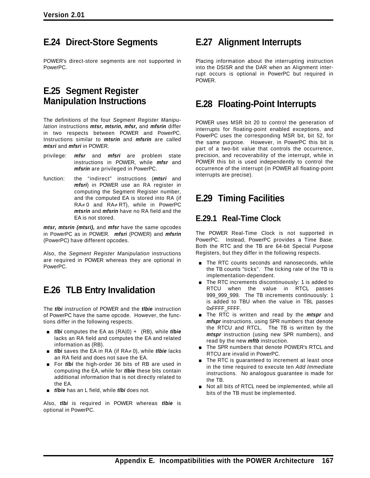### **E.24 Direct-Store Segments**

POWER's direct-store segments are not supported in PowerPC.

### **E.25 Segment Register Manipulation Instructions**

The definitions of the four *Segment Register Manipulation* instructions *mtsr, mtsrin, mfsr,* and *mfsrin* differ in two respects between POWER and PowerPC. Instructions similar to *mtsrin* and *mfsrin* are called *mtsri* and *mfsri* in POWER.

- privilege: *mfsr* and *mfsri* are problem state instructions in POWER, while *mfsr* and *mfsrin* are privileged in PowerPC.
- function: the "indirect" instructions (*mtsri* and *mfsri*) in POWER use an RA register in computing the Segment Register number, and the computed EA is stored into RA (if RA≠ 0 and RA≠ RT), while in PowerPC *mtsrin* and *mfsrin* have no RA field and the EA is not stored.

*mtsr, mtsrin (mtsri),* and *mfsr* have the same opcodes in PowerPC as in POWER. *mfsri* (POWER) and *mfsrin* (PowerPC) have different opcodes.

Also, the *Segment Register Manipulation* instructions are required in POWER whereas they are optional in PowerPC.

### **E.26 TLB Entry Invalidation**

The *tlbi* instruction of POWER and the *tlbie* instruction of PowerPC have the same opcode. However, the functions differ in the following respects.

- [ *tlbi* computes the EA as (RA|0) + (RB), while *tlbie* lacks an RA field and computes the EA and related information as (RB).
- *tlbi* saves the EA in RA (if RA≠ 0), while *tlbie* lacks an RA field and does not save the EA.
- For *tlbi* the high-order 36 bits of RB are used in computing the EA, while for *tlbie* these bits contain additional information that is not directly related to the EA.
- **fight** *tlbie* has an L field, while *tlbi* does not.

Also, *tlbi* is required in POWER whereas *tlbie* is optional in PowerPC.

### **E.27 Alignment Interrupts**

Placing information about the interrupting instruction into the DSISR and the DAR when an Alignment interrupt occurs is optional in PowerPC but required in POWER.

### **E.28 Floating-Point Interrupts**

POWER uses MSR bit 20 to control the generation of interrupts for floating-point enabled exceptions, and PowerPC uses the corresponding MSR bit, bit 52, for the same purpose. However, in PowerPC this bit is part of a two-bit value that controls the occurrence, precision, and recoverability of the interrupt, while in POWER this bit is used independently to control the occurrence of the interrupt (in POWER all floating-point interrupts are precise).

### **E.29 Timing Facilities**

### **E.29.1 Real-Time Clock**

The POWER Real-Time Clock is not supported in PowerPC. Instead, PowerPC provides a Time Base. Both the RTC and the TB are 64-bit Special Purpose Registers, but they differ in the following respects.

- **The RTC counts seconds and nanoseconds, while** the TB counts "ticks". The ticking rate of the TB is implementation-dependent.
- $\blacksquare$  The RTC increments discontinuously: 1 is added to RTCU when the value in RTCL passes 999\_999\_999. The TB increments continuously: 1 is added to TBU when the value in TBL passes 0xFFFF\_FFFF.
- [ The RTC is written and read by the *mtspr* and *mfspr* instructions, using SPR numbers that denote the RTCU and RTCL. The TB is written by the *mtspr* instruction (using new SPR numbers), and read by the new *mftb* instruction.
- The SPR numbers that denote POWER's RTCL and RTCU are invalid in PowerPC.
- $\blacksquare$  The RTC is quaranteed to increment at least once in the time required to execute ten *Add Immediate* instructions. No analogous guarantee is made for the TB.
- Not all bits of RTCL need be implemented, while all bits of the TB must be implemented.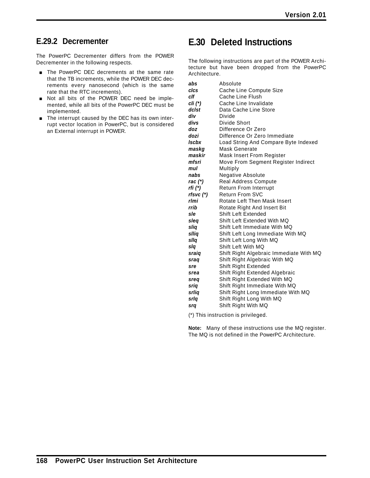### **E.29.2 Decrementer**

The PowerPC Decrementer differs from the POWER Decrementer in the following respects.

- **The PowerPC DEC decrements at the same rate** that the TB increments, while the POWER DEC decrements every nanosecond (which is the same rate that the RTC increments).
- Not all bits of the POWER DEC need be implemented, while all bits of the PowerPC DEC must be implemented.
- The interrupt caused by the DEC has its own interrupt vector location in PowerPC, but is considered an External interrupt in POWER.

### **E.30 Deleted Instructions**

The following instructions are part of the POWER Architecture but have been dropped from the PowerPC Architecture.

| abs                          | Absolute                                |
|------------------------------|-----------------------------------------|
| clcs                         | Cache Line Compute Size                 |
| clf                          | Cache Line Flush                        |
| $\mathsf{cli}\,(\mathsf{A})$ | Cache Line Invalidate                   |
| dclst                        | Data Cache Line Store                   |
| div                          | Divide                                  |
| divs                         | Divide Short                            |
| doz                          | Difference Or Zero                      |
| dozi                         | Difference Or Zero Immediate            |
| Iscbx                        | Load String And Compare Byte Indexed    |
| maskg                        | <b>Mask Generate</b>                    |
| maskir                       | Mask Insert From Register               |
| mfsri                        | Move From Segment Register Indirect     |
| mul                          | Multiply                                |
| nabs                         | Negative Absolute                       |
| rac $(*)$                    | Real Address Compute                    |
| rfi (*)                      | Return From Interrupt                   |
| $rfsvc$ $(*)$                | <b>Return From SVC</b>                  |
| rlmi                         | Rotate Left Then Mask Insert            |
| rrib                         | Rotate Right And Insert Bit             |
| sle                          | Shift Left Extended                     |
| sleq                         | Shift Left Extended With MQ             |
| sliq                         | Shift Left Immediate With MQ            |
| sllig                        | Shift Left Long Immediate With MQ       |
| sllq                         | Shift Left Long With MQ                 |
| slq                          | Shift Left With MQ                      |
| sraiq                        | Shift Right Algebraic Immediate With MQ |
| sraq                         | Shift Right Algebraic With MQ           |
| sre                          | Shift Right Extended                    |
| srea                         | Shift Right Extended Algebraic          |
| sreq                         | Shift Right Extended With MQ            |
| sriq                         | Shift Right Immediate With MQ           |
| srlig                        | Shift Right Long Immediate With MQ      |
| srlq                         | Shift Right Long With MQ                |
| srq                          | Shift Right With MQ                     |

(\*) This instruction is privileged.

**Note:** Many of these instructions use the MQ register. The MQ is not defined in the PowerPC Architecture.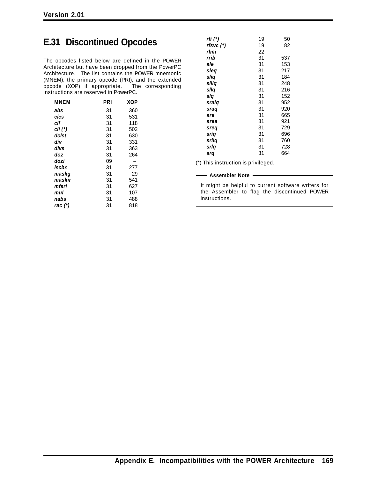# **E.31 Discontinued Opcodes**

The opcodes listed below are defined in the POWER Architecture but have been dropped from the PowerPC Architecture. The list contains the POWER mnemonic (MNEM), the primary opcode (PRI), and the extended opcode (XOP) if appropriate. The corresponding instructions are reserved in PowerPC.

| <b>MNEM</b>  | PRI | XOP |
|--------------|-----|-----|
| abs          | 31  | 360 |
| clcs         | 31  | 531 |
| clf          | 31  | 118 |
| cli (*)      | 31  | 502 |
| dclst        | 31  | 630 |
| div          | 31  | 331 |
| divs         | 31  | 363 |
| doz          | 31  | 264 |
| dozi         | 09  |     |
| <b>Iscbx</b> | 31  | 277 |
| maskq        | 31  | 29  |
| maskir       | 31  | 541 |
| mfsri        | 31  | 627 |
| mul          | 31  | 107 |
| nabs         | 31  | 488 |
| rac (*)      | 31  | 818 |

| rfi (*)   | 19 | 50  |
|-----------|----|-----|
| rfsvc (*) | 19 | 82  |
| rlmi      | 22 |     |
| rrib      | 31 | 537 |
| sle       | 31 | 153 |
| slea      | 31 | 217 |
| slig      | 31 | 184 |
| sllia     | 31 | 248 |
| sllq      | 31 | 216 |
| slq       | 31 | 152 |
| sraiq     | 31 | 952 |
| sraq      | 31 | 920 |
| sre       | 31 | 665 |
| srea      | 31 | 921 |
| sreq      | 31 | 729 |
| sriq      | 31 | 696 |
| srlia     | 31 | 760 |
| srla      | 31 | 728 |
| srq       | 31 | 664 |
|           |    |     |

(\*) This instruction is privileged.

#### **Assembler Note**

It might be helpful to current software writers for the Assembler to flag the discontinued POWER instructions.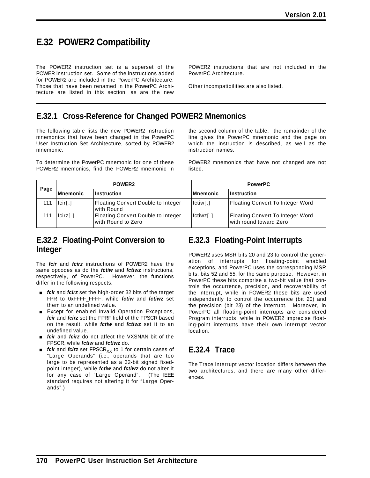# **E.32 POWER2 Compatibility**

The POWER2 instruction set is a superset of the POWER instruction set. Some of the instructions added for POWER2 are included in the PowerPC Architecture. Those that have been renamed in the PowerPC Architecture are listed in this section, as are the new POWER2 instructions that are not included in the PowerPC Architecture.

Other incompatibilities are also listed.

### **E.32.1 Cross-Reference for Changed POWER2 Mnemonics**

The following table lists the new POWER2 instruction mnemonics that have been changed in the PowerPC User Instruction Set Architecture, sorted by POWER2 mnemonic.

To determine the PowerPC mnemonic for one of these POWER2 mnemonics, find the POWER2 mnemonic in the second column of the table: the remainder of the line gives the PowerPC mnemonic and the page on which the instruction is described, as well as the instruction names.

POWER2 mnemonics that have not changed are not listed.

| POWER <sub>2</sub><br>Page |                            | <b>PowerPC</b>                                           |                       |                                                                    |
|----------------------------|----------------------------|----------------------------------------------------------|-----------------------|--------------------------------------------------------------------|
|                            | Mnemonic                   | Instruction                                              | Mnemonic              | <b>Instruction</b>                                                 |
|                            | $f$ cir $\lceil . \rceil$  | Floating Convert Double to Integer<br>with Round         | fctiw <sub>[</sub> .] | Floating Convert To Integer Word                                   |
|                            | $f$ cirz $\lceil . \rceil$ | Floating Convert Double to Integer<br>with Round to Zero | fctiwz[.]             | <b>Floating Convert To Integer Word</b><br>with round toward Zero! |

### **E.32.2 Floating-Point Conversion to Integer**

The *fcir* and *fcirz* instructions of POWER2 have the same opcodes as do the *fctiw* and *fctiwz* instructions, respectively, of PowerPC. However, the functions differ in the following respects.

- *fcir* and *fcirz* set the high-order 32 bits of the target FPR to 0xFFFF\_FFFF, while *fctiw* and *fctiwz* set them to an undefined value.
- **Except for enabled Invalid Operation Exceptions,** *fcir* and *fcirz* set the FPRF field of the FPSCR based on the result, while *fctiw* and *fctiwz* set it to an undefined value.
- **fight** field field field a not affect the VXSNAN bit of the FPSCR, while *fctiw* and *fctiwz* do.
- **ficir** and *fcirz* set FPSCR<sub>XX</sub> to 1 for certain cases of "Large Operands" (i.e., operands that are too large to be represented as a 32-bit signed fixedpoint integer), while *fctiw* and *fctiwz* do not alter it for any case of "Large Operand". (The IEEE standard requires not altering it for "Large Operands".)

### **E.32.3 Floating-Point Interrupts**

POWER2 uses MSR bits 20 and 23 to control the generation of interrupts for floating-point enabled exceptions, and PowerPC uses the corresponding MSR bits, bits 52 and 55, for the same purpose. However, in PowerPC these bits comprise a two-bit value that controls the occurrence, precision, and recoverability of the interrupt, while in POWER2 these bits are used independently to control the occurrence (bit 20) and the precision (bit 23) of the interrupt. Moreover, in PowerPC all floating-point interrupts are considered Program interrupts, while in POWER2 imprecise floating-point interrupts have their own interrupt vector location.

### **E.32.4 Trace**

The Trace interrupt vector location differs between the two architectures, and there are many other differences.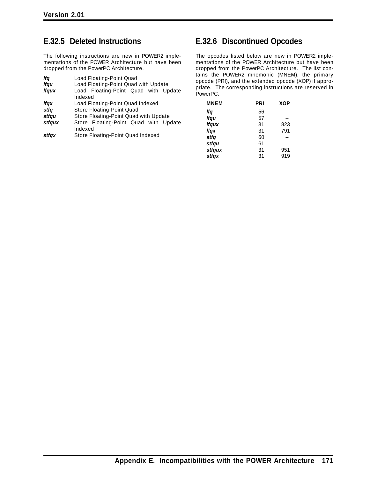#### **E.32.5 Deleted Instructions**

The following instructions are new in POWER2 implementations of the POWER Architecture but have been dropped from the PowerPC Architecture.

| lfa          | Load Floating-Point Quad                         |  |  |  |  |  |  |  |  |
|--------------|--------------------------------------------------|--|--|--|--|--|--|--|--|
| <b>Ifgu</b>  | Load Floating-Point Quad with Update             |  |  |  |  |  |  |  |  |
| <b>Ifgux</b> | Load Floating-Point Quad with Update<br>Indexed  |  |  |  |  |  |  |  |  |
| lfqx         | Load Floating-Point Quad Indexed                 |  |  |  |  |  |  |  |  |
| stfa         | Store Floating-Point Quad                        |  |  |  |  |  |  |  |  |
| stfqu        | Store Floating-Point Quad with Update            |  |  |  |  |  |  |  |  |
| stfqux       | Store Floating-Point Quad with Update<br>Indexed |  |  |  |  |  |  |  |  |
| stfax        | Store Floating-Point Quad Indexed                |  |  |  |  |  |  |  |  |

#### **E.32.6 Discontinued Opcodes**

The opcodes listed below are new in POWER2 implementations of the POWER Architecture but have been dropped from the PowerPC Architecture. The list contains the POWER2 mnemonic (MNEM), the primary opcode (PRI), and the extended opcode (XOP) if appropriate. The corresponding instructions are reserved in PowerPC.

| <b>MNEM</b>  | PRI | <b>XOP</b> |
|--------------|-----|------------|
| lfq          | 56  |            |
| lfqu         | 57  |            |
| <b>Ifqux</b> | 31  | 823        |
| <b>Ifgx</b>  | 31  | 791        |
| stfq         | 60  |            |
| stfqu        | 61  |            |
| stfqux       | 31  | 951        |
| stfqx        | 31  | 919        |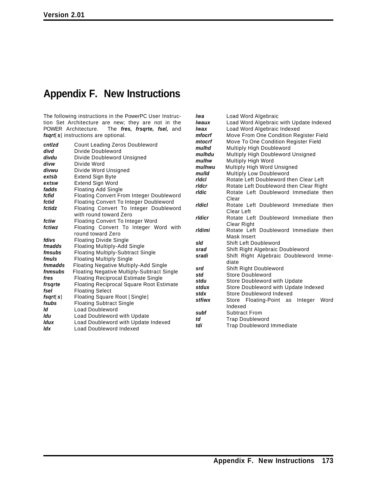# **Appendix F. New Instructions**

The following instructions in the PowerPC User Instruction Set Architecture are new; they are not in the POWER Architecture. The *fres, frsqrte, fsel,* and *fsqrt*[ *s*] instructions are optional.

| cntlzd         | Count Leading Zeros Doubleword                    | ,,,,,,,,<br>mulhd |
|----------------|---------------------------------------------------|-------------------|
| divd           | Divide Doubleword                                 | mulhdi            |
| divdu          | Divide Doubleword Unsigned                        | mulhw             |
| divw           | Divide Word                                       | mulhw             |
| divwu          | Divide Word Unsigned                              | mulld             |
| extsb          | <b>Extend Sign Byte</b>                           | ridci             |
| extsw          | <b>Extend Sign Word</b>                           | rldcr             |
| fadds          | <b>Floating Add Single</b>                        | rldic             |
| fcfid          | Floating Convert From Integer Doubleword          |                   |
| fctid          | <b>Floating Convert To Integer Doubleword</b>     | ridici            |
| fctidz         | Floating Convert To Integer Doubleword            |                   |
|                | with round toward Zero                            | rldicr            |
| fctiw          | <b>Floating Convert To Integer Word</b>           |                   |
| fctiwz         | Floating Convert To Integer Word with             | rldimi            |
|                | round toward Zero                                 |                   |
| fdivs          | <b>Floating Divide Single</b>                     | sld               |
| fmadds         | <b>Floating Multiply-Add Single</b>               | srad              |
| <i>fmsubs</i>  | <b>Floating Multiply-Subtract Single</b>          | sradi             |
| fmuls          | <b>Floating Multiply Single</b>                   |                   |
| fnmadds        | <b>Floating Negative Multiply-Add Single</b>      | srd               |
| fnmsubs        | <b>Floating Negative Multiply-Subtract Single</b> | std               |
| fres           | <b>Floating Reciprocal Estimate Single</b>        | stdu              |
| frsarte        | <b>Floating Reciprocal Square Root Estimate</b>   | stdux             |
| fsel           | <b>Floating Select</b>                            | stdx              |
| $f$ sqrt $[s]$ | Floating Square Root [Single]                     | stfiwx            |
| fsubs          | <b>Floating Subtract Single</b>                   |                   |
| ld             | <b>Load Doubleword</b>                            | subf              |
| ldu            | Load Doubleword with Update                       | td                |
| <b>Idux</b>    | Load Doubleword with Update Indexed               | tdi               |
| ldx            | Load Doubleword Indexed                           |                   |

| lwa    | Load Word Algebraic                        |  |  |  |  |  |  |  |  |  |
|--------|--------------------------------------------|--|--|--|--|--|--|--|--|--|
| lwaux  | Load Word Algebraic with Update Indexed    |  |  |  |  |  |  |  |  |  |
| lwax   | Load Word Algebraic Indexed                |  |  |  |  |  |  |  |  |  |
| mfocrf | Move From One Condition Register Field     |  |  |  |  |  |  |  |  |  |
| mtocrf | Move To One Condition Register Field       |  |  |  |  |  |  |  |  |  |
| mulhd  | Multiply High Doubleword                   |  |  |  |  |  |  |  |  |  |
| mulhdu | Multiply High Doubleword Unsigned          |  |  |  |  |  |  |  |  |  |
| mulhw  | Multiply High Word                         |  |  |  |  |  |  |  |  |  |
| mulhwu | Multiply High Word Unsigned                |  |  |  |  |  |  |  |  |  |
| mulld  | <b>Multiply Low Doubleword</b>             |  |  |  |  |  |  |  |  |  |
| rldcl  | Rotate Left Doubleword then Clear Left     |  |  |  |  |  |  |  |  |  |
| rldcr  | Rotate Left Doubleword then Clear Right    |  |  |  |  |  |  |  |  |  |
| rldic  | Rotate Left Doubleword Immediate then      |  |  |  |  |  |  |  |  |  |
|        | Clear                                      |  |  |  |  |  |  |  |  |  |
| rldicl | Rotate Left Doubleword Immediate then      |  |  |  |  |  |  |  |  |  |
|        | Clear Left                                 |  |  |  |  |  |  |  |  |  |
| rldicr | Rotate Left Doubleword Immediate then      |  |  |  |  |  |  |  |  |  |
|        | Clear Right                                |  |  |  |  |  |  |  |  |  |
| rldimi | Rotate Left Doubleword Immediate then      |  |  |  |  |  |  |  |  |  |
|        | Mask Insert                                |  |  |  |  |  |  |  |  |  |
| sld    | <b>Shift Left Doubleword</b>               |  |  |  |  |  |  |  |  |  |
| srad   | Shift Right Algebraic Doubleword           |  |  |  |  |  |  |  |  |  |
| sradi  | Shift Right Algebraic Doubleword Imme-     |  |  |  |  |  |  |  |  |  |
|        | diate                                      |  |  |  |  |  |  |  |  |  |
| srd    | Shift Right Doubleword                     |  |  |  |  |  |  |  |  |  |
| std    | Store Doubleword                           |  |  |  |  |  |  |  |  |  |
| stdu   | Store Doubleword with Update               |  |  |  |  |  |  |  |  |  |
| stdux  | Store Doubleword with Update Indexed       |  |  |  |  |  |  |  |  |  |
| stdx   | Store Doubleword Indexed                   |  |  |  |  |  |  |  |  |  |
| stfiwx | Store Floating-Point as<br>Integer<br>Word |  |  |  |  |  |  |  |  |  |
|        | Indexed                                    |  |  |  |  |  |  |  |  |  |
| subf   | <b>Subtract From</b>                       |  |  |  |  |  |  |  |  |  |
| td     | <b>Trap Doubleword</b>                     |  |  |  |  |  |  |  |  |  |
| tdi    | <b>Trap Doubleword Immediate</b>           |  |  |  |  |  |  |  |  |  |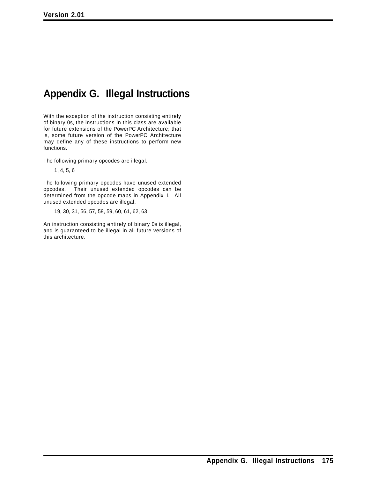## **Appendix G. Illegal Instructions**

With the exception of the instruction consisting entirely of binary 0s, the instructions in this class are available for future extensions of the PowerPC Architecture; that is, some future version of the PowerPC Architecture may define any of these instructions to perform new functions.

The following primary opcodes are illegal.

1, 4, 5, 6

The following primary opcodes have unused extended opcodes. Their unused extended opcodes can be determined from the opcode maps in Appendix I. All unused extended opcodes are illegal.

19, 30, 31, 56, 57, 58, 59, 60, 61, 62, 63

An instruction consisting entirely of binary 0s is illegal, and is guaranteed to be illegal in all future versions of this architecture.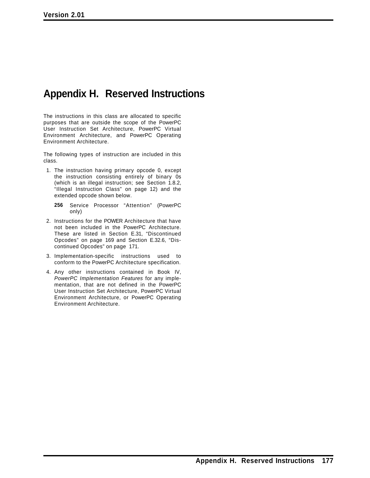### **Appendix H. Reserved Instructions**

The instructions in this class are allocated to specific purposes that are outside the scope of the PowerPC User Instruction Set Architecture, PowerPC Virtual Environment Architecture, and PowerPC Operating Environment Architecture.

The following types of instruction are included in this class.

- 1. The instruction having primary opcode 0, except the instruction consisting entirely of binary 0s (which is an illegal instruction; see Section 1.8.2, "Illegal Instruction Class" on page 12) and the extended opcode shown below.
	- **256** Service Processor "Attention" (PowerPC only)
- 2. Instructions for the POWER Architecture that have not been included in the PowerPC Architecture. These are listed in Section E.31, "Discontinued Opcodes" on page 169 and Section E.32.6, "Discontinued Opcodes" on page 171.
- 3. Implementation-specific instructions used to conform to the PowerPC Architecture specification.
- 4. Any other instructions contained in Book IV, *PowerPC Implementation Features* for any implementation, that are not defined in the PowerPC User Instruction Set Architecture, PowerPC Virtual Environment Architecture, or PowerPC Operating Environment Architecture.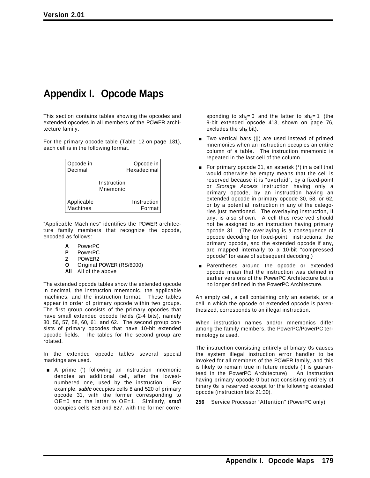### **Appendix I. Opcode Maps**

This section contains tables showing the opcodes and extended opcodes in all members of the POWER architecture family.

For the primary opcode table (Table 12 on page 181), each cell is in the following format.

| Opcode in  | Opcode in               |
|------------|-------------------------|
| Decimal    | Hexadecimal             |
|            | Instruction<br>Mnemonic |
| Applicable | Instruction             |
| Machines   | Format                  |

"Applicable Machines" identifies the POWER architecture family members that recognize the opcode, encoded as follows:

- **A** PowerPC
- **P** PowerPC<br>**2** POWER2
- **2** POWER2
- **O** Original POWER (RS/6000)
- **All** All of the above

The extended opcode tables show the extended opcode in decimal, the instruction mnemonic, the applicable machines, and the instruction format. These tables appear in order of primary opcode within two groups. The first group consists of the primary opcodes that have small extended opcode fields (2-4 bits), namely 30, 56, 57, 58, 60, 61, and 62. The second group consists of primary opcodes that have 10-bit extended opcode fields. The tables for the second group are rotated.

In the extended opcode tables several special markings are used.

■ A prime (') following an instruction mnemonic denotes an additional cell, after the lowestnumbered one, used by the instruction. For example, *subfc* occupies cells 8 and 520 of primary opcode 31, with the former corresponding to OE=0 and the latter to OE=1. Similarly, *sradi* occupies cells 826 and 827, with the former corresponding to sh<sub>5</sub>= 0 and the latter to sh<sub>5</sub>= 1 (the 9-bit extended opcode 413, shown on page 76, excludes the  $sh<sub>5</sub>$  bit).

- Two vertical bars (II) are used instead of primed mnemonics when an instruction occupies an entire column of a table. The instruction mnemonic is repeated in the last cell of the column.
- For primary opcode 31, an asterisk  $(*)$  in a cell that would otherwise be empty means that the cell is reserved because it is "overlaid", by a fixed-point or *Storage Access* instruction having only a primary opcode, by an instruction having an extended opcode in primary opcode 30, 58, or 62, or by a potential instruction in any of the categories just mentioned. The overlaying instruction, if any, is also shown. A cell thus reserved should not be assigned to an instruction having primary opcode 31. (The overlaying is a consequence of opcode decoding for fixed-point instructions: the primary opcode, and the extended opcode if any, are mapped internally to a 10-bit "compressed opcode" for ease of subsequent decoding.)
- Parentheses around the opcode or extended opcode mean that the instruction was defined in earlier versions of the PowerPC Architecture but is no longer defined in the PowerPC Architecture.

An empty cell, a cell containing only an asterisk, or a cell in which the opcode or extended opcode is parenthesized, corresponds to an illegal instruction.

When instruction names and/or mnemonics differ among the family members, the PowerPC/PowerPC terminology is used.

The instruction consisting entirely of binary 0s causes the system illegal instruction error handler to be invoked for all members of the POWER family, and this is likely to remain true in future models (it is guaranteed in the PowerPC Architecture). An instruction having primary opcode 0 but not consisting entirely of binary 0s is reserved except for the following extended opcode (instruction bits 21:30).

**256** Service Processor "Attention" (PowerPC only)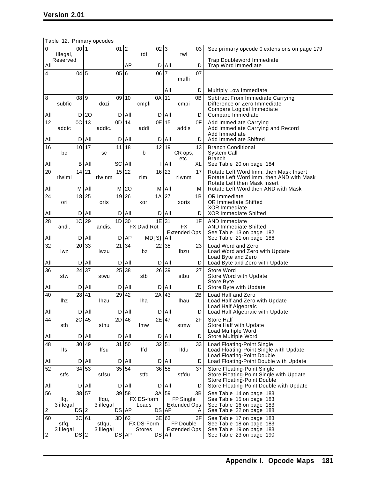|     | Table 12. Primary opcodes |         |     |                    |           |     |                     |         |       |                                  |         |                                                                                    |
|-----|---------------------------|---------|-----|--------------------|-----------|-----|---------------------|---------|-------|----------------------------------|---------|------------------------------------------------------------------------------------|
| 0   | Illegal,                  | 0011    |     |                    | 01 2      |     | tdi                 | 02 3    |       | twi                              | 03      | See primary opcode 0 extensions on page 179                                        |
| All | Reserved                  |         |     |                    |           | AP  |                     | D       | All   |                                  | D       | <b>Trap Doubleword Immediate</b><br><b>Trap Word Immediate</b>                     |
| 4   |                           | 04      | 5   |                    | 05        | 6   |                     | 06      | 17    | mulli                            | 07      |                                                                                    |
|     |                           |         |     |                    |           |     |                     |         | All   |                                  |         |                                                                                    |
| 8   |                           | 08      | 9 ا |                    | 09        | 10  |                     | 0A      | 11    |                                  | D<br>0B | <b>Multiply Low Immediate</b><br><b>Subtract From Immediate Carrying</b>           |
|     | subfic                    |         |     | dozi               |           |     | cmpli               |         |       | cmpi                             |         | Difference or Zero Immediate                                                       |
| All |                           | D       | 20  |                    | D         | All |                     | D       | All   |                                  | D       | Compare Logical Immediate<br>Compare Immediate                                     |
| 12  |                           | OC      | 13  |                    | 0D        | 14  |                     | 0E      | 15    |                                  | 0F      | Add Immediate Carrying                                                             |
|     | addic                     |         |     | addic.             |           |     | addi                |         |       | addis                            |         | Add Immediate Carrying and Record<br>Add Immediate                                 |
| All |                           | D       | All |                    | D         | All |                     | D       | All   |                                  | D       | Add Immediate Shifted                                                              |
| 16  | bc                        | 10      | 17  | sc                 | 11        | 18  | b                   | 12      | 19    | CR ops,                          | 13      | <b>Branch Conditional</b><br>System Call                                           |
|     |                           |         |     |                    |           |     |                     |         |       | etc.                             |         | <b>Branch</b>                                                                      |
| All |                           | В       | All |                    | SC        | All |                     |         | All   |                                  | XL      | See Table 20 on page 184                                                           |
| 20  | rlwimi                    | 14      | 21  | rlwinm             | 15        | 22  | rlmi                | 16      | 23    | rlwnm                            | 17      | Rotate Left Word Imm. then Mask Insert<br>Rotate Left Word Imm. then AND with Mask |
| All |                           | М       | All |                    | м         | 20  |                     | М       | All   |                                  | М       | Rotate Left then Mask Insert<br>Rotate Left Word then AND with Mask                |
| 24  |                           | 18 25   |     |                    | 19        | 26  |                     | 1A      | 27    |                                  | 1B      | OR Immediate                                                                       |
|     | ori                       |         |     | oris               |           |     | xori                |         |       | xoris                            |         | <b>OR Immediate Shifted</b>                                                        |
| All |                           | D       | All |                    | D         | All |                     | D       | All   |                                  | D       | XOR Immediate<br><b>XOR Immediate Shifted</b>                                      |
| 28  |                           | 1C      | 29  |                    | 1D        | 30  |                     | 1E      | 31    |                                  | 1F      | <b>AND Immediate</b>                                                               |
|     | andi.                     |         |     | andis.             |           |     | FX Dwd Rot          |         |       | FX<br><b>Extended Ops</b>        |         | <b>AND Immediate Shifted</b><br>See Table 13 on page 182                           |
| All |                           | D       | All |                    | D         | AP  | MD[S]               |         | All   |                                  |         | See Table 21 on page 186                                                           |
| 32  | lwz                       | 20      | 33  | lwzu               | 21        | 34  | lbz                 | 22      | 35    | Ibzu                             | 23      | Load Word and Zero<br>Load Word and Zero with Update                               |
|     |                           |         |     |                    |           |     |                     |         |       |                                  |         | Load Byte and Zero                                                                 |
| All |                           | D<br>24 | All |                    | D<br>25   | All |                     | D<br>26 | All   |                                  | D<br>27 | Load Byte and Zero with Update<br>Store Word                                       |
| 36  | stw                       |         | 37  | stwu               |           | 38  | stb                 |         | 39    | stbu                             |         | Store Word with Update                                                             |
| All |                           | D       | All |                    | D         | All |                     | D       | All   |                                  | D       | Store Byte<br>Store Byte with Update                                               |
| 40  |                           | 28      | 41  |                    | 29        | 42  |                     | 2A      | 43    |                                  | 2B      | Load Half and Zero                                                                 |
|     | lhz                       |         |     | lhzu               |           |     | lha                 |         |       | Ihau                             |         | Load Half and Zero with Update<br>Load Half Algebraic                              |
| All |                           | D       | All |                    | D         | All |                     | D       | All   |                                  | D       | Load Half Algebraic with Update                                                    |
| 44  | sth                       | 2C      | 45  | sthu               | 2D        | 46  | lmw                 | 2E      | 47    | stmw                             | 2F      | <b>Store Half</b><br>Store Half with Update                                        |
|     |                           |         |     |                    |           |     |                     |         |       |                                  |         | Load Multiple Word                                                                 |
| All |                           | D       | All |                    | D         | All |                     | D       | All   |                                  | D       | Store Multiple Word                                                                |
| 48  | lfs                       | 30      | 49  | Ifsu               | 31        | 50  | lfd                 | 32 51   |       | Ifdu                             | 33      | Load Floating-Point Single<br>Load Floating-Point Single with Update               |
| All |                           | D       | All |                    | D         | All |                     | D       | All   |                                  | D       | Load Floating-Point Double<br>Load Floating-Point Double with Update               |
| 52  |                           | 34      | 53  |                    | 35 54     |     |                     |         | 36 55 |                                  | 37      | Store Floating-Point Single                                                        |
|     | stfs                      |         |     | stfsu              |           |     | stfd                |         |       | stfdu                            |         | Store Floating-Point Single with Update<br><b>Store Floating-Point Double</b>      |
| All |                           | D       | All |                    | D         | All |                     | D       | All   |                                  | D       | Store Floating-Point Double with Update                                            |
| 56  |                           | 38      | 57  |                    | 39        | 58  |                     | 3A      | 59    |                                  | 3B      | See Table 14 on page 183                                                           |
|     | lfq,<br>3 illegal         |         |     | lfqu,<br>3 illegal |           |     | FX DS-form<br>Loads |         |       | FP Single<br><b>Extended Ops</b> |         | See Table 15 on page 183<br>See Table 16 on page 183                               |
| 2   |                           | DS 2    |     |                    | $DS$ $AP$ |     |                     | DS      | AP    |                                  | A       | See Table 22 on page 188                                                           |
| 60  |                           | 3C      | 61  |                    | 3D 62     |     | FX DS-Form          | 3E      | 63    | FP Double                        | 3F      | See Table 17 on page 183                                                           |
|     | 3 illegal                 |         |     | 3 illegal          |           |     | <b>Stores</b>       |         |       | <b>Extended Ops</b>              |         | See Table 19 on page 183                                                           |
| 2   | stfq,                     | DS 2    |     | stfqu,             | $DS$ $AP$ |     |                     | DS      | All   |                                  |         | See Table 18 on page 183<br>See Table 23 on page 190                               |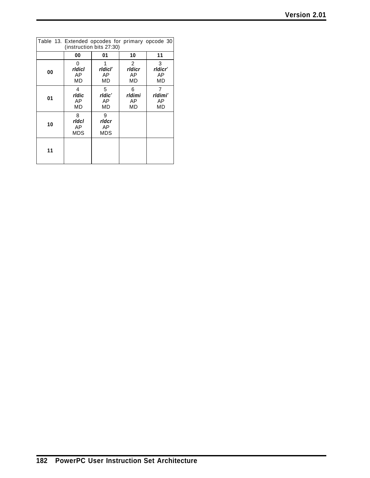| <b>Version 2.01</b> |  |
|---------------------|--|
|---------------------|--|

| Table 13. Extended opcodes for primary opcode 30<br>(instruction bits 27:30) |                                |                         |                                |                          |  |  |  |  |
|------------------------------------------------------------------------------|--------------------------------|-------------------------|--------------------------------|--------------------------|--|--|--|--|
| 11<br>01<br>10<br>00                                                         |                                |                         |                                |                          |  |  |  |  |
| 00                                                                           | 0<br><b>rldicl</b><br>AP<br>MD | rldicľ<br>AP<br>MD      | 2<br>rldicr<br>AP<br><b>MD</b> | 3<br>rldicr'<br>AP<br>MD |  |  |  |  |
| 01                                                                           | 4<br>rldic<br>AP<br>MD         | 5<br>rldic'<br>AP<br>MD | 6<br>rldimi<br>AP<br>MD        | 7<br>rldimi'<br>AP<br>MD |  |  |  |  |
| 10                                                                           | 8<br>ridci<br>AP<br>MDS        | 9<br>rldcr<br>AP<br>MDS |                                |                          |  |  |  |  |
| 11                                                                           |                                |                         |                                |                          |  |  |  |  |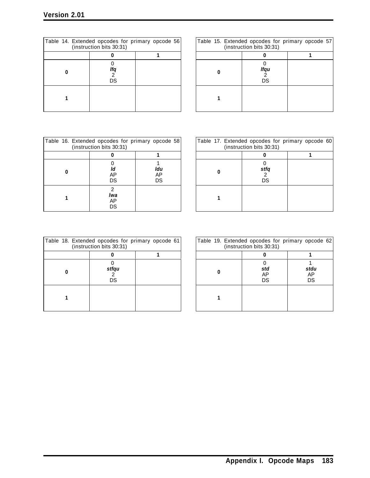| Table 14. Extended opcodes for primary opcode 56<br>(instruction bits 30:31) |  | Table 15 |
|------------------------------------------------------------------------------|--|----------|
|                                                                              |  |          |
| lfa<br>DS                                                                    |  |          |
|                                                                              |  |          |

| 30:31)         | les for primary opcode 56 |  | Table 15. Extended opcodes for primary opcode 57<br>(instruction bits 30:31) |  |
|----------------|---------------------------|--|------------------------------------------------------------------------------|--|
|                |                           |  |                                                                              |  |
| lfq<br>2<br>CS |                           |  | lfqu<br>DS                                                                   |  |
|                |                           |  |                                                                              |  |

| Table 16. Extended opcodes for primary opcode 58<br>(instruction bits 30:31) |                      |                 |  |  |  |  |  |  |
|------------------------------------------------------------------------------|----------------------|-----------------|--|--|--|--|--|--|
|                                                                              |                      |                 |  |  |  |  |  |  |
|                                                                              | ld<br>AP<br>DS       | Idu<br>AP<br>DS |  |  |  |  |  |  |
|                                                                              | 2<br>lwa<br>AP<br>DS |                 |  |  |  |  |  |  |

| 30:31)              | les for primary opcode 58 |  | Table 17. Extended opcodes for primary opcode 60<br>(instruction bits 30:31) |  |
|---------------------|---------------------------|--|------------------------------------------------------------------------------|--|
|                     |                           |  |                                                                              |  |
| ld<br>۱Р<br>CS      | ldu<br>AP<br>DS           |  | stfq<br>DS                                                                   |  |
| 2<br>wa<br>۱Р<br>CS |                           |  |                                                                              |  |

| Table 18. Extended opcodes for primary opcode 61 | (instruction bits 30:31) |  | Table 19 |  |
|--------------------------------------------------|--------------------------|--|----------|--|
|                                                  |                          |  |          |  |
|                                                  | stfqu<br>DS              |  |          |  |
|                                                  |                          |  |          |  |

| 30:31)          | les for primary opcode 61 |  | Table 19. Extended opcodes for primary opcode 62<br>(instruction bits 30:31) |                  |
|-----------------|---------------------------|--|------------------------------------------------------------------------------|------------------|
|                 |                           |  |                                                                              |                  |
| 'fqu<br>2<br>CS |                           |  | std<br>AP<br>DS                                                              | stdu<br>AP<br>DS |
|                 |                           |  |                                                                              |                  |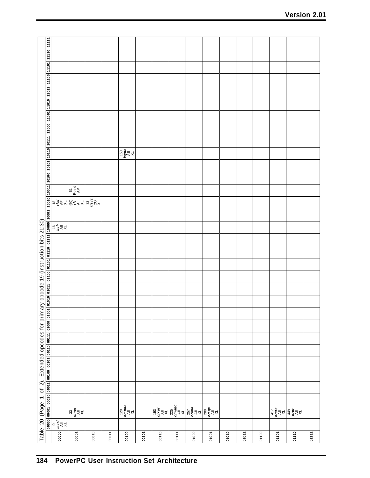|                                                                                         |                                                                            |                                                                                                                                                                                                                                                                                                                                                     |       |       | $\sqrt{\frac{150}{15}}$                                                                 |       |                                                                                                                                                                                                                         |       |       |       |       |       |       |                                                                                |       |       |
|-----------------------------------------------------------------------------------------|----------------------------------------------------------------------------|-----------------------------------------------------------------------------------------------------------------------------------------------------------------------------------------------------------------------------------------------------------------------------------------------------------------------------------------------------|-------|-------|-----------------------------------------------------------------------------------------|-------|-------------------------------------------------------------------------------------------------------------------------------------------------------------------------------------------------------------------------|-------|-------|-------|-------|-------|-------|--------------------------------------------------------------------------------|-------|-------|
|                                                                                         |                                                                            |                                                                                                                                                                                                                                                                                                                                                     |       |       |                                                                                         |       |                                                                                                                                                                                                                         |       |       |       |       |       |       |                                                                                |       |       |
|                                                                                         |                                                                            |                                                                                                                                                                                                                                                                                                                                                     |       |       |                                                                                         |       |                                                                                                                                                                                                                         |       |       |       |       |       |       |                                                                                |       |       |
|                                                                                         |                                                                            | $\begin{array}{c}\n\overline{57} \\ \overline{3980} \\ \overline{4P}\n\end{array}$                                                                                                                                                                                                                                                                  |       |       |                                                                                         |       |                                                                                                                                                                                                                         |       |       |       |       |       |       |                                                                                |       |       |
|                                                                                         |                                                                            | $\begin{picture}(180,10) \put(0,0){\line(1,0){15}} \put(10,0){\line(1,0){15}} \put(10,0){\line(1,0){15}} \put(10,0){\line(1,0){15}} \put(10,0){\line(1,0){15}} \put(10,0){\line(1,0){15}} \put(10,0){\line(1,0){15}} \put(10,0){\line(1,0){15}} \put(10,0){\line(1,0){15}} \put(10,0){\line(1,0){15}} \put(10,0){\line(1,0){15}} \put(10,0){\line($ |       |       |                                                                                         |       |                                                                                                                                                                                                                         |       |       |       |       |       |       |                                                                                |       |       |
|                                                                                         |                                                                            |                                                                                                                                                                                                                                                                                                                                                     |       |       |                                                                                         |       |                                                                                                                                                                                                                         |       |       |       |       |       |       |                                                                                |       |       |
|                                                                                         | $\frac{1}{2}$ $\frac{1}{2}$ $\frac{1}{2}$ $\frac{1}{2}$                    |                                                                                                                                                                                                                                                                                                                                                     |       |       |                                                                                         |       |                                                                                                                                                                                                                         |       |       |       |       |       |       |                                                                                |       |       |
|                                                                                         |                                                                            |                                                                                                                                                                                                                                                                                                                                                     |       |       |                                                                                         |       |                                                                                                                                                                                                                         |       |       |       |       |       |       |                                                                                |       |       |
|                                                                                         |                                                                            |                                                                                                                                                                                                                                                                                                                                                     |       |       |                                                                                         |       |                                                                                                                                                                                                                         |       |       |       |       |       |       |                                                                                |       |       |
|                                                                                         |                                                                            |                                                                                                                                                                                                                                                                                                                                                     |       |       |                                                                                         |       |                                                                                                                                                                                                                         |       |       |       |       |       |       |                                                                                |       |       |
|                                                                                         |                                                                            |                                                                                                                                                                                                                                                                                                                                                     |       |       |                                                                                         |       |                                                                                                                                                                                                                         |       |       |       |       |       |       |                                                                                |       |       |
|                                                                                         |                                                                            |                                                                                                                                                                                                                                                                                                                                                     |       |       |                                                                                         |       |                                                                                                                                                                                                                         |       |       |       |       |       |       |                                                                                |       |       |
|                                                                                         |                                                                            |                                                                                                                                                                                                                                                                                                                                                     |       |       |                                                                                         |       |                                                                                                                                                                                                                         |       |       |       |       |       |       |                                                                                |       |       |
|                                                                                         |                                                                            |                                                                                                                                                                                                                                                                                                                                                     |       |       |                                                                                         |       |                                                                                                                                                                                                                         |       |       |       |       |       |       |                                                                                |       |       |
|                                                                                         |                                                                            |                                                                                                                                                                                                                                                                                                                                                     |       |       |                                                                                         |       |                                                                                                                                                                                                                         |       |       |       |       |       |       |                                                                                |       |       |
|                                                                                         |                                                                            |                                                                                                                                                                                                                                                                                                                                                     |       |       |                                                                                         |       |                                                                                                                                                                                                                         |       |       |       |       |       |       |                                                                                |       |       |
|                                                                                         |                                                                            |                                                                                                                                                                                                                                                                                                                                                     |       |       |                                                                                         |       |                                                                                                                                                                                                                         |       |       |       |       |       |       |                                                                                |       |       |
|                                                                                         |                                                                            |                                                                                                                                                                                                                                                                                                                                                     |       |       |                                                                                         |       |                                                                                                                                                                                                                         |       |       |       |       |       |       |                                                                                |       |       |
|                                                                                         |                                                                            |                                                                                                                                                                                                                                                                                                                                                     |       |       |                                                                                         |       |                                                                                                                                                                                                                         |       |       |       |       |       |       |                                                                                |       |       |
|                                                                                         |                                                                            |                                                                                                                                                                                                                                                                                                                                                     |       |       |                                                                                         |       |                                                                                                                                                                                                                         |       |       |       |       |       |       |                                                                                |       |       |
|                                                                                         |                                                                            |                                                                                                                                                                                                                                                                                                                                                     |       |       |                                                                                         |       |                                                                                                                                                                                                                         |       |       |       |       |       |       |                                                                                |       |       |
|                                                                                         |                                                                            | $\overline{\mathbb{R}^3$ and $\overline{\mathbb{R}^4}$                                                                                                                                                                                                                                                                                              |       |       | $\begin{matrix} 129 \\ \text{crand} \\ \hline \text{A} \parallel \text{A} \end{matrix}$ |       | $\begin{array}{ c c c c c }\hline \hline \varphi & \varphi & \varphi & \varphi \\ \hline \varphi & \xi & \xi & \xi & \xi \\ \hline \varphi & \xi & \xi & \xi \\ \hline \varphi & \xi & \xi & \xi \\ \hline \end{array}$ |       |       |       |       |       |       | $\frac{417}{140}$<br>$\frac{17}{140}$<br>$\frac{449}{140}$<br>$\frac{17}{140}$ |       |       |
|                                                                                         | $\begin{array}{c} 0 \\ \text{merf} \\ \text{All} \\ \text{XL} \end{array}$ |                                                                                                                                                                                                                                                                                                                                                     |       |       |                                                                                         |       |                                                                                                                                                                                                                         |       |       |       |       |       |       |                                                                                |       |       |
| Table 20 (Page 1 of 2). Extended opcodes for primary opcode 19 (instruction bits 21:30) | 00000                                                                      | 00001                                                                                                                                                                                                                                                                                                                                               | 00010 | 00011 | 00100                                                                                   | 00101 | 00110                                                                                                                                                                                                                   | 00111 | 01000 | 01001 | 01010 | 01011 | 01100 | 01101                                                                          | 01110 | 01111 |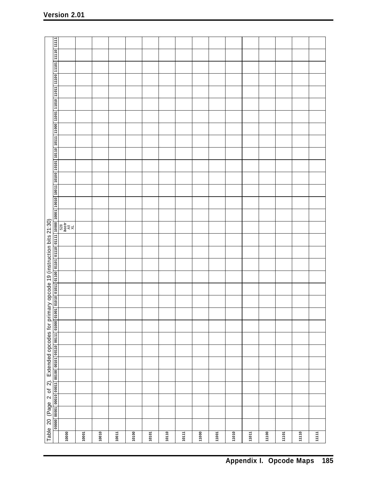|       | Table 20 (Page 2 of 2). Extended opcodes for primary opcode 19 (instruction bits 21:30)<br>00000 00001 00010 00011 00100 00101 00110 00111 01000 01001 |  |  |  |  |  |  |  |                                                                                          |  |  |  |  |  | 01010 01011 01100 01101 01110 0111   1000   1000   10010   10011   1000   1010   1011   1100   1101   1101   1110   1110   11110   11111   1110   11110   11111   1110   11110   11110   11110   11110   11110   11110   11110 |  |  |
|-------|--------------------------------------------------------------------------------------------------------------------------------------------------------|--|--|--|--|--|--|--|------------------------------------------------------------------------------------------|--|--|--|--|--|--------------------------------------------------------------------------------------------------------------------------------------------------------------------------------------------------------------------------------|--|--|
| 10000 |                                                                                                                                                        |  |  |  |  |  |  |  | $\begin{array}{c} 528 \\ \textit{bcstr} \\ \textit{A\bot} \\ \textit{A\bot} \end{array}$ |  |  |  |  |  |                                                                                                                                                                                                                                |  |  |
| 10001 |                                                                                                                                                        |  |  |  |  |  |  |  |                                                                                          |  |  |  |  |  |                                                                                                                                                                                                                                |  |  |
| 10010 |                                                                                                                                                        |  |  |  |  |  |  |  |                                                                                          |  |  |  |  |  |                                                                                                                                                                                                                                |  |  |
| 10011 |                                                                                                                                                        |  |  |  |  |  |  |  |                                                                                          |  |  |  |  |  |                                                                                                                                                                                                                                |  |  |
| 10100 |                                                                                                                                                        |  |  |  |  |  |  |  |                                                                                          |  |  |  |  |  |                                                                                                                                                                                                                                |  |  |
| 10101 |                                                                                                                                                        |  |  |  |  |  |  |  |                                                                                          |  |  |  |  |  |                                                                                                                                                                                                                                |  |  |
| 10110 |                                                                                                                                                        |  |  |  |  |  |  |  |                                                                                          |  |  |  |  |  |                                                                                                                                                                                                                                |  |  |
| 10111 |                                                                                                                                                        |  |  |  |  |  |  |  |                                                                                          |  |  |  |  |  |                                                                                                                                                                                                                                |  |  |
| 11000 |                                                                                                                                                        |  |  |  |  |  |  |  |                                                                                          |  |  |  |  |  |                                                                                                                                                                                                                                |  |  |
| 11001 |                                                                                                                                                        |  |  |  |  |  |  |  |                                                                                          |  |  |  |  |  |                                                                                                                                                                                                                                |  |  |
| 11010 |                                                                                                                                                        |  |  |  |  |  |  |  |                                                                                          |  |  |  |  |  |                                                                                                                                                                                                                                |  |  |
| 11011 |                                                                                                                                                        |  |  |  |  |  |  |  |                                                                                          |  |  |  |  |  |                                                                                                                                                                                                                                |  |  |
| 11100 |                                                                                                                                                        |  |  |  |  |  |  |  |                                                                                          |  |  |  |  |  |                                                                                                                                                                                                                                |  |  |
| 11101 |                                                                                                                                                        |  |  |  |  |  |  |  |                                                                                          |  |  |  |  |  |                                                                                                                                                                                                                                |  |  |
| 11110 |                                                                                                                                                        |  |  |  |  |  |  |  |                                                                                          |  |  |  |  |  |                                                                                                                                                                                                                                |  |  |
| 11111 |                                                                                                                                                        |  |  |  |  |  |  |  |                                                                                          |  |  |  |  |  |                                                                                                                                                                                                                                |  |  |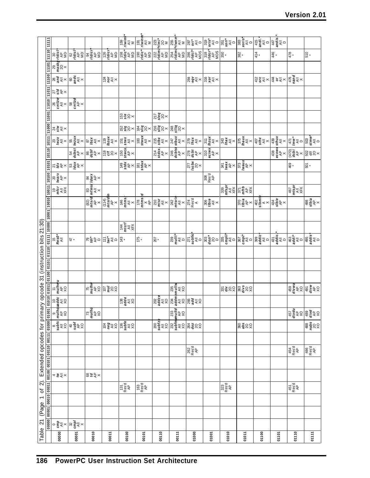|                                                     |                                                                               |                                                                                                                                                                                                                                                                                                                                                                                                                                                                                                           |                           |                                                                                                                                      |                                                                                                                                                                  |                                                                                                                                                                                                                                                                                                                                                                                                                                   |                                                                                                                                                                                                                                                                                                                                                                                                              |                            |                                                                                                                                                                                                                                                                                                                                                                                                                                                                               |                                                                               |                                                                 |                    |                                                                                                                                                                                                                         |       |                                                                                                                                                                            |                                                                                                                                                                                                                                                                                     | 510                                                                                                                                                           |
|-----------------------------------------------------|-------------------------------------------------------------------------------|-----------------------------------------------------------------------------------------------------------------------------------------------------------------------------------------------------------------------------------------------------------------------------------------------------------------------------------------------------------------------------------------------------------------------------------------------------------------------------------------------------------|---------------------------|--------------------------------------------------------------------------------------------------------------------------------------|------------------------------------------------------------------------------------------------------------------------------------------------------------------|-----------------------------------------------------------------------------------------------------------------------------------------------------------------------------------------------------------------------------------------------------------------------------------------------------------------------------------------------------------------------------------------------------------------------------------|--------------------------------------------------------------------------------------------------------------------------------------------------------------------------------------------------------------------------------------------------------------------------------------------------------------------------------------------------------------------------------------------------------------|----------------------------|-------------------------------------------------------------------------------------------------------------------------------------------------------------------------------------------------------------------------------------------------------------------------------------------------------------------------------------------------------------------------------------------------------------------------------------------------------------------------------|-------------------------------------------------------------------------------|-----------------------------------------------------------------|--------------------|-------------------------------------------------------------------------------------------------------------------------------------------------------------------------------------------------------------------------|-------|----------------------------------------------------------------------------------------------------------------------------------------------------------------------------|-------------------------------------------------------------------------------------------------------------------------------------------------------------------------------------------------------------------------------------------------------------------------------------|---------------------------------------------------------------------------------------------------------------------------------------------------------------|
|                                                     |                                                                               |                                                                                                                                                                                                                                                                                                                                                                                                                                                                                                           |                           |                                                                                                                                      |                                                                                                                                                                  |                                                                                                                                                                                                                                                                                                                                                                                                                                   |                                                                                                                                                                                                                                                                                                                                                                                                              |                            |                                                                                                                                                                                                                                                                                                                                                                                                                                                                               |                                                                               |                                                                 |                    |                                                                                                                                                                                                                         |       |                                                                                                                                                                            |                                                                                                                                                                                                                                                                                     |                                                                                                                                                               |
|                                                     |                                                                               |                                                                                                                                                                                                                                                                                                                                                                                                                                                                                                           |                           |                                                                                                                                      |                                                                                                                                                                  |                                                                                                                                                                                                                                                                                                                                                                                                                                   |                                                                                                                                                                                                                                                                                                                                                                                                              |                            |                                                                                                                                                                                                                                                                                                                                                                                                                                                                               |                                                                               |                                                                 |                    |                                                                                                                                                                                                                         |       | $\stackrel{+}{\approx}$ $\stackrel{+}{\approx}$ $\times$ $\stackrel{+}{\approx}$ $\stackrel{+}{\approx}$ $\times$ $\stackrel{+}{\approx}$ $\stackrel{+}{\approx}$ $\times$ |                                                                                                                                                                                                                                                                                     |                                                                                                                                                               |
|                                                     |                                                                               |                                                                                                                                                                                                                                                                                                                                                                                                                                                                                                           |                           |                                                                                                                                      |                                                                                                                                                                  |                                                                                                                                                                                                                                                                                                                                                                                                                                   |                                                                                                                                                                                                                                                                                                                                                                                                              |                            |                                                                                                                                                                                                                                                                                                                                                                                                                                                                               |                                                                               |                                                                 |                    |                                                                                                                                                                                                                         |       |                                                                                                                                                                            |                                                                                                                                                                                                                                                                                     |                                                                                                                                                               |
|                                                     |                                                                               |                                                                                                                                                                                                                                                                                                                                                                                                                                                                                                           |                           |                                                                                                                                      |                                                                                                                                                                  |                                                                                                                                                                                                                                                                                                                                                                                                                                   |                                                                                                                                                                                                                                                                                                                                                                                                              |                            |                                                                                                                                                                                                                                                                                                                                                                                                                                                                               |                                                                               |                                                                 |                    |                                                                                                                                                                                                                         |       |                                                                                                                                                                            |                                                                                                                                                                                                                                                                                     |                                                                                                                                                               |
|                                                     | 11001                                                                         |                                                                                                                                                                                                                                                                                                                                                                                                                                                                                                           |                           |                                                                                                                                      |                                                                                                                                                                  | $\frac{5}{5}$ 8 $\times$                                                                                                                                                                                                                                                                                                                                                                                                          |                                                                                                                                                                                                                                                                                                                                                                                                              | $\frac{5}{2}$ ទីន $\times$ |                                                                                                                                                                                                                                                                                                                                                                                                                                                                               |                                                                               |                                                                 |                    |                                                                                                                                                                                                                         |       |                                                                                                                                                                            |                                                                                                                                                                                                                                                                                     |                                                                                                                                                               |
|                                                     |                                                                               | $\begin{array}{c c}\n\hline\n11000 \\ \hline\n818 \\ \hline\n818 \\ \hline\n\end{array}$                                                                                                                                                                                                                                                                                                                                                                                                                  |                           |                                                                                                                                      |                                                                                                                                                                  |                                                                                                                                                                                                                                                                                                                                                                                                                                   | $\Big  \underset{\omega}{\mathbb{E}} \, \overset{\omega}{\mathbb{E}} \, \mathbb{S}^\times \Big  \underset{\omega}{\mathbb{E}} \, \overset{\omega}{\mathbb{E}} \, \mathbb{S}^\times \Big  \times \Big  \underset{\omega}{\mathbb{E}} \, \overset{\omega}{\mathbb{E}} \, \mathbb{S}^\times \Big  \times \Big  \underset{\omega}{\mathbb{E}} \, \overset{\omega}{\mathbb{E}} \, \mathbb{S}^\times \Big  \times$ |                            |                                                                                                                                                                                                                                                                                                                                                                                                                                                                               |                                                                               |                                                                 |                    |                                                                                                                                                                                                                         |       |                                                                                                                                                                            |                                                                                                                                                                                                                                                                                     |                                                                                                                                                               |
|                                                     | 10110 10111                                                                   |                                                                                                                                                                                                                                                                                                                                                                                                                                                                                                           |                           |                                                                                                                                      |                                                                                                                                                                  |                                                                                                                                                                                                                                                                                                                                                                                                                                   |                                                                                                                                                                                                                                                                                                                                                                                                              |                            |                                                                                                                                                                                                                                                                                                                                                                                                                                                                               |                                                                               |                                                                 |                    |                                                                                                                                                                                                                         |       |                                                                                                                                                                            |                                                                                                                                                                                                                                                                                     | $\begin{bmatrix} \frac{1}{2} & \frac{1}{2} & \frac{1}{2} \\ \frac{1}{2} & \frac{1}{2} & \frac{1}{2} \\ \frac{1}{2} & \frac{1}{2} & \frac{1}{2} \end{bmatrix}$ |
|                                                     |                                                                               |                                                                                                                                                                                                                                                                                                                                                                                                                                                                                                           |                           |                                                                                                                                      | $\frac{\frac{1}{66688}}{\frac{1}{66684}}$ $\frac{1}{6684}$ $\frac{1}{6684}$ $\frac{1}{6684}$ $\frac{1}{6684}$ $\frac{1}{6684}$ $\frac{1}{6684}$ $\frac{1}{6684}$ |                                                                                                                                                                                                                                                                                                                                                                                                                                   |                                                                                                                                                                                                                                                                                                                                                                                                              |                            | $\begin{array}{ c c c }\hline \hline \hline \arg\limits_{\mathbf{X}\in\mathbf{G}} & \mathbf{g} \\ \hline \arg\limits_{\mathbf{X}\in\mathbf{G}} & \mathbf{g} \\ \hline \arg\limits_{\mathbf{X}\in\mathbf{G}} & \mathbf{g} \\ \hline \arg\limits_{\mathbf{X}\in\mathbf{G}} & \mathbf{g} \\ \hline \arg\limits_{\mathbf{X}\in\mathbf{G}} & \mathbf{g} \\ \hline \arg\limits_{\mathbf{X}\in\mathbf{G}} & \mathbf{g} \\ \hline \arg\limits_{\mathbf{X}\in\mathbf{G}} & \mathbf{g}$ |                                                                               |                                                                 |                    |                                                                                                                                                                                                                         |       |                                                                                                                                                                            | $\begin{array}{c}\n\hline\n\text{38} \\ \text{48} \\ \text{68} \\ \hline\n\text{48} \\ \hline\n\text{48} \\ \hline\n\text{48} \\ \hline\n\text{48} \\ \hline\n\text{48} \\ \hline\n\text{48} \\ \hline\n\text{58} \\ \hline\n\text{58} \\ \hline\n\text{58} \\ \hline\n\end{array}$ |                                                                                                                                                               |
|                                                     | 10101                                                                         | $\overline{\mathcal{Z}}$ $\overline{\mathcal{Z}}$ $\overline{\mathcal{Z}}$ $\times$                                                                                                                                                                                                                                                                                                                                                                                                                       | នៃទី្ម $\ast$             |                                                                                                                                      |                                                                                                                                                                  | $\sqrt{\frac{49}{148}}$<br>$\frac{49}{148}$<br>$\frac{49}{148}$<br>$\frac{49}{148}$<br>$\frac{49}{148}$                                                                                                                                                                                                                                                                                                                           |                                                                                                                                                                                                                                                                                                                                                                                                              |                            |                                                                                                                                                                                                                                                                                                                                                                                                                                                                               | $\frac{1}{2} \sum_{\mathbf{S} \in \mathbf{B}}^{\mathbf{S}} \mathbf{S} \times$ |                                                                 |                    | $\begin{array}{c c}\n\text{341} \\ \text{Nax} \\ \text{AB} \\ \text{Nax} \\ \text{Nax} \\ \text{Nax} \\ \text{Nax} \\ \text{Nax} \\ \text{Nax}\n\end{array}$                                                            |       |                                                                                                                                                                            | 469                                                                                                                                                                                                                                                                                 | $50*$                                                                                                                                                         |
|                                                     | 10100                                                                         | $\begin{array}{c}\n\sqrt{20} \\ \hline\n\sqrt{20} \\ \hline\n\sqrt{20} \\ \hline\n\sqrt{20} \\ \hline\n\sqrt{20} \\ \hline\n\sqrt{20} \\ \hline\n\sqrt{20} \\ \hline\n\sqrt{20} \\ \hline\n\sqrt{20} \\ \hline\n\sqrt{20} \\ \hline\n\sqrt{20} \\ \hline\n\sqrt{20} \\ \hline\n\sqrt{20} \\ \hline\n\sqrt{20} \\ \hline\n\sqrt{20} \\ \hline\n\sqrt{20} \\ \hline\n\sqrt{20} \\ \hline\n\sqrt{20} \\ \hline\n\sqrt{20} \\ \hline\n\sqrt{$                                                                 |                           | $\begin{array}{c}\n\downarrow \frac{\text{diag}}{\text{diag}}\\ \downarrow \frac{\text{diag}}{\text{diag}}\\ \downarrow \end{array}$ |                                                                                                                                                                  |                                                                                                                                                                                                                                                                                                                                                                                                                                   |                                                                                                                                                                                                                                                                                                                                                                                                              |                            |                                                                                                                                                                                                                                                                                                                                                                                                                                                                               |                                                                               | $\begin{bmatrix} 308 \\ \text{Resd} \\ \text{AP} \end{bmatrix}$ |                    |                                                                                                                                                                                                                         |       |                                                                                                                                                                            |                                                                                                                                                                                                                                                                                     |                                                                                                                                                               |
|                                                     |                                                                               | $\begin{array}{c}\n\mathbb{P}\left(\frac{1}{2},\frac{1}{2}\right)\\ \mathbb{P}\left(\frac{1}{2},\frac{1}{2}\right)\\ \mathbb{P}\left(\frac{1}{2},\frac{1}{2}\right)\\ \mathbb{P}\left(\frac{1}{2},\frac{1}{2}\right)\\ \mathbb{P}\left(\frac{1}{2},\frac{1}{2}\right)\\ \mathbb{P}\left(\frac{1}{2},\frac{1}{2}\right)\\ \mathbb{P}\left(\frac{1}{2},\frac{1}{2}\right)\\ \mathbb{P}\left(\frac{1}{2},\frac{1}{2}\right)\\ \mathbb{P}\left(\frac{1}{$                                                     |                           | $\begin{array}{c c}\n(82) & 83 \\ mtsrd & mfmsd \\ \hline\nA^D & AII \\ X & X\n\end{array}$                                          |                                                                                                                                                                  |                                                                                                                                                                                                                                                                                                                                                                                                                                   |                                                                                                                                                                                                                                                                                                                                                                                                              |                            |                                                                                                                                                                                                                                                                                                                                                                                                                                                                               |                                                                               |                                                                 |                    | $\begin{array}{c}\n\text{S}^{\text{max}}_{\text{max}}\\ \text{S}^{\text{max}}_{\text{max}}\\ \text{S}^{\text{max}}_{\text{max}}\\ \text{S}^{\text{max}}_{\text{max}}\\ \text{S}^{\text{max}}_{\text{max}}\n\end{array}$ |       |                                                                                                                                                                            | $467$<br>mtspr<br>$\overline{=}$                                                                                                                                                                                                                                                    |                                                                                                                                                               |
|                                                     |                                                                               |                                                                                                                                                                                                                                                                                                                                                                                                                                                                                                           |                           |                                                                                                                                      |                                                                                                                                                                  |                                                                                                                                                                                                                                                                                                                                                                                                                                   |                                                                                                                                                                                                                                                                                                                                                                                                              |                            | $\begin{array}{ c c c c c }\hline \epsilon_{\text{max}} & \text{d} & \text{d} & \text{d} & \text{d} \\ \hline \epsilon_{\text{max}} & \text{d} & \text{d} & \text{d} & \text{d} & \text{d} \\ \hline \epsilon_{\text{max}} & \text{d} & \text{d} & \text{d} & \text{d} & \text{d} & \text{d} \\ \hline \epsilon_{\text{max}} & \text{d} & \text{d} & \text{d} & \text{d} & \text{d} & \text{d} & \text{d} \\ \hline \epsilon_{\text{max}} & \text{d} & \text{d} &$            |                                                                               | $\frac{1}{36}$ $\frac{1}{36}$ $\frac{1}{36}$ $\times$           |                    |                                                                                                                                                                                                                         |       | $\frac{1}{\frac{1}{2} \sum_{i=1}^{n} x_i}$                                                                                                                                 |                                                                                                                                                                                                                                                                                     | $498$<br>sibia<br>$49$                                                                                                                                        |
|                                                     |                                                                               |                                                                                                                                                                                                                                                                                                                                                                                                                                                                                                           |                           |                                                                                                                                      |                                                                                                                                                                  |                                                                                                                                                                                                                                                                                                                                                                                                                                   |                                                                                                                                                                                                                                                                                                                                                                                                              |                            |                                                                                                                                                                                                                                                                                                                                                                                                                                                                               |                                                                               |                                                                 |                    |                                                                                                                                                                                                                         |       |                                                                                                                                                                            |                                                                                                                                                                                                                                                                                     |                                                                                                                                                               |
|                                                     |                                                                               |                                                                                                                                                                                                                                                                                                                                                                                                                                                                                                           |                           |                                                                                                                                      |                                                                                                                                                                  | $\begin{array}{l} \frac{1}{44} \\ \frac{1}{44} \\ \frac{1}{44} \\ \frac{1}{44} \\ \frac{1}{44} \\ \frac{1}{44} \\ \frac{1}{44} \\ \frac{1}{44} \\ \frac{1}{44} \\ \frac{1}{44} \\ \frac{1}{44} \\ \frac{1}{44} \\ \frac{1}{44} \\ \frac{1}{44} \\ \frac{1}{44} \\ \frac{1}{44} \\ \frac{1}{44} \\ \frac{1}{44} \\ \frac{1}{44} \\ \frac{1}{44} \\ \frac{1}{44} \\ \frac{1}{44} \\ \frac{1}{44} \\ \frac{1}{4$                     |                                                                                                                                                                                                                                                                                                                                                                                                              |                            |                                                                                                                                                                                                                                                                                                                                                                                                                                                                               |                                                                               |                                                                 |                    |                                                                                                                                                                                                                         |       |                                                                                                                                                                            |                                                                                                                                                                                                                                                                                     |                                                                                                                                                               |
|                                                     |                                                                               | $Res_{A  }^{15}$                                                                                                                                                                                                                                                                                                                                                                                                                                                                                          | łż.                       |                                                                                                                                      | R 출 수 미 든 출 후 미 용 *                                                                                                                                              |                                                                                                                                                                                                                                                                                                                                                                                                                                   | 175                                                                                                                                                                                                                                                                                                                                                                                                          | $\overline{\mathcal{Q}}$ . |                                                                                                                                                                                                                                                                                                                                                                                                                                                                               |                                                                               |                                                                 |                    |                                                                                                                                                                                                                         |       |                                                                                                                                                                            |                                                                                                                                                                                                                                                                                     |                                                                                                                                                               |
|                                                     |                                                                               |                                                                                                                                                                                                                                                                                                                                                                                                                                                                                                           |                           |                                                                                                                                      |                                                                                                                                                                  |                                                                                                                                                                                                                                                                                                                                                                                                                                   |                                                                                                                                                                                                                                                                                                                                                                                                              |                            |                                                                                                                                                                                                                                                                                                                                                                                                                                                                               |                                                                               |                                                                 |                    |                                                                                                                                                                                                                         |       |                                                                                                                                                                            |                                                                                                                                                                                                                                                                                     |                                                                                                                                                               |
|                                                     |                                                                               |                                                                                                                                                                                                                                                                                                                                                                                                                                                                                                           |                           |                                                                                                                                      |                                                                                                                                                                  |                                                                                                                                                                                                                                                                                                                                                                                                                                   |                                                                                                                                                                                                                                                                                                                                                                                                              |                            |                                                                                                                                                                                                                                                                                                                                                                                                                                                                               |                                                                               |                                                                 |                    |                                                                                                                                                                                                                         |       |                                                                                                                                                                            |                                                                                                                                                                                                                                                                                     |                                                                                                                                                               |
|                                                     |                                                                               |                                                                                                                                                                                                                                                                                                                                                                                                                                                                                                           |                           |                                                                                                                                      |                                                                                                                                                                  |                                                                                                                                                                                                                                                                                                                                                                                                                                   |                                                                                                                                                                                                                                                                                                                                                                                                              |                            |                                                                                                                                                                                                                                                                                                                                                                                                                                                                               |                                                                               |                                                                 |                    |                                                                                                                                                                                                                         |       |                                                                                                                                                                            |                                                                                                                                                                                                                                                                                     |                                                                                                                                                               |
| y opcode 31 (instruction bits 21:30)                | 1000  0101  01100  01101  01110  01111  10000  10001  10010  10011            |                                                                                                                                                                                                                                                                                                                                                                                                                                                                                                           |                           |                                                                                                                                      | $k_{\text{max}} = 5.8$                                                                                                                                           |                                                                                                                                                                                                                                                                                                                                                                                                                                   |                                                                                                                                                                                                                                                                                                                                                                                                              |                            | $\begin{array}{c}\n\overline{235} \\ \overline{235} \\ \overline{111} \\ \overline{14} \\ \overline{10} \\ \overline{11}\n\end{array}$                                                                                                                                                                                                                                                                                                                                        |                                                                               |                                                                 | <b>និទ្</b> ឌិន    | <u>န္</u> တီး ၁၃                                                                                                                                                                                                        |       |                                                                                                                                                                            |                                                                                                                                                                                                                                                                                     | $\frac{459}{4540}$                                                                                                                                            |
|                                                     |                                                                               | $\begin{array}{c c}\n\text{Supp} & \text{or} \\ \text{Supp} & \text{then} \\ \text{Supp} & \text{then} \\ \text{Supp} & \text{then} \\ \text{Supp} & \text{then} \\ \text{Supp} & \text{then} \\ \text{Supp} & \text{then} \\ \text{Supp} & \text{then} \\ \text{Supp} & \text{then} \\ \text{Supp} & \text{then} \\ \text{Supp} & \text{then} \\ \text{Supp} & \text{then} \\ \text{Supp} & \text{then} \\ \text{Supp} & \text{then} \\ \text{Supp} & \text{then} \\ \text{Supp} & \text{then} \\ \text$ |                           |                                                                                                                                      |                                                                                                                                                                  | $\begin{array}{c}\n\frac{1}{2} \\ \frac{1}{2} \\ \frac{1}{2} \\ \frac{1}{2} \\ \frac{1}{2} \\ \frac{1}{2} \\ \frac{1}{2} \\ \frac{1}{2} \\ \frac{1}{2} \\ \frac{1}{2} \\ \frac{1}{2} \\ \frac{1}{2} \\ \frac{1}{2} \\ \frac{1}{2} \\ \frac{1}{2} \\ \frac{1}{2} \\ \frac{1}{2} \\ \frac{1}{2} \\ \frac{1}{2} \\ \frac{1}{2} \\ \frac{1}{2} \\ \frac{1}{2} \\ \frac{1}{2} \\ \frac{1}{2} \\ \frac{1}{2} \\ \frac{1}{2} \\ \frac{1$ |                                                                                                                                                                                                                                                                                                                                                                                                              |                            |                                                                                                                                                                                                                                                                                                                                                                                                                                                                               |                                                                               |                                                                 |                    |                                                                                                                                                                                                                         |       |                                                                                                                                                                            |                                                                                                                                                                                                                                                                                     |                                                                                                                                                               |
|                                                     |                                                                               |                                                                                                                                                                                                                                                                                                                                                                                                                                                                                                           |                           | $\begin{bmatrix} 73 \\ 73 \\ 84 \end{bmatrix}$                                                                                       |                                                                                                                                                                  |                                                                                                                                                                                                                                                                                                                                                                                                                                   |                                                                                                                                                                                                                                                                                                                                                                                                              |                            | $\begin{array}{ c c } \hline 0000 & 00000 \\ \hline 0000 & 000000 \\ \hline 00000 & 000000 \\ \hline 00000 & 00000 \\ \hline 00000 & 00000 \\ \hline 00000 & 00000 \\ \hline 00000 & 00000 \\ \hline 00000 & 00000 \\ \hline 00000 & 00000 \\ \hline \end{array}$                                                                                                                                                                                                             |                                                                               |                                                                 |                    |                                                                                                                                                                                                                         |       |                                                                                                                                                                            | $\frac{45}{45}$ $\frac{45}{4}$ $\frac{45}{4}$ $\frac{45}{4}$ $\frac{45}{4}$ $\frac{45}{4}$                                                                                                                                                                                          |                                                                                                                                                               |
|                                                     |                                                                               |                                                                                                                                                                                                                                                                                                                                                                                                                                                                                                           | $\frac{1}{3}$             |                                                                                                                                      |                                                                                                                                                                  | $\begin{array}{c c}\n\hline\n104 \\ \hline\n140 \\ \hline\n136 \\ \hline\n136 \\ \hline\n\end{array}$                                                                                                                                                                                                                                                                                                                             |                                                                                                                                                                                                                                                                                                                                                                                                              |                            |                                                                                                                                                                                                                                                                                                                                                                                                                                                                               |                                                                               |                                                                 |                    | ន្ល <b>ំ ៖</b> ୪୪                                                                                                                                                                                                       |       |                                                                                                                                                                            |                                                                                                                                                                                                                                                                                     | $\begin{array}{c}\n 488 \\  \hline\n 700 \\  \times 0\n \end{array}$                                                                                          |
|                                                     |                                                                               |                                                                                                                                                                                                                                                                                                                                                                                                                                                                                                           |                           |                                                                                                                                      |                                                                                                                                                                  |                                                                                                                                                                                                                                                                                                                                                                                                                                   |                                                                                                                                                                                                                                                                                                                                                                                                              |                            |                                                                                                                                                                                                                                                                                                                                                                                                                                                                               |                                                                               |                                                                 |                    |                                                                                                                                                                                                                         |       |                                                                                                                                                                            |                                                                                                                                                                                                                                                                                     |                                                                                                                                                               |
|                                                     |                                                                               |                                                                                                                                                                                                                                                                                                                                                                                                                                                                                                           |                           |                                                                                                                                      |                                                                                                                                                                  |                                                                                                                                                                                                                                                                                                                                                                                                                                   |                                                                                                                                                                                                                                                                                                                                                                                                              |                            |                                                                                                                                                                                                                                                                                                                                                                                                                                                                               | 262<br>Res'd<br>AP                                                            |                                                                 |                    |                                                                                                                                                                                                                         |       |                                                                                                                                                                            | $\frac{454}{R$ es'd<br>AP                                                                                                                                                                                                                                                           | 486<br>Res'd<br>AP                                                                                                                                            |
|                                                     |                                                                               |                                                                                                                                                                                                                                                                                                                                                                                                                                                                                                           |                           |                                                                                                                                      |                                                                                                                                                                  |                                                                                                                                                                                                                                                                                                                                                                                                                                   |                                                                                                                                                                                                                                                                                                                                                                                                              |                            |                                                                                                                                                                                                                                                                                                                                                                                                                                                                               |                                                                               |                                                                 |                    |                                                                                                                                                                                                                         |       |                                                                                                                                                                            |                                                                                                                                                                                                                                                                                     |                                                                                                                                                               |
|                                                     |                                                                               | ≁≩≨×                                                                                                                                                                                                                                                                                                                                                                                                                                                                                                      |                           | $*928$                                                                                                                               |                                                                                                                                                                  |                                                                                                                                                                                                                                                                                                                                                                                                                                   |                                                                                                                                                                                                                                                                                                                                                                                                              |                            |                                                                                                                                                                                                                                                                                                                                                                                                                                                                               |                                                                               |                                                                 |                    |                                                                                                                                                                                                                         |       |                                                                                                                                                                            |                                                                                                                                                                                                                                                                                     |                                                                                                                                                               |
|                                                     |                                                                               |                                                                                                                                                                                                                                                                                                                                                                                                                                                                                                           |                           |                                                                                                                                      |                                                                                                                                                                  | $\begin{array}{c} 131 \\ \text{Res'd} \\ \text{AP} \end{array}$                                                                                                                                                                                                                                                                                                                                                                   | $\begin{array}{c} \text{163} \\ \text{Resid} \\ \text{AP} \end{array}$                                                                                                                                                                                                                                                                                                                                       |                            |                                                                                                                                                                                                                                                                                                                                                                                                                                                                               |                                                                               |                                                                 | 323<br>Res'd<br>AP |                                                                                                                                                                                                                         |       |                                                                                                                                                                            | $rac{451}{R$ es'd<br>AP                                                                                                                                                                                                                                                             |                                                                                                                                                               |
|                                                     |                                                                               |                                                                                                                                                                                                                                                                                                                                                                                                                                                                                                           |                           |                                                                                                                                      |                                                                                                                                                                  |                                                                                                                                                                                                                                                                                                                                                                                                                                   |                                                                                                                                                                                                                                                                                                                                                                                                              |                            |                                                                                                                                                                                                                                                                                                                                                                                                                                                                               |                                                                               |                                                                 |                    |                                                                                                                                                                                                                         |       |                                                                                                                                                                            |                                                                                                                                                                                                                                                                                     |                                                                                                                                                               |
| Table 21 (Page 1 of 2). Extended opcodes for primar | 10010   00010   01100   01100   00100   00100   01000   01000   00000   00000 | $\circ \overline{\xi} = \overline{\xi} \times$                                                                                                                                                                                                                                                                                                                                                                                                                                                            | ន្ត្រី $\frac{1}{3}$ ន្ត្ |                                                                                                                                      |                                                                                                                                                                  |                                                                                                                                                                                                                                                                                                                                                                                                                                   |                                                                                                                                                                                                                                                                                                                                                                                                              |                            |                                                                                                                                                                                                                                                                                                                                                                                                                                                                               |                                                                               |                                                                 |                    |                                                                                                                                                                                                                         |       |                                                                                                                                                                            |                                                                                                                                                                                                                                                                                     |                                                                                                                                                               |
|                                                     |                                                                               | 00000                                                                                                                                                                                                                                                                                                                                                                                                                                                                                                     | 00001                     | 00010                                                                                                                                | 00011                                                                                                                                                            | 00100                                                                                                                                                                                                                                                                                                                                                                                                                             |                                                                                                                                                                                                                                                                                                                                                                                                              | 00110                      |                                                                                                                                                                                                                                                                                                                                                                                                                                                                               | 01000                                                                         |                                                                 | 01010              | 01011                                                                                                                                                                                                                   | 01100 |                                                                                                                                                                            | 01110                                                                                                                                                                                                                                                                               | 01111                                                                                                                                                         |
|                                                     |                                                                               |                                                                                                                                                                                                                                                                                                                                                                                                                                                                                                           |                           |                                                                                                                                      |                                                                                                                                                                  |                                                                                                                                                                                                                                                                                                                                                                                                                                   | 00101                                                                                                                                                                                                                                                                                                                                                                                                        |                            | 00111                                                                                                                                                                                                                                                                                                                                                                                                                                                                         |                                                                               | 01001                                                           |                    |                                                                                                                                                                                                                         |       | 01101                                                                                                                                                                      |                                                                                                                                                                                                                                                                                     |                                                                                                                                                               |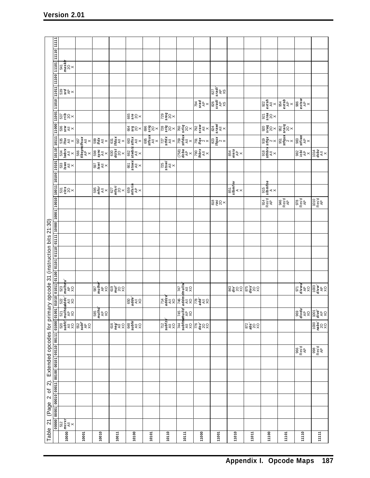| 11010 11011 10111 00111 11011 1010                                                      |                                                                                                                                                                                                                                                                                                         |               |                                 |                                  |                                                                                                                                                                                                                                                                                                                                                                                                                                                                                                                                                                        |       |                                                               |                                                                                                                                        |                     |                                                                                                                                                                                                                                                                                                                                                                                                                                   |                                                                                                                                                                                                                                                                                                                                                                                                                                                                                                                                                                              |                           |                                                            |                                                                                                                                                                  |                                                                                                                                                         |                                                                 |
|-----------------------------------------------------------------------------------------|---------------------------------------------------------------------------------------------------------------------------------------------------------------------------------------------------------------------------------------------------------------------------------------------------------|---------------|---------------------------------|----------------------------------|------------------------------------------------------------------------------------------------------------------------------------------------------------------------------------------------------------------------------------------------------------------------------------------------------------------------------------------------------------------------------------------------------------------------------------------------------------------------------------------------------------------------------------------------------------------------|-------|---------------------------------------------------------------|----------------------------------------------------------------------------------------------------------------------------------------|---------------------|-----------------------------------------------------------------------------------------------------------------------------------------------------------------------------------------------------------------------------------------------------------------------------------------------------------------------------------------------------------------------------------------------------------------------------------|------------------------------------------------------------------------------------------------------------------------------------------------------------------------------------------------------------------------------------------------------------------------------------------------------------------------------------------------------------------------------------------------------------------------------------------------------------------------------------------------------------------------------------------------------------------------------|---------------------------|------------------------------------------------------------|------------------------------------------------------------------------------------------------------------------------------------------------------------------|---------------------------------------------------------------------------------------------------------------------------------------------------------|-----------------------------------------------------------------|
|                                                                                         |                                                                                                                                                                                                                                                                                                         |               |                                 |                                  |                                                                                                                                                                                                                                                                                                                                                                                                                                                                                                                                                                        |       |                                                               |                                                                                                                                        |                     |                                                                                                                                                                                                                                                                                                                                                                                                                                   |                                                                                                                                                                                                                                                                                                                                                                                                                                                                                                                                                                              |                           |                                                            |                                                                                                                                                                  |                                                                                                                                                         |                                                                 |
|                                                                                         | $\begin{bmatrix} 541 \\ \text{mask1} \\ 20 \\ \times \end{bmatrix}$                                                                                                                                                                                                                                     |               |                                 |                                  |                                                                                                                                                                                                                                                                                                                                                                                                                                                                                                                                                                        |       |                                                               |                                                                                                                                        |                     |                                                                                                                                                                                                                                                                                                                                                                                                                                   |                                                                                                                                                                                                                                                                                                                                                                                                                                                                                                                                                                              |                           |                                                            |                                                                                                                                                                  |                                                                                                                                                         |                                                                 |
|                                                                                         |                                                                                                                                                                                                                                                                                                         |               |                                 |                                  |                                                                                                                                                                                                                                                                                                                                                                                                                                                                                                                                                                        |       |                                                               |                                                                                                                                        |                     |                                                                                                                                                                                                                                                                                                                                                                                                                                   |                                                                                                                                                                                                                                                                                                                                                                                                                                                                                                                                                                              |                           |                                                            |                                                                                                                                                                  |                                                                                                                                                         |                                                                 |
|                                                                                         | ន្រ្តិ ទី $\frac{8}{3}$ ន៍ $\times$                                                                                                                                                                                                                                                                     |               |                                 |                                  |                                                                                                                                                                                                                                                                                                                                                                                                                                                                                                                                                                        |       |                                                               |                                                                                                                                        |                     | $\begin{array}{c}\n\hline\n\text{327} \\ \text{548} \\ \text{568}\n\end{array}$                                                                                                                                                                                                                                                                                                                                                   |                                                                                                                                                                                                                                                                                                                                                                                                                                                                                                                                                                              |                           |                                                            |                                                                                                                                                                  |                                                                                                                                                         |                                                                 |
|                                                                                         |                                                                                                                                                                                                                                                                                                         |               |                                 |                                  |                                                                                                                                                                                                                                                                                                                                                                                                                                                                                                                                                                        |       |                                                               |                                                                                                                                        |                     | $\begin{array}{c}\n\frac{1}{2} \\ \frac{1}{2} \\ \frac{1}{2} \\ \frac{1}{2} \\ \frac{1}{2} \\ \frac{1}{2} \\ \frac{1}{2} \\ \frac{1}{2} \\ \frac{1}{2} \\ \frac{1}{2} \\ \frac{1}{2} \\ \frac{1}{2} \\ \frac{1}{2} \\ \frac{1}{2} \\ \frac{1}{2} \\ \frac{1}{2} \\ \frac{1}{2} \\ \frac{1}{2} \\ \frac{1}{2} \\ \frac{1}{2} \\ \frac{1}{2} \\ \frac{1}{2} \\ \frac{1}{2} \\ \frac{1}{2} \\ \frac{1}{2} \\ \frac{1}{2} \\ \frac{1$ |                                                                                                                                                                                                                                                                                                                                                                                                                                                                                                                                                                              |                           |                                                            |                                                                                                                                                                  |                                                                                                                                                         |                                                                 |
|                                                                                         |                                                                                                                                                                                                                                                                                                         |               |                                 |                                  |                                                                                                                                                                                                                                                                                                                                                                                                                                                                                                                                                                        |       |                                                               |                                                                                                                                        |                     |                                                                                                                                                                                                                                                                                                                                                                                                                                   |                                                                                                                                                                                                                                                                                                                                                                                                                                                                                                                                                                              |                           | ន្ធ<br>នៃក្នុ                                              |                                                                                                                                                                  |                                                                                                                                                         |                                                                 |
|                                                                                         |                                                                                                                                                                                                                                                                                                         |               |                                 |                                  |                                                                                                                                                                                                                                                                                                                                                                                                                                                                                                                                                                        |       |                                                               |                                                                                                                                        |                     |                                                                                                                                                                                                                                                                                                                                                                                                                                   |                                                                                                                                                                                                                                                                                                                                                                                                                                                                                                                                                                              |                           |                                                            |                                                                                                                                                                  |                                                                                                                                                         |                                                                 |
|                                                                                         |                                                                                                                                                                                                                                                                                                         |               |                                 |                                  |                                                                                                                                                                                                                                                                                                                                                                                                                                                                                                                                                                        |       |                                                               |                                                                                                                                        |                     |                                                                                                                                                                                                                                                                                                                                                                                                                                   |                                                                                                                                                                                                                                                                                                                                                                                                                                                                                                                                                                              |                           |                                                            | $\begin{tabular}{ c c c } \hline 919 & 920 \\ \hline \hline \end{tabular}$ strax stray<br>strax strax<br>strax strategy<br>strax x<br>strax<br>strax x<br>x<br>x |                                                                                                                                                         |                                                                 |
|                                                                                         |                                                                                                                                                                                                                                                                                                         |               |                                 |                                  |                                                                                                                                                                                                                                                                                                                                                                                                                                                                                                                                                                        |       |                                                               |                                                                                                                                        |                     |                                                                                                                                                                                                                                                                                                                                                                                                                                   | န္းမီ $\frac{1}{3}$ န္က                                                                                                                                                                                                                                                                                                                                                                                                                                                                                                                                                      |                           | $\begin{array}{c}\n\text{and} \\ \text{supp}\n\end{array}$ |                                                                                                                                                                  | $\begin{vmatrix} 0 & 0 & 0 \\ 0 & 0 & 0 \\ 0 & 0 & 0 \end{vmatrix} \leq \begin{vmatrix} 0 & 0 & 0 \\ 0 & 0 & 0 \\ 0 & 0 & 0 \end{vmatrix} \leq \lambda$ |                                                                 |
|                                                                                         |                                                                                                                                                                                                                                                                                                         |               |                                 |                                  |                                                                                                                                                                                                                                                                                                                                                                                                                                                                                                                                                                        |       |                                                               |                                                                                                                                        |                     |                                                                                                                                                                                                                                                                                                                                                                                                                                   |                                                                                                                                                                                                                                                                                                                                                                                                                                                                                                                                                                              |                           |                                                            |                                                                                                                                                                  |                                                                                                                                                         |                                                                 |
|                                                                                         |                                                                                                                                                                                                                                                                                                         |               |                                 |                                  |                                                                                                                                                                                                                                                                                                                                                                                                                                                                                                                                                                        |       |                                                               |                                                                                                                                        |                     |                                                                                                                                                                                                                                                                                                                                                                                                                                   |                                                                                                                                                                                                                                                                                                                                                                                                                                                                                                                                                                              |                           |                                                            |                                                                                                                                                                  |                                                                                                                                                         |                                                                 |
|                                                                                         |                                                                                                                                                                                                                                                                                                         |               |                                 |                                  |                                                                                                                                                                                                                                                                                                                                                                                                                                                                                                                                                                        |       |                                                               |                                                                                                                                        |                     |                                                                                                                                                                                                                                                                                                                                                                                                                                   | $\begin{array}{c}\n\overline{\text{851}} \\ \overline{\text{slb}} \\ \overline{\text{slb}} \\ \overline{\text{K}} \\ \overline{\text{K}} \\ \overline{\text{K}} \\ \overline{\text{K}} \\ \overline{\text{K}} \\ \overline{\text{K}} \\ \overline{\text{K}} \\ \overline{\text{K}} \\ \overline{\text{K}} \\ \overline{\text{K}} \\ \overline{\text{K}} \\ \overline{\text{K}} \\ \overline{\text{K}} \\ \overline{\text{K}} \\ \overline{\text{K}} \\ \overline{\text{K}} \\ \overline{\text{K}} \\ \overline{\text{K}} \\ \overline{\text{K}} \\ \overline{\text{K}} \\ \$ |                           | X<br>Res'd simmie<br>Pis p'se<br>Pis pis                   |                                                                                                                                                                  |                                                                                                                                                         |                                                                 |
|                                                                                         |                                                                                                                                                                                                                                                                                                         |               |                                 |                                  |                                                                                                                                                                                                                                                                                                                                                                                                                                                                                                                                                                        |       |                                                               |                                                                                                                                        |                     |                                                                                                                                                                                                                                                                                                                                                                                                                                   |                                                                                                                                                                                                                                                                                                                                                                                                                                                                                                                                                                              |                           |                                                            | 946<br>Resu<br>AP                                                                                                                                                | 978<br>Res'd<br>AP                                                                                                                                      | $\begin{array}{c} 1010 \\ \text{Resd} \\ \text{AP} \end{array}$ |
|                                                                                         |                                                                                                                                                                                                                                                                                                         |               |                                 |                                  |                                                                                                                                                                                                                                                                                                                                                                                                                                                                                                                                                                        |       |                                                               |                                                                                                                                        |                     |                                                                                                                                                                                                                                                                                                                                                                                                                                   |                                                                                                                                                                                                                                                                                                                                                                                                                                                                                                                                                                              |                           |                                                            |                                                                                                                                                                  |                                                                                                                                                         |                                                                 |
|                                                                                         |                                                                                                                                                                                                                                                                                                         |               |                                 |                                  |                                                                                                                                                                                                                                                                                                                                                                                                                                                                                                                                                                        |       |                                                               |                                                                                                                                        |                     |                                                                                                                                                                                                                                                                                                                                                                                                                                   |                                                                                                                                                                                                                                                                                                                                                                                                                                                                                                                                                                              |                           |                                                            |                                                                                                                                                                  |                                                                                                                                                         |                                                                 |
|                                                                                         |                                                                                                                                                                                                                                                                                                         |               |                                 |                                  |                                                                                                                                                                                                                                                                                                                                                                                                                                                                                                                                                                        |       |                                                               |                                                                                                                                        |                     |                                                                                                                                                                                                                                                                                                                                                                                                                                   |                                                                                                                                                                                                                                                                                                                                                                                                                                                                                                                                                                              |                           |                                                            |                                                                                                                                                                  |                                                                                                                                                         |                                                                 |
|                                                                                         |                                                                                                                                                                                                                                                                                                         |               |                                 |                                  |                                                                                                                                                                                                                                                                                                                                                                                                                                                                                                                                                                        |       |                                                               |                                                                                                                                        |                     |                                                                                                                                                                                                                                                                                                                                                                                                                                   |                                                                                                                                                                                                                                                                                                                                                                                                                                                                                                                                                                              |                           |                                                            |                                                                                                                                                                  |                                                                                                                                                         |                                                                 |
|                                                                                         |                                                                                                                                                                                                                                                                                                         |               |                                 |                                  |                                                                                                                                                                                                                                                                                                                                                                                                                                                                                                                                                                        |       |                                                               |                                                                                                                                        |                     |                                                                                                                                                                                                                                                                                                                                                                                                                                   |                                                                                                                                                                                                                                                                                                                                                                                                                                                                                                                                                                              |                           |                                                            |                                                                                                                                                                  |                                                                                                                                                         |                                                                 |
|                                                                                         |                                                                                                                                                                                                                                                                                                         |               |                                 |                                  |                                                                                                                                                                                                                                                                                                                                                                                                                                                                                                                                                                        |       |                                                               |                                                                                                                                        |                     |                                                                                                                                                                                                                                                                                                                                                                                                                                   |                                                                                                                                                                                                                                                                                                                                                                                                                                                                                                                                                                              |                           |                                                            |                                                                                                                                                                  |                                                                                                                                                         |                                                                 |
|                                                                                         |                                                                                                                                                                                                                                                                                                         |               |                                 |                                  |                                                                                                                                                                                                                                                                                                                                                                                                                                                                                                                                                                        |       |                                                               |                                                                                                                                        |                     |                                                                                                                                                                                                                                                                                                                                                                                                                                   |                                                                                                                                                                                                                                                                                                                                                                                                                                                                                                                                                                              |                           |                                                            |                                                                                                                                                                  | <b>STAR DOS</b>                                                                                                                                         |                                                                 |
|                                                                                         |                                                                                                                                                                                                                                                                                                         |               |                                 |                                  |                                                                                                                                                                                                                                                                                                                                                                                                                                                                                                                                                                        |       |                                                               |                                                                                                                                        |                     |                                                                                                                                                                                                                                                                                                                                                                                                                                   |                                                                                                                                                                                                                                                                                                                                                                                                                                                                                                                                                                              |                           |                                                            |                                                                                                                                                                  |                                                                                                                                                         |                                                                 |
|                                                                                         |                                                                                                                                                                                                                                                                                                         |               |                                 |                                  |                                                                                                                                                                                                                                                                                                                                                                                                                                                                                                                                                                        |       |                                                               |                                                                                                                                        |                     |                                                                                                                                                                                                                                                                                                                                                                                                                                   |                                                                                                                                                                                                                                                                                                                                                                                                                                                                                                                                                                              |                           |                                                            |                                                                                                                                                                  |                                                                                                                                                         |                                                                 |
|                                                                                         | $\begin{array}{c c}\n 520 & 521 \\  \hline\n \end{array}\n\quad \begin{array}{c}\n 521 \\  \hline\n \end{array}\n\quad \begin{array}{c}\n 521 \\  \hline\n \end{array}\n\quad \begin{array}{c}\n 521 \\  \hline\n \end{array}\n\quad \begin{array}{c}\n 81 \\  \hline\n \end{array}\n\quad \end{array}$ |               | 585<br><b>mulha</b><br>AD<br>XO |                                  |                                                                                                                                                                                                                                                                                                                                                                                                                                                                                                                                                                        |       |                                                               | $\begin{array}{c c}\n744 & 745 \\ \hline\n8ubfm & \uparrow 0 \\ \uparrow 0 \\ \uparrow 0 \\ \downarrow 0 \\ \downarrow 0\n\end{array}$ |                     |                                                                                                                                                                                                                                                                                                                                                                                                                                   |                                                                                                                                                                                                                                                                                                                                                                                                                                                                                                                                                                              |                           |                                                            |                                                                                                                                                                  | 88 4 50 50 4 50                                                                                                                                         |                                                                 |
| 00000 00001 00010 00011 00100 00101 00110 00111 01000 01001                             |                                                                                                                                                                                                                                                                                                         | 옮 <b>흘</b> 수☆ |                                 | $\frac{6}{26}$<br>$\frac{6}{26}$ | $\begin{array}{c}\n\overline{\text{gug}} \\ \overline{\text{gug}} \\ \overline{\text{gug}} \\ \overline{\text{gug}} \\ \overline{\text{gug}} \\ \overline{\text{gug}} \\ \overline{\text{gug}} \\ \overline{\text{gug}} \\ \overline{\text{gug}} \\ \overline{\text{gug}} \\ \overline{\text{gug}} \\ \overline{\text{gug}} \\ \overline{\text{gug}} \\ \overline{\text{gug}} \\ \overline{\text{gug}} \\ \overline{\text{gug}} \\ \overline{\text{gug}} \\ \overline{\text{gug}} \\ \overline{\text{gug}} \\ \overline{\text{gug}} \\ \overline{\text{gug}} \\ \over$ |       | $\begin{array}{c}\n712 \\ \hline\n345 \\ \hline\n\end{array}$ |                                                                                                                                        | ្តុ <b>ខ្ញុ</b> ខ្ល |                                                                                                                                                                                                                                                                                                                                                                                                                                   |                                                                                                                                                                                                                                                                                                                                                                                                                                                                                                                                                                              | និ <b>ន្ទ័</b> ន្ទ<br>និង |                                                            |                                                                                                                                                                  |                                                                                                                                                         | $\frac{1}{2}$                                                   |
|                                                                                         |                                                                                                                                                                                                                                                                                                         |               |                                 |                                  |                                                                                                                                                                                                                                                                                                                                                                                                                                                                                                                                                                        |       |                                                               |                                                                                                                                        |                     |                                                                                                                                                                                                                                                                                                                                                                                                                                   |                                                                                                                                                                                                                                                                                                                                                                                                                                                                                                                                                                              |                           |                                                            |                                                                                                                                                                  |                                                                                                                                                         |                                                                 |
| Table 21 (Page 2 of 2). Extended opcodes for primary opcode 31 (instruction bits 21:30) |                                                                                                                                                                                                                                                                                                         |               |                                 |                                  |                                                                                                                                                                                                                                                                                                                                                                                                                                                                                                                                                                        |       |                                                               |                                                                                                                                        |                     |                                                                                                                                                                                                                                                                                                                                                                                                                                   |                                                                                                                                                                                                                                                                                                                                                                                                                                                                                                                                                                              |                           |                                                            |                                                                                                                                                                  | 966<br>Res'd<br>AP                                                                                                                                      | 998<br>Res'd<br>AP                                              |
|                                                                                         |                                                                                                                                                                                                                                                                                                         |               |                                 |                                  |                                                                                                                                                                                                                                                                                                                                                                                                                                                                                                                                                                        |       |                                                               |                                                                                                                                        |                     |                                                                                                                                                                                                                                                                                                                                                                                                                                   |                                                                                                                                                                                                                                                                                                                                                                                                                                                                                                                                                                              |                           |                                                            |                                                                                                                                                                  |                                                                                                                                                         |                                                                 |
|                                                                                         |                                                                                                                                                                                                                                                                                                         |               |                                 |                                  |                                                                                                                                                                                                                                                                                                                                                                                                                                                                                                                                                                        |       |                                                               |                                                                                                                                        |                     |                                                                                                                                                                                                                                                                                                                                                                                                                                   |                                                                                                                                                                                                                                                                                                                                                                                                                                                                                                                                                                              |                           |                                                            |                                                                                                                                                                  |                                                                                                                                                         |                                                                 |
|                                                                                         |                                                                                                                                                                                                                                                                                                         |               |                                 |                                  |                                                                                                                                                                                                                                                                                                                                                                                                                                                                                                                                                                        |       |                                                               |                                                                                                                                        |                     |                                                                                                                                                                                                                                                                                                                                                                                                                                   |                                                                                                                                                                                                                                                                                                                                                                                                                                                                                                                                                                              |                           |                                                            |                                                                                                                                                                  |                                                                                                                                                         |                                                                 |
|                                                                                         |                                                                                                                                                                                                                                                                                                         |               |                                 |                                  |                                                                                                                                                                                                                                                                                                                                                                                                                                                                                                                                                                        |       |                                                               |                                                                                                                                        |                     |                                                                                                                                                                                                                                                                                                                                                                                                                                   |                                                                                                                                                                                                                                                                                                                                                                                                                                                                                                                                                                              |                           |                                                            |                                                                                                                                                                  |                                                                                                                                                         |                                                                 |
|                                                                                         |                                                                                                                                                                                                                                                                                                         |               |                                 |                                  |                                                                                                                                                                                                                                                                                                                                                                                                                                                                                                                                                                        |       |                                                               |                                                                                                                                        |                     |                                                                                                                                                                                                                                                                                                                                                                                                                                   |                                                                                                                                                                                                                                                                                                                                                                                                                                                                                                                                                                              |                           |                                                            |                                                                                                                                                                  |                                                                                                                                                         |                                                                 |
|                                                                                         | $\frac{1}{\sqrt{\frac{1}{2} \sum_{i=1}^{n} x_i}}$                                                                                                                                                                                                                                                       |               |                                 |                                  |                                                                                                                                                                                                                                                                                                                                                                                                                                                                                                                                                                        |       |                                                               |                                                                                                                                        |                     |                                                                                                                                                                                                                                                                                                                                                                                                                                   |                                                                                                                                                                                                                                                                                                                                                                                                                                                                                                                                                                              |                           |                                                            |                                                                                                                                                                  |                                                                                                                                                         |                                                                 |
|                                                                                         | 10000                                                                                                                                                                                                                                                                                                   | 10001         | 10010                           | 10011                            | 10100                                                                                                                                                                                                                                                                                                                                                                                                                                                                                                                                                                  | 10101 | 10110                                                         | 10111                                                                                                                                  | 11000               | 11001                                                                                                                                                                                                                                                                                                                                                                                                                             | 11010                                                                                                                                                                                                                                                                                                                                                                                                                                                                                                                                                                        | 11011                     | 11100                                                      | 11101                                                                                                                                                            | 11110                                                                                                                                                   | 11111                                                           |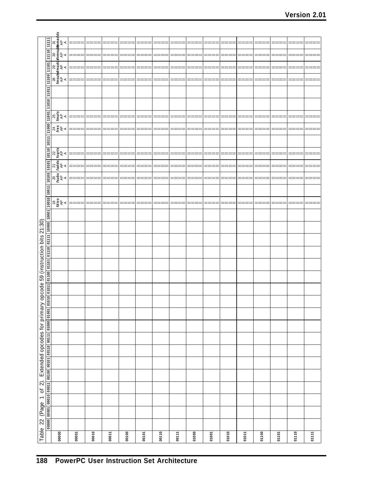| 010 01011 01101 01101 01110 01111 0010 0001 0010 0110 0010 0010 0010 01010 01010 01010 01010 01010 01010 01011                             | $\frac{1}{\sqrt{\frac{25}{\pi n}}}\right)$<br>$\frac{24}{1}$ es<br>4 $\approx$<br>$\begin{array}{c c}\n\mathbf{y} & \mathbf{y} & \mathbf{y} \\ \hline\n\mathbf{y} & \mathbf{y} & \mathbf{y} \\ \mathbf{y} & \mathbf{y} & \mathbf{y}\n\end{array}$<br>$\frac{1}{\sqrt{2}}\left \frac{\sinh(\theta)}{\sin(\theta)}\right $<br>$\frac{1}{\sqrt{\frac{25}{6}}\frac{1}{6}}$ |       |       | ≕<br>≕ |       |       |       | ==    |       | --<br>≕ | ===<br>≕ | ≕     |       |       |       |       |
|--------------------------------------------------------------------------------------------------------------------------------------------|------------------------------------------------------------------------------------------------------------------------------------------------------------------------------------------------------------------------------------------------------------------------------------------------------------------------------------------------------------------------|-------|-------|--------|-------|-------|-------|-------|-------|---------|----------|-------|-------|-------|-------|-------|
| opcode 59 (instruction bits 21:30)                                                                                                         |                                                                                                                                                                                                                                                                                                                                                                        |       |       |        |       |       |       |       |       |         |          |       |       |       |       |       |
| Table 22 (Page 1 of 2). Extended opcodes for primary<br>00000   00001   00010   00011   00100   00101   00110   00111   01000   01001   01 |                                                                                                                                                                                                                                                                                                                                                                        |       |       |        |       |       |       |       |       |         |          |       |       |       |       |       |
|                                                                                                                                            | 00000                                                                                                                                                                                                                                                                                                                                                                  | 00001 | 00010 | 00011  | 00100 | 00101 | 00110 | 00111 | 01000 | 01001   | 01010    | 01011 | 01100 | 01101 | 01110 | 01111 |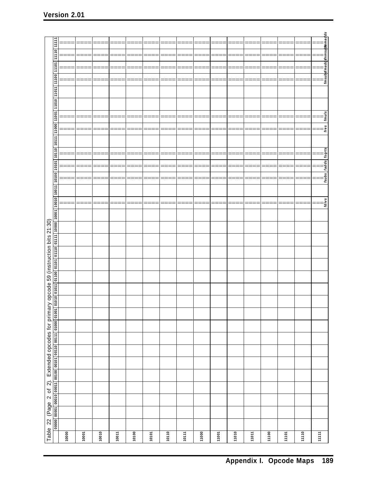|                                                      | 11111                                                                               | ====  | ===<br>$=$ | ====    | ====  | $====$ | ====  | ====  | ====             | ====  | ====  | ====  | ====  | ⋍<br>=== | ====  | ====    | =                                             |
|------------------------------------------------------|-------------------------------------------------------------------------------------|-------|------------|---------|-------|--------|-------|-------|------------------|-------|-------|-------|-------|----------|-------|---------|-----------------------------------------------|
|                                                      |                                                                                     |       |            |         |       |        | $=$   | ===   | ====             |       | ≕     |       | ⋍     |          | ≕     |         |                                               |
|                                                      | 11101 11110                                                                         |       |            |         |       |        |       |       |                  |       |       |       |       |          |       |         |                                               |
|                                                      |                                                                                     |       | ====       | ====    | ====  | ====   | ====  | ====  | ====             | ====  | ====  | ====  | ====  | ====     | ====  | ====    | ∏      <br>fmsub sfmaddsfnmsulbfsnmadds<br>== |
|                                                      |                                                                                     |       | ===        |         | ===   | ===    | $==$  | ===   | ====             | ===   | ===   |       | ====  |          | ===   |         |                                               |
|                                                      |                                                                                     |       |            |         |       |        |       |       |                  |       |       |       |       |          |       |         |                                               |
|                                                      | 10110   10111   11000   11001   11010   1101   11100                                |       |            |         |       |        |       |       |                  |       |       |       |       |          |       |         |                                               |
|                                                      |                                                                                     |       |            |         |       |        |       |       |                  |       |       |       |       |          |       |         |                                               |
|                                                      |                                                                                     |       |            |         |       |        |       |       |                  |       |       |       |       |          |       |         |                                               |
|                                                      |                                                                                     |       |            |         |       |        |       | ≕     | Ξ<br>==          |       |       |       | =     |          |       |         | $f_{muls}$                                    |
|                                                      |                                                                                     | ====  | ====       | ====    | ====  | ====   | ====  | ====  | ====             | ====  | ====  | ====  | ====  | ====     | ====  | ====    | $=$ $=$                                       |
|                                                      |                                                                                     |       |            |         |       |        |       |       |                  |       |       |       |       |          |       |         |                                               |
|                                                      |                                                                                     |       |            |         |       |        |       |       |                  |       |       |       |       |          |       |         |                                               |
|                                                      |                                                                                     |       |            |         |       |        |       |       |                  |       |       |       |       |          |       |         |                                               |
|                                                      |                                                                                     |       |            |         |       |        |       |       |                  |       |       |       |       |          |       |         |                                               |
|                                                      | $\sqrt{10101}$                                                                      |       | =          | $=$ $=$ | ====  | ====   | $=$   | $=$   | ====             | ====  | ===   | ≕     | ====  | ⋍<br>=== | ====  | $=$ $=$ | Ξ                                             |
|                                                      |                                                                                     |       |            |         |       |        |       | Ξ     | $=$ $=$ $=$<br>Ξ |       |       |       | ⋍     |          | Ξ     |         | fsubs   fadds   fsqrts                        |
|                                                      | 010   01011   01100   01101   01110   01111   10000   10001   10010   10011   10100 |       |            |         |       |        |       |       |                  |       |       |       |       |          |       |         |                                               |
|                                                      |                                                                                     |       |            |         |       |        |       |       |                  |       |       |       |       |          |       |         |                                               |
|                                                      |                                                                                     |       | ==:        |         | ===   | ===    | ≕     | ====  | ====             | ===   | ==:   |       | ====  |          | ===   |         | fdivs                                         |
|                                                      |                                                                                     |       |            |         |       |        |       |       |                  |       |       |       |       |          |       |         |                                               |
|                                                      |                                                                                     |       |            |         |       |        |       |       |                  |       |       |       |       |          |       |         |                                               |
| opcode 59 (instruction bits 21:30)                   |                                                                                     |       |            |         |       |        |       |       |                  |       |       |       |       |          |       |         |                                               |
|                                                      |                                                                                     |       |            |         |       |        |       |       |                  |       |       |       |       |          |       |         |                                               |
|                                                      |                                                                                     |       |            |         |       |        |       |       |                  |       |       |       |       |          |       |         |                                               |
|                                                      |                                                                                     |       |            |         |       |        |       |       |                  |       |       |       |       |          |       |         |                                               |
|                                                      |                                                                                     |       |            |         |       |        |       |       |                  |       |       |       |       |          |       |         |                                               |
|                                                      |                                                                                     |       |            |         |       |        |       |       |                  |       |       |       |       |          |       |         |                                               |
|                                                      |                                                                                     |       |            |         |       |        |       |       |                  |       |       |       |       |          |       |         |                                               |
|                                                      |                                                                                     |       |            |         |       |        |       |       |                  |       |       |       |       |          |       |         |                                               |
|                                                      |                                                                                     |       |            |         |       |        |       |       |                  |       |       |       |       |          |       |         |                                               |
|                                                      |                                                                                     |       |            |         |       |        |       |       |                  |       |       |       |       |          |       |         |                                               |
|                                                      |                                                                                     |       |            |         |       |        |       |       |                  |       |       |       |       |          |       |         |                                               |
|                                                      |                                                                                     |       |            |         |       |        |       |       |                  |       |       |       |       |          |       |         |                                               |
|                                                      |                                                                                     |       |            |         |       |        |       |       |                  |       |       |       |       |          |       |         |                                               |
|                                                      |                                                                                     |       |            |         |       |        |       |       |                  |       |       |       |       |          |       |         |                                               |
|                                                      |                                                                                     |       |            |         |       |        |       |       |                  |       |       |       |       |          |       |         |                                               |
|                                                      |                                                                                     |       |            |         |       |        |       |       |                  |       |       |       |       |          |       |         |                                               |
|                                                      |                                                                                     |       |            |         |       |        |       |       |                  |       |       |       |       |          |       |         |                                               |
|                                                      |                                                                                     |       |            |         |       |        |       |       |                  |       |       |       |       |          |       |         |                                               |
|                                                      |                                                                                     |       |            |         |       |        |       |       |                  |       |       |       |       |          |       |         |                                               |
|                                                      |                                                                                     |       |            |         |       |        |       |       |                  |       |       |       |       |          |       |         |                                               |
|                                                      |                                                                                     |       |            |         |       |        |       |       |                  |       |       |       |       |          |       |         |                                               |
|                                                      |                                                                                     |       |            |         |       |        |       |       |                  |       |       |       |       |          |       |         |                                               |
| Table 22 (Page 2 of 2). Extended opcodes for primary | 00000   00001   00010   00011   00100   00101   00110   00111   01000   01001   01  |       |            |         |       |        |       |       |                  |       |       |       |       |          |       |         |                                               |
|                                                      |                                                                                     | 10000 | 10001      | 10010   | 10011 | 10100  | 10101 | 10110 | 10111            | 11000 | 11001 | 11010 | 11011 | 11100    | 11101 | 11110   | 11111                                         |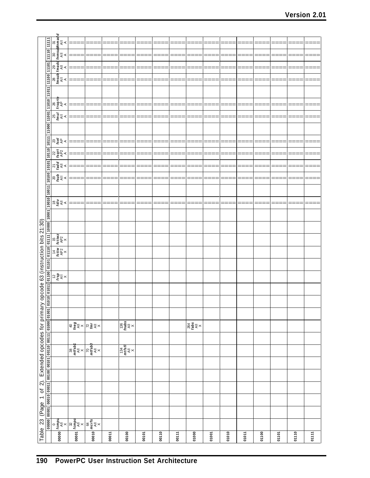|                                                                                         |                                                                                                                                                                                                                               | $\begin{array}{c c}\n 28 & 29 & 30 & 31 \\  \hline\n\text{fmsub } \text{fmaded } \text{fnmsub } \text{fnmaded} \\  \text{All} & \text{All} & \text{All} & \text{All} \\  \text{A} & \text{A} & \text{A}\n \end{array}$ |                                                                         |                                                                             |       |                                                                                                                                     |       |       |       |               |       |       |       |       |       |       |       |
|-----------------------------------------------------------------------------------------|-------------------------------------------------------------------------------------------------------------------------------------------------------------------------------------------------------------------------------|------------------------------------------------------------------------------------------------------------------------------------------------------------------------------------------------------------------------|-------------------------------------------------------------------------|-----------------------------------------------------------------------------|-------|-------------------------------------------------------------------------------------------------------------------------------------|-------|-------|-------|---------------|-------|-------|-------|-------|-------|-------|-------|
|                                                                                         |                                                                                                                                                                                                                               |                                                                                                                                                                                                                        |                                                                         |                                                                             |       |                                                                                                                                     |       |       |       |               |       |       |       |       |       |       |       |
|                                                                                         |                                                                                                                                                                                                                               |                                                                                                                                                                                                                        |                                                                         |                                                                             |       |                                                                                                                                     |       |       |       |               |       |       |       |       |       |       |       |
|                                                                                         |                                                                                                                                                                                                                               |                                                                                                                                                                                                                        |                                                                         |                                                                             |       |                                                                                                                                     |       |       |       |               |       |       |       |       |       |       |       |
|                                                                                         |                                                                                                                                                                                                                               |                                                                                                                                                                                                                        |                                                                         |                                                                             |       |                                                                                                                                     |       |       |       |               |       |       |       |       |       |       |       |
|                                                                                         |                                                                                                                                                                                                                               |                                                                                                                                                                                                                        |                                                                         |                                                                             |       |                                                                                                                                     |       |       |       |               |       |       |       |       |       |       |       |
|                                                                                         |                                                                                                                                                                                                                               |                                                                                                                                                                                                                        |                                                                         |                                                                             |       |                                                                                                                                     |       |       |       |               |       |       |       |       |       |       |       |
|                                                                                         |                                                                                                                                                                                                                               |                                                                                                                                                                                                                        |                                                                         |                                                                             |       |                                                                                                                                     |       |       |       |               |       |       |       |       |       |       |       |
|                                                                                         |                                                                                                                                                                                                                               |                                                                                                                                                                                                                        |                                                                         |                                                                             |       |                                                                                                                                     |       |       |       |               |       |       |       |       |       |       |       |
|                                                                                         |                                                                                                                                                                                                                               |                                                                                                                                                                                                                        |                                                                         |                                                                             |       |                                                                                                                                     |       |       |       |               |       |       |       |       |       |       |       |
|                                                                                         |                                                                                                                                                                                                                               |                                                                                                                                                                                                                        |                                                                         |                                                                             |       |                                                                                                                                     |       |       |       |               |       |       |       |       |       |       |       |
|                                                                                         |                                                                                                                                                                                                                               |                                                                                                                                                                                                                        |                                                                         |                                                                             |       |                                                                                                                                     |       |       |       |               |       |       |       |       |       |       |       |
|                                                                                         |                                                                                                                                                                                                                               | $\begin{array}{c c}\n 25 & 26 \\  \hline\n \text{fmul} & \text{frsgrte} \\  \mathbb{A}^{\parallel} & \mathbb{A}^{\mathsf{P}} \\  \mathbb{A} & \mathbb{A}\n \end{array}$                                                |                                                                         |                                                                             |       |                                                                                                                                     |       |       |       |               |       |       |       |       |       |       |       |
|                                                                                         |                                                                                                                                                                                                                               |                                                                                                                                                                                                                        |                                                                         |                                                                             |       |                                                                                                                                     |       |       |       |               |       |       |       |       |       |       |       |
|                                                                                         |                                                                                                                                                                                                                               |                                                                                                                                                                                                                        |                                                                         |                                                                             |       |                                                                                                                                     |       |       |       |               |       |       |       |       |       |       |       |
|                                                                                         |                                                                                                                                                                                                                               |                                                                                                                                                                                                                        |                                                                         |                                                                             |       |                                                                                                                                     |       |       |       |               |       |       |       |       |       |       |       |
|                                                                                         |                                                                                                                                                                                                                               |                                                                                                                                                                                                                        |                                                                         |                                                                             |       |                                                                                                                                     |       |       |       |               |       |       |       |       |       |       |       |
|                                                                                         |                                                                                                                                                                                                                               | $\frac{3}{2}$ $\frac{3}{2}$ $\frac{3}{2}$ $\frac{3}{2}$ $\frac{3}{2}$                                                                                                                                                  |                                                                         |                                                                             |       |                                                                                                                                     |       |       |       |               |       |       |       |       |       |       |       |
|                                                                                         |                                                                                                                                                                                                                               |                                                                                                                                                                                                                        |                                                                         |                                                                             |       |                                                                                                                                     |       |       |       |               |       |       |       |       |       |       |       |
|                                                                                         |                                                                                                                                                                                                                               | $\frac{1}{\sqrt{\frac{2}{\pi}}}\left\vert \frac{1}{\frac{2}{\pi}}\right\vert_{\mathcal{A}}$                                                                                                                            |                                                                         |                                                                             |       |                                                                                                                                     |       |       |       |               |       |       |       |       |       |       |       |
|                                                                                         |                                                                                                                                                                                                                               |                                                                                                                                                                                                                        |                                                                         |                                                                             |       |                                                                                                                                     |       |       |       |               |       |       |       |       |       |       |       |
|                                                                                         |                                                                                                                                                                                                                               | $\begin{array}{c c}\n\hline\nz_1 \\ \hline\n\text{had} \\ \hline\n\text{All}\n\end{array}$<br>⋖                                                                                                                        |                                                                         |                                                                             |       |                                                                                                                                     |       |       |       |               |       |       |       |       |       |       |       |
|                                                                                         |                                                                                                                                                                                                                               |                                                                                                                                                                                                                        |                                                                         |                                                                             |       |                                                                                                                                     |       |       |       |               |       |       |       |       |       |       |       |
|                                                                                         |                                                                                                                                                                                                                               | $\begin{array}{c}\n\sqrt{3} \\ \hline\n\sqrt{3} \\ \hline\n\sqrt{3} \\ \hline\n\sqrt{3}\n\end{array}$                                                                                                                  |                                                                         |                                                                             |       |                                                                                                                                     |       |       |       |               |       |       |       |       |       |       |       |
|                                                                                         |                                                                                                                                                                                                                               |                                                                                                                                                                                                                        |                                                                         |                                                                             |       |                                                                                                                                     |       |       |       |               |       |       |       |       |       |       |       |
|                                                                                         |                                                                                                                                                                                                                               |                                                                                                                                                                                                                        |                                                                         |                                                                             |       |                                                                                                                                     |       |       |       |               |       |       |       |       |       |       |       |
|                                                                                         |                                                                                                                                                                                                                               |                                                                                                                                                                                                                        |                                                                         |                                                                             |       |                                                                                                                                     |       |       |       |               |       |       |       |       |       |       |       |
|                                                                                         |                                                                                                                                                                                                                               | $\overset{\mathfrak{B}}{\mathfrak{F}}\overset{\mathfrak{g}}{\overline{\mathfrak{F}}}\overset{\mathfrak{g}}{\overline{\mathfrak{F}}}\mathfrak{K}$                                                                       |                                                                         |                                                                             |       |                                                                                                                                     |       |       |       |               |       |       |       |       |       |       |       |
|                                                                                         |                                                                                                                                                                                                                               |                                                                                                                                                                                                                        |                                                                         |                                                                             |       |                                                                                                                                     |       |       |       |               |       |       |       |       |       |       |       |
|                                                                                         |                                                                                                                                                                                                                               |                                                                                                                                                                                                                        |                                                                         |                                                                             |       |                                                                                                                                     |       |       |       |               |       |       |       |       |       |       |       |
|                                                                                         |                                                                                                                                                                                                                               |                                                                                                                                                                                                                        |                                                                         |                                                                             |       |                                                                                                                                     |       |       |       |               |       |       |       |       |       |       |       |
|                                                                                         |                                                                                                                                                                                                                               |                                                                                                                                                                                                                        |                                                                         |                                                                             |       |                                                                                                                                     |       |       |       |               |       |       |       |       |       |       |       |
|                                                                                         |                                                                                                                                                                                                                               |                                                                                                                                                                                                                        |                                                                         |                                                                             |       |                                                                                                                                     |       |       |       |               |       |       |       |       |       |       |       |
|                                                                                         |                                                                                                                                                                                                                               |                                                                                                                                                                                                                        |                                                                         |                                                                             |       |                                                                                                                                     |       |       |       |               |       |       |       |       |       |       |       |
|                                                                                         |                                                                                                                                                                                                                               |                                                                                                                                                                                                                        |                                                                         |                                                                             |       |                                                                                                                                     |       |       |       |               |       |       |       |       |       |       |       |
|                                                                                         |                                                                                                                                                                                                                               | $\frac{1}{\sqrt{\frac{1}{2}}\sum_{\substack{\alpha=1\\ \alpha\in\mathbb{N}}}x}$                                                                                                                                        |                                                                         |                                                                             |       |                                                                                                                                     |       |       |       |               |       |       |       |       |       |       |       |
|                                                                                         |                                                                                                                                                                                                                               |                                                                                                                                                                                                                        |                                                                         |                                                                             |       |                                                                                                                                     |       |       |       |               |       |       |       |       |       |       |       |
|                                                                                         |                                                                                                                                                                                                                               |                                                                                                                                                                                                                        |                                                                         |                                                                             |       |                                                                                                                                     |       |       |       |               |       |       |       |       |       |       |       |
|                                                                                         |                                                                                                                                                                                                                               |                                                                                                                                                                                                                        |                                                                         |                                                                             |       |                                                                                                                                     |       |       |       |               |       |       |       |       |       |       |       |
|                                                                                         |                                                                                                                                                                                                                               |                                                                                                                                                                                                                        |                                                                         |                                                                             |       |                                                                                                                                     |       |       |       |               |       |       |       |       |       |       |       |
|                                                                                         |                                                                                                                                                                                                                               | $\overset{\sim}{\approx} \frac{1}{2} \overset{\sim}{\approx}$                                                                                                                                                          |                                                                         |                                                                             |       |                                                                                                                                     |       |       |       |               |       |       |       |       |       |       |       |
|                                                                                         |                                                                                                                                                                                                                               |                                                                                                                                                                                                                        |                                                                         |                                                                             |       |                                                                                                                                     |       |       |       |               |       |       |       |       |       |       |       |
|                                                                                         |                                                                                                                                                                                                                               |                                                                                                                                                                                                                        |                                                                         |                                                                             |       |                                                                                                                                     |       |       |       |               |       |       |       |       |       |       |       |
|                                                                                         |                                                                                                                                                                                                                               |                                                                                                                                                                                                                        |                                                                         |                                                                             |       |                                                                                                                                     |       |       |       |               |       |       |       |       |       |       |       |
|                                                                                         | partel partel partel partel 1900   1900   1900   1900   1900   1900   1900   1910   1910   1900   1900   1910   1910   1910   1910   1910   1910   1910   1910   1910   1910   1910   1910   1910   1910   1910   1910   1910 |                                                                                                                                                                                                                        |                                                                         |                                                                             |       |                                                                                                                                     |       |       |       |               |       |       |       |       |       |       |       |
|                                                                                         |                                                                                                                                                                                                                               |                                                                                                                                                                                                                        |                                                                         |                                                                             |       |                                                                                                                                     |       |       |       |               |       |       |       |       |       |       |       |
|                                                                                         |                                                                                                                                                                                                                               |                                                                                                                                                                                                                        |                                                                         |                                                                             |       |                                                                                                                                     |       |       |       |               |       |       |       |       |       |       |       |
|                                                                                         |                                                                                                                                                                                                                               |                                                                                                                                                                                                                        |                                                                         |                                                                             |       |                                                                                                                                     |       |       |       |               |       |       |       |       |       |       |       |
|                                                                                         |                                                                                                                                                                                                                               |                                                                                                                                                                                                                        |                                                                         | $\exists \frac{\xi}{\xi} \exists x \in \mathbb{R} \exists y \in \mathbb{R}$ |       | $\begin{bmatrix} 136 \\ \text{mabs} \\ \text{Al} \end{bmatrix}$                                                                     |       |       |       | $\frac{1}{2}$ |       |       |       |       |       |       |       |
|                                                                                         |                                                                                                                                                                                                                               |                                                                                                                                                                                                                        |                                                                         |                                                                             |       |                                                                                                                                     |       |       |       |               |       |       |       |       |       |       |       |
|                                                                                         |                                                                                                                                                                                                                               |                                                                                                                                                                                                                        |                                                                         |                                                                             |       |                                                                                                                                     |       |       |       |               |       |       |       |       |       |       |       |
|                                                                                         |                                                                                                                                                                                                                               |                                                                                                                                                                                                                        |                                                                         | $\frac{1}{\sqrt{\frac{1}{n}}\sum\limits_{i=1}^{n}x_{i}}$                    |       |                                                                                                                                     |       |       |       |               |       |       |       |       |       |       |       |
|                                                                                         |                                                                                                                                                                                                                               |                                                                                                                                                                                                                        | $\begin{array}{c} \hline \text{as} \\ \text{mif} \\ \hline \end{array}$ |                                                                             |       | $\begin{array}{c}\n\stackrel{134}{\longrightarrow} \\ \stackrel{34}{\longrightarrow} \\ \stackrel{4}{\longrightarrow}\n\end{array}$ |       |       |       |               |       |       |       |       |       |       |       |
|                                                                                         |                                                                                                                                                                                                                               |                                                                                                                                                                                                                        |                                                                         |                                                                             |       |                                                                                                                                     |       |       |       |               |       |       |       |       |       |       |       |
|                                                                                         |                                                                                                                                                                                                                               |                                                                                                                                                                                                                        |                                                                         |                                                                             |       |                                                                                                                                     |       |       |       |               |       |       |       |       |       |       |       |
|                                                                                         |                                                                                                                                                                                                                               |                                                                                                                                                                                                                        |                                                                         |                                                                             |       |                                                                                                                                     |       |       |       |               |       |       |       |       |       |       |       |
|                                                                                         |                                                                                                                                                                                                                               |                                                                                                                                                                                                                        |                                                                         |                                                                             |       |                                                                                                                                     |       |       |       |               |       |       |       |       |       |       |       |
|                                                                                         |                                                                                                                                                                                                                               |                                                                                                                                                                                                                        |                                                                         |                                                                             |       |                                                                                                                                     |       |       |       |               |       |       |       |       |       |       |       |
|                                                                                         |                                                                                                                                                                                                                               |                                                                                                                                                                                                                        |                                                                         |                                                                             |       |                                                                                                                                     |       |       |       |               |       |       |       |       |       |       |       |
|                                                                                         |                                                                                                                                                                                                                               |                                                                                                                                                                                                                        |                                                                         |                                                                             |       |                                                                                                                                     |       |       |       |               |       |       |       |       |       |       |       |
|                                                                                         |                                                                                                                                                                                                                               |                                                                                                                                                                                                                        |                                                                         |                                                                             |       |                                                                                                                                     |       |       |       |               |       |       |       |       |       |       |       |
|                                                                                         |                                                                                                                                                                                                                               |                                                                                                                                                                                                                        |                                                                         |                                                                             |       |                                                                                                                                     |       |       |       |               |       |       |       |       |       |       |       |
|                                                                                         |                                                                                                                                                                                                                               |                                                                                                                                                                                                                        |                                                                         |                                                                             |       |                                                                                                                                     |       |       |       |               |       |       |       |       |       |       |       |
|                                                                                         |                                                                                                                                                                                                                               |                                                                                                                                                                                                                        |                                                                         |                                                                             |       |                                                                                                                                     |       |       |       |               |       |       |       |       |       |       |       |
|                                                                                         | 00000 00001 00010 00011 00100 00101 00110 00111 01000 01001                                                                                                                                                                   |                                                                                                                                                                                                                        |                                                                         |                                                                             |       |                                                                                                                                     |       |       |       |               |       |       |       |       |       |       |       |
|                                                                                         |                                                                                                                                                                                                                               |                                                                                                                                                                                                                        |                                                                         |                                                                             |       |                                                                                                                                     |       |       |       |               |       |       |       |       |       |       |       |
| Table 23 (Page 1 of 2). Extended opcodes for primary opcode 63 (instruction bits 21:30) |                                                                                                                                                                                                                               |                                                                                                                                                                                                                        |                                                                         |                                                                             | 00011 | 00100                                                                                                                               | 00101 | 00110 | 00111 | 01000         | 01001 | 01010 | 01011 | 01100 | 01101 | 01110 | 01111 |
|                                                                                         |                                                                                                                                                                                                                               |                                                                                                                                                                                                                        |                                                                         |                                                                             |       |                                                                                                                                     |       |       |       |               |       |       |       |       |       |       |       |
|                                                                                         |                                                                                                                                                                                                                               |                                                                                                                                                                                                                        |                                                                         |                                                                             |       |                                                                                                                                     |       |       |       |               |       |       |       |       |       |       |       |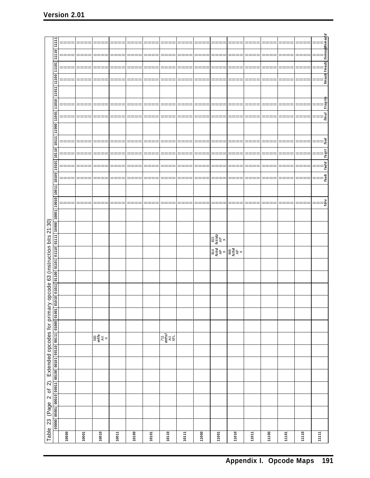|                                                      | 11111                                                                                                         |       | =     |                                     | ===   |       | ====    | ====                                                                                                                                                    | ====      |       |       | ====                                                                                                                                                                                         | ====  |       | ===   | ====  |                                                                                                                                                                                                                                                                                                                                                                                                                                                                                                                                                      |
|------------------------------------------------------|---------------------------------------------------------------------------------------------------------------|-------|-------|-------------------------------------|-------|-------|---------|---------------------------------------------------------------------------------------------------------------------------------------------------------|-----------|-------|-------|----------------------------------------------------------------------------------------------------------------------------------------------------------------------------------------------|-------|-------|-------|-------|------------------------------------------------------------------------------------------------------------------------------------------------------------------------------------------------------------------------------------------------------------------------------------------------------------------------------------------------------------------------------------------------------------------------------------------------------------------------------------------------------------------------------------------------------|
|                                                      | 01111                                                                                                         |       |       |                                     |       |       |         | ====                                                                                                                                                    | ===       |       | ===   |                                                                                                                                                                                              | ===   |       |       |       |                                                                                                                                                                                                                                                                                                                                                                                                                                                                                                                                                      |
|                                                      |                                                                                                               |       |       |                                     |       |       |         |                                                                                                                                                         |           |       |       |                                                                                                                                                                                              |       |       |       |       |                                                                                                                                                                                                                                                                                                                                                                                                                                                                                                                                                      |
|                                                      | 1101                                                                                                          |       |       |                                     |       |       | ⋍       | ====                                                                                                                                                    | ====      |       | ==    |                                                                                                                                                                                              |       |       |       |       |                                                                                                                                                                                                                                                                                                                                                                                                                                                                                                                                                      |
|                                                      | 00111                                                                                                         |       |       |                                     |       |       |         |                                                                                                                                                         |           |       |       |                                                                                                                                                                                              |       |       |       |       |                                                                                                                                                                                                                                                                                                                                                                                                                                                                                                                                                      |
|                                                      |                                                                                                               |       |       |                                     |       |       |         |                                                                                                                                                         |           |       |       |                                                                                                                                                                                              |       |       |       |       |                                                                                                                                                                                                                                                                                                                                                                                                                                                                                                                                                      |
|                                                      | 11010 11011                                                                                                   |       | ====  | ===                                 | ====  | ====  | $=$ $=$ | ====                                                                                                                                                    | $== == =$ | ====  | ====  | ====                                                                                                                                                                                         | ====  | ====  | ====  | $==$  |                                                                                                                                                                                                                                                                                                                                                                                                                                                                                                                                                      |
|                                                      |                                                                                                               | ⋍⋍⋍   | ===   | ≡≡≡                                 | ===   | ===   | ====    | ====                                                                                                                                                    | ====      | ===   | ===   |                                                                                                                                                                                              | ====  |       | ===   | ===   | $\begin{array}{c c} \hline \cdots \\ \hline \cdots \\ \hline \cdots \\ \hline \cdots \\ \hline \cdots \\ \hline \cdots \\ \hline \cdots \\ \hline \cdots \\ \hline \cdots \\ \hline \cdots \\ \hline \cdots \\ \hline \cdots \\ \hline \cdots \\ \hline \cdots \\ \hline \cdots \\ \hline \cdots \\ \hline \cdots \\ \hline \cdots \\ \hline \cdots \\ \hline \cdots \\ \hline \cdots \\ \hline \cdots \\ \hline \cdots \\ \hline \cdots \\ \hline \cdots \\ \hline \cdots \\ \hline \cdots \\ \hline \cdots \\ \hline \cdots \\ \hline \cdots \\ \$ |
|                                                      | 11000 11001                                                                                                   |       |       |                                     |       |       |         |                                                                                                                                                         |           |       |       |                                                                                                                                                                                              |       |       |       |       |                                                                                                                                                                                                                                                                                                                                                                                                                                                                                                                                                      |
|                                                      | 10111                                                                                                         |       |       |                                     |       |       |         |                                                                                                                                                         |           |       |       |                                                                                                                                                                                              |       |       |       |       | fsel                                                                                                                                                                                                                                                                                                                                                                                                                                                                                                                                                 |
|                                                      | $\frac{10110}{ }$                                                                                             |       |       |                                     |       |       |         |                                                                                                                                                         | ===       |       |       |                                                                                                                                                                                              |       |       |       |       | fsqrt                                                                                                                                                                                                                                                                                                                                                                                                                                                                                                                                                |
|                                                      |                                                                                                               |       | =     |                                     | ====  | ====  | $=$ $=$ | ====                                                                                                                                                    | ====      | ====  | ====  | ====                                                                                                                                                                                         | ====  | ====  | ====  | ====  | fadd<br>Ξ                                                                                                                                                                                                                                                                                                                                                                                                                                                                                                                                            |
|                                                      |                                                                                                               |       |       |                                     |       |       |         |                                                                                                                                                         |           |       |       |                                                                                                                                                                                              |       |       |       |       | fsub                                                                                                                                                                                                                                                                                                                                                                                                                                                                                                                                                 |
|                                                      |                                                                                                               | ====  | ===   |                                     | ===   |       | $==$    | ====                                                                                                                                                    | ====      |       | ===   |                                                                                                                                                                                              | ===   |       |       |       |                                                                                                                                                                                                                                                                                                                                                                                                                                                                                                                                                      |
|                                                      |                                                                                                               |       |       |                                     |       |       |         |                                                                                                                                                         |           |       |       |                                                                                                                                                                                              |       |       |       |       |                                                                                                                                                                                                                                                                                                                                                                                                                                                                                                                                                      |
|                                                      |                                                                                                               |       |       |                                     |       |       |         |                                                                                                                                                         |           |       |       |                                                                                                                                                                                              |       |       |       |       | fdiv                                                                                                                                                                                                                                                                                                                                                                                                                                                                                                                                                 |
|                                                      |                                                                                                               |       |       |                                     |       |       |         |                                                                                                                                                         |           |       |       |                                                                                                                                                                                              |       |       |       |       |                                                                                                                                                                                                                                                                                                                                                                                                                                                                                                                                                      |
|                                                      |                                                                                                               |       |       |                                     |       |       |         |                                                                                                                                                         |           |       |       |                                                                                                                                                                                              |       |       |       |       |                                                                                                                                                                                                                                                                                                                                                                                                                                                                                                                                                      |
| opcode 63 (instruction bits 21:30)                   |                                                                                                               |       |       |                                     |       |       |         |                                                                                                                                                         |           |       |       | $\begin{array}{c c}\n\hline\n814 & 815 \\ \hline\nfcitid & fctidz \\ \hline\nA^D & \times \\ \hline\n84^D & \times \\ \hline\n84^D & \times \\ \hline\n64^D & \times \\ \hline\n\end{array}$ |       |       |       |       |                                                                                                                                                                                                                                                                                                                                                                                                                                                                                                                                                      |
|                                                      |                                                                                                               |       |       |                                     |       |       |         |                                                                                                                                                         |           |       |       |                                                                                                                                                                                              |       |       |       |       |                                                                                                                                                                                                                                                                                                                                                                                                                                                                                                                                                      |
|                                                      |                                                                                                               |       |       |                                     |       |       |         |                                                                                                                                                         |           |       |       |                                                                                                                                                                                              |       |       |       |       |                                                                                                                                                                                                                                                                                                                                                                                                                                                                                                                                                      |
|                                                      |                                                                                                               |       |       |                                     |       |       |         |                                                                                                                                                         |           |       |       |                                                                                                                                                                                              |       |       |       |       |                                                                                                                                                                                                                                                                                                                                                                                                                                                                                                                                                      |
|                                                      |                                                                                                               |       |       |                                     |       |       |         |                                                                                                                                                         |           |       |       |                                                                                                                                                                                              |       |       |       |       |                                                                                                                                                                                                                                                                                                                                                                                                                                                                                                                                                      |
|                                                      |                                                                                                               |       |       |                                     |       |       |         |                                                                                                                                                         |           |       |       |                                                                                                                                                                                              |       |       |       |       |                                                                                                                                                                                                                                                                                                                                                                                                                                                                                                                                                      |
|                                                      |                                                                                                               |       |       |                                     |       |       |         |                                                                                                                                                         |           |       |       |                                                                                                                                                                                              |       |       |       |       |                                                                                                                                                                                                                                                                                                                                                                                                                                                                                                                                                      |
|                                                      |                                                                                                               |       |       |                                     |       |       |         |                                                                                                                                                         |           |       |       |                                                                                                                                                                                              |       |       |       |       |                                                                                                                                                                                                                                                                                                                                                                                                                                                                                                                                                      |
|                                                      |                                                                                                               |       |       | $\frac{1}{2}$ will be $\frac{1}{2}$ |       |       |         | $\begin{array}{c}\n711 \\ m t s f \\ \hline\n\lambda \parallel \ \ \downarrow \\ \chi \vdash \ \ \downarrow \\ \chi \vdash \ \ \downarrow\n\end{array}$ |           |       |       |                                                                                                                                                                                              |       |       |       |       |                                                                                                                                                                                                                                                                                                                                                                                                                                                                                                                                                      |
|                                                      |                                                                                                               |       |       |                                     |       |       |         |                                                                                                                                                         |           |       |       |                                                                                                                                                                                              |       |       |       |       |                                                                                                                                                                                                                                                                                                                                                                                                                                                                                                                                                      |
|                                                      |                                                                                                               |       |       |                                     |       |       |         |                                                                                                                                                         |           |       |       |                                                                                                                                                                                              |       |       |       |       |                                                                                                                                                                                                                                                                                                                                                                                                                                                                                                                                                      |
|                                                      |                                                                                                               |       |       |                                     |       |       |         |                                                                                                                                                         |           |       |       |                                                                                                                                                                                              |       |       |       |       |                                                                                                                                                                                                                                                                                                                                                                                                                                                                                                                                                      |
|                                                      |                                                                                                               |       |       |                                     |       |       |         |                                                                                                                                                         |           |       |       |                                                                                                                                                                                              |       |       |       |       |                                                                                                                                                                                                                                                                                                                                                                                                                                                                                                                                                      |
|                                                      |                                                                                                               |       |       |                                     |       |       |         |                                                                                                                                                         |           |       |       |                                                                                                                                                                                              |       |       |       |       |                                                                                                                                                                                                                                                                                                                                                                                                                                                                                                                                                      |
|                                                      |                                                                                                               |       |       |                                     |       |       |         |                                                                                                                                                         |           |       |       |                                                                                                                                                                                              |       |       |       |       |                                                                                                                                                                                                                                                                                                                                                                                                                                                                                                                                                      |
|                                                      |                                                                                                               |       |       |                                     |       |       |         |                                                                                                                                                         |           |       |       |                                                                                                                                                                                              |       |       |       |       |                                                                                                                                                                                                                                                                                                                                                                                                                                                                                                                                                      |
| Table 23 (Page 2 of 2). Extended opcodes for primary | 000001 00010 0001 0001 00100 0010 00110 0011 00100 0001 01010 01010 0110 0110 0110 0111 0000 10001 0010 10101 |       |       |                                     |       |       |         |                                                                                                                                                         |           |       |       |                                                                                                                                                                                              |       |       |       |       |                                                                                                                                                                                                                                                                                                                                                                                                                                                                                                                                                      |
|                                                      |                                                                                                               | 10000 | 10001 | 10010                               | 10011 | 10100 | 10101   | 10110                                                                                                                                                   | 10111     | 11000 | 11001 | 11010                                                                                                                                                                                        | 11011 | 11100 | 11101 | 11110 | 11111                                                                                                                                                                                                                                                                                                                                                                                                                                                                                                                                                |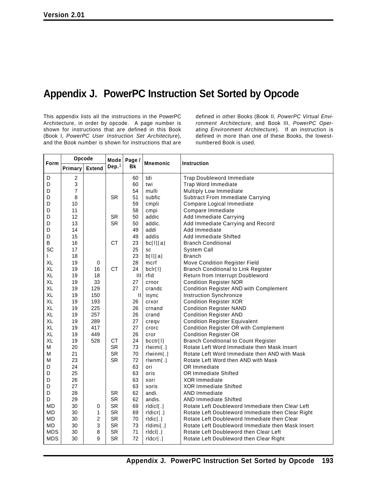## **Appendix J. PowerPC Instruction Set Sorted by Opcode**

This appendix lists all the instructions in the PowerPC Architecture, in order by opcode. A page number is shown for instructions that are defined in this Book (Book I, *PowerPC User Instruction Set Architecture*), and the Book number is shown for instructions that are

defined in other Books (Book II, *PowerPC Virtual Environment Architecture*, and Book III, *PowerPC Operating Environment Architecture*). If an instruction is defined in more than one of these Books, the lowestnumbered Book is used.

| Form       | Opcode  |                | Mode      | Page /       | <b>Mnemonic</b> | Instruction                                       |
|------------|---------|----------------|-----------|--------------|-----------------|---------------------------------------------------|
|            | Primary | <b>Extend</b>  | Dep. $1$  | Bk           |                 |                                                   |
| D          | 2       |                |           | 60           | tdi             | <b>Trap Doubleword Immediate</b>                  |
| D          | 3       |                |           | 60           | twi             | Trap Word Immediate                               |
| D          | 7       |                |           | 54           | mulli           | Multiply Low Immediate                            |
| D          | 8       |                | <b>SR</b> | 51           | subfic          | <b>Subtract From Immediate Carrying</b>           |
| D          | 10      |                |           | 59           | cmpli           | Compare Logical Immediate                         |
| D          | 11      |                |           | 58           | cmpi            | Compare Immediate                                 |
| D          | 12      |                | <b>SR</b> | 50           | addic           | Add Immediate Carrying                            |
| D          | 13      |                | <b>SR</b> | 50           | addic.          | Add Immediate Carrying and Record                 |
| D          | 14      |                |           | 49           | addi            | Add Immediate                                     |
| D          | 15      |                |           | 49           | addis           | Add Immediate Shifted                             |
| B          | 16      |                | <b>CT</b> | 23           | bc[1][a]        | <b>Branch Conditional</b>                         |
| SC         | 17      |                |           | 25           | SC              | System Call                                       |
| L          | 18      |                |           | 23           | b[1][a]         | <b>Branch</b>                                     |
| XL         | 19      | 0              |           | 28           | mcrf            | Move Condition Register Field                     |
| XL         | 19      | 16             | <b>CT</b> | 24           | bclr[1]         | <b>Branch Conditional to Link Register</b>        |
| XL         | 19      | 18             |           | $\mathbf{H}$ | rfid            | Return from Interrupt Doubleword                  |
| XL         | 19      | 33             |           | 27           | crnor           | <b>Condition Register NOR</b>                     |
| XL         | 19      | 129            |           | 27           | crandc          | <b>Condition Register AND with Complement</b>     |
| <b>XL</b>  | 19      | 150            |           | $\mathbf{H}$ | isync           | Instruction Synchronize                           |
| XL         | 19      | 193            |           | 26           | crxor           | <b>Condition Register XOR</b>                     |
| XL         | 19      | 225            |           | 26           | crnand          | <b>Condition Register NAND</b>                    |
| XL         | 19      | 257            |           | 26           | crand           | <b>Condition Register AND</b>                     |
| XL         | 19      | 289            |           | 27           | creqv           | <b>Condition Register Equivalent</b>              |
| XL         | 19      | 417            |           | 27           | crorc           | <b>Condition Register OR with Complement</b>      |
| XL         | 19      | 449            |           | 26           | cror            | <b>Condition Register OR</b>                      |
| XL         | 19      | 528            | <b>CT</b> | 24           | bcctr[1]        | <b>Branch Conditional to Count Register</b>       |
| M          | 20      |                | <b>SR</b> | 73           | $rlwimi$ .]     | Rotate Left Word Immediate then Mask Insert       |
| M          | 21      |                | <b>SR</b> | 70           | rlwinm[.]       | Rotate Left Word Immediate then AND with Mask     |
| M          | 23      |                | <b>SR</b> | 72           | rlwnm[.]        | Rotate Left Word then AND with Mask               |
| D          | 24      |                |           | 63           | ori             | OR Immediate                                      |
| D          | 25      |                |           | 63           | oris            | <b>OR Immediate Shifted</b>                       |
| D          | 26      |                |           | 63           | xori            | <b>XOR Immediate</b>                              |
| D          | 27      |                |           | 63           | xoris           | <b>XOR Immediate Shifted</b>                      |
| D          | 28      |                | <b>SR</b> | 62           | andi.           | <b>AND Immediate</b>                              |
| D          | 29      |                | <b>SR</b> | 62           | andis.          | <b>AND Immediate Shifted</b>                      |
| MD         | 30      | 0              | <b>SR</b> | 69           | ridici[.]       | Rotate Left Doubleword Immediate then Clear Left  |
| <b>MD</b>  | 30      | 1              | <b>SR</b> | 69           | rldicr[.]       | Rotate Left Doubleword Immediate then Clear Right |
| <b>MD</b>  | 30      | $\overline{c}$ | <b>SR</b> | 70           | rldic[.]        | Rotate Left Doubleword Immediate then Clear       |
| <b>MD</b>  | 30      | 3              | <b>SR</b> | 73           | rldimi[.]       | Rotate Left Doubleword Immediate then Mask Insert |
| <b>MDS</b> | 30      | 8              | <b>SR</b> | 71           | $r   \cdot  $   | Rotate Left Doubleword then Clear Left            |
| <b>MDS</b> | 30      | 9              | <b>SR</b> | 72           | rldcr[.]        | Rotate Left Doubleword then Clear Right           |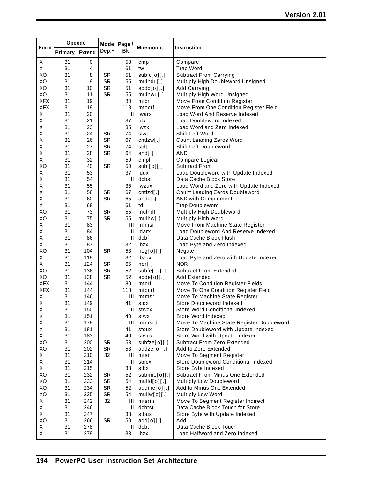|             | Opcode   |               | Mode      | Page /                                |                     |                                                     |
|-------------|----------|---------------|-----------|---------------------------------------|---------------------|-----------------------------------------------------|
| Form        | Primary  | <b>Extend</b> | Dep. $1$  | Bk                                    | <b>Mnemonic</b>     | Instruction                                         |
| X           | 31       | 0             |           | 58                                    | cmp                 | Compare                                             |
| X           | 31       | 4             |           | 61                                    | tw                  | <b>Trap Word</b>                                    |
| XO          | 31       | 8             | <b>SR</b> | 51                                    | subfc[0][.]         | <b>Subtract From Carrying</b>                       |
| XO          | 31       | 9             | SR        | 55                                    | mulhdu[.]           | Multiply High Doubleword Unsigned                   |
| XO          | 31       | 10            | <b>SR</b> | 51                                    | addc[0][.]          | <b>Add Carrying</b>                                 |
| XO          | 31       | 11            | <b>SR</b> | 55                                    | mulhwu[.]           | Multiply High Word Unsigned                         |
| <b>XFX</b>  | 31       | 19            |           | 80                                    | mfcr                | Move From Condition Register                        |
| <b>XFX</b>  | 31       | 19            |           | 118                                   | mfocrf              | Move From One Condition Register Field              |
| X           | 31       | 20            |           | $\mathbf{H}$                          | Iwarx               | Load Word And Reserve Indexed                       |
| X           | 31       | 21            |           | 37                                    | ldx                 | Load Doubleword Indexed                             |
| Χ           | 31       | 23            |           | 35                                    | lwzx                | Load Word and Zero Indexed                          |
| Χ           | 31       | 24            | <b>SR</b> | 74                                    | slw[.]              | Shift Left Word                                     |
| X           | 31       | 26            | <b>SR</b> | 67                                    | cntzw[.]            | Count Leading Zeros Word                            |
| Χ           | 31       | 27            | <b>SR</b> | 74                                    | sld[.]              | Shift Left Doubleword                               |
| X           | 31       | 28            | <b>SR</b> | 64                                    | $and$ [.]           | <b>AND</b>                                          |
| X           | 31       | 32            |           | 59                                    | cmpl                | Compare Logical                                     |
| XO          | 31       | 40            | <b>SR</b> | 50                                    | subf[0][.]          | <b>Subtract From</b>                                |
| X           | 31       | 53            |           | 37                                    | Idux                | Load Doubleword with Update Indexed                 |
| Χ           | 31       | 54            |           | $\mathbf{II}$                         | dcbst               | Data Cache Block Store                              |
| X           | 31       | 55            |           | 35                                    | lwzux               | Load Word and Zero with Update Indexed              |
| Χ           | 31       | 58            | <b>SR</b> | 67                                    | cntlzd[.]           | Count Leading Zeros Doubleword                      |
| Χ           | 31       | 60            | <b>SR</b> | 65                                    | andc $[.]$          | AND with Complement                                 |
| X           | 31       | 68            |           | 61                                    | td                  | <b>Trap Doubleword</b>                              |
| XO          | 31       | 73            | SR        | 55                                    | mulhd[.]            | Multiply High Doubleword                            |
| XO          | 31       | 75            | <b>SR</b> | 55                                    | mulhw[.]            | Multiply High Word                                  |
| X           | 31       | 83            |           | Ш                                     | mfmsr               | Move From Machine State Register                    |
| Χ           | 31       | 84            |           | $\mathbf{\mathsf{I}}$                 | Idarx               | Load Doubleword And Reserve Indexed                 |
| Χ           | 31       | 86            |           | $\begin{array}{c} \hline \end{array}$ | dcbf                | Data Cache Block Flush                              |
| Χ           | 31       | 87            |           | 32                                    | <b>lbzx</b>         | Load Byte and Zero Indexed                          |
| XO          | 31       | 104           | <b>SR</b> | 53                                    | neg[0][.]           | Negate                                              |
| Χ           | 31       | 119           |           | 32                                    | Ibzux               | Load Byte and Zero with Update Indexed              |
| X           | 31       | 124           | <b>SR</b> | 65                                    | nor[.]              | <b>NOR</b>                                          |
| XO          | 31       | 136           | <b>SR</b> | 52                                    | subfe[0][.]         | <b>Subtract From Extended</b>                       |
| XO          | 31       | 138           | <b>SR</b> | 52                                    | $adde[0]$ [.]       | <b>Add Extended</b>                                 |
| <b>XFX</b>  | 31       | 144           |           | 80                                    | mtcrf               | Move To Condition Register Fields                   |
| <b>XFX</b>  | 31       | 144           |           | 118                                   | mtocrf              | Move To One Condition Register Field                |
| Х           | 31       | 146           |           | Ш                                     | mtmsr               | Move To Machine State Register                      |
| X           | 31       | 149           |           | 41                                    | stdx                | Store Doubleword Indexed                            |
| $\mathsf X$ | 31       | 150           |           | $\mathbf{H}$                          | stwcx.              | Store Word Conditional Indexed                      |
| Χ           | 31       | 151           |           | 40                                    | stwx                | Store Word Indexed                                  |
| Χ           | 31       | 178           |           | Ш                                     | mtmsrd              | Move To Machine State Register Doubleword           |
| X           | 31       | 181           |           | 41<br>40                              | stdux               | Store Doubleword with Update Indexed                |
| X<br>XO     | 31       | 183           |           |                                       | stwux               | Store Word with Update Indexed                      |
| XO          | 31<br>31 | 200<br>202    | SR<br>SR  | 53<br>53                              | subfze[0][.]        | Subtract From Zero Extended<br>Add to Zero Extended |
| X           | 31       | 210           | 32        | Ш                                     | addze[0][.]<br>mtsr | Move To Segment Register                            |
| Χ           | 31       | 214           |           | $\mathbf{\mathsf{I}}$                 | stdcx.              | Store Doubleword Conditional Indexed                |
| X           | 31       | 215           |           | 38                                    | stbx                | Store Byte Indexed                                  |
| XO          | 31       | 232           | SR        | 52                                    | subfme[0][.]        | <b>Subtract From Minus One Extended</b>             |
| XO          | 31       | 233           | SR        | 54                                    | mulld[0][.]         | Multiply Low Doubleword                             |
| XO          | 31       | 234           | SR        | 52                                    | addme[o][.]         | Add to Minus One Extended                           |
| XO          | 31       | 235           | <b>SR</b> | 54                                    | mullw[0][.]         | Multiply Low Word                                   |
| X           | 31       | 242           | 32        | Ш                                     | mtsrin              | Move To Segment Register Indirect                   |
| X           | 31       | 246           |           | H                                     | dcbtst              | Data Cache Block Touch for Store                    |
| X           | 31       | 247           |           | 38                                    | stbux               | Store Byte with Update Indexed                      |
| XO          | 31       | 266           | SR        | 50                                    | add[0][.]           | Add                                                 |
| X           | 31       | 278           |           | $\mathbf{\mathsf{I}}$                 | dcbt                | Data Cache Block Touch                              |
| X           | 31       | 279           |           | 33                                    | <b>lhzx</b>         | Load Halfword and Zero Indexed                      |
|             |          |               |           |                                       |                     |                                                     |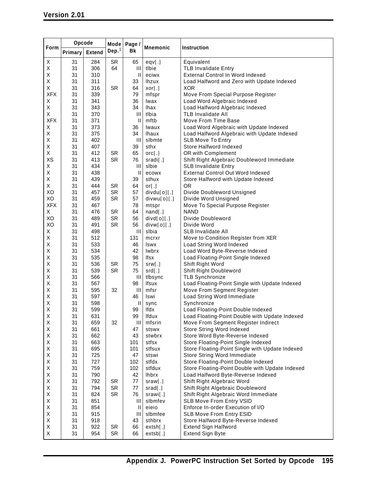| Dep. $1$<br>Bk<br><b>Extend</b><br>Primary<br>Χ<br>31<br>284<br><b>SR</b><br>Equivalent<br>65<br>eqv[.]<br>306<br><b>TLB Invalidate Entry</b><br>Χ<br>31<br>64<br>Ш<br>tlbie<br>Χ<br>31<br>310<br>$\mathbf{II}$<br><b>External Control In Word Indexed</b><br>eciwx<br>Χ<br>31<br>311<br><b>Ihzux</b><br>Load Halfword and Zero with Update Indexed<br>33<br>Χ<br>31<br>316<br><b>SR</b><br>64<br>xor[.]<br><b>XOR</b><br><b>XFX</b><br>31<br>339<br>79<br>mfspr<br>Move From Special Purpose Register<br>Χ<br>31<br>341<br>36<br>Load Word Algebraic Indexed<br>Iwax<br>Χ<br>31<br>343<br>34<br>Load Halfword Algebraic Indexed<br><b>Ihax</b><br>Χ<br>31<br>370<br>$\mathbf{III}$<br>tlbia<br><b>TLB Invalidate All</b><br><b>XFX</b><br>31<br>371<br>$\mathbf{II}$<br>mftb<br>Move From Time Base<br>31<br>Χ<br>373<br>Load Word Algebraic with Update Indexed<br>36<br>Iwaux<br>375<br>Χ<br>31<br>34<br>Load Halfword Algebraic with Update Indexed<br><b>Ihaux</b><br>Χ<br>31<br>402<br>Ш<br>slbmte<br><b>SLB Move To Entry</b><br>Χ<br>31<br>407<br>39<br>sthx<br>Store Halfword Indexed<br>Χ<br>31<br>412<br>SR<br>65<br>orc[.]<br>OR with Complement<br>XS<br>31<br>413<br><b>SR</b><br>76<br>Shift Right Algebraic Doubleword Immediate<br>sradi[.]<br>X<br>31<br>434<br>Ш<br>slbie<br><b>SLB Invalidate Entry</b><br>Χ<br>31<br>438<br>$\mathbf{II}$<br><b>External Control Out Word Indexed</b><br>ecowx<br>Χ<br>31<br>439<br>39<br>sthux<br>Store Halfword with Update Indexed<br>Χ<br>31<br>444<br><b>SR</b><br>64<br><b>OR</b><br>or $[.]$<br>XO<br>31<br>457<br>SR<br>57<br>Divide Doubleword Unsigned<br>divdu[o][.]<br>XO<br><b>SR</b><br>31<br>459<br>57<br>Divide Word Unsigned<br>divwu[0][.]<br><b>XFX</b><br>31<br>467<br>78<br>Move To Special Purpose Register<br>mtspr<br>Χ<br>31<br>476<br>SR<br>64<br>$nand$ [.]<br><b>NAND</b><br>XO<br>31<br><b>SR</b><br>489<br>56<br>Divide Doubleword<br>$divd[0]$ [.]<br>XO<br>31<br>491<br>SR<br>56<br>Divide Word<br>divw[0][.]<br>X<br>31<br>498<br>Ш<br>slbia<br><b>SLB Invalidate All</b><br>Χ<br>31<br>512<br>131<br>Move to Condition Register from XER<br>mcrxr<br>Χ<br>31<br>533<br>46<br><b>Iswx</b><br>Load String Word Indexed<br>Χ<br>31<br>534<br>42<br>lwbrx<br>Load Word Byte-Reverse Indexed<br>Χ<br>31<br>535<br>98<br>lfsx<br>Load Floating-Point Single Indexed<br>536<br><b>SR</b><br>Χ<br>31<br>75<br>Shift Right Word<br>srw[.]<br>Χ<br>31<br>539<br><b>SR</b><br>75<br>srd[.]<br>Shift Right Doubleword<br>Χ<br>31<br>566<br><b>TLB Synchronize</b><br>Ш<br>tlbsync<br>Χ<br>31<br>567<br>98<br>Load Floating-Point Single with Update Indexed<br>Ifsux<br>Χ<br>31<br>595<br>32<br>$\mathbf{III}$<br>Move From Segment Register<br>mfsr<br>Χ<br>31<br>597<br>Load String Word Immediate<br>46<br>Iswi<br>Χ<br>31<br>598<br>Ш<br>Synchronize<br>sync<br>х<br>31<br>599<br>99<br>lfdx<br>Load Floating-Point Double Indexed<br>Χ<br>31<br>631<br>99<br>Ifdux<br>Load Floating-Point Double with Update Indexed<br>Χ<br>31<br>659<br>32<br>Ш<br>mfsrin<br>Move From Segment Register Indirect<br>Χ<br>31<br>661<br>47<br>Store String Word Indexed<br>stswx<br>Χ<br>31<br>662<br>43<br>Store Word Byte-Reverse Indexed<br>stwbrx<br>Χ<br>31<br>663<br>stfsx<br>Store Floating-Point Single Indexed<br>101<br>Χ<br>31<br>695<br>101<br>Store Floating-Point Single with Update Indexed<br>stfsux<br>Χ<br>725<br>31<br>47<br>Store String Word Immediate<br>stswi<br>727<br>Χ<br>31<br>102<br>stfdx<br>Store Floating-Point Double Indexed<br>Χ<br>759<br>31<br>102<br>stfdux<br>Store Floating-Point Double with Update Indexed<br>Χ<br>31<br>790<br><b>Ihbrx</b><br>Load Halfword Byte-Reverse Indexed<br>42<br>Χ<br>31<br>792<br>SR<br>77<br>Shift Right Algebraic Word<br>sraw[.]<br>Χ<br>31<br>794<br><b>SR</b><br>Shift Right Algebraic Doubleword<br>77<br>srad[.]<br>824<br><b>SR</b><br>Χ<br>31<br>76<br>Shift Right Algebraic Word Immediate<br>srawi[.]<br>Χ<br>31<br>851<br>slbmfev<br>SLB Move From Entry VSID<br>$\mathop{\rm III}\nolimits$<br>Χ<br>31<br>854<br>eieio<br>Enforce In-order Execution of I/O<br>$\mathbf{\mathsf{I}}$<br>Χ<br>31<br>915<br>Ш<br>slbmfee<br>SLB Move From Entry ESID |      | Opcode | Mode | Page / |                 |             |
|------------------------------------------------------------------------------------------------------------------------------------------------------------------------------------------------------------------------------------------------------------------------------------------------------------------------------------------------------------------------------------------------------------------------------------------------------------------------------------------------------------------------------------------------------------------------------------------------------------------------------------------------------------------------------------------------------------------------------------------------------------------------------------------------------------------------------------------------------------------------------------------------------------------------------------------------------------------------------------------------------------------------------------------------------------------------------------------------------------------------------------------------------------------------------------------------------------------------------------------------------------------------------------------------------------------------------------------------------------------------------------------------------------------------------------------------------------------------------------------------------------------------------------------------------------------------------------------------------------------------------------------------------------------------------------------------------------------------------------------------------------------------------------------------------------------------------------------------------------------------------------------------------------------------------------------------------------------------------------------------------------------------------------------------------------------------------------------------------------------------------------------------------------------------------------------------------------------------------------------------------------------------------------------------------------------------------------------------------------------------------------------------------------------------------------------------------------------------------------------------------------------------------------------------------------------------------------------------------------------------------------------------------------------------------------------------------------------------------------------------------------------------------------------------------------------------------------------------------------------------------------------------------------------------------------------------------------------------------------------------------------------------------------------------------------------------------------------------------------------------------------------------------------------------------------------------------------------------------------------------------------------------------------------------------------------------------------------------------------------------------------------------------------------------------------------------------------------------------------------------------------------------------------------------------------------------------------------------------------------------------------------------------------------------------------------------------------------------------------------------------------------------------------------------------------------------------------------------------------------------------------------------------------------------------------------------------------------------------------------------------------------------------------------------------------------------------------------------------------------------------------------------------------------------------------------------------|------|--------|------|--------|-----------------|-------------|
|                                                                                                                                                                                                                                                                                                                                                                                                                                                                                                                                                                                                                                                                                                                                                                                                                                                                                                                                                                                                                                                                                                                                                                                                                                                                                                                                                                                                                                                                                                                                                                                                                                                                                                                                                                                                                                                                                                                                                                                                                                                                                                                                                                                                                                                                                                                                                                                                                                                                                                                                                                                                                                                                                                                                                                                                                                                                                                                                                                                                                                                                                                                                                                                                                                                                                                                                                                                                                                                                                                                                                                                                                                                                                                                                                                                                                                                                                                                                                                                                                                                                                                                                                                                                      | Form |        |      |        | <b>Mnemonic</b> | Instruction |
|                                                                                                                                                                                                                                                                                                                                                                                                                                                                                                                                                                                                                                                                                                                                                                                                                                                                                                                                                                                                                                                                                                                                                                                                                                                                                                                                                                                                                                                                                                                                                                                                                                                                                                                                                                                                                                                                                                                                                                                                                                                                                                                                                                                                                                                                                                                                                                                                                                                                                                                                                                                                                                                                                                                                                                                                                                                                                                                                                                                                                                                                                                                                                                                                                                                                                                                                                                                                                                                                                                                                                                                                                                                                                                                                                                                                                                                                                                                                                                                                                                                                                                                                                                                                      |      |        |      |        |                 |             |
|                                                                                                                                                                                                                                                                                                                                                                                                                                                                                                                                                                                                                                                                                                                                                                                                                                                                                                                                                                                                                                                                                                                                                                                                                                                                                                                                                                                                                                                                                                                                                                                                                                                                                                                                                                                                                                                                                                                                                                                                                                                                                                                                                                                                                                                                                                                                                                                                                                                                                                                                                                                                                                                                                                                                                                                                                                                                                                                                                                                                                                                                                                                                                                                                                                                                                                                                                                                                                                                                                                                                                                                                                                                                                                                                                                                                                                                                                                                                                                                                                                                                                                                                                                                                      |      |        |      |        |                 |             |
|                                                                                                                                                                                                                                                                                                                                                                                                                                                                                                                                                                                                                                                                                                                                                                                                                                                                                                                                                                                                                                                                                                                                                                                                                                                                                                                                                                                                                                                                                                                                                                                                                                                                                                                                                                                                                                                                                                                                                                                                                                                                                                                                                                                                                                                                                                                                                                                                                                                                                                                                                                                                                                                                                                                                                                                                                                                                                                                                                                                                                                                                                                                                                                                                                                                                                                                                                                                                                                                                                                                                                                                                                                                                                                                                                                                                                                                                                                                                                                                                                                                                                                                                                                                                      |      |        |      |        |                 |             |
|                                                                                                                                                                                                                                                                                                                                                                                                                                                                                                                                                                                                                                                                                                                                                                                                                                                                                                                                                                                                                                                                                                                                                                                                                                                                                                                                                                                                                                                                                                                                                                                                                                                                                                                                                                                                                                                                                                                                                                                                                                                                                                                                                                                                                                                                                                                                                                                                                                                                                                                                                                                                                                                                                                                                                                                                                                                                                                                                                                                                                                                                                                                                                                                                                                                                                                                                                                                                                                                                                                                                                                                                                                                                                                                                                                                                                                                                                                                                                                                                                                                                                                                                                                                                      |      |        |      |        |                 |             |
|                                                                                                                                                                                                                                                                                                                                                                                                                                                                                                                                                                                                                                                                                                                                                                                                                                                                                                                                                                                                                                                                                                                                                                                                                                                                                                                                                                                                                                                                                                                                                                                                                                                                                                                                                                                                                                                                                                                                                                                                                                                                                                                                                                                                                                                                                                                                                                                                                                                                                                                                                                                                                                                                                                                                                                                                                                                                                                                                                                                                                                                                                                                                                                                                                                                                                                                                                                                                                                                                                                                                                                                                                                                                                                                                                                                                                                                                                                                                                                                                                                                                                                                                                                                                      |      |        |      |        |                 |             |
|                                                                                                                                                                                                                                                                                                                                                                                                                                                                                                                                                                                                                                                                                                                                                                                                                                                                                                                                                                                                                                                                                                                                                                                                                                                                                                                                                                                                                                                                                                                                                                                                                                                                                                                                                                                                                                                                                                                                                                                                                                                                                                                                                                                                                                                                                                                                                                                                                                                                                                                                                                                                                                                                                                                                                                                                                                                                                                                                                                                                                                                                                                                                                                                                                                                                                                                                                                                                                                                                                                                                                                                                                                                                                                                                                                                                                                                                                                                                                                                                                                                                                                                                                                                                      |      |        |      |        |                 |             |
|                                                                                                                                                                                                                                                                                                                                                                                                                                                                                                                                                                                                                                                                                                                                                                                                                                                                                                                                                                                                                                                                                                                                                                                                                                                                                                                                                                                                                                                                                                                                                                                                                                                                                                                                                                                                                                                                                                                                                                                                                                                                                                                                                                                                                                                                                                                                                                                                                                                                                                                                                                                                                                                                                                                                                                                                                                                                                                                                                                                                                                                                                                                                                                                                                                                                                                                                                                                                                                                                                                                                                                                                                                                                                                                                                                                                                                                                                                                                                                                                                                                                                                                                                                                                      |      |        |      |        |                 |             |
|                                                                                                                                                                                                                                                                                                                                                                                                                                                                                                                                                                                                                                                                                                                                                                                                                                                                                                                                                                                                                                                                                                                                                                                                                                                                                                                                                                                                                                                                                                                                                                                                                                                                                                                                                                                                                                                                                                                                                                                                                                                                                                                                                                                                                                                                                                                                                                                                                                                                                                                                                                                                                                                                                                                                                                                                                                                                                                                                                                                                                                                                                                                                                                                                                                                                                                                                                                                                                                                                                                                                                                                                                                                                                                                                                                                                                                                                                                                                                                                                                                                                                                                                                                                                      |      |        |      |        |                 |             |
|                                                                                                                                                                                                                                                                                                                                                                                                                                                                                                                                                                                                                                                                                                                                                                                                                                                                                                                                                                                                                                                                                                                                                                                                                                                                                                                                                                                                                                                                                                                                                                                                                                                                                                                                                                                                                                                                                                                                                                                                                                                                                                                                                                                                                                                                                                                                                                                                                                                                                                                                                                                                                                                                                                                                                                                                                                                                                                                                                                                                                                                                                                                                                                                                                                                                                                                                                                                                                                                                                                                                                                                                                                                                                                                                                                                                                                                                                                                                                                                                                                                                                                                                                                                                      |      |        |      |        |                 |             |
|                                                                                                                                                                                                                                                                                                                                                                                                                                                                                                                                                                                                                                                                                                                                                                                                                                                                                                                                                                                                                                                                                                                                                                                                                                                                                                                                                                                                                                                                                                                                                                                                                                                                                                                                                                                                                                                                                                                                                                                                                                                                                                                                                                                                                                                                                                                                                                                                                                                                                                                                                                                                                                                                                                                                                                                                                                                                                                                                                                                                                                                                                                                                                                                                                                                                                                                                                                                                                                                                                                                                                                                                                                                                                                                                                                                                                                                                                                                                                                                                                                                                                                                                                                                                      |      |        |      |        |                 |             |
|                                                                                                                                                                                                                                                                                                                                                                                                                                                                                                                                                                                                                                                                                                                                                                                                                                                                                                                                                                                                                                                                                                                                                                                                                                                                                                                                                                                                                                                                                                                                                                                                                                                                                                                                                                                                                                                                                                                                                                                                                                                                                                                                                                                                                                                                                                                                                                                                                                                                                                                                                                                                                                                                                                                                                                                                                                                                                                                                                                                                                                                                                                                                                                                                                                                                                                                                                                                                                                                                                                                                                                                                                                                                                                                                                                                                                                                                                                                                                                                                                                                                                                                                                                                                      |      |        |      |        |                 |             |
|                                                                                                                                                                                                                                                                                                                                                                                                                                                                                                                                                                                                                                                                                                                                                                                                                                                                                                                                                                                                                                                                                                                                                                                                                                                                                                                                                                                                                                                                                                                                                                                                                                                                                                                                                                                                                                                                                                                                                                                                                                                                                                                                                                                                                                                                                                                                                                                                                                                                                                                                                                                                                                                                                                                                                                                                                                                                                                                                                                                                                                                                                                                                                                                                                                                                                                                                                                                                                                                                                                                                                                                                                                                                                                                                                                                                                                                                                                                                                                                                                                                                                                                                                                                                      |      |        |      |        |                 |             |
|                                                                                                                                                                                                                                                                                                                                                                                                                                                                                                                                                                                                                                                                                                                                                                                                                                                                                                                                                                                                                                                                                                                                                                                                                                                                                                                                                                                                                                                                                                                                                                                                                                                                                                                                                                                                                                                                                                                                                                                                                                                                                                                                                                                                                                                                                                                                                                                                                                                                                                                                                                                                                                                                                                                                                                                                                                                                                                                                                                                                                                                                                                                                                                                                                                                                                                                                                                                                                                                                                                                                                                                                                                                                                                                                                                                                                                                                                                                                                                                                                                                                                                                                                                                                      |      |        |      |        |                 |             |
|                                                                                                                                                                                                                                                                                                                                                                                                                                                                                                                                                                                                                                                                                                                                                                                                                                                                                                                                                                                                                                                                                                                                                                                                                                                                                                                                                                                                                                                                                                                                                                                                                                                                                                                                                                                                                                                                                                                                                                                                                                                                                                                                                                                                                                                                                                                                                                                                                                                                                                                                                                                                                                                                                                                                                                                                                                                                                                                                                                                                                                                                                                                                                                                                                                                                                                                                                                                                                                                                                                                                                                                                                                                                                                                                                                                                                                                                                                                                                                                                                                                                                                                                                                                                      |      |        |      |        |                 |             |
|                                                                                                                                                                                                                                                                                                                                                                                                                                                                                                                                                                                                                                                                                                                                                                                                                                                                                                                                                                                                                                                                                                                                                                                                                                                                                                                                                                                                                                                                                                                                                                                                                                                                                                                                                                                                                                                                                                                                                                                                                                                                                                                                                                                                                                                                                                                                                                                                                                                                                                                                                                                                                                                                                                                                                                                                                                                                                                                                                                                                                                                                                                                                                                                                                                                                                                                                                                                                                                                                                                                                                                                                                                                                                                                                                                                                                                                                                                                                                                                                                                                                                                                                                                                                      |      |        |      |        |                 |             |
|                                                                                                                                                                                                                                                                                                                                                                                                                                                                                                                                                                                                                                                                                                                                                                                                                                                                                                                                                                                                                                                                                                                                                                                                                                                                                                                                                                                                                                                                                                                                                                                                                                                                                                                                                                                                                                                                                                                                                                                                                                                                                                                                                                                                                                                                                                                                                                                                                                                                                                                                                                                                                                                                                                                                                                                                                                                                                                                                                                                                                                                                                                                                                                                                                                                                                                                                                                                                                                                                                                                                                                                                                                                                                                                                                                                                                                                                                                                                                                                                                                                                                                                                                                                                      |      |        |      |        |                 |             |
|                                                                                                                                                                                                                                                                                                                                                                                                                                                                                                                                                                                                                                                                                                                                                                                                                                                                                                                                                                                                                                                                                                                                                                                                                                                                                                                                                                                                                                                                                                                                                                                                                                                                                                                                                                                                                                                                                                                                                                                                                                                                                                                                                                                                                                                                                                                                                                                                                                                                                                                                                                                                                                                                                                                                                                                                                                                                                                                                                                                                                                                                                                                                                                                                                                                                                                                                                                                                                                                                                                                                                                                                                                                                                                                                                                                                                                                                                                                                                                                                                                                                                                                                                                                                      |      |        |      |        |                 |             |
|                                                                                                                                                                                                                                                                                                                                                                                                                                                                                                                                                                                                                                                                                                                                                                                                                                                                                                                                                                                                                                                                                                                                                                                                                                                                                                                                                                                                                                                                                                                                                                                                                                                                                                                                                                                                                                                                                                                                                                                                                                                                                                                                                                                                                                                                                                                                                                                                                                                                                                                                                                                                                                                                                                                                                                                                                                                                                                                                                                                                                                                                                                                                                                                                                                                                                                                                                                                                                                                                                                                                                                                                                                                                                                                                                                                                                                                                                                                                                                                                                                                                                                                                                                                                      |      |        |      |        |                 |             |
|                                                                                                                                                                                                                                                                                                                                                                                                                                                                                                                                                                                                                                                                                                                                                                                                                                                                                                                                                                                                                                                                                                                                                                                                                                                                                                                                                                                                                                                                                                                                                                                                                                                                                                                                                                                                                                                                                                                                                                                                                                                                                                                                                                                                                                                                                                                                                                                                                                                                                                                                                                                                                                                                                                                                                                                                                                                                                                                                                                                                                                                                                                                                                                                                                                                                                                                                                                                                                                                                                                                                                                                                                                                                                                                                                                                                                                                                                                                                                                                                                                                                                                                                                                                                      |      |        |      |        |                 |             |
|                                                                                                                                                                                                                                                                                                                                                                                                                                                                                                                                                                                                                                                                                                                                                                                                                                                                                                                                                                                                                                                                                                                                                                                                                                                                                                                                                                                                                                                                                                                                                                                                                                                                                                                                                                                                                                                                                                                                                                                                                                                                                                                                                                                                                                                                                                                                                                                                                                                                                                                                                                                                                                                                                                                                                                                                                                                                                                                                                                                                                                                                                                                                                                                                                                                                                                                                                                                                                                                                                                                                                                                                                                                                                                                                                                                                                                                                                                                                                                                                                                                                                                                                                                                                      |      |        |      |        |                 |             |
|                                                                                                                                                                                                                                                                                                                                                                                                                                                                                                                                                                                                                                                                                                                                                                                                                                                                                                                                                                                                                                                                                                                                                                                                                                                                                                                                                                                                                                                                                                                                                                                                                                                                                                                                                                                                                                                                                                                                                                                                                                                                                                                                                                                                                                                                                                                                                                                                                                                                                                                                                                                                                                                                                                                                                                                                                                                                                                                                                                                                                                                                                                                                                                                                                                                                                                                                                                                                                                                                                                                                                                                                                                                                                                                                                                                                                                                                                                                                                                                                                                                                                                                                                                                                      |      |        |      |        |                 |             |
|                                                                                                                                                                                                                                                                                                                                                                                                                                                                                                                                                                                                                                                                                                                                                                                                                                                                                                                                                                                                                                                                                                                                                                                                                                                                                                                                                                                                                                                                                                                                                                                                                                                                                                                                                                                                                                                                                                                                                                                                                                                                                                                                                                                                                                                                                                                                                                                                                                                                                                                                                                                                                                                                                                                                                                                                                                                                                                                                                                                                                                                                                                                                                                                                                                                                                                                                                                                                                                                                                                                                                                                                                                                                                                                                                                                                                                                                                                                                                                                                                                                                                                                                                                                                      |      |        |      |        |                 |             |
|                                                                                                                                                                                                                                                                                                                                                                                                                                                                                                                                                                                                                                                                                                                                                                                                                                                                                                                                                                                                                                                                                                                                                                                                                                                                                                                                                                                                                                                                                                                                                                                                                                                                                                                                                                                                                                                                                                                                                                                                                                                                                                                                                                                                                                                                                                                                                                                                                                                                                                                                                                                                                                                                                                                                                                                                                                                                                                                                                                                                                                                                                                                                                                                                                                                                                                                                                                                                                                                                                                                                                                                                                                                                                                                                                                                                                                                                                                                                                                                                                                                                                                                                                                                                      |      |        |      |        |                 |             |
|                                                                                                                                                                                                                                                                                                                                                                                                                                                                                                                                                                                                                                                                                                                                                                                                                                                                                                                                                                                                                                                                                                                                                                                                                                                                                                                                                                                                                                                                                                                                                                                                                                                                                                                                                                                                                                                                                                                                                                                                                                                                                                                                                                                                                                                                                                                                                                                                                                                                                                                                                                                                                                                                                                                                                                                                                                                                                                                                                                                                                                                                                                                                                                                                                                                                                                                                                                                                                                                                                                                                                                                                                                                                                                                                                                                                                                                                                                                                                                                                                                                                                                                                                                                                      |      |        |      |        |                 |             |
|                                                                                                                                                                                                                                                                                                                                                                                                                                                                                                                                                                                                                                                                                                                                                                                                                                                                                                                                                                                                                                                                                                                                                                                                                                                                                                                                                                                                                                                                                                                                                                                                                                                                                                                                                                                                                                                                                                                                                                                                                                                                                                                                                                                                                                                                                                                                                                                                                                                                                                                                                                                                                                                                                                                                                                                                                                                                                                                                                                                                                                                                                                                                                                                                                                                                                                                                                                                                                                                                                                                                                                                                                                                                                                                                                                                                                                                                                                                                                                                                                                                                                                                                                                                                      |      |        |      |        |                 |             |
|                                                                                                                                                                                                                                                                                                                                                                                                                                                                                                                                                                                                                                                                                                                                                                                                                                                                                                                                                                                                                                                                                                                                                                                                                                                                                                                                                                                                                                                                                                                                                                                                                                                                                                                                                                                                                                                                                                                                                                                                                                                                                                                                                                                                                                                                                                                                                                                                                                                                                                                                                                                                                                                                                                                                                                                                                                                                                                                                                                                                                                                                                                                                                                                                                                                                                                                                                                                                                                                                                                                                                                                                                                                                                                                                                                                                                                                                                                                                                                                                                                                                                                                                                                                                      |      |        |      |        |                 |             |
|                                                                                                                                                                                                                                                                                                                                                                                                                                                                                                                                                                                                                                                                                                                                                                                                                                                                                                                                                                                                                                                                                                                                                                                                                                                                                                                                                                                                                                                                                                                                                                                                                                                                                                                                                                                                                                                                                                                                                                                                                                                                                                                                                                                                                                                                                                                                                                                                                                                                                                                                                                                                                                                                                                                                                                                                                                                                                                                                                                                                                                                                                                                                                                                                                                                                                                                                                                                                                                                                                                                                                                                                                                                                                                                                                                                                                                                                                                                                                                                                                                                                                                                                                                                                      |      |        |      |        |                 |             |
|                                                                                                                                                                                                                                                                                                                                                                                                                                                                                                                                                                                                                                                                                                                                                                                                                                                                                                                                                                                                                                                                                                                                                                                                                                                                                                                                                                                                                                                                                                                                                                                                                                                                                                                                                                                                                                                                                                                                                                                                                                                                                                                                                                                                                                                                                                                                                                                                                                                                                                                                                                                                                                                                                                                                                                                                                                                                                                                                                                                                                                                                                                                                                                                                                                                                                                                                                                                                                                                                                                                                                                                                                                                                                                                                                                                                                                                                                                                                                                                                                                                                                                                                                                                                      |      |        |      |        |                 |             |
|                                                                                                                                                                                                                                                                                                                                                                                                                                                                                                                                                                                                                                                                                                                                                                                                                                                                                                                                                                                                                                                                                                                                                                                                                                                                                                                                                                                                                                                                                                                                                                                                                                                                                                                                                                                                                                                                                                                                                                                                                                                                                                                                                                                                                                                                                                                                                                                                                                                                                                                                                                                                                                                                                                                                                                                                                                                                                                                                                                                                                                                                                                                                                                                                                                                                                                                                                                                                                                                                                                                                                                                                                                                                                                                                                                                                                                                                                                                                                                                                                                                                                                                                                                                                      |      |        |      |        |                 |             |
|                                                                                                                                                                                                                                                                                                                                                                                                                                                                                                                                                                                                                                                                                                                                                                                                                                                                                                                                                                                                                                                                                                                                                                                                                                                                                                                                                                                                                                                                                                                                                                                                                                                                                                                                                                                                                                                                                                                                                                                                                                                                                                                                                                                                                                                                                                                                                                                                                                                                                                                                                                                                                                                                                                                                                                                                                                                                                                                                                                                                                                                                                                                                                                                                                                                                                                                                                                                                                                                                                                                                                                                                                                                                                                                                                                                                                                                                                                                                                                                                                                                                                                                                                                                                      |      |        |      |        |                 |             |
|                                                                                                                                                                                                                                                                                                                                                                                                                                                                                                                                                                                                                                                                                                                                                                                                                                                                                                                                                                                                                                                                                                                                                                                                                                                                                                                                                                                                                                                                                                                                                                                                                                                                                                                                                                                                                                                                                                                                                                                                                                                                                                                                                                                                                                                                                                                                                                                                                                                                                                                                                                                                                                                                                                                                                                                                                                                                                                                                                                                                                                                                                                                                                                                                                                                                                                                                                                                                                                                                                                                                                                                                                                                                                                                                                                                                                                                                                                                                                                                                                                                                                                                                                                                                      |      |        |      |        |                 |             |
|                                                                                                                                                                                                                                                                                                                                                                                                                                                                                                                                                                                                                                                                                                                                                                                                                                                                                                                                                                                                                                                                                                                                                                                                                                                                                                                                                                                                                                                                                                                                                                                                                                                                                                                                                                                                                                                                                                                                                                                                                                                                                                                                                                                                                                                                                                                                                                                                                                                                                                                                                                                                                                                                                                                                                                                                                                                                                                                                                                                                                                                                                                                                                                                                                                                                                                                                                                                                                                                                                                                                                                                                                                                                                                                                                                                                                                                                                                                                                                                                                                                                                                                                                                                                      |      |        |      |        |                 |             |
|                                                                                                                                                                                                                                                                                                                                                                                                                                                                                                                                                                                                                                                                                                                                                                                                                                                                                                                                                                                                                                                                                                                                                                                                                                                                                                                                                                                                                                                                                                                                                                                                                                                                                                                                                                                                                                                                                                                                                                                                                                                                                                                                                                                                                                                                                                                                                                                                                                                                                                                                                                                                                                                                                                                                                                                                                                                                                                                                                                                                                                                                                                                                                                                                                                                                                                                                                                                                                                                                                                                                                                                                                                                                                                                                                                                                                                                                                                                                                                                                                                                                                                                                                                                                      |      |        |      |        |                 |             |
|                                                                                                                                                                                                                                                                                                                                                                                                                                                                                                                                                                                                                                                                                                                                                                                                                                                                                                                                                                                                                                                                                                                                                                                                                                                                                                                                                                                                                                                                                                                                                                                                                                                                                                                                                                                                                                                                                                                                                                                                                                                                                                                                                                                                                                                                                                                                                                                                                                                                                                                                                                                                                                                                                                                                                                                                                                                                                                                                                                                                                                                                                                                                                                                                                                                                                                                                                                                                                                                                                                                                                                                                                                                                                                                                                                                                                                                                                                                                                                                                                                                                                                                                                                                                      |      |        |      |        |                 |             |
|                                                                                                                                                                                                                                                                                                                                                                                                                                                                                                                                                                                                                                                                                                                                                                                                                                                                                                                                                                                                                                                                                                                                                                                                                                                                                                                                                                                                                                                                                                                                                                                                                                                                                                                                                                                                                                                                                                                                                                                                                                                                                                                                                                                                                                                                                                                                                                                                                                                                                                                                                                                                                                                                                                                                                                                                                                                                                                                                                                                                                                                                                                                                                                                                                                                                                                                                                                                                                                                                                                                                                                                                                                                                                                                                                                                                                                                                                                                                                                                                                                                                                                                                                                                                      |      |        |      |        |                 |             |
|                                                                                                                                                                                                                                                                                                                                                                                                                                                                                                                                                                                                                                                                                                                                                                                                                                                                                                                                                                                                                                                                                                                                                                                                                                                                                                                                                                                                                                                                                                                                                                                                                                                                                                                                                                                                                                                                                                                                                                                                                                                                                                                                                                                                                                                                                                                                                                                                                                                                                                                                                                                                                                                                                                                                                                                                                                                                                                                                                                                                                                                                                                                                                                                                                                                                                                                                                                                                                                                                                                                                                                                                                                                                                                                                                                                                                                                                                                                                                                                                                                                                                                                                                                                                      |      |        |      |        |                 |             |
|                                                                                                                                                                                                                                                                                                                                                                                                                                                                                                                                                                                                                                                                                                                                                                                                                                                                                                                                                                                                                                                                                                                                                                                                                                                                                                                                                                                                                                                                                                                                                                                                                                                                                                                                                                                                                                                                                                                                                                                                                                                                                                                                                                                                                                                                                                                                                                                                                                                                                                                                                                                                                                                                                                                                                                                                                                                                                                                                                                                                                                                                                                                                                                                                                                                                                                                                                                                                                                                                                                                                                                                                                                                                                                                                                                                                                                                                                                                                                                                                                                                                                                                                                                                                      |      |        |      |        |                 |             |
|                                                                                                                                                                                                                                                                                                                                                                                                                                                                                                                                                                                                                                                                                                                                                                                                                                                                                                                                                                                                                                                                                                                                                                                                                                                                                                                                                                                                                                                                                                                                                                                                                                                                                                                                                                                                                                                                                                                                                                                                                                                                                                                                                                                                                                                                                                                                                                                                                                                                                                                                                                                                                                                                                                                                                                                                                                                                                                                                                                                                                                                                                                                                                                                                                                                                                                                                                                                                                                                                                                                                                                                                                                                                                                                                                                                                                                                                                                                                                                                                                                                                                                                                                                                                      |      |        |      |        |                 |             |
|                                                                                                                                                                                                                                                                                                                                                                                                                                                                                                                                                                                                                                                                                                                                                                                                                                                                                                                                                                                                                                                                                                                                                                                                                                                                                                                                                                                                                                                                                                                                                                                                                                                                                                                                                                                                                                                                                                                                                                                                                                                                                                                                                                                                                                                                                                                                                                                                                                                                                                                                                                                                                                                                                                                                                                                                                                                                                                                                                                                                                                                                                                                                                                                                                                                                                                                                                                                                                                                                                                                                                                                                                                                                                                                                                                                                                                                                                                                                                                                                                                                                                                                                                                                                      |      |        |      |        |                 |             |
|                                                                                                                                                                                                                                                                                                                                                                                                                                                                                                                                                                                                                                                                                                                                                                                                                                                                                                                                                                                                                                                                                                                                                                                                                                                                                                                                                                                                                                                                                                                                                                                                                                                                                                                                                                                                                                                                                                                                                                                                                                                                                                                                                                                                                                                                                                                                                                                                                                                                                                                                                                                                                                                                                                                                                                                                                                                                                                                                                                                                                                                                                                                                                                                                                                                                                                                                                                                                                                                                                                                                                                                                                                                                                                                                                                                                                                                                                                                                                                                                                                                                                                                                                                                                      |      |        |      |        |                 |             |
|                                                                                                                                                                                                                                                                                                                                                                                                                                                                                                                                                                                                                                                                                                                                                                                                                                                                                                                                                                                                                                                                                                                                                                                                                                                                                                                                                                                                                                                                                                                                                                                                                                                                                                                                                                                                                                                                                                                                                                                                                                                                                                                                                                                                                                                                                                                                                                                                                                                                                                                                                                                                                                                                                                                                                                                                                                                                                                                                                                                                                                                                                                                                                                                                                                                                                                                                                                                                                                                                                                                                                                                                                                                                                                                                                                                                                                                                                                                                                                                                                                                                                                                                                                                                      |      |        |      |        |                 |             |
|                                                                                                                                                                                                                                                                                                                                                                                                                                                                                                                                                                                                                                                                                                                                                                                                                                                                                                                                                                                                                                                                                                                                                                                                                                                                                                                                                                                                                                                                                                                                                                                                                                                                                                                                                                                                                                                                                                                                                                                                                                                                                                                                                                                                                                                                                                                                                                                                                                                                                                                                                                                                                                                                                                                                                                                                                                                                                                                                                                                                                                                                                                                                                                                                                                                                                                                                                                                                                                                                                                                                                                                                                                                                                                                                                                                                                                                                                                                                                                                                                                                                                                                                                                                                      |      |        |      |        |                 |             |
|                                                                                                                                                                                                                                                                                                                                                                                                                                                                                                                                                                                                                                                                                                                                                                                                                                                                                                                                                                                                                                                                                                                                                                                                                                                                                                                                                                                                                                                                                                                                                                                                                                                                                                                                                                                                                                                                                                                                                                                                                                                                                                                                                                                                                                                                                                                                                                                                                                                                                                                                                                                                                                                                                                                                                                                                                                                                                                                                                                                                                                                                                                                                                                                                                                                                                                                                                                                                                                                                                                                                                                                                                                                                                                                                                                                                                                                                                                                                                                                                                                                                                                                                                                                                      |      |        |      |        |                 |             |
|                                                                                                                                                                                                                                                                                                                                                                                                                                                                                                                                                                                                                                                                                                                                                                                                                                                                                                                                                                                                                                                                                                                                                                                                                                                                                                                                                                                                                                                                                                                                                                                                                                                                                                                                                                                                                                                                                                                                                                                                                                                                                                                                                                                                                                                                                                                                                                                                                                                                                                                                                                                                                                                                                                                                                                                                                                                                                                                                                                                                                                                                                                                                                                                                                                                                                                                                                                                                                                                                                                                                                                                                                                                                                                                                                                                                                                                                                                                                                                                                                                                                                                                                                                                                      |      |        |      |        |                 |             |
|                                                                                                                                                                                                                                                                                                                                                                                                                                                                                                                                                                                                                                                                                                                                                                                                                                                                                                                                                                                                                                                                                                                                                                                                                                                                                                                                                                                                                                                                                                                                                                                                                                                                                                                                                                                                                                                                                                                                                                                                                                                                                                                                                                                                                                                                                                                                                                                                                                                                                                                                                                                                                                                                                                                                                                                                                                                                                                                                                                                                                                                                                                                                                                                                                                                                                                                                                                                                                                                                                                                                                                                                                                                                                                                                                                                                                                                                                                                                                                                                                                                                                                                                                                                                      |      |        |      |        |                 |             |
|                                                                                                                                                                                                                                                                                                                                                                                                                                                                                                                                                                                                                                                                                                                                                                                                                                                                                                                                                                                                                                                                                                                                                                                                                                                                                                                                                                                                                                                                                                                                                                                                                                                                                                                                                                                                                                                                                                                                                                                                                                                                                                                                                                                                                                                                                                                                                                                                                                                                                                                                                                                                                                                                                                                                                                                                                                                                                                                                                                                                                                                                                                                                                                                                                                                                                                                                                                                                                                                                                                                                                                                                                                                                                                                                                                                                                                                                                                                                                                                                                                                                                                                                                                                                      |      |        |      |        |                 |             |
|                                                                                                                                                                                                                                                                                                                                                                                                                                                                                                                                                                                                                                                                                                                                                                                                                                                                                                                                                                                                                                                                                                                                                                                                                                                                                                                                                                                                                                                                                                                                                                                                                                                                                                                                                                                                                                                                                                                                                                                                                                                                                                                                                                                                                                                                                                                                                                                                                                                                                                                                                                                                                                                                                                                                                                                                                                                                                                                                                                                                                                                                                                                                                                                                                                                                                                                                                                                                                                                                                                                                                                                                                                                                                                                                                                                                                                                                                                                                                                                                                                                                                                                                                                                                      |      |        |      |        |                 |             |
|                                                                                                                                                                                                                                                                                                                                                                                                                                                                                                                                                                                                                                                                                                                                                                                                                                                                                                                                                                                                                                                                                                                                                                                                                                                                                                                                                                                                                                                                                                                                                                                                                                                                                                                                                                                                                                                                                                                                                                                                                                                                                                                                                                                                                                                                                                                                                                                                                                                                                                                                                                                                                                                                                                                                                                                                                                                                                                                                                                                                                                                                                                                                                                                                                                                                                                                                                                                                                                                                                                                                                                                                                                                                                                                                                                                                                                                                                                                                                                                                                                                                                                                                                                                                      |      |        |      |        |                 |             |
|                                                                                                                                                                                                                                                                                                                                                                                                                                                                                                                                                                                                                                                                                                                                                                                                                                                                                                                                                                                                                                                                                                                                                                                                                                                                                                                                                                                                                                                                                                                                                                                                                                                                                                                                                                                                                                                                                                                                                                                                                                                                                                                                                                                                                                                                                                                                                                                                                                                                                                                                                                                                                                                                                                                                                                                                                                                                                                                                                                                                                                                                                                                                                                                                                                                                                                                                                                                                                                                                                                                                                                                                                                                                                                                                                                                                                                                                                                                                                                                                                                                                                                                                                                                                      |      |        |      |        |                 |             |
|                                                                                                                                                                                                                                                                                                                                                                                                                                                                                                                                                                                                                                                                                                                                                                                                                                                                                                                                                                                                                                                                                                                                                                                                                                                                                                                                                                                                                                                                                                                                                                                                                                                                                                                                                                                                                                                                                                                                                                                                                                                                                                                                                                                                                                                                                                                                                                                                                                                                                                                                                                                                                                                                                                                                                                                                                                                                                                                                                                                                                                                                                                                                                                                                                                                                                                                                                                                                                                                                                                                                                                                                                                                                                                                                                                                                                                                                                                                                                                                                                                                                                                                                                                                                      |      |        |      |        |                 |             |
|                                                                                                                                                                                                                                                                                                                                                                                                                                                                                                                                                                                                                                                                                                                                                                                                                                                                                                                                                                                                                                                                                                                                                                                                                                                                                                                                                                                                                                                                                                                                                                                                                                                                                                                                                                                                                                                                                                                                                                                                                                                                                                                                                                                                                                                                                                                                                                                                                                                                                                                                                                                                                                                                                                                                                                                                                                                                                                                                                                                                                                                                                                                                                                                                                                                                                                                                                                                                                                                                                                                                                                                                                                                                                                                                                                                                                                                                                                                                                                                                                                                                                                                                                                                                      |      |        |      |        |                 |             |
|                                                                                                                                                                                                                                                                                                                                                                                                                                                                                                                                                                                                                                                                                                                                                                                                                                                                                                                                                                                                                                                                                                                                                                                                                                                                                                                                                                                                                                                                                                                                                                                                                                                                                                                                                                                                                                                                                                                                                                                                                                                                                                                                                                                                                                                                                                                                                                                                                                                                                                                                                                                                                                                                                                                                                                                                                                                                                                                                                                                                                                                                                                                                                                                                                                                                                                                                                                                                                                                                                                                                                                                                                                                                                                                                                                                                                                                                                                                                                                                                                                                                                                                                                                                                      |      |        |      |        |                 |             |
| 31<br>918<br>43<br>sthbrx<br>Store Halfword Byte-Reverse Indexed                                                                                                                                                                                                                                                                                                                                                                                                                                                                                                                                                                                                                                                                                                                                                                                                                                                                                                                                                                                                                                                                                                                                                                                                                                                                                                                                                                                                                                                                                                                                                                                                                                                                                                                                                                                                                                                                                                                                                                                                                                                                                                                                                                                                                                                                                                                                                                                                                                                                                                                                                                                                                                                                                                                                                                                                                                                                                                                                                                                                                                                                                                                                                                                                                                                                                                                                                                                                                                                                                                                                                                                                                                                                                                                                                                                                                                                                                                                                                                                                                                                                                                                                     | Χ    |        |      |        |                 |             |
| 922<br>Χ<br>31<br>SR<br>66<br><b>Extend Sign Halfword</b><br>extsh[.]                                                                                                                                                                                                                                                                                                                                                                                                                                                                                                                                                                                                                                                                                                                                                                                                                                                                                                                                                                                                                                                                                                                                                                                                                                                                                                                                                                                                                                                                                                                                                                                                                                                                                                                                                                                                                                                                                                                                                                                                                                                                                                                                                                                                                                                                                                                                                                                                                                                                                                                                                                                                                                                                                                                                                                                                                                                                                                                                                                                                                                                                                                                                                                                                                                                                                                                                                                                                                                                                                                                                                                                                                                                                                                                                                                                                                                                                                                                                                                                                                                                                                                                                |      |        |      |        |                 |             |
| Χ<br>31<br><b>SR</b><br>954<br><b>Extend Sign Byte</b><br>66<br>extsb[.]                                                                                                                                                                                                                                                                                                                                                                                                                                                                                                                                                                                                                                                                                                                                                                                                                                                                                                                                                                                                                                                                                                                                                                                                                                                                                                                                                                                                                                                                                                                                                                                                                                                                                                                                                                                                                                                                                                                                                                                                                                                                                                                                                                                                                                                                                                                                                                                                                                                                                                                                                                                                                                                                                                                                                                                                                                                                                                                                                                                                                                                                                                                                                                                                                                                                                                                                                                                                                                                                                                                                                                                                                                                                                                                                                                                                                                                                                                                                                                                                                                                                                                                             |      |        |      |        |                 |             |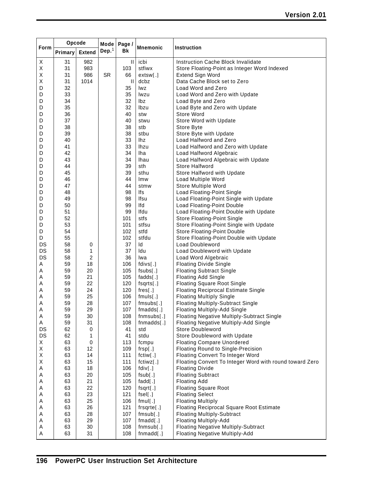|      | Opcode  |               | Mode      | Page /       |                 |                                                         |
|------|---------|---------------|-----------|--------------|-----------------|---------------------------------------------------------|
| Form | Primary | <b>Extend</b> | Dep. $1$  | Bk           | <b>Mnemonic</b> | <b>Instruction</b>                                      |
| X    | 31      | 982           |           | $\mathbf{I}$ | icbi            | Instruction Cache Block Invalidate                      |
| Χ    | 31      | 983           |           | 103          | stfiwx          | Store Floating-Point as Integer Word Indexed            |
| Χ    | 31      | 986           | <b>SR</b> | 66           | extsw[.]        | <b>Extend Sign Word</b>                                 |
| Χ    | 31      | 1014          |           | Ш            | dcbz            | Data Cache Block set to Zero                            |
| D    | 32      |               |           | 35           | lwz             | Load Word and Zero                                      |
| D    | 33      |               |           | 35           | lwzu            | Load Word and Zero with Update                          |
| D    | 34      |               |           | 32           | lbz             | Load Byte and Zero                                      |
| D    | 35      |               |           | 32           | Ibzu            | Load Byte and Zero with Update                          |
| D    | 36      |               |           | 40           | stw             | Store Word                                              |
| D    | 37      |               |           | 40           | stwu            | Store Word with Update                                  |
| D    | 38      |               |           | 38           | stb             | Store Byte                                              |
| D    | 39      |               |           | 38           | stbu            | Store Byte with Update                                  |
| D    | 40      |               |           | 33           | lhz             | Load Halfword and Zero                                  |
| D    | 41      |               |           | 33           | <b>lhzu</b>     | Load Halfword and Zero with Update                      |
| D    | 42      |               |           | 34           | lha             | Load Halfword Algebraic                                 |
| D    | 43      |               |           | 34           | <b>Ihau</b>     | Load Halfword Algebraic with Update                     |
| D    | 44      |               |           | 39           | sth             | Store Halfword                                          |
| D    | 45      |               |           | 39           | sthu            | Store Halfword with Update                              |
| D    | 46      |               |           | 44           | Imw             | Load Multiple Word                                      |
| D    | 47      |               |           | 44           | stmw            | Store Multiple Word                                     |
| D    | 48      |               |           | 98           | lfs             | Load Floating-Point Single                              |
| D    | 49      |               |           | 98           | Ifsu            | Load Floating-Point Single with Update                  |
| D    | 50      |               |           | 99           | Ifd             | <b>Load Floating-Point Double</b>                       |
| D    | 51      |               |           | 99           | Ifdu            | Load Floating-Point Double with Update                  |
| D    | 52      |               |           | 101          | stfs            | <b>Store Floating-Point Single</b>                      |
| D    | 53      |               |           | 101          | stfsu           | Store Floating-Point Single with Update                 |
| D    | 54      |               |           | 102          | stfd            | <b>Store Floating-Point Double</b>                      |
| D    | 55      |               |           | 102          | stfdu           | Store Floating-Point Double with Update                 |
| DS   | 58      | 0             |           | 37           | ld              | Load Doubleword                                         |
| DS   | 58      | 1             |           | 37           | ldu             | Load Doubleword with Update                             |
| DS   | 58      | 2             |           | 36           | Iwa             | Load Word Algebraic                                     |
| Α    | 59      | 18            |           | 106          | fdivs[.]        | <b>Floating Divide Single</b>                           |
| Α    | 59      | 20            |           | 105          | fsubs[.]        | <b>Floating Subtract Single</b>                         |
| Α    | 59      | 21            |           | 105          | fadds[.]        | <b>Floating Add Single</b>                              |
| Α    | 59      | 22            |           | 120          | fsqrts[.]       | <b>Floating Square Root Single</b>                      |
| Α    | 59      | 24            |           | 120          | ${\sf fres}[.]$ | <b>Floating Reciprocal Estimate Single</b>              |
| Α    | 59      | 25            |           | 106          | $f$ muls $[.]$  | <b>Floating Multiply Single</b>                         |
| Α    | 59      | 28            |           | 107          | fmsubs[.]       | <b>Floating Multiply-Subtract Single</b>                |
| A    | 59      | 29            |           | 107          | fmadds[.]       | Floating Multiply-Add Single                            |
| Α    | 59      | 30            |           | 108          | $fnmsubs$ [.]   | <b>Floating Negative Multiply-Subtract Single</b>       |
| Α    | 59      | 31            |           | 108          | fnmadds[.]      | Floating Negative Multiply-Add Single                   |
| DS   | 62      | 0             |           | 41           | std             | <b>Store Doubleword</b>                                 |
| DS   | 62      | 1             |           | 41           | stdu            | Store Doubleword with Update                            |
| X    | 63      | 0             |           | 113          | fcmpu           | <b>Floating Compare Unordered</b>                       |
| Χ    | 63      | 12            |           | 109          | frsp[.]         | Floating Round to Single-Precision                      |
| Χ    | 63      | 14            |           | 111          | fctiw[.]        | Floating Convert To Integer Word                        |
| Χ    | 63      | 15            |           | 111          | fctiwz[.]       | Floating Convert To Integer Word with round toward Zero |
| Α    | 63      | 18            |           | 106          | fdiv[.]         | <b>Floating Divide</b>                                  |
| Α    | 63      | 20            |           | 105          | fsub[.]         | <b>Floating Subtract</b>                                |
| Α    | 63      | 21            |           | 105          | $fadd$ [.]      | <b>Floating Add</b>                                     |
| Α    | 63      | 22            |           | 120          | $fsqrt[3]{1}$   | <b>Floating Square Root</b>                             |
| Α    | 63      | 23            |           | 121          | fsel[.]         | <b>Floating Select</b>                                  |
| Α    | 63      | 25            |           | 106          | fmul[.]         | <b>Floating Multiply</b>                                |
| Α    | 63      | 26            |           | 121          | frsqrte[.]      | <b>Floating Reciprocal Square Root Estimate</b>         |
| Α    | 63      | 28            |           | 107          | fmsub[.]        | <b>Floating Multiply-Subtract</b>                       |
| Α    | 63      | 29            |           | 107          | fmad[.]         | <b>Floating Multiply-Add</b>                            |
| Α    | 63      | 30            |           | 108          | fnmsub[.]       | <b>Floating Negative Multiply-Subtract</b>              |
| A    | 63      | 31            |           | 108          | fnmadd[.]       | <b>Floating Negative Multiply-Add</b>                   |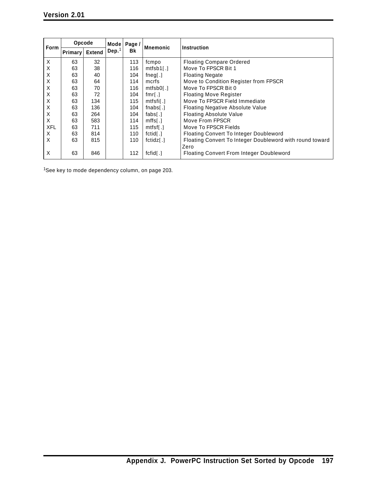| <b>Form</b> | Opcode  |               | Mode l | Page /                                                          | <b>Mnemonic</b>            | Instruction                                              |
|-------------|---------|---------------|--------|-----------------------------------------------------------------|----------------------------|----------------------------------------------------------|
|             | Primary | <b>Extend</b> | Dep.   | Bk                                                              |                            |                                                          |
| X           | 63      | 32            |        | 113                                                             | fcmpo                      | <b>Floating Compare Ordered</b>                          |
| X           | 63      | 38            |        | 116                                                             | $mtfsb1$ [.]               | Move To FPSCR Bit 1                                      |
| X           | 63      | 40            |        | 104                                                             | fneg[ $.$ ]                | <b>Floating Negate</b>                                   |
| X           | 63      | 64            |        | 114                                                             | mcrfs                      | Move to Condition Register from FPSCR                    |
| X           | 63      | 70            |        | 116                                                             | $mtfsb0$ [.]               | Move To FPSCR Bit 0                                      |
| Х           | 63      | 72            |        | 104                                                             | fmr[.]                     | <b>Floating Move Register</b>                            |
| Х           | 63      | 134           |        | 115                                                             | $m$ tfsfil $\lceil$        | Move To FPSCR Field Immediate                            |
| Х           | 63      | 136           |        | 104                                                             | $f$ nabs $\lceil . \rceil$ | <b>Floating Negative Absolute Value</b>                  |
| X           | 63      | 264           |        | <b>Floating Absolute Value</b><br>104<br>fabs $\lceil . \rceil$ |                            |                                                          |
| X           | 63      | 583           |        | 114                                                             | $mffs$ [.]                 | Move From FPSCR                                          |
| <b>XFL</b>  | 63      | 711           |        | 115                                                             | mtfsf[.]                   | Move To FPSCR Fields                                     |
| X           | 63      | 814           |        | 110                                                             | fctid[.]                   | Floating Convert To Integer Doubleword                   |
| X           | 63      | 815           |        | 110                                                             | fctidz[.]                  | Floating Convert To Integer Doubleword with round toward |
|             |         |               |        |                                                                 |                            | Zero                                                     |
| X           | 63      | 846           |        | 112                                                             | fcfid[.]                   | <b>Floating Convert From Integer Doubleword</b>          |

1See key to mode dependency column, on page 203.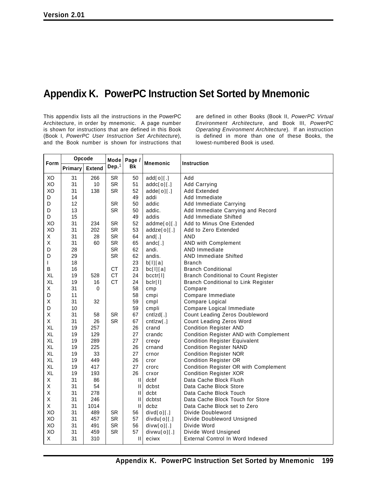## **Appendix K. PowerPC Instruction Set Sorted by Mnemonic**

This appendix lists all the instructions in the PowerPC Architecture, in order by mnemonic. A page number is shown for instructions that are defined in this Book (Book I, *PowerPC User Instruction Set Architecture*), and the Book number is shown for instructions that

are defined in other Books (Book II, *PowerPC Virtual Environment Architecture*, and Book III, *PowerPC Operating Environment Architecture*). If an instruction is defined in more than one of these Books, the lowest-numbered Book is used.

| Form | Opcode  |               | Mode      | Page /                                                                                       | <b>Mnemonic</b> | <b>Instruction</b>                          |
|------|---------|---------------|-----------|----------------------------------------------------------------------------------------------|-----------------|---------------------------------------------|
|      | Primary | <b>Extend</b> | Dep. $1$  | Bk                                                                                           |                 |                                             |
| XO   | 31      | 266           | <b>SR</b> | 50                                                                                           | add[0][.]       | Add                                         |
| XO   | 31      | 10            | <b>SR</b> | 51                                                                                           | addc[0][.]      | Add Carrying                                |
| XO   | 31      | 138           | SR        | 52                                                                                           | $adde[0]$ [.]   | Add Extended                                |
| D    | 14      |               |           | 49                                                                                           | addi            | Add Immediate                               |
| D    | 12      |               | <b>SR</b> | 50                                                                                           | addic           | Add Immediate Carrying                      |
| D    | 13      |               | <b>SR</b> | 50                                                                                           | addic.          | Add Immediate Carrying and Record           |
| D    | 15      |               |           | 49                                                                                           | addis           | Add Immediate Shifted                       |
| XO   | 31      | 234           | <b>SR</b> | 52                                                                                           | $addme[0]$ [.]  | Add to Minus One Extended                   |
| XO   | 31      | 202           | <b>SR</b> | 53                                                                                           | addze[0][.]     | Add to Zero Extended                        |
| Χ    | 31      | 28            | <b>SR</b> | 64                                                                                           | $and$ [.]       | <b>AND</b>                                  |
| Χ    | 31      | 60            | <b>SR</b> | 65                                                                                           | andc $[.]$      | AND with Complement                         |
| D    | 28      |               | <b>SR</b> | 62                                                                                           | andi.           | <b>AND Immediate</b>                        |
| D    | 29      |               | <b>SR</b> | 62                                                                                           | andis.          | <b>AND Immediate Shifted</b>                |
| L    | 18      |               |           | 23                                                                                           | b[1][a]         | <b>Branch</b>                               |
| B    | 16      |               | <b>CT</b> | 23                                                                                           | bc[1][a]        | <b>Branch Conditional</b>                   |
| XL   | 19      | 528           | <b>CT</b> | 24                                                                                           | bcctr[l]        | <b>Branch Conditional to Count Register</b> |
| XL   | 19      | 16            | <b>CT</b> | 24                                                                                           | bclr[1]         | <b>Branch Conditional to Link Register</b>  |
| Χ    | 31      | $\Omega$      |           | 58                                                                                           | cmp             | Compare                                     |
| D    | 11      |               |           | 58                                                                                           | cmpi            | Compare Immediate                           |
| X    | 31      | 32            |           | 59                                                                                           | cmpl            | Compare Logical                             |
| D    | 10      |               |           | 59                                                                                           | cmpli           | Compare Logical Immediate                   |
| Χ    | 31      | 58            | <b>SR</b> | 67                                                                                           | cntzd[.]        | Count Leading Zeros Doubleword              |
| Χ    | 31      | 26            | <b>SR</b> | 67                                                                                           | cntzw[.]        | Count Leading Zeros Word                    |
| XL   | 19      | 257           |           | 26                                                                                           | crand           | <b>Condition Register AND</b>               |
| XL   | 19      | 129           |           | 27                                                                                           | crandc          | Condition Register AND with Complement      |
| XL   | 19      | 289           |           | 27                                                                                           | creqv           | <b>Condition Register Equivalent</b>        |
| XL   | 19      | 225           |           | 26                                                                                           | crnand          | <b>Condition Register NAND</b>              |
| XL   | 19      | 33            |           | 27                                                                                           | crnor           | <b>Condition Register NOR</b>               |
| XL   | 19      | 449           |           | 26                                                                                           | cror            | <b>Condition Register OR</b>                |
| XL   | 19      | 417           |           | 27                                                                                           | crorc           | Condition Register OR with Complement       |
| XL   | 19      | 193           |           | 26                                                                                           | crxor           | <b>Condition Register XOR</b>               |
| X    | 31      | 86            |           | H                                                                                            | dcbf            | Data Cache Block Flush                      |
| X    | 31      | 54            |           | $\mathbf{I}$                                                                                 | dcbst           | Data Cache Block Store                      |
| X    | 31      | 278           |           | $\mathsf{H}% _{0}\left( \mathcal{M}_{0}\right) =\mathsf{H}_{0}\left( \mathcal{M}_{0}\right)$ | dcbt            | Data Cache Block Touch                      |
| X    | 31      | 246           |           | $\mathbf{  }$                                                                                | dcbtst          | Data Cache Block Touch for Store            |
| X    | 31      | 1014          |           | $\mathbf{II}$                                                                                | dcbz            | Data Cache Block set to Zero                |
| XO   | 31      | 489           | <b>SR</b> | 56                                                                                           | divd[o][.]      | Divide Doubleword                           |
| XO   | 31      | 457           | <b>SR</b> | 57                                                                                           | divdu[0][.]     | Divide Doubleword Unsigned                  |
| XO   | 31      | 491           | <b>SR</b> | 56                                                                                           | $divw[0]$ [.]   | Divide Word                                 |
| XO   | 31      | 459           | <b>SR</b> | 57                                                                                           | divwu[0][.]     | Divide Word Unsigned                        |
| X    | 31      | 310           |           | Ш                                                                                            | eciwx           | External Control In Word Indexed            |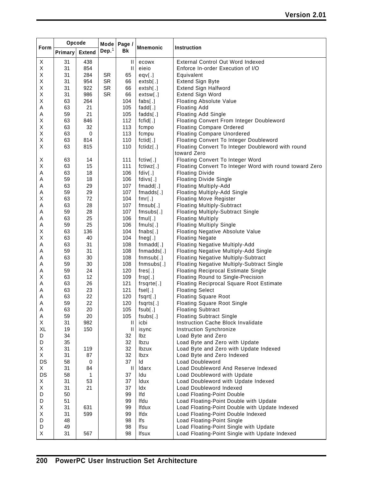|             | Opcode   |               | Mode      | Page /     |                      |                                                                  |
|-------------|----------|---------------|-----------|------------|----------------------|------------------------------------------------------------------|
| <b>Form</b> | Primary  | <b>Extend</b> | Dep. $1$  | <b>Bk</b>  | <b>Mnemonic</b>      | Instruction                                                      |
| X           | 31       | 438           |           | Ш          | ecowx                | External Control Out Word Indexed                                |
| Χ           | 31       | 854           |           | Ш          | eieio                | Enforce In-order Execution of I/O                                |
| Χ           | 31       | 284           | <b>SR</b> | 65         | eqv[.]               | Equivalent                                                       |
| Χ           | 31       | 954           | <b>SR</b> | 66         | extsb[.]             | <b>Extend Sign Byte</b>                                          |
| Χ           | 31       | 922           | SR        | 66         | extsh[.]             | Extend Sign Halfword                                             |
| Χ           | 31       | 986           | <b>SR</b> | 66         | extsw[.]             | Extend Sign Word                                                 |
| Χ           | 63       | 264           |           | 104        | $[$ .]               | <b>Floating Absolute Value</b>                                   |
| Α           | 63       | 21            |           | 105        | $fadd$ [.]           | <b>Floating Add</b>                                              |
| Α           | 59       | 21            |           | 105        | fadds[.]             | <b>Floating Add Single</b>                                       |
| Χ           | 63       | 846           |           | 112        | fcfid[.]             | Floating Convert From Integer Doubleword                         |
| Χ           | 63       | 32            |           | 113        | fcmpo                | <b>Floating Compare Ordered</b>                                  |
| Χ           | 63       | 0             |           | 113        | fcmpu                | <b>Floating Compare Unordered</b>                                |
| Χ           | 63       | 814           |           | 110        | fctid[.]             | Floating Convert To Integer Doubleword                           |
| X           | 63       | 815           |           | 110        | fctidz[.]            | Floating Convert To Integer Doubleword with round<br>toward Zero |
| Х           | 63       | 14            |           | 111        | fctiw[.]             | Floating Convert To Integer Word                                 |
| Χ           | 63       | 15            |           | 111        | fctiwz[.]            | Floating Convert To Integer Word with round toward Zero          |
| Α           | 63       | 18            |           | 106        | fdiv[.]              | <b>Floating Divide</b>                                           |
| Α           | 59       | 18            |           | 106        | fdivs[.]             | <b>Floating Divide Single</b>                                    |
| Α           | 63       | 29            |           | 107        | fmadd[.]             | <b>Floating Multiply-Add</b>                                     |
| Α           | 59       | 29            |           | 107        | fmadds[.]            | Floating Multiply-Add Single                                     |
| Χ           | 63       | 72            |           | 104        | fmr[.]               | <b>Floating Move Register</b>                                    |
| Α           | 63       | 28            |           | 107        | fmsub[.]             | <b>Floating Multiply-Subtract</b>                                |
| Α           | 59       | 28            |           | 107        | fmsubs[.]            | <b>Floating Multiply-Subtract Single</b>                         |
| Α           | 63       | 25            |           | 106        | fmul[.]              | <b>Floating Multiply</b>                                         |
| Α           | 59       | 25            |           | 106        | $f$ muls $[.]$       | <b>Floating Multiply Single</b>                                  |
| Χ           | 63       | 136           |           | 104        | [1.]                 | Floating Negative Absolute Value                                 |
| Χ           | 63       | 40            |           | 104        | fneg[.]              | <b>Floating Negate</b>                                           |
| A           | 63       | 31            |           | 108        | $fnmadd$ [.]         | <b>Floating Negative Multiply-Add</b>                            |
| Α           | 59       | 31            |           | 108        | fnmadds[.]           | Floating Negative Multiply-Add Single                            |
| Α           | 63       | 30            |           | 108        | fnmsub[.]            | <b>Floating Negative Multiply-Subtract</b>                       |
| Α           | 59       | 30            |           | 108        | $fnmsubs$ [.]        | Floating Negative Multiply-Subtract Single                       |
| Α           | 59       | 24            |           | 120        | ${\sf fres}[.]$      | <b>Floating Reciprocal Estimate Single</b>                       |
| Χ           | 63       | 12            |           | 109        | frsp[.]              | Floating Round to Single-Precision                               |
| Α           | 63       | 26            |           | 121        | $f$ rsqrte $[.]$     | Floating Reciprocal Square Root Estimate                         |
| Α           | 63       | 23            |           | 121        | fsel[.]              | <b>Floating Select</b>                                           |
| Α           | 63       | 22            |           | 120        | $fsqrt[3]{1}$        | <b>Floating Square Root</b>                                      |
| Α           | 59<br>63 | 22<br>20      |           | 120<br>105 | fsqrts[.]<br>fsub[.] | <b>Floating Square Root Single</b><br><b>Floating Subtract</b>   |
| A<br>Α      | 59       | 20            |           | 105        | fsubs[.]             | <b>Floating Subtract Single</b>                                  |
| X           | 31       | 982           |           | Ш          | icbi                 | Instruction Cache Block Invalidate                               |
| XL          | 19       | 150           |           | Ш          | isync                | Instruction Synchronize                                          |
| D           | 34       |               |           | 32         | lbz                  | Load Byte and Zero                                               |
| D           | 35       |               |           | 32         | Ibzu                 | Load Byte and Zero with Update                                   |
| X           | 31       | 119           |           | 32         | Ibzux                | Load Byte and Zero with Update Indexed                           |
| X           | 31       | 87            |           | 32         | <b>lbzx</b>          | Load Byte and Zero Indexed                                       |
| DS          | 58       | 0             |           | 37         | ld                   | Load Doubleword                                                  |
| X           | 31       | 84            |           | Ш          | Idarx                | Load Doubleword And Reserve Indexed                              |
| DS          | 58       | 1             |           | 37         | Idu                  | Load Doubleword with Update                                      |
| X           | 31       | 53            |           | 37         | <b>Idux</b>          | Load Doubleword with Update Indexed                              |
| X           | 31       | 21            |           | 37         | ldx                  | Load Doubleword Indexed                                          |
| D           | 50       |               |           | 99         | Ifd                  | Load Floating-Point Double                                       |
| D           | 51       |               |           | 99         | Ifdu                 | Load Floating-Point Double with Update                           |
| Χ           | 31       | 631           |           | 99         | Ifdux                | Load Floating-Point Double with Update Indexed                   |
| Χ           | 31       | 599           |           | 99         | lfdx                 | Load Floating-Point Double Indexed                               |
| D           | 48       |               |           | 98         | lfs                  | Load Floating-Point Single                                       |
| D           | 49       |               |           | 98         | Ifsu                 | Load Floating-Point Single with Update                           |
| X           | 31       | 567           |           | 98         | Ifsux                | Load Floating-Point Single with Update Indexed                   |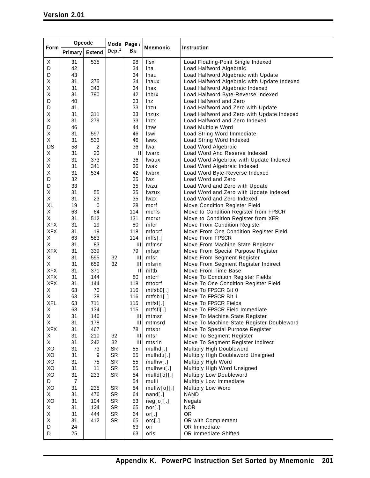|            |                | Opcode        |           | <b>Mode</b><br>Page /                 | <b>Mnemonic</b>                      |                                                                 |
|------------|----------------|---------------|-----------|---------------------------------------|--------------------------------------|-----------------------------------------------------------------|
| Form       | Primary        | <b>Extend</b> | Dep. $1$  | <b>Bk</b>                             |                                      | Instruction                                                     |
| X          | 31             | 535           |           | 98                                    | lfsx                                 | Load Floating-Point Single Indexed                              |
| D          | 42             |               |           | 34                                    | lha                                  | Load Halfword Algebraic                                         |
| D          | 43             |               |           | 34                                    | Ihau                                 | Load Halfword Algebraic with Update                             |
| Χ          | 31             | 375           |           | 34                                    | <b>Ihaux</b>                         | Load Halfword Algebraic with Update Indexed                     |
| Χ          | 31             | 343           |           | 34                                    | lhax                                 | Load Halfword Algebraic Indexed                                 |
| Χ          | 31             | 790           |           | 42                                    | <b>Ihbrx</b>                         | Load Halfword Byte-Reverse Indexed                              |
| D          | 40             |               |           | 33                                    | lhz                                  | Load Halfword and Zero                                          |
| D          | 41             |               |           | 33                                    | lhzu                                 | Load Halfword and Zero with Update                              |
| Χ<br>Χ     | 31<br>31       | 311<br>279    |           | 33                                    | <b>Ihzux</b>                         | Load Halfword and Zero with Update Indexed                      |
| D          | 46             |               |           | 33<br>44                              | lhzx<br><b>Imw</b>                   | Load Halfword and Zero Indexed                                  |
| Χ          | 31             | 597           |           | 46                                    | Iswi                                 | Load Multiple Word<br>Load String Word Immediate                |
| Χ          | 31             | 533           |           | 46                                    | <b>Iswx</b>                          | Load String Word Indexed                                        |
| <b>DS</b>  | 58             | 2             |           | 36                                    | lwa                                  | Load Word Algebraic                                             |
| Χ          | 31             | 20            |           | $\mathbf{  }$                         | Iwarx                                | Load Word And Reserve Indexed                                   |
| Χ          | 31             | 373           |           | 36                                    | Iwaux                                | Load Word Algebraic with Update Indexed                         |
| Χ          | 31             | 341           |           | 36                                    | lwax                                 | Load Word Algebraic Indexed                                     |
| Χ          | 31             | 534           |           | 42                                    | <b>lwbrx</b>                         | Load Word Byte-Reverse Indexed                                  |
| D          | 32             |               |           | 35                                    | lwz                                  | Load Word and Zero                                              |
| D          | 33             |               |           | 35                                    | lwzu                                 | Load Word and Zero with Update                                  |
| Χ          | 31             | 55            |           | 35                                    | lwzux                                | Load Word and Zero with Update Indexed                          |
| Χ          | 31             | 23            |           | 35                                    | lwzx                                 | Load Word and Zero Indexed                                      |
| XL         | 19             | 0             |           | 28                                    | mcrf                                 | Move Condition Register Field                                   |
| Χ          | 63             | 64            |           | 114                                   | mcrfs                                | Move to Condition Register from FPSCR                           |
| Χ          | 31             | 512           |           | 131                                   | mcrxr                                | Move to Condition Register from XER                             |
| <b>XFX</b> | 31             | 19            |           | 80                                    | mfcr                                 | Move From Condition Register                                    |
| <b>XFX</b> | 31             | 19            |           | 118                                   | mfocrf                               | Move From One Condition Register Field                          |
| Χ          | 63             | 583           |           | 114                                   | mfs[.]                               | Move From FPSCR                                                 |
| Χ          | 31             | 83            |           | Ш                                     | mfmsr                                | Move From Machine State Register                                |
| <b>XFX</b> | 31             | 339           |           | 79                                    | mfspr                                | Move From Special Purpose Register                              |
| Χ          | 31             | 595           | 32        | Ш                                     | mfsr                                 | Move From Segment Register                                      |
| X          | 31             | 659           | 32        | Ш                                     | mfsrin                               | Move From Segment Register Indirect                             |
| <b>XFX</b> | 31             | 371           |           | $\begin{array}{c} \hline \end{array}$ | mftb                                 | Move From Time Base                                             |
| <b>XFX</b> | 31             | 144           |           | 80                                    | mtcrf                                | Move To Condition Register Fields                               |
| <b>XFX</b> | 31             | 144           |           | 118                                   | mtocrf                               | Move To One Condition Register Field                            |
| Χ<br>Χ     | 63<br>63       | 70<br>38      |           | 116<br>116                            | mtfsb0[.]                            | Move To FPSCR Bit 0<br>Move To FPSCR Bit 1                      |
| <b>XFL</b> | 63             | 711           |           | 115                                   | $mtfsb1$ [.]                         | Move To FPSCR Fields                                            |
|            |                |               |           |                                       | mtfsf[.]                             |                                                                 |
| X<br>X     | 63<br>31       | 134<br>146    |           | 115<br>Ш                              | $m$ tfsfi $\lceil . \rceil$<br>mtmsr | Move To FPSCR Field Immediate<br>Move To Machine State Register |
| X          | 31             | 178           |           | Ш                                     | mtmsrd                               | Move To Machine State Register Doubleword                       |
| <b>XFX</b> | 31             | 467           |           | 78                                    | mtspr                                | Move To Special Purpose Register                                |
| Χ          | 31             | 210           | 32        | Ш                                     | mtsr                                 | Move To Segment Register                                        |
| X          | 31             | 242           | 32        | Ш                                     | mtsrin                               | Move To Segment Register Indirect                               |
| XO         | 31             | 73            | <b>SR</b> | 55                                    | mulhd[.]                             | Multiply High Doubleword                                        |
| XO         | 31             | 9             | <b>SR</b> | 55                                    | mulhdu[.]                            | Multiply High Doubleword Unsigned                               |
| XO         | 31             | 75            | <b>SR</b> | 55                                    | mulhw[.]                             | Multiply High Word                                              |
| XO         | 31             | 11            | <b>SR</b> | 55                                    | mulhwu[.]                            | Multiply High Word Unsigned                                     |
| XO         | 31             | 233           | <b>SR</b> | 54                                    | mulld[0][.]                          | Multiply Low Doubleword                                         |
| D          | $\overline{7}$ |               |           | 54                                    | mulli                                | Multiply Low Immediate                                          |
| XO         | 31             | 235           | <b>SR</b> | 54                                    | mullw[0][.]                          | Multiply Low Word                                               |
| X          | 31             | 476           | SR        | 64                                    | $nand$ [.]                           | <b>NAND</b>                                                     |
| XO         | 31             | 104           | SR        | 53                                    | neg[0][.]                            | Negate                                                          |
| Χ          | 31             | 124           | <b>SR</b> | 65                                    | nor[.]                               | <b>NOR</b>                                                      |
| Χ          | 31             | 444           | <b>SR</b> | 64                                    | or $[.]$                             | <b>OR</b>                                                       |
| Χ          | 31             | 412           | <b>SR</b> | 65                                    | orc[.]                               | OR with Complement                                              |
| D          | 24             |               |           | 63                                    | ori                                  | OR Immediate                                                    |
| D          | 25             |               |           | 63                                    | oris                                 | OR Immediate Shifted                                            |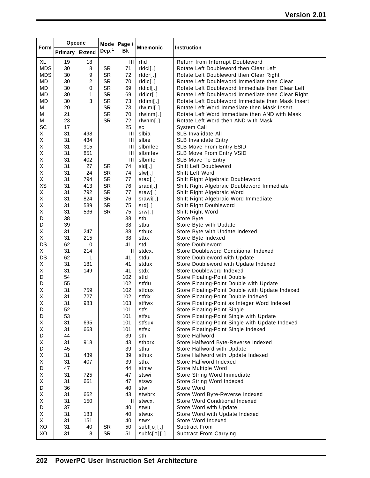|            | Opcode   |               | Mode              | Page /         | <b>Mnemonic</b>       |                                                      |
|------------|----------|---------------|-------------------|----------------|-----------------------|------------------------------------------------------|
| Form       | Primary  | <b>Extend</b> | Dep. <sup>1</sup> | Bk             |                       | <b>Instruction</b>                                   |
| XL         | 19       | 18            |                   | $\mathbf{III}$ | rfid                  | Return from Interrupt Doubleword                     |
| <b>MDS</b> | 30       | 8             | SR                | 71             | $r   \text{dcl}[\,.]$ | Rotate Left Doubleword then Clear Left               |
| <b>MDS</b> | 30       | 9             | <b>SR</b>         | 72             | rldcr[.]              | Rotate Left Doubleword then Clear Right              |
| MD         | 30       | 2             | <b>SR</b>         | 70             | rldic[.]              | Rotate Left Doubleword Immediate then Clear          |
| MD         | 30       | 0             | <b>SR</b>         | 69             | rldicl[.]             | Rotate Left Doubleword Immediate then Clear Left     |
| MD         | 30       | 1             | <b>SR</b>         | 69             | rldicr[.]             | Rotate Left Doubleword Immediate then Clear Right    |
| MD         | 30       | 3             | SR                | 73             | rldimi[.]             | Rotate Left Doubleword Immediate then Mask Insert    |
| M          | 20       |               | <b>SR</b>         | 73             | rlwimi[.]             | Rotate Left Word Immediate then Mask Insert          |
| M          | 21       |               | SR                | 70             | rlwinm[.]             | Rotate Left Word Immediate then AND with Mask        |
| М          | 23       |               | <b>SR</b>         | 72             | rlwm[.]               | Rotate Left Word then AND with Mask                  |
| SC         | 17       |               |                   | 25             | SC                    | System Call                                          |
| X          | 31       | 498           |                   | Ш              | slbia                 | SLB Invalidate All                                   |
| Χ          | 31       | 434           |                   | Ш              | slbie                 | <b>SLB Invalidate Entry</b>                          |
| Χ          | 31       | 915           |                   | $\mathbf{III}$ | slbmfee               | SLB Move From Entry ESID                             |
| X          | 31       | 851           |                   | Ш              | slbmfev               | SLB Move From Entry VSID                             |
| Χ          | 31       | 402           |                   | $\mathbf{III}$ | slbmte                | <b>SLB Move To Entry</b>                             |
| Χ          | 31       | 27            | SR                | 74             | sld[.]                | Shift Left Doubleword                                |
| Χ          | 31       | 24            | <b>SR</b>         | 74             | slw[.]                | Shift Left Word                                      |
| X          | 31       | 794           | <b>SR</b>         | 77             | srad[.]               | Shift Right Algebraic Doubleword                     |
| XS         | 31       | 413           | <b>SR</b>         | 76             | sradi[.]              | Shift Right Algebraic Doubleword Immediate           |
| X          | 31       | 792           | <b>SR</b>         | 77             | sraw[.]               | Shift Right Algebraic Word                           |
| Χ          | 31       | 824           | <b>SR</b>         | 76             | srawi[.]              | Shift Right Algebraic Word Immediate                 |
| Χ          | 31       | 539           | <b>SR</b>         | 75             | srd[.]                | Shift Right Doubleword                               |
| Χ<br>D     | 31<br>38 | 536           | SR                | 75<br>38       | srw[.]<br>stb         | Shift Right Word                                     |
| D          | 39       |               |                   | 38             | stbu                  | Store Byte                                           |
| X          | 31       | 247           |                   | 38             | stbux                 | Store Byte with Update                               |
| Χ          | 31       | 215           |                   | 38             | stbx                  | Store Byte with Update Indexed<br>Store Byte Indexed |
| DS         | 62       | 0             |                   | 41             | std                   | <b>Store Doubleword</b>                              |
| X          | 31       | 214           |                   | Ш              | stdcx.                | Store Doubleword Conditional Indexed                 |
| DS         | 62       | 1             |                   | 41             | stdu                  | Store Doubleword with Update                         |
| X          | 31       | 181           |                   | 41             | stdux                 | Store Doubleword with Update Indexed                 |
| Χ          | 31       | 149           |                   | 41             | stdx                  | Store Doubleword Indexed                             |
| D          | 54       |               |                   | 102            | stfd                  | Store Floating-Point Double                          |
| D          | 55       |               |                   | 102            | stfdu                 | Store Floating-Point Double with Update              |
| X          | 31       | 759           |                   | 102            | stfdux                | Store Floating-Point Double with Update Indexed      |
| Χ          | 31       | 727           |                   | 102            | stfdx                 | Store Floating-Point Double Indexed                  |
| Χ          | 31       | 983           |                   | 103            | stfiwx                | Store Floating-Point as Integer Word Indexed         |
| D          | 52       |               |                   | 101            | stfs                  | Store Floating-Point Single                          |
| D          | 53       |               |                   | 101            | stfsu                 | Store Floating-Point Single with Update              |
| Χ          | 31       | 695           |                   | 101            | stfsux                | Store Floating-Point Single with Update Indexed      |
| Χ          | 31       | 663           |                   | 101            | stfsx                 | Store Floating-Point Single Indexed                  |
| D          | 44       |               |                   | 39             | sth                   | Store Halfword                                       |
| Χ          | 31       | 918           |                   | 43             | sthbrx                | Store Halfword Byte-Reverse Indexed                  |
| D          | 45       |               |                   | 39             | sthu                  | Store Halfword with Update                           |
| Χ          | 31       | 439           |                   | 39             | sthux                 | Store Halfword with Update Indexed                   |
| X          | 31       | 407           |                   | 39             | sthx                  | Store Halfword Indexed                               |
| D          | 47       |               |                   | 44             | stmw                  | Store Multiple Word                                  |
| X          | 31       | 725           |                   | 47             | stswi                 | Store String Word Immediate                          |
| X          | 31       | 661           |                   | 47             | stswx                 | Store String Word Indexed                            |
| D          | 36       |               |                   | 40             | stw                   | Store Word                                           |
| X          | 31       | 662           |                   | 43             | stwbrx                | Store Word Byte-Reverse Indexed                      |
| Χ          | 31       | 150           |                   | H              | stwcx.                | Store Word Conditional Indexed                       |
| D          | 37       |               |                   | 40             | stwu                  | Store Word with Update                               |
| X          | 31       | 183           |                   | 40             | stwux                 | Store Word with Update Indexed                       |
| X          | 31       | 151           |                   | 40             | stwx                  | Store Word Indexed                                   |
| XO         | 31       | 40            | SR                | 50             | subf[0][.]            | Subtract From                                        |
| XO         | 31       | 8             | <b>SR</b>         | 51             | subfc[0][.]           | <b>Subtract From Carrying</b>                        |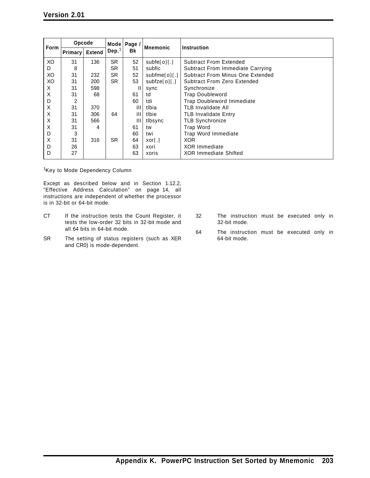| <b>Form</b> | Opcode  |               | Mode l            | Page / | <b>Mnemonic</b>          | Instruction                      |
|-------------|---------|---------------|-------------------|--------|--------------------------|----------------------------------|
|             | Primary | <b>Extend</b> | Dep. <sup>1</sup> | Bk     |                          |                                  |
| XO          | 31      | 136           | <b>SR</b>         | 52     | subfe[0][.]              | <b>Subtract From Extended</b>    |
| D           | 8       |               | SR.               | 51     | subfic                   | Subtract From Immediate Carrying |
| XO          | 31      | 232           | SR.               | 52     | subfine[0][.]            | Subtract From Minus One Extended |
| XO          | 31      | 200           | SR                | 53     | subfze[0][.]             | Subtract From Zero Extended      |
| X           | 31      | 598           |                   | Ш      | sync                     | Synchronize                      |
| X           | 31      | 68            |                   | 61     | td                       | <b>Trap Doubleword</b>           |
| D           | 2       |               |                   | 60     | tdi                      | <b>Trap Doubleword Immediate</b> |
| X           | 31      | 370           |                   | Ш      | tlbia                    | <b>TLB Invalidate All</b>        |
| X           | 31      | 306           | 64                | Ш      | tlbie                    | <b>TLB Invalidate Entry</b>      |
| Χ           | 31      | 566           |                   | Ш      | tlbsync                  | <b>TLB Synchronize</b>           |
| X           | 31      | 4             |                   | 61     | tw                       | Trap Word                        |
| D           | 3       |               |                   | 60     | twi                      | Trap Word Immediate              |
| Χ           | 31      | 316           | SR.               | 64     | $X$ or $\lceil . \rceil$ | <b>XOR</b>                       |
| D           | 26      |               |                   | 63     | xori                     | <b>XOR Immediate</b>             |
| D           | 27      |               |                   | 63     | xoris                    | <b>XOR Immediate Shifted</b>     |

<sup>1</sup>Key to Mode Dependency Column

Except as described below and in Section 1.12.2, "Effective Address Calculation" on page 14, all instructions are independent of whether the processor is in 32-bit or 64-bit mode.

- CT If the instruction tests the Count Register, it tests the low-order 32 bits in 32-bit mode and all 64 bits in 64-bit mode.
- SR The setting of status registers (such as XER and CR0) is mode-dependent.
- 32 The instruction must be executed only in 32-bit mode.
- 64 The instruction must be executed only in 64-bit mode.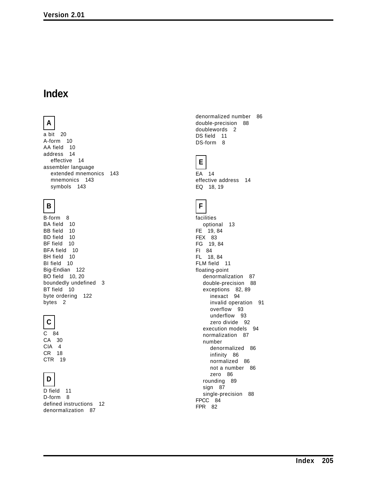## **Index**

### **A**

a bit 20 A-form 10 AA field 10 address 14 effective 14 assembler language extended mnemonics 143 mnemonics 143 symbols 143

#### **B**

B-form 8 BA field 10 BB field 10 BD field 10 BF field 10 BFA field 10 BH field 10 BI field 10 Big-Endian 122 BO field 10, 20 boundedly undefined 3 BT field 10 byte ordering 122 bytes 2

#### **C**

C 84 CA 30 CIA 4 CR 18 CTR 19

## **D**

D field 11 D-form 8 defined instructions 12 denormalization 87

denormalized number 86 double-precision 88 doublewords 2 DS field 11 DS-form 8

#### **E**

EA 14 effective address 14 EQ 18, 19

### **F**

facilities optional 13 FE 19, 84 FEX 83 FG 19, 84 FI 84 FL 18, 84 FLM field 11 floating-point denormalization 87 double-precision 88 exceptions 82, 89 inexact 94 invalid operation 91 overflow 93 underflow 93 zero divide 92 execution models 94 normalization 87 number denormalized 86 infinity 86 normalized 86 not a number 86 zero 86 rounding 89 sign 87 single-precision 88 FPCC 84 FPR 82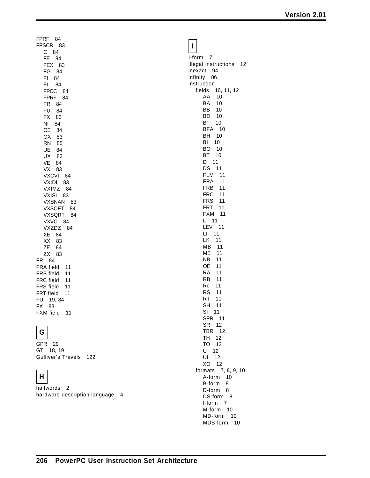FPRF 84 FPSCR 83 C 84 FE 84 FEX 83 FG 84 FI 84 FL 84 FPCC 84 FPRF 84 FR 84 FU 84 FX 83 NI 84 OE 84 OX 83 RN 85 UE 84 UX 83 VE 84 VX 83 VXCVI 84 VXIDI 83 VXIMZ 84 VXISI 83 VXSNAN 83 VXSOFT 84 VXSQRT 84 VXVC 84 VXZDZ 84 XE 84 XX 83 ZE 84 ZX 83 FR 84 FRA field 11 FRB field 11 FRC field 11 FRS field 11 FRT field 11 FU 19, 84 FX 83 FXM field 11

### **G**

GPR 29 GT 18, 19 Gulliver's Travels 122

# **H**

halfwords 2 hardware description language 4

|--|--|--|--|

I-form 7 illegal instructions 12 inexact 94 infinity 86 instruction fields 10, 11, 12 AA 10 BA 10 BB 10 BD 10 BF 10 BFA 10 BH 10 BI 10 BO 10 BT 10 D 11 DS 11 FLM 11 FRA 11 FRB 11 FRC 11 FRS 11 FRT 11 FXM 11 L 11 LEV 11 LI 11 LK 11 MB 11 ME 11 NB 11 OE 11 RA 11 RB 11 Rc 11 RS 11 RT 11 SH 11 SI 11 SPR 11 SR 12 TBR 12 TH 12 TO 12 U 12 UI 12 XO 12 formats 7, 8, 9, 10 A-form 10 B-form 8 D-form 8 DS-form 8 I-form 7 M-form 10 MD-form 10 MDS-form 10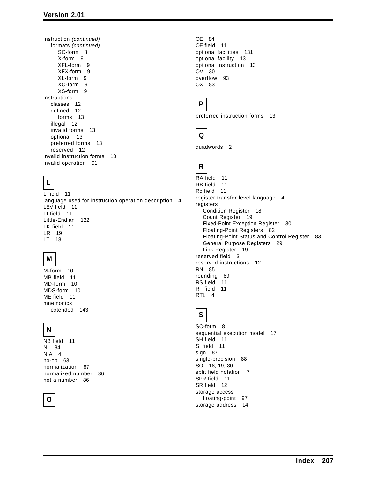instruction *(continued)* formats *(continued)* SC-form 8 X-form 9 XFL-form 9 XFX-form 9 XL-form 9 XO-form 9 XS-form 9 instructions classes 12 defined 12 forms 13 illegal 12 invalid forms 13 optional 13 preferred forms 13 reserved 12 invalid instruction forms 13 invalid operation 91

# **L**

L field 11 language used for instruction operation description 4 LEV field 11 LI field 11 Little-Endian 122 LK field 11 LR 19 LT 18

#### **M**

M-form 10 MB field 11 MD-form 10 MDS-form 10 ME field 11 mnemonics extended 143

### **N**

NB field 11 NI 84 NIA 4 no-op 63 normalization 87 normalized number 86 not a number 86

#### **O**

OE 84 OE field 11 optional facilities 131 optional facility 13 optional instruction 13 OV 30 overflow 93 OX 83

### **P**

preferred instruction forms 13



quadwords 2

### **R**

RA field 11 RB field 11 Rc field 11 register transfer level language 4 registers Condition Register 18 Count Register 19 Fixed-Point Exception Register 30 Floating-Point Registers 82 Floating-Point Status and Control Register 83 General Purpose Registers 29 Link Register 19 reserved field 3 reserved instructions 12 RN 85 rounding 89 RS field 11 RT field 11 RTL 4

### **S**

SC-form 8 sequential execution model 17 SH field 11 SI field 11 sign 87 single-precision 88 SO 18, 19, 30 split field notation 7 SPR field 11 SR field 12 storage access floating-point 97 storage address 14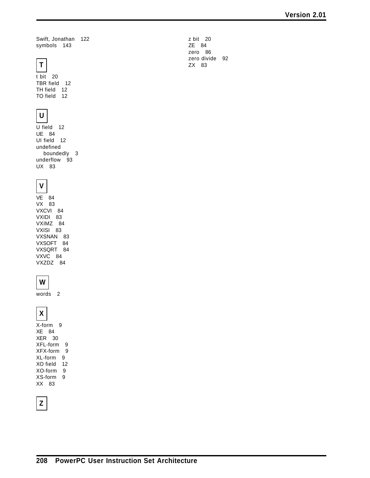Swift, Jonathan 122 symbols 143

## **T**

t bit 20 TBR field 12 TH field 12 TO field 12

# **U**

U field 12 UE 84 UI field 12 undefined boundedly 3 underflow 93 UX 83

### **V**

 $VE$  84 VX 83 VXCVI 84 VXIDI 83 VXIMZ 84 VXISI 83 VXSNAN 83 VXSOFT 84 VXSQRT 84 VXVC 84 VXZDZ 84

### **W**

words 2

# **X**

X-form 9 XE 84 XER 30 XFL-form 9 XFX-form 9 XL-form 9 XO field 12 XO-form 9 XS-form 9 XX 83

## **Z**

z bit 20 ZE 84 zero 86 zero divide 92 ZX 83